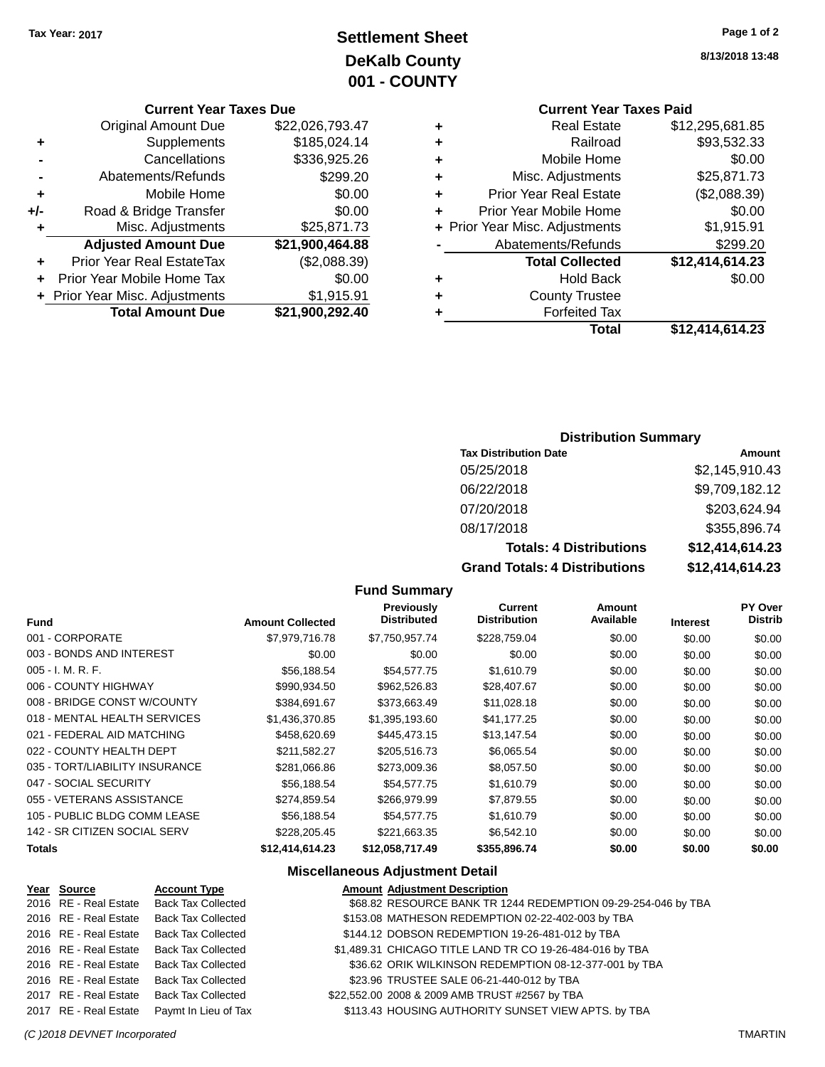### **Settlement Sheet Tax Year: 2017 Page 1 of 2 DeKalb County 001 - COUNTY**

#### **Current Year Taxes Due**

| <b>Original Amount Due</b> | \$22,026,793.47                |
|----------------------------|--------------------------------|
| Supplements                | \$185,024.14                   |
| Cancellations              | \$336,925.26                   |
| Abatements/Refunds         | \$299.20                       |
| Mobile Home                | \$0.00                         |
| Road & Bridge Transfer     | \$0.00                         |
| Misc. Adjustments          | \$25,871.73                    |
| <b>Adjusted Amount Due</b> | \$21,900,464.88                |
| Prior Year Real EstateTax  | (\$2,088.39)                   |
| Prior Year Mobile Home Tax | \$0.00                         |
|                            | \$1,915.91                     |
| <b>Total Amount Due</b>    | \$21,900,292.40                |
|                            | + Prior Year Misc. Adjustments |

| <b>Current Year Taxes Paid</b>     |                 |
|------------------------------------|-----------------|
| <b>Real Estate</b><br>٠            | \$12,295,681.85 |
| Railroad<br>٠                      | \$93,532.33     |
| Mobile Home<br>٠                   | \$0.00          |
| Misc. Adjustments<br>٠             | \$25,871.73     |
| <b>Prior Year Real Estate</b><br>÷ | (\$2,088.39)    |
| Prior Year Mobile Home<br>٠        | \$0.00          |
| + Prior Year Misc. Adjustments     | \$1,915.91      |
| Abatements/Refunds                 | \$299.20        |
| <b>Total Collected</b>             | \$12,414,614.23 |
| <b>Hold Back</b><br>÷              | \$0.00          |
| <b>County Trustee</b>              |                 |
| <b>Forfeited Tax</b><br>٠          |                 |
| Total                              | \$12,414,614.23 |

### **Distribution Summary**

| <b>Tax Distribution Date</b>         | Amount          |
|--------------------------------------|-----------------|
| 05/25/2018                           | \$2,145,910.43  |
| 06/22/2018                           | \$9,709,182.12  |
| 07/20/2018                           | \$203,624.94    |
| 08/17/2018                           | \$355,896.74    |
| <b>Totals: 4 Distributions</b>       | \$12,414,614.23 |
| <b>Grand Totals: 4 Distributions</b> | \$12,414,614.23 |

#### **Fund Summary**

| <b>Fund</b>                    | <b>Amount Collected</b> | Previously<br><b>Distributed</b> | Current<br><b>Distribution</b> | Amount<br>Available | <b>Interest</b> | <b>PY Over</b><br><b>Distrib</b> |
|--------------------------------|-------------------------|----------------------------------|--------------------------------|---------------------|-----------------|----------------------------------|
| 001 - CORPORATE                | \$7,979,716,78          | \$7.750.957.74                   | \$228.759.04                   | \$0.00              | \$0.00          | \$0.00                           |
| 003 - BONDS AND INTEREST       | \$0.00                  | \$0.00                           | \$0.00                         | \$0.00              | \$0.00          | \$0.00                           |
| $005 - I. M. R. F.$            | \$56,188.54             | \$54,577.75                      | \$1,610.79                     | \$0.00              | \$0.00          | \$0.00                           |
| 006 - COUNTY HIGHWAY           | \$990,934.50            | \$962,526.83                     | \$28,407.67                    | \$0.00              | \$0.00          | \$0.00                           |
| 008 - BRIDGE CONST W/COUNTY    | \$384.691.67            | \$373.663.49                     | \$11,028.18                    | \$0.00              | \$0.00          | \$0.00                           |
| 018 - MENTAL HEALTH SERVICES   | \$1,436,370.85          | \$1,395,193.60                   | \$41,177.25                    | \$0.00              | \$0.00          | \$0.00                           |
| 021 - FEDERAL AID MATCHING     | \$458,620.69            | \$445,473.15                     | \$13,147.54                    | \$0.00              | \$0.00          | \$0.00                           |
| 022 - COUNTY HEALTH DEPT       | \$211.582.27            | \$205,516.73                     | \$6,065.54                     | \$0.00              | \$0.00          | \$0.00                           |
| 035 - TORT/LIABILITY INSURANCE | \$281.066.86            | \$273,009.36                     | \$8,057.50                     | \$0.00              | \$0.00          | \$0.00                           |
| 047 - SOCIAL SECURITY          | \$56,188.54             | \$54,577.75                      | \$1,610.79                     | \$0.00              | \$0.00          | \$0.00                           |
| 055 - VETERANS ASSISTANCE      | \$274.859.54            | \$266.979.99                     | \$7,879.55                     | \$0.00              | \$0.00          | \$0.00                           |
| 105 - PUBLIC BLDG COMM LEASE   | \$56,188.54             | \$54,577.75                      | \$1,610.79                     | \$0.00              | \$0.00          | \$0.00                           |
| 142 - SR CITIZEN SOCIAL SERV   | \$228,205.45            | \$221,663.35                     | \$6,542.10                     | \$0.00              | \$0.00          | \$0.00                           |
| <b>Totals</b>                  | \$12,414,614.23         | \$12,058,717.49                  | \$355,896.74                   | \$0.00              | \$0.00          | \$0.00                           |

### **Miscellaneous Adjustment Detail**

| Year Source           | <b>Account Type</b>                      | <b>Amount Adjustment Description</b>                          |
|-----------------------|------------------------------------------|---------------------------------------------------------------|
|                       | 2016 RE - Real Estate Back Tax Collected | \$68.82 RESOURCE BANK TR 1244 REDEMPTION 09-29-254-046 by TBA |
| 2016 RE - Real Estate | <b>Back Tax Collected</b>                | \$153.08 MATHESON REDEMPTION 02-22-402-003 by TBA             |
| 2016 RE - Real Estate | <b>Back Tax Collected</b>                | \$144.12 DOBSON REDEMPTION 19-26-481-012 by TBA               |
| 2016 RE - Real Estate | <b>Back Tax Collected</b>                | \$1,489.31 CHICAGO TITLE LAND TR CO 19-26-484-016 by TBA      |
| 2016 RE - Real Estate | <b>Back Tax Collected</b>                | \$36.62 ORIK WILKINSON REDEMPTION 08-12-377-001 by TBA        |
| 2016 RE - Real Estate | <b>Back Tax Collected</b>                | \$23.96 TRUSTEE SALE 06-21-440-012 by TBA                     |
| 2017 RE - Real Estate | <b>Back Tax Collected</b>                | \$22,552.00 2008 & 2009 AMB TRUST #2567 by TBA                |
| 2017 RE - Real Estate | Paymt In Lieu of Tax                     | \$113.43 HOUSING AUTHORITY SUNSET VIEW APTS. by TBA           |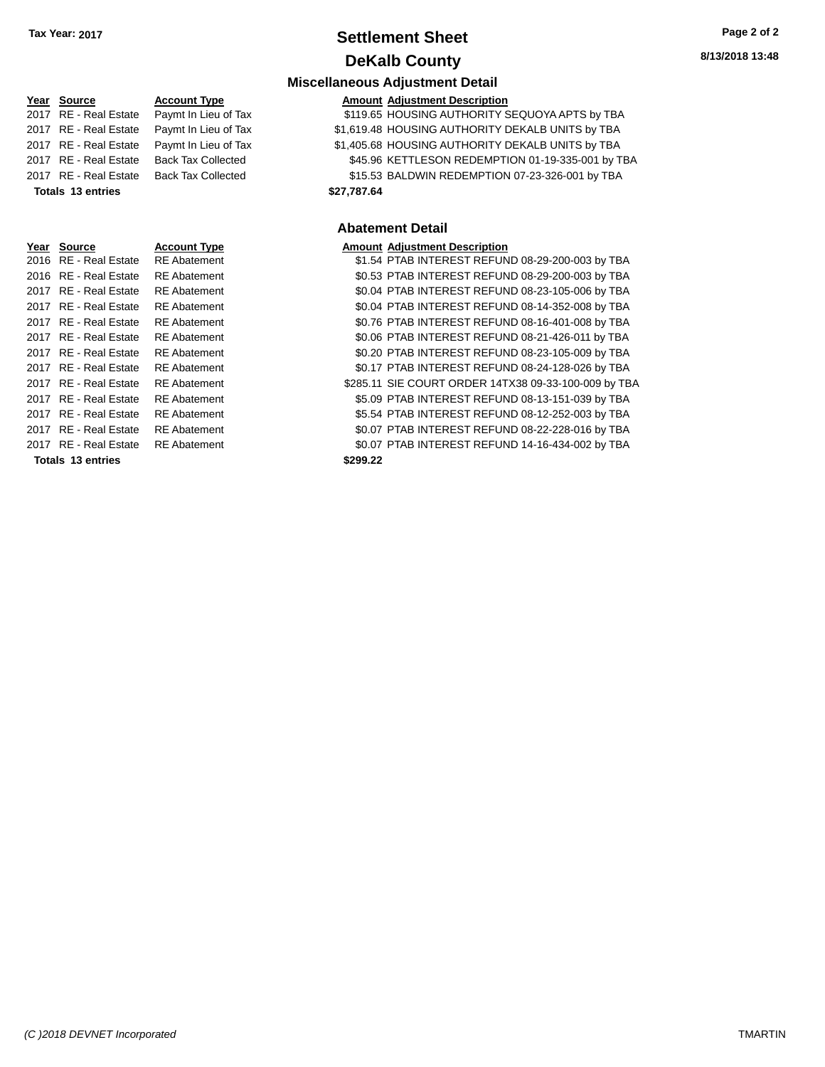### **Settlement Sheet Tax Year: 2017 Page 2 of 2 DeKalb County**

| Year Source              | <b>Account Type</b>       |             | <b>Amount Adjustment Description</b> |
|--------------------------|---------------------------|-------------|--------------------------------------|
| 2017 RE - Real Estate    | Paymt In Lieu of Tax      |             | \$119.65 HOUSING AUTHORITY S         |
| 2017 RE - Real Estate    | Paymt In Lieu of Tax      |             | \$1,619.48 HOUSING AUTHORITY D       |
| 2017 RE - Real Estate    | Paymt In Lieu of Tax      |             | \$1,405.68 HOUSING AUTHORITY D       |
| 2017 RE - Real Estate    | <b>Back Tax Collected</b> |             | \$45.96 KETTLESON REDEMPTI           |
| 2017 RE - Real Estate    | <b>Back Tax Collected</b> |             | \$15.53 BALDWIN REDEMPTION           |
| <b>Totals 13 entries</b> |                           | \$27,787.64 |                                      |
|                          |                           |             |                                      |
|                          |                           |             |                                      |
|                          |                           |             | <b>Abatement Detail</b>              |
| Year Source              | <b>Account Type</b>       |             | <b>Amount Adjustment Description</b> |
| 2016 RE - Real Estate    | <b>RE</b> Abatement       |             | \$1.54 PTAB INTEREST REFUN           |
| 2016 RE - Real Estate    | <b>RE</b> Abatement       |             | \$0.53 PTAB INTEREST REFUN           |
| 2017 RE - Real Estate    | <b>RE</b> Abatement       |             | \$0.04 PTAB INTEREST REFUN           |
| 2017 RE - Real Estate    | <b>RE</b> Abatement       |             | \$0.04 PTAB INTEREST REFUN           |
| 2017 RE - Real Estate    | <b>RE</b> Abatement       |             | \$0.76 PTAB INTEREST REFUN           |
| 2017 RE - Real Estate    | <b>RE</b> Abatement       |             | \$0.06 PTAB INTEREST REFUN           |
| 2017 RE - Real Estate    | <b>RE</b> Abatement       |             | \$0.20 PTAB INTEREST REFUN           |
| 2017 RE - Real Estate    | <b>RE</b> Abatement       |             | \$0.17 PTAB INTEREST REFUN           |
| 2017 RF - Real Estate    | RF Ahatement              |             | \$285 11 SIF COURT ORDER 14T         |

**Totals 13 entries** 

**Miscellaneous Adjustment Detail**

| <b>IGUI OUUIG</b>     | <b>ACCOUNT TYPE</b>       |             | Allivant Aujustinent Description                  |
|-----------------------|---------------------------|-------------|---------------------------------------------------|
| 2017 RE - Real Estate | Paymt In Lieu of Tax      |             | \$119.65 HOUSING AUTHORITY SEQUOYA APTS by TBA    |
| 2017 RE - Real Estate | Paymt In Lieu of Tax      |             | \$1,619.48 HOUSING AUTHORITY DEKALB UNITS by TBA  |
| 2017 RE - Real Estate | Paymt In Lieu of Tax      |             | \$1,405.68 HOUSING AUTHORITY DEKALB UNITS by TBA  |
| 2017 RE - Real Estate | Back Tax Collected        |             | \$45.96 KETTLESON REDEMPTION 01-19-335-001 by TBA |
| 2017 RE - Real Estate | <b>Back Tax Collected</b> |             | \$15.53 BALDWIN REDEMPTION 07-23-326-001 by TBA   |
| Totals 13 entries     |                           | \$27,787.64 |                                                   |
|                       |                           |             |                                                   |

### **Abatement Detail**

| Year Source              | <b>Account Type</b> |          | <b>Amount Adjustment Description</b>                 |
|--------------------------|---------------------|----------|------------------------------------------------------|
| 2016 RE - Real Estate    | <b>RE</b> Abatement |          | \$1.54 PTAB INTEREST REFUND 08-29-200-003 by TBA     |
| 2016 RE - Real Estate    | <b>RE</b> Abatement |          | \$0.53 PTAB INTEREST REFUND 08-29-200-003 by TBA     |
| 2017 RE - Real Estate    | <b>RE</b> Abatement |          | \$0.04 PTAB INTEREST REFUND 08-23-105-006 by TBA     |
| 2017 RE - Real Estate    | <b>RE</b> Abatement |          | \$0.04 PTAB INTEREST REFUND 08-14-352-008 by TBA     |
| 2017 RE - Real Estate    | <b>RE</b> Abatement |          | \$0.76 PTAB INTEREST REFUND 08-16-401-008 by TBA     |
| 2017 RE - Real Estate    | <b>RE</b> Abatement |          | \$0.06 PTAB INTEREST REFUND 08-21-426-011 by TBA     |
| 2017 RE - Real Estate    | <b>RE</b> Abatement |          | \$0.20 PTAB INTEREST REFUND 08-23-105-009 by TBA     |
| 2017 RE - Real Estate    | <b>RE</b> Abatement |          | \$0.17 PTAB INTEREST REFUND 08-24-128-026 by TBA     |
| 2017 RE - Real Estate    | <b>RE</b> Abatement |          | \$285.11 SIE COURT ORDER 14TX38 09-33-100-009 by TBA |
| 2017 RE - Real Estate    | <b>RE</b> Abatement |          | \$5.09 PTAB INTEREST REFUND 08-13-151-039 by TBA     |
| 2017 RE - Real Estate    | <b>RE</b> Abatement |          | \$5.54 PTAB INTEREST REFUND 08-12-252-003 by TBA     |
| 2017 RE - Real Estate    | <b>RE</b> Abatement |          | \$0.07 PTAB INTEREST REFUND 08-22-228-016 by TBA     |
| 2017 RE - Real Estate    | <b>RE</b> Abatement |          | \$0.07 PTAB INTEREST REFUND 14-16-434-002 by TBA     |
| <b>Totals 13 entries</b> |                     | \$299.22 |                                                      |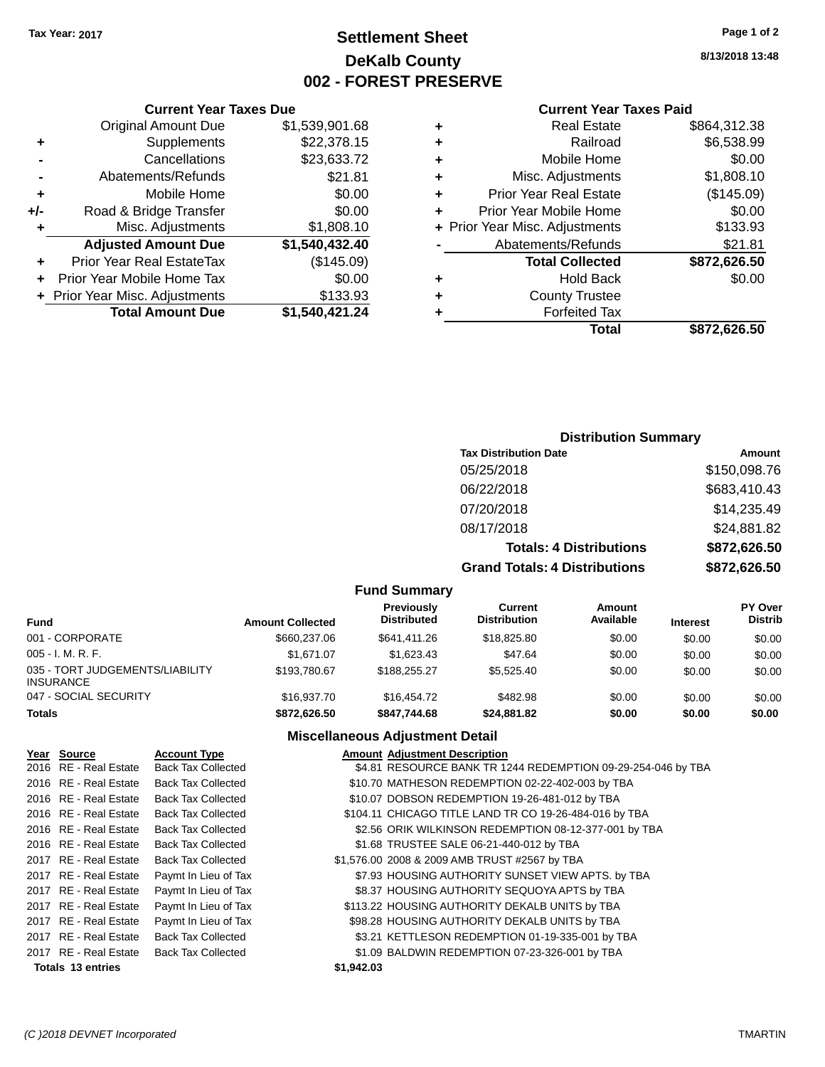### **Settlement Sheet Tax Year: 2017 Page 1 of 2 DeKalb County 002 - FOREST PRESERVE**

**8/13/2018 13:48**

#### **Current Year Taxes Paid**

| ÷ | <b>Real Estate</b>             | \$864,312.38 |
|---|--------------------------------|--------------|
| ٠ | Railroad                       | \$6,538.99   |
| ٠ | Mobile Home                    | \$0.00       |
| ٠ | Misc. Adjustments              | \$1,808.10   |
| ٠ | <b>Prior Year Real Estate</b>  | (\$145.09)   |
| ٠ | Prior Year Mobile Home         | \$0.00       |
|   | + Prior Year Misc. Adjustments | \$133.93     |
|   | Abatements/Refunds             | \$21.81      |
|   | <b>Total Collected</b>         | \$872,626.50 |
| ٠ | <b>Hold Back</b>               | \$0.00       |
| ٠ | <b>County Trustee</b>          |              |
|   | <b>Forfeited Tax</b>           |              |
|   | Total                          | \$872.626.50 |
|   |                                |              |

|                | <b>Current Year Taxes Due</b>  |                |
|----------------|--------------------------------|----------------|
|                | <b>Original Amount Due</b>     | \$1,539,901.68 |
| ٠              | Supplements                    | \$22,378.15    |
|                | Cancellations                  | \$23,633.72    |
| $\blacksquare$ | Abatements/Refunds             | \$21.81        |
| ٠              | Mobile Home                    | \$0.00         |
| +/-            | Road & Bridge Transfer         | \$0.00         |
| ٠              | Misc. Adjustments              | \$1,808.10     |
|                | <b>Adjusted Amount Due</b>     | \$1,540,432.40 |
| ٠              | Prior Year Real EstateTax      | (\$145.09)     |
| ÷              | Prior Year Mobile Home Tax     | \$0.00         |
|                | + Prior Year Misc. Adjustments | \$133.93       |
|                | <b>Total Amount Due</b>        | \$1,540,421.24 |

### **Distribution Summary**

| <b>Tax Distribution Date</b>         | Amount       |
|--------------------------------------|--------------|
| 05/25/2018                           | \$150,098.76 |
| 06/22/2018                           | \$683,410.43 |
| 07/20/2018                           | \$14,235.49  |
| 08/17/2018                           | \$24,881.82  |
| <b>Totals: 4 Distributions</b>       | \$872,626.50 |
| <b>Grand Totals: 4 Distributions</b> | \$872,626.50 |

#### **Fund Summary**

| <b>Fund</b>                                         | <b>Amount Collected</b> | Previously<br><b>Distributed</b> | Current<br><b>Distribution</b> | Amount<br>Available | <b>Interest</b> | <b>PY Over</b><br><b>Distrib</b> |
|-----------------------------------------------------|-------------------------|----------------------------------|--------------------------------|---------------------|-----------------|----------------------------------|
| 001 - CORPORATE                                     | \$660,237.06            | \$641.411.26                     | \$18,825.80                    | \$0.00              | \$0.00          | \$0.00                           |
| $005 - I. M. R. F.$                                 | \$1.671.07              | \$1,623.43                       | \$47.64                        | \$0.00              | \$0.00          | \$0.00                           |
| 035 - TORT JUDGEMENTS/LIABILITY<br><b>INSURANCE</b> | \$193,780.67            | \$188,255,27                     | \$5,525.40                     | \$0.00              | \$0.00          | \$0.00                           |
| 047 - SOCIAL SECURITY                               | \$16,937.70             | \$16,454.72                      | \$482.98                       | \$0.00              | \$0.00          | \$0.00                           |
| <b>Totals</b>                                       | \$872.626.50            | \$847.744.68                     | \$24.881.82                    | \$0.00              | \$0.00          | \$0.00                           |

#### **Miscellaneous Adjustment Detail**

| Year Source           | <b>Account Type</b>       | <b>Amount Adjustment Description</b>                         |
|-----------------------|---------------------------|--------------------------------------------------------------|
| 2016 RE - Real Estate | <b>Back Tax Collected</b> | \$4.81 RESOURCE BANK TR 1244 REDEMPTION 09-29-254-046 by TBA |
| 2016 RE - Real Estate | <b>Back Tax Collected</b> | \$10.70 MATHESON REDEMPTION 02-22-402-003 by TBA             |
| 2016 RE - Real Estate | <b>Back Tax Collected</b> | \$10.07 DOBSON REDEMPTION 19-26-481-012 by TBA               |
| 2016 RE - Real Estate | <b>Back Tax Collected</b> | \$104.11 CHICAGO TITLE LAND TR CO 19-26-484-016 by TBA       |
| 2016 RE - Real Estate | <b>Back Tax Collected</b> | \$2.56 ORIK WILKINSON REDEMPTION 08-12-377-001 by TBA        |
| 2016 RE - Real Estate | <b>Back Tax Collected</b> | \$1.68 TRUSTEE SALE 06-21-440-012 by TBA                     |
| 2017 RE - Real Estate | <b>Back Tax Collected</b> | \$1,576.00 2008 & 2009 AMB TRUST #2567 by TBA                |
| 2017 RE - Real Estate | Paymt In Lieu of Tax      | \$7.93 HOUSING AUTHORITY SUNSET VIEW APTS. by TBA            |
| 2017 RE - Real Estate | Paymt In Lieu of Tax      | \$8.37 HOUSING AUTHORITY SEQUOYA APTS by TBA                 |
| 2017 RE - Real Estate | Paymt In Lieu of Tax      | \$113.22 HOUSING AUTHORITY DEKALB UNITS by TBA               |
| 2017 RE - Real Estate | Paymt In Lieu of Tax      | \$98.28 HOUSING AUTHORITY DEKALB UNITS by TBA                |
| 2017 RE - Real Estate | <b>Back Tax Collected</b> | \$3.21 KETTLESON REDEMPTION 01-19-335-001 by TBA             |
| 2017 RE - Real Estate | <b>Back Tax Collected</b> | \$1.09 BALDWIN REDEMPTION 07-23-326-001 by TBA               |
| Totals 13 entries     |                           | \$1,942.03                                                   |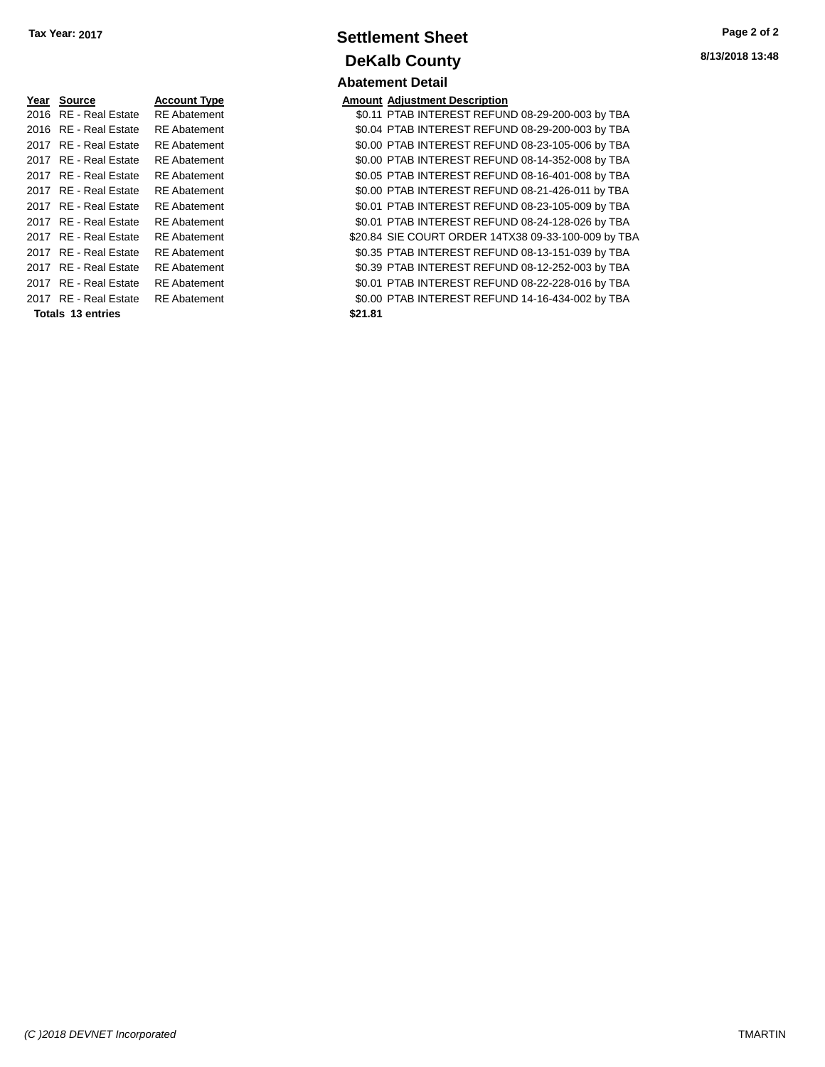| Year | <b>Source</b>    | <b>Account Type</b> |
|------|------------------|---------------------|
| 2016 | RE - Real Estate | RE Abatement        |
| 2016 | RF - Real Estate | <b>RE</b> Abatement |
| 2017 | RF - Real Estate | RF Abatement        |
| 2017 | RE - Real Estate | RE Abatement        |
| 2017 | RF - Real Estate | RF Abatement        |
| 2017 | RE - Real Estate | RE Abatement        |
| 2017 | RF - Real Estate | RF Abatement        |
| 2017 | RF - Real Estate | <b>RE</b> Abatement |
| 2017 | RF - Real Estate | RF Abatement        |
| 2017 | RF - Real Estate | RF Abatement        |
| 2017 | RF - Real Estate | RE Abatement        |
| 2017 | RF - Real Estate | RF Abatement        |
| 2017 | RF - Real Estate | RF Abatement        |
|      |                  |                     |

**Totals \$21.81 13 entries**

### **Settlement Sheet Tax Year: 2017 Page 2 of 2 DeKalb County Abatement Detail**

**Amount Adjustment Description** \$0.11 PTAB INTEREST REFUND 08-29-200-003 by TBA \$0.04 PTAB INTEREST REFUND 08-29-200-003 by TBA \$0.00 PTAB INTEREST REFUND 08-23-105-006 by TBA \$0.00 PTAB INTEREST REFUND 08-14-352-008 by TBA \$0.05 PTAB INTEREST REFUND 08-16-401-008 by TBA \$0.00 PTAB INTEREST REFUND 08-21-426-011 by TBA \$0.01 PTAB INTEREST REFUND 08-23-105-009 by TBA \$0.01 PTAB INTEREST REFUND 08-24-128-026 by TBA \$20.84 SIE COURT ORDER 14TX38 09-33-100-009 by TBA \$0.35 PTAB INTEREST REFUND 08-13-151-039 by TBA \$0.39 PTAB INTEREST REFUND 08-12-252-003 by TBA \$0.01 PTAB INTEREST REFUND 08-22-228-016 by TBA \$0.00 PTAB INTEREST REFUND 14-16-434-002 by TBA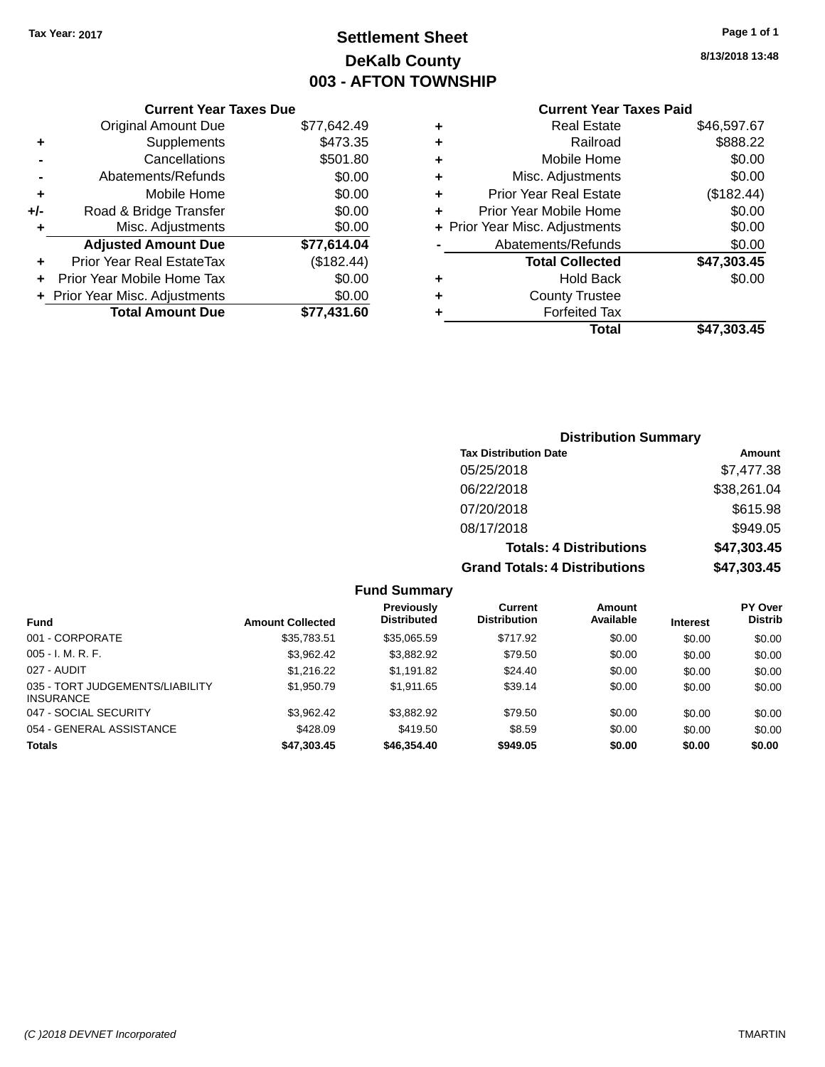### **Settlement Sheet Tax Year: 2017 Page 1 of 1 DeKalb County 003 - AFTON TOWNSHIP**

**8/13/2018 13:48**

| <b>Current Year Taxes Paid</b> |                                |             |  |
|--------------------------------|--------------------------------|-------------|--|
| ٠                              | <b>Real Estate</b>             | \$46,597.67 |  |
| ٠                              | Railroad                       | \$888.22    |  |
| ٠                              | Mobile Home                    | \$0.00      |  |
| ٠                              | Misc. Adjustments              | \$0.00      |  |
| ٠                              | <b>Prior Year Real Estate</b>  | (\$182.44)  |  |
| ÷                              | Prior Year Mobile Home         | \$0.00      |  |
|                                | + Prior Year Misc. Adjustments | \$0.00      |  |
|                                | Abatements/Refunds             | \$0.00      |  |
|                                | <b>Total Collected</b>         | \$47,303.45 |  |
| ٠                              | <b>Hold Back</b>               | \$0.00      |  |
| ÷                              | <b>County Trustee</b>          |             |  |
| ٠                              | <b>Forfeited Tax</b>           |             |  |
|                                | Total                          | \$47,303.45 |  |

| <b>Distribution Summary</b>          |             |  |  |  |
|--------------------------------------|-------------|--|--|--|
| <b>Tax Distribution Date</b>         | Amount      |  |  |  |
| 05/25/2018                           | \$7,477.38  |  |  |  |
| 06/22/2018                           | \$38,261.04 |  |  |  |
| 07/20/2018                           | \$615.98    |  |  |  |
| 08/17/2018                           | \$949.05    |  |  |  |
| <b>Totals: 4 Distributions</b>       | \$47,303.45 |  |  |  |
| <b>Grand Totals: 4 Distributions</b> | \$47,303.45 |  |  |  |

| <b>Fund Summary</b>                                 |                         |                                         |                                |                     |                 |                                  |
|-----------------------------------------------------|-------------------------|-----------------------------------------|--------------------------------|---------------------|-----------------|----------------------------------|
| <b>Fund</b>                                         | <b>Amount Collected</b> | <b>Previously</b><br><b>Distributed</b> | Current<br><b>Distribution</b> | Amount<br>Available | <b>Interest</b> | <b>PY Over</b><br><b>Distrib</b> |
| 001 - CORPORATE                                     | \$35,783.51             | \$35,065.59                             | \$717.92                       | \$0.00              | \$0.00          | \$0.00                           |
| $005 - I. M. R. F.$                                 | \$3.962.42              | \$3,882.92                              | \$79.50                        | \$0.00              | \$0.00          | \$0.00                           |
| 027 - AUDIT                                         | \$1,216.22              | \$1,191.82                              | \$24.40                        | \$0.00              | \$0.00          | \$0.00                           |
| 035 - TORT JUDGEMENTS/LIABILITY<br><b>INSURANCE</b> | \$1,950.79              | \$1.911.65                              | \$39.14                        | \$0.00              | \$0.00          | \$0.00                           |
| 047 - SOCIAL SECURITY                               | \$3.962.42              | \$3,882.92                              | \$79.50                        | \$0.00              | \$0.00          | \$0.00                           |
| 054 - GENERAL ASSISTANCE                            | \$428.09                | \$419.50                                | \$8.59                         | \$0.00              | \$0.00          | \$0.00                           |
| <b>Totals</b>                                       | \$47,303.45             | \$46,354.40                             | \$949.05                       | \$0.00              | \$0.00          | \$0.00                           |

#### **Current Year Taxes Due**

|     | <b>Original Amount Due</b>     | \$77,642.49 |
|-----|--------------------------------|-------------|
| ٠   | Supplements                    | \$473.35    |
|     | Cancellations                  | \$501.80    |
|     | Abatements/Refunds             | \$0.00      |
| ٠   | Mobile Home                    | \$0.00      |
| +/- | Road & Bridge Transfer         | \$0.00      |
| ٠   | Misc. Adjustments              | \$0.00      |
|     | <b>Adjusted Amount Due</b>     | \$77,614.04 |
| ٠   | Prior Year Real EstateTax      | (\$182.44)  |
|     |                                |             |
| ٠   | Prior Year Mobile Home Tax     | \$0.00      |
|     | + Prior Year Misc. Adjustments | \$0.00      |
|     | <b>Total Amount Due</b>        | \$77,431.60 |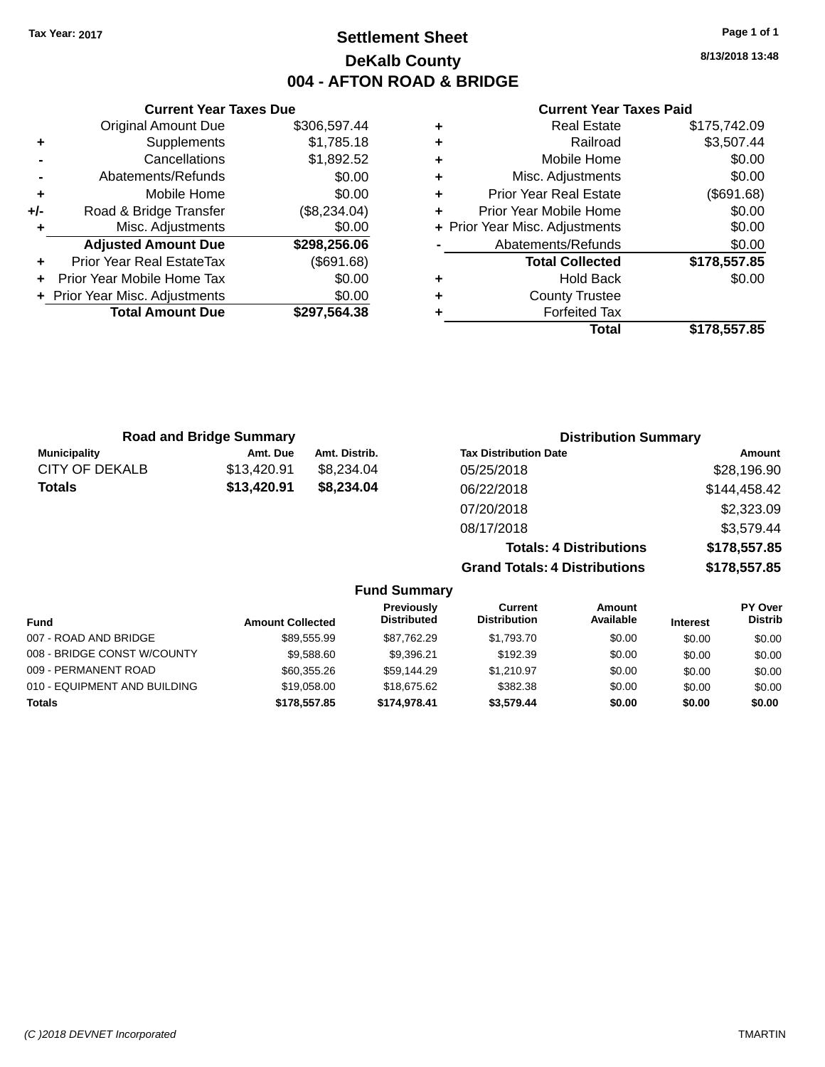### **Settlement Sheet Tax Year: 2017 Page 1 of 1 DeKalb County 004 - AFTON ROAD & BRIDGE**

**8/13/2018 13:48**

#### **Current Year Taxes Paid**

| <b>Current Year Taxes Due</b> |                                |              |  |  |  |
|-------------------------------|--------------------------------|--------------|--|--|--|
|                               | <b>Original Amount Due</b>     | \$306,597.44 |  |  |  |
| ٠                             | Supplements                    | \$1,785.18   |  |  |  |
|                               | Cancellations                  | \$1,892.52   |  |  |  |
|                               | Abatements/Refunds             | \$0.00       |  |  |  |
| ٠                             | Mobile Home                    | \$0.00       |  |  |  |
| +/-                           | Road & Bridge Transfer         | (\$8,234.04) |  |  |  |
| ٠                             | Misc. Adjustments              | \$0.00       |  |  |  |
|                               | <b>Adjusted Amount Due</b>     | \$298,256.06 |  |  |  |
| ٠                             | Prior Year Real EstateTax      | (\$691.68)   |  |  |  |
|                               | Prior Year Mobile Home Tax     | \$0.00       |  |  |  |
|                               | + Prior Year Misc. Adjustments | \$0.00       |  |  |  |
|                               | <b>Total Amount Due</b>        | \$297,564.38 |  |  |  |
|                               |                                |              |  |  |  |

| ٠ | <b>Real Estate</b>             | \$175,742.09 |
|---|--------------------------------|--------------|
| ٠ | Railroad                       | \$3,507.44   |
| ٠ | Mobile Home                    | \$0.00       |
| ٠ | Misc. Adjustments              | \$0.00       |
| ٠ | <b>Prior Year Real Estate</b>  | (\$691.68)   |
| ٠ | Prior Year Mobile Home         | \$0.00       |
|   | + Prior Year Misc. Adjustments | \$0.00       |
|   | Abatements/Refunds             | \$0.00       |
|   | <b>Total Collected</b>         | \$178,557.85 |
| ٠ | <b>Hold Back</b>               | \$0.00       |
| ٠ | <b>County Trustee</b>          |              |
| ٠ | <b>Forfeited Tax</b>           |              |
|   | Total                          | \$178,557.85 |
|   |                                |              |

| <b>Road and Bridge Summary</b> |             |               | <b>Distribution Summary</b>    |              |  |
|--------------------------------|-------------|---------------|--------------------------------|--------------|--|
| <b>Municipality</b>            | Amt. Due    | Amt. Distrib. | <b>Tax Distribution Date</b>   | Amount       |  |
| CITY OF DEKALB                 | \$13,420.91 | \$8,234.04    | 05/25/2018                     | \$28,196.90  |  |
| <b>Totals</b>                  | \$13,420.91 | \$8,234.04    | 06/22/2018                     | \$144,458.42 |  |
|                                |             |               | 07/20/2018                     | \$2,323.09   |  |
|                                |             |               | 08/17/2018                     | \$3,579.44   |  |
|                                |             |               | <b>Totals: 4 Distributions</b> | \$178,557.85 |  |
|                                |             |               |                                |              |  |

**Grand Totals: 4 Distributions \$178,557.85**

|                              |                         | <b>Fund Summary</b>              |                                |                     |                 |                                  |
|------------------------------|-------------------------|----------------------------------|--------------------------------|---------------------|-----------------|----------------------------------|
| <b>Fund</b>                  | <b>Amount Collected</b> | Previously<br><b>Distributed</b> | Current<br><b>Distribution</b> | Amount<br>Available | <b>Interest</b> | <b>PY Over</b><br><b>Distrib</b> |
| 007 - ROAD AND BRIDGE        | \$89,555.99             | \$87,762.29                      | \$1,793.70                     | \$0.00              | \$0.00          | \$0.00                           |
| 008 - BRIDGE CONST W/COUNTY  | \$9,588.60              | \$9.396.21                       | \$192.39                       | \$0.00              | \$0.00          | \$0.00                           |
| 009 - PERMANENT ROAD         | \$60,355.26             | \$59.144.29                      | \$1.210.97                     | \$0.00              | \$0.00          | \$0.00                           |
| 010 - EQUIPMENT AND BUILDING | \$19,058,00             | \$18,675,62                      | \$382.38                       | \$0.00              | \$0.00          | \$0.00                           |
| <b>Totals</b>                | \$178,557.85            | \$174,978,41                     | \$3.579.44                     | \$0.00              | \$0.00          | \$0.00                           |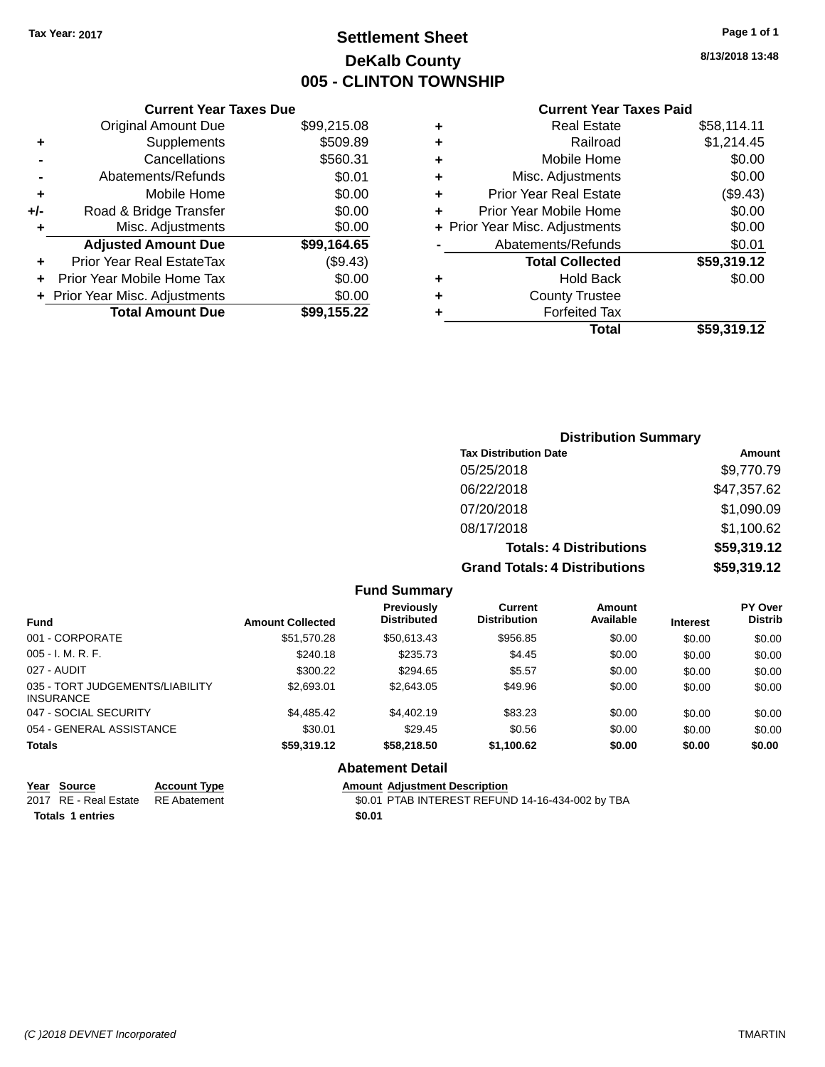### **Settlement Sheet Tax Year: 2017 Page 1 of 1 DeKalb County 005 - CLINTON TOWNSHIP**

**8/13/2018 13:48**

### **Current Year Taxes Paid**

|     | <b>Original Amount Due</b>     | \$99,215.08 |
|-----|--------------------------------|-------------|
| ٠   | Supplements                    | \$509.89    |
|     | Cancellations                  | \$560.31    |
|     | Abatements/Refunds             | \$0.01      |
| ÷   | Mobile Home                    | \$0.00      |
| +/- | Road & Bridge Transfer         | \$0.00      |
|     | Misc. Adjustments              | \$0.00      |
|     | <b>Adjusted Amount Due</b>     | \$99,164.65 |
| ٠   | Prior Year Real EstateTax      | (\$9.43)    |
| ÷   | Prior Year Mobile Home Tax     | \$0.00      |
|     | + Prior Year Misc. Adjustments | \$0.00      |
|     | <b>Total Amount Due</b>        | \$99,155.22 |
|     |                                |             |

**Current Year Taxes Due**

| ٠ | <b>Real Estate</b>             | \$58,114.11 |
|---|--------------------------------|-------------|
| ٠ | Railroad                       | \$1,214.45  |
| ٠ | Mobile Home                    | \$0.00      |
| ٠ | Misc. Adjustments              | \$0.00      |
| ٠ | <b>Prior Year Real Estate</b>  | (\$9.43)    |
| ÷ | Prior Year Mobile Home         | \$0.00      |
|   | + Prior Year Misc. Adjustments | \$0.00      |
|   | Abatements/Refunds             | \$0.01      |
|   | <b>Total Collected</b>         | \$59,319.12 |
| ٠ | <b>Hold Back</b>               | \$0.00      |
| ٠ | <b>County Trustee</b>          |             |
| ٠ | <b>Forfeited Tax</b>           |             |
|   | Total                          | \$59,319.12 |
|   |                                |             |

### **Distribution Summary Tax Distribution Date Amount** 05/25/2018 \$9,770.79 06/22/2018 \$47,357.62 07/20/2018 \$1,090.09 08/17/2018 \$1,100.62 **Totals: 4 Distributions \$59,319.12 Grand Totals: 4 Distributions \$59,319.12**

| <b>Fund Summary</b> |  |
|---------------------|--|
|---------------------|--|

| <b>Fund</b>                                         | <b>Amount Collected</b> | Previously<br><b>Distributed</b> | Current<br><b>Distribution</b> | Amount<br>Available | <b>Interest</b> | <b>PY Over</b><br><b>Distrib</b> |
|-----------------------------------------------------|-------------------------|----------------------------------|--------------------------------|---------------------|-----------------|----------------------------------|
| 001 - CORPORATE                                     | \$51,570.28             | \$50,613.43                      | \$956.85                       | \$0.00              | \$0.00          | \$0.00                           |
| $005 - I. M. R. F.$                                 | \$240.18                | \$235.73                         | \$4.45                         | \$0.00              | \$0.00          | \$0.00                           |
| 027 - AUDIT                                         | \$300.22                | \$294.65                         | \$5.57                         | \$0.00              | \$0.00          | \$0.00                           |
| 035 - TORT JUDGEMENTS/LIABILITY<br><b>INSURANCE</b> | \$2,693.01              | \$2,643.05                       | \$49.96                        | \$0.00              | \$0.00          | \$0.00                           |
| 047 - SOCIAL SECURITY                               | \$4.485.42              | \$4,402.19                       | \$83.23                        | \$0.00              | \$0.00          | \$0.00                           |
| 054 - GENERAL ASSISTANCE                            | \$30.01                 | \$29.45                          | \$0.56                         | \$0.00              | \$0.00          | \$0.00                           |
| <b>Totals</b>                                       | \$59,319.12             | \$58,218,50                      | \$1,100.62                     | \$0.00              | \$0.00          | \$0.00                           |
|                                                     |                         | .                                |                                |                     |                 |                                  |

### **Abatement Detail**

| Year Source                        | <b>Account Type</b> | <b>Amount Adiustment Description</b>             |
|------------------------------------|---------------------|--------------------------------------------------|
| 2017 RE - Real Estate RE Abatement |                     | \$0.01 PTAB INTEREST REFUND 14-16-434-002 by TBA |
| <b>Totals 1 entries</b>            |                     | \$0.01                                           |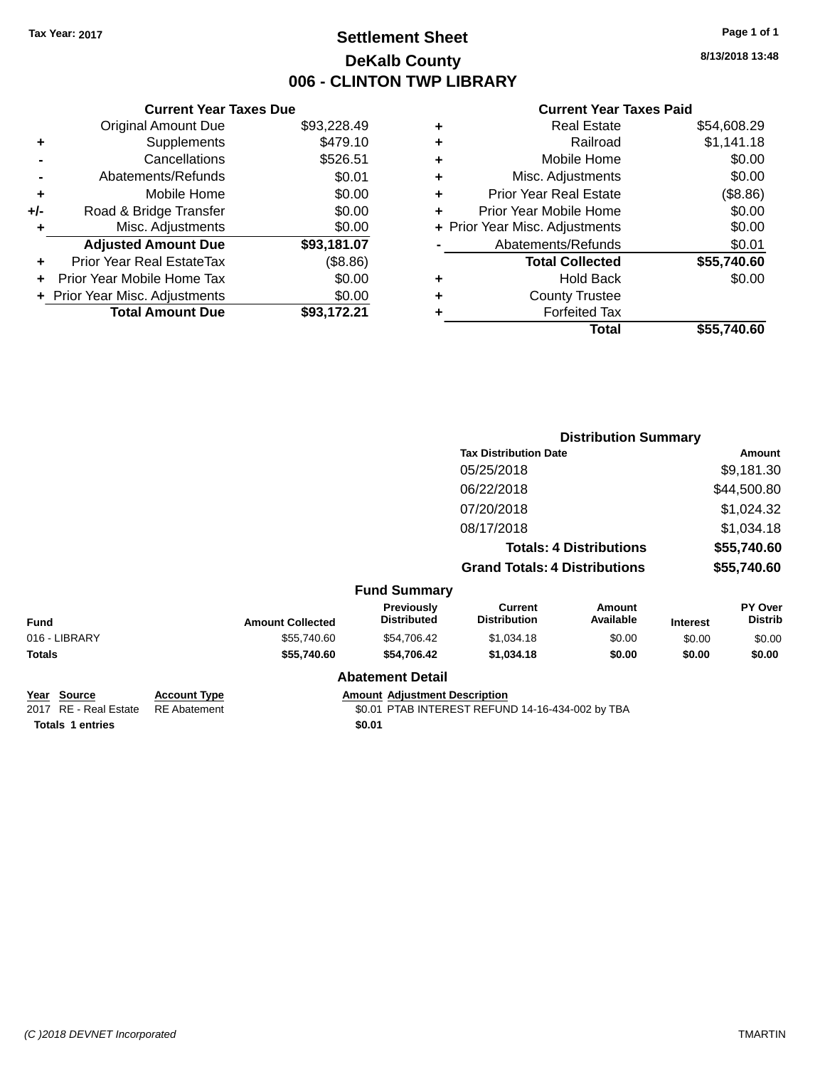### **Settlement Sheet Tax Year: 2017 Page 1 of 1 DeKalb County 006 - CLINTON TWP LIBRARY**

**8/13/2018 13:48**

#### **Current Year Taxes Paid**

|       | <b>Current Year Taxes Due</b>  |             |
|-------|--------------------------------|-------------|
|       | <b>Original Amount Due</b>     | \$93,228.49 |
| ٠     | Supplements                    | \$479.10    |
|       | Cancellations                  | \$526.51    |
|       | Abatements/Refunds             | \$0.01      |
| ٠     | Mobile Home                    | \$0.00      |
| $+/-$ | Road & Bridge Transfer         | \$0.00      |
| ٠     | Misc. Adjustments              | \$0.00      |
|       | <b>Adjusted Amount Due</b>     | \$93,181.07 |
| ÷     | Prior Year Real EstateTax      | (\$8.86)    |
|       | Prior Year Mobile Home Tax     | \$0.00      |
|       | + Prior Year Misc. Adjustments | \$0.00      |
|       | <b>Total Amount Due</b>        | \$93.172.21 |
|       |                                |             |

|   | <b>Real Estate</b>             | \$54,608.29 |
|---|--------------------------------|-------------|
| ٠ | Railroad                       | \$1,141.18  |
| ٠ | Mobile Home                    | \$0.00      |
| ٠ | Misc. Adjustments              | \$0.00      |
| ٠ | <b>Prior Year Real Estate</b>  | (\$8.86)    |
| ٠ | Prior Year Mobile Home         | \$0.00      |
|   | + Prior Year Misc. Adjustments | \$0.00      |
|   | Abatements/Refunds             | \$0.01      |
|   | <b>Total Collected</b>         | \$55,740.60 |
| ٠ | <b>Hold Back</b>               | \$0.00      |
|   | <b>County Trustee</b>          |             |
| ٠ | <b>Forfeited Tax</b>           |             |
|   | Total                          | \$55,740.60 |
|   |                                |             |

|                                                |                                            |                         |                                      |                                                  | <b>Distribution Summary</b> |                 |                           |
|------------------------------------------------|--------------------------------------------|-------------------------|--------------------------------------|--------------------------------------------------|-----------------------------|-----------------|---------------------------|
|                                                |                                            |                         |                                      | <b>Tax Distribution Date</b><br>05/25/2018       |                             |                 | Amount                    |
|                                                |                                            |                         |                                      |                                                  |                             |                 | \$9,181.30                |
|                                                |                                            |                         |                                      | 06/22/2018                                       |                             |                 | \$44,500.80               |
|                                                |                                            |                         |                                      | 07/20/2018                                       |                             |                 | \$1,024.32                |
|                                                |                                            |                         |                                      | 08/17/2018                                       |                             |                 | \$1,034.18                |
|                                                |                                            |                         |                                      | <b>Totals: 4 Distributions</b>                   |                             | \$55,740.60     |                           |
|                                                |                                            |                         |                                      | <b>Grand Totals: 4 Distributions</b>             |                             | \$55,740.60     |                           |
|                                                |                                            |                         | <b>Fund Summary</b>                  |                                                  |                             |                 |                           |
| <b>Fund</b>                                    |                                            | <b>Amount Collected</b> | Previously<br><b>Distributed</b>     | <b>Current</b><br><b>Distribution</b>            | <b>Amount</b><br>Available  | <b>Interest</b> | PY Over<br><b>Distrib</b> |
| 016 - LIBRARY                                  |                                            | \$55,740.60             | \$54,706.42                          | \$1,034.18                                       | \$0.00                      | \$0.00          | \$0.00                    |
| <b>Totals</b>                                  |                                            | \$55,740.60             | \$54,706.42                          | \$1,034.18                                       | \$0.00                      | \$0.00          | \$0.00                    |
|                                                |                                            |                         | <b>Abatement Detail</b>              |                                                  |                             |                 |                           |
| <b>Source</b><br>Year<br>2017 RE - Real Estate | <b>Account Type</b><br><b>RE</b> Abatement |                         | <b>Amount Adjustment Description</b> | \$0.01 PTAB INTEREST REFUND 14-16-434-002 by TBA |                             |                 |                           |

**Totals 1 entries** \$0.01

\$0.01 PTAB INTEREST REFUND 14-16-434-002 by TBA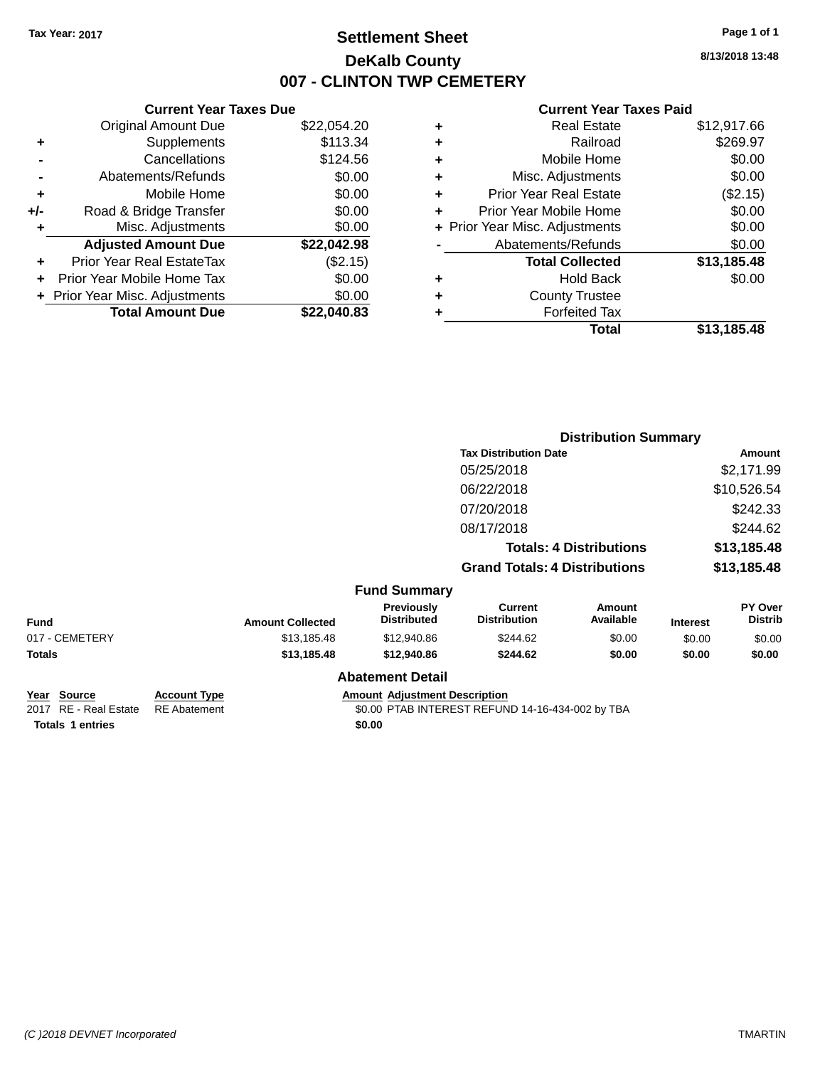### **Settlement Sheet Tax Year: 2017 Page 1 of 1 DeKalb County 007 - CLINTON TWP CEMETERY**

**8/13/2018 13:48**

#### **Current Year Taxes Paid**

|     | <b>Current Year Taxes Due</b>  |             |
|-----|--------------------------------|-------------|
|     | <b>Original Amount Due</b>     | \$22,054.20 |
| ٠   | Supplements                    | \$113.34    |
|     | Cancellations                  | \$124.56    |
|     | Abatements/Refunds             | \$0.00      |
| ٠   | Mobile Home                    | \$0.00      |
| +/- | Road & Bridge Transfer         | \$0.00      |
| ٠   | Misc. Adjustments              | \$0.00      |
|     | <b>Adjusted Amount Due</b>     | \$22,042.98 |
|     | Prior Year Real EstateTax      | (\$2.15)    |
|     | Prior Year Mobile Home Tax     | \$0.00      |
|     | + Prior Year Misc. Adjustments | \$0.00      |
|     | <b>Total Amount Due</b>        | \$22,040.83 |
|     |                                |             |

|   | <b>Real Estate</b>             | \$12,917.66 |
|---|--------------------------------|-------------|
| ٠ | Railroad                       | \$269.97    |
| ٠ | Mobile Home                    | \$0.00      |
| ٠ | Misc. Adjustments              | \$0.00      |
| ٠ | <b>Prior Year Real Estate</b>  | (\$2.15)    |
| ٠ | Prior Year Mobile Home         | \$0.00      |
|   | + Prior Year Misc. Adjustments | \$0.00      |
|   | Abatements/Refunds             | \$0.00      |
|   | <b>Total Collected</b>         | \$13,185.48 |
| ٠ | <b>Hold Back</b>               | \$0.00      |
| ٠ | <b>County Trustee</b>          |             |
|   | <b>Forfeited Tax</b>           |             |
|   | Total                          | \$13,185.48 |
|   |                                |             |

|                                                          |                                            |                         |                                         | <b>Distribution Summary</b>                      |                     |                 |                           |
|----------------------------------------------------------|--------------------------------------------|-------------------------|-----------------------------------------|--------------------------------------------------|---------------------|-----------------|---------------------------|
|                                                          |                                            |                         |                                         | <b>Tax Distribution Date</b>                     |                     | <b>Amount</b>   |                           |
|                                                          |                                            |                         |                                         | 05/25/2018                                       |                     |                 | \$2,171.99                |
|                                                          |                                            |                         |                                         | 06/22/2018                                       |                     |                 | \$10,526.54               |
|                                                          |                                            |                         |                                         | 07/20/2018                                       |                     |                 | \$242.33                  |
|                                                          |                                            |                         |                                         | 08/17/2018                                       |                     |                 | \$244.62                  |
|                                                          |                                            |                         |                                         | <b>Totals: 4 Distributions</b>                   |                     | \$13,185.48     |                           |
|                                                          |                                            |                         |                                         | <b>Grand Totals: 4 Distributions</b>             |                     | \$13,185.48     |                           |
|                                                          |                                            |                         | <b>Fund Summary</b>                     |                                                  |                     |                 |                           |
| <b>Fund</b>                                              |                                            | <b>Amount Collected</b> | <b>Previously</b><br><b>Distributed</b> | <b>Current</b><br><b>Distribution</b>            | Amount<br>Available | <b>Interest</b> | PY Over<br><b>Distrib</b> |
| 017 - CEMETERY                                           |                                            | \$13,185.48             | \$12,940.86                             | \$244.62                                         | \$0.00              | \$0.00          | \$0.00                    |
| <b>Totals</b>                                            |                                            | \$13,185.48             | \$12,940.86                             | \$244.62                                         | \$0.00              | \$0.00          | \$0.00                    |
|                                                          |                                            |                         | <b>Abatement Detail</b>                 |                                                  |                     |                 |                           |
| <b>Source</b><br>Year<br><b>RE</b> - Real Estate<br>2017 | <b>Account Type</b><br><b>RE</b> Abatement |                         | <b>Amount Adjustment Description</b>    | \$0.00 PTAB INTEREST REFUND 14-16-434-002 by TBA |                     |                 |                           |

**Totals 1 entries** \$0.00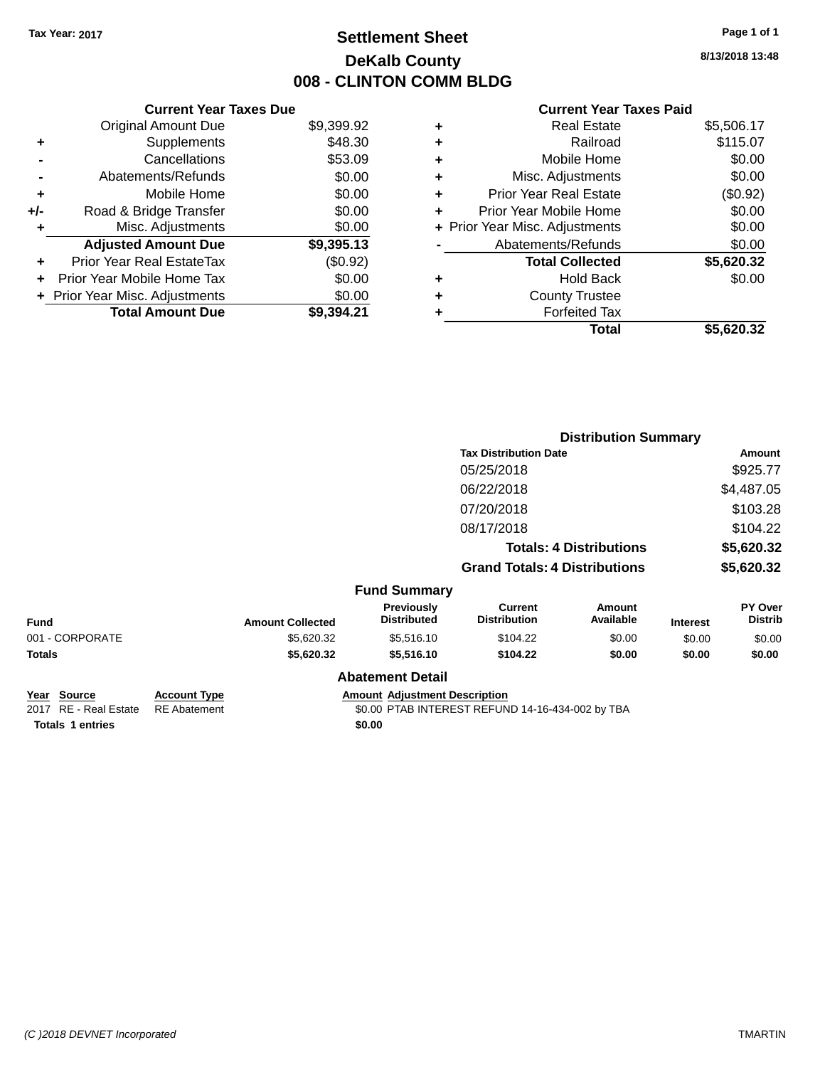### **Settlement Sheet Tax Year: 2017 Page 1 of 1 DeKalb County 008 - CLINTON COMM BLDG**

**8/13/2018 13:48**

#### **Current Year Taxes Paid**

|     | <b>Current Year Taxes Due</b>  |            |
|-----|--------------------------------|------------|
|     | <b>Original Amount Due</b>     | \$9,399.92 |
| ٠   | Supplements                    | \$48.30    |
|     | Cancellations                  | \$53.09    |
|     | Abatements/Refunds             | \$0.00     |
| ٠   | Mobile Home                    | \$0.00     |
| +/- | Road & Bridge Transfer         | \$0.00     |
| ٠   | Misc. Adjustments              | \$0.00     |
|     | <b>Adjusted Amount Due</b>     | \$9,395.13 |
| ٠   | Prior Year Real EstateTax      | (\$0.92)   |
|     | Prior Year Mobile Home Tax     | \$0.00     |
|     | + Prior Year Misc. Adjustments | \$0.00     |
|     | <b>Total Amount Due</b>        | \$9.394.21 |

|   | <b>Real Estate</b>             | \$5,506.17 |
|---|--------------------------------|------------|
| ٠ | Railroad                       | \$115.07   |
| ٠ | Mobile Home                    | \$0.00     |
| ٠ | Misc. Adjustments              | \$0.00     |
| ٠ | <b>Prior Year Real Estate</b>  | (\$0.92)   |
| ٠ | Prior Year Mobile Home         | \$0.00     |
|   | + Prior Year Misc. Adjustments | \$0.00     |
|   | Abatements/Refunds             | \$0.00     |
|   | <b>Total Collected</b>         | \$5,620.32 |
| ٠ | <b>Hold Back</b>               | \$0.00     |
|   | <b>County Trustee</b>          |            |
| ٠ | <b>Forfeited Tax</b>           |            |
|   | Total                          | \$5,620.32 |
|   |                                |            |

|                         |                                         |                                       |                     |                                                                                                        | Amount                           |
|-------------------------|-----------------------------------------|---------------------------------------|---------------------|--------------------------------------------------------------------------------------------------------|----------------------------------|
|                         |                                         | 05/25/2018                            |                     |                                                                                                        | \$925.77                         |
|                         |                                         | 06/22/2018                            |                     |                                                                                                        | \$4,487.05                       |
|                         |                                         | 07/20/2018                            |                     |                                                                                                        | \$103.28                         |
|                         |                                         | 08/17/2018                            |                     |                                                                                                        | \$104.22                         |
|                         |                                         |                                       |                     |                                                                                                        | \$5,620.32                       |
|                         |                                         |                                       |                     |                                                                                                        | \$5,620.32                       |
|                         |                                         |                                       |                     |                                                                                                        |                                  |
| <b>Amount Collected</b> | <b>Previously</b><br><b>Distributed</b> | <b>Current</b><br><b>Distribution</b> | Amount<br>Available | <b>Interest</b>                                                                                        | <b>PY Over</b><br><b>Distrib</b> |
| \$5,620.32              | \$5,516.10                              | \$104.22                              | \$0.00              | \$0.00                                                                                                 | \$0.00                           |
| \$5,620.32              | \$5,516.10                              | \$104.22                              | \$0.00              | \$0.00                                                                                                 | \$0.00                           |
|                         |                                         |                                       |                     |                                                                                                        |                                  |
|                         |                                         | <b>Abatement Detail</b>               | <b>Fund Summary</b> | <b>Tax Distribution Date</b><br><b>Totals: 4 Distributions</b><br><b>Grand Totals: 4 Distributions</b> | <b>Distribution Summary</b>      |

**Year Source Account Type Amount Adjustment Description**<br>2017 RE - Real Estate RE Abatement \$0.00 PTAB INTEREST REFUN

**Totals 1 entries** \$0.00

 $$0.00$  PTAB INTEREST REFUND 14-16-434-002 by TBA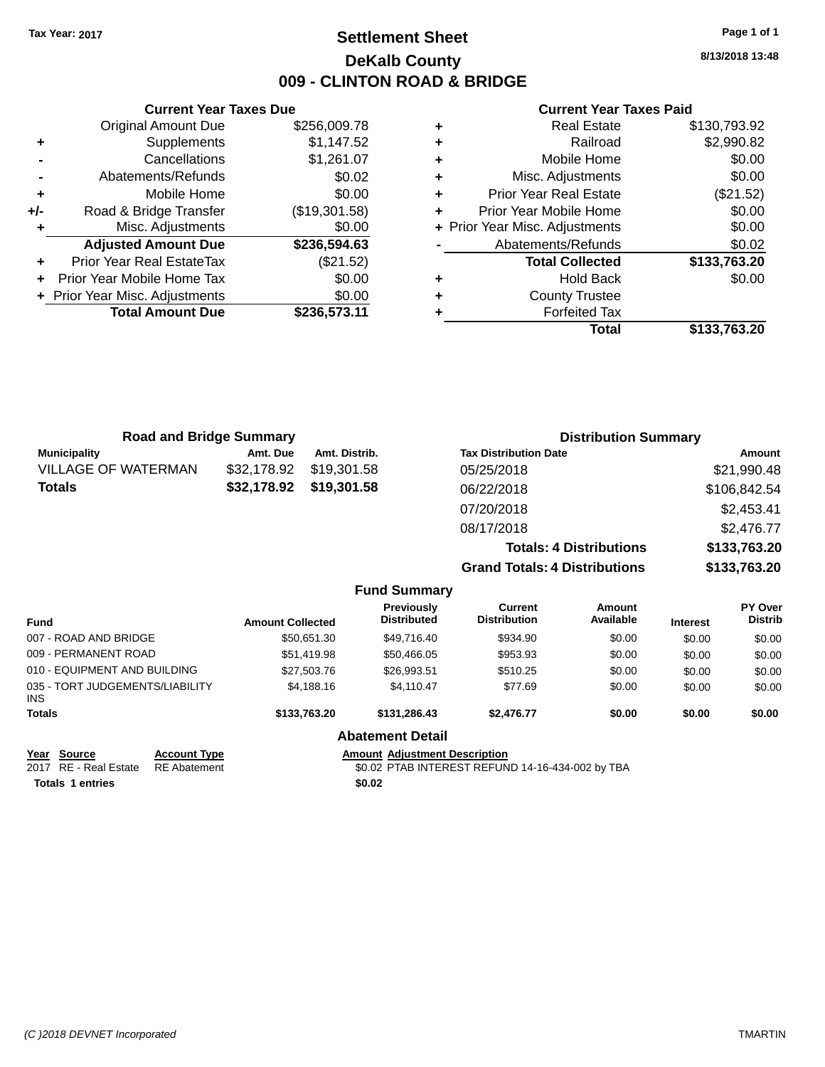### **Settlement Sheet Tax Year: 2017 Page 1 of 1 DeKalb County 009 - CLINTON ROAD & BRIDGE**

**8/13/2018 13:48**

#### **Current Year Taxes Paid**

|     | <b>Current Year Taxes Due</b>  |               |  |  |  |  |
|-----|--------------------------------|---------------|--|--|--|--|
|     | <b>Original Amount Due</b>     | \$256,009.78  |  |  |  |  |
| ٠   | Supplements                    | \$1,147.52    |  |  |  |  |
|     | Cancellations                  | \$1,261.07    |  |  |  |  |
|     | Abatements/Refunds             | \$0.02        |  |  |  |  |
| ٠   | Mobile Home                    | \$0.00        |  |  |  |  |
| +/- | Road & Bridge Transfer         | (\$19,301.58) |  |  |  |  |
|     | Misc. Adjustments              | \$0.00        |  |  |  |  |
|     | <b>Adjusted Amount Due</b>     | \$236,594.63  |  |  |  |  |
|     | Prior Year Real EstateTax      | (\$21.52)     |  |  |  |  |
|     | Prior Year Mobile Home Tax     | \$0.00        |  |  |  |  |
|     | + Prior Year Misc. Adjustments | \$0.00        |  |  |  |  |
|     | <b>Total Amount Due</b>        | \$236,573.11  |  |  |  |  |
|     |                                |               |  |  |  |  |

| ٠ | <b>Real Estate</b>             | \$130,793.92 |
|---|--------------------------------|--------------|
| ٠ | Railroad                       | \$2,990.82   |
| ٠ | Mobile Home                    | \$0.00       |
| ٠ | Misc. Adjustments              | \$0.00       |
| ٠ | <b>Prior Year Real Estate</b>  | (\$21.52)    |
| ٠ | Prior Year Mobile Home         | \$0.00       |
|   | + Prior Year Misc. Adjustments | \$0.00       |
|   | Abatements/Refunds             | \$0.02       |
|   | <b>Total Collected</b>         | \$133,763.20 |
| ٠ | <b>Hold Back</b>               | \$0.00       |
| ٠ | <b>County Trustee</b>          |              |
| ٠ | <b>Forfeited Tax</b>           |              |
|   | Total                          | \$133,763.20 |
|   |                                |              |

| <b>Road and Bridge Summary</b> |             | <b>Distribution Summary</b> |                                      |              |
|--------------------------------|-------------|-----------------------------|--------------------------------------|--------------|
| <b>Municipality</b>            | Amt. Due    | Amt. Distrib.               | <b>Tax Distribution Date</b>         | Amount       |
| <b>VILLAGE OF WATERMAN</b>     | \$32,178.92 | \$19,301.58                 | 05/25/2018                           | \$21,990.48  |
| <b>Totals</b>                  | \$32,178.92 | \$19,301.58                 | 06/22/2018                           | \$106,842.54 |
|                                |             |                             | 07/20/2018                           | \$2,453.41   |
|                                |             |                             | 08/17/2018                           | \$2,476.77   |
|                                |             |                             | <b>Totals: 4 Distributions</b>       | \$133,763.20 |
|                                |             |                             | <b>Grand Totals: 4 Distributions</b> | \$133,763.20 |
|                                |             | <b>Eund Summary</b>         |                                      |              |

|                                         |                     |                         | . and cannot <b>.</b>                |                                                  |                     |                 |                                  |
|-----------------------------------------|---------------------|-------------------------|--------------------------------------|--------------------------------------------------|---------------------|-----------------|----------------------------------|
| <b>Fund</b>                             |                     | <b>Amount Collected</b> | Previously<br><b>Distributed</b>     | Current<br><b>Distribution</b>                   | Amount<br>Available | <b>Interest</b> | <b>PY Over</b><br><b>Distrib</b> |
| 007 - ROAD AND BRIDGE                   |                     | \$50.651.30             | \$49,716.40                          | \$934.90                                         | \$0.00              | \$0.00          | \$0.00                           |
| 009 - PERMANENT ROAD                    |                     | \$51,419.98             | \$50.466.05                          | \$953.93                                         | \$0.00              | \$0.00          | \$0.00                           |
| 010 - EQUIPMENT AND BUILDING            |                     | \$27,503,76             | \$26,993.51                          | \$510.25                                         | \$0.00              | \$0.00          | \$0.00                           |
| 035 - TORT JUDGEMENTS/LIABILITY<br>INS. |                     | \$4,188,16              | \$4.110.47                           | \$77.69                                          | \$0.00              | \$0.00          | \$0.00                           |
| <b>Totals</b>                           |                     | \$133,763.20            | \$131,286,43                         | \$2,476.77                                       | \$0.00              | \$0.00          | \$0.00                           |
|                                         |                     |                         | <b>Abatement Detail</b>              |                                                  |                     |                 |                                  |
| Year Source                             | <b>Account Type</b> |                         | <b>Amount Adiustment Description</b> |                                                  |                     |                 |                                  |
| 2017 RE - Real Estate                   | <b>RE</b> Abatement |                         |                                      | \$0.02 PTAB INTEREST REFUND 14-16-434-002 by TBA |                     |                 |                                  |
| <b>Totals 1 entries</b>                 |                     |                         | \$0.02                               |                                                  |                     |                 |                                  |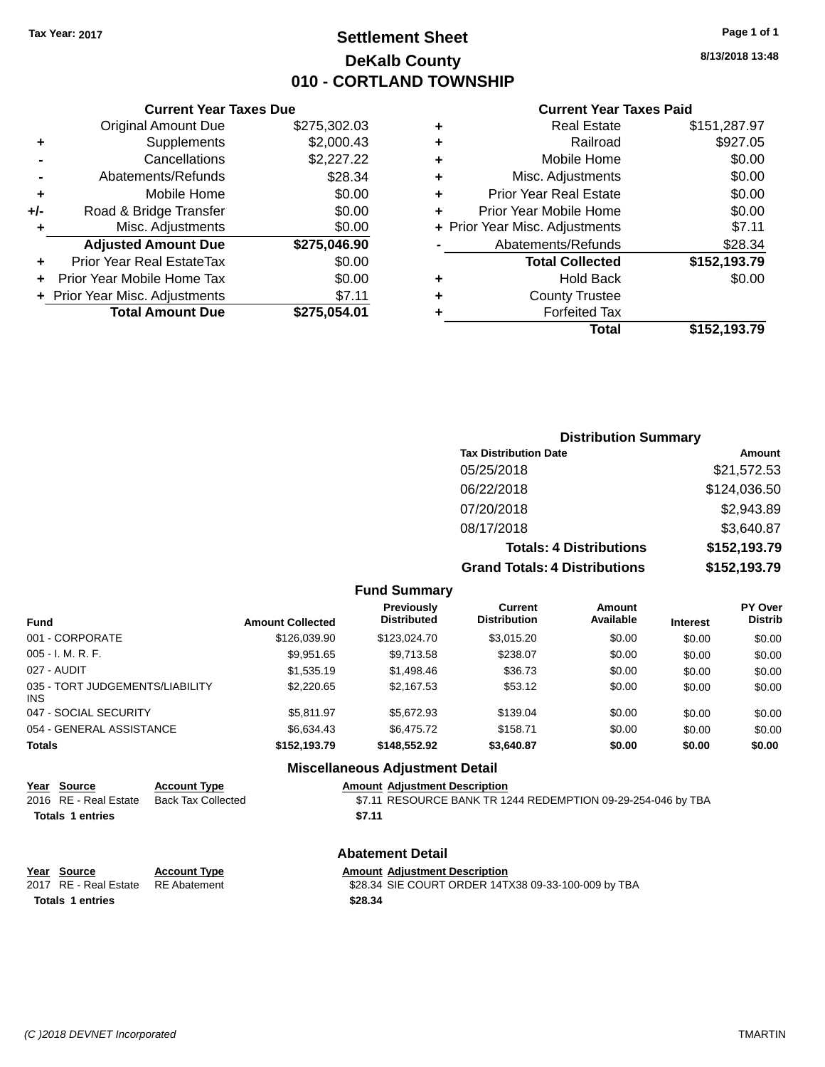### **Settlement Sheet Tax Year: 2017 Page 1 of 1 DeKalb County 010 - CORTLAND TOWNSHIP**

**8/13/2018 13:48**

## **Current Year Taxes Paid**

|     | <b>Current Year Taxes Due</b> |              |  |  |  |  |
|-----|-------------------------------|--------------|--|--|--|--|
|     | <b>Original Amount Due</b>    | \$275,302.03 |  |  |  |  |
| ٠   | Supplements                   | \$2,000.43   |  |  |  |  |
|     | Cancellations                 | \$2,227.22   |  |  |  |  |
|     | Abatements/Refunds            | \$28.34      |  |  |  |  |
| ٠   | Mobile Home                   | \$0.00       |  |  |  |  |
| +/- | Road & Bridge Transfer        | \$0.00       |  |  |  |  |
| ٠   | Misc. Adjustments             | \$0.00       |  |  |  |  |
|     | <b>Adjusted Amount Due</b>    | \$275,046.90 |  |  |  |  |
| ٠   | Prior Year Real EstateTax     | \$0.00       |  |  |  |  |
| ÷   | Prior Year Mobile Home Tax    | \$0.00       |  |  |  |  |
|     | Prior Year Misc. Adjustments  | \$7.11       |  |  |  |  |
|     | <b>Total Amount Due</b>       | \$275.054.01 |  |  |  |  |
|     |                               |              |  |  |  |  |

|   | <b>Real Estate</b>             | \$151,287.97 |
|---|--------------------------------|--------------|
| ٠ | Railroad                       | \$927.05     |
| ٠ | Mobile Home                    | \$0.00       |
| ٠ | Misc. Adjustments              | \$0.00       |
| ٠ | <b>Prior Year Real Estate</b>  | \$0.00       |
| ٠ | Prior Year Mobile Home         | \$0.00       |
|   | + Prior Year Misc. Adjustments | \$7.11       |
|   | Abatements/Refunds             | \$28.34      |
|   | <b>Total Collected</b>         | \$152,193.79 |
| ٠ | <b>Hold Back</b>               | \$0.00       |
| ٠ | <b>County Trustee</b>          |              |
| ٠ | <b>Forfeited Tax</b>           |              |
|   | Total                          | \$152,193.79 |
|   |                                |              |

| <b>Distribution Summary</b>          |              |
|--------------------------------------|--------------|
| <b>Tax Distribution Date</b>         | Amount       |
| 05/25/2018                           | \$21,572.53  |
| 06/22/2018                           | \$124,036.50 |
| 07/20/2018                           | \$2,943.89   |
| 08/17/2018                           | \$3,640.87   |
| <b>Totals: 4 Distributions</b>       | \$152,193.79 |
| <b>Grand Totals: 4 Distributions</b> | \$152,193.79 |

#### **Fund Summary**

| Fund                                   | <b>Amount Collected</b> | <b>Previously</b><br><b>Distributed</b> | Current<br><b>Distribution</b> | <b>Amount</b><br>Available | <b>Interest</b> | <b>PY Over</b><br><b>Distrib</b> |
|----------------------------------------|-------------------------|-----------------------------------------|--------------------------------|----------------------------|-----------------|----------------------------------|
| 001 - CORPORATE                        | \$126,039.90            | \$123,024.70                            | \$3,015.20                     | \$0.00                     | \$0.00          | \$0.00                           |
| 005 - I. M. R. F.                      | \$9,951.65              | \$9,713.58                              | \$238.07                       | \$0.00                     | \$0.00          | \$0.00                           |
| 027 - AUDIT                            | \$1,535.19              | \$1,498.46                              | \$36.73                        | \$0.00                     | \$0.00          | \$0.00                           |
| 035 - TORT JUDGEMENTS/LIABILITY<br>INS | \$2,220.65              | \$2,167.53                              | \$53.12                        | \$0.00                     | \$0.00          | \$0.00                           |
| 047 - SOCIAL SECURITY                  | \$5.811.97              | \$5.672.93                              | \$139.04                       | \$0.00                     | \$0.00          | \$0.00                           |
| 054 - GENERAL ASSISTANCE               | \$6.634.43              | \$6,475.72                              | \$158.71                       | \$0.00                     | \$0.00          | \$0.00                           |
| <b>Totals</b>                          | \$152,193.79            | \$148,552.92                            | \$3,640.87                     | \$0.00                     | \$0.00          | \$0.00                           |

### **Miscellaneous Adjustment Detail**

**Abatement Detail**

|                         | Year Source           | <b>Account Type</b> |        | <b>Amount Adjustment Description</b>                         |
|-------------------------|-----------------------|---------------------|--------|--------------------------------------------------------------|
|                         | 2016 RE - Real Estate | Back Tax Collected  |        | \$7.11 RESOURCE BANK TR 1244 REDEMPTION 09-29-254-046 by TBA |
| <b>Totals 1 entries</b> |                       |                     | \$7.11 |                                                              |
|                         |                       |                     |        |                                                              |

| Year Source                        | <b>Account Type</b> | <b>Amount Adjustment Description</b>                |
|------------------------------------|---------------------|-----------------------------------------------------|
| 2017 RE - Real Estate RE Abatement |                     | \$28.34 SIE COURT ORDER 14TX38 09-33-100-009 by TBA |
| Totals 1 entries                   |                     | \$28.34                                             |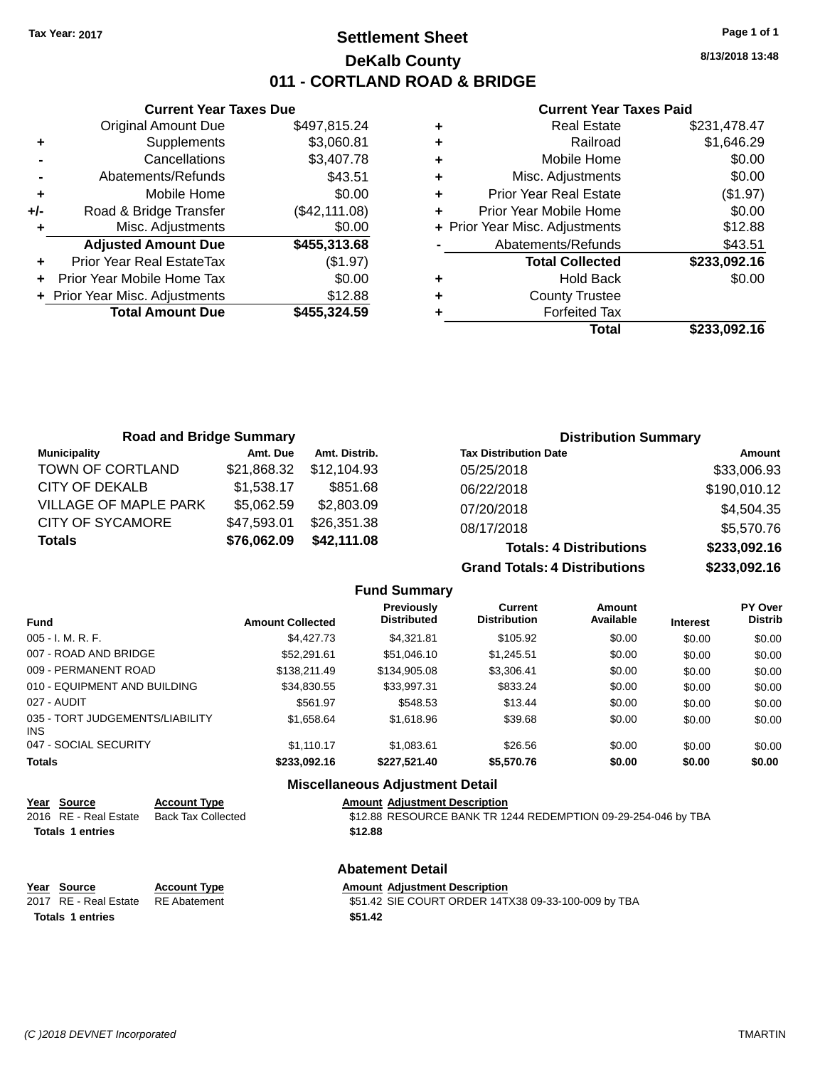### **Settlement Sheet Tax Year: 2017 Page 1 of 1 DeKalb County 011 - CORTLAND ROAD & BRIDGE**

**8/13/2018 13:48**

#### **Current Year Taxes Paid**

|       | <b>Current Year Taxes Due</b>  |               |
|-------|--------------------------------|---------------|
|       | <b>Original Amount Due</b>     | \$497,815.24  |
| ٠     | Supplements                    | \$3,060.81    |
|       | Cancellations                  | \$3,407.78    |
|       | Abatements/Refunds             | \$43.51       |
| ٠     | Mobile Home                    | \$0.00        |
| $+/-$ | Road & Bridge Transfer         | (\$42,111.08) |
|       | Misc. Adjustments              | \$0.00        |
|       | <b>Adjusted Amount Due</b>     | \$455,313.68  |
| ٠     | Prior Year Real EstateTax      | (\$1.97)      |
|       | Prior Year Mobile Home Tax     | \$0.00        |
|       | + Prior Year Misc. Adjustments | \$12.88       |
|       | <b>Total Amount Due</b>        | \$455,324.59  |
|       |                                |               |

| ٠ | <b>Real Estate</b>             | \$231,478.47 |
|---|--------------------------------|--------------|
| ٠ | Railroad                       | \$1,646.29   |
| ٠ | Mobile Home                    | \$0.00       |
| ٠ | Misc. Adjustments              | \$0.00       |
| ٠ | <b>Prior Year Real Estate</b>  | (\$1.97)     |
| ٠ | Prior Year Mobile Home         | \$0.00       |
|   | + Prior Year Misc. Adjustments | \$12.88      |
|   | Abatements/Refunds             | \$43.51      |
|   | <b>Total Collected</b>         | \$233,092.16 |
| ٠ | <b>Hold Back</b>               | \$0.00       |
| ٠ | <b>County Trustee</b>          |              |
| ٠ | <b>Forfeited Tax</b>           |              |
|   | Total                          | \$233,092.16 |
|   |                                |              |

| <b>Road and Bridge Summary</b> |             |               | <b>Distribution Summary</b>          |              |
|--------------------------------|-------------|---------------|--------------------------------------|--------------|
| <b>Municipality</b>            | Amt. Due    | Amt. Distrib. | <b>Tax Distribution Date</b>         | Amount       |
| TOWN OF CORTLAND               | \$21,868.32 | \$12.104.93   | 05/25/2018                           | \$33,006.93  |
| CITY OF DEKALB                 | \$1,538.17  | \$851.68      | 06/22/2018                           | \$190,010.12 |
| <b>VILLAGE OF MAPLE PARK</b>   | \$5,062.59  | \$2,803.09    | 07/20/2018                           | \$4,504.35   |
| <b>CITY OF SYCAMORE</b>        | \$47,593.01 | \$26,351.38   | 08/17/2018                           | \$5,570.76   |
| Totals                         | \$76,062.09 | \$42,111.08   | <b>Totals: 4 Distributions</b>       | \$233,092.16 |
|                                |             |               | <b>Grand Totals: 4 Distributions</b> | \$233,092.16 |

|                                         |                         | <b>Fund Summary</b>                     |                                       |                     |                 |                                  |
|-----------------------------------------|-------------------------|-----------------------------------------|---------------------------------------|---------------------|-----------------|----------------------------------|
| <b>Fund</b>                             | <b>Amount Collected</b> | <b>Previously</b><br><b>Distributed</b> | <b>Current</b><br><b>Distribution</b> | Amount<br>Available | <b>Interest</b> | <b>PY Over</b><br><b>Distrib</b> |
| $005 - I. M. R. F.$                     | \$4,427,73              | \$4.321.81                              | \$105.92                              | \$0.00              | \$0.00          | \$0.00                           |
| 007 - ROAD AND BRIDGE                   | \$52,291.61             | \$51,046.10                             | \$1,245.51                            | \$0.00              | \$0.00          | \$0.00                           |
| 009 - PERMANENT ROAD                    | \$138,211,49            | \$134,905.08                            | \$3,306.41                            | \$0.00              | \$0.00          | \$0.00                           |
| 010 - EQUIPMENT AND BUILDING            | \$34,830.55             | \$33,997.31                             | \$833.24                              | \$0.00              | \$0.00          | \$0.00                           |
| 027 - AUDIT                             | \$561.97                | \$548.53                                | \$13.44                               | \$0.00              | \$0.00          | \$0.00                           |
| 035 - TORT JUDGEMENTS/LIABILITY<br>INS. | \$1,658.64              | \$1,618.96                              | \$39.68                               | \$0.00              | \$0.00          | \$0.00                           |
| 047 - SOCIAL SECURITY                   | \$1.110.17              | \$1.083.61                              | \$26.56                               | \$0.00              | \$0.00          | \$0.00                           |
| <b>Totals</b>                           | \$233,092.16            | \$227.521.40                            | \$5,570.76                            | \$0.00              | \$0.00          | \$0.00                           |
|                                         |                         | Miccollonssus Adjustment Detail         |                                       |                     |                 |                                  |

| MISCELLANEOUS ACTUSTMENT DETAIL |                     |                                                               |
|---------------------------------|---------------------|---------------------------------------------------------------|
| Year Source                     | <b>Account Type</b> | <b>Amount Adiustment Description</b>                          |
| 2016 RE - Real Estate           | Back Tax Collected  | \$12.88 RESOURCE BANK TR 1244 REDEMPTION 09-29-254-046 by TBA |
| <b>Totals 1 entries</b>         |                     | \$12.88                                                       |
|                                 |                     |                                                               |

|                         | <b>Abatement Detail</b> |                                                     |  |
|-------------------------|-------------------------|-----------------------------------------------------|--|
| Year Source             | <b>Account Type</b>     | <b>Amount Adiustment Description</b>                |  |
| 2017 RE - Real Estate   | RE Abatement            | \$51.42 SIE COURT ORDER 14TX38 09-33-100-009 by TBA |  |
| <b>Totals 1 entries</b> |                         | \$51.42                                             |  |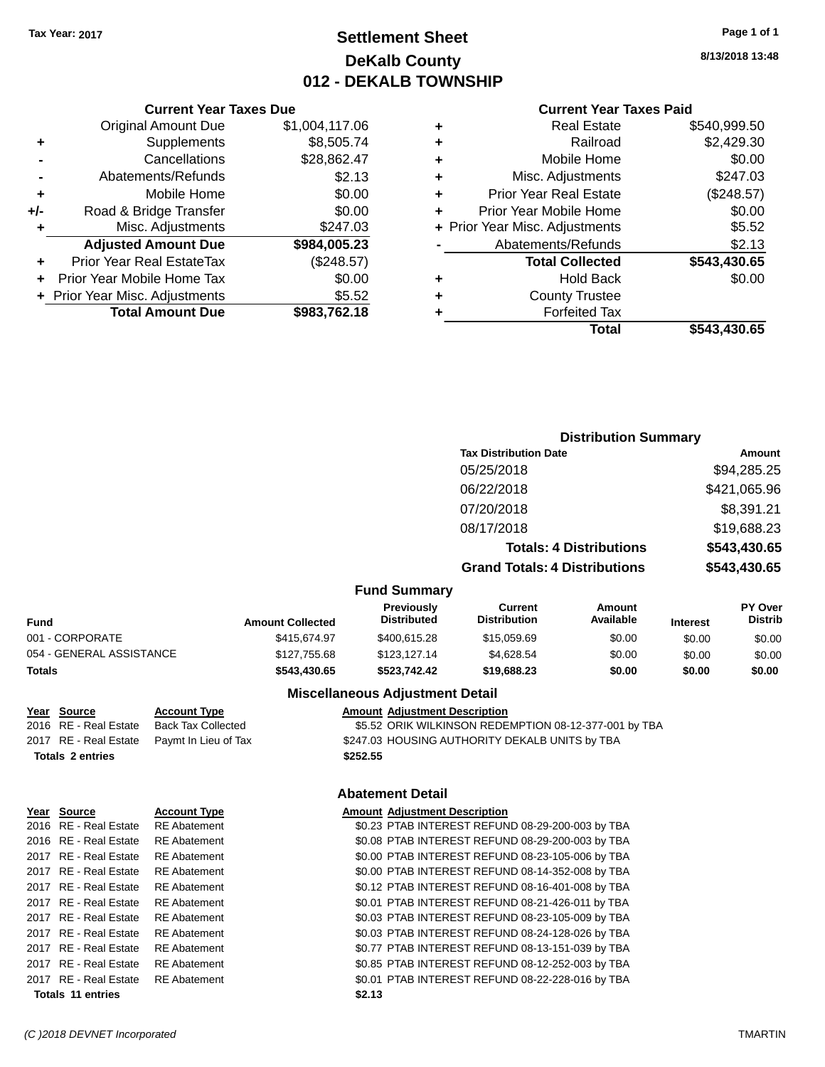### **Settlement Sheet Tax Year: 2017 Page 1 of 1 DeKalb County 012 - DEKALB TOWNSHIP**

**8/13/2018 13:48**

|   | Total                          | \$543,430.65 |
|---|--------------------------------|--------------|
|   | <b>Forfeited Tax</b>           |              |
| ٠ | <b>County Trustee</b>          |              |
| ٠ | <b>Hold Back</b>               | \$0.00       |
|   | <b>Total Collected</b>         | \$543,430.65 |
|   | Abatements/Refunds             | \$2.13       |
|   | + Prior Year Misc. Adjustments | \$5.52       |
| ٠ | Prior Year Mobile Home         | \$0.00       |
| ٠ | <b>Prior Year Real Estate</b>  | (\$248.57)   |
| ٠ | Misc. Adjustments              | \$247.03     |
| ٠ | Mobile Home                    | \$0.00       |
|   | Railroad                       | \$2,429.30   |
| ٠ | <b>Real Estate</b>             | \$540,999.50 |
|   |                                |              |

|     | <b>Current Year Taxes Due</b>  |                |
|-----|--------------------------------|----------------|
|     | <b>Original Amount Due</b>     | \$1,004,117.06 |
| ٠   | Supplements                    | \$8,505.74     |
|     | Cancellations                  | \$28,862.47    |
|     | Abatements/Refunds             | \$2.13         |
| ٠   | Mobile Home                    | \$0.00         |
| +/- | Road & Bridge Transfer         | \$0.00         |
| ٠   | Misc. Adjustments              | \$247.03       |
|     | <b>Adjusted Amount Due</b>     | \$984,005.23   |
|     | Prior Year Real EstateTax      | (\$248.57)     |
|     | Prior Year Mobile Home Tax     | \$0.00         |
|     | + Prior Year Misc. Adjustments | \$5.52         |
|     | <b>Total Amount Due</b>        | \$983,762.18   |
|     |                                |                |

| Amount                           |
|----------------------------------|
| \$94,285.25                      |
| \$421,065.96                     |
| \$8,391.21                       |
| \$19,688.23                      |
| \$543,430.65                     |
| \$543,430.65                     |
|                                  |
| <b>PY Over</b><br><b>Distrib</b> |
|                                  |

| Fund                     | <b>Amount Collected</b> | <b>Previously</b><br><b>Distributed</b> | Current<br><b>Distribution</b> | Amount<br>Available | <b>Interest</b> | <b>PY Over</b><br><b>Distrib</b> |
|--------------------------|-------------------------|-----------------------------------------|--------------------------------|---------------------|-----------------|----------------------------------|
| 001 - CORPORATE          | \$415.674.97            | \$400,615.28                            | \$15,059.69                    | \$0.00              | \$0.00          | \$0.00                           |
| 054 - GENERAL ASSISTANCE | \$127,755,68            | \$123,127,14                            | \$4.628.54                     | \$0.00              | \$0.00          | \$0.00                           |
| Totals                   | \$543,430.65            | \$523.742.42                            | \$19,688,23                    | \$0.00              | \$0.00          | \$0.00                           |
|                          |                         |                                         |                                |                     |                 |                                  |

#### **Miscellaneous Adjustment Detail**

| Year Source | <b>Account Type</b>                      | <b>Amount Adjustment Description</b>                  |
|-------------|------------------------------------------|-------------------------------------------------------|
|             | 2016 RE - Real Estate Back Tax Collected | \$5.52 ORIK WILKINSON REDEMPTION 08-12-377-001 by TBA |
|             |                                          |                                                       |

2017 RE - Real Estate Paymt In Lieu of Tax S247.03 HOUSING AUTHORITY DEKALB UNITS by TBA **Totals \$252.55 2 entries**

#### **Abatement Detail**

| Yea <u>r Source</u>      | <b>Account Type</b> | <b>Amount Adjustment Description</b>             |
|--------------------------|---------------------|--------------------------------------------------|
| 2016 RE - Real Estate    | <b>RE</b> Abatement | \$0.23 PTAB INTEREST REFUND 08-29-200-003 by TBA |
| 2016 RE - Real Estate    | <b>RE</b> Abatement | \$0.08 PTAB INTEREST REFUND 08-29-200-003 by TBA |
| 2017 RE - Real Estate    | <b>RE</b> Abatement | \$0.00 PTAB INTEREST REFUND 08-23-105-006 by TBA |
| 2017 RE - Real Estate    | <b>RE</b> Abatement | \$0.00 PTAB INTEREST REFUND 08-14-352-008 by TBA |
| 2017 RE - Real Estate    | <b>RE</b> Abatement | \$0.12 PTAB INTEREST REFUND 08-16-401-008 by TBA |
| 2017 RE - Real Estate    | <b>RE</b> Abatement | \$0.01 PTAB INTEREST REFUND 08-21-426-011 by TBA |
| 2017 RE - Real Estate    | <b>RE</b> Abatement | \$0.03 PTAB INTEREST REFUND 08-23-105-009 by TBA |
| 2017 RE - Real Estate    | <b>RE</b> Abatement | \$0.03 PTAB INTEREST REFUND 08-24-128-026 by TBA |
| 2017 RE - Real Estate    | <b>RE</b> Abatement | \$0.77 PTAB INTEREST REFUND 08-13-151-039 by TBA |
| 2017 RE - Real Estate    | <b>RE</b> Abatement | \$0.85 PTAB INTEREST REFUND 08-12-252-003 by TBA |
| 2017 RE - Real Estate    | <b>RE</b> Abatement | \$0.01 PTAB INTEREST REFUND 08-22-228-016 by TBA |
| <b>Totals 11 entries</b> |                     | \$2.13                                           |

**Year Source Account Type**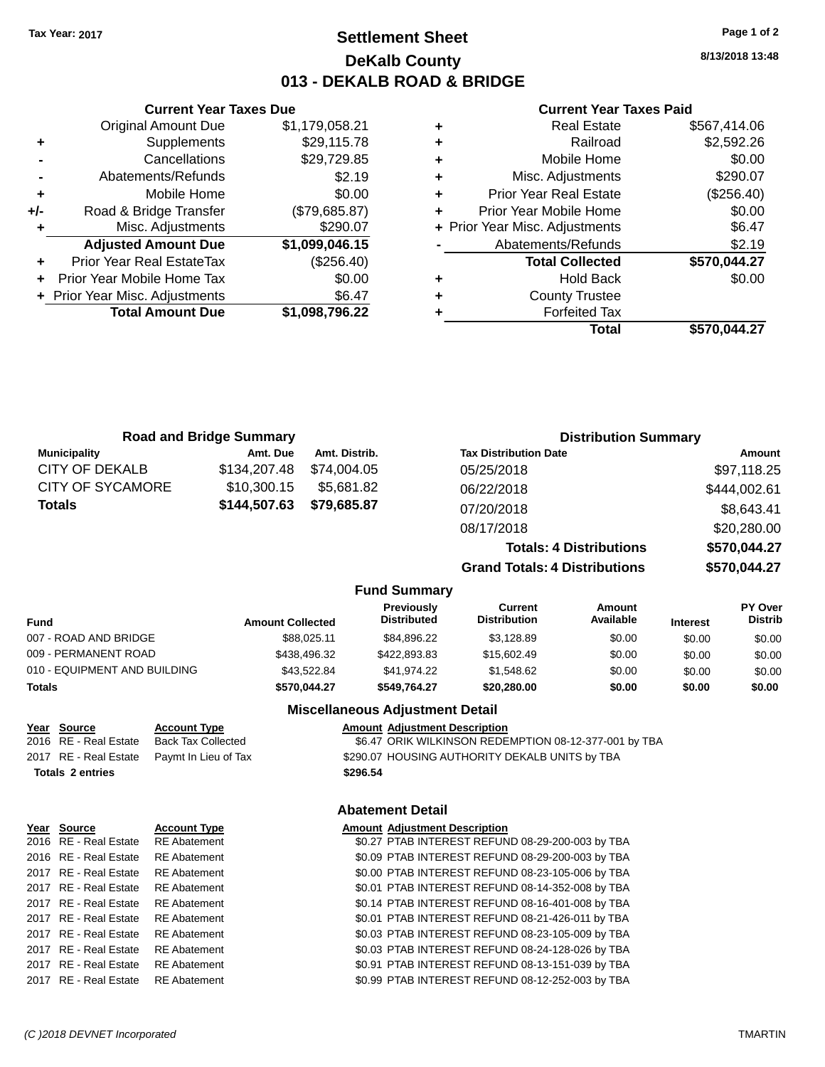### **Settlement Sheet Tax Year: 2017 Page 1 of 2 DeKalb County 013 - DEKALB ROAD & BRIDGE**

**8/13/2018 13:48**

#### **Current Year Taxes Paid**

|   | <b>Real Estate</b>             | \$567.414.06 |
|---|--------------------------------|--------------|
| ٠ | Railroad                       | \$2,592.26   |
| ٠ | Mobile Home                    | \$0.00       |
| ٠ | Misc. Adjustments              | \$290.07     |
| ٠ | <b>Prior Year Real Estate</b>  | (\$256.40)   |
| ٠ | Prior Year Mobile Home         | \$0.00       |
|   | + Prior Year Misc. Adjustments | \$6.47       |
|   | Abatements/Refunds             | \$2.19       |
|   | <b>Total Collected</b>         | \$570,044.27 |
| ٠ | <b>Hold Back</b>               | \$0.00       |
| ٠ | <b>County Trustee</b>          |              |
|   | <b>Forfeited Tax</b>           |              |
|   | Total                          | \$570,044.27 |

|     | <b>Current Year Taxes Due</b>  |                |
|-----|--------------------------------|----------------|
|     | <b>Original Amount Due</b>     | \$1,179,058.21 |
| ٠   | Supplements                    | \$29,115.78    |
|     | Cancellations                  | \$29,729.85    |
|     | Abatements/Refunds             | \$2.19         |
| ٠   | Mobile Home                    | \$0.00         |
| +/- | Road & Bridge Transfer         | (\$79,685.87)  |
| ٠   | Misc. Adjustments              | \$290.07       |
|     | <b>Adjusted Amount Due</b>     | \$1,099,046.15 |
|     | Prior Year Real EstateTax      | (\$256.40)     |
|     | Prior Year Mobile Home Tax     | \$0.00         |
|     | + Prior Year Misc. Adjustments | \$6.47         |
|     | <b>Total Amount Due</b>        | \$1,098,796.22 |
|     |                                |                |

|                         | <b>Road and Bridge Summary</b> |               |                                         |                                       | <b>Distribution Summary</b>    |                 |                           |
|-------------------------|--------------------------------|---------------|-----------------------------------------|---------------------------------------|--------------------------------|-----------------|---------------------------|
| <b>Municipality</b>     | Amt. Due                       | Amt. Distrib. |                                         | <b>Tax Distribution Date</b>          |                                |                 | Amount                    |
| CITY OF DEKALB          | \$134,207.48                   | \$74,004.05   |                                         | 05/25/2018                            |                                |                 | \$97,118.25               |
| <b>CITY OF SYCAMORE</b> | \$10,300.15                    | \$5,681.82    |                                         | 06/22/2018                            |                                |                 | \$444,002.61              |
| <b>Totals</b>           | \$144,507.63                   | \$79,685.87   |                                         | 07/20/2018                            |                                |                 | \$8,643.41                |
|                         |                                |               |                                         | 08/17/2018                            |                                |                 | \$20,280.00               |
|                         |                                |               |                                         |                                       | <b>Totals: 4 Distributions</b> |                 | \$570,044.27              |
|                         |                                |               |                                         | <b>Grand Totals: 4 Distributions</b>  |                                |                 | \$570,044.27              |
|                         |                                |               | <b>Fund Summary</b>                     |                                       |                                |                 |                           |
| <b>Fund</b>             | <b>Amount Collected</b>        |               | <b>Previously</b><br><b>Distributed</b> | <b>Current</b><br><b>Distribution</b> | Amount<br>Available            | <b>Interest</b> | PY Over<br><b>Distrib</b> |
| 007 - ROAD AND BRIDGE   |                                | \$88,025.11   | \$84.896.22                             | \$3,128.89                            | \$0.00                         | \$0.00          | \$0.00                    |
| 009 - PERMANENT ROAD    |                                | \$438,496.32  | \$422,893,83                            | \$15,602.49                           | \$0.00                         | \$0.00          | \$0.00                    |

### 010 - EQUIPMENT AND BUILDING \$43,522.84 \$41,974.22 \$1,548.62 \$0.00 \$0.00 \$0.00 **Totals \$570,044.27 \$549,764.27 \$20,280.00 \$0.00 \$0.00 \$0.00**

# **Year Source Account Type Amount Adjustment Description**

**Totals \$296.54 2 entries**

**Miscellaneous Adjustment Detail**

\$6.47 ORIK WILKINSON REDEMPTION 08-12-377-001 by TBA

2017 RE - Real Estate Paymt In Lieu of Tax S290.07 HOUSING AUTHORITY DEKALB UNITS by TBA

#### **Abatement Detail**

| <u>Year Source</u>                 | <b>Account Type</b> | <b>Amount Adjustment Description</b>             |
|------------------------------------|---------------------|--------------------------------------------------|
| 2016 RE - Real Estate              | <b>RE</b> Abatement | \$0.27 PTAB INTEREST REFUND 08-29-200-003 by TBA |
| 2016 RE - Real Estate              | <b>RE</b> Abatement | \$0.09 PTAB INTEREST REFUND 08-29-200-003 by TBA |
| 2017 RE - Real Estate              | <b>RE</b> Abatement | \$0.00 PTAB INTEREST REFUND 08-23-105-006 by TBA |
| 2017 RE - Real Estate              | <b>RE</b> Abatement | \$0.01 PTAB INTEREST REFUND 08-14-352-008 by TBA |
| 2017 RE - Real Estate              | <b>RE</b> Abatement | \$0.14 PTAB INTEREST REFUND 08-16-401-008 by TBA |
| 2017 RE - Real Estate              | <b>RE</b> Abatement | \$0.01 PTAB INTEREST REFUND 08-21-426-011 by TBA |
| 2017 RE - Real Estate              | <b>RE</b> Abatement | \$0.03 PTAB INTEREST REFUND 08-23-105-009 by TBA |
| 2017 RE - Real Estate              | <b>RE</b> Abatement | \$0.03 PTAB INTEREST REFUND 08-24-128-026 by TBA |
| 2017 RE - Real Estate              | <b>RE</b> Abatement | \$0.91 PTAB INTEREST REFUND 08-13-151-039 by TBA |
| 2017 RE - Real Estate RE Abatement |                     | \$0.99 PTAB INTEREST REFUND 08-12-252-003 by TBA |
|                                    |                     |                                                  |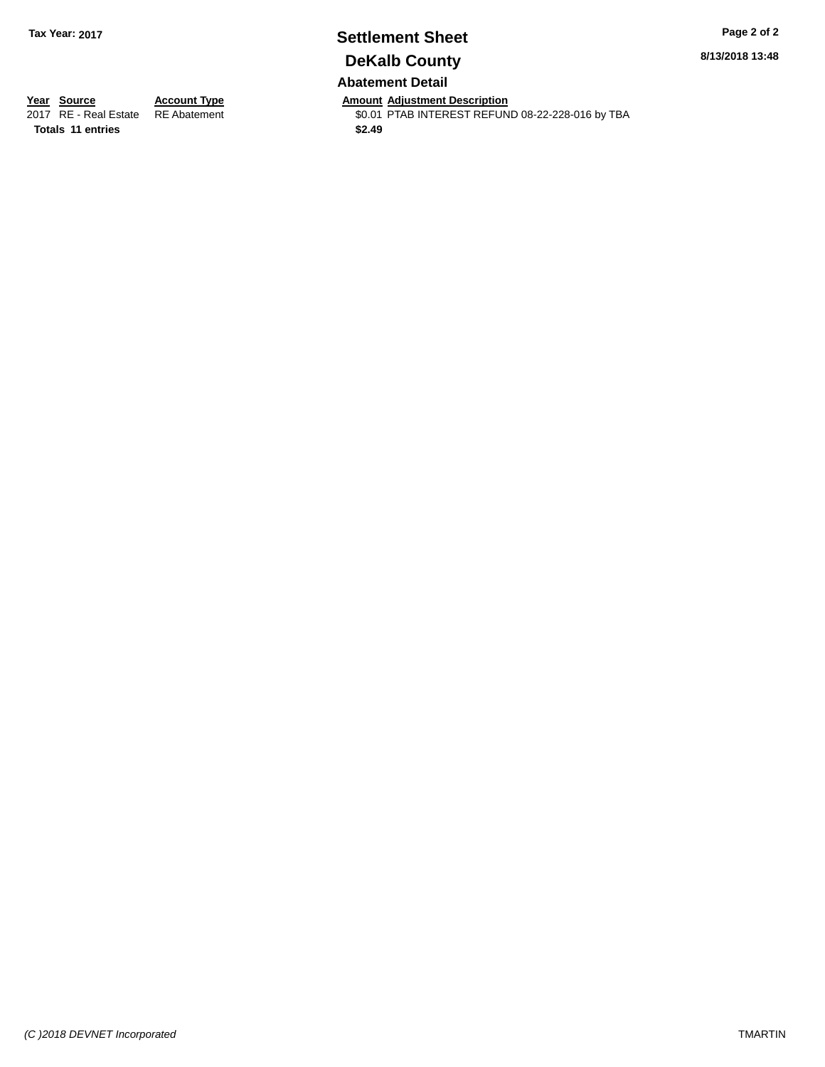### **Settlement Sheet Tax Year: 2017 Page 2 of 2 DeKalb County Abatement Detail**

**8/13/2018 13:48**

**Totals \$2.49 11 entries**

**Year Source Account Type Anneunt Adjustment Description**<br>
2017 RE - Real Estate RE Abatement **Amount Adjustment Description** \$0.01 PTAB INTEREST REFUND 08-22-228-016 by TBA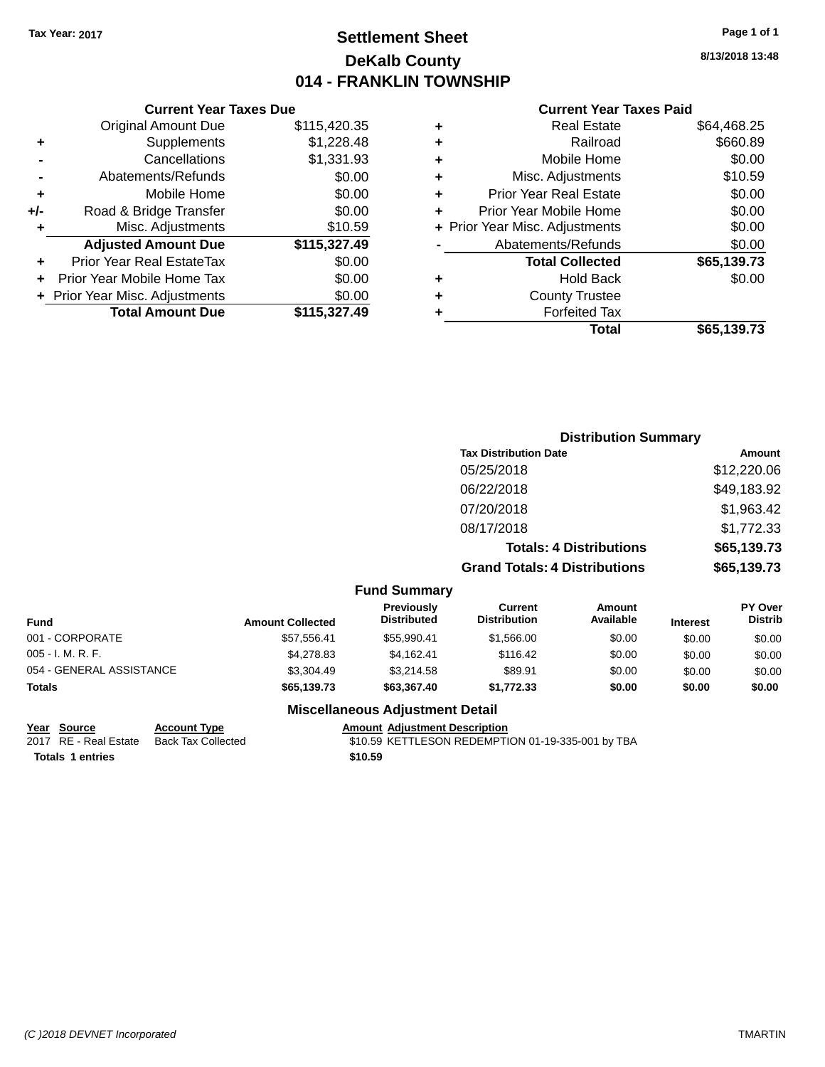### **Settlement Sheet Tax Year: 2017 Page 1 of 1 DeKalb County 014 - FRANKLIN TOWNSHIP**

**8/13/2018 13:48**

#### **Current Year Taxes Paid**

|     | <b>Current Year Taxes Due</b>    |              |  |  |  |
|-----|----------------------------------|--------------|--|--|--|
|     | <b>Original Amount Due</b>       | \$115,420.35 |  |  |  |
| ٠   | Supplements                      | \$1,228.48   |  |  |  |
|     | Cancellations                    | \$1,331.93   |  |  |  |
|     | Abatements/Refunds               | \$0.00       |  |  |  |
| ٠   | Mobile Home                      | \$0.00       |  |  |  |
| +/- | Road & Bridge Transfer           | \$0.00       |  |  |  |
| ٠   | \$10.59<br>Misc. Adjustments     |              |  |  |  |
|     | <b>Adjusted Amount Due</b>       | \$115,327.49 |  |  |  |
| ٠   | <b>Prior Year Real EstateTax</b> | \$0.00       |  |  |  |
|     | Prior Year Mobile Home Tax       | \$0.00       |  |  |  |
|     | + Prior Year Misc. Adjustments   | \$0.00       |  |  |  |
|     | <b>Total Amount Due</b>          | \$115.327.49 |  |  |  |
|     |                                  |              |  |  |  |

| ٠ | <b>Real Estate</b>             | \$64,468.25 |
|---|--------------------------------|-------------|
| ٠ | Railroad                       | \$660.89    |
| ٠ | Mobile Home                    | \$0.00      |
| ٠ | Misc. Adjustments              | \$10.59     |
| ٠ | <b>Prior Year Real Estate</b>  | \$0.00      |
| ٠ | Prior Year Mobile Home         | \$0.00      |
|   | + Prior Year Misc. Adjustments | \$0.00      |
|   | Abatements/Refunds             | \$0.00      |
|   | <b>Total Collected</b>         | \$65,139.73 |
| ٠ | Hold Back                      | \$0.00      |
| ٠ | <b>County Trustee</b>          |             |
| ٠ | <b>Forfeited Tax</b>           |             |
|   | Total                          | \$65,139.73 |
|   |                                |             |

| <b>Distribution Summary</b>          |             |
|--------------------------------------|-------------|
| <b>Tax Distribution Date</b>         | Amount      |
| 05/25/2018                           | \$12,220.06 |
| 06/22/2018                           | \$49,183.92 |
| 07/20/2018                           | \$1,963.42  |
| 08/17/2018                           | \$1,772.33  |
| <b>Totals: 4 Distributions</b>       | \$65,139.73 |
| <b>Grand Totals: 4 Distributions</b> | \$65,139.73 |

#### **Fund Summary**

| Fund                     | <b>Amount Collected</b> | Previously<br><b>Distributed</b> | Current<br><b>Distribution</b> | Amount<br>Available | <b>Interest</b> | <b>PY Over</b><br><b>Distrib</b> |
|--------------------------|-------------------------|----------------------------------|--------------------------------|---------------------|-----------------|----------------------------------|
| 001 - CORPORATE          | \$57,556.41             | \$55,990.41                      | \$1,566.00                     | \$0.00              | \$0.00          | \$0.00                           |
| 005 - I. M. R. F.        | \$4,278,83              | \$4.162.41                       | \$116.42                       | \$0.00              | \$0.00          | \$0.00                           |
| 054 - GENERAL ASSISTANCE | \$3,304.49              | \$3.214.58                       | \$89.91                        | \$0.00              | \$0.00          | \$0.00                           |
| Totals                   | \$65,139.73             | \$63,367.40                      | \$1,772.33                     | \$0.00              | \$0.00          | \$0.00                           |

### **Miscellaneous Adjustment Detail**

| Year Source             | <b>Account Type</b>                      | <b>Amount Adiustment Description</b>              |
|-------------------------|------------------------------------------|---------------------------------------------------|
|                         | 2017 RE - Real Estate Back Tax Collected | \$10.59 KETTLESON REDEMPTION 01-19-335-001 by TBA |
| <b>Totals 1 entries</b> |                                          | \$10.59                                           |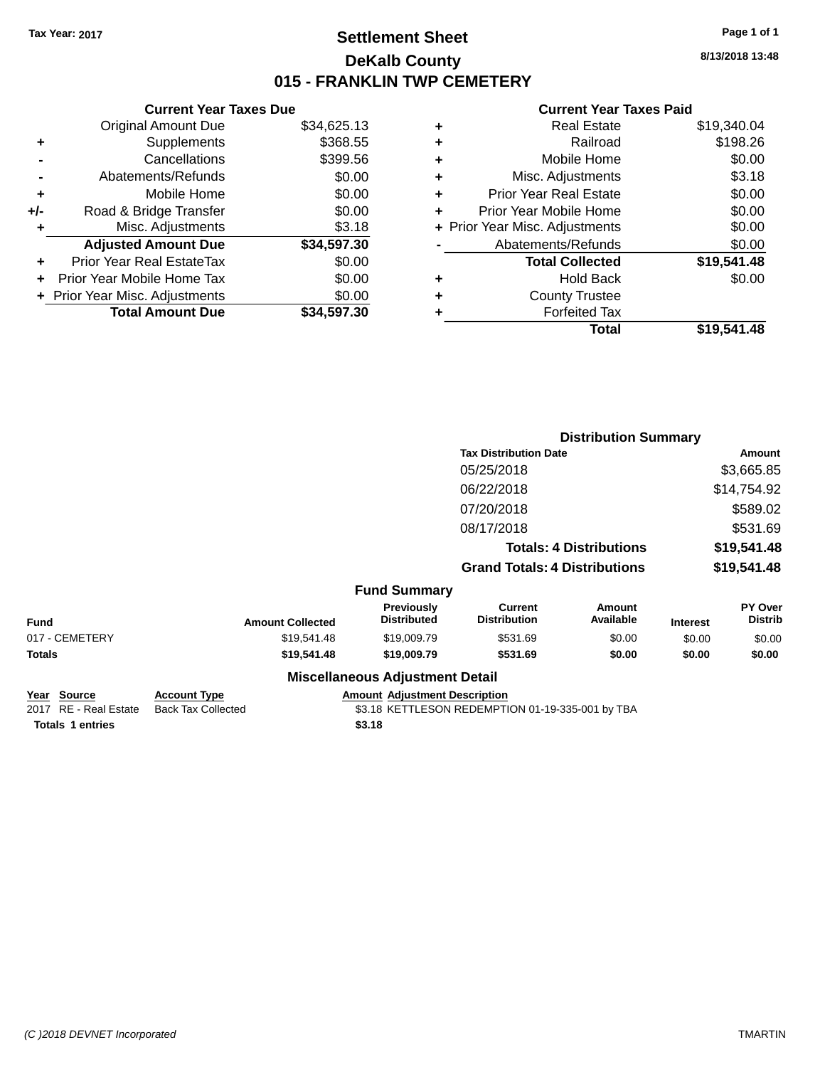### **Settlement Sheet Tax Year: 2017 Page 1 of 1 DeKalb County 015 - FRANKLIN TWP CEMETERY**

**8/13/2018 13:48**

#### **Current Year Taxes Paid**

|     | <b>Current Year Taxes Due</b>  |             |
|-----|--------------------------------|-------------|
|     | <b>Original Amount Due</b>     | \$34,625.13 |
| ٠   | Supplements                    | \$368.55    |
|     | Cancellations                  | \$399.56    |
|     | Abatements/Refunds             | \$0.00      |
| ٠   | Mobile Home                    | \$0.00      |
| +/- | Road & Bridge Transfer         | \$0.00      |
| ٠   | Misc. Adjustments              | \$3.18      |
|     | <b>Adjusted Amount Due</b>     | \$34,597.30 |
| ٠   | Prior Year Real EstateTax      | \$0.00      |
|     | Prior Year Mobile Home Tax     | \$0.00      |
|     | + Prior Year Misc. Adjustments | \$0.00      |
|     | <b>Total Amount Due</b>        | \$34,597.30 |
|     |                                |             |

|   | <b>Real Estate</b>             | \$19,340.04 |
|---|--------------------------------|-------------|
| ٠ | Railroad                       | \$198.26    |
| ٠ | Mobile Home                    | \$0.00      |
| ٠ | Misc. Adjustments              | \$3.18      |
| ٠ | <b>Prior Year Real Estate</b>  | \$0.00      |
| ٠ | Prior Year Mobile Home         | \$0.00      |
|   | + Prior Year Misc. Adjustments | \$0.00      |
|   | Abatements/Refunds             | \$0.00      |
|   | <b>Total Collected</b>         | \$19,541.48 |
| ٠ | <b>Hold Back</b>               | \$0.00      |
|   | <b>County Trustee</b>          |             |
| ٠ | <b>Forfeited Tax</b>           |             |
|   | Total                          | \$19.541.48 |
|   |                                |             |

|                |                     |                         |                                        | <b>Distribution Summary</b>           |                                |                 |                                  |
|----------------|---------------------|-------------------------|----------------------------------------|---------------------------------------|--------------------------------|-----------------|----------------------------------|
|                |                     |                         |                                        | <b>Tax Distribution Date</b>          |                                | Amount          |                                  |
|                |                     |                         |                                        | 05/25/2018                            |                                |                 | \$3,665.85                       |
|                |                     |                         |                                        | 06/22/2018                            |                                |                 | \$14,754.92                      |
|                |                     |                         |                                        | 07/20/2018                            |                                |                 | \$589.02                         |
|                |                     |                         |                                        | 08/17/2018                            |                                |                 | \$531.69                         |
|                |                     |                         |                                        |                                       | <b>Totals: 4 Distributions</b> |                 | \$19,541.48                      |
|                |                     |                         |                                        | <b>Grand Totals: 4 Distributions</b>  |                                |                 | \$19,541.48                      |
|                |                     |                         | <b>Fund Summary</b>                    |                                       |                                |                 |                                  |
| <b>Fund</b>    |                     | <b>Amount Collected</b> | Previously<br><b>Distributed</b>       | <b>Current</b><br><b>Distribution</b> | <b>Amount</b><br>Available     | <b>Interest</b> | <b>PY Over</b><br><b>Distrib</b> |
| 017 - CEMETERY |                     | \$19,541.48             | \$19,009.79                            | \$531.69                              | \$0.00                         | \$0.00          | \$0.00                           |
| <b>Totals</b>  |                     | \$19,541.48             | \$19,009.79                            | \$531.69                              | \$0.00                         | \$0.00          | \$0.00                           |
|                |                     |                         | <b>Miscellaneous Adjustment Detail</b> |                                       |                                |                 |                                  |
| Year Source    | <b>Account Type</b> |                         | <b>Amount Adjustment Description</b>   |                                       |                                |                 |                                  |

| <b>IGAI JUULUE</b>      | ACCOUNT IVDE       | Allivulli Aulustillelli Describildii             |
|-------------------------|--------------------|--------------------------------------------------|
| 2017 RE - Real Estate   | Back Tax Collected | \$3.18 KETTLESON REDEMPTION 01-19-335-001 by TBA |
| <b>Totals 1 entries</b> |                    | \$3.18                                           |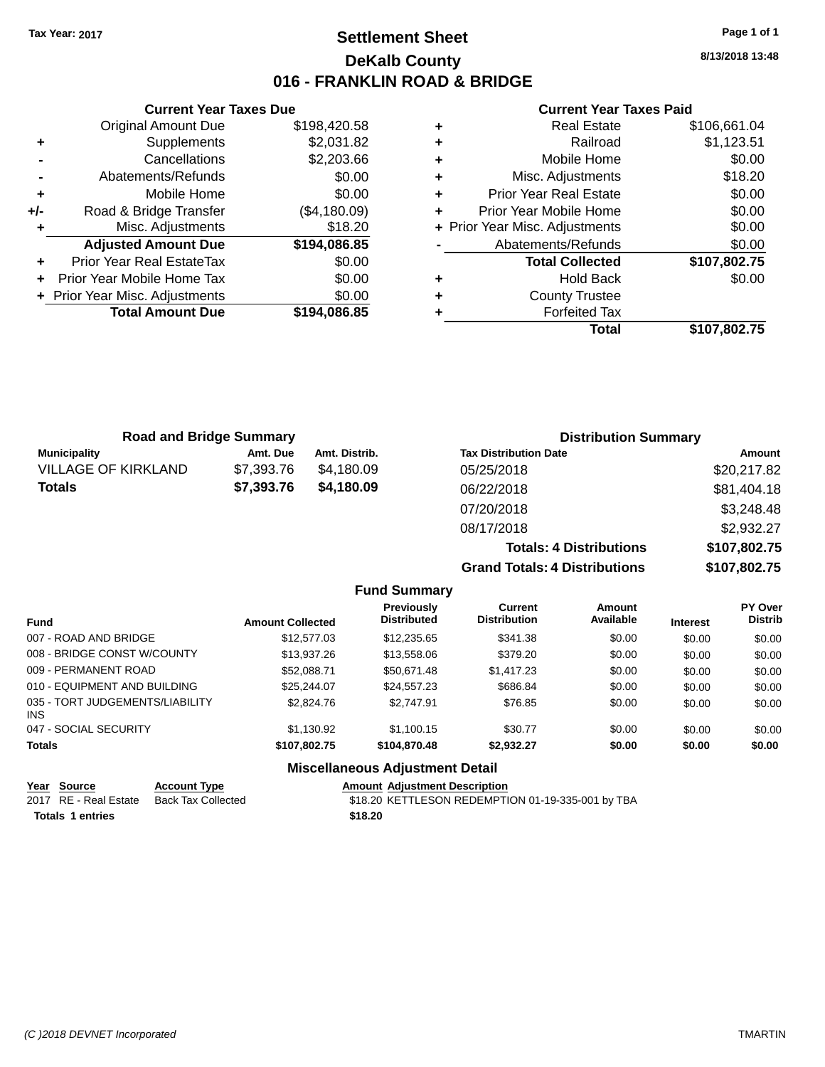### **Settlement Sheet Tax Year: 2017 Page 1 of 1 DeKalb County 016 - FRANKLIN ROAD & BRIDGE**

**8/13/2018 13:48**

#### **Current Year Taxes Paid**

|     | <b>Current Year Taxes Due</b>  |              |
|-----|--------------------------------|--------------|
|     | <b>Original Amount Due</b>     | \$198,420.58 |
| ٠   | Supplements                    | \$2,031.82   |
|     | Cancellations                  | \$2,203.66   |
|     | Abatements/Refunds             | \$0.00       |
| ٠   | Mobile Home                    | \$0.00       |
| +/- | Road & Bridge Transfer         | (\$4,180.09) |
|     | Misc. Adjustments              | \$18.20      |
|     | <b>Adjusted Amount Due</b>     | \$194,086.85 |
| ٠   | Prior Year Real EstateTax      | \$0.00       |
|     | Prior Year Mobile Home Tax     | \$0.00       |
|     | + Prior Year Misc. Adjustments | \$0.00       |
|     | <b>Total Amount Due</b>        | \$194,086.85 |
|     |                                |              |

|   | <b>Real Estate</b>             | \$106,661.04 |
|---|--------------------------------|--------------|
| ٠ | Railroad                       | \$1,123.51   |
| ٠ | Mobile Home                    | \$0.00       |
| ٠ | Misc. Adjustments              | \$18.20      |
| ٠ | <b>Prior Year Real Estate</b>  | \$0.00       |
| ÷ | Prior Year Mobile Home         | \$0.00       |
|   | + Prior Year Misc. Adjustments | \$0.00       |
|   | Abatements/Refunds             | \$0.00       |
|   | <b>Total Collected</b>         | \$107,802.75 |
| ٠ | <b>Hold Back</b>               | \$0.00       |
| ٠ | <b>County Trustee</b>          |              |
|   | <b>Forfeited Tax</b>           |              |
|   | Total                          | \$107,802.75 |
|   |                                |              |

| <b>Road and Bridge Summary</b> |            |               | <b>Distribution Summary</b>    |              |
|--------------------------------|------------|---------------|--------------------------------|--------------|
| <b>Municipality</b>            | Amt. Due   | Amt. Distrib. | <b>Tax Distribution Date</b>   | Amount       |
| <b>VILLAGE OF KIRKLAND</b>     | \$7,393.76 | \$4.180.09    | 05/25/2018                     | \$20,217.82  |
| <b>Totals</b>                  | \$7,393.76 | \$4,180.09    | 06/22/2018                     | \$81,404.18  |
|                                |            |               | 07/20/2018                     | \$3,248.48   |
|                                |            |               | 08/17/2018                     | \$2,932.27   |
|                                |            |               | <b>Totals: 4 Distributions</b> | \$107,802.75 |

**Grand Totals: 4 Distribute** 

**Amount**

| ributions: | \$107,802.75 |
|------------|--------------|
| ributions  | \$107,802.75 |

**PY Over**

|           | <b>Fund Summary</b>                     |                                |
|-----------|-----------------------------------------|--------------------------------|
| Collected | <b>Previously</b><br><b>Distributed</b> | Current<br><b>Distribution</b> |

| <b>Amount Collected</b> | <b>Distributed</b> | <b>Distribution</b> | Available | <b>Interest</b> | <b>Distrib</b> |
|-------------------------|--------------------|---------------------|-----------|-----------------|----------------|
| \$12,577.03             | \$12,235.65        | \$341.38            | \$0.00    | \$0.00          | \$0.00         |
| \$13,937.26             | \$13,558.06        | \$379.20            | \$0.00    | \$0.00          | \$0.00         |
| \$52,088.71             | \$50.671.48        | \$1,417.23          | \$0.00    | \$0.00          | \$0.00         |
| \$25.244.07             | \$24.557.23        | \$686.84            | \$0.00    | \$0.00          | \$0.00         |
| \$2,824.76              | \$2.747.91         | \$76.85             | \$0.00    | \$0.00          | \$0.00         |
| \$1.130.92              | \$1.100.15         | \$30.77             | \$0.00    | \$0.00          | \$0.00         |
| \$107.802.75            | \$104.870.48       | \$2.932.27          | \$0.00    | \$0.00          | \$0.00         |
|                         |                    |                     |           |                 |                |

### **Miscellaneous Adjustment Detail**

|                         | Year Source           | <b>Account Type</b> | <b>Amount Adiustment Description</b>              |
|-------------------------|-----------------------|---------------------|---------------------------------------------------|
|                         | 2017 RE - Real Estate | Back Tax Collected  | \$18.20 KETTLESON REDEMPTION 01-19-335-001 by TBA |
| <b>Totals 1 entries</b> |                       |                     | \$18.20                                           |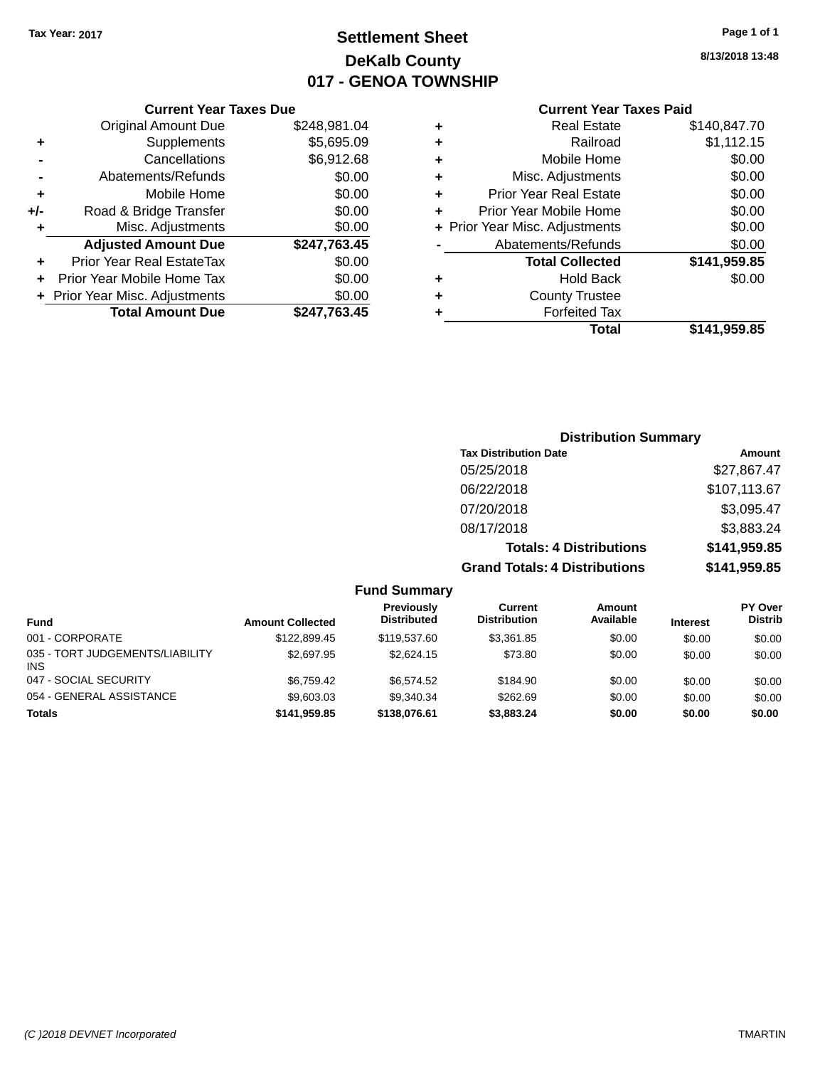### **Settlement Sheet Tax Year: 2017 Page 1 of 1 DeKalb County 017 - GENOA TOWNSHIP**

**8/13/2018 13:48**

#### **Current Year Taxes Paid**

|       | <b>Current Year Taxes Due</b>  |              |
|-------|--------------------------------|--------------|
|       | <b>Original Amount Due</b>     | \$248,981.04 |
| ٠     | Supplements                    | \$5,695.09   |
|       | Cancellations                  | \$6,912.68   |
|       | Abatements/Refunds             | \$0.00       |
| ÷     | Mobile Home                    | \$0.00       |
| $+/-$ | Road & Bridge Transfer         | \$0.00       |
|       | Misc. Adjustments              | \$0.00       |
|       | <b>Adjusted Amount Due</b>     | \$247,763.45 |
| ٠     | Prior Year Real EstateTax      | \$0.00       |
|       | Prior Year Mobile Home Tax     | \$0.00       |
|       | + Prior Year Misc. Adjustments | \$0.00       |
|       | <b>Total Amount Due</b>        | \$247,763.45 |
|       |                                |              |

|   | <b>Real Estate</b>             | \$140,847.70 |
|---|--------------------------------|--------------|
| ٠ | Railroad                       | \$1,112.15   |
| ÷ | Mobile Home                    | \$0.00       |
| ٠ | Misc. Adjustments              | \$0.00       |
| ٠ | <b>Prior Year Real Estate</b>  | \$0.00       |
| ÷ | Prior Year Mobile Home         | \$0.00       |
|   | + Prior Year Misc. Adjustments | \$0.00       |
|   | Abatements/Refunds             | \$0.00       |
|   | <b>Total Collected</b>         | \$141,959.85 |
| ٠ | <b>Hold Back</b>               | \$0.00       |
| ٠ | <b>County Trustee</b>          |              |
| ٠ | <b>Forfeited Tax</b>           |              |
|   | Total                          | \$141,959.85 |
|   |                                |              |

### **Distribution Summary Tax Distribution Date Amount** 05/25/2018 \$27,867.47 06/22/2018 \$107,113.67 07/20/2018 \$3,095.47 08/17/2018 \$3,883.24 **Totals: 4 Distributions \$141,959.85 Grand Totals: 4 Distributions \$141,959.85**

|                                         |                         | <b>Fund Summary</b>                     |                                |                            |                 |                                  |
|-----------------------------------------|-------------------------|-----------------------------------------|--------------------------------|----------------------------|-----------------|----------------------------------|
| <b>Fund</b>                             | <b>Amount Collected</b> | <b>Previously</b><br><b>Distributed</b> | Current<br><b>Distribution</b> | <b>Amount</b><br>Available | <b>Interest</b> | <b>PY Over</b><br><b>Distrib</b> |
| 001 - CORPORATE                         | \$122,899.45            | \$119,537.60                            | \$3,361.85                     | \$0.00                     | \$0.00          | \$0.00                           |
| 035 - TORT JUDGEMENTS/LIABILITY<br>INS. | \$2,697.95              | \$2,624.15                              | \$73.80                        | \$0.00                     | \$0.00          | \$0.00                           |
| 047 - SOCIAL SECURITY                   | \$6.759.42              | \$6,574.52                              | \$184.90                       | \$0.00                     | \$0.00          | \$0.00                           |
| 054 - GENERAL ASSISTANCE                | \$9,603.03              | \$9.340.34                              | \$262.69                       | \$0.00                     | \$0.00          | \$0.00                           |
| <b>Totals</b>                           | \$141,959.85            | \$138,076.61                            | \$3,883.24                     | \$0.00                     | \$0.00          | \$0.00                           |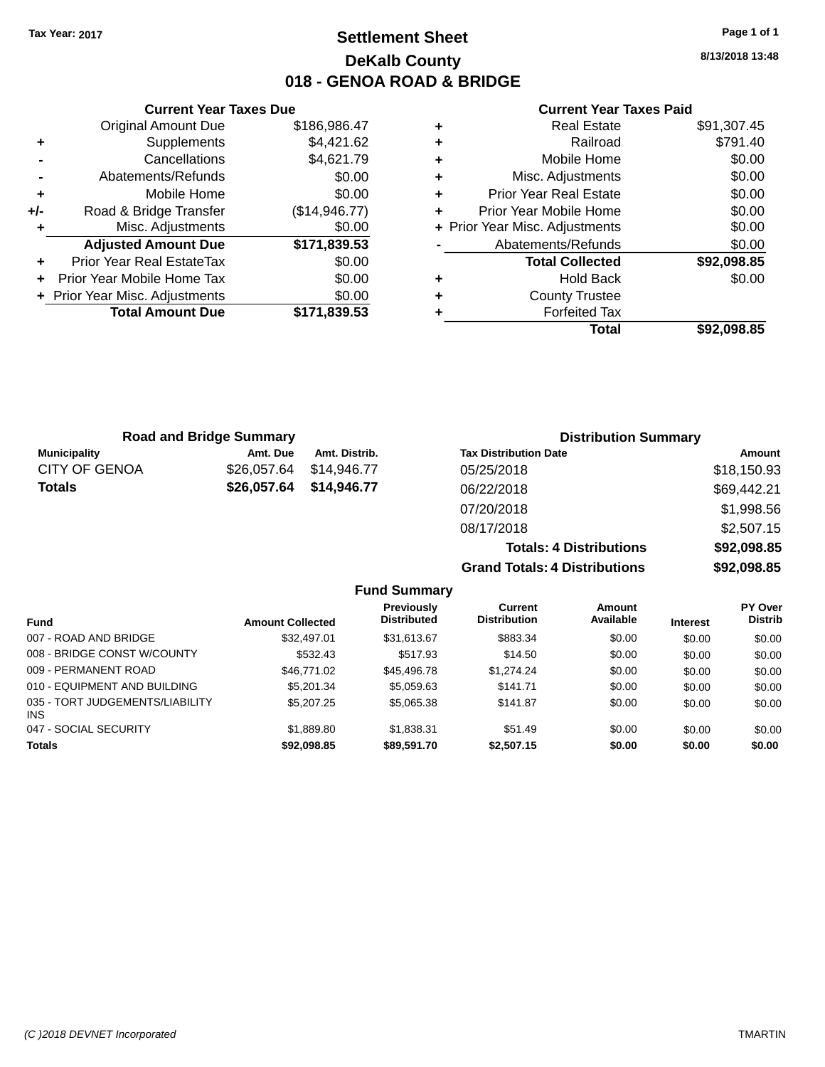### **Settlement Sheet Tax Year: 2017 Page 1 of 1 DeKalb County 018 - GENOA ROAD & BRIDGE**

**8/13/2018 13:48**

#### **Current Year Taxes Paid**

|     | <b>Original Amount Due</b>     | \$186,986.47  |
|-----|--------------------------------|---------------|
| ٠   | Supplements                    | \$4,421.62    |
|     | Cancellations                  | \$4,621.79    |
|     | Abatements/Refunds             | \$0.00        |
| ÷   | Mobile Home                    | \$0.00        |
| +/- | Road & Bridge Transfer         | (\$14,946.77) |
|     | Misc. Adjustments              | \$0.00        |
|     | <b>Adjusted Amount Due</b>     | \$171,839.53  |
| ÷   | Prior Year Real EstateTax      | \$0.00        |
| ÷   | Prior Year Mobile Home Tax     | \$0.00        |
|     | + Prior Year Misc. Adjustments | \$0.00        |
|     | <b>Total Amount Due</b>        | \$171,839.53  |
|     |                                |               |

**Current Year Taxes Due**

| ٠ | <b>Real Estate</b>             | \$91,307.45 |
|---|--------------------------------|-------------|
| ٠ | Railroad                       | \$791.40    |
| ٠ | Mobile Home                    | \$0.00      |
| ٠ | Misc. Adjustments              | \$0.00      |
| ٠ | <b>Prior Year Real Estate</b>  | \$0.00      |
| ٠ | Prior Year Mobile Home         | \$0.00      |
|   | + Prior Year Misc. Adjustments | \$0.00      |
|   | Abatements/Refunds             | \$0.00      |
|   | <b>Total Collected</b>         | \$92,098.85 |
| ٠ | Hold Back                      | \$0.00      |
| ٠ | <b>County Trustee</b>          |             |
| ٠ | <b>Forfeited Tax</b>           |             |
|   | Total                          | \$92.098.85 |
|   |                                |             |

**Grand Totals: 4 Distributions \$92,098.85**

|                      | <b>Road and Bridge Summary</b> |               | <b>Distribution Summary</b>    |             |
|----------------------|--------------------------------|---------------|--------------------------------|-------------|
| <b>Municipality</b>  | Amt. Due                       | Amt. Distrib. | <b>Tax Distribution Date</b>   | Amount      |
| <b>CITY OF GENOA</b> | \$26,057.64                    | \$14,946.77   | 05/25/2018                     | \$18,150.93 |
| <b>Totals</b>        | \$26,057.64                    | \$14,946.77   | 06/22/2018                     | \$69,442.21 |
|                      |                                |               | 07/20/2018                     | \$1,998.56  |
|                      |                                |               | 08/17/2018                     | \$2,507.15  |
|                      |                                |               | <b>Totals: 4 Distributions</b> | \$92,098.85 |

**Fund Summary Fund Interest Amount Collected Distributed PY Over Distrib Amount Available Current Distribution Previously** 007 - ROAD AND BRIDGE \$32,497.01 \$31,613.67 \$883.34 \$0.00 \$0.00 \$0.00 008 - BRIDGE CONST W/COUNTY  $$532.43$   $$517.93$   $$14.50$   $$0.00$   $$0.00$   $$0.00$ 009 - PERMANENT ROAD \$16,771.02 \$45,496.78 \$1,274.24 \$0.00 \$0.00 \$0.00 \$0.00 010 - EQUIPMENT AND BUILDING \$5,201.34 \$5,059.63 \$141.71 \$0.00 \$0.00 \$0.00 \$0.00 035 - TORT JUDGEMENTS/LIABILITY INS \$5,207.25 \$5,065.38 \$141.87 \$0.00 \$0.00 \$0.00 047 - SOCIAL SECURITY \$1,889.80 \$1,838.31 \$51.49 \$0.00 \$0.00 \$0.00 **Totals \$92,098.85 \$89,591.70 \$2,507.15 \$0.00 \$0.00 \$0.00**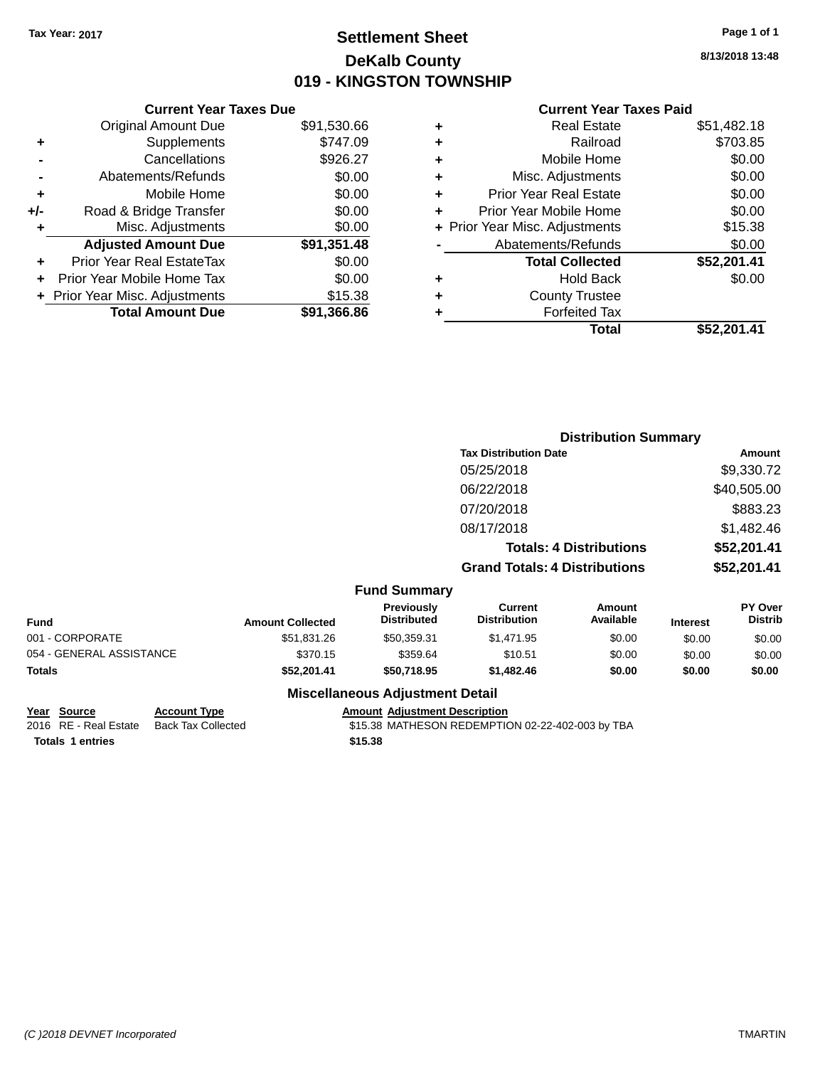### **Settlement Sheet Tax Year: 2017 Page 1 of 1 DeKalb County 019 - KINGSTON TOWNSHIP**

#### **8/13/2018 13:48**

#### **Current Year Taxes Paid**

| <b>Original Amount Due</b>   | \$91,530.66                   |
|------------------------------|-------------------------------|
| Supplements                  | \$747.09                      |
| Cancellations                | \$926.27                      |
| Abatements/Refunds           | \$0.00                        |
| Mobile Home                  | \$0.00                        |
| Road & Bridge Transfer       | \$0.00                        |
| Misc. Adjustments            | \$0.00                        |
| <b>Adjusted Amount Due</b>   | \$91,351.48                   |
| Prior Year Real EstateTax    | \$0.00                        |
| Prior Year Mobile Home Tax   | \$0.00                        |
| Prior Year Misc. Adjustments | \$15.38                       |
| <b>Total Amount Due</b>      | \$91.366.86                   |
|                              | <b>Current Year Taxes Due</b> |

| ٠ | <b>Real Estate</b>             | \$51,482.18 |
|---|--------------------------------|-------------|
| ٠ | Railroad                       | \$703.85    |
| ٠ | Mobile Home                    | \$0.00      |
| ٠ | Misc. Adjustments              | \$0.00      |
| ٠ | <b>Prior Year Real Estate</b>  | \$0.00      |
| ٠ | Prior Year Mobile Home         | \$0.00      |
|   | + Prior Year Misc. Adjustments | \$15.38     |
|   | Abatements/Refunds             | \$0.00      |
|   | <b>Total Collected</b>         | \$52,201.41 |
| ٠ | <b>Hold Back</b>               | \$0.00      |
| ٠ | <b>County Trustee</b>          |             |
| ٠ | <b>Forfeited Tax</b>           |             |
|   | Total                          | \$52,201.41 |
|   |                                |             |

|                          |                         |                                        | <b>Distribution Summary</b>           |                                |                 |                           |
|--------------------------|-------------------------|----------------------------------------|---------------------------------------|--------------------------------|-----------------|---------------------------|
|                          |                         |                                        | <b>Tax Distribution Date</b>          |                                |                 | <b>Amount</b>             |
|                          |                         |                                        | 05/25/2018                            |                                |                 | \$9,330.72                |
|                          |                         |                                        | 06/22/2018                            |                                |                 | \$40,505.00               |
|                          |                         |                                        | 07/20/2018                            |                                |                 | \$883.23                  |
|                          |                         |                                        | 08/17/2018                            |                                |                 | \$1,482.46                |
|                          |                         |                                        |                                       | <b>Totals: 4 Distributions</b> |                 | \$52,201.41               |
|                          |                         |                                        | <b>Grand Totals: 4 Distributions</b>  |                                |                 | \$52,201.41               |
|                          |                         | <b>Fund Summary</b>                    |                                       |                                |                 |                           |
| <b>Fund</b>              | <b>Amount Collected</b> | Previously<br><b>Distributed</b>       | <b>Current</b><br><b>Distribution</b> | <b>Amount</b><br>Available     | <b>Interest</b> | PY Over<br><b>Distrib</b> |
| 001 - CORPORATE          | \$51,831.26             | \$50,359.31                            | \$1,471.95                            | \$0.00                         | \$0.00          | \$0.00                    |
| 054 - GENERAL ASSISTANCE | \$370.15                | \$359.64                               | \$10.51                               | \$0.00                         | \$0.00          | \$0.00                    |
| Totals                   | \$52,201.41             | \$50,718.95                            | \$1,482.46                            | \$0.00                         | \$0.00          | \$0.00                    |
|                          |                         | <b>Miscellaneous Adjustment Detail</b> |                                       |                                |                 |                           |

# **Year Source Account Type Amount Adjustment Description**<br>2016 RE - Real Estate Back Tax Collected \$15.38 MATHESON REDEMPTIC

\$15.38 MATHESON REDEMPTION 02-22-402-003 by TBA **Totals \$15.38 1 entries**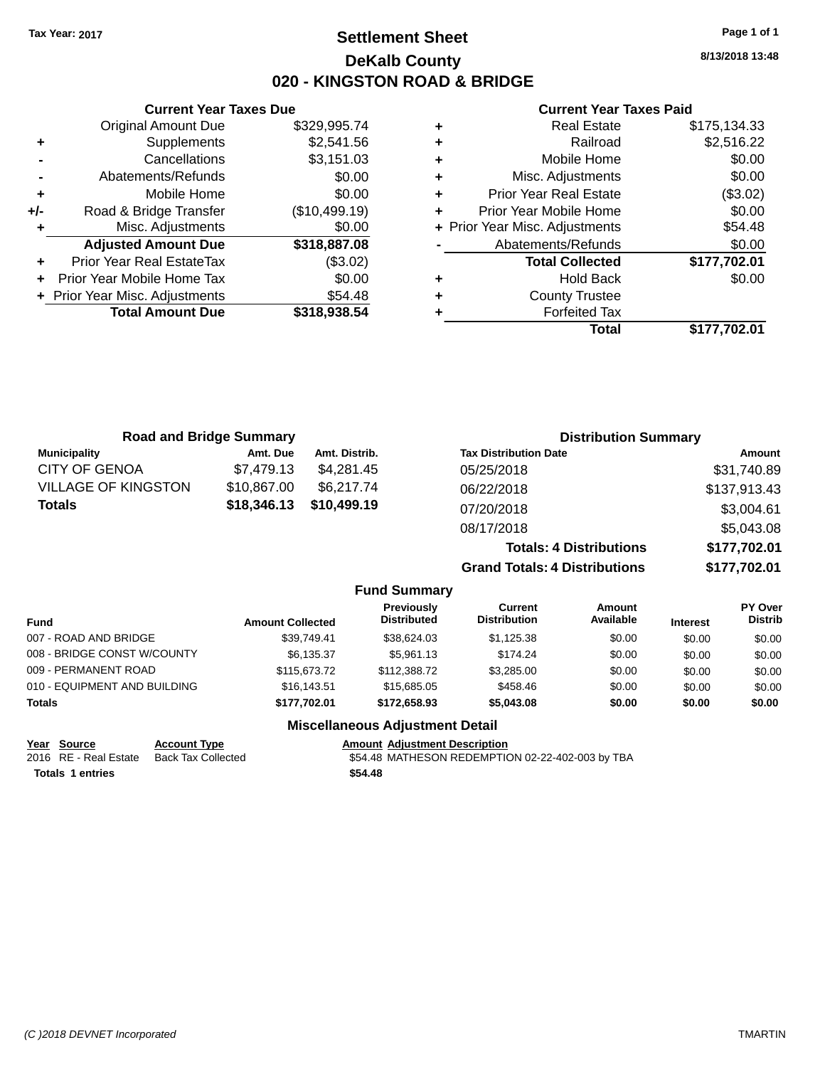### **Settlement Sheet Tax Year: 2017 Page 1 of 1 DeKalb County 020 - KINGSTON ROAD & BRIDGE**

**8/13/2018 13:48**

#### **Current Year Taxes Paid**

|     | <b>Current Year Taxes Due</b>  |               |
|-----|--------------------------------|---------------|
|     | <b>Original Amount Due</b>     | \$329,995.74  |
| ٠   | Supplements                    | \$2,541.56    |
|     | Cancellations                  | \$3,151.03    |
|     | Abatements/Refunds             | \$0.00        |
| ٠   | Mobile Home                    | \$0.00        |
| +/- | Road & Bridge Transfer         | (\$10,499.19) |
| ٠   | Misc. Adjustments              | \$0.00        |
|     | <b>Adjusted Amount Due</b>     | \$318,887.08  |
| ٠   | Prior Year Real EstateTax      | (\$3.02)      |
|     | Prior Year Mobile Home Tax     | \$0.00        |
|     | + Prior Year Misc. Adjustments | \$54.48       |
|     | <b>Total Amount Due</b>        | \$318,938.54  |
|     |                                |               |

| ٠ | <b>Real Estate</b>             | \$175,134.33 |
|---|--------------------------------|--------------|
| ٠ | Railroad                       | \$2,516.22   |
| ٠ | Mobile Home                    | \$0.00       |
| ٠ | Misc. Adjustments              | \$0.00       |
| ٠ | <b>Prior Year Real Estate</b>  | (\$3.02)     |
| ٠ | Prior Year Mobile Home         | \$0.00       |
|   | + Prior Year Misc. Adjustments | \$54.48      |
|   | Abatements/Refunds             | \$0.00       |
|   | <b>Total Collected</b>         | \$177,702.01 |
| ٠ | <b>Hold Back</b>               | \$0.00       |
| ٠ | <b>County Trustee</b>          |              |
| ٠ | <b>Forfeited Tax</b>           |              |
|   | Total                          | \$177,702.01 |
|   |                                |              |

| <b>Road and Bridge Summary</b> |             |               | <b>Distribution Summary</b>          |              |
|--------------------------------|-------------|---------------|--------------------------------------|--------------|
| <b>Municipality</b>            | Amt. Due    | Amt. Distrib. | <b>Tax Distribution Date</b>         | Amount       |
| <b>CITY OF GENOA</b>           | \$7.479.13  | \$4.281.45    | 05/25/2018                           | \$31,740.89  |
| <b>VILLAGE OF KINGSTON</b>     | \$10,867.00 | \$6.217.74    | 06/22/2018                           | \$137,913.43 |
| <b>Totals</b>                  | \$18,346.13 | \$10,499.19   | 07/20/2018                           | \$3,004.61   |
|                                |             |               | 08/17/2018                           | \$5,043.08   |
|                                |             |               | <b>Totals: 4 Distributions</b>       | \$177,702.01 |
|                                |             |               | <b>Grand Totals: 4 Distributions</b> | \$177,702.01 |

|                              |                         | <b>Fund Summary</b>                     |                                       |                            |                 |                                  |
|------------------------------|-------------------------|-----------------------------------------|---------------------------------------|----------------------------|-----------------|----------------------------------|
| <b>Fund</b>                  | <b>Amount Collected</b> | <b>Previously</b><br><b>Distributed</b> | <b>Current</b><br><b>Distribution</b> | <b>Amount</b><br>Available | <b>Interest</b> | <b>PY Over</b><br><b>Distrib</b> |
| 007 - ROAD AND BRIDGE        | \$39.749.41             | \$38,624.03                             | \$1.125.38                            | \$0.00                     | \$0.00          | \$0.00                           |
| 008 - BRIDGE CONST W/COUNTY  | \$6.135.37              | \$5,961.13                              | \$174.24                              | \$0.00                     | \$0.00          | \$0.00                           |
| 009 - PERMANENT ROAD         | \$115,673.72            | \$112,388,72                            | \$3,285.00                            | \$0.00                     | \$0.00          | \$0.00                           |
| 010 - EQUIPMENT AND BUILDING | \$16,143.51             | \$15,685,05                             | \$458.46                              | \$0.00                     | \$0.00          | \$0.00                           |
| <b>Totals</b>                | \$177,702.01            | \$172,658.93                            | \$5,043.08                            | \$0.00                     | \$0.00          | \$0.00                           |
|                              |                         |                                         |                                       |                            |                 |                                  |

#### **Miscellaneous Adjustment Detail**

| Year Source             | <b>Account Type</b> | <b>Amount Adiustment Description</b>             |
|-------------------------|---------------------|--------------------------------------------------|
| 2016 RE - Real Estate   | Back Tax Collected  | \$54.48 MATHESON REDEMPTION 02-22-402-003 by TBA |
| <b>Totals 1 entries</b> |                     | \$54.48                                          |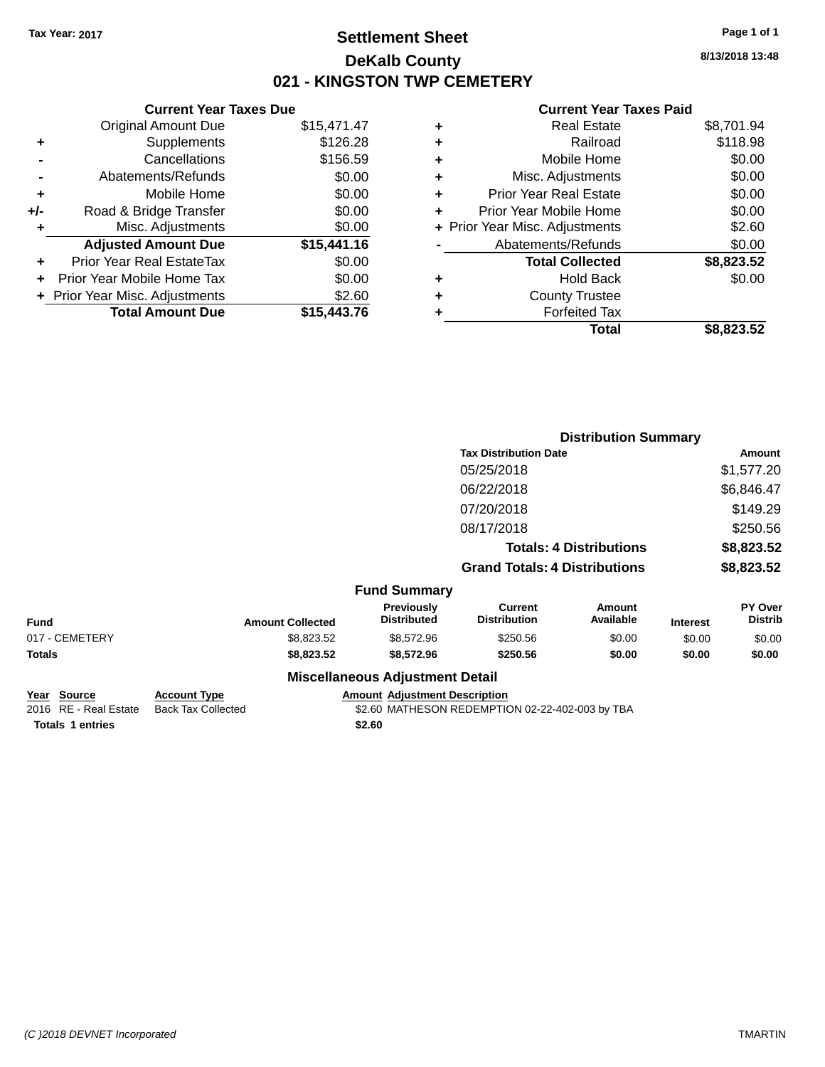### **Settlement Sheet Tax Year: 2017 Page 1 of 1 DeKalb County 021 - KINGSTON TWP CEMETERY**

**8/13/2018 13:48**

#### **Current Year Taxes Paid**

|     | <b>Current Year Taxes Due</b>  |             |
|-----|--------------------------------|-------------|
|     | <b>Original Amount Due</b>     | \$15,471.47 |
| ٠   | Supplements                    | \$126.28    |
|     | Cancellations                  | \$156.59    |
|     | Abatements/Refunds             | \$0.00      |
| ٠   | Mobile Home                    | \$0.00      |
| +/- | Road & Bridge Transfer         | \$0.00      |
| ٠   | Misc. Adjustments              | \$0.00      |
|     | <b>Adjusted Amount Due</b>     | \$15,441.16 |
| ÷   | Prior Year Real EstateTax      | \$0.00      |
| ÷   | Prior Year Mobile Home Tax     | \$0.00      |
|     | + Prior Year Misc. Adjustments | \$2.60      |
|     | <b>Total Amount Due</b>        | \$15.443.76 |

| ٠ | <b>Real Estate</b>             | \$8,701.94 |
|---|--------------------------------|------------|
| ٠ | Railroad                       | \$118.98   |
| ٠ | Mobile Home                    | \$0.00     |
| ٠ | Misc. Adjustments              | \$0.00     |
| ٠ | <b>Prior Year Real Estate</b>  | \$0.00     |
|   | Prior Year Mobile Home         | \$0.00     |
|   | + Prior Year Misc. Adjustments | \$2.60     |
|   | Abatements/Refunds             | \$0.00     |
|   | <b>Total Collected</b>         | \$8,823.52 |
| ٠ | <b>Hold Back</b>               | \$0.00     |
|   | <b>County Trustee</b>          |            |
| ٠ | <b>Forfeited Tax</b>           |            |
|   | Total                          | \$8,823.52 |
|   |                                |            |

|                |                         |                                        | <b>Distribution Summary</b>           |                                |                 |                                  |
|----------------|-------------------------|----------------------------------------|---------------------------------------|--------------------------------|-----------------|----------------------------------|
|                |                         |                                        | <b>Tax Distribution Date</b>          |                                |                 | Amount                           |
|                |                         |                                        | 05/25/2018                            |                                |                 | \$1,577.20                       |
|                |                         |                                        | 06/22/2018                            |                                |                 | \$6,846.47                       |
|                |                         |                                        | 07/20/2018                            |                                |                 | \$149.29                         |
|                |                         |                                        | 08/17/2018                            |                                |                 | \$250.56                         |
|                |                         |                                        |                                       | <b>Totals: 4 Distributions</b> |                 | \$8,823.52                       |
|                |                         |                                        | <b>Grand Totals: 4 Distributions</b>  |                                |                 | \$8,823.52                       |
|                |                         | <b>Fund Summary</b>                    |                                       |                                |                 |                                  |
| <b>Fund</b>    | <b>Amount Collected</b> | Previously<br><b>Distributed</b>       | <b>Current</b><br><b>Distribution</b> | Amount<br>Available            | <b>Interest</b> | <b>PY Over</b><br><b>Distrib</b> |
| 017 - CEMETERY | \$8,823.52              | \$8,572.96                             | \$250.56                              | \$0.00                         | \$0.00          | \$0.00                           |
| <b>Totals</b>  | \$8,823.52              | \$8,572.96                             | \$250.56                              | \$0.00                         | \$0.00          | \$0.00                           |
|                |                         | <b>Miscellaneous Adjustment Detail</b> |                                       |                                |                 |                                  |

| Year Source             | <b>Account Type</b> | <b>Amount Adjustment Description</b>            |
|-------------------------|---------------------|-------------------------------------------------|
| 2016 RE - Real Estate   | Back Tax Collected  | \$2.60 MATHESON REDEMPTION 02-22-402-003 by TBA |
| <b>Totals 1 entries</b> |                     | \$2.60                                          |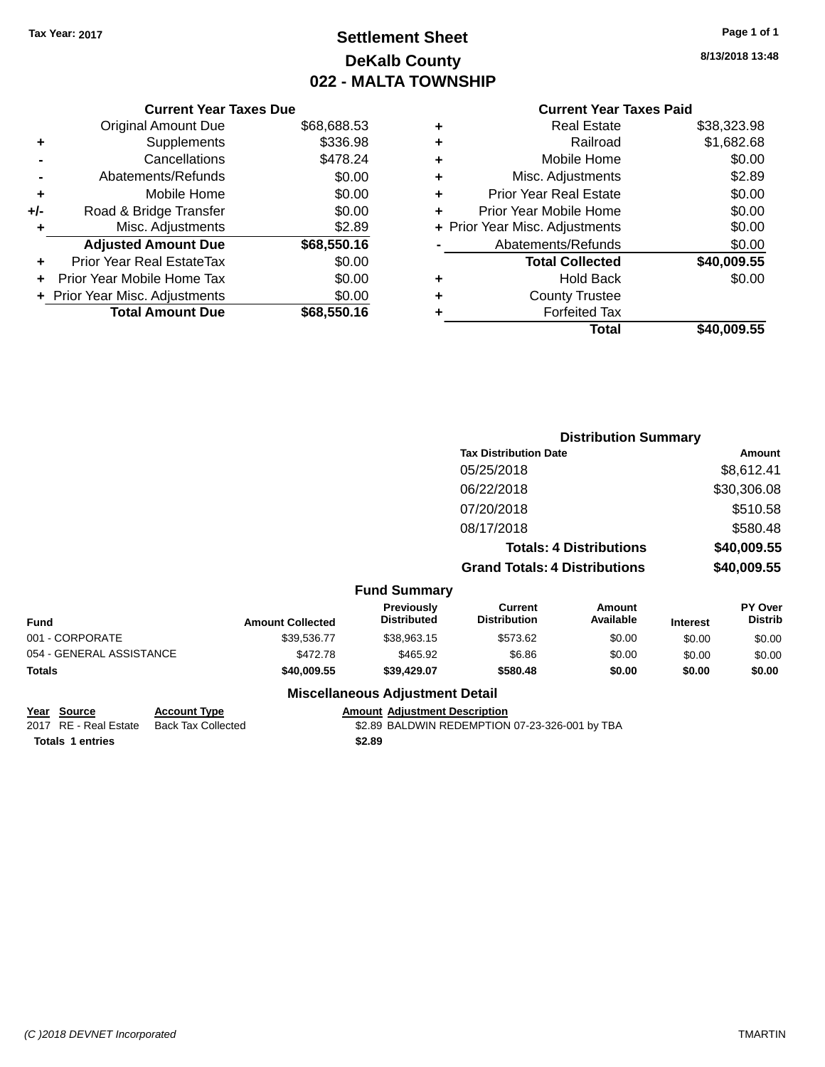### **Settlement Sheet Tax Year: 2017 Page 1 of 1 DeKalb County 022 - MALTA TOWNSHIP**

**8/13/2018 13:48**

|     | <b>Current Year Taxes Due</b>    |             |  |  |  |
|-----|----------------------------------|-------------|--|--|--|
|     | <b>Original Amount Due</b>       | \$68,688.53 |  |  |  |
| ٠   | Supplements                      | \$336.98    |  |  |  |
|     | Cancellations                    | \$478.24    |  |  |  |
|     | Abatements/Refunds               | \$0.00      |  |  |  |
| ٠   | Mobile Home                      | \$0.00      |  |  |  |
| +/- | Road & Bridge Transfer           | \$0.00      |  |  |  |
| ٠   | Misc. Adjustments                | \$2.89      |  |  |  |
|     | <b>Adjusted Amount Due</b>       | \$68,550.16 |  |  |  |
| ÷   | <b>Prior Year Real EstateTax</b> | \$0.00      |  |  |  |
|     | Prior Year Mobile Home Tax       | \$0.00      |  |  |  |
|     | + Prior Year Misc. Adjustments   | \$0.00      |  |  |  |
|     | <b>Total Amount Due</b>          | \$68,550.16 |  |  |  |
|     |                                  |             |  |  |  |

### **Current Year Taxes Paid**

| ٠ | <b>Real Estate</b>             | \$38,323.98 |
|---|--------------------------------|-------------|
| ٠ | Railroad                       | \$1,682.68  |
| ٠ | Mobile Home                    | \$0.00      |
| ٠ | Misc. Adjustments              | \$2.89      |
| ٠ | <b>Prior Year Real Estate</b>  | \$0.00      |
| ٠ | Prior Year Mobile Home         | \$0.00      |
|   | + Prior Year Misc. Adjustments | \$0.00      |
|   | Abatements/Refunds             | \$0.00      |
|   | <b>Total Collected</b>         | \$40,009.55 |
| ٠ | <b>Hold Back</b>               | \$0.00      |
| ٠ | <b>County Trustee</b>          |             |
|   | <b>Forfeited Tax</b>           |             |
|   | Total                          | \$40,009.55 |
|   |                                |             |

|                          |                              |                                        | <b>Distribution Summary</b>           |                     |                 |                           |
|--------------------------|------------------------------|----------------------------------------|---------------------------------------|---------------------|-----------------|---------------------------|
|                          | <b>Tax Distribution Date</b> |                                        |                                       |                     | <b>Amount</b>   |                           |
|                          |                              |                                        | 05/25/2018                            |                     |                 | \$8,612.41                |
|                          |                              |                                        | 06/22/2018                            |                     |                 | \$30,306.08               |
|                          |                              |                                        | 07/20/2018                            |                     |                 | \$510.58                  |
|                          |                              |                                        | 08/17/2018                            |                     |                 | \$580.48                  |
|                          |                              |                                        | <b>Totals: 4 Distributions</b>        |                     | \$40,009.55     |                           |
|                          |                              |                                        | <b>Grand Totals: 4 Distributions</b>  |                     | \$40,009.55     |                           |
|                          |                              | <b>Fund Summary</b>                    |                                       |                     |                 |                           |
| <b>Fund</b>              | <b>Amount Collected</b>      | Previously<br><b>Distributed</b>       | <b>Current</b><br><b>Distribution</b> | Amount<br>Available | <b>Interest</b> | PY Over<br><b>Distrib</b> |
| 001 - CORPORATE          | \$39,536.77                  | \$38,963.15                            | \$573.62                              | \$0.00              | \$0.00          | \$0.00                    |
| 054 - GENERAL ASSISTANCE | \$472.78                     | \$465.92                               | \$6.86                                | \$0.00              | \$0.00          | \$0.00                    |
| <b>Totals</b>            | \$40,009.55                  | \$39,429.07                            | \$580.48                              | \$0.00              | \$0.00          | \$0.00                    |
|                          |                              | <b>Miscellaneous Adjustment Detail</b> |                                       |                     |                 |                           |

# **Year Source Account Type Amount Adjustment Description**

\$2.89 BALDWIN REDEMPTION 07-23-326-001 by TBA **Totals \$2.89 1 entries**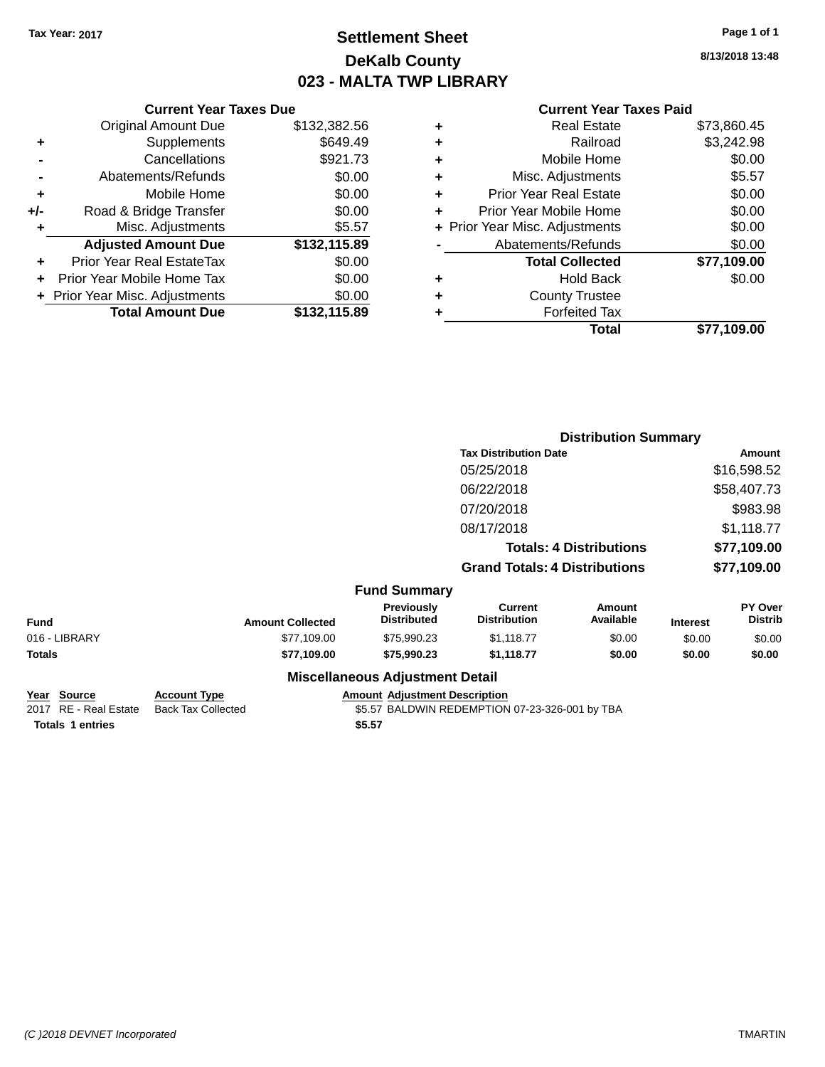### **Settlement Sheet Tax Year: 2017 Page 1 of 1 DeKalb County 023 - MALTA TWP LIBRARY**

**8/13/2018 13:48**

| <b>Current Year Taxes Paid</b> |  |  |
|--------------------------------|--|--|
|                                |  |  |

|     | <b>Current Year Taxes Due</b> |              |
|-----|-------------------------------|--------------|
|     | <b>Original Amount Due</b>    | \$132,382.56 |
| ٠   | Supplements                   | \$649.49     |
|     | Cancellations                 | \$921.73     |
|     | Abatements/Refunds            | \$0.00       |
| ٠   | Mobile Home                   | \$0.00       |
| +/- | Road & Bridge Transfer        | \$0.00       |
| ٠   | Misc. Adjustments             | \$5.57       |
|     | <b>Adjusted Amount Due</b>    | \$132,115.89 |
| ٠   | Prior Year Real EstateTax     | \$0.00       |
|     | Prior Year Mobile Home Tax    | \$0.00       |
|     | Prior Year Misc. Adjustments  | \$0.00       |
|     | <b>Total Amount Due</b>       | \$132,115.89 |
|     |                               |              |

| ٠ | <b>Real Estate</b>             | \$73,860.45 |
|---|--------------------------------|-------------|
| ٠ | Railroad                       | \$3,242.98  |
| ٠ | Mobile Home                    | \$0.00      |
| ٠ | Misc. Adjustments              | \$5.57      |
| ٠ | <b>Prior Year Real Estate</b>  | \$0.00      |
| ٠ | Prior Year Mobile Home         | \$0.00      |
|   | + Prior Year Misc. Adjustments | \$0.00      |
|   | Abatements/Refunds             | \$0.00      |
|   | <b>Total Collected</b>         | \$77,109.00 |
| ٠ | Hold Back                      | \$0.00      |
| ٠ | <b>County Trustee</b>          |             |
| ٠ | <b>Forfeited Tax</b>           |             |
|   | Total                          | \$77,109.00 |
|   |                                |             |

|               |              |                         |                                        |                                       | <b>Distribution Summary</b>    |                 |                           |
|---------------|--------------|-------------------------|----------------------------------------|---------------------------------------|--------------------------------|-----------------|---------------------------|
|               |              |                         |                                        | <b>Tax Distribution Date</b>          |                                | Amount          |                           |
|               |              |                         |                                        | 05/25/2018                            |                                |                 | \$16,598.52               |
|               |              |                         |                                        | 06/22/2018                            |                                |                 | \$58,407.73               |
|               |              |                         |                                        | 07/20/2018                            |                                |                 | \$983.98                  |
|               |              |                         |                                        | 08/17/2018                            |                                |                 | \$1,118.77                |
|               |              |                         |                                        |                                       | <b>Totals: 4 Distributions</b> |                 | \$77,109.00               |
|               |              |                         |                                        | <b>Grand Totals: 4 Distributions</b>  |                                |                 | \$77,109.00               |
|               |              |                         | <b>Fund Summary</b>                    |                                       |                                |                 |                           |
| <b>Fund</b>   |              | <b>Amount Collected</b> | Previously<br><b>Distributed</b>       | <b>Current</b><br><b>Distribution</b> | Amount<br>Available            | <b>Interest</b> | PY Over<br><b>Distrib</b> |
| 016 - LIBRARY |              | \$77,109.00             | \$75,990.23                            | \$1,118.77                            | \$0.00                         | \$0.00          | \$0.00                    |
| <b>Totals</b> |              | \$77,109.00             | \$75,990.23                            | \$1,118.77                            | \$0.00                         | \$0.00          | \$0.00                    |
|               |              |                         | <b>Miscellaneous Adjustment Detail</b> |                                       |                                |                 |                           |
| Voor Course   | Account Type |                         | Amount Adjustment Description          |                                       |                                |                 |                           |

| rear source      | <b>ACCOUNT IVDE</b>                      |        | Amount Agiustment Description                  |
|------------------|------------------------------------------|--------|------------------------------------------------|
|                  | 2017 RE - Real Estate Back Tax Collected |        | \$5.57 BALDWIN REDEMPTION 07-23-326-001 by TBA |
| Totals 1 entries |                                          | \$5.57 |                                                |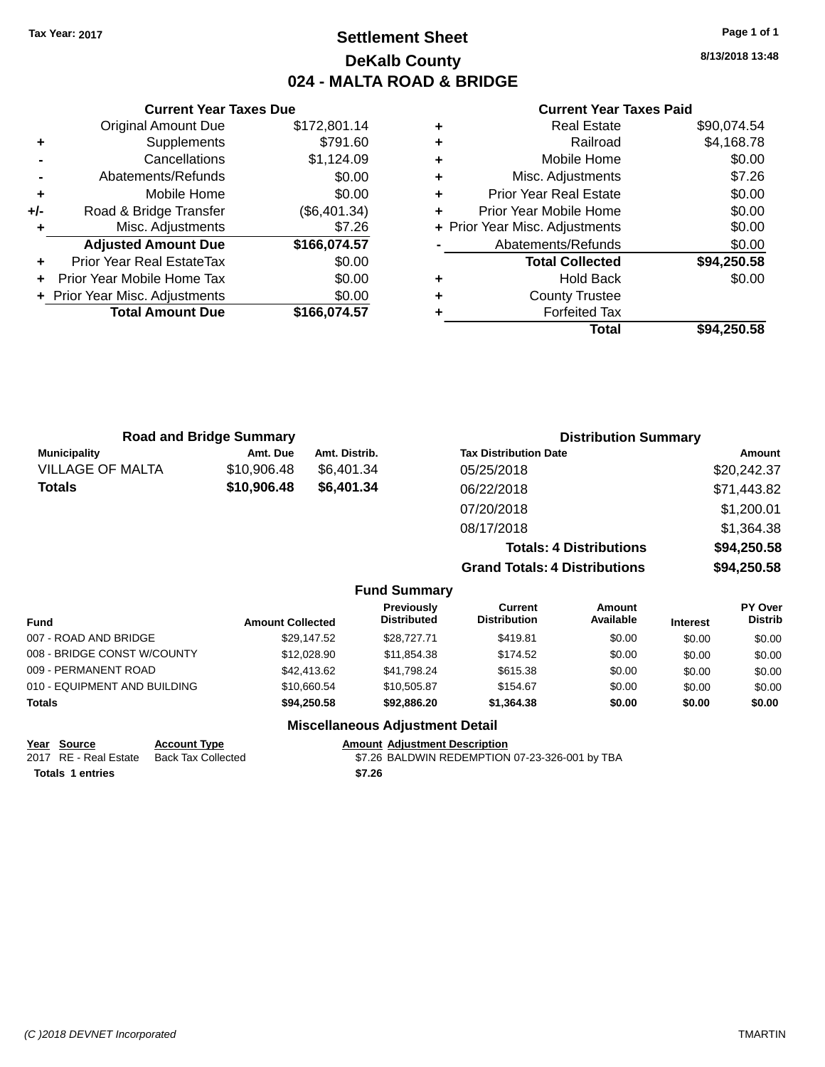### **Settlement Sheet Tax Year: 2017 Page 1 of 1 DeKalb County 024 - MALTA ROAD & BRIDGE**

**8/13/2018 13:48**

#### **Current Year Taxes Paid**

|     | <b>Current Year Taxes Due</b>  |              |  |  |  |
|-----|--------------------------------|--------------|--|--|--|
|     | <b>Original Amount Due</b>     | \$172,801.14 |  |  |  |
| ٠   | Supplements                    | \$791.60     |  |  |  |
|     | Cancellations                  | \$1,124.09   |  |  |  |
|     | Abatements/Refunds             | \$0.00       |  |  |  |
| ٠   | Mobile Home                    | \$0.00       |  |  |  |
| +/- | Road & Bridge Transfer         | (\$6,401.34) |  |  |  |
|     | Misc. Adjustments              | \$7.26       |  |  |  |
|     | <b>Adjusted Amount Due</b>     | \$166,074.57 |  |  |  |
|     | Prior Year Real EstateTax      | \$0.00       |  |  |  |
|     | Prior Year Mobile Home Tax     | \$0.00       |  |  |  |
|     | + Prior Year Misc. Adjustments | \$0.00       |  |  |  |
|     | <b>Total Amount Due</b>        | \$166,074.57 |  |  |  |
|     |                                |              |  |  |  |

|   | <b>Real Estate</b>             | \$90,074.54 |
|---|--------------------------------|-------------|
| ٠ | Railroad                       | \$4,168.78  |
| ٠ | Mobile Home                    | \$0.00      |
| ٠ | Misc. Adjustments              | \$7.26      |
| ٠ | <b>Prior Year Real Estate</b>  | \$0.00      |
| ٠ | Prior Year Mobile Home         | \$0.00      |
|   | + Prior Year Misc. Adjustments | \$0.00      |
|   | Abatements/Refunds             | \$0.00      |
|   | <b>Total Collected</b>         | \$94,250.58 |
| ٠ | <b>Hold Back</b>               | \$0.00      |
| ٠ | <b>County Trustee</b>          |             |
| ٠ | <b>Forfeited Tax</b>           |             |
|   | Total                          | \$94,250.58 |
|   |                                |             |

| <b>Road and Bridge Summary</b> |             |               | <b>Distribution Summary</b>          |             |  |
|--------------------------------|-------------|---------------|--------------------------------------|-------------|--|
| <b>Municipality</b>            | Amt. Due    | Amt. Distrib. | <b>Tax Distribution Date</b>         | Amount      |  |
| <b>VILLAGE OF MALTA</b>        | \$10,906.48 | \$6.401.34    | 05/25/2018                           | \$20,242.37 |  |
| <b>Totals</b>                  | \$10,906.48 | \$6,401.34    | 06/22/2018                           | \$71,443.82 |  |
|                                |             |               | 07/20/2018                           | \$1,200.01  |  |
|                                |             |               | 08/17/2018                           | \$1,364.38  |  |
|                                |             |               | <b>Totals: 4 Distributions</b>       | \$94,250.58 |  |
|                                |             |               | <b>Grand Totals: 4 Distributions</b> | \$94,250.58 |  |

| <b>Fund Summary</b> |  |
|---------------------|--|
|                     |  |

| Fund                         | <b>Amount Collected</b> | <b>Previously</b><br><b>Distributed</b> | Current<br><b>Distribution</b> | Amount<br>Available | <b>Interest</b> | <b>PY Over</b><br><b>Distrib</b> |
|------------------------------|-------------------------|-----------------------------------------|--------------------------------|---------------------|-----------------|----------------------------------|
| 007 - ROAD AND BRIDGE        | \$29.147.52             | \$28,727,71                             | \$419.81                       | \$0.00              | \$0.00          | \$0.00                           |
| 008 - BRIDGE CONST W/COUNTY  | \$12,028.90             | \$11.854.38                             | \$174.52                       | \$0.00              | \$0.00          | \$0.00                           |
| 009 - PERMANENT ROAD         | \$42,413,62             | \$41,798.24                             | \$615.38                       | \$0.00              | \$0.00          | \$0.00                           |
| 010 - EQUIPMENT AND BUILDING | \$10,660.54             | \$10.505.87                             | \$154.67                       | \$0.00              | \$0.00          | \$0.00                           |
| Totals                       | \$94.250.58             | \$92,886,20                             | \$1.364.38                     | \$0.00              | \$0.00          | \$0.00                           |

### **Miscellaneous Adjustment Detail**

| Year Source      | <b>Account Type</b>                      |        | <b>Amount Adiustment Description</b>           |
|------------------|------------------------------------------|--------|------------------------------------------------|
|                  | 2017 RE - Real Estate Back Tax Collected |        | \$7.26 BALDWIN REDEMPTION 07-23-326-001 by TBA |
| Totals 1 entries |                                          | \$7.26 |                                                |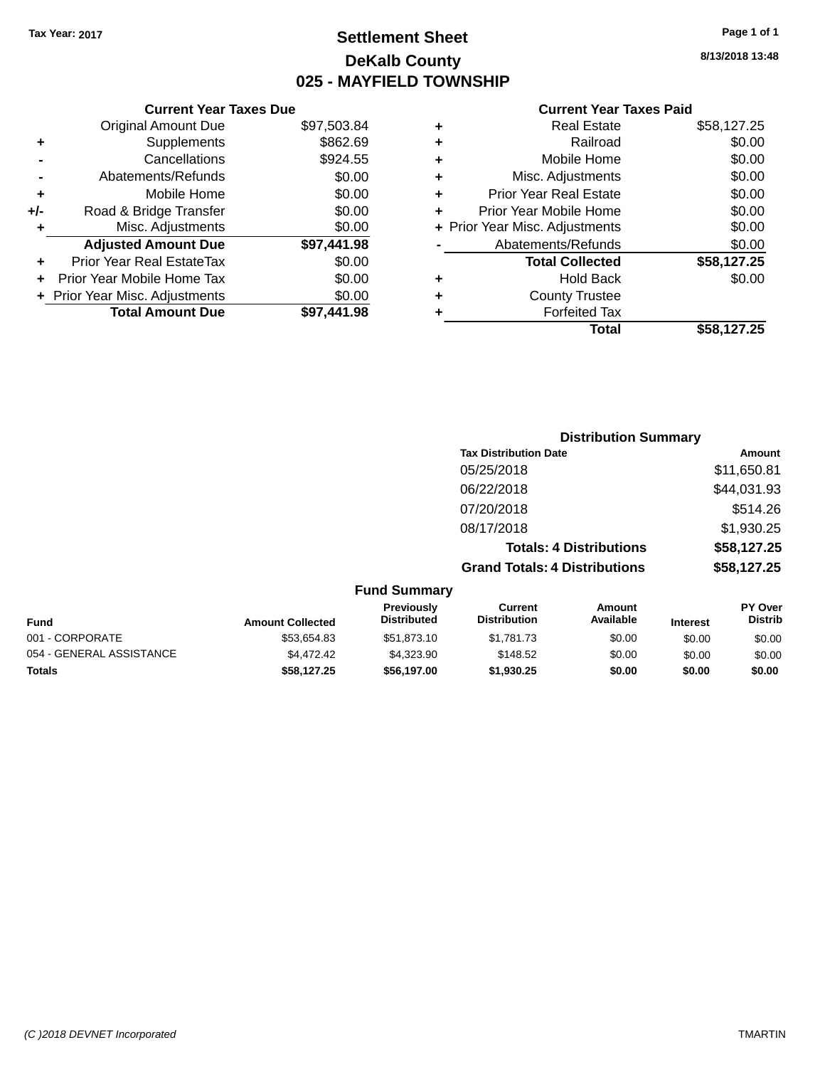### **Settlement Sheet Tax Year: 2017 Page 1 of 1 DeKalb County 025 - MAYFIELD TOWNSHIP**

**8/13/2018 13:48**

#### **Current Year Taxes Paid**

| <b>Current Year Taxes Due</b>  |             |
|--------------------------------|-------------|
| <b>Original Amount Due</b>     | \$97,503.84 |
| Supplements                    | \$862.69    |
| Cancellations                  | \$924.55    |
| Abatements/Refunds             | \$0.00      |
| Mobile Home                    | \$0.00      |
| Road & Bridge Transfer         | \$0.00      |
| Misc. Adjustments              | \$0.00      |
| <b>Adjusted Amount Due</b>     | \$97,441.98 |
| Prior Year Real EstateTax      | \$0.00      |
| Prior Year Mobile Home Tax     | \$0.00      |
| + Prior Year Misc. Adjustments | \$0.00      |
| <b>Total Amount Due</b>        | \$97.441.98 |
|                                |             |
|                                |             |

|   | <b>Real Estate</b>             | \$58,127.25 |
|---|--------------------------------|-------------|
| ٠ | Railroad                       | \$0.00      |
| ٠ | Mobile Home                    | \$0.00      |
| ٠ | Misc. Adjustments              | \$0.00      |
| ٠ | <b>Prior Year Real Estate</b>  | \$0.00      |
| ٠ | Prior Year Mobile Home         | \$0.00      |
|   | + Prior Year Misc. Adjustments | \$0.00      |
|   | Abatements/Refunds             | \$0.00      |
|   | <b>Total Collected</b>         | \$58,127.25 |
| ٠ | <b>Hold Back</b>               | \$0.00      |
| ٠ | <b>County Trustee</b>          |             |
| ٠ | <b>Forfeited Tax</b>           |             |
|   | Total                          | \$58,127.25 |
|   |                                |             |

|                     |                                      | <b>Distribution Summary</b>    |                |
|---------------------|--------------------------------------|--------------------------------|----------------|
|                     | <b>Tax Distribution Date</b>         |                                | Amount         |
|                     | 05/25/2018                           |                                | \$11,650.81    |
|                     | 06/22/2018                           |                                | \$44,031.93    |
|                     | 07/20/2018                           |                                | \$514.26       |
|                     | 08/17/2018                           |                                | \$1,930.25     |
|                     |                                      | <b>Totals: 4 Distributions</b> | \$58,127.25    |
|                     | <b>Grand Totals: 4 Distributions</b> |                                | \$58,127.25    |
| <b>Fund Summary</b> |                                      |                                |                |
| <b>Previously</b>   | Current                              | Amount                         | <b>PY Over</b> |

| <b>Amount Collected</b> | <b>Previously</b><br><b>Distributed</b> | ourrent<br><b>Distribution</b> | Amount<br>Available | <b>Interest</b> | <b>PT OVER</b><br><b>Distrib</b> |
|-------------------------|-----------------------------------------|--------------------------------|---------------------|-----------------|----------------------------------|
| \$53.654.83             | \$51.873.10                             | \$1.781.73                     | \$0.00              | \$0.00          | \$0.00                           |
| \$4,472.42              | \$4.323.90                              | \$148.52                       | \$0.00              | \$0.00          | \$0.00                           |
| \$58.127.25             | \$56,197,00                             | \$1,930.25                     | \$0.00              | \$0.00          | \$0.00                           |
|                         |                                         |                                |                     |                 |                                  |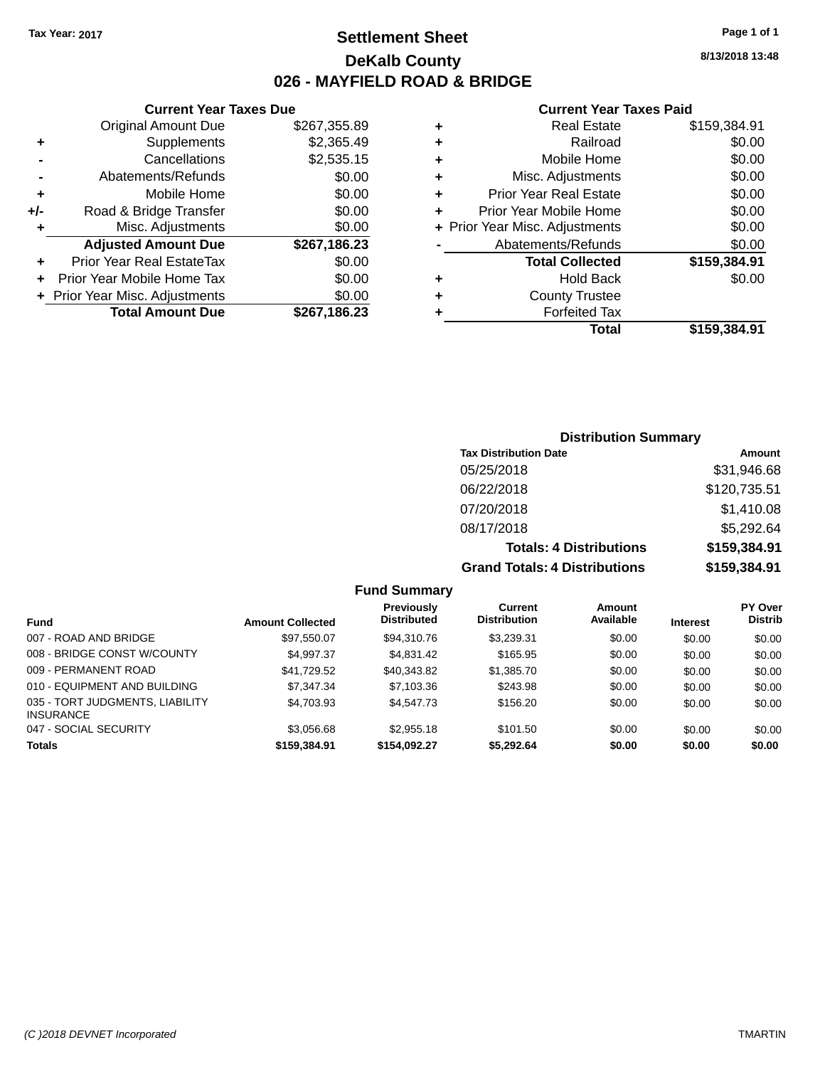### **Settlement Sheet Tax Year: 2017 Page 1 of 1 DeKalb County 026 - MAYFIELD ROAD & BRIDGE**

**Current Year Taxes Due**

| <b>Original Amount Due</b> | \$267,355.89                   |
|----------------------------|--------------------------------|
| Supplements                | \$2,365.49                     |
| Cancellations              | \$2,535.15                     |
| Abatements/Refunds         | \$0.00                         |
| Mobile Home                | \$0.00                         |
| Road & Bridge Transfer     | \$0.00                         |
| Misc. Adjustments          | \$0.00                         |
| <b>Adjusted Amount Due</b> | \$267,186.23                   |
| Prior Year Real EstateTax  | \$0.00                         |
| Prior Year Mobile Home Tax | \$0.00                         |
|                            | \$0.00                         |
| <b>Total Amount Due</b>    | \$267,186.23                   |
|                            | + Prior Year Misc. Adjustments |

#### **Current Year Taxes Paid**

| ٠ | <b>Real Estate</b>             | \$159,384.91 |
|---|--------------------------------|--------------|
| ٠ | Railroad                       | \$0.00       |
| ٠ | Mobile Home                    | \$0.00       |
| ٠ | Misc. Adjustments              | \$0.00       |
| ٠ | <b>Prior Year Real Estate</b>  | \$0.00       |
| ٠ | Prior Year Mobile Home         | \$0.00       |
|   | + Prior Year Misc. Adjustments | \$0.00       |
|   | Abatements/Refunds             | \$0.00       |
|   | <b>Total Collected</b>         | \$159,384.91 |
| ٠ | <b>Hold Back</b>               | \$0.00       |
| ٠ | <b>County Trustee</b>          |              |
| ٠ | <b>Forfeited Tax</b>           |              |
|   | Total                          | \$159.384.91 |
|   |                                |              |

### **Distribution Summary Tax Distribution Date Amount** 05/25/2018 \$31,946.68 06/22/2018 \$120,735.51 07/20/2018 \$1,410.08 08/17/2018 \$5,292.64 **Totals: 4 Distributions \$159,384.91 Grand Totals: 4 Distributions \$159,384.91**

| <b>Fund</b>                                         | <b>Amount Collected</b> | Previously<br><b>Distributed</b> | <b>Current</b><br><b>Distribution</b> | <b>Amount</b><br>Available | <b>Interest</b> | <b>PY Over</b><br><b>Distrib</b> |
|-----------------------------------------------------|-------------------------|----------------------------------|---------------------------------------|----------------------------|-----------------|----------------------------------|
| 007 - ROAD AND BRIDGE                               | \$97.550.07             | \$94,310.76                      | \$3.239.31                            | \$0.00                     | \$0.00          | \$0.00                           |
| 008 - BRIDGE CONST W/COUNTY                         | \$4.997.37              | \$4,831.42                       | \$165.95                              | \$0.00                     | \$0.00          | \$0.00                           |
| 009 - PERMANENT ROAD                                | \$41,729.52             | \$40.343.82                      | \$1,385.70                            | \$0.00                     | \$0.00          | \$0.00                           |
| 010 - EQUIPMENT AND BUILDING                        | \$7,347,34              | \$7,103.36                       | \$243.98                              | \$0.00                     | \$0.00          | \$0.00                           |
| 035 - TORT JUDGMENTS, LIABILITY<br><b>INSURANCE</b> | \$4,703.93              | \$4,547,73                       | \$156.20                              | \$0.00                     | \$0.00          | \$0.00                           |
| 047 - SOCIAL SECURITY                               | \$3.056.68              | \$2,955.18                       | \$101.50                              | \$0.00                     | \$0.00          | \$0.00                           |
| <b>Totals</b>                                       | \$159,384.91            | \$154,092.27                     | \$5,292.64                            | \$0.00                     | \$0.00          | \$0.00                           |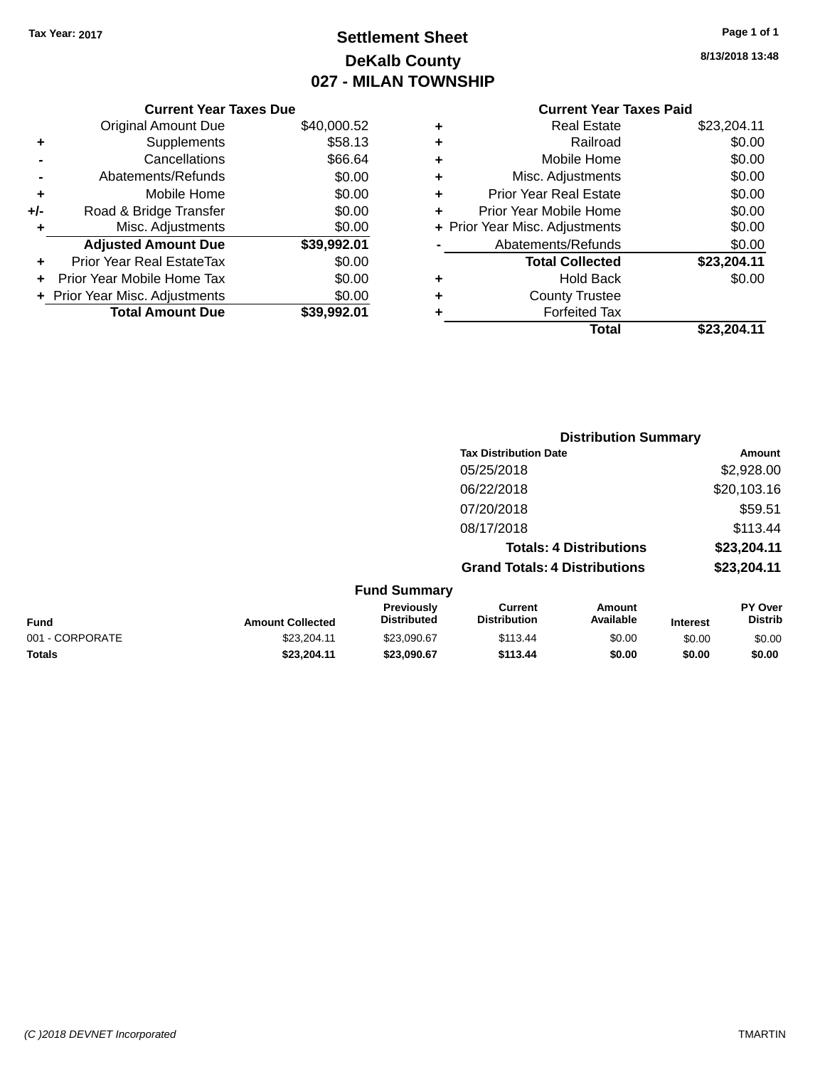### **Settlement Sheet Tax Year: 2017 Page 1 of 1 DeKalb County 027 - MILAN TOWNSHIP**

| Page 1 of 1 |  |  |  |
|-------------|--|--|--|
|-------------|--|--|--|

**8/13/2018 13:48**

#### **Current Year Taxes Paid**

|     | <b>Current Year Taxes Due</b> |             |  |  |  |  |
|-----|-------------------------------|-------------|--|--|--|--|
|     | <b>Original Amount Due</b>    | \$40,000.52 |  |  |  |  |
| ٠   | Supplements                   | \$58.13     |  |  |  |  |
|     | Cancellations                 | \$66.64     |  |  |  |  |
|     | Abatements/Refunds            | \$0.00      |  |  |  |  |
| ٠   | Mobile Home                   | \$0.00      |  |  |  |  |
| +/- | Road & Bridge Transfer        | \$0.00      |  |  |  |  |
| ٠   | Misc. Adjustments             | \$0.00      |  |  |  |  |
|     | <b>Adjusted Amount Due</b>    | \$39,992.01 |  |  |  |  |
| ٠   | Prior Year Real EstateTax     | \$0.00      |  |  |  |  |
| ٠   | Prior Year Mobile Home Tax    | \$0.00      |  |  |  |  |
|     | Prior Year Misc. Adjustments  | \$0.00      |  |  |  |  |
|     | <b>Total Amount Due</b>       | \$39,992.01 |  |  |  |  |

| ٠ | <b>Real Estate</b>             | \$23,204.11 |
|---|--------------------------------|-------------|
| ÷ | Railroad                       | \$0.00      |
| ٠ | Mobile Home                    | \$0.00      |
| ٠ | Misc. Adjustments              | \$0.00      |
| ٠ | <b>Prior Year Real Estate</b>  | \$0.00      |
| ٠ | Prior Year Mobile Home         | \$0.00      |
|   | + Prior Year Misc. Adjustments | \$0.00      |
|   | Abatements/Refunds             | \$0.00      |
|   | <b>Total Collected</b>         | \$23,204.11 |
| ٠ | Hold Back                      | \$0.00      |
| ٠ | <b>County Trustee</b>          |             |
| ٠ | <b>Forfeited Tax</b>           |             |
|   | Total                          | \$23.204.11 |
|   |                                |             |

|                 |                         |                                  | <b>Distribution Summary</b>           |                                |                 |                           |
|-----------------|-------------------------|----------------------------------|---------------------------------------|--------------------------------|-----------------|---------------------------|
|                 |                         |                                  | <b>Tax Distribution Date</b>          |                                |                 | Amount                    |
|                 |                         |                                  | 05/25/2018                            |                                |                 | \$2,928.00                |
|                 |                         |                                  | 06/22/2018                            |                                |                 | \$20,103.16               |
|                 |                         |                                  | 07/20/2018                            |                                |                 | \$59.51                   |
|                 |                         |                                  | 08/17/2018                            |                                | \$113.44        |                           |
|                 |                         |                                  |                                       | <b>Totals: 4 Distributions</b> |                 | \$23,204.11               |
|                 |                         |                                  | <b>Grand Totals: 4 Distributions</b>  |                                |                 | \$23,204.11               |
|                 |                         | <b>Fund Summary</b>              |                                       |                                |                 |                           |
| <b>Fund</b>     | <b>Amount Collected</b> | Previously<br><b>Distributed</b> | <b>Current</b><br><b>Distribution</b> | Amount<br>Available            | <b>Interest</b> | PY Over<br><b>Distrib</b> |
| 001 - CORPORATE | \$23.204.11             | \$23,090.67                      | \$113.44                              | \$0.00                         | \$0.00          | \$0.00                    |

**Totals \$23,204.11 \$23,090.67 \$113.44 \$0.00 \$0.00 \$0.00**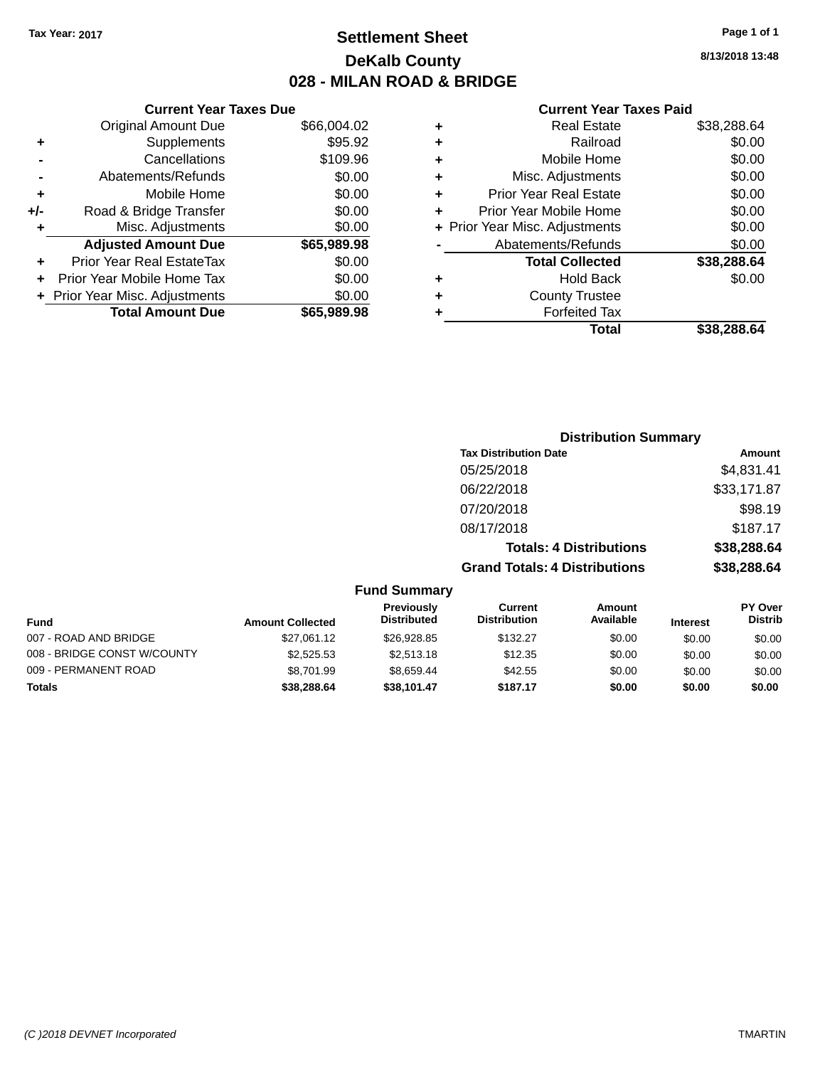### **Settlement Sheet Tax Year: 2017 Page 1 of 1 DeKalb County 028 - MILAN ROAD & BRIDGE**

**8/13/2018 13:48**

#### **Current Year Taxes Paid**

|       | <b>Current Year Taxes Due</b>  |             |
|-------|--------------------------------|-------------|
|       | <b>Original Amount Due</b>     | \$66,004.02 |
| ٠     | Supplements                    | \$95.92     |
|       | Cancellations                  | \$109.96    |
|       | Abatements/Refunds             | \$0.00      |
| ٠     | Mobile Home                    | \$0.00      |
| $+/-$ | Road & Bridge Transfer         | \$0.00      |
| ٠     | Misc. Adjustments              | \$0.00      |
|       | <b>Adjusted Amount Due</b>     | \$65,989.98 |
|       | Prior Year Real EstateTax      | \$0.00      |
|       | Prior Year Mobile Home Tax     | \$0.00      |
|       | + Prior Year Misc. Adjustments | \$0.00      |
|       | <b>Total Amount Due</b>        | \$65,989,98 |
|       |                                |             |

|   | <b>Real Estate</b>             | \$38,288.64 |
|---|--------------------------------|-------------|
| ٠ | Railroad                       | \$0.00      |
| ٠ | Mobile Home                    | \$0.00      |
| ٠ | Misc. Adjustments              | \$0.00      |
| ٠ | <b>Prior Year Real Estate</b>  | \$0.00      |
| ٠ | Prior Year Mobile Home         | \$0.00      |
|   | + Prior Year Misc. Adjustments | \$0.00      |
|   | Abatements/Refunds             | \$0.00      |
|   | <b>Total Collected</b>         | \$38,288.64 |
| ٠ | <b>Hold Back</b>               | \$0.00      |
| ٠ | <b>County Trustee</b>          |             |
| ٠ | <b>Forfeited Tax</b>           |             |
|   | Total                          | \$38,288.64 |
|   |                                |             |

|                     | <b>Distribution Summary</b>          |             |
|---------------------|--------------------------------------|-------------|
|                     | <b>Tax Distribution Date</b>         | Amount      |
|                     | 05/25/2018                           | \$4,831.41  |
|                     | 06/22/2018                           | \$33,171.87 |
|                     | 07/20/2018                           | \$98.19     |
|                     | 08/17/2018                           | \$187.17    |
|                     | <b>Totals: 4 Distributions</b>       | \$38,288.64 |
|                     | <b>Grand Totals: 4 Distributions</b> | \$38,288.64 |
| <b>Fund Summary</b> |                                      |             |

| Fund                        | <b>Amount Collected</b> | Previously<br><b>Distributed</b> | Current<br><b>Distribution</b> | Amount<br>Available | <b>Interest</b> | <b>PY Over</b><br><b>Distrib</b> |
|-----------------------------|-------------------------|----------------------------------|--------------------------------|---------------------|-----------------|----------------------------------|
| 007 - ROAD AND BRIDGE       | \$27,061.12             | \$26,928.85                      | \$132.27                       | \$0.00              | \$0.00          | \$0.00                           |
| 008 - BRIDGE CONST W/COUNTY | \$2,525.53              | \$2.513.18                       | \$12.35                        | \$0.00              | \$0.00          | \$0.00                           |
| 009 - PERMANENT ROAD        | \$8,701.99              | \$8.659.44                       | \$42.55                        | \$0.00              | \$0.00          | \$0.00                           |
| <b>Totals</b>               | \$38,288,64             | \$38.101.47                      | \$187.17                       | \$0.00              | \$0.00          | \$0.00                           |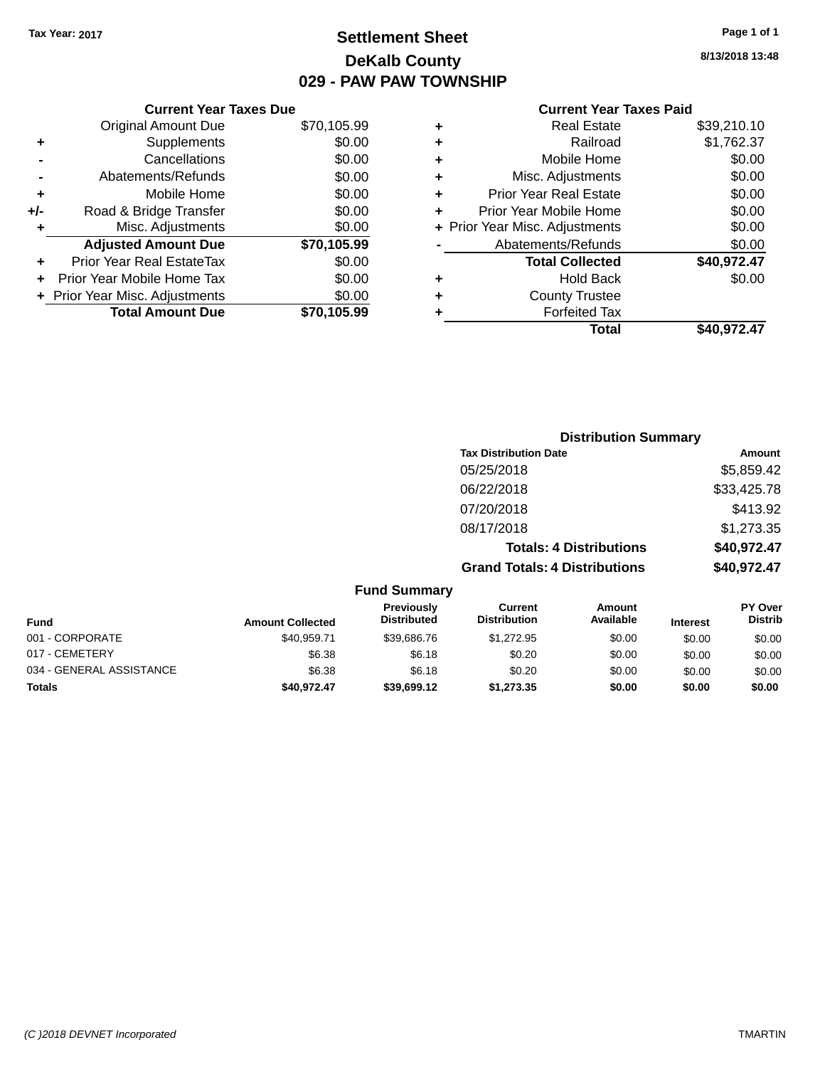### **Settlement Sheet Tax Year: 2017 Page 1 of 1 DeKalb County 029 - PAW PAW TOWNSHIP**

### **Current Year Taxes Due** Original Amount Due \$70,105.99

|       | <b>Total Amount Due</b>          | \$70,105.99 |
|-------|----------------------------------|-------------|
|       | + Prior Year Misc. Adjustments   | \$0.00      |
|       | Prior Year Mobile Home Tax       | \$0.00      |
| ٠     | <b>Prior Year Real EstateTax</b> | \$0.00      |
|       | <b>Adjusted Amount Due</b>       | \$70,105.99 |
| ÷     | Misc. Adjustments                | \$0.00      |
| $+/-$ | Road & Bridge Transfer           | \$0.00      |
| ٠     | Mobile Home                      | \$0.00      |
|       | Abatements/Refunds               | \$0.00      |
|       | Cancellations                    | \$0.00      |
| ٠     | Supplements                      | \$0.00      |
|       |                                  |             |

#### **Current Year Taxes Paid**

|   | <b>Real Estate</b>             | \$39,210.10 |
|---|--------------------------------|-------------|
| ٠ | Railroad                       | \$1,762.37  |
| ٠ | Mobile Home                    | \$0.00      |
| ٠ | Misc. Adjustments              | \$0.00      |
| ٠ | <b>Prior Year Real Estate</b>  | \$0.00      |
| ٠ | Prior Year Mobile Home         | \$0.00      |
|   | + Prior Year Misc. Adjustments | \$0.00      |
|   | Abatements/Refunds             | \$0.00      |
|   | <b>Total Collected</b>         | \$40,972.47 |
| ٠ | <b>Hold Back</b>               | \$0.00      |
| ٠ | <b>County Trustee</b>          |             |
| ٠ | <b>Forfeited Tax</b>           |             |
|   | Total                          | \$40,972.47 |
|   |                                |             |

### **Distribution Summary Tax Distribution Date Amount** 05/25/2018 \$5,859.42 06/22/2018 \$33,425.78 07/20/2018 \$413.92 08/17/2018 \$1,273.35 **Totals: 4 Distributions \$40,972.47 Grand Totals: 4 Distributions \$40,972.47**

| <b>Fund Summary</b>      |                         |                                  |                                |                     |                 |                                  |
|--------------------------|-------------------------|----------------------------------|--------------------------------|---------------------|-----------------|----------------------------------|
| <b>Fund</b>              | <b>Amount Collected</b> | Previously<br><b>Distributed</b> | Current<br><b>Distribution</b> | Amount<br>Available | <b>Interest</b> | <b>PY Over</b><br><b>Distrib</b> |
| 001 - CORPORATE          | \$40.959.71             | \$39,686.76                      | \$1,272.95                     | \$0.00              | \$0.00          | \$0.00                           |
| 017 - CEMETERY           | \$6.38                  | \$6.18                           | \$0.20                         | \$0.00              | \$0.00          | \$0.00                           |
| 034 - GENERAL ASSISTANCE | \$6.38                  | \$6.18                           | \$0.20                         | \$0.00              | \$0.00          | \$0.00                           |
| <b>Totals</b>            | \$40.972.47             | \$39,699.12                      | \$1,273.35                     | \$0.00              | \$0.00          | \$0.00                           |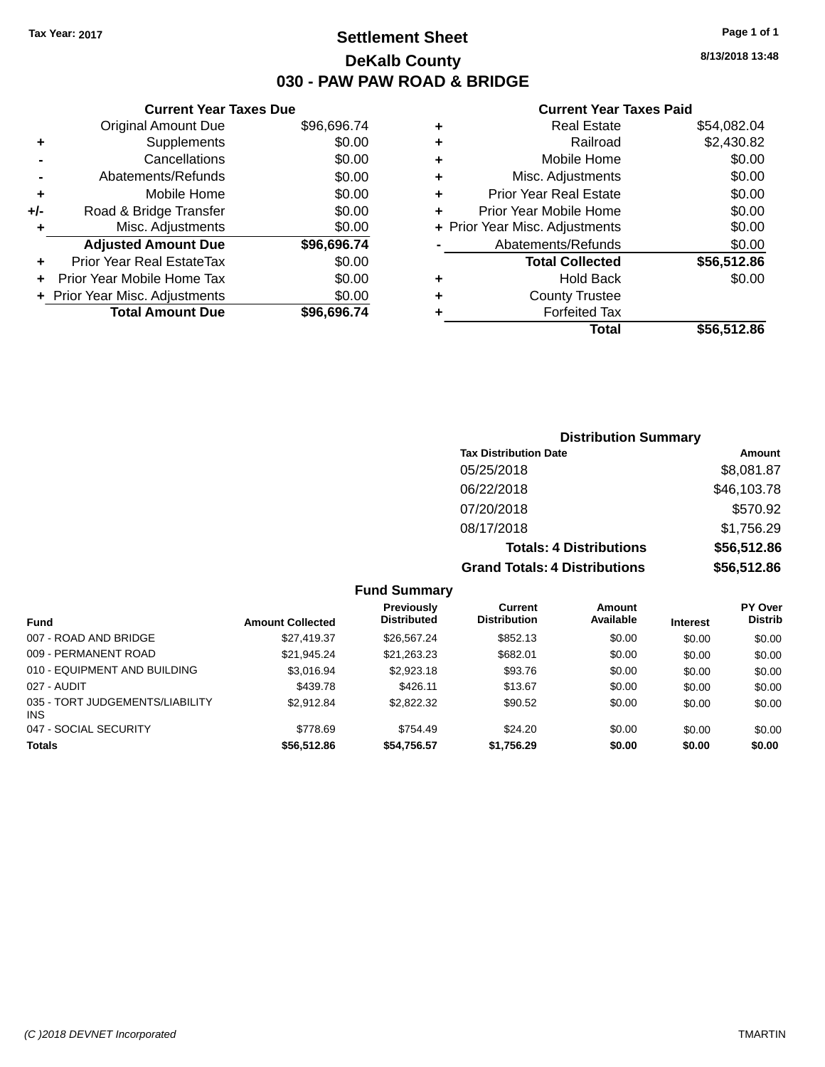### **Settlement Sheet Tax Year: 2017 Page 1 of 1 DeKalb County 030 - PAW PAW ROAD & BRIDGE**

**8/13/2018 13:48**

#### **Current Year Taxes Paid**

|     | <b>Current Year Taxes Due</b>    |             |
|-----|----------------------------------|-------------|
|     | <b>Original Amount Due</b>       | \$96,696.74 |
| ٠   | Supplements                      | \$0.00      |
|     | Cancellations                    | \$0.00      |
|     | Abatements/Refunds               | \$0.00      |
| ٠   | Mobile Home                      | \$0.00      |
| +/- | Road & Bridge Transfer           | \$0.00      |
|     | Misc. Adjustments                | \$0.00      |
|     | <b>Adjusted Amount Due</b>       | \$96,696.74 |
| ÷   | <b>Prior Year Real EstateTax</b> | \$0.00      |
|     | Prior Year Mobile Home Tax       | \$0.00      |
|     | + Prior Year Misc. Adjustments   | \$0.00      |
|     | <b>Total Amount Due</b>          | \$96,696.74 |
|     |                                  |             |

| ٠ | <b>Real Estate</b>             | \$54,082.04 |
|---|--------------------------------|-------------|
| ٠ | Railroad                       | \$2,430.82  |
| ٠ | Mobile Home                    | \$0.00      |
| ٠ | Misc. Adjustments              | \$0.00      |
| ٠ | <b>Prior Year Real Estate</b>  | \$0.00      |
| ٠ | Prior Year Mobile Home         | \$0.00      |
|   | + Prior Year Misc. Adjustments | \$0.00      |
|   | Abatements/Refunds             | \$0.00      |
|   | <b>Total Collected</b>         | \$56,512.86 |
| ٠ | <b>Hold Back</b>               | \$0.00      |
| ٠ | <b>County Trustee</b>          |             |
| ٠ | <b>Forfeited Tax</b>           |             |
|   | Total                          | \$56,512.86 |
|   |                                |             |

### **Distribution Summary Tax Distribution Date Amount** 05/25/2018 \$8,081.87 06/22/2018 \$46,103.78 07/20/2018 \$570.92 08/17/2018 \$1,756.29 **Totals: 4 Distributions \$56,512.86 Grand Totals: 4 Distributions \$56,512.86**

| <b>Fund</b>                                   | <b>Amount Collected</b> | Previously<br><b>Distributed</b> | Current<br><b>Distribution</b> | Amount<br>Available | <b>Interest</b> | <b>PY Over</b><br><b>Distrib</b> |
|-----------------------------------------------|-------------------------|----------------------------------|--------------------------------|---------------------|-----------------|----------------------------------|
| 007 - ROAD AND BRIDGE                         | \$27,419.37             | \$26.567.24                      | \$852.13                       | \$0.00              | \$0.00          | \$0.00                           |
| 009 - PERMANENT ROAD                          | \$21.945.24             | \$21,263.23                      | \$682.01                       | \$0.00              | \$0.00          | \$0.00                           |
| 010 - EQUIPMENT AND BUILDING                  | \$3.016.94              | \$2,923.18                       | \$93.76                        | \$0.00              | \$0.00          | \$0.00                           |
| 027 - AUDIT                                   | \$439.78                | \$426.11                         | \$13.67                        | \$0.00              | \$0.00          | \$0.00                           |
| 035 - TORT JUDGEMENTS/LIABILITY<br><b>INS</b> | \$2.912.84              | \$2,822.32                       | \$90.52                        | \$0.00              | \$0.00          | \$0.00                           |
| 047 - SOCIAL SECURITY                         | \$778.69                | \$754.49                         | \$24.20                        | \$0.00              | \$0.00          | \$0.00                           |
| <b>Totals</b>                                 | \$56,512.86             | \$54,756.57                      | \$1,756.29                     | \$0.00              | \$0.00          | \$0.00                           |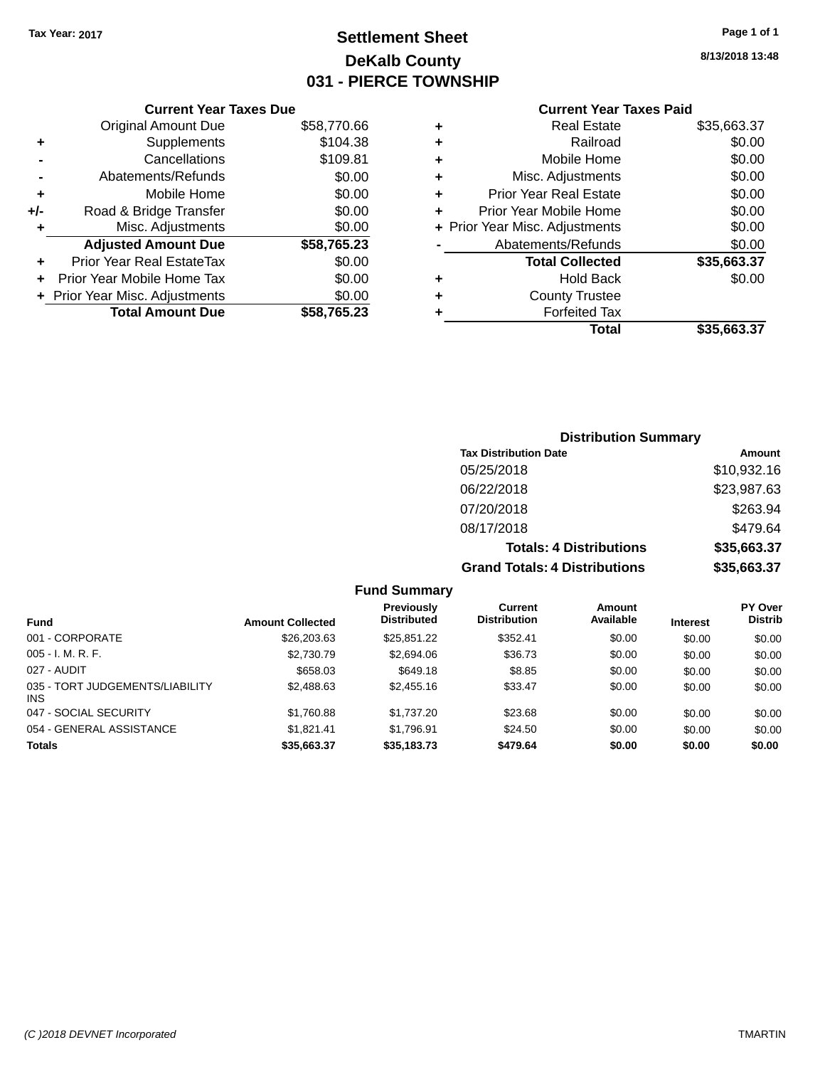### **Settlement Sheet Tax Year: 2017 Page 1 of 1 DeKalb County 031 - PIERCE TOWNSHIP**

**8/13/2018 13:48**

#### **Current Year Taxes Paid**

|     | <b>Current Year Taxes Due</b>             |             |  |  |  |  |
|-----|-------------------------------------------|-------------|--|--|--|--|
|     | <b>Original Amount Due</b><br>\$58,770.66 |             |  |  |  |  |
| ٠   | \$104.38<br>Supplements                   |             |  |  |  |  |
|     | Cancellations                             | \$109.81    |  |  |  |  |
|     | Abatements/Refunds                        | \$0.00      |  |  |  |  |
| ٠   | Mobile Home                               | \$0.00      |  |  |  |  |
| +/- | Road & Bridge Transfer                    | \$0.00      |  |  |  |  |
| ٠   | \$0.00<br>Misc. Adjustments               |             |  |  |  |  |
|     | <b>Adjusted Amount Due</b>                | \$58,765.23 |  |  |  |  |
|     | Prior Year Real EstateTax                 | \$0.00      |  |  |  |  |
|     | Prior Year Mobile Home Tax                | \$0.00      |  |  |  |  |
|     | \$0.00<br>+ Prior Year Misc. Adjustments  |             |  |  |  |  |
|     | <b>Total Amount Due</b>                   | \$58.765.23 |  |  |  |  |
|     |                                           |             |  |  |  |  |

|   | <b>Real Estate</b>             | \$35,663.37 |
|---|--------------------------------|-------------|
| ٠ | Railroad                       | \$0.00      |
| ٠ | Mobile Home                    | \$0.00      |
| ٠ | Misc. Adjustments              | \$0.00      |
| ٠ | <b>Prior Year Real Estate</b>  | \$0.00      |
| ٠ | Prior Year Mobile Home         | \$0.00      |
|   | + Prior Year Misc. Adjustments | \$0.00      |
|   | Abatements/Refunds             | \$0.00      |
|   | <b>Total Collected</b>         | \$35,663.37 |
| ٠ | <b>Hold Back</b>               | \$0.00      |
| ٠ | <b>County Trustee</b>          |             |
| ٠ | <b>Forfeited Tax</b>           |             |
|   | Total                          | \$35,663.37 |
|   |                                |             |

### **Distribution Summary Tax Distribution Date Amount** 05/25/2018 \$10,932.16 06/22/2018 \$23,987.63 07/20/2018 \$263.94 08/17/2018 \$479.64 **Totals: 4 Distributions \$35,663.37 Grand Totals: 4 Distributions \$35,663.37**

| <b>Fund</b>                             | <b>Amount Collected</b> | Previously<br><b>Distributed</b> | Current<br><b>Distribution</b> | Amount<br>Available | <b>Interest</b> | <b>PY Over</b><br><b>Distrib</b> |
|-----------------------------------------|-------------------------|----------------------------------|--------------------------------|---------------------|-----------------|----------------------------------|
| 001 - CORPORATE                         | \$26,203.63             | \$25,851.22                      | \$352.41                       | \$0.00              | \$0.00          | \$0.00                           |
| $005 - I. M. R. F.$                     | \$2,730.79              | \$2,694.06                       | \$36.73                        | \$0.00              | \$0.00          | \$0.00                           |
| 027 - AUDIT                             | \$658.03                | \$649.18                         | \$8.85                         | \$0.00              | \$0.00          | \$0.00                           |
| 035 - TORT JUDGEMENTS/LIABILITY<br>INS. | \$2,488.63              | \$2,455.16                       | \$33.47                        | \$0.00              | \$0.00          | \$0.00                           |
| 047 - SOCIAL SECURITY                   | \$1,760.88              | \$1,737.20                       | \$23.68                        | \$0.00              | \$0.00          | \$0.00                           |
| 054 - GENERAL ASSISTANCE                | \$1.821.41              | \$1.796.91                       | \$24.50                        | \$0.00              | \$0.00          | \$0.00                           |
| <b>Totals</b>                           | \$35,663.37             | \$35,183.73                      | \$479.64                       | \$0.00              | \$0.00          | \$0.00                           |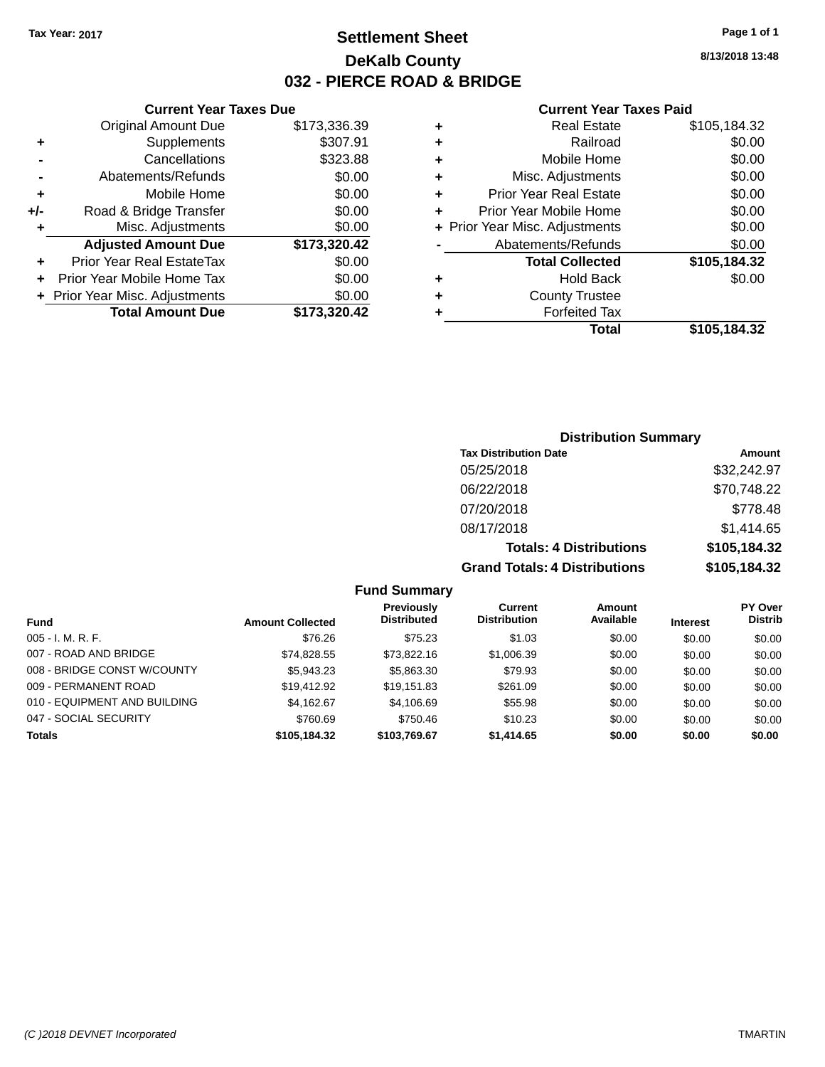### **Settlement Sheet Tax Year: 2017 Page 1 of 1 DeKalb County 032 - PIERCE ROAD & BRIDGE**

**8/13/2018 13:48**

#### **Current Year Taxes Paid**

|     | <b>Current Year Taxes Due</b>              |              |  |  |  |  |
|-----|--------------------------------------------|--------------|--|--|--|--|
|     | <b>Original Amount Due</b><br>\$173,336.39 |              |  |  |  |  |
| ٠   | \$307.91<br>Supplements                    |              |  |  |  |  |
|     | Cancellations                              | \$323.88     |  |  |  |  |
|     | Abatements/Refunds                         | \$0.00       |  |  |  |  |
| ٠   | Mobile Home                                | \$0.00       |  |  |  |  |
| +/- | \$0.00<br>Road & Bridge Transfer           |              |  |  |  |  |
| ٠   | Misc. Adjustments                          | \$0.00       |  |  |  |  |
|     | <b>Adjusted Amount Due</b>                 | \$173,320.42 |  |  |  |  |
| ٠   | Prior Year Real EstateTax                  | \$0.00       |  |  |  |  |
| ÷   | \$0.00<br>Prior Year Mobile Home Tax       |              |  |  |  |  |
|     | \$0.00<br>+ Prior Year Misc. Adjustments   |              |  |  |  |  |
|     | <b>Total Amount Due</b>                    | \$173.320.42 |  |  |  |  |
|     |                                            |              |  |  |  |  |

| ٠ | <b>Real Estate</b>             | \$105,184.32 |
|---|--------------------------------|--------------|
| ٠ | Railroad                       | \$0.00       |
| ٠ | Mobile Home                    | \$0.00       |
| ٠ | Misc. Adjustments              | \$0.00       |
| ٠ | <b>Prior Year Real Estate</b>  | \$0.00       |
| ٠ | Prior Year Mobile Home         | \$0.00       |
|   | + Prior Year Misc. Adjustments | \$0.00       |
|   | Abatements/Refunds             | \$0.00       |
|   | <b>Total Collected</b>         | \$105,184.32 |
| ٠ | Hold Back                      | \$0.00       |
| ٠ | <b>County Trustee</b>          |              |
| ٠ | <b>Forfeited Tax</b>           |              |
|   | Total                          | \$105,184.32 |
|   |                                |              |

### **Distribution Summary Tax Distribution Date Amount** 05/25/2018 \$32,242.97 06/22/2018 \$70,748.22 07/20/2018 \$778.48 08/17/2018 \$1,414.65 **Totals: 4 Distributions \$105,184.32 Grand Totals: 4 Distributions \$105,184.32**

|                              |                         | <b>Previously</b>  | Current             | <b>Amount</b> |                 | PY Over        |
|------------------------------|-------------------------|--------------------|---------------------|---------------|-----------------|----------------|
| Fund                         | <b>Amount Collected</b> | <b>Distributed</b> | <b>Distribution</b> | Available     | <b>Interest</b> | <b>Distrib</b> |
| $005 - I. M. R. F.$          | \$76.26                 | \$75.23            | \$1.03              | \$0.00        | \$0.00          | \$0.00         |
| 007 - ROAD AND BRIDGE        | \$74,828.55             | \$73,822.16        | \$1,006.39          | \$0.00        | \$0.00          | \$0.00         |
| 008 - BRIDGE CONST W/COUNTY  | \$5,943.23              | \$5,863.30         | \$79.93             | \$0.00        | \$0.00          | \$0.00         |
| 009 - PERMANENT ROAD         | \$19.412.92             | \$19.151.83        | \$261.09            | \$0.00        | \$0.00          | \$0.00         |
| 010 - EQUIPMENT AND BUILDING | \$4,162.67              | \$4,106.69         | \$55.98             | \$0.00        | \$0.00          | \$0.00         |
| 047 - SOCIAL SECURITY        | \$760.69                | \$750.46           | \$10.23             | \$0.00        | \$0.00          | \$0.00         |
| <b>Totals</b>                | \$105.184.32            | \$103.769.67       | \$1,414,65          | \$0.00        | \$0.00          | \$0.00         |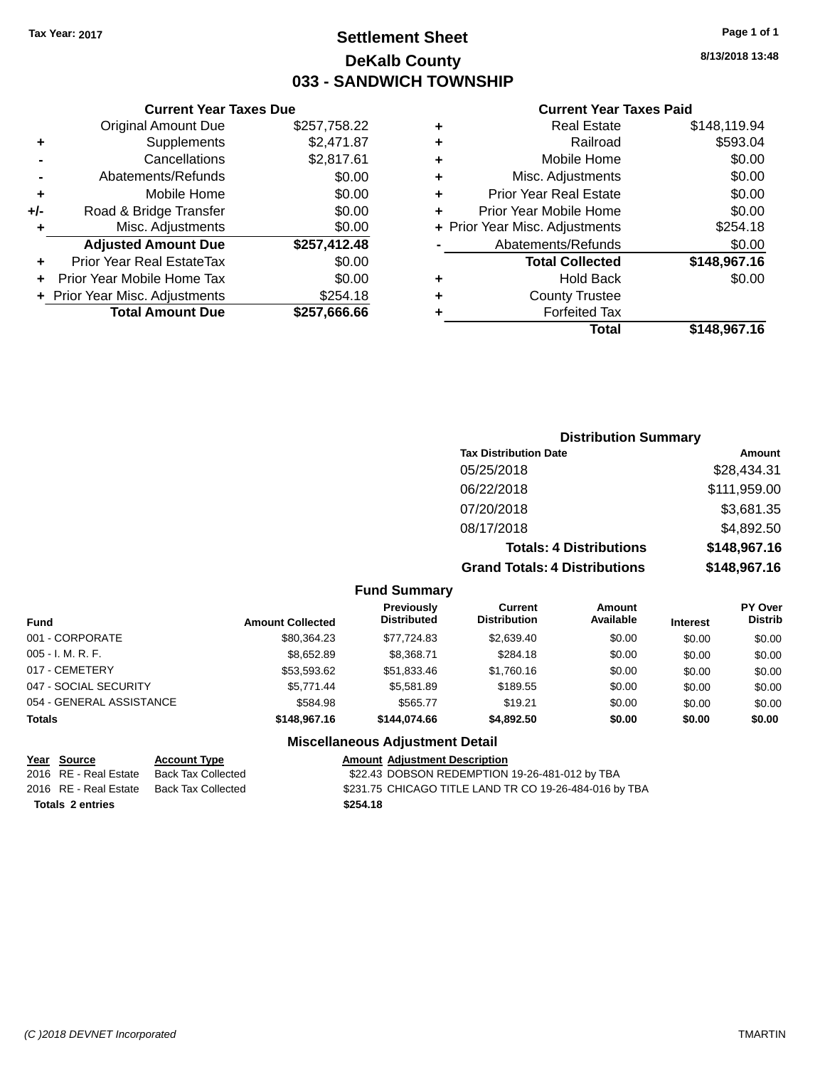### **Settlement Sheet Tax Year: 2017 Page 1 of 1 DeKalb County 033 - SANDWICH TOWNSHIP**

**8/13/2018 13:48**

#### **Current Year Taxes Paid**

|     | <b>Current Year Taxes Due</b>  |              |        |
|-----|--------------------------------|--------------|--------|
|     | <b>Original Amount Due</b>     | \$257,758.22 | ٠      |
|     | Supplements                    | \$2,471.87   | ٠      |
|     | Cancellations                  | \$2,817.61   | ٠      |
|     | Abatements/Refunds             | \$0.00       | ٠      |
|     | Mobile Home                    | \$0.00       |        |
| +/- | Road & Bridge Transfer         | \$0.00       |        |
|     | Misc. Adjustments              | \$0.00       | + Prio |
|     | <b>Adjusted Amount Due</b>     | \$257,412.48 |        |
|     | Prior Year Real EstateTax      | \$0.00       |        |
|     | Prior Year Mobile Home Tax     | \$0.00       |        |
|     | + Prior Year Misc. Adjustments | \$254.18     |        |
|     | <b>Total Amount Due</b>        | \$257,666.66 |        |
|     |                                |              |        |

| ٠ | <b>Real Estate</b>             | \$148,119.94 |  |  |  |
|---|--------------------------------|--------------|--|--|--|
| ٠ | Railroad                       | \$593.04     |  |  |  |
| ٠ | Mobile Home                    | \$0.00       |  |  |  |
| ٠ | Misc. Adjustments              | \$0.00       |  |  |  |
| ٠ | <b>Prior Year Real Estate</b>  | \$0.00       |  |  |  |
| ٠ | Prior Year Mobile Home         | \$0.00       |  |  |  |
|   | + Prior Year Misc. Adjustments | \$254.18     |  |  |  |
|   | Abatements/Refunds             | \$0.00       |  |  |  |
|   | <b>Total Collected</b>         | \$148,967.16 |  |  |  |
| ٠ | <b>Hold Back</b>               | \$0.00       |  |  |  |
| ٠ | <b>County Trustee</b>          |              |  |  |  |
| ٠ | <b>Forfeited Tax</b>           |              |  |  |  |
|   | Total                          | \$148,967.16 |  |  |  |
|   |                                |              |  |  |  |

### **Distribution Summary Tax Distribution Date Amount** 05/25/2018 \$28,434.31 06/22/2018 \$111,959.00 07/20/2018 \$3,681.35 08/17/2018 \$4,892.50 **Totals: 4 Distributions \$148,967.16 Grand Totals: 4 Distributions \$148,967.16**

#### **Fund Summary**

| <b>Fund</b>              | <b>Amount Collected</b> | Previously<br><b>Distributed</b> | Current<br><b>Distribution</b> | <b>Amount</b><br>Available | <b>Interest</b> | <b>PY Over</b><br><b>Distrib</b> |
|--------------------------|-------------------------|----------------------------------|--------------------------------|----------------------------|-----------------|----------------------------------|
| 001 - CORPORATE          | \$80.364.23             | \$77.724.83                      | \$2,639.40                     | \$0.00                     | \$0.00          | \$0.00                           |
| $005 - I. M. R. F.$      | \$8,652.89              | \$8.368.71                       | \$284.18                       | \$0.00                     | \$0.00          | \$0.00                           |
| 017 - CEMETERY           | \$53,593.62             | \$51.833.46                      | \$1,760.16                     | \$0.00                     | \$0.00          | \$0.00                           |
| 047 - SOCIAL SECURITY    | \$5,771.44              | \$5.581.89                       | \$189.55                       | \$0.00                     | \$0.00          | \$0.00                           |
| 054 - GENERAL ASSISTANCE | \$584.98                | \$565.77                         | \$19.21                        | \$0.00                     | \$0.00          | \$0.00                           |
| <b>Totals</b>            | \$148,967.16            | \$144,074,66                     | \$4,892.50                     | \$0.00                     | \$0.00          | \$0.00                           |

#### **Miscellaneous Adjustment Detail**

| Year Source             | <b>Account Type</b> | <b>Amount Adjustment Description</b>                   |
|-------------------------|---------------------|--------------------------------------------------------|
| 2016 RE - Real Estate   | Back Tax Collected  | \$22.43 DOBSON REDEMPTION 19-26-481-012 by TBA         |
| 2016 RE - Real Estate   | Back Tax Collected  | \$231.75 CHICAGO TITLE LAND TR CO 19-26-484-016 by TBA |
| <b>Totals 2 entries</b> |                     | \$254.18                                               |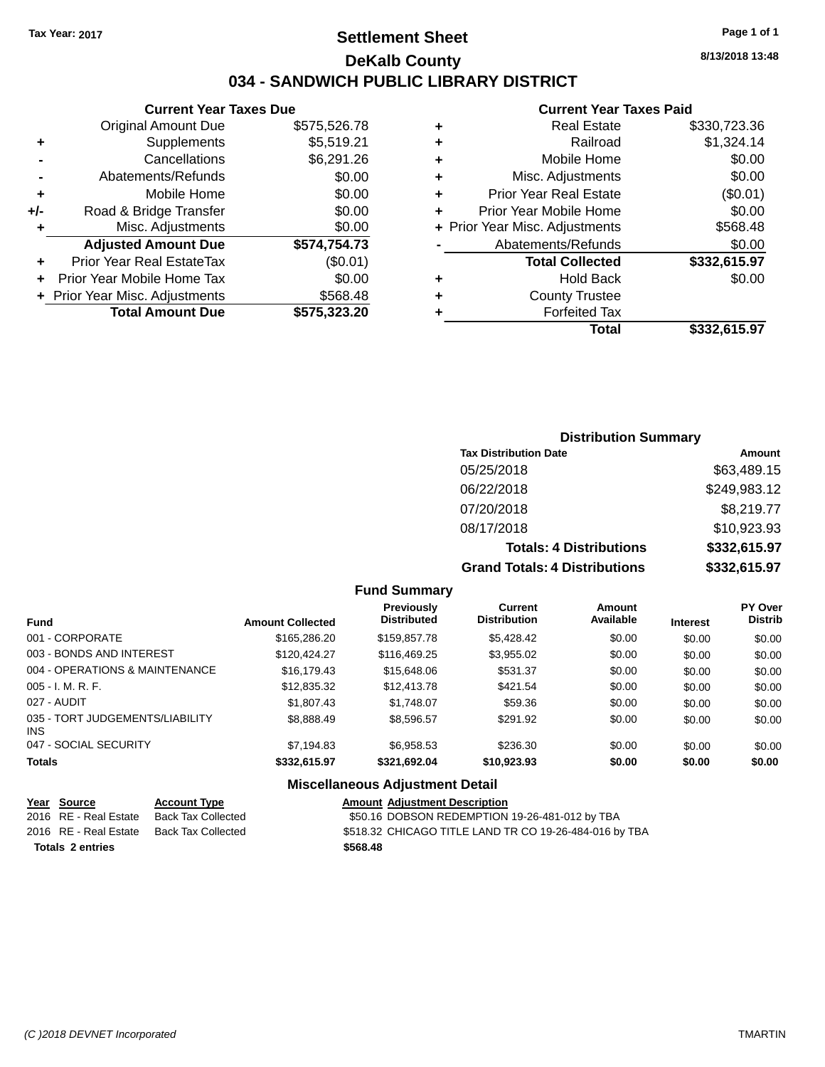### **Settlement Sheet Tax Year: 2017 Page 1 of 1 DeKalb County 034 - SANDWICH PUBLIC LIBRARY DISTRICT**

### **Current Year Taxes Due** Original Amount Due \$575,526.78 **+** Supplements \$5,519.21

|                | + Prior Year Misc. Adjustments | \$568.48     |
|----------------|--------------------------------|--------------|
|                |                                |              |
|                | Prior Year Mobile Home Tax     | \$0.00       |
| ٠              | Prior Year Real EstateTax      | (\$0.01)     |
|                | <b>Adjusted Amount Due</b>     | \$574,754.73 |
| ÷              | Misc. Adjustments              | \$0.00       |
| +/-            | Road & Bridge Transfer         | \$0.00       |
| ÷              | Mobile Home                    | \$0.00       |
| $\blacksquare$ | Abatements/Refunds             | \$0.00       |
|                | Cancellations                  | \$6,291.26   |

#### **Current Year Taxes Paid**

|   | <b>Real Estate</b>             | \$330,723.36 |
|---|--------------------------------|--------------|
| ٠ | Railroad                       | \$1,324.14   |
| ٠ | Mobile Home                    | \$0.00       |
| ٠ | Misc. Adjustments              | \$0.00       |
| ٠ | Prior Year Real Estate         | (\$0.01)     |
| ٠ | Prior Year Mobile Home         | \$0.00       |
|   | + Prior Year Misc. Adjustments | \$568.48     |
|   | Abatements/Refunds             | \$0.00       |
|   | <b>Total Collected</b>         | \$332,615.97 |
| ٠ | <b>Hold Back</b>               | \$0.00       |
| ٠ | <b>County Trustee</b>          |              |
| ٠ | <b>Forfeited Tax</b>           |              |
|   | Total                          | \$332.615.97 |
|   |                                |              |

### **Distribution Summary Tax Distribution Date Amount** 05/25/2018 \$63,489.15 06/22/2018 \$249,983.12 07/20/2018 \$8,219.77 08/17/2018 \$10,923.93

**Totals: 4 Distributions \$332,615.97 Grand Totals: 4 Distributions \$332,615.97**

| <b>Fund</b>                             | <b>Amount Collected</b> | Previously<br><b>Distributed</b> | <b>Current</b><br><b>Distribution</b> | <b>Amount</b><br>Available | <b>Interest</b> | <b>PY Over</b><br><b>Distrib</b> |
|-----------------------------------------|-------------------------|----------------------------------|---------------------------------------|----------------------------|-----------------|----------------------------------|
| 001 - CORPORATE                         | \$165,286.20            | \$159,857.78                     | \$5,428.42                            | \$0.00                     | \$0.00          | \$0.00                           |
| 003 - BONDS AND INTEREST                | \$120.424.27            | \$116,469.25                     | \$3,955.02                            | \$0.00                     | \$0.00          | \$0.00                           |
| 004 - OPERATIONS & MAINTENANCE          | \$16,179.43             | \$15,648.06                      | \$531.37                              | \$0.00                     | \$0.00          | \$0.00                           |
| $005 - I. M. R. F.$                     | \$12,835.32             | \$12,413.78                      | \$421.54                              | \$0.00                     | \$0.00          | \$0.00                           |
| 027 - AUDIT                             | \$1,807.43              | \$1,748.07                       | \$59.36                               | \$0.00                     | \$0.00          | \$0.00                           |
| 035 - TORT JUDGEMENTS/LIABILITY<br>INS. | \$8,888.49              | \$8,596.57                       | \$291.92                              | \$0.00                     | \$0.00          | \$0.00                           |
| 047 - SOCIAL SECURITY                   | \$7,194.83              | \$6,958.53                       | \$236.30                              | \$0.00                     | \$0.00          | \$0.00                           |
| <b>Totals</b>                           | \$332,615.97            | \$321,692.04                     | \$10,923.93                           | \$0.00                     | \$0.00          | \$0.00                           |
|                                         |                         |                                  |                                       |                            |                 |                                  |

**Fund Summary**

| Year Source             | <b>Account Type</b> | <b>Amount Adiustment Description</b>                   |
|-------------------------|---------------------|--------------------------------------------------------|
| 2016 RE - Real Estate   | Back Tax Collected  | \$50.16 DOBSON REDEMPTION 19-26-481-012 by TBA         |
| 2016 RE - Real Estate   | Back Tax Collected  | \$518.32 CHICAGO TITLE LAND TR CO 19-26-484-016 by TBA |
| <b>Totals 2 entries</b> |                     | \$568.48                                               |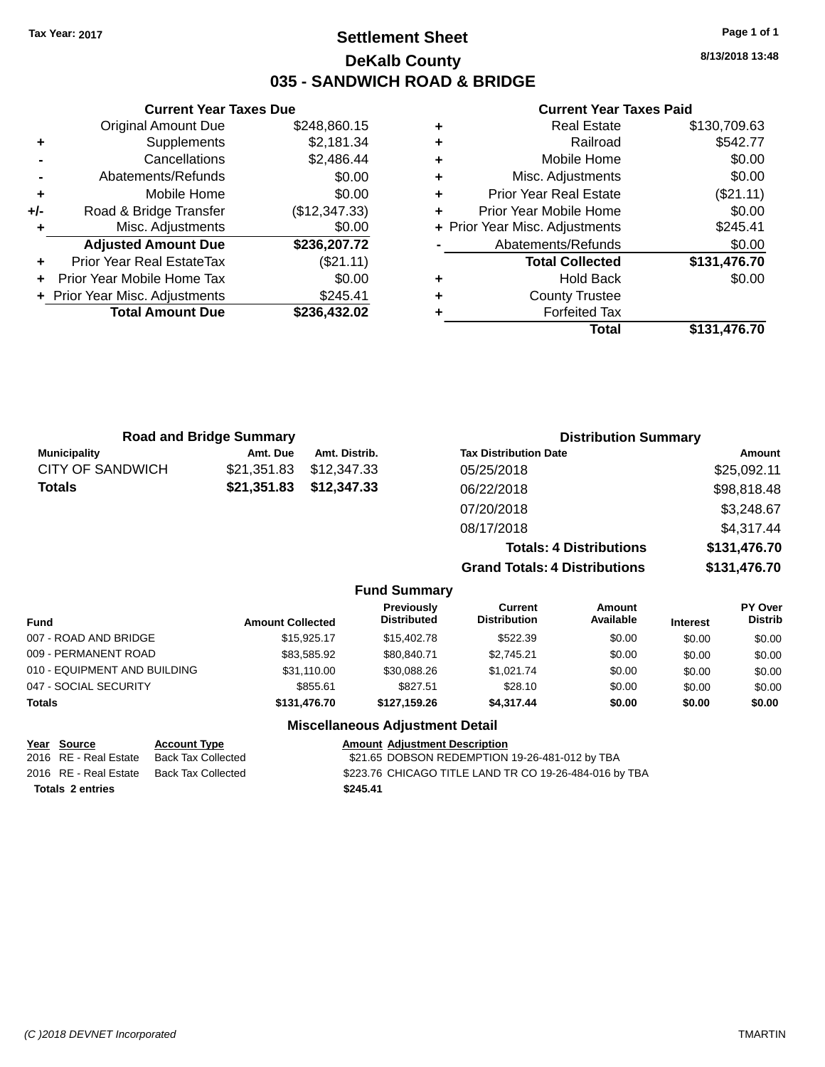## **Settlement Sheet Tax Year: 2017 Page 1 of 1 DeKalb County 035 - SANDWICH ROAD & BRIDGE**

**Current Year Taxes Due** Original Amount Due \$248,860.15<br>Supplements \$2,181.34 **+** Supplements **-** Cancellations \$2,486.44 **-** Abatements/Refunds \$0.00 **+** Mobile Home \$0.00<br>**+/-** Road & Bridge Transfer (\$12,347.33) **+/-** Road & Bridge Transfer (\$12,347.33) **+** Misc. Adjustments \$0.00 **Adjusted Amount Due \$236,207.72**

| 1.91991991111991111990           |              |
|----------------------------------|--------------|
| <b>Prior Year Real EstateTax</b> | (\$21.11)    |
| + Prior Year Mobile Home Tax     | \$0.00       |
| + Prior Year Misc. Adjustments   | \$245.41     |
| <b>Total Amount Due</b>          | \$236,432.02 |
|                                  |              |

#### **Current Year Taxes Paid**

|   | <b>Real Estate</b>             | \$130,709.63 |
|---|--------------------------------|--------------|
| ٠ | Railroad                       | \$542.77     |
| ٠ | Mobile Home                    | \$0.00       |
| ÷ | Misc. Adjustments              | \$0.00       |
| ٠ | <b>Prior Year Real Estate</b>  | (\$21.11)    |
|   | Prior Year Mobile Home         | \$0.00       |
|   | + Prior Year Misc. Adjustments | \$245.41     |
|   | Abatements/Refunds             | \$0.00       |
|   | <b>Total Collected</b>         | \$131,476.70 |
| ٠ | <b>Hold Back</b>               | \$0.00       |
|   | <b>County Trustee</b>          |              |
|   | <b>Forfeited Tax</b>           |              |
|   | <b>Total</b>                   | \$131,476.70 |
|   |                                |              |

| <b>Road and Bridge Summary</b> |             | <b>Distribution Summary</b> |                                      |              |
|--------------------------------|-------------|-----------------------------|--------------------------------------|--------------|
| <b>Municipality</b>            | Amt. Due    | Amt. Distrib.               | <b>Tax Distribution Date</b>         | Amount       |
| <b>CITY OF SANDWICH</b>        | \$21,351.83 | \$12,347.33                 | 05/25/2018                           | \$25,092.11  |
| Totals                         | \$21,351.83 | \$12,347.33                 | 06/22/2018                           | \$98,818.48  |
|                                |             |                             | 07/20/2018                           | \$3,248.67   |
|                                |             |                             | 08/17/2018                           | \$4,317.44   |
|                                |             |                             | <b>Totals: 4 Distributions</b>       | \$131,476.70 |
|                                |             |                             | <b>Grand Totals: 4 Distributions</b> | \$131,476.70 |

| <b>Fund</b>                  | <b>Amount Collected</b> | Previously<br><b>Distributed</b> | Current<br><b>Distribution</b> | <b>Amount</b><br>Available | <b>Interest</b> | <b>PY Over</b><br><b>Distrib</b> |
|------------------------------|-------------------------|----------------------------------|--------------------------------|----------------------------|-----------------|----------------------------------|
| 007 - ROAD AND BRIDGE        | \$15,925.17             | \$15,402.78                      | \$522.39                       | \$0.00                     | \$0.00          | \$0.00                           |
| 009 - PERMANENT ROAD         | \$83.585.92             | \$80.840.71                      | \$2,745.21                     | \$0.00                     | \$0.00          | \$0.00                           |
| 010 - EQUIPMENT AND BUILDING | \$31,110.00             | \$30,088.26                      | \$1.021.74                     | \$0.00                     | \$0.00          | \$0.00                           |
| 047 - SOCIAL SECURITY        | \$855.61                | \$827.51                         | \$28.10                        | \$0.00                     | \$0.00          | \$0.00                           |
| <b>Totals</b>                | \$131,476.70            | \$127.159.26                     | \$4,317.44                     | \$0.00                     | \$0.00          | \$0.00                           |
|                              | ---<br>.                |                                  |                                |                            |                 |                                  |

**Fund Summary**

#### **Miscellaneous Adjustment Detail**

|                         | Year Source           | <b>Account Type</b> | <b>Amount Adjustment Description</b>                   |
|-------------------------|-----------------------|---------------------|--------------------------------------------------------|
|                         | 2016 RE - Real Estate | Back Tax Collected  | \$21.65 DOBSON REDEMPTION 19-26-481-012 by TBA         |
|                         | 2016 RE - Real Estate | Back Tax Collected  | \$223.76 CHICAGO TITLE LAND TR CO 19-26-484-016 by TBA |
| <b>Totals 2 entries</b> |                       |                     | \$245.41                                               |

**8/13/2018 13:48**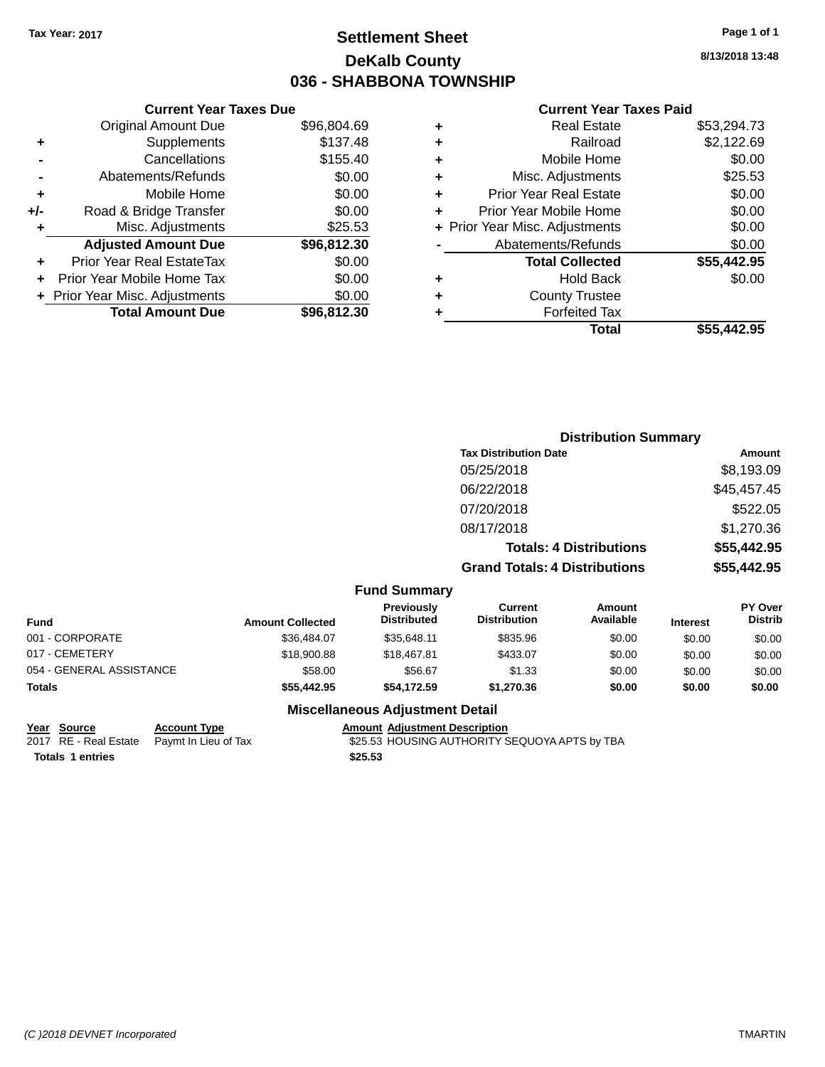## **Settlement Sheet Tax Year: 2017 Page 1 of 1 DeKalb County 036 - SHABBONA TOWNSHIP**

**8/13/2018 13:48**

#### **Current Year Taxes Paid**

|     | <b>Current Year Taxes Due</b>  |             |
|-----|--------------------------------|-------------|
|     | <b>Original Amount Due</b>     | \$96,804.69 |
| ٠   | Supplements                    | \$137.48    |
|     | Cancellations                  | \$155.40    |
|     | Abatements/Refunds             | \$0.00      |
| ٠   | Mobile Home                    | \$0.00      |
| +/- | Road & Bridge Transfer         | \$0.00      |
| ٠   | Misc. Adjustments              | \$25.53     |
|     | <b>Adjusted Amount Due</b>     | \$96,812.30 |
| ٠   | Prior Year Real EstateTax      | \$0.00      |
|     | Prior Year Mobile Home Tax     | \$0.00      |
|     | + Prior Year Misc. Adjustments | \$0.00      |
|     | <b>Total Amount Due</b>        | \$96,812.30 |
|     |                                |             |

|   | <b>Real Estate</b>             | \$53,294.73 |
|---|--------------------------------|-------------|
| ٠ | Railroad                       | \$2,122.69  |
| ٠ | Mobile Home                    | \$0.00      |
| ٠ | Misc. Adjustments              | \$25.53     |
| ٠ | <b>Prior Year Real Estate</b>  | \$0.00      |
| ٠ | Prior Year Mobile Home         | \$0.00      |
|   | + Prior Year Misc. Adjustments | \$0.00      |
|   | Abatements/Refunds             | \$0.00      |
|   | <b>Total Collected</b>         | \$55,442.95 |
| ٠ | <b>Hold Back</b>               | \$0.00      |
| ٠ | <b>County Trustee</b>          |             |
|   | <b>Forfeited Tax</b>           |             |
|   | Total                          | \$55.442.95 |
|   |                                |             |

| <b>Distribution Summary</b>          |               |
|--------------------------------------|---------------|
| <b>Tax Distribution Date</b>         | <b>Amount</b> |
| 05/25/2018                           | \$8,193.09    |
| 06/22/2018                           | \$45,457.45   |
| 07/20/2018                           | \$522.05      |
| 08/17/2018                           | \$1,270.36    |
| <b>Totals: 4 Distributions</b>       | \$55,442.95   |
| <b>Grand Totals: 4 Distributions</b> | \$55,442.95   |
|                                      |               |

### **Fund Summary**

| Fund                     | <b>Amount Collected</b> | <b>Previously</b><br><b>Distributed</b> | Current<br><b>Distribution</b> | Amount<br>Available | <b>Interest</b> | <b>PY Over</b><br><b>Distrib</b> |
|--------------------------|-------------------------|-----------------------------------------|--------------------------------|---------------------|-----------------|----------------------------------|
| 001 - CORPORATE          | \$36,484.07             | \$35.648.11                             | \$835.96                       | \$0.00              | \$0.00          | \$0.00                           |
| 017 - CEMETERY           | \$18,900.88             | \$18,467.81                             | \$433.07                       | \$0.00              | \$0.00          | \$0.00                           |
| 054 - GENERAL ASSISTANCE | \$58.00                 | \$56.67                                 | \$1.33                         | \$0.00              | \$0.00          | \$0.00                           |
| Totals                   | \$55,442.95             | \$54,172.59                             | \$1,270.36                     | \$0.00              | \$0.00          | \$0.00                           |

| Year Source             | <b>Account Type</b>                        | <b>Amount Adiustment Description</b>          |
|-------------------------|--------------------------------------------|-----------------------------------------------|
|                         | 2017 RE - Real Estate Paymt In Lieu of Tax | \$25.53 HOUSING AUTHORITY SEQUOYA APTS by TBA |
| <b>Totals 1 entries</b> |                                            | \$25.53                                       |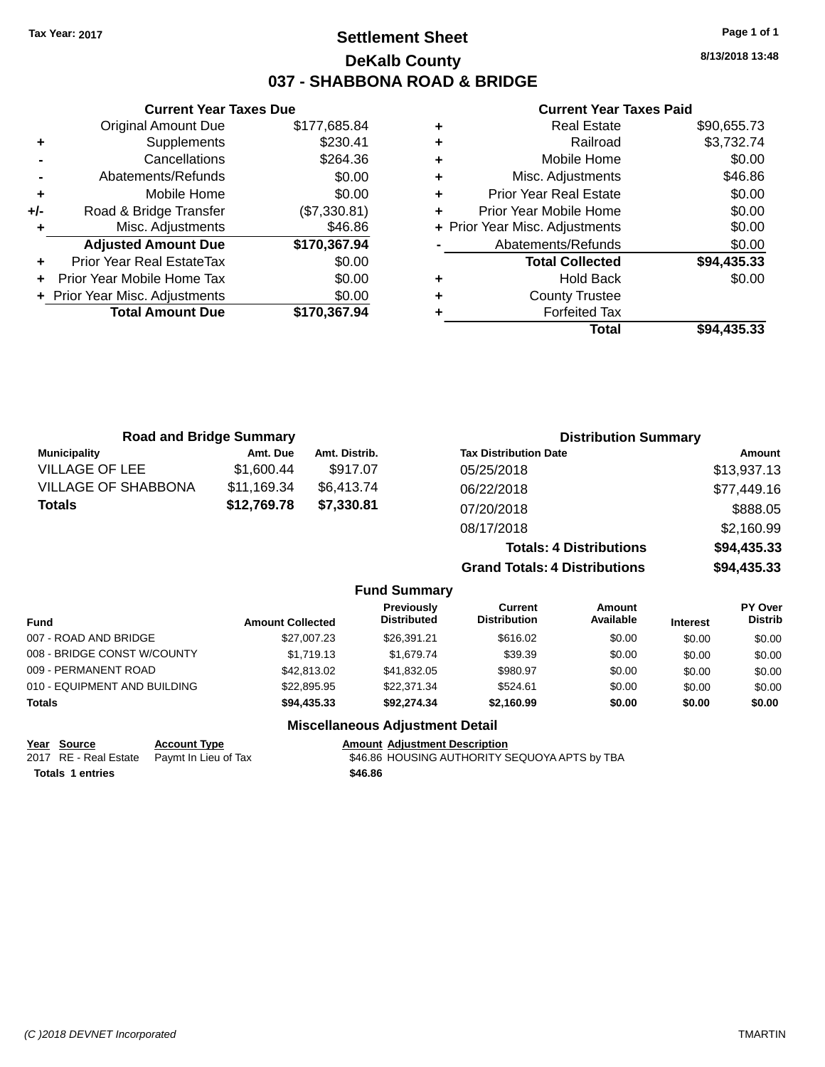## **Settlement Sheet Tax Year: 2017 Page 1 of 1 DeKalb County 037 - SHABBONA ROAD & BRIDGE**

**8/13/2018 13:48**

#### **Current Year Taxes Paid**

|     | <b>Current Year Taxes Due</b>  |              |
|-----|--------------------------------|--------------|
|     | <b>Original Amount Due</b>     | \$177,685.84 |
| ٠   | Supplements                    | \$230.41     |
|     | Cancellations                  | \$264.36     |
|     | Abatements/Refunds             | \$0.00       |
| ٠   | Mobile Home                    | \$0.00       |
| +/- | Road & Bridge Transfer         | (\$7,330.81) |
|     | Misc. Adjustments              | \$46.86      |
|     | <b>Adjusted Amount Due</b>     | \$170,367.94 |
| ٠   | Prior Year Real EstateTax      | \$0.00       |
|     | Prior Year Mobile Home Tax     | \$0.00       |
|     | + Prior Year Misc. Adjustments | \$0.00       |
|     | <b>Total Amount Due</b>        | \$170,367.94 |
|     |                                |              |

|   | <b>Real Estate</b>             | \$90,655.73 |
|---|--------------------------------|-------------|
| ٠ | Railroad                       | \$3,732.74  |
| ٠ | Mobile Home                    | \$0.00      |
| ٠ | Misc. Adjustments              | \$46.86     |
| ٠ | <b>Prior Year Real Estate</b>  | \$0.00      |
| ٠ | Prior Year Mobile Home         | \$0.00      |
|   | + Prior Year Misc. Adjustments | \$0.00      |
|   | Abatements/Refunds             | \$0.00      |
|   | <b>Total Collected</b>         | \$94,435.33 |
| ٠ | <b>Hold Back</b>               | \$0.00      |
| ٠ | <b>County Trustee</b>          |             |
| ٠ | <b>Forfeited Tax</b>           |             |
|   | Total                          | \$94,435.33 |
|   |                                |             |

| <b>Road and Bridge Summary</b> |             |               | <b>Distribution Summary</b>          |             |
|--------------------------------|-------------|---------------|--------------------------------------|-------------|
| <b>Municipality</b>            | Amt. Due    | Amt. Distrib. | <b>Tax Distribution Date</b>         | Amount      |
| <b>VILLAGE OF LEE</b>          | \$1,600.44  | \$917.07      | 05/25/2018                           | \$13,937.13 |
| <b>VILLAGE OF SHABBONA</b>     | \$11,169.34 | \$6.413.74    | 06/22/2018                           | \$77,449.16 |
| <b>Totals</b>                  | \$12,769.78 | \$7,330.81    | 07/20/2018                           | \$888.05    |
|                                |             |               | 08/17/2018                           | \$2,160.99  |
|                                |             |               | <b>Totals: 4 Distributions</b>       | \$94,435.33 |
|                                |             |               | <b>Grand Totals: 4 Distributions</b> | \$94,435.33 |

|                              |                         | <b>Fund Summary</b>              |                                |                            |                 |                                  |
|------------------------------|-------------------------|----------------------------------|--------------------------------|----------------------------|-----------------|----------------------------------|
| Fund                         | <b>Amount Collected</b> | Previously<br><b>Distributed</b> | Current<br><b>Distribution</b> | <b>Amount</b><br>Available | <b>Interest</b> | <b>PY Over</b><br><b>Distrib</b> |
| 007 - ROAD AND BRIDGE        | \$27,007.23             | \$26,391.21                      | \$616.02                       | \$0.00                     | \$0.00          | \$0.00                           |
| 008 - BRIDGE CONST W/COUNTY  | \$1,719.13              | \$1.679.74                       | \$39.39                        | \$0.00                     | \$0.00          | \$0.00                           |
| 009 - PERMANENT ROAD         | \$42,813.02             | \$41,832.05                      | \$980.97                       | \$0.00                     | \$0.00          | \$0.00                           |
| 010 - EQUIPMENT AND BUILDING | \$22,895.95             | \$22,371.34                      | \$524.61                       | \$0.00                     | \$0.00          | \$0.00                           |
| <b>Totals</b>                | \$94,435.33             | \$92,274.34                      | \$2,160.99                     | \$0.00                     | \$0.00          | \$0.00                           |
|                              |                         |                                  |                                |                            |                 |                                  |

| Year Source             | <b>Account Type</b>                        |         | <b>Amount Adjustment Description</b>          |
|-------------------------|--------------------------------------------|---------|-----------------------------------------------|
|                         | 2017 RE - Real Estate Paymt In Lieu of Tax |         | \$46.86 HOUSING AUTHORITY SEQUOYA APTS by TBA |
| <b>Totals 1 entries</b> |                                            | \$46.86 |                                               |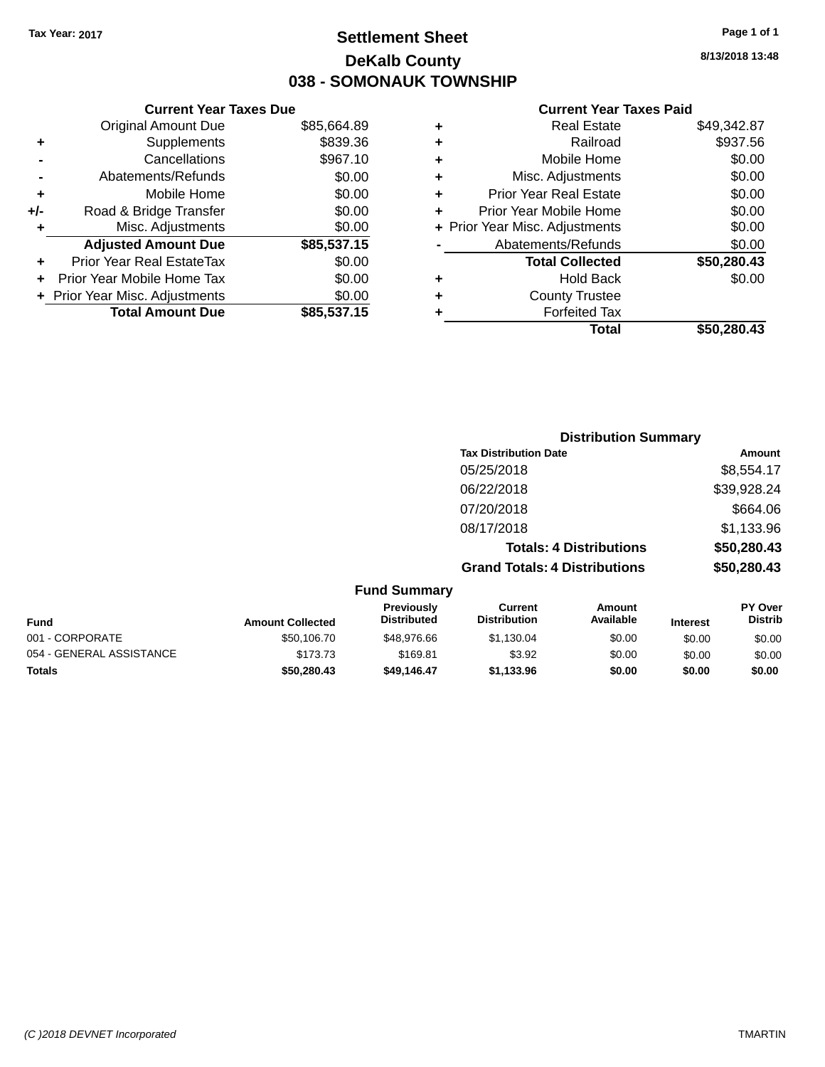## **Settlement Sheet Tax Year: 2017 Page 1 of 1 DeKalb County 038 - SOMONAUK TOWNSHIP**

**8/13/2018 13:48**

|     | <b>Current Year Taxes Due</b>  |             |
|-----|--------------------------------|-------------|
|     | <b>Original Amount Due</b>     | \$85,664.89 |
| ٠   | Supplements                    | \$839.36    |
|     | Cancellations                  | \$967.10    |
|     | Abatements/Refunds             | \$0.00      |
| ٠   | Mobile Home                    | \$0.00      |
| +/- | Road & Bridge Transfer         | \$0.00      |
| ٠   | Misc. Adjustments              | \$0.00      |
|     | <b>Adjusted Amount Due</b>     | \$85,537.15 |
| ٠   | Prior Year Real EstateTax      | \$0.00      |
|     | Prior Year Mobile Home Tax     | \$0.00      |
|     | + Prior Year Misc. Adjustments | \$0.00      |
|     | <b>Total Amount Due</b>        | \$85,537.15 |
|     |                                |             |

### **Current Year Taxes Paid**

|   | <b>Real Estate</b>             | \$49,342.87 |
|---|--------------------------------|-------------|
| ٠ | Railroad                       | \$937.56    |
| ٠ | Mobile Home                    | \$0.00      |
| ٠ | Misc. Adjustments              | \$0.00      |
| ٠ | <b>Prior Year Real Estate</b>  | \$0.00      |
| ٠ | Prior Year Mobile Home         | \$0.00      |
|   | + Prior Year Misc. Adjustments | \$0.00      |
|   | Abatements/Refunds             | \$0.00      |
|   | <b>Total Collected</b>         | \$50,280.43 |
| ٠ | <b>Hold Back</b>               | \$0.00      |
| ٠ | <b>County Trustee</b>          |             |
| ٠ | <b>Forfeited Tax</b>           |             |
|   | Total                          | \$50,280.43 |
|   |                                |             |

|                  |                           |                                       | <b>Distribution Summary</b>    |             |                                  |
|------------------|---------------------------|---------------------------------------|--------------------------------|-------------|----------------------------------|
|                  |                           | <b>Tax Distribution Date</b>          |                                |             | Amount                           |
|                  |                           | 05/25/2018                            |                                |             | \$8,554.17                       |
|                  |                           | 06/22/2018                            |                                |             | \$39,928.24                      |
|                  |                           | 07/20/2018                            |                                |             | \$664.06                         |
|                  |                           | 08/17/2018                            |                                |             | \$1,133.96                       |
|                  |                           |                                       | <b>Totals: 4 Distributions</b> |             | \$50,280.43                      |
|                  |                           | <b>Grand Totals: 4 Distributions</b>  |                                |             | \$50,280.43                      |
|                  | <b>Fund Summary</b>       |                                       |                                |             |                                  |
| Amount Colloctod | Previously<br>Distributed | <b>Current</b><br><b>Distribution</b> | Amount<br>Available            | In terms of | <b>PY Over</b><br><b>Distrib</b> |

| <b>Fund</b>              | <b>Amount Collected</b> | <b>Previously</b><br><b>Distributed</b> | Current<br><b>Distribution</b> | Amount<br>Available | <b>Interest</b> | <b>PY OVER</b><br><b>Distrib</b> |
|--------------------------|-------------------------|-----------------------------------------|--------------------------------|---------------------|-----------------|----------------------------------|
| 001 - CORPORATE          | \$50,106,70             | \$48,976.66                             | \$1.130.04                     | \$0.00              | \$0.00          | \$0.00                           |
| 054 - GENERAL ASSISTANCE | \$173.73                | \$169.81                                | \$3.92                         | \$0.00              | \$0.00          | \$0.00                           |
| Totals                   | \$50.280.43             | \$49.146.47                             | \$1.133.96                     | \$0.00              | \$0.00          | \$0.00                           |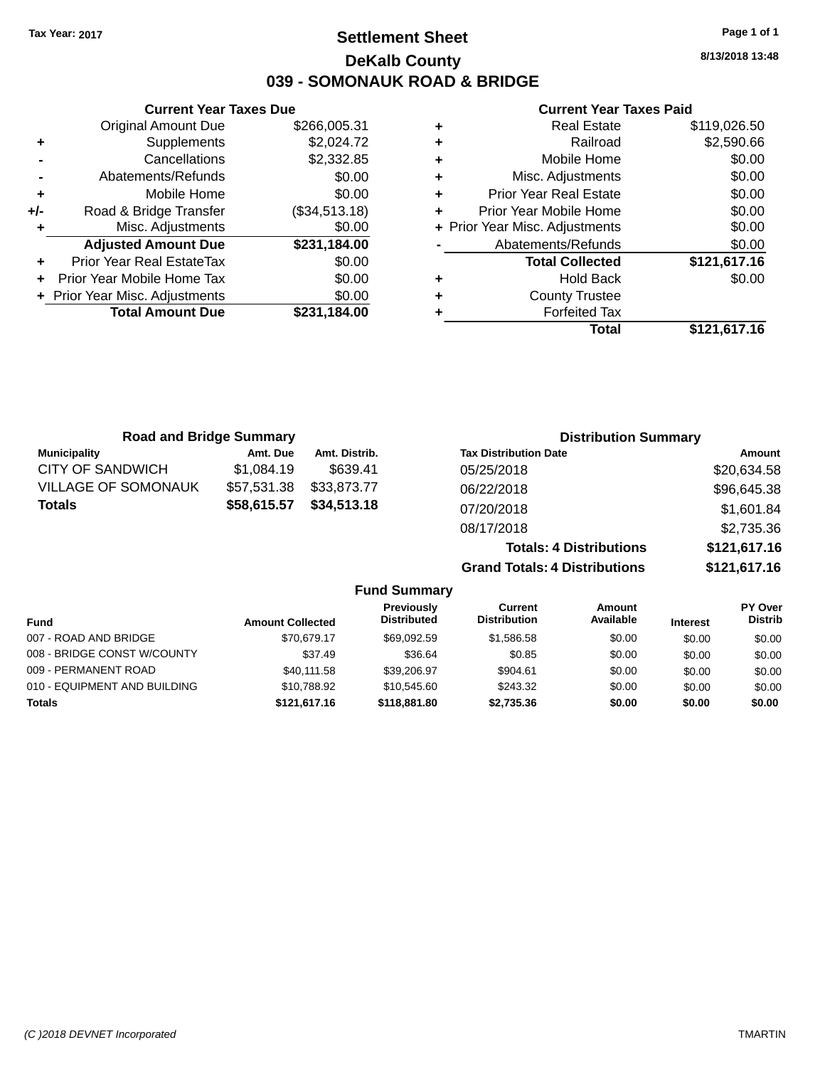## **Settlement Sheet Tax Year: 2017 Page 1 of 1 DeKalb County 039 - SOMONAUK ROAD & BRIDGE**

**8/13/2018 13:48**

### **Current Year Taxes Paid**

|     | <b>Current Year Taxes Due</b>    |               |
|-----|----------------------------------|---------------|
|     | <b>Original Amount Due</b>       | \$266,005.31  |
| ٠   | Supplements                      | \$2,024.72    |
|     | Cancellations                    | \$2,332.85    |
|     | Abatements/Refunds               | \$0.00        |
| ٠   | Mobile Home                      | \$0.00        |
| +/- | Road & Bridge Transfer           | (\$34,513.18) |
| ۰   | Misc. Adjustments                | \$0.00        |
|     | <b>Adjusted Amount Due</b>       | \$231,184.00  |
|     | <b>Prior Year Real EstateTax</b> | \$0.00        |
|     | Prior Year Mobile Home Tax       | \$0.00        |
|     | + Prior Year Misc. Adjustments   | \$0.00        |
|     | <b>Total Amount Due</b>          | \$231.184.00  |
|     |                                  |               |

|   | <b>Real Estate</b>             | \$119,026.50 |
|---|--------------------------------|--------------|
| ÷ | Railroad                       | \$2,590.66   |
| ٠ | Mobile Home                    | \$0.00       |
| ٠ | Misc. Adjustments              | \$0.00       |
| ٠ | <b>Prior Year Real Estate</b>  | \$0.00       |
| ٠ | Prior Year Mobile Home         | \$0.00       |
|   | + Prior Year Misc. Adjustments | \$0.00       |
|   | Abatements/Refunds             | \$0.00       |
|   | <b>Total Collected</b>         | \$121,617.16 |
| ٠ | <b>Hold Back</b>               | \$0.00       |
| ٠ | <b>County Trustee</b>          |              |
| ٠ | <b>Forfeited Tax</b>           |              |
|   | Total                          | \$121,617.16 |
|   |                                |              |

| <b>Road and Bridge Summary</b> |             |               | <b>Distribution Summary</b>    |              |
|--------------------------------|-------------|---------------|--------------------------------|--------------|
| <b>Municipality</b>            | Amt. Due    | Amt. Distrib. | <b>Tax Distribution Date</b>   | Amount       |
| CITY OF SANDWICH               | \$1,084.19  | \$639.41      | 05/25/2018                     | \$20,634.58  |
| <b>VILLAGE OF SOMONAUK</b>     | \$57,531.38 | \$33,873.77   | 06/22/2018                     | \$96,645.38  |
| <b>Totals</b>                  | \$58,615.57 | \$34,513.18   | 07/20/2018                     | \$1,601.84   |
|                                |             |               | 08/17/2018                     | \$2,735.36   |
|                                |             |               | <b>Totals: 4 Distributions</b> | \$121,617.16 |

**Grand Totals: 4 Distributions \$121,617.16**

|                              |                         | <b>Fund Summary</b>              |                                |                            |                 |                                  |
|------------------------------|-------------------------|----------------------------------|--------------------------------|----------------------------|-----------------|----------------------------------|
| <b>Fund</b>                  | <b>Amount Collected</b> | Previously<br><b>Distributed</b> | Current<br><b>Distribution</b> | <b>Amount</b><br>Available | <b>Interest</b> | <b>PY Over</b><br><b>Distrib</b> |
| 007 - ROAD AND BRIDGE        | \$70.679.17             | \$69.092.59                      | \$1.586.58                     | \$0.00                     | \$0.00          | \$0.00                           |
| 008 - BRIDGE CONST W/COUNTY  | \$37.49                 | \$36.64                          | \$0.85                         | \$0.00                     | \$0.00          | \$0.00                           |
| 009 - PERMANENT ROAD         | \$40.111.58             | \$39,206.97                      | \$904.61                       | \$0.00                     | \$0.00          | \$0.00                           |
| 010 - EQUIPMENT AND BUILDING | \$10.788.92             | \$10,545.60                      | \$243.32                       | \$0.00                     | \$0.00          | \$0.00                           |
| <b>Totals</b>                | \$121,617.16            | \$118,881.80                     | \$2,735.36                     | \$0.00                     | \$0.00          | \$0.00                           |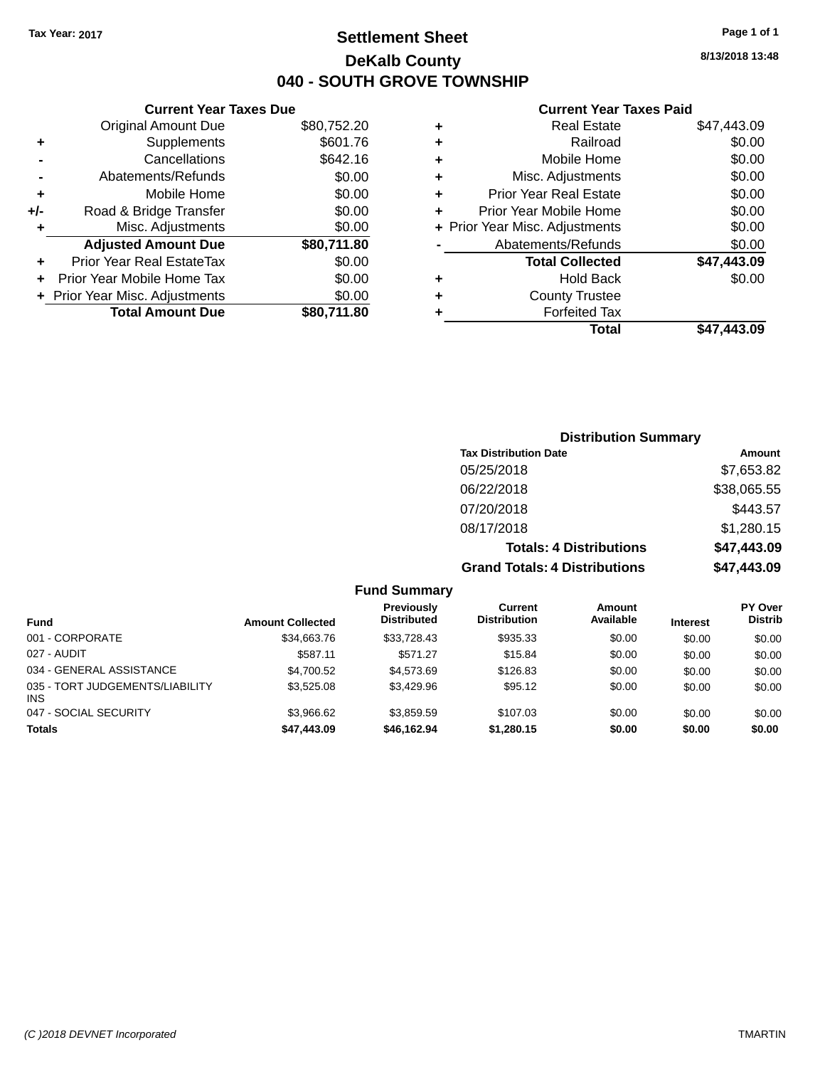**Current Year Taxes Due**

## **Settlement Sheet Tax Year: 2017 Page 1 of 1 DeKalb County 040 - SOUTH GROVE TOWNSHIP**

**8/13/2018 13:48**

### **Current Year Taxes Paid**

|                      | <b>Original Amount Due</b>     | \$80,752.20 | ٠ | <b>Real Estate</b>             | \$47,443.09 |
|----------------------|--------------------------------|-------------|---|--------------------------------|-------------|
| ÷                    | <b>Supplements</b>             | \$601.76    | ٠ | Railroad                       | \$0.00      |
|                      | Cancellations                  | \$642.16    | ٠ | Mobile Home                    | \$0.00      |
|                      | Abatements/Refunds             | \$0.00      | ٠ | Misc. Adjustments              | \$0.00      |
| ÷                    | Mobile Home                    | \$0.00      |   | <b>Prior Year Real Estate</b>  | \$0.00      |
| I-                   | Road & Bridge Transfer         | \$0.00      |   | Prior Year Mobile Home         | \$0.00      |
| ÷                    | Misc. Adjustments              | \$0.00      |   | + Prior Year Misc. Adjustments | \$0.00      |
|                      | <b>Adjusted Amount Due</b>     | \$80,711.80 |   | Abatements/Refunds             | \$0.00      |
| $\ddot{\phantom{1}}$ | Prior Year Real EstateTax      | \$0.00      |   | <b>Total Collected</b>         | \$47,443.09 |
|                      | + Prior Year Mobile Home Tax   | \$0.00      | ٠ | <b>Hold Back</b>               | \$0.00      |
|                      | + Prior Year Misc. Adjustments | \$0.00      | ٠ | <b>County Trustee</b>          |             |
|                      | <b>Total Amount Due</b>        | \$80,711.80 |   | <b>Forfeited Tax</b>           |             |
|                      |                                |             |   | <b>Total</b>                   | \$47,443.09 |

### **Distribution Summary Tax Distribution Date Amount** 05/25/2018 \$7,653.82 06/22/2018 \$38,065.55 07/20/2018 \$443.57 08/17/2018 \$1,280.15 **Totals: 4 Distributions \$47,443.09 Grand Totals: 4 Distributions \$47,443.09**

|                         | .                                |                                |                            |                 |                                  |
|-------------------------|----------------------------------|--------------------------------|----------------------------|-----------------|----------------------------------|
| <b>Amount Collected</b> | Previously<br><b>Distributed</b> | Current<br><b>Distribution</b> | <b>Amount</b><br>Available | <b>Interest</b> | <b>PY Over</b><br><b>Distrib</b> |
| \$34,663.76             | \$33,728.43                      | \$935.33                       | \$0.00                     | \$0.00          | \$0.00                           |
| \$587.11                | \$571.27                         | \$15.84                        | \$0.00                     | \$0.00          | \$0.00                           |
| \$4,700.52              | \$4,573,69                       | \$126.83                       | \$0.00                     | \$0.00          | \$0.00                           |
| \$3,525.08              | \$3,429.96                       | \$95.12                        | \$0.00                     | \$0.00          | \$0.00                           |
| \$3.966.62              | \$3.859.59                       | \$107.03                       | \$0.00                     | \$0.00          | \$0.00                           |
| \$47,443.09             | \$46,162.94                      | \$1,280.15                     | \$0.00                     | \$0.00          | \$0.00                           |
|                         |                                  |                                |                            |                 |                                  |

**Fund Summary**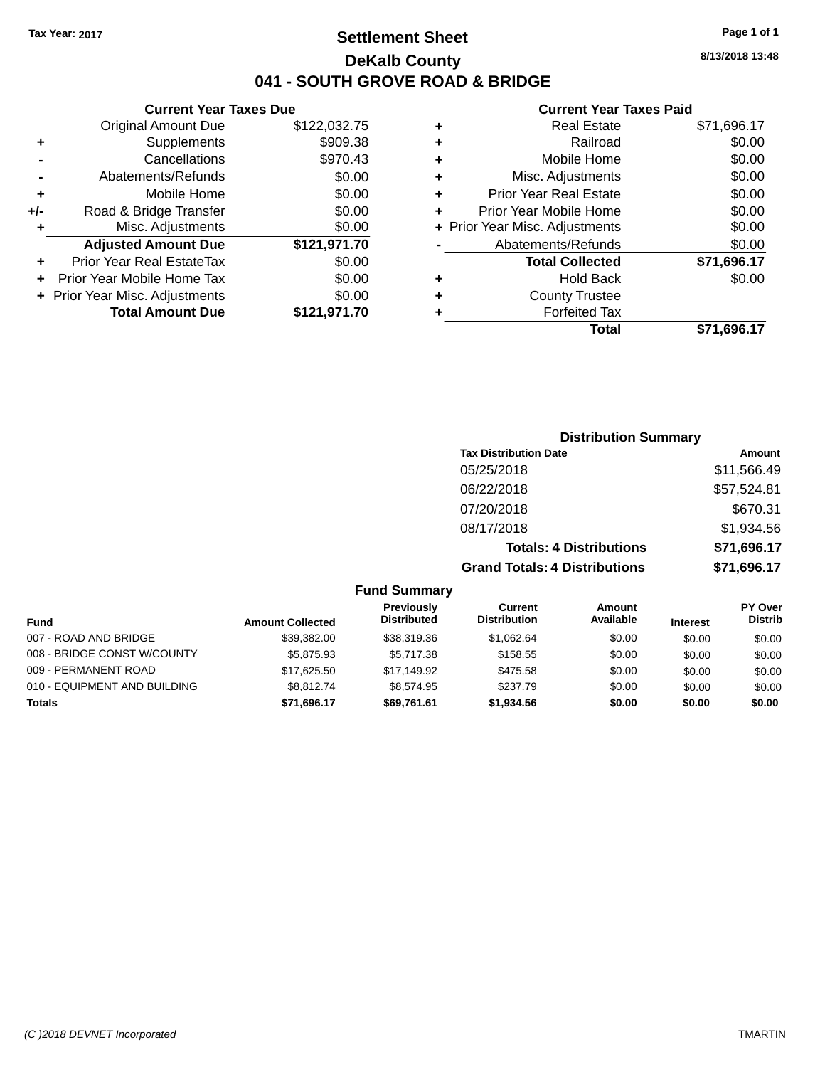## **Settlement Sheet Tax Year: 2017 Page 1 of 1 DeKalb County 041 - SOUTH GROVE ROAD & BRIDGE**

**8/13/2018 13:48**

### **Current Year Taxes Paid**

| <b>Prior Year Real Estate</b><br>Prior Year Mobile Home<br>+ Prior Year Misc. Adjustments<br>Abatements/Refunds<br><b>Total Collected</b><br><b>Hold Back</b><br><b>County Trustee</b><br><b>Forfeited Tax</b> |                                                     |
|----------------------------------------------------------------------------------------------------------------------------------------------------------------------------------------------------------------|-----------------------------------------------------|
|                                                                                                                                                                                                                | \$0.00<br>\$0.00<br>\$0.00<br>\$71,696.17<br>\$0.00 |
|                                                                                                                                                                                                                |                                                     |
|                                                                                                                                                                                                                |                                                     |
|                                                                                                                                                                                                                |                                                     |
|                                                                                                                                                                                                                |                                                     |
|                                                                                                                                                                                                                |                                                     |
|                                                                                                                                                                                                                |                                                     |
|                                                                                                                                                                                                                | \$0.00                                              |
| Misc. Adjustments                                                                                                                                                                                              | \$0.00                                              |
| Mobile Home                                                                                                                                                                                                    | \$0.00                                              |
| Railroad                                                                                                                                                                                                       | \$0.00                                              |
| <b>Real Estate</b>                                                                                                                                                                                             | \$71,696.17                                         |
|                                                                                                                                                                                                                |                                                     |

|     | <b>Current Year Taxes Due</b>  |              |  |  |  |  |
|-----|--------------------------------|--------------|--|--|--|--|
|     | <b>Original Amount Due</b>     | \$122,032.75 |  |  |  |  |
| ٠   | Supplements                    | \$909.38     |  |  |  |  |
|     | Cancellations                  | \$970.43     |  |  |  |  |
|     | Abatements/Refunds             | \$0.00       |  |  |  |  |
| ٠   | Mobile Home                    | \$0.00       |  |  |  |  |
| +/- | Road & Bridge Transfer         | \$0.00       |  |  |  |  |
| ٠   | Misc. Adjustments              | \$0.00       |  |  |  |  |
|     | <b>Adjusted Amount Due</b>     | \$121,971.70 |  |  |  |  |
| ٠   | Prior Year Real EstateTax      | \$0.00       |  |  |  |  |
|     | Prior Year Mobile Home Tax     | \$0.00       |  |  |  |  |
|     | + Prior Year Misc. Adjustments | \$0.00       |  |  |  |  |
|     | <b>Total Amount Due</b>        | \$121,971.70 |  |  |  |  |
|     |                                |              |  |  |  |  |

| <b>Distribution Summary</b>          |             |  |  |  |  |
|--------------------------------------|-------------|--|--|--|--|
| <b>Tax Distribution Date</b>         | Amount      |  |  |  |  |
| 05/25/2018                           | \$11,566.49 |  |  |  |  |
| 06/22/2018                           | \$57,524.81 |  |  |  |  |
| 07/20/2018                           | \$670.31    |  |  |  |  |
| 08/17/2018                           | \$1,934.56  |  |  |  |  |
| <b>Totals: 4 Distributions</b>       | \$71,696.17 |  |  |  |  |
| <b>Grand Totals: 4 Distributions</b> | \$71,696.17 |  |  |  |  |

### **Fund Summary**

| <b>Fund</b>                  | <b>Amount Collected</b> | Previously<br><b>Distributed</b> | <b>Current</b><br><b>Distribution</b> | Amount<br>Available | <b>Interest</b> | <b>PY Over</b><br><b>Distrib</b> |
|------------------------------|-------------------------|----------------------------------|---------------------------------------|---------------------|-----------------|----------------------------------|
|                              |                         |                                  |                                       |                     |                 |                                  |
| 007 - ROAD AND BRIDGE        | \$39.382.00             | \$38,319.36                      | \$1.062.64                            | \$0.00              | \$0.00          | \$0.00                           |
| 008 - BRIDGE CONST W/COUNTY  | \$5,875,93              | \$5.717.38                       | \$158.55                              | \$0.00              | \$0.00          | \$0.00                           |
| 009 - PERMANENT ROAD         | \$17,625.50             | \$17.149.92                      | \$475.58                              | \$0.00              | \$0.00          | \$0.00                           |
| 010 - EQUIPMENT AND BUILDING | \$8.812.74              | \$8.574.95                       | \$237.79                              | \$0.00              | \$0.00          | \$0.00                           |
| <b>Totals</b>                | \$71,696.17             | \$69.761.61                      | \$1,934.56                            | \$0.00              | \$0.00          | \$0.00                           |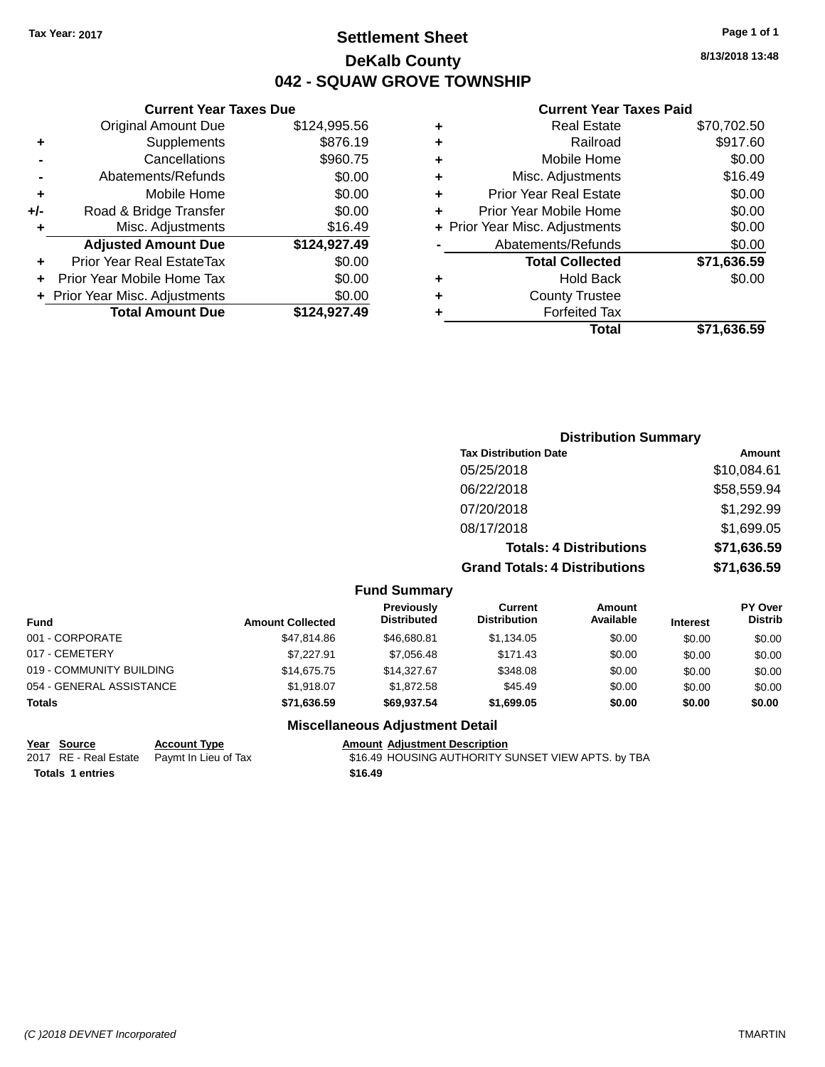## **Settlement Sheet Tax Year: 2017 Page 1 of 1 DeKalb County 042 - SQUAW GROVE TOWNSHIP**

**8/13/2018 13:48**

#### **Current Year Taxes Paid**

|       | <b>Current Year Taxes Due</b>  |              |
|-------|--------------------------------|--------------|
|       | <b>Original Amount Due</b>     | \$124,995.56 |
| ٠     | Supplements                    | \$876.19     |
|       | Cancellations                  | \$960.75     |
|       | Abatements/Refunds             | \$0.00       |
| ٠     | Mobile Home                    | \$0.00       |
| $+/-$ | Road & Bridge Transfer         | \$0.00       |
| ÷     | Misc. Adjustments              | \$16.49      |
|       | <b>Adjusted Amount Due</b>     | \$124,927.49 |
| ٠     | Prior Year Real EstateTax      | \$0.00       |
|       | Prior Year Mobile Home Tax     | \$0.00       |
|       | + Prior Year Misc. Adjustments | \$0.00       |
|       | <b>Total Amount Due</b>        | \$124,927.49 |
|       |                                |              |

| ٠ | <b>Real Estate</b>             | \$70,702.50 |
|---|--------------------------------|-------------|
| ٠ | Railroad                       | \$917.60    |
| ٠ | Mobile Home                    | \$0.00      |
| ٠ | Misc. Adjustments              | \$16.49     |
| ٠ | <b>Prior Year Real Estate</b>  | \$0.00      |
| ٠ | Prior Year Mobile Home         | \$0.00      |
|   | + Prior Year Misc. Adjustments | \$0.00      |
|   | Abatements/Refunds             | \$0.00      |
|   | <b>Total Collected</b>         | \$71,636.59 |
| ٠ | <b>Hold Back</b>               | \$0.00      |
| ٠ | <b>County Trustee</b>          |             |
| ٠ | <b>Forfeited Tax</b>           |             |
|   | Total                          | \$71,636.59 |
|   |                                |             |

### **Distribution Summary Tax Distribution Date Amount** 05/25/2018 \$10,084.61 06/22/2018 \$58,559.94 07/20/2018 \$1,292.99 08/17/2018 \$1,699.05 **Totals: 4 Distributions \$71,636.59 Grand Totals: 4 Distributions \$71,636.59**

#### **Fund Summary**

| <b>Fund</b>              | <b>Amount Collected</b> | Previously<br><b>Distributed</b> | Current<br><b>Distribution</b> | Amount<br>Available | <b>Interest</b> | <b>PY Over</b><br><b>Distrib</b> |
|--------------------------|-------------------------|----------------------------------|--------------------------------|---------------------|-----------------|----------------------------------|
| 001 - CORPORATE          | \$47,814.86             | \$46,680.81                      | \$1,134.05                     | \$0.00              | \$0.00          | \$0.00                           |
| 017 - CEMETERY           | \$7.227.91              | \$7.056.48                       | \$171.43                       | \$0.00              | \$0.00          | \$0.00                           |
| 019 - COMMUNITY BUILDING | \$14,675,75             | \$14,327.67                      | \$348.08                       | \$0.00              | \$0.00          | \$0.00                           |
| 054 - GENERAL ASSISTANCE | \$1.918.07              | \$1.872.58                       | \$45.49                        | \$0.00              | \$0.00          | \$0.00                           |
| <b>Totals</b>            | \$71,636.59             | \$69,937.54                      | \$1,699.05                     | \$0.00              | \$0.00          | \$0.00                           |

### **Miscellaneous Adjustment Detail**

| Year Source      | <b>Account Type</b>                        | Amount  |
|------------------|--------------------------------------------|---------|
|                  | 2017 RE - Real Estate Paymt In Lieu of Tax | \$16.49 |
| Totals 1 entries |                                            | \$16.49 |

**<u>Dunt Type</u> Alternative State Account Adjustment Description** The In Lieu of Tax **Estate Tax** \$16.49 HOUSING AUTHORITY SUNSET VIEW APTS. by TBA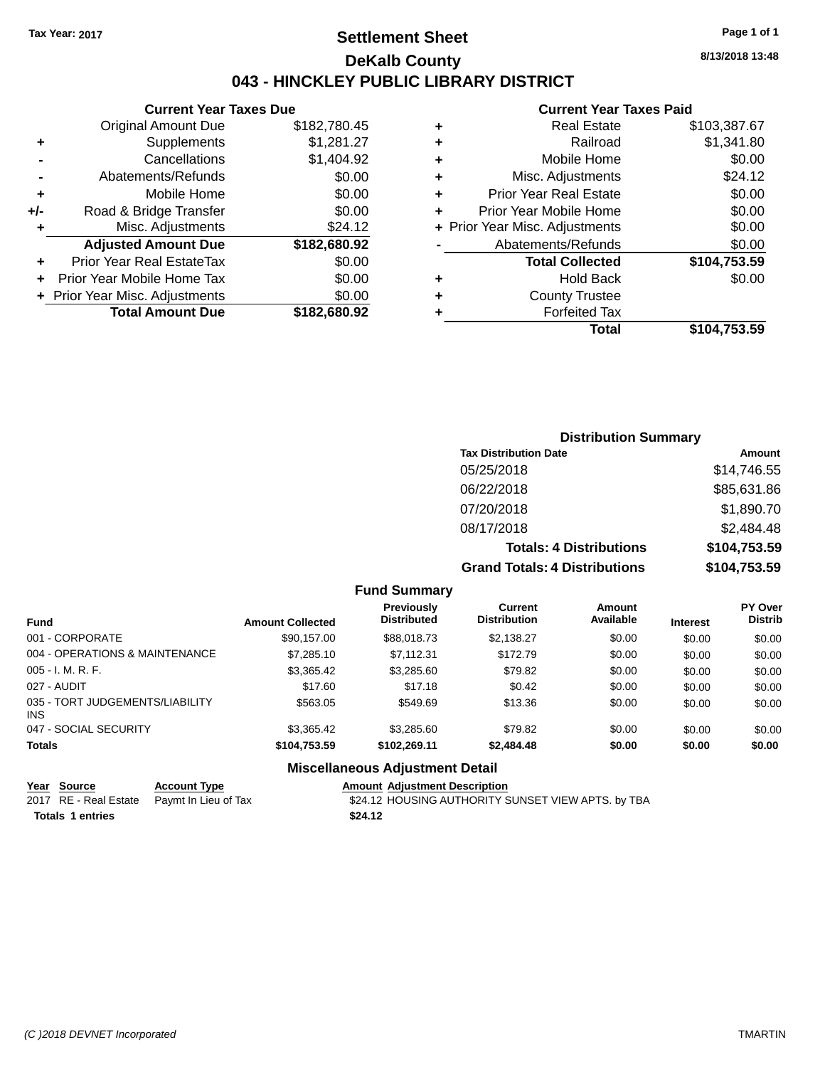### **Settlement Sheet Tax Year: 2017 Page 1 of 1 DeKalb County 043 - HINCKLEY PUBLIC LIBRARY DISTRICT**

**8/13/2018 13:48**

### **Current Year Taxes Paid**

|     | <b>Current Year Taxes Due</b>    |              |  |  |  |  |  |
|-----|----------------------------------|--------------|--|--|--|--|--|
|     | <b>Original Amount Due</b>       | \$182,780.45 |  |  |  |  |  |
| ٠   | Supplements                      | \$1,281.27   |  |  |  |  |  |
|     | Cancellations                    | \$1,404.92   |  |  |  |  |  |
|     | Abatements/Refunds               | \$0.00       |  |  |  |  |  |
| ٠   | Mobile Home                      | \$0.00       |  |  |  |  |  |
| +/- | Road & Bridge Transfer           | \$0.00       |  |  |  |  |  |
| ٠   | Misc. Adjustments                | \$24.12      |  |  |  |  |  |
|     | <b>Adjusted Amount Due</b>       | \$182,680.92 |  |  |  |  |  |
| ٠   | <b>Prior Year Real EstateTax</b> | \$0.00       |  |  |  |  |  |
|     | Prior Year Mobile Home Tax       | \$0.00       |  |  |  |  |  |
|     | + Prior Year Misc. Adjustments   | \$0.00       |  |  |  |  |  |
|     | <b>Total Amount Due</b>          | \$182.680.92 |  |  |  |  |  |
|     |                                  |              |  |  |  |  |  |

| ٠ | <b>Real Estate</b>             | \$103,387.67 |
|---|--------------------------------|--------------|
| ٠ | Railroad                       | \$1,341.80   |
| ٠ | Mobile Home                    | \$0.00       |
| ٠ | Misc. Adjustments              | \$24.12      |
| ٠ | <b>Prior Year Real Estate</b>  | \$0.00       |
| ٠ | Prior Year Mobile Home         | \$0.00       |
|   | + Prior Year Misc. Adjustments | \$0.00       |
|   | Abatements/Refunds             | \$0.00       |
|   | <b>Total Collected</b>         | \$104,753.59 |
| ٠ | <b>Hold Back</b>               | \$0.00       |
| ٠ | <b>County Trustee</b>          |              |
| ٠ | <b>Forfeited Tax</b>           |              |
|   | Total                          | \$104,753.59 |
|   |                                |              |

### **Distribution Summary Tax Distribution Date Amount** 05/25/2018 \$14,746.55 06/22/2018 \$85,631.86 07/20/2018 \$1,890.70 08/17/2018 \$2,484.48 **Totals: 4 Distributions \$104,753.59 Grand Totals: 4 Distributions \$104,753.59**

#### **Fund Summary**

| <b>Fund</b>                                   | <b>Amount Collected</b> | Previously<br><b>Distributed</b> | Current<br><b>Distribution</b> | Amount<br>Available | <b>Interest</b> | <b>PY Over</b><br><b>Distrib</b> |
|-----------------------------------------------|-------------------------|----------------------------------|--------------------------------|---------------------|-----------------|----------------------------------|
| 001 - CORPORATE                               | \$90,157.00             | \$88,018.73                      | \$2,138.27                     | \$0.00              | \$0.00          | \$0.00                           |
| 004 - OPERATIONS & MAINTENANCE                | \$7,285.10              | \$7.112.31                       | \$172.79                       | \$0.00              | \$0.00          | \$0.00                           |
| $005 - I. M. R. F.$                           | \$3,365.42              | \$3,285.60                       | \$79.82                        | \$0.00              | \$0.00          | \$0.00                           |
| 027 - AUDIT                                   | \$17.60                 | \$17.18                          | \$0.42                         | \$0.00              | \$0.00          | \$0.00                           |
| 035 - TORT JUDGEMENTS/LIABILITY<br><b>INS</b> | \$563.05                | \$549.69                         | \$13.36                        | \$0.00              | \$0.00          | \$0.00                           |
| 047 - SOCIAL SECURITY                         | \$3,365.42              | \$3,285.60                       | \$79.82                        | \$0.00              | \$0.00          | \$0.00                           |
| <b>Totals</b>                                 | \$104,753.59            | \$102.269.11                     | \$2,484.48                     | \$0.00              | \$0.00          | \$0.00                           |

| Year Source             | <b>Account Type</b>                        | <b>Amount Adiustment Description</b>               |
|-------------------------|--------------------------------------------|----------------------------------------------------|
|                         | 2017 RE - Real Estate Paymt In Lieu of Tax | \$24.12 HOUSING AUTHORITY SUNSET VIEW APTS. by TBA |
| <b>Totals 1 entries</b> |                                            | \$24.12                                            |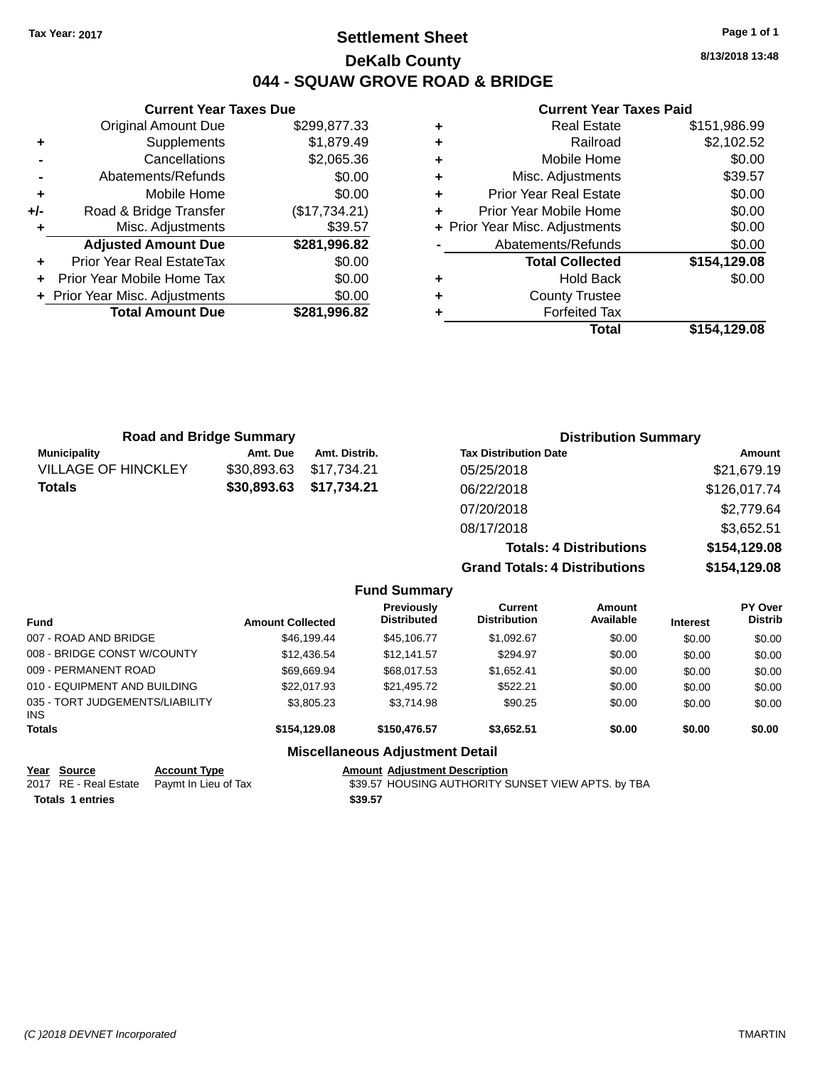## **Settlement Sheet Tax Year: 2017 Page 1 of 1 DeKalb County 044 - SQUAW GROVE ROAD & BRIDGE**

**8/13/2018 13:48**

#### **Current Year Taxes Paid**

|       | <b>Current Year Taxes Due</b>  |               |  |  |  |  |
|-------|--------------------------------|---------------|--|--|--|--|
|       | <b>Original Amount Due</b>     | \$299,877.33  |  |  |  |  |
| ٠     | Supplements                    | \$1,879.49    |  |  |  |  |
|       | Cancellations                  | \$2,065.36    |  |  |  |  |
|       | Abatements/Refunds             | \$0.00        |  |  |  |  |
| ٠     | Mobile Home                    | \$0.00        |  |  |  |  |
| $+/-$ | Road & Bridge Transfer         | (\$17,734.21) |  |  |  |  |
| ٠     | Misc. Adjustments              | \$39.57       |  |  |  |  |
|       | <b>Adjusted Amount Due</b>     | \$281,996.82  |  |  |  |  |
| ٠     | Prior Year Real EstateTax      | \$0.00        |  |  |  |  |
|       | Prior Year Mobile Home Tax     | \$0.00        |  |  |  |  |
|       | + Prior Year Misc. Adjustments | \$0.00        |  |  |  |  |
|       | <b>Total Amount Due</b>        | \$281.996.82  |  |  |  |  |
|       |                                |               |  |  |  |  |

|   | <b>Real Estate</b>             | \$151,986.99 |
|---|--------------------------------|--------------|
| ٠ | Railroad                       | \$2,102.52   |
| ٠ | Mobile Home                    | \$0.00       |
| ٠ | Misc. Adjustments              | \$39.57      |
| ٠ | <b>Prior Year Real Estate</b>  | \$0.00       |
| ٠ | Prior Year Mobile Home         | \$0.00       |
|   | + Prior Year Misc. Adjustments | \$0.00       |
|   | Abatements/Refunds             | \$0.00       |
|   | <b>Total Collected</b>         | \$154,129.08 |
| ٠ | <b>Hold Back</b>               | \$0.00       |
| ٠ | <b>County Trustee</b>          |              |
| ٠ | <b>Forfeited Tax</b>           |              |
|   | Total                          | \$154.129.08 |

| <b>Road and Bridge Summary</b> |             |               | <b>Distribution Summary</b>          |              |  |
|--------------------------------|-------------|---------------|--------------------------------------|--------------|--|
| <b>Municipality</b>            | Amt. Due    | Amt. Distrib. | <b>Tax Distribution Date</b>         | Amount       |  |
| <b>VILLAGE OF HINCKLEY</b>     | \$30,893.63 | \$17,734.21   | 05/25/2018                           | \$21,679.19  |  |
| <b>Totals</b>                  | \$30,893.63 | \$17,734.21   | 06/22/2018                           | \$126,017.74 |  |
|                                |             |               | 07/20/2018                           | \$2,779.64   |  |
|                                |             |               | 08/17/2018                           | \$3,652.51   |  |
|                                |             |               | <b>Totals: 4 Distributions</b>       | \$154,129.08 |  |
|                                |             |               | <b>Grand Totals: 4 Distributions</b> | \$154,129.08 |  |

|                                         |                         | <b>Fund Summary</b>                     |                                |                     |                 |                                  |
|-----------------------------------------|-------------------------|-----------------------------------------|--------------------------------|---------------------|-----------------|----------------------------------|
| <b>Fund</b>                             | <b>Amount Collected</b> | <b>Previously</b><br><b>Distributed</b> | Current<br><b>Distribution</b> | Amount<br>Available | <b>Interest</b> | <b>PY Over</b><br><b>Distrib</b> |
| 007 - ROAD AND BRIDGE                   | \$46,199,44             | \$45.106.77                             | \$1,092.67                     | \$0.00              | \$0.00          | \$0.00                           |
| 008 - BRIDGE CONST W/COUNTY             | \$12,436.54             | \$12.141.57                             | \$294.97                       | \$0.00              | \$0.00          | \$0.00                           |
| 009 - PERMANENT ROAD                    | \$69.669.94             | \$68,017.53                             | \$1,652.41                     | \$0.00              | \$0.00          | \$0.00                           |
| 010 - EQUIPMENT AND BUILDING            | \$22,017.93             | \$21,495.72                             | \$522.21                       | \$0.00              | \$0.00          | \$0.00                           |
| 035 - TORT JUDGEMENTS/LIABILITY<br>INS. | \$3,805.23              | \$3.714.98                              | \$90.25                        | \$0.00              | \$0.00          | \$0.00                           |
| <b>Totals</b>                           | \$154,129,08            | \$150,476.57                            | \$3.652.51                     | \$0.00              | \$0.00          | \$0.00                           |
| <b>Miscellaneous Adjustment Detail</b>  |                         |                                         |                                |                     |                 |                                  |

**Year Source Account Type Account Type Amount Adjustment Description**<br>2017 RE - Real Estate Paymt In Lieu of Tax \$39.57 HOUSING AUTHORITY S

**Totals 1 entries** \$39.57

\$39.57 HOUSING AUTHORITY SUNSET VIEW APTS. by TBA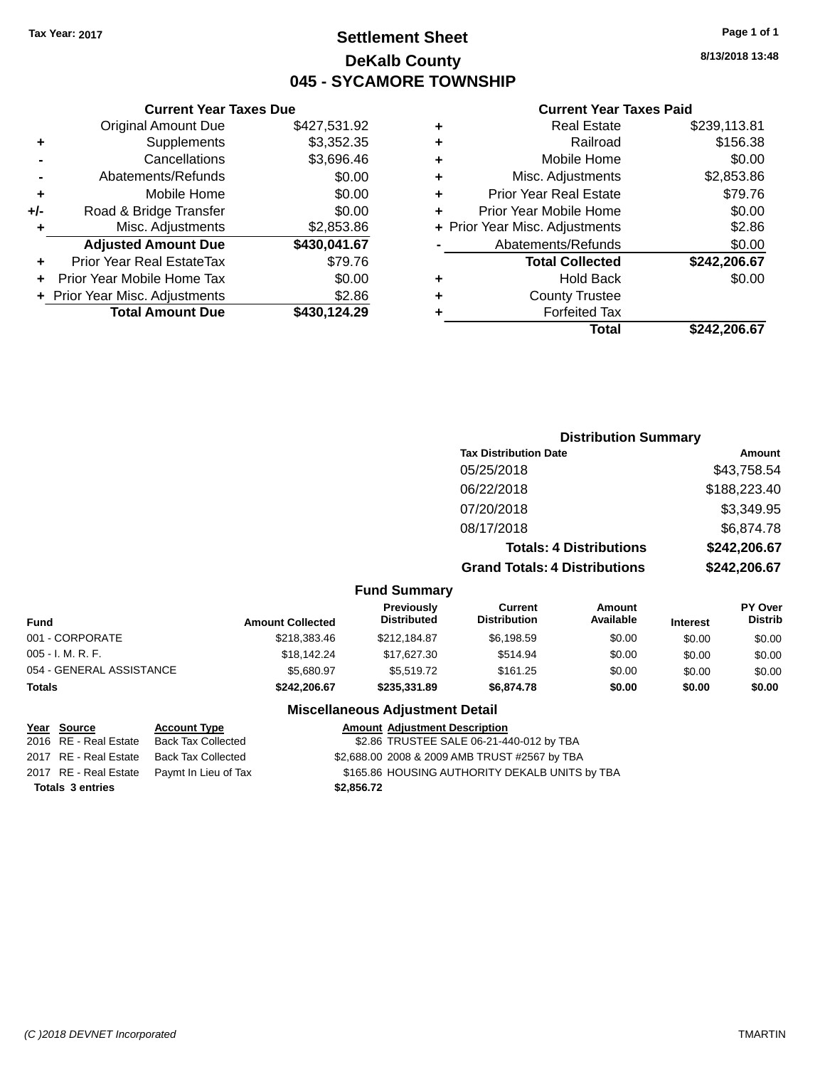## **Settlement Sheet Tax Year: 2017 Page 1 of 1 DeKalb County 045 - SYCAMORE TOWNSHIP**

**8/13/2018 13:48**

#### **Current Year Taxes Paid**

|   | Total                          | \$242.206.67 |
|---|--------------------------------|--------------|
|   | <b>Forfeited Tax</b>           |              |
| ٠ | <b>County Trustee</b>          |              |
| ٠ | Hold Back                      | \$0.00       |
|   | <b>Total Collected</b>         | \$242,206.67 |
|   | Abatements/Refunds             | \$0.00       |
|   | + Prior Year Misc. Adjustments | \$2.86       |
|   | Prior Year Mobile Home         | \$0.00       |
| ٠ | <b>Prior Year Real Estate</b>  | \$79.76      |
| ÷ | Misc. Adjustments              | \$2,853.86   |
| ÷ | Mobile Home                    | \$0.00       |
| ٠ | Railroad                       | \$156.38     |
| ٠ | <b>Real Estate</b>             | \$239,113.81 |
|   |                                |              |

|     | <b>Current Year Taxes Due</b>  |              |
|-----|--------------------------------|--------------|
|     | <b>Original Amount Due</b>     | \$427,531.92 |
| ٠   | Supplements                    | \$3,352.35   |
|     | Cancellations                  | \$3,696.46   |
|     | Abatements/Refunds             | \$0.00       |
| ٠   | Mobile Home                    | \$0.00       |
| +/- | Road & Bridge Transfer         | \$0.00       |
| ٠   | Misc. Adjustments              | \$2,853.86   |
|     | <b>Adjusted Amount Due</b>     | \$430,041.67 |
| ٠   | Prior Year Real EstateTax      | \$79.76      |
|     | Prior Year Mobile Home Tax     | \$0.00       |
|     | + Prior Year Misc. Adjustments | \$2.86       |
|     | <b>Total Amount Due</b>        | \$430,124.29 |

| <b>Distribution Summary</b> |
|-----------------------------|
| Amount                      |
| \$43,758.54                 |
| \$188,223.40                |
| \$3,349.95                  |
| \$6,874.78                  |
| \$242,206.67                |
| \$242,206.67                |
|                             |

#### **Fund Summary**

| Fund                     | <b>Amount Collected</b> | <b>Previously</b><br><b>Distributed</b> | Current<br><b>Distribution</b> | Amount<br>Available | <b>Interest</b> | <b>PY Over</b><br><b>Distrib</b> |
|--------------------------|-------------------------|-----------------------------------------|--------------------------------|---------------------|-----------------|----------------------------------|
| 001 - CORPORATE          | \$218,383.46            | \$212,184.87                            | \$6,198.59                     | \$0.00              | \$0.00          | \$0.00                           |
| 005 - I. M. R. F.        | \$18,142,24             | \$17.627.30                             | \$514.94                       | \$0.00              | \$0.00          | \$0.00                           |
| 054 - GENERAL ASSISTANCE | \$5.680.97              | \$5,519.72                              | \$161.25                       | \$0.00              | \$0.00          | \$0.00                           |
| Totals                   | \$242.206.67            | \$235,331.89                            | \$6,874.78                     | \$0.00              | \$0.00          | \$0.00                           |

### **Miscellaneous Adjustment Detail**

| Year Source                                | <b>Account Type</b>       | Amount     |
|--------------------------------------------|---------------------------|------------|
| 2016 RE - Real Estate                      | <b>Back Tax Collected</b> | \$2.86     |
| 2017 RE - Real Estate                      | <b>Back Tax Collected</b> | \$2,688,00 |
| 2017 RE - Real Estate Paymt In Lieu of Tax |                           | \$165.86   |
| <b>Totals 3 entries</b>                    |                           | \$2,856.72 |

**Amount Adjustment Description** \$2.86 TRUSTEE SALE 06-21-440-012 by TBA \$2,688.00 2008 & 2009 AMB TRUST #2567 by TBA \$165.86 HOUSING AUTHORITY DEKALB UNITS by TBA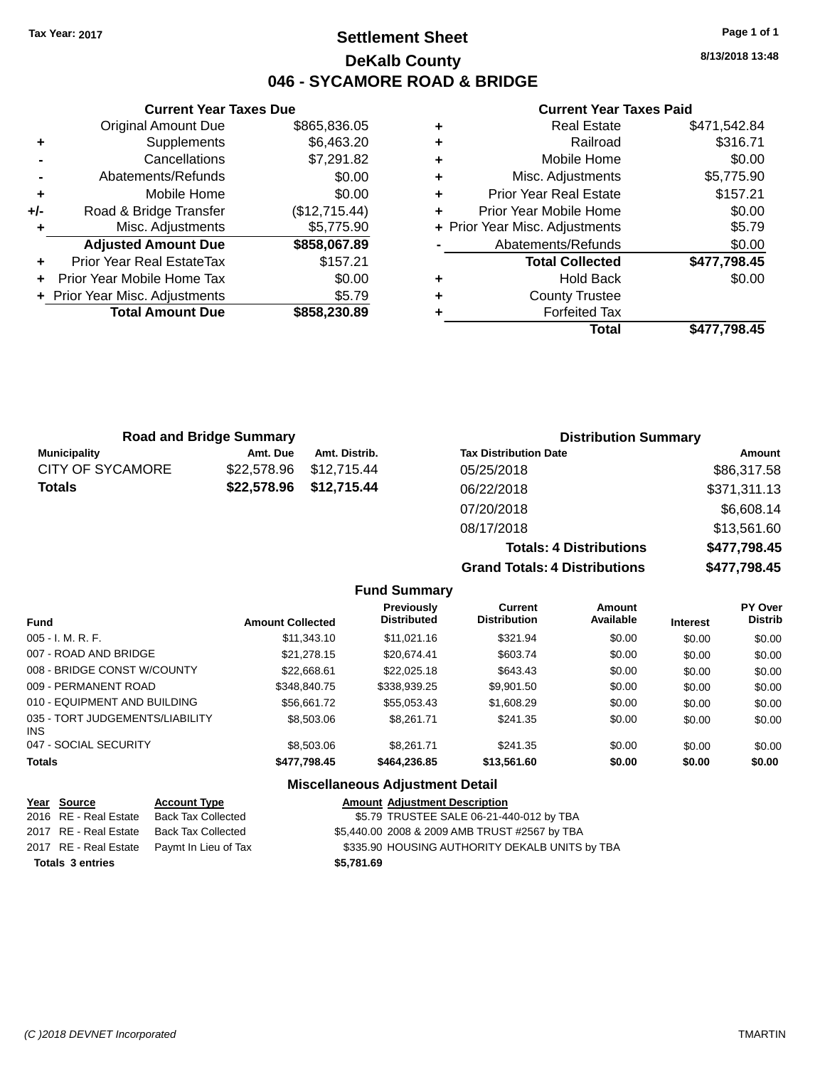## **Settlement Sheet Tax Year: 2017 Page 1 of 1 DeKalb County 046 - SYCAMORE ROAD & BRIDGE**

**8/13/2018 13:48**

#### **Current Year Taxes Paid**

|     | <b>Current Year Taxes Due</b>  |               |
|-----|--------------------------------|---------------|
|     | <b>Original Amount Due</b>     | \$865,836.05  |
| ٠   | Supplements                    | \$6,463.20    |
|     | Cancellations                  | \$7,291.82    |
|     | Abatements/Refunds             | \$0.00        |
| ٠   | Mobile Home                    | \$0.00        |
| +/- | Road & Bridge Transfer         | (\$12,715.44) |
| ٠   | Misc. Adjustments              | \$5,775.90    |
|     | <b>Adjusted Amount Due</b>     | \$858,067.89  |
|     | Prior Year Real EstateTax      | \$157.21      |
|     | Prior Year Mobile Home Tax     | \$0.00        |
|     | + Prior Year Misc. Adjustments | \$5.79        |
|     | <b>Total Amount Due</b>        | \$858,230.89  |
|     |                                |               |

|   | <b>Real Estate</b>             | \$471,542.84 |
|---|--------------------------------|--------------|
| ٠ | Railroad                       | \$316.71     |
| ٠ | Mobile Home                    | \$0.00       |
| ٠ | Misc. Adjustments              | \$5,775.90   |
| ٠ | <b>Prior Year Real Estate</b>  | \$157.21     |
| ٠ | Prior Year Mobile Home         | \$0.00       |
|   | + Prior Year Misc. Adjustments | \$5.79       |
|   | Abatements/Refunds             | \$0.00       |
|   | <b>Total Collected</b>         | \$477,798.45 |
| ٠ | <b>Hold Back</b>               | \$0.00       |
| ٠ | <b>County Trustee</b>          |              |
| ٠ | <b>Forfeited Tax</b>           |              |
|   | Total                          | \$477.798.45 |

**Totals: 4 Distributions \$477,798.45**

| <b>Road and Bridge Summary</b> |             |                         | <b>Distribution Summary</b>  |              |
|--------------------------------|-------------|-------------------------|------------------------------|--------------|
| <b>Municipality</b>            | Amt. Due    | Amt. Distrib.           | <b>Tax Distribution Date</b> | Amount       |
| <b>CITY OF SYCAMORE</b>        | \$22.578.96 | \$12,715.44             | 05/25/2018                   | \$86,317.58  |
| <b>Totals</b>                  |             | \$22,578.96 \$12,715.44 | 06/22/2018                   | \$371,311.13 |
|                                |             |                         | 07/20/2018                   | \$6,608.14   |
|                                |             |                         | 08/17/2018                   | \$13,561.60  |

**Grand Totals: 4 Distributions \$477,798.45 Fund Summary Fund Interest Amount Collected Distributed PY Over Distrib Amount Available Current Distribution Previously**

| <b>Totals</b>                                 | \$477,798.45 | \$464,236.85 | \$13,561.60 | \$0.00 | \$0.00 | \$0.00 |
|-----------------------------------------------|--------------|--------------|-------------|--------|--------|--------|
| 047 - SOCIAL SECURITY                         | \$8,503.06   | \$8,261.71   | \$241.35    | \$0.00 | \$0.00 | \$0.00 |
| 035 - TORT JUDGEMENTS/LIABILITY<br><b>INS</b> | \$8,503.06   | \$8,261.71   | \$241.35    | \$0.00 | \$0.00 | \$0.00 |
| 010 - EQUIPMENT AND BUILDING                  | \$56.661.72  | \$55.053.43  | \$1,608.29  | \$0.00 | \$0.00 | \$0.00 |
| 009 - PERMANENT ROAD                          | \$348,840.75 | \$338,939.25 | \$9,901.50  | \$0.00 | \$0.00 | \$0.00 |
| 008 - BRIDGE CONST W/COUNTY                   | \$22,668.61  | \$22,025.18  | \$643.43    | \$0.00 | \$0.00 | \$0.00 |
| 007 - ROAD AND BRIDGE                         | \$21,278.15  | \$20.674.41  | \$603.74    | \$0.00 | \$0.00 | \$0.00 |
| $005 - I. M. R. F.$                           | \$11,343.10  | \$11.021.16  | \$321.94    | \$0.00 | \$0.00 | \$0.00 |

| Year Source             | <b>Account Type</b>                        | <b>Amount Adjustment Description</b>           |
|-------------------------|--------------------------------------------|------------------------------------------------|
| 2016 RE - Real Estate   | Back Tax Collected                         | \$5.79 TRUSTEE SALE 06-21-440-012 by TBA       |
|                         | 2017 RE - Real Estate Back Tax Collected   | \$5,440.00 2008 & 2009 AMB TRUST #2567 by TBA  |
|                         | 2017 RE - Real Estate Paymt In Lieu of Tax | \$335.90 HOUSING AUTHORITY DEKALB UNITS by TBA |
| <b>Totals 3 entries</b> |                                            | \$5.781.69                                     |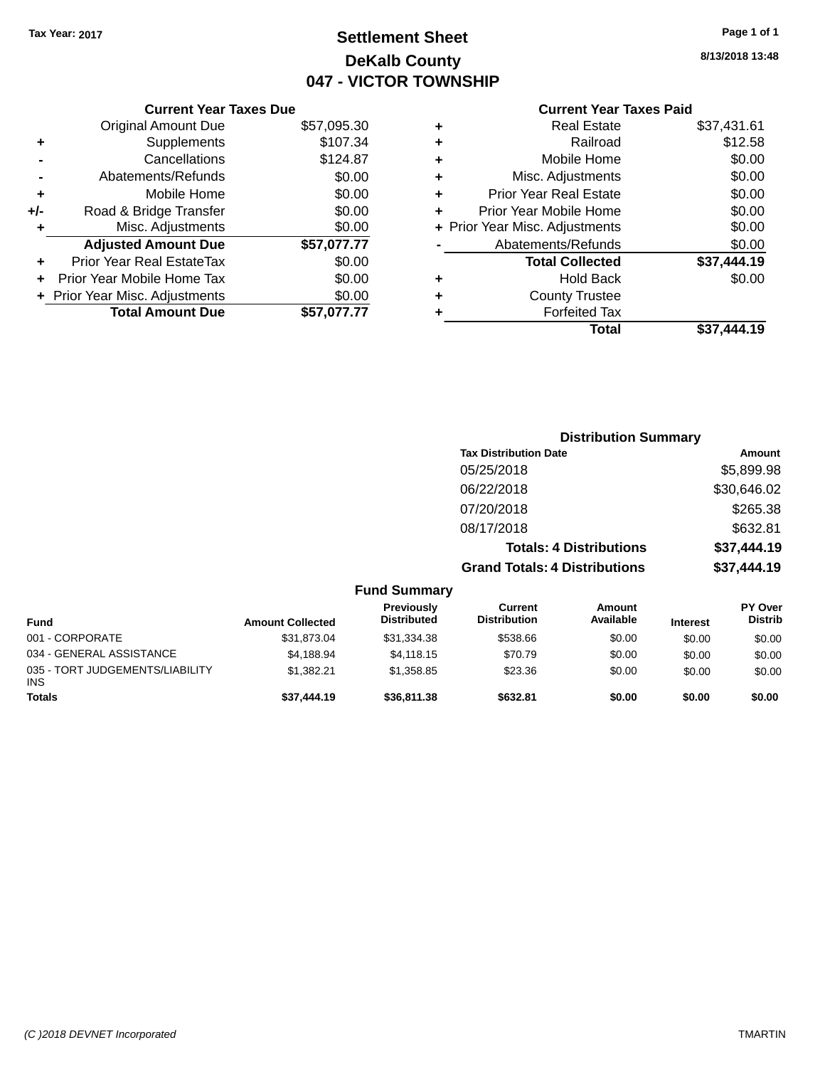## **Settlement Sheet Tax Year: 2017 Page 1 of 1 DeKalb County 047 - VICTOR TOWNSHIP**

**8/13/2018 13:48**

## **Current Year Taxes Paid**

|     | <b>Current Year Taxes Due</b>  |             |
|-----|--------------------------------|-------------|
|     | <b>Original Amount Due</b>     | \$57,095.30 |
| ٠   | Supplements                    | \$107.34    |
|     | Cancellations                  | \$124.87    |
|     | Abatements/Refunds             | \$0.00      |
| ٠   | Mobile Home                    | \$0.00      |
| +/- | Road & Bridge Transfer         | \$0.00      |
| ٠   | Misc. Adjustments              | \$0.00      |
|     | <b>Adjusted Amount Due</b>     | \$57,077.77 |
|     | Prior Year Real EstateTax      | \$0.00      |
|     | Prior Year Mobile Home Tax     | \$0.00      |
|     | + Prior Year Misc. Adjustments | \$0.00      |
|     | <b>Total Amount Due</b>        | \$57.077.77 |
|     |                                |             |

| ٠ | <b>Real Estate</b>             | \$37,431.61 |
|---|--------------------------------|-------------|
| ٠ | Railroad                       | \$12.58     |
| ٠ | Mobile Home                    | \$0.00      |
| ٠ | Misc. Adjustments              | \$0.00      |
| ٠ | <b>Prior Year Real Estate</b>  | \$0.00      |
| ÷ | Prior Year Mobile Home         | \$0.00      |
|   | + Prior Year Misc. Adjustments | \$0.00      |
|   | Abatements/Refunds             | \$0.00      |
|   | <b>Total Collected</b>         | \$37,444.19 |
| ٠ | Hold Back                      | \$0.00      |
| ٠ | <b>County Trustee</b>          |             |
| ٠ | <b>Forfeited Tax</b>           |             |
|   | Total                          | \$37.444.19 |
|   |                                |             |

|                          |                         |                                  | <b>Distribution Summary</b>           |                                |                 |                           |
|--------------------------|-------------------------|----------------------------------|---------------------------------------|--------------------------------|-----------------|---------------------------|
|                          |                         |                                  | <b>Tax Distribution Date</b>          |                                |                 | Amount                    |
|                          |                         |                                  | 05/25/2018                            |                                |                 | \$5,899.98                |
|                          |                         |                                  | 06/22/2018                            |                                |                 | \$30,646.02               |
|                          |                         |                                  | 07/20/2018                            |                                |                 | \$265.38                  |
|                          |                         |                                  | 08/17/2018                            |                                |                 | \$632.81                  |
|                          |                         |                                  |                                       | <b>Totals: 4 Distributions</b> |                 | \$37,444.19               |
|                          |                         |                                  | <b>Grand Totals: 4 Distributions</b>  |                                |                 | \$37,444.19               |
|                          |                         | <b>Fund Summary</b>              |                                       |                                |                 |                           |
| <b>Fund</b>              | <b>Amount Collected</b> | Previously<br><b>Distributed</b> | <b>Current</b><br><b>Distribution</b> | Amount<br>Available            | <b>Interest</b> | PY Over<br><b>Distrib</b> |
| 001 - CORPORATE          | \$31,873.04             | \$31,334.38                      | \$538.66                              | \$0.00                         | \$0.00          | \$0.00                    |
| 034 - GENERAL ASSISTANCE | \$4,188.94              | \$4,118.15                       | \$70.79                               | \$0.00                         | \$0.00          | \$0.00                    |

**Totals \$37,444.19 \$36,811.38 \$632.81 \$0.00 \$0.00 \$0.00**

\$1,382.21 \$1,358.85 \$23.36 \$0.00 \$0.00 \$0.00

035 - TORT JUDGEMENTS/LIABILITY

INS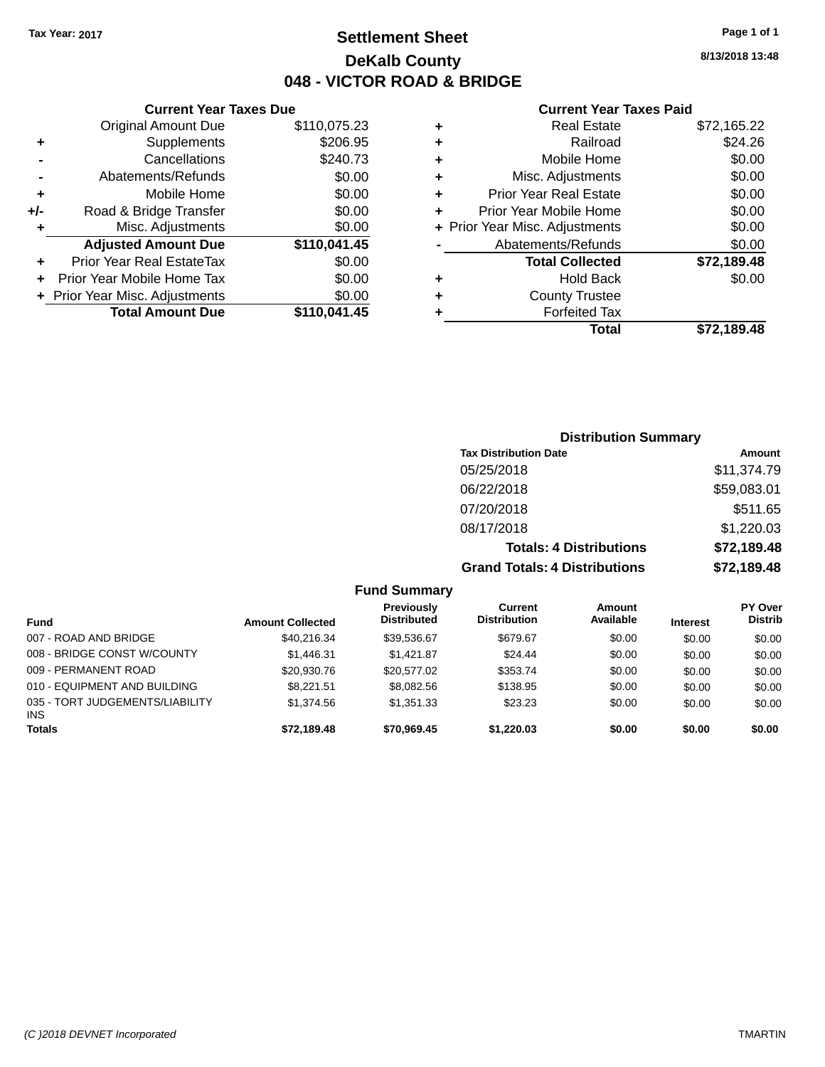## **Settlement Sheet Tax Year: 2017 Page 1 of 1 DeKalb County 048 - VICTOR ROAD & BRIDGE**

**8/13/2018 13:48**

#### **Current Year Taxes Paid**

|     | <b>Original Amount Due</b>     | \$110,075.23 | ٠ |
|-----|--------------------------------|--------------|---|
| ٠   | Supplements                    | \$206.95     | ÷ |
|     | Cancellations                  | \$240.73     | ٠ |
|     | Abatements/Refunds             | \$0.00       | ٠ |
|     | Mobile Home                    | \$0.00       | ٠ |
| +/- | Road & Bridge Transfer         | \$0.00       | ٠ |
| ٠   | Misc. Adjustments              | \$0.00       | ٠ |
|     | <b>Adjusted Amount Due</b>     | \$110,041.45 |   |
|     | Prior Year Real EstateTax      | \$0.00       |   |
|     | Prior Year Mobile Home Tax     | \$0.00       | ٠ |
|     | + Prior Year Misc. Adjustments | \$0.00       | ٠ |
|     | <b>Total Amount Due</b>        | \$110,041.45 |   |
|     |                                |              |   |

**Current Year Taxes Due**

|   | <b>Real Estate</b>             | \$72,165.22 |
|---|--------------------------------|-------------|
| ٠ | Railroad                       | \$24.26     |
| ٠ | Mobile Home                    | \$0.00      |
| ٠ | Misc. Adjustments              | \$0.00      |
| ٠ | <b>Prior Year Real Estate</b>  | \$0.00      |
| ÷ | Prior Year Mobile Home         | \$0.00      |
|   | + Prior Year Misc. Adjustments | \$0.00      |
|   | Abatements/Refunds             | \$0.00      |
|   | <b>Total Collected</b>         | \$72,189.48 |
| ٠ | Hold Back                      | \$0.00      |
|   | <b>County Trustee</b>          |             |
| ٠ | <b>Forfeited Tax</b>           |             |
|   | Total                          | \$72,189.48 |
|   |                                |             |

### **Distribution Summary Tax Distribution Date Amount** 05/25/2018 \$11,374.79 06/22/2018 \$59,083.01 07/20/2018 \$511.65 08/17/2018 \$1,220.03 **Totals: 4 Distributions \$72,189.48 Grand Totals: 4 Distributions \$72,189.48**

|                                               |                         | <b>Fund Summary</b>              |                                |                     |                 |                                  |
|-----------------------------------------------|-------------------------|----------------------------------|--------------------------------|---------------------|-----------------|----------------------------------|
| <b>Fund</b>                                   | <b>Amount Collected</b> | Previously<br><b>Distributed</b> | Current<br><b>Distribution</b> | Amount<br>Available | <b>Interest</b> | <b>PY Over</b><br><b>Distrib</b> |
| 007 - ROAD AND BRIDGE                         | \$40,216.34             | \$39,536.67                      | \$679.67                       | \$0.00              | \$0.00          | \$0.00                           |
| 008 - BRIDGE CONST W/COUNTY                   | \$1.446.31              | \$1.421.87                       | \$24.44                        | \$0.00              | \$0.00          | \$0.00                           |
| 009 - PERMANENT ROAD                          | \$20,930.76             | \$20,577.02                      | \$353.74                       | \$0.00              | \$0.00          | \$0.00                           |
| 010 - EQUIPMENT AND BUILDING                  | \$8.221.51              | \$8,082.56                       | \$138.95                       | \$0.00              | \$0.00          | \$0.00                           |
| 035 - TORT JUDGEMENTS/LIABILITY<br><b>INS</b> | \$1,374.56              | \$1,351,33                       | \$23.23                        | \$0.00              | \$0.00          | \$0.00                           |
| <b>Totals</b>                                 | \$72,189.48             | \$70,969.45                      | \$1,220,03                     | \$0.00              | \$0.00          | \$0.00                           |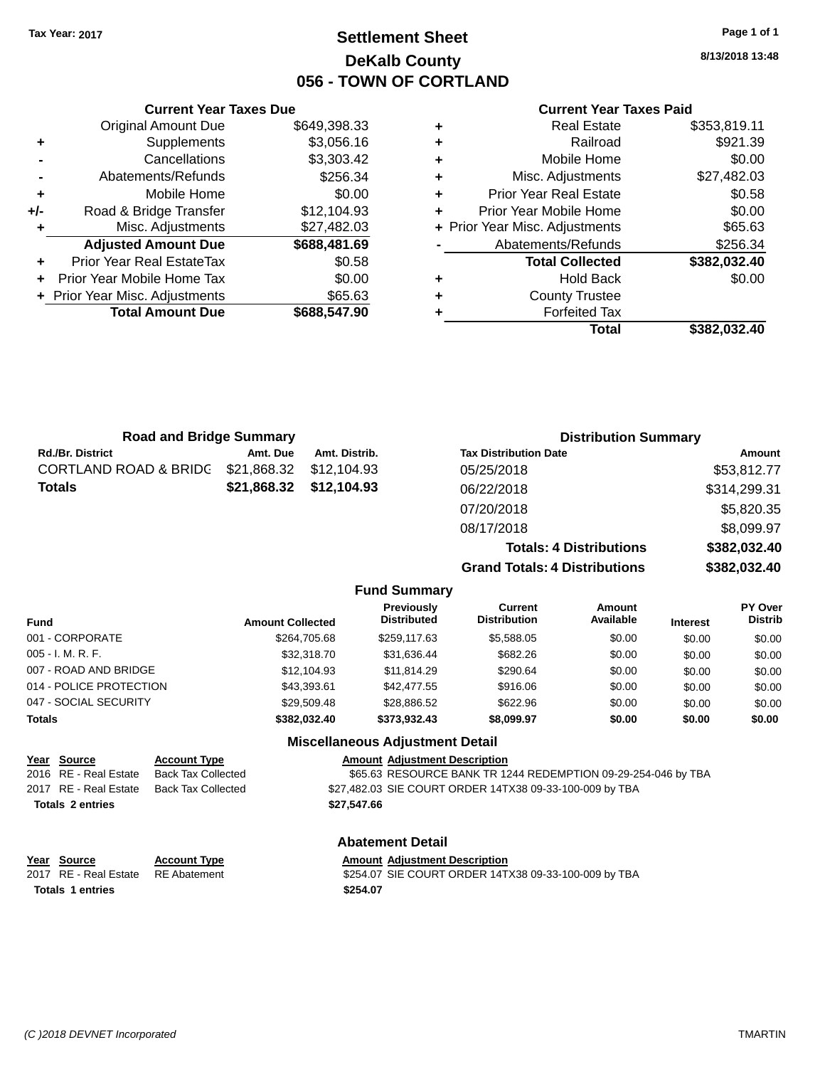## **Settlement Sheet Tax Year: 2017 Page 1 of 1 DeKalb County 056 - TOWN OF CORTLAND**

**8/13/2018 13:48**

### **Current Year Taxes Paid**

|   | Total                          | \$382,032.40 |
|---|--------------------------------|--------------|
| ٠ | <b>Forfeited Tax</b>           |              |
| ٠ | <b>County Trustee</b>          |              |
| ٠ | <b>Hold Back</b>               | \$0.00       |
|   | <b>Total Collected</b>         | \$382,032.40 |
|   | Abatements/Refunds             | \$256.34     |
|   | + Prior Year Misc. Adjustments | \$65.63      |
| ٠ | Prior Year Mobile Home         | \$0.00       |
| ٠ | <b>Prior Year Real Estate</b>  | \$0.58       |
| ٠ | Misc. Adjustments              | \$27,482.03  |
| ٠ | Mobile Home                    | \$0.00       |
| ٠ | Railroad                       | \$921.39     |
| ٠ | <b>Real Estate</b>             | \$353,819.11 |
|   |                                |              |

|     | <b>Current Year Taxes Due</b>    |              |  |  |  |
|-----|----------------------------------|--------------|--|--|--|
|     | Original Amount Due              | \$649,398.33 |  |  |  |
| ٠   | Supplements                      | \$3,056.16   |  |  |  |
|     | Cancellations                    | \$3,303.42   |  |  |  |
|     | Abatements/Refunds               | \$256.34     |  |  |  |
| ٠   | Mobile Home                      | \$0.00       |  |  |  |
| +/- | Road & Bridge Transfer           | \$12,104.93  |  |  |  |
| ٠   | Misc. Adjustments<br>\$27,482.03 |              |  |  |  |
|     | <b>Adjusted Amount Due</b>       | \$688,481.69 |  |  |  |
|     | Prior Year Real EstateTax        | \$0.58       |  |  |  |
|     | Prior Year Mobile Home Tax       | \$0.00       |  |  |  |
|     | + Prior Year Misc. Adjustments   | \$65.63      |  |  |  |
|     | <b>Total Amount Due</b>          | \$688,547.90 |  |  |  |
|     |                                  |              |  |  |  |

| <b>Road and Bridge Summary</b> |             |                     | <b>Distribution Summary</b>          |              |  |
|--------------------------------|-------------|---------------------|--------------------------------------|--------------|--|
| <b>Rd./Br. District</b>        | Amt. Due    | Amt. Distrib.       | <b>Tax Distribution Date</b>         | Amount       |  |
| CORTLAND ROAD & BRIDG          | \$21,868.32 | \$12,104.93         | 05/25/2018                           | \$53,812.77  |  |
| Totals                         | \$21,868.32 | \$12,104.93         | 06/22/2018                           | \$314,299.31 |  |
|                                |             |                     | 07/20/2018                           | \$5,820.35   |  |
|                                |             |                     | 08/17/2018                           | \$8,099.97   |  |
|                                |             |                     | <b>Totals: 4 Distributions</b>       | \$382,032.40 |  |
|                                |             |                     | <b>Grand Totals: 4 Distributions</b> | \$382,032.40 |  |
|                                |             | <b>Fund Summary</b> |                                      |              |  |

| <b>Fund</b>             | <b>Amount Collected</b> | <b>Previously</b><br><b>Distributed</b> | <b>Current</b><br><b>Distribution</b> | <b>Amount</b><br>Available | <b>Interest</b> | <b>PY Over</b><br><b>Distrib</b> |
|-------------------------|-------------------------|-----------------------------------------|---------------------------------------|----------------------------|-----------------|----------------------------------|
| 001 - CORPORATE         | \$264,705.68            | \$259.117.63                            | \$5,588.05                            | \$0.00                     | \$0.00          | \$0.00                           |
| $005 - I. M. R. F.$     | \$32,318,70             | \$31,636.44                             | \$682.26                              | \$0.00                     | \$0.00          | \$0.00                           |
| 007 - ROAD AND BRIDGE   | \$12,104.93             | \$11.814.29                             | \$290.64                              | \$0.00                     | \$0.00          | \$0.00                           |
| 014 - POLICE PROTECTION | \$43,393.61             | \$42,477.55                             | \$916.06                              | \$0.00                     | \$0.00          | \$0.00                           |
| 047 - SOCIAL SECURITY   | \$29,509.48             | \$28,886.52                             | \$622.96                              | \$0.00                     | \$0.00          | \$0.00                           |
| <b>Totals</b>           | \$382.032.40            | \$373.932.43                            | \$8,099.97                            | \$0.00                     | \$0.00          | \$0.00                           |
|                         |                         | <b>Miscellaneous Adjustment Detail</b>  |                                       |                            |                 |                                  |

|                         | miscendricous Aujustinent Detail |                           |             |                                                               |  |
|-------------------------|----------------------------------|---------------------------|-------------|---------------------------------------------------------------|--|
|                         | Year Source                      | <b>Account Type</b>       |             | <b>Amount Adjustment Description</b>                          |  |
|                         | 2016 RE - Real Estate            | Back Tax Collected        |             | \$65.63 RESOURCE BANK TR 1244 REDEMPTION 09-29-254-046 by TBA |  |
|                         | 2017 RE - Real Estate            | <b>Back Tax Collected</b> |             | \$27,482.03 SIE COURT ORDER 14TX38 09-33-100-009 by TBA       |  |
| <b>Totals 2 entries</b> |                                  |                           | \$27.547.66 |                                                               |  |
| <b>Abatement Detail</b> |                                  |                           |             |                                                               |  |

| Year Source                        | <b>Account Type</b> | <b>Amount Adjustment Description</b>                 |
|------------------------------------|---------------------|------------------------------------------------------|
| 2017 RE - Real Estate RE Abatement |                     | \$254.07 SIE COURT ORDER 14TX38 09-33-100-009 by TBA |
| <b>Totals 1 entries</b>            |                     | \$254.07                                             |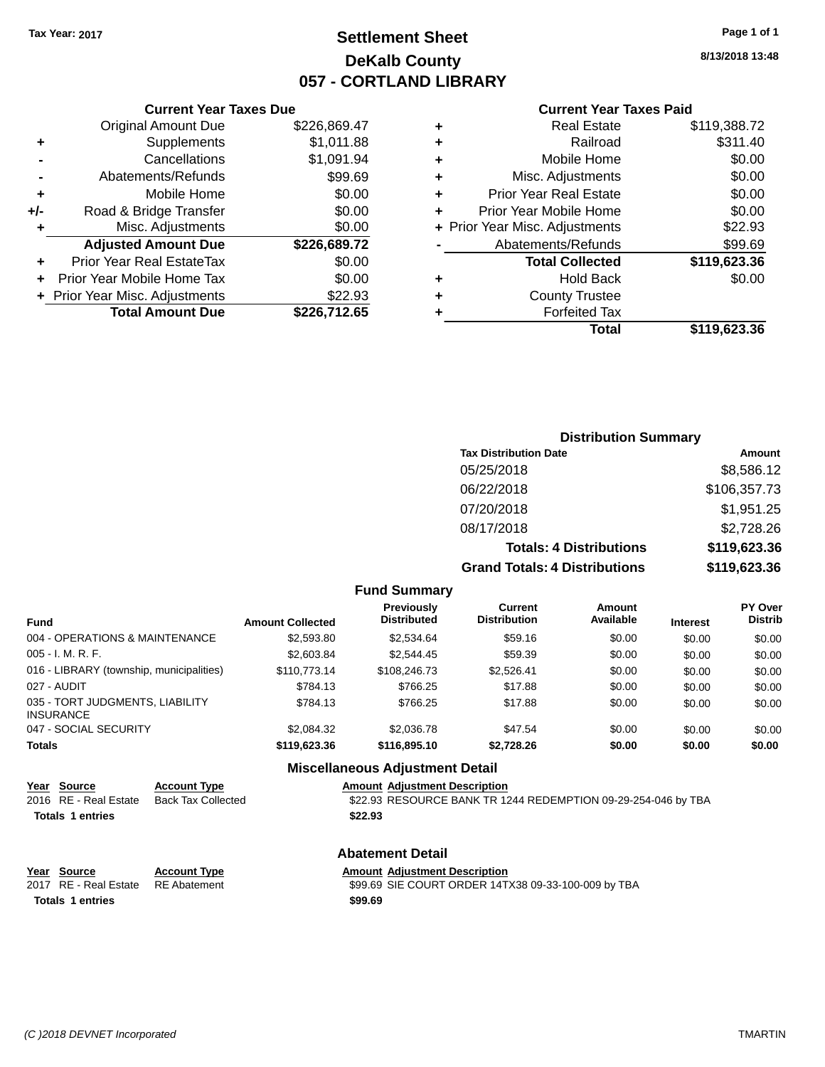## **Settlement Sheet Tax Year: 2017 Page 1 of 1 DeKalb County 057 - CORTLAND LIBRARY**

**8/13/2018 13:48**

#### **Current Year Taxes Paid**

|     | <b>Current Year Taxes Due</b>    |              |
|-----|----------------------------------|--------------|
|     | <b>Original Amount Due</b>       | \$226,869.47 |
| ٠   | Supplements                      | \$1,011.88   |
|     | Cancellations                    | \$1,091.94   |
|     | Abatements/Refunds               | \$99.69      |
| ٠   | Mobile Home                      | \$0.00       |
| +/- | Road & Bridge Transfer           | \$0.00       |
| ٠   | Misc. Adjustments                | \$0.00       |
|     | <b>Adjusted Amount Due</b>       | \$226,689.72 |
| ٠   | <b>Prior Year Real EstateTax</b> | \$0.00       |
| ÷   | Prior Year Mobile Home Tax       | \$0.00       |
|     | + Prior Year Misc. Adjustments   | \$22.93      |
|     | <b>Total Amount Due</b>          | \$226,712.65 |
|     |                                  |              |

|   | <b>Real Estate</b>             | \$119,388.72 |
|---|--------------------------------|--------------|
| ٠ | Railroad                       | \$311.40     |
| ٠ | Mobile Home                    | \$0.00       |
| ٠ | Misc. Adjustments              | \$0.00       |
| ٠ | <b>Prior Year Real Estate</b>  | \$0.00       |
| ٠ | Prior Year Mobile Home         | \$0.00       |
|   | + Prior Year Misc. Adjustments | \$22.93      |
|   | Abatements/Refunds             | \$99.69      |
|   | <b>Total Collected</b>         | \$119,623.36 |
| ٠ | Hold Back                      | \$0.00       |
| ٠ | <b>County Trustee</b>          |              |
| ٠ | <b>Forfeited Tax</b>           |              |
|   | Total                          | \$119,623.36 |
|   |                                |              |

### **Distribution Summary Tax Distribution Date Amount** 05/25/2018 \$8,586.12 06/22/2018 \$106,357.73 07/20/2018 \$1,951.25 08/17/2018 \$2,728.26 **Totals: 4 Distributions \$119,623.36 Grand Totals: 4 Distributions \$119,623.36**

#### **Fund Summary**

| <b>Fund</b>                                         | <b>Amount Collected</b> | <b>Previously</b><br><b>Distributed</b> | Current<br><b>Distribution</b> | Amount<br>Available | <b>Interest</b> | <b>PY Over</b><br><b>Distrib</b> |
|-----------------------------------------------------|-------------------------|-----------------------------------------|--------------------------------|---------------------|-----------------|----------------------------------|
| 004 - OPERATIONS & MAINTENANCE                      | \$2,593.80              | \$2,534.64                              | \$59.16                        | \$0.00              | \$0.00          | \$0.00                           |
| $005 - I. M. R. F.$                                 | \$2,603.84              | \$2,544.45                              | \$59.39                        | \$0.00              | \$0.00          | \$0.00                           |
| 016 - LIBRARY (township, municipalities)            | \$110,773.14            | \$108,246.73                            | \$2.526.41                     | \$0.00              | \$0.00          | \$0.00                           |
| 027 - AUDIT                                         | \$784.13                | \$766.25                                | \$17.88                        | \$0.00              | \$0.00          | \$0.00                           |
| 035 - TORT JUDGMENTS, LIABILITY<br><b>INSURANCE</b> | \$784.13                | \$766.25                                | \$17.88                        | \$0.00              | \$0.00          | \$0.00                           |
| 047 - SOCIAL SECURITY                               | \$2.084.32              | \$2,036.78                              | \$47.54                        | \$0.00              | \$0.00          | \$0.00                           |
| <b>Totals</b>                                       | \$119,623,36            | \$116,895.10                            | \$2,728.26                     | \$0.00              | \$0.00          | \$0.00                           |

### **Miscellaneous Adjustment Detail**

| Year Source             | <b>Account Type</b> |         | <b>Amount Adjustment Description</b>                          |
|-------------------------|---------------------|---------|---------------------------------------------------------------|
| 2016 RE - Real Estate   | Back Tax Collected  |         | \$22.93 RESOURCE BANK TR 1244 REDEMPTION 09-29-254-046 by TBA |
| <b>Totals 1 entries</b> |                     | \$22.93 |                                                               |
|                         |                     |         |                                                               |

### **Abatement Detail**

| Year Source           | <b>Account Type</b> | <b>Amount Adiustment Description</b>                |
|-----------------------|---------------------|-----------------------------------------------------|
| 2017 RE - Real Estate | RE Abatement        | \$99.69 SIE COURT ORDER 14TX38 09-33-100-009 by TBA |
| Totals 1 entries      |                     | \$99.69                                             |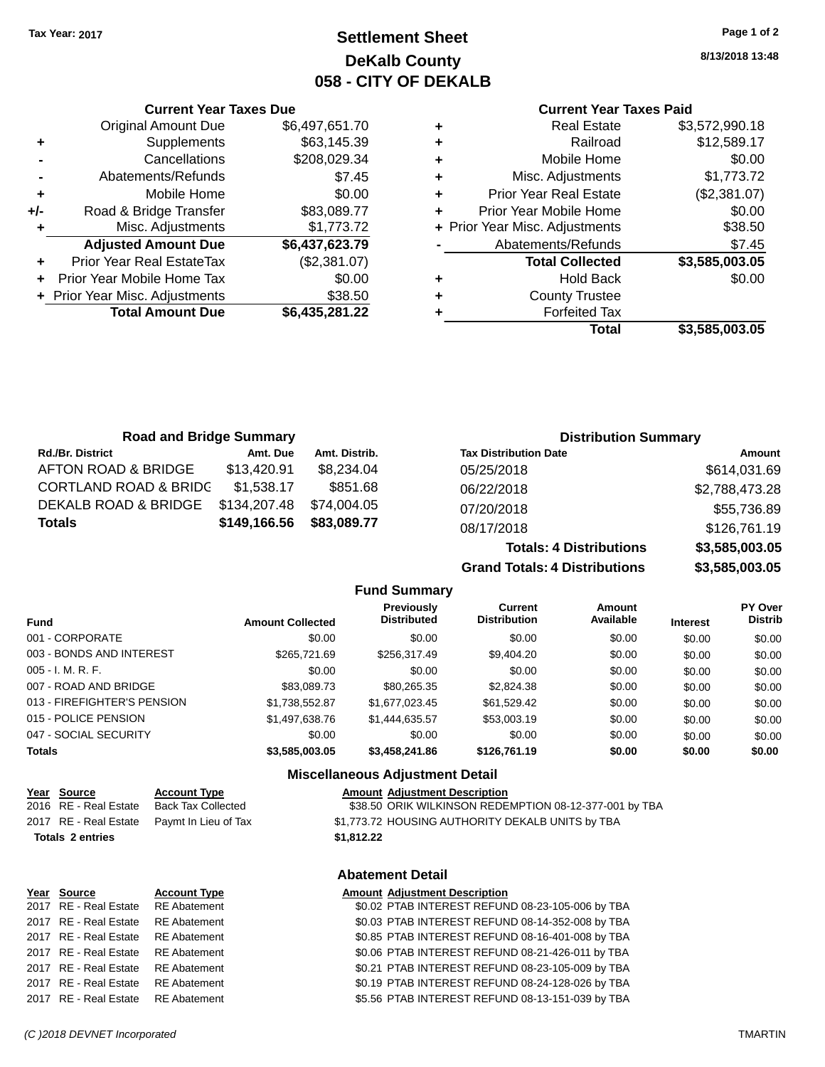**Current Year Taxes Due** Original Amount Due \$6,497,651.70

**Adjusted Amount Due \$6,437,623.79**

**Total Amount Due \$6,435,281.22**

**+** Supplements \$63,145.39 **-** Cancellations \$208,029.34 **-** Abatements/Refunds \$7.45 **+** Mobile Home \$0.00 **+/-** Road & Bridge Transfer \$83,089.77 **+** Misc. Adjustments \$1,773.72

**+** Prior Year Real EstateTax (\$2,381.07) **+** Prior Year Mobile Home Tax \$0.00 **+** Prior Year Misc. Adjustments \$38.50

## **Settlement Sheet Tax Year: 2017 Page 1 of 2 DeKalb County 058 - CITY OF DEKALB**

**8/13/2018 13:48**

### **Current Year Taxes Paid**

| ٠ | <b>Real Estate</b>             | \$3,572,990.18 |
|---|--------------------------------|----------------|
| ٠ | Railroad                       | \$12,589.17    |
| ٠ | Mobile Home                    | \$0.00         |
| ٠ | Misc. Adjustments              | \$1,773.72     |
| ٠ | <b>Prior Year Real Estate</b>  | (\$2,381.07)   |
| ٠ | Prior Year Mobile Home         | \$0.00         |
|   | + Prior Year Misc. Adjustments | \$38.50        |
|   | Abatements/Refunds             | \$7.45         |
|   | <b>Total Collected</b>         | \$3,585,003.05 |
| ٠ | <b>Hold Back</b>               | \$0.00         |
| ٠ | <b>County Trustee</b>          |                |
|   | <b>Forfeited Tax</b>           |                |
|   | Total                          | \$3.585.003.05 |

**Totals: 4 Distributions \$3,585,003.05**

**Grand Totals: 4 Distributions \$3,585,003.05**

| <b>Road and Bridge Summary</b>   |              |               |                              | <b>Distribution Summary</b> |
|----------------------------------|--------------|---------------|------------------------------|-----------------------------|
| <b>Rd./Br. District</b>          | Amt. Due     | Amt. Distrib. | <b>Tax Distribution Date</b> | Amount                      |
| AFTON ROAD & BRIDGE              | \$13,420.91  | \$8,234.04    | 05/25/2018                   | \$614,031.69                |
| <b>CORTLAND ROAD &amp; BRIDC</b> | \$1,538.17   | \$851.68      | 06/22/2018                   | \$2,788,473.28              |
| DEKALB ROAD & BRIDGE             | \$134,207.48 | \$74,004.05   | 07/20/2018                   | \$55,736.89                 |
| <b>Totals</b>                    | \$149,166.56 | \$83,089.77   | 08/17/2018                   | \$126,761.19                |

**Fund Summary Fund Interest Amount Collected Distributed PY Over Distrib Amount Available Current Distribution Previously** 001 - CORPORATE \$0.00 \$0.00 \$0.00 \$0.00 \$0.00 \$0.00 003 - BONDS AND INTEREST 60.00 \$265,721.69 \$256,317.49 \$9,404.20 \$0.00 \$0.00 \$0.00 005 - I. M. R. F. Channel Communication of the South State of South State State State State State State State S 007 - ROAD AND BRIDGE \$83,089.73 \$80,265.35 \$2,824.38 \$0.00 \$0.00 \$0.00 013 - FIREFIGHTER'S PENSION \$1,738,552.87 \$1,677,023.45 \$61,529.42 \$0.00 \$0.00 \$0.00 015 - POLICE PENSION \$1,497,638.76 \$1,444,635.57 \$53,003.19 \$0.00 \$0.00 \$0.00 047 - SOCIAL SECURITY \$0.00 \$0.00 \$0.00 \$0.00 \$0.00 \$0.00 **Totals \$3,585,003.05 \$3,458,241.86 \$126,761.19 \$0.00 \$0.00 \$0.00**

#### **Miscellaneous Adjustment Detail**

| <b>Account Type</b>       |            | <b>Amount Adjustment Description</b>                   |
|---------------------------|------------|--------------------------------------------------------|
| <b>Back Tax Collected</b> |            | \$38.50 ORIK WILKINSON REDEMPTION 08-12-377-001 by TBA |
| Paymt In Lieu of Tax      |            | \$1,773.72 HOUSING AUTHORITY DEKALB UNITS by TBA       |
|                           | \$1,812.22 |                                                        |

### **Abatement Detail**

| Year Source                        | <b>Account Type</b> | <b>Amount Adjustment Description</b>             |
|------------------------------------|---------------------|--------------------------------------------------|
| 2017 RE - Real Estate RE Abatement |                     | \$0.02 PTAB INTEREST REFUND 08-23-105-006 by TBA |
| 2017 RE - Real Estate              | RE Abatement        | \$0.03 PTAB INTEREST REFUND 08-14-352-008 by TBA |
| 2017 RE - Real Estate              | RE Abatement        | \$0.85 PTAB INTEREST REFUND 08-16-401-008 by TBA |
| 2017 RE - Real Estate RE Abatement |                     | \$0.06 PTAB INTEREST REFUND 08-21-426-011 by TBA |
| 2017 RE - Real Estate              | RE Abatement        | \$0.21 PTAB INTEREST REFUND 08-23-105-009 by TBA |
| 2017 RE - Real Estate              | RE Abatement        | \$0.19 PTAB INTEREST REFUND 08-24-128-026 by TBA |
| 2017 RE - Real Estate RE Abatement |                     | \$5.56 PTAB INTEREST REFUND 08-13-151-039 by TBA |
|                                    |                     |                                                  |

#### *(C )2018 DEVNET Incorporated* TMARTIN

Year Source 2016 RE - Real Estate 2017 RE - Real Estate **Totals 2 entries**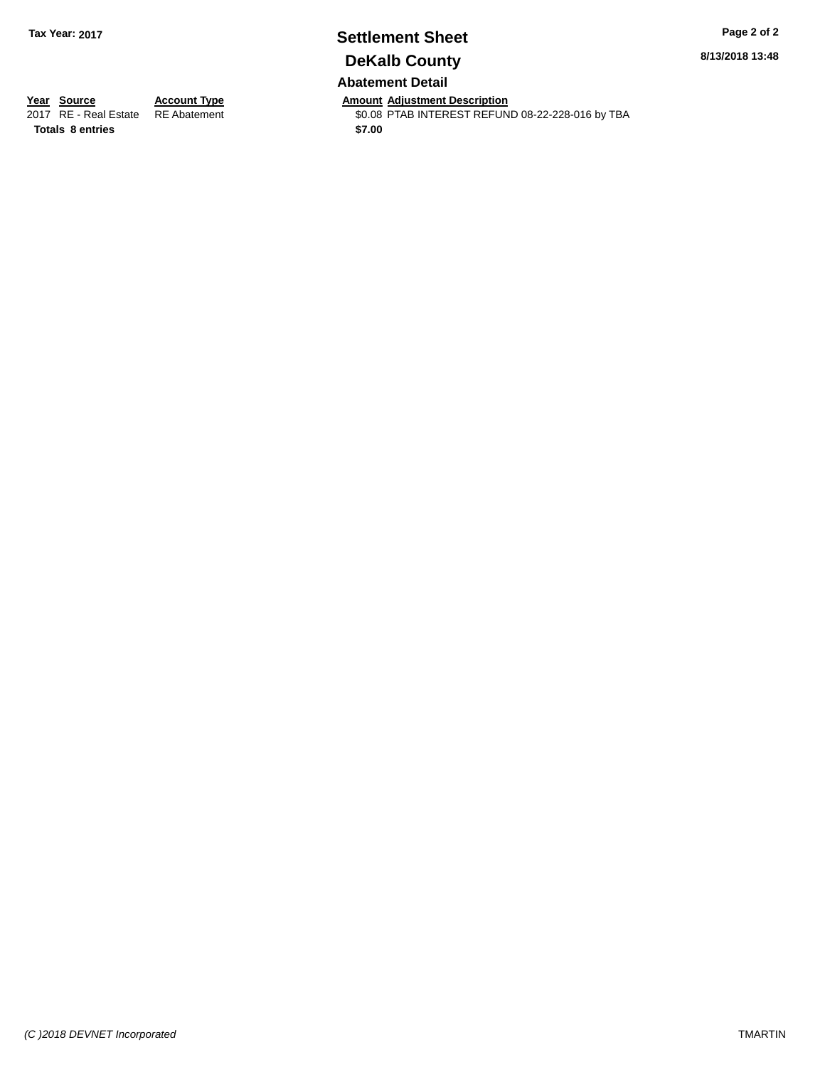# **Settlement Sheet Tax Year: 2017 Page 2 of 2 DeKalb County**

**8/13/2018 13:48**

### **Abatement Detail**

**Totals 8 entries** \$7.00

**Year Source Account Type Anneurs Amount Adjustment Description**<br>2017 RE - Real Estate RE Abatement **Alternative SCOC STAB INTEREST REFUN** \$0.08 PTAB INTEREST REFUND 08-22-228-016 by TBA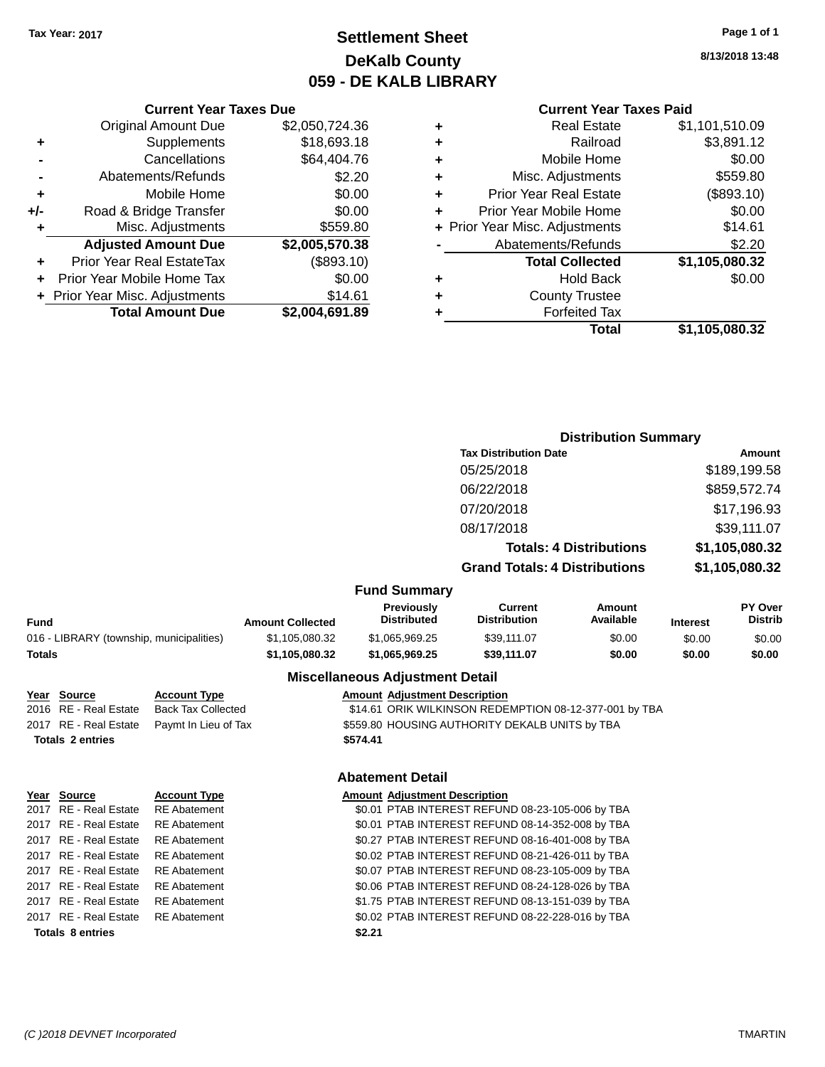## **Settlement Sheet Tax Year: 2017 Page 1 of 1 DeKalb County 059 - DE KALB LIBRARY**

**8/13/2018 13:48**

# **Current Year Taxes Paid**

|   | OUITUR TUUT TUAUJ LUIU         |                |
|---|--------------------------------|----------------|
| ٠ | <b>Real Estate</b>             | \$1,101,510.09 |
| ٠ | Railroad                       | \$3,891.12     |
| ٠ | Mobile Home                    | \$0.00         |
| ٠ | Misc. Adjustments              | \$559.80       |
| ٠ | <b>Prior Year Real Estate</b>  | (\$893.10)     |
| ٠ | Prior Year Mobile Home         | \$0.00         |
|   | + Prior Year Misc. Adjustments | \$14.61        |
|   | Abatements/Refunds             | \$2.20         |
|   | <b>Total Collected</b>         | \$1,105,080.32 |
| ٠ | <b>Hold Back</b>               | \$0.00         |
| ٠ | <b>County Trustee</b>          |                |
|   | <b>Forfeited Tax</b>           |                |
|   | Total                          | \$1,105,080.32 |
|   |                                |                |

|     | <b>Current Year Taxes Due</b>  |                |
|-----|--------------------------------|----------------|
|     | <b>Original Amount Due</b>     | \$2,050,724.36 |
| ٠   | Supplements                    | \$18,693.18    |
|     | Cancellations                  | \$64,404.76    |
|     | Abatements/Refunds             | \$2.20         |
| ٠   | Mobile Home                    | \$0.00         |
| +/- | Road & Bridge Transfer         | \$0.00         |
| ٠   | Misc. Adjustments              | \$559.80       |
|     | <b>Adjusted Amount Due</b>     | \$2,005,570.38 |
|     | Prior Year Real EstateTax      | (\$893.10)     |
|     | Prior Year Mobile Home Tax     | \$0.00         |
|     | + Prior Year Misc. Adjustments | \$14.61        |
|     | <b>Total Amount Due</b>        | \$2,004,691.89 |

|                                          |                         |                                  | <b>Distribution Summary</b>           |                                |                 |                           |
|------------------------------------------|-------------------------|----------------------------------|---------------------------------------|--------------------------------|-----------------|---------------------------|
|                                          |                         |                                  | <b>Tax Distribution Date</b>          |                                |                 | Amount                    |
|                                          |                         |                                  | 05/25/2018                            |                                |                 | \$189,199.58              |
|                                          |                         |                                  | 06/22/2018                            |                                | \$859,572.74    |                           |
|                                          |                         |                                  | 07/20/2018                            |                                |                 | \$17,196.93               |
|                                          |                         |                                  | 08/17/2018                            |                                | \$39,111.07     |                           |
|                                          |                         |                                  |                                       | <b>Totals: 4 Distributions</b> | \$1,105,080.32  |                           |
|                                          |                         |                                  | <b>Grand Totals: 4 Distributions</b>  |                                |                 | \$1,105,080.32            |
|                                          |                         | <b>Fund Summary</b>              |                                       |                                |                 |                           |
| <b>Fund</b>                              | <b>Amount Collected</b> | Previously<br><b>Distributed</b> | <b>Current</b><br><b>Distribution</b> | <b>Amount</b><br>Available     | <b>Interest</b> | PY Over<br><b>Distrib</b> |
| 016 - LIBRARY (township, municipalities) | \$1,105,080.32          | \$1,065,969.25                   | \$39,111.07                           | \$0.00                         | \$0.00          | \$0.00                    |
| <b>Totals</b>                            | \$1,105,080.32          | \$1,065,969.25                   | \$39,111.07                           | \$0.00                         | \$0.00          | \$0.00                    |

| Year Source             | <b>Account Type</b>       | <b>Amount Adjustment Description</b>                   |
|-------------------------|---------------------------|--------------------------------------------------------|
| 2016 RE - Real Estate   | <b>Back Tax Collected</b> | \$14.61 ORIK WILKINSON REDEMPTION 08-12-377-001 by TBA |
| 2017 RE - Real Estate   | Paymt In Lieu of Tax      | \$559.80 HOUSING AUTHORITY DEKALB UNITS by TBA         |
| <b>Totals 2 entries</b> |                           | \$574.41                                               |
|                         |                           | <b>Abatement Detail</b>                                |

|                         | Ye <u>ar Source</u>                | <b>Account Type</b> | <b>Amount Adjustment Description</b>             |
|-------------------------|------------------------------------|---------------------|--------------------------------------------------|
|                         | 2017 RE - Real Estate              | <b>RE</b> Abatement | \$0.01 PTAB INTEREST REFUND 08-23-105-006 by TBA |
|                         | 2017 RE - Real Estate              | <b>RE</b> Abatement | \$0.01 PTAB INTEREST REFUND 08-14-352-008 by TBA |
|                         | 2017 RE - Real Estate              | <b>RE</b> Abatement | \$0.27 PTAB INTEREST REFUND 08-16-401-008 by TBA |
|                         | 2017 RE - Real Estate              | <b>RE</b> Abatement | \$0.02 PTAB INTEREST REFUND 08-21-426-011 by TBA |
|                         | 2017 RE - Real Estate              | <b>RE</b> Abatement | \$0.07 PTAB INTEREST REFUND 08-23-105-009 by TBA |
|                         | 2017 RE - Real Estate              | <b>RE</b> Abatement | \$0.06 PTAB INTEREST REFUND 08-24-128-026 by TBA |
|                         | 2017 RE - Real Estate              | <b>RE</b> Abatement | \$1.75 PTAB INTEREST REFUND 08-13-151-039 by TBA |
|                         | 2017 RE - Real Estate RE Abatement |                     | \$0.02 PTAB INTEREST REFUND 08-22-228-016 by TBA |
| <b>Totals 8 entries</b> |                                    |                     | \$2.21                                           |
|                         |                                    |                     |                                                  |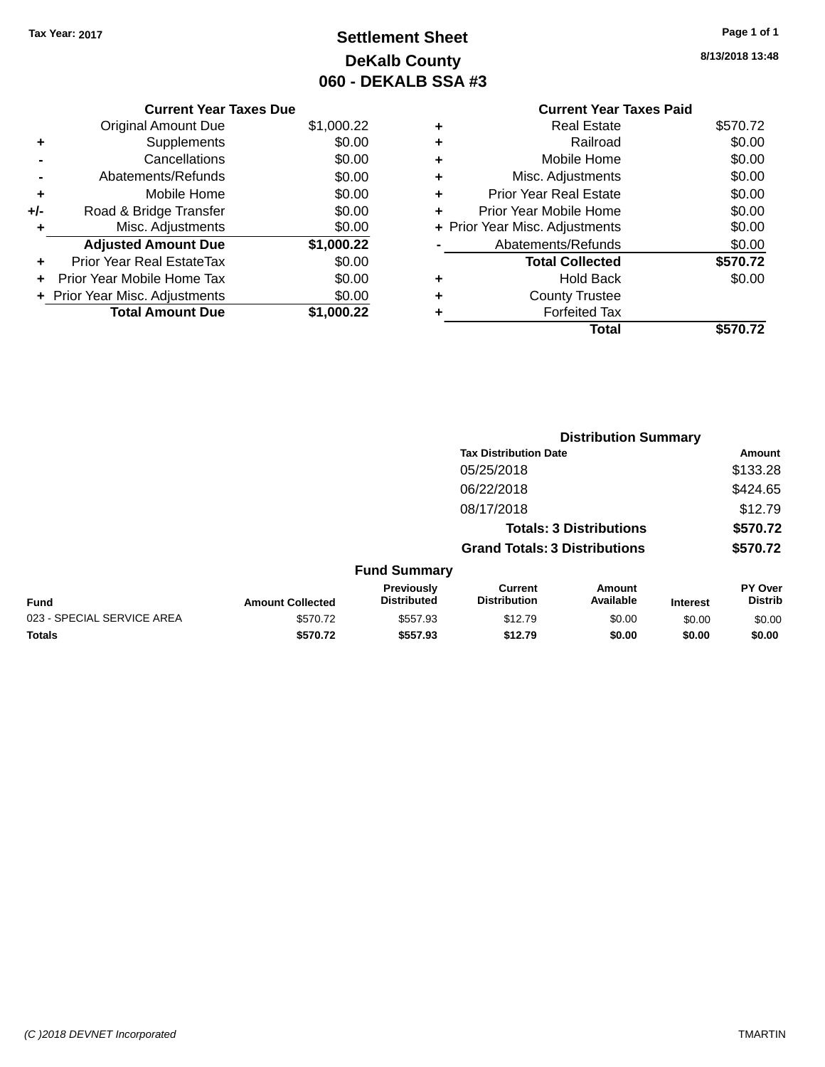## **Settlement Sheet Tax Year: 2017 Page 1 of 1 DeKalb County 060 - DEKALB SSA #3**

**8/13/2018 13:48**

|   | <b>Current Year Taxes Paid</b> |          |
|---|--------------------------------|----------|
| ٠ | Real Estate                    | \$570.72 |
| ٠ | Railroad                       | \$0.00   |
| ٠ | Mobile Home                    | \$0.00   |
| ٠ | Misc. Adjustments              | \$0.00   |
| ٠ | <b>Prior Year Real Estate</b>  | \$0.00   |
| ٠ | Prior Year Mobile Home         | \$0.00   |
|   | + Prior Year Misc. Adjustments | \$0.00   |
|   | Abatements/Refunds             | \$0.00   |
|   | <b>Total Collected</b>         | \$570.72 |
| ٠ | <b>Hold Back</b>               | \$0.00   |
| ٠ | <b>County Trustee</b>          |          |
|   | <b>Forfeited Tax</b>           |          |
|   | Total                          | \$570.72 |

|     | <b>Current Year Taxes Due</b>    |            |
|-----|----------------------------------|------------|
|     | Original Amount Due              | \$1,000.22 |
| ٠   | Supplements                      | \$0.00     |
|     | Cancellations                    | \$0.00     |
|     | Abatements/Refunds               | \$0.00     |
| ٠   | Mobile Home                      | \$0.00     |
| +/- | Road & Bridge Transfer           | \$0.00     |
| ٠   | Misc. Adjustments                | \$0.00     |
|     | <b>Adjusted Amount Due</b>       | \$1,000.22 |
|     | <b>Prior Year Real EstateTax</b> | \$0.00     |
|     | Prior Year Mobile Home Tax       | \$0.00     |
|     | + Prior Year Misc. Adjustments   | \$0.00     |
|     | <b>Total Amount Due</b>          | \$1,000.22 |

|                            | <b>Distribution Summary</b> |                                  |                                       |                                |                 |                           |
|----------------------------|-----------------------------|----------------------------------|---------------------------------------|--------------------------------|-----------------|---------------------------|
|                            |                             |                                  | <b>Tax Distribution Date</b>          |                                |                 | <b>Amount</b>             |
|                            |                             |                                  | 05/25/2018                            |                                |                 | \$133.28                  |
|                            |                             |                                  | 06/22/2018                            |                                |                 | \$424.65                  |
|                            |                             |                                  | 08/17/2018                            |                                |                 | \$12.79                   |
|                            |                             |                                  |                                       | <b>Totals: 3 Distributions</b> |                 | \$570.72                  |
|                            |                             |                                  | <b>Grand Totals: 3 Distributions</b>  |                                |                 | \$570.72                  |
|                            |                             | <b>Fund Summary</b>              |                                       |                                |                 |                           |
| <b>Fund</b>                | <b>Amount Collected</b>     | Previously<br><b>Distributed</b> | <b>Current</b><br><b>Distribution</b> | Amount<br>Available            | <b>Interest</b> | PY Over<br><b>Distrib</b> |
| 023 - SPECIAL SERVICE AREA | \$570.72                    | \$557.93                         | \$12.79                               | \$0.00                         | \$0.00          | \$0.00                    |
| <b>Totals</b>              | \$570.72                    | \$557.93                         | \$12.79                               | \$0.00                         | \$0.00          | \$0.00                    |
|                            |                             |                                  |                                       |                                |                 |                           |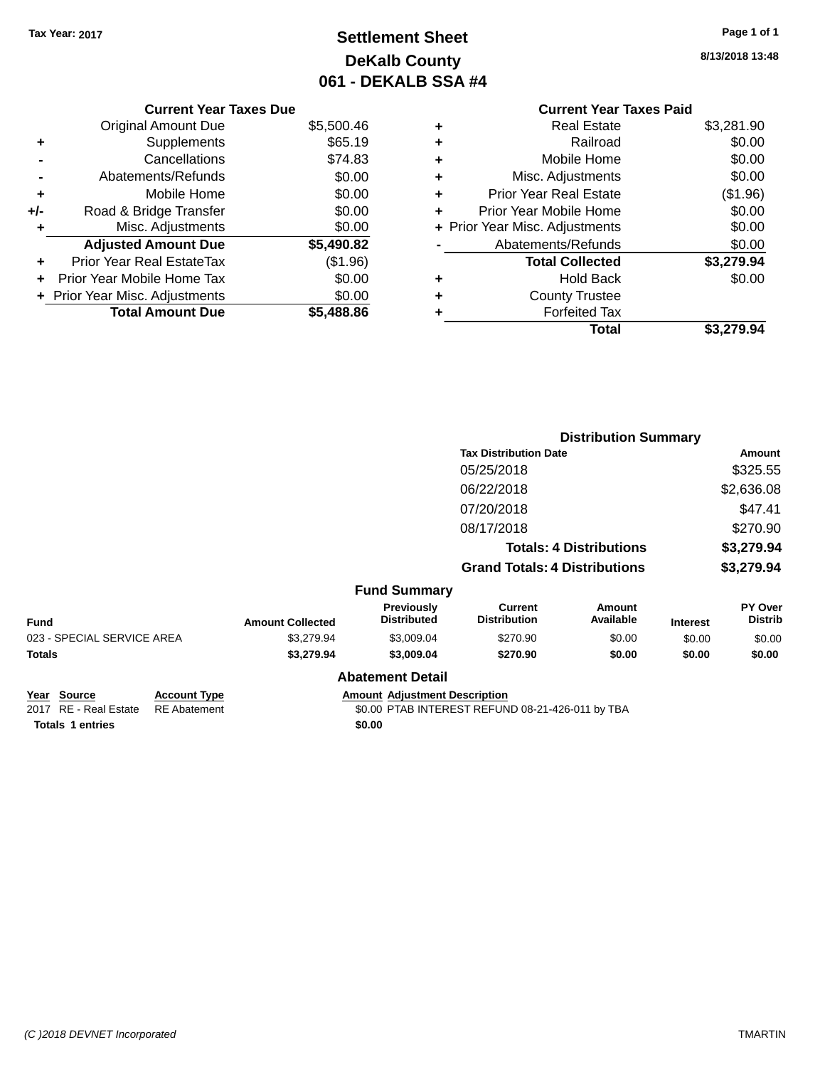## **Settlement Sheet Tax Year: 2017 Page 1 of 1 DeKalb County 061 - DEKALB SSA #4**

**8/13/2018 13:48**

|   | <b>Current Year Taxes Paid</b> |            |
|---|--------------------------------|------------|
| ٠ | <b>Real Estate</b>             | \$3,281.90 |
| ٠ | Railroad                       | \$0.00     |
| ٠ | Mobile Home                    | \$0.00     |
| ٠ | Misc. Adjustments              | \$0.00     |
| ÷ | <b>Prior Year Real Estate</b>  | (\$1.96)   |
| ÷ | Prior Year Mobile Home         | \$0.00     |
|   | + Prior Year Misc. Adjustments | \$0.00     |
|   | Abatements/Refunds             | \$0.00     |
|   | <b>Total Collected</b>         | \$3,279.94 |
| ٠ | <b>Hold Back</b>               | \$0.00     |
|   | <b>County Trustee</b>          |            |
|   | <b>Forfeited Tax</b>           |            |
|   | Total                          |            |

|     | <b>Current Year Taxes Due</b>  |            |
|-----|--------------------------------|------------|
|     | <b>Original Amount Due</b>     | \$5,500.46 |
| ٠   | Supplements                    | \$65.19    |
|     | Cancellations                  | \$74.83    |
|     | Abatements/Refunds             | \$0.00     |
| ٠   | Mobile Home                    | \$0.00     |
| +/- | Road & Bridge Transfer         | \$0.00     |
| ٠   | Misc. Adjustments              | \$0.00     |
|     | <b>Adjusted Amount Due</b>     | \$5,490.82 |
|     | Prior Year Real EstateTax      | (\$1.96)   |
|     | Prior Year Mobile Home Tax     | \$0.00     |
|     | + Prior Year Misc. Adjustments | \$0.00     |
|     | <b>Total Amount Due</b>        | \$5,488.86 |

|                            |                     |                         |                                         |                                       | <b>Distribution Summary</b>    |                 |                           |
|----------------------------|---------------------|-------------------------|-----------------------------------------|---------------------------------------|--------------------------------|-----------------|---------------------------|
|                            |                     |                         |                                         | <b>Tax Distribution Date</b>          |                                |                 | <b>Amount</b>             |
|                            |                     |                         |                                         | 05/25/2018                            |                                |                 | \$325.55                  |
|                            |                     |                         |                                         | 06/22/2018                            |                                |                 | \$2,636.08                |
|                            |                     |                         |                                         | 07/20/2018                            |                                |                 | \$47.41                   |
|                            |                     |                         |                                         | 08/17/2018                            |                                |                 | \$270.90                  |
|                            |                     |                         |                                         |                                       | <b>Totals: 4 Distributions</b> |                 | \$3,279.94                |
|                            |                     |                         |                                         | <b>Grand Totals: 4 Distributions</b>  |                                |                 | \$3,279.94                |
|                            |                     |                         | <b>Fund Summary</b>                     |                                       |                                |                 |                           |
| <b>Fund</b>                |                     | <b>Amount Collected</b> | <b>Previously</b><br><b>Distributed</b> | <b>Current</b><br><b>Distribution</b> | Amount<br>Available            | <b>Interest</b> | PY Over<br><b>Distrib</b> |
| 023 - SPECIAL SERVICE AREA |                     | \$3,279.94              | \$3,009.04                              | \$270.90                              | \$0.00                         | \$0.00          | \$0.00                    |
| <b>Totals</b>              |                     | \$3,279.94              | \$3,009.04                              | \$270.90                              | \$0.00                         | \$0.00          | \$0.00                    |
|                            |                     |                         | <b>Abatement Detail</b>                 |                                       |                                |                 |                           |
| Year Source                | <b>Account Type</b> |                         | <b>Amount Adjustment Description</b>    |                                       |                                |                 |                           |

**Totals 1 entries** \$0.00

2017 RE - Real Estate RE Abatement **1200 PTAB INTEREST REFUND 08-21-426-011 by TBA**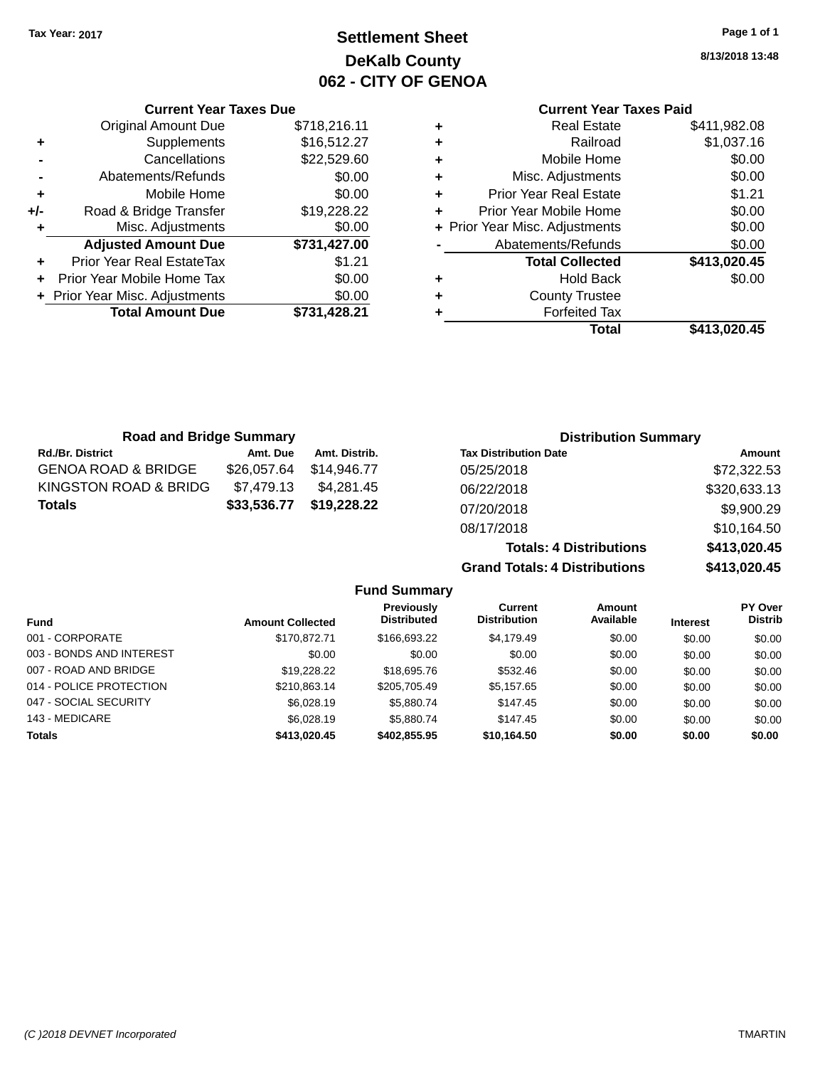## **Settlement Sheet Tax Year: 2017 Page 1 of 1 DeKalb County 062 - CITY OF GENOA**

**8/13/2018 13:48**

# **Current Year Taxes Paid**

|     | <b>Original Amount Due</b>     | \$718,216.11 |
|-----|--------------------------------|--------------|
| ٠   | Supplements                    | \$16,512.27  |
|     | Cancellations                  | \$22,529.60  |
|     | Abatements/Refunds             | \$0.00       |
| ٠   | Mobile Home                    | \$0.00       |
| +/- | Road & Bridge Transfer         | \$19,228.22  |
| ٠   | Misc. Adjustments              | \$0.00       |
|     | <b>Adjusted Amount Due</b>     | \$731,427.00 |
| ٠   | Prior Year Real EstateTax      | \$1.21       |
|     | Prior Year Mobile Home Tax     | \$0.00       |
|     | + Prior Year Misc. Adjustments | \$0.00       |
|     |                                |              |
|     | <b>Total Amount Due</b>        | \$731,428.21 |

**Current Year Taxes Due**

|   | <b>Real Estate</b>             | \$411,982.08 |
|---|--------------------------------|--------------|
| ٠ | Railroad                       | \$1,037.16   |
| ٠ | Mobile Home                    | \$0.00       |
| ٠ | Misc. Adjustments              | \$0.00       |
| ٠ | <b>Prior Year Real Estate</b>  | \$1.21       |
| ٠ | Prior Year Mobile Home         | \$0.00       |
|   | + Prior Year Misc. Adjustments | \$0.00       |
|   | Abatements/Refunds             | \$0.00       |
|   | <b>Total Collected</b>         | \$413,020.45 |
| ٠ | Hold Back                      | \$0.00       |
| ٠ | <b>County Trustee</b>          |              |
| ٠ | <b>Forfeited Tax</b>           |              |
|   | Total                          | \$413,020.45 |
|   |                                |              |

**Totals: 4 Distributions \$413,020.45**

**Grand Totals: 4 Distributions \$413,020.45**

| <b>Road and Bridge Summary</b> |             |               | <b>Distribution Summary</b>  |              |  |
|--------------------------------|-------------|---------------|------------------------------|--------------|--|
| <b>Rd./Br. District</b>        | Amt. Due    | Amt. Distrib. | <b>Tax Distribution Date</b> | Amount       |  |
| <b>GENOA ROAD &amp; BRIDGE</b> | \$26,057.64 | \$14.946.77   | 05/25/2018                   | \$72,322.53  |  |
| KINGSTON ROAD & BRIDG          | \$7.479.13  | \$4.281.45    | 06/22/2018                   | \$320,633.13 |  |
| <b>Totals</b>                  | \$33,536.77 | \$19,228.22   | 07/20/2018                   | \$9,900.29   |  |
|                                |             |               | 08/17/2018                   | \$10,164.50  |  |

**Fund Summary Fund Interest Amount Collected Distributed PY Over Distrib Amount Available Current Distribution Previously** 001 - CORPORATE \$170,872.71 \$166,693.22 \$4,179.49 \$0.00 \$0.00 \$0.00 003 - BONDS AND INTEREST  $$0.00$   $$0.00$   $$0.00$   $$0.00$   $$0.00$   $$0.00$   $$0.00$   $$0.00$ 007 - ROAD AND BRIDGE 60.00 \$19,228.22 \$18,695.76 \$532.46 \$0.00 \$0.00 \$0.00 \$0.00 014 - POLICE PROTECTION \$210,863.14 \$205,705.49 \$5,157.65 \$0.00 \$0.00 \$0.00 \$0.00 047 - SOCIAL SECURITY \$6,028.19 \$5,880.74 \$147.45 \$0.00 \$0.00 \$0.00 143 - MEDICARE \$6,028.19 \$5,880.74 \$147.45 \$0.00 \$0.00 \$0.00 **Totals \$413,020.45 \$402,855.95 \$10,164.50 \$0.00 \$0.00 \$0.00**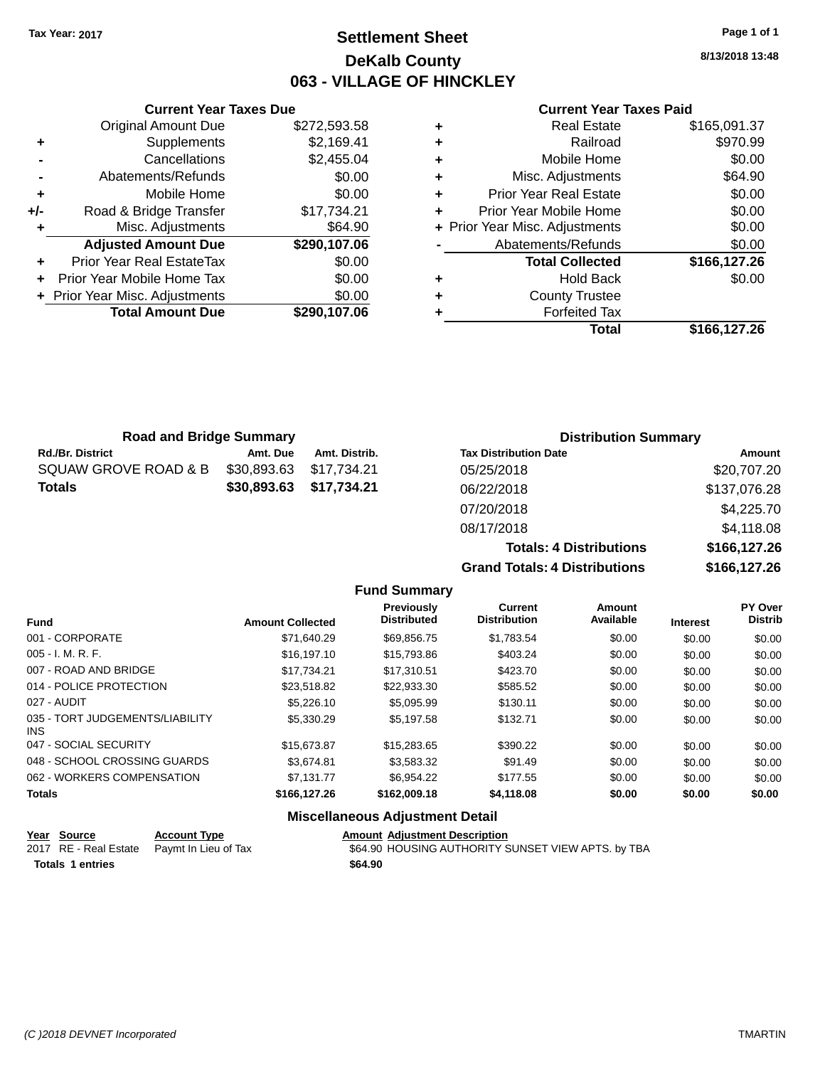## **Settlement Sheet Tax Year: 2017 Page 1 of 1 DeKalb County 063 - VILLAGE OF HINCKLEY**

**8/13/2018 13:48**

#### **Current Year Taxes Paid**

|     | <b>Current Year Taxes Due</b>  |              |
|-----|--------------------------------|--------------|
|     | <b>Original Amount Due</b>     | \$272,593.58 |
| ٠   | Supplements                    | \$2,169.41   |
|     | Cancellations                  | \$2,455.04   |
|     | Abatements/Refunds             | \$0.00       |
| ٠   | Mobile Home                    | \$0.00       |
| +/- | Road & Bridge Transfer         | \$17,734.21  |
| ٠   | Misc. Adjustments              | \$64.90      |
|     | <b>Adjusted Amount Due</b>     | \$290,107.06 |
|     | Prior Year Real EstateTax      | \$0.00       |
|     | Prior Year Mobile Home Tax     | \$0.00       |
|     | + Prior Year Misc. Adjustments | \$0.00       |
|     | <b>Total Amount Due</b>        | \$290.107.06 |
|     |                                |              |

| <b>Real Estate</b>             | \$165,091.37 |
|--------------------------------|--------------|
| Railroad                       | \$970.99     |
| Mobile Home                    | \$0.00       |
| Misc. Adjustments              | \$64.90      |
| <b>Prior Year Real Estate</b>  | \$0.00       |
| Prior Year Mobile Home         | \$0.00       |
| + Prior Year Misc. Adjustments | \$0.00       |
| Abatements/Refunds             | \$0.00       |
| <b>Total Collected</b>         | \$166,127.26 |
| <b>Hold Back</b>               | \$0.00       |
| <b>County Trustee</b>          |              |
| <b>Forfeited Tax</b>           |              |
| Total                          | \$166,127.26 |
|                                |              |

| <b>Road and Bridge Summary</b> |             |               | <b>Distribution Summary</b>    |              |  |  |
|--------------------------------|-------------|---------------|--------------------------------|--------------|--|--|
| <b>Rd./Br. District</b>        | Amt. Due    | Amt. Distrib. | <b>Tax Distribution Date</b>   | Amount       |  |  |
| SQUAW GROVE ROAD & B           | \$30,893.63 | \$17,734.21   | 05/25/2018                     | \$20,707.20  |  |  |
| <b>Totals</b>                  | \$30,893.63 | \$17,734.21   | 06/22/2018                     | \$137,076.28 |  |  |
|                                |             |               | 07/20/2018                     | \$4,225.70   |  |  |
|                                |             |               | 08/17/2018                     | \$4,118.08   |  |  |
|                                |             |               | <b>Totals: 4 Distributions</b> | \$166,127.26 |  |  |

**Grand Totals: 4 Distributions** 

|             | $v^{\pi}$ . $v^{\tau}$ |
|-------------|------------------------|
| stributions | \$166,127.26           |
| tributions  | \$166,127.26           |
|             |                        |

| <b>Fund</b>                             | <b>Amount Collected</b> | <b>Previously</b><br><b>Distributed</b> | Current<br><b>Distribution</b> | <b>Amount</b><br>Available | <b>Interest</b> | PY Over<br><b>Distrib</b> |
|-----------------------------------------|-------------------------|-----------------------------------------|--------------------------------|----------------------------|-----------------|---------------------------|
| 001 - CORPORATE                         | \$71,640.29             | \$69,856.75                             | \$1,783.54                     | \$0.00                     | \$0.00          | \$0.00                    |
| $005 - I. M. R. F.$                     | \$16,197.10             | \$15,793.86                             | \$403.24                       | \$0.00                     | \$0.00          | \$0.00                    |
| 007 - ROAD AND BRIDGE                   | \$17.734.21             | \$17.310.51                             | \$423.70                       | \$0.00                     | \$0.00          | \$0.00                    |
| 014 - POLICE PROTECTION                 | \$23,518.82             | \$22,933.30                             | \$585.52                       | \$0.00                     | \$0.00          | \$0.00                    |
| 027 - AUDIT                             | \$5,226.10              | \$5.095.99                              | \$130.11                       | \$0.00                     | \$0.00          | \$0.00                    |
| 035 - TORT JUDGEMENTS/LIABILITY<br>INS. | \$5,330.29              | \$5,197.58                              | \$132.71                       | \$0.00                     | \$0.00          | \$0.00                    |
| 047 - SOCIAL SECURITY                   | \$15,673.87             | \$15,283.65                             | \$390.22                       | \$0.00                     | \$0.00          | \$0.00                    |
| 048 - SCHOOL CROSSING GUARDS            | \$3.674.81              | \$3,583.32                              | \$91.49                        | \$0.00                     | \$0.00          | \$0.00                    |
| 062 - WORKERS COMPENSATION              | \$7.131.77              | \$6.954.22                              | \$177.55                       | \$0.00                     | \$0.00          | \$0.00                    |
| <b>Totals</b>                           | \$166,127,26            | \$162,009.18                            | \$4,118.08                     | \$0.00                     | \$0.00          | \$0.00                    |
|                                         |                         | <b>Miscellaneous Adjustment Detail</b>  |                                |                            |                 |                           |

**Fund Summary**

#### **Year Source Account Type Amount Adjustment Description**<br>2017 RE - Real Estate Paymt In Lieu of Tax **664.90 HOUSING AUTHORITY** \$64.90 HOUSING AUTHORITY SUNSET VIEW APTS. by TBA Totals 1 entries **12.12 and 12.12 and 12.13 and 12.13 and 12.13 and 12.13 and 12.13 and 12.13 and 12.13 and 12.13 and 12.13 and 12.13 and 12.13 and 12.13 and 12.13 and 12.13 and 12.13 and 12.13 and 12.13 and 12.13 and 12.1**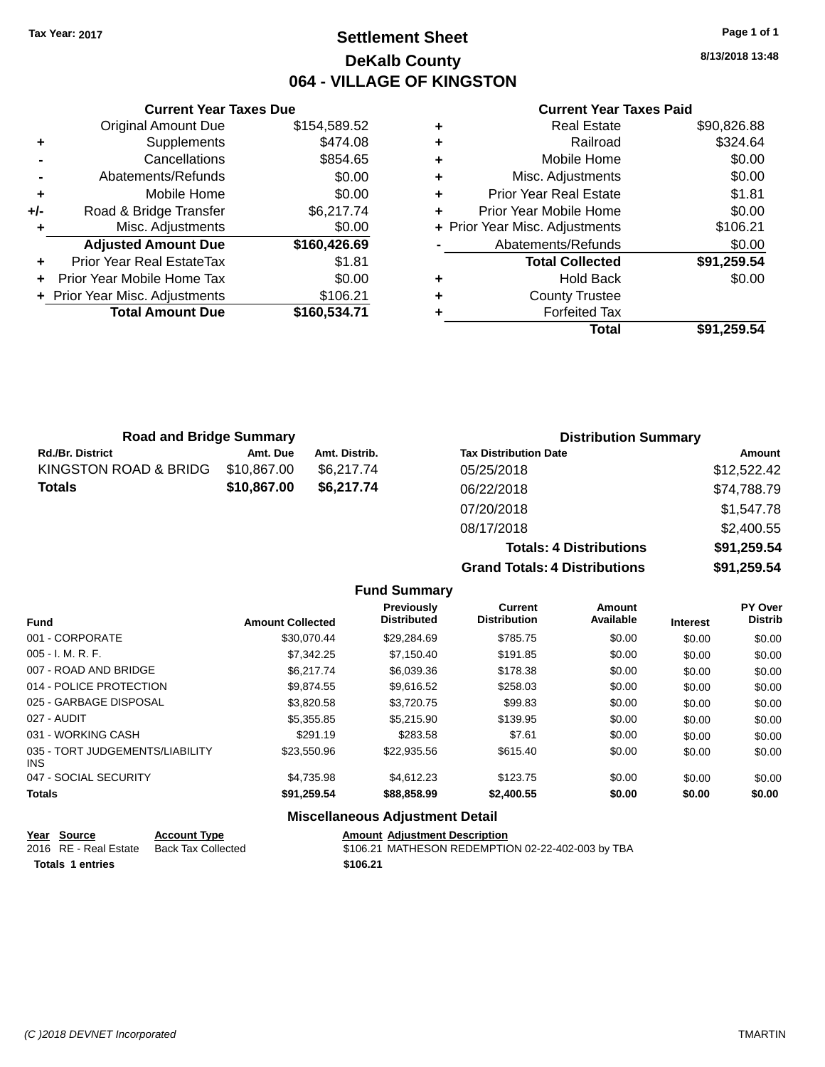## **Settlement Sheet Tax Year: 2017 Page 1 of 1 DeKalb County 064 - VILLAGE OF KINGSTON**

**8/13/2018 13:48**

#### **Current Year Taxes Paid**

|     | <b>Original Amount Due</b>     | \$154,589.52 |
|-----|--------------------------------|--------------|
| ٠   | Supplements                    | \$474.08     |
|     | Cancellations                  | \$854.65     |
|     | Abatements/Refunds             | \$0.00       |
| ٠   | Mobile Home                    | \$0.00       |
| +/- | Road & Bridge Transfer         | \$6,217.74   |
|     | Misc. Adjustments              | \$0.00       |
|     | <b>Adjusted Amount Due</b>     | \$160,426.69 |
| ٠   | Prior Year Real EstateTax      | \$1.81       |
|     | Prior Year Mobile Home Tax     | \$0.00       |
|     | + Prior Year Misc. Adjustments | \$106.21     |
|     |                                |              |
|     | <b>Total Amount Due</b>        | \$160,534.71 |

**Current Year Taxes Due**

|   | <b>Real Estate</b>             | \$90,826.88 |
|---|--------------------------------|-------------|
| ٠ | Railroad                       | \$324.64    |
| ٠ | Mobile Home                    | \$0.00      |
| ٠ | Misc. Adjustments              | \$0.00      |
| ٠ | <b>Prior Year Real Estate</b>  | \$1.81      |
| ٠ | Prior Year Mobile Home         | \$0.00      |
|   | + Prior Year Misc. Adjustments | \$106.21    |
|   | Abatements/Refunds             | \$0.00      |
|   | <b>Total Collected</b>         | \$91,259.54 |
| ٠ | <b>Hold Back</b>               | \$0.00      |
| ٠ | <b>County Trustee</b>          |             |
|   | <b>Forfeited Tax</b>           |             |
|   | Total                          | \$91,259.54 |
|   |                                |             |

**Grand Totals: 4 Distributions \$91,259.54**

| <b>Road and Bridge Summary</b> |             |               | <b>Distribution Summary</b>    |             |
|--------------------------------|-------------|---------------|--------------------------------|-------------|
| <b>Rd./Br. District</b>        | Amt. Due    | Amt. Distrib. | <b>Tax Distribution Date</b>   | Amount      |
| KINGSTON ROAD & BRIDG          | \$10,867.00 | \$6.217.74    | 05/25/2018                     | \$12,522.42 |
| <b>Totals</b>                  | \$10,867.00 | \$6,217.74    | 06/22/2018                     | \$74,788.79 |
|                                |             |               | 07/20/2018                     | \$1,547.78  |
|                                |             |               | 08/17/2018                     | \$2,400.55  |
|                                |             |               | <b>Totals: 4 Distributions</b> | \$91,259.54 |

**Fund Summary Fund Interest Amount Collected Distributed PY Over Distrib Amount Available Current Distribution Previously** 001 - CORPORATE \$30,070.44 \$29,284.69 \$785.75 \$0.00 \$0.00 \$0.00 005 - I. M. R. F. \$7,342.25 \$7,150.40 \$191.85 \$0.00 \$0.00 \$0.00 007 - ROAD AND BRIDGE \$6,217.74 \$6,039.36 \$178.38 \$0.00 \$0.00 \$0.00 014 - POLICE PROTECTION \$9,874.55 \$9,874.55 \$9,616.52 \$258.03 \$0.00 \$0.00 \$0.00 \$0.00 025 - GARBAGE DISPOSAL \$3,820.58 \$3,720.75 \$99.83 \$0.00 \$0.00 \$0.00 027 - AUDIT \$5,355.85 \$5,215.90 \$139.95 \$0.00 \$0.00 \$0.00 031 - WORKING CASH \$291.19 \$283.58 \$7.61 \$0.00 \$0.00 \$0.00 035 - TORT JUDGEMENTS/LIABILITY INS \$23,550.96 \$22,935.56 \$615.40 \$0.00 \$0.00 \$0.00 047 - SOCIAL SECURITY 64,735.98 \$4,735.98 \$4,612.23 \$123.75 \$0.00 \$0.00 \$0.00 \$0.00 **Totals \$91,259.54 \$88,858.99 \$2,400.55 \$0.00 \$0.00 \$0.00**

| Year Source           | <b>Account Type</b> | <b>Amount Adiustment Description</b>              |
|-----------------------|---------------------|---------------------------------------------------|
| 2016 RE - Real Estate | Back Tax Collected  | \$106.21 MATHESON REDEMPTION 02-22-402-003 by TBA |
| Totals 1 entries      |                     | \$106.21                                          |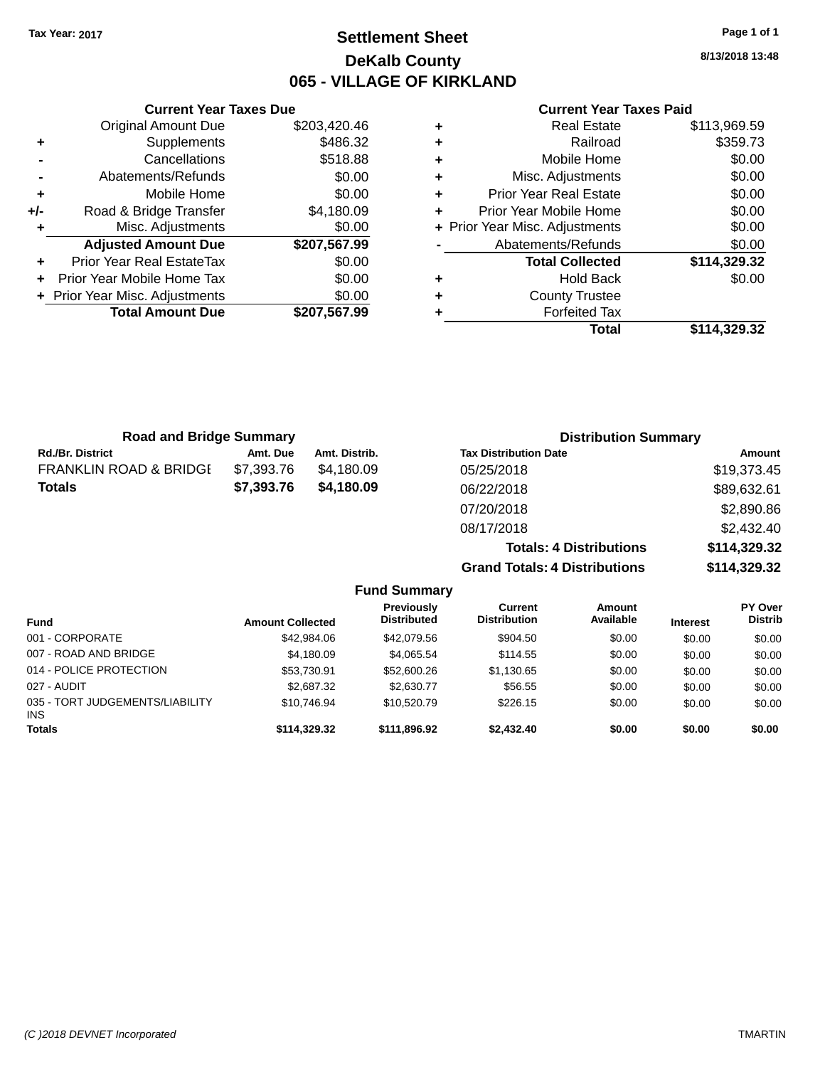## **Settlement Sheet Tax Year: 2017 Page 1 of 1 DeKalb County 065 - VILLAGE OF KIRKLAND**

**8/13/2018 13:48**

#### **Current Year Taxes Paid**

|     | <b>Original Amount Due</b>     | \$203,420.46 |
|-----|--------------------------------|--------------|
| ٠   | Supplements                    | \$486.32     |
|     | Cancellations                  | \$518.88     |
|     | Abatements/Refunds             | \$0.00       |
| ٠   | Mobile Home                    | \$0.00       |
| +/- | Road & Bridge Transfer         | \$4,180.09   |
|     | Misc. Adjustments              | \$0.00       |
|     | <b>Adjusted Amount Due</b>     | \$207,567.99 |
| ÷   | Prior Year Real EstateTax      | \$0.00       |
| ÷   | Prior Year Mobile Home Tax     | \$0.00       |
|     | + Prior Year Misc. Adjustments | \$0.00       |
|     | <b>Total Amount Due</b>        | \$207,567.99 |
|     |                                |              |

**Current Year Taxes Due**

| ٠ | <b>Real Estate</b>             | \$113,969.59 |
|---|--------------------------------|--------------|
| ٠ | Railroad                       | \$359.73     |
| ٠ | Mobile Home                    | \$0.00       |
| ٠ | Misc. Adjustments              | \$0.00       |
| ٠ | <b>Prior Year Real Estate</b>  | \$0.00       |
| ÷ | Prior Year Mobile Home         | \$0.00       |
|   | + Prior Year Misc. Adjustments | \$0.00       |
|   | Abatements/Refunds             | \$0.00       |
|   | <b>Total Collected</b>         | \$114,329.32 |
| ٠ | Hold Back                      | \$0.00       |
| ٠ | <b>County Trustee</b>          |              |
| ٠ | <b>Forfeited Tax</b>           |              |
|   | Total                          | \$114,329.32 |
|   |                                |              |

**Totals: 4 Distributions \$114,329.32**

**Grand Totals: 4 Distributions \$114,329.32**

| <b>Road and Bridge Summary</b>    |            |               |                              | <b>Distribution Summary</b> |
|-----------------------------------|------------|---------------|------------------------------|-----------------------------|
| <b>Rd./Br. District</b>           | Amt. Due   | Amt. Distrib. | <b>Tax Distribution Date</b> | Amount                      |
| <b>FRANKLIN ROAD &amp; BRIDGE</b> | \$7,393.76 | \$4.180.09    | 05/25/2018                   | \$19,373.45                 |
| <b>Totals</b>                     | \$7,393.76 | \$4,180.09    | 06/22/2018                   | \$89,632.61                 |
|                                   |            |               | 07/20/2018                   | \$2,890.86                  |
|                                   |            |               | 08/17/2018                   | \$2,432.40                  |

**Fund Summary Fund Interest Amount Collected Distributed PY Over Distrib Amount Available Current Distribution Previously** 001 - CORPORATE \$42,984.06 \$42,079.56 \$904.50 \$0.00 \$0.00 \$0.00 007 - ROAD AND BRIDGE 60.00 \$4,180.09 \$4,065.54 \$114.55 \$0.00 \$0.00 \$0.00 \$0.00 014 - POLICE PROTECTION \$53,730.91 \$52,600.26 \$1,130.65 \$0.00 \$0.00 \$0.00 \$0.00 027 - AUDIT \$2,687.32 \$2,630.77 \$56.55 \$0.00 \$0.00 \$0.00 035 - TORT JUDGEMENTS/LIABILITY INS \$10,746.94 \$10,520.79 \$226.15 \$0.00 \$0.00 \$0.00 \$0.00 **Totals \$114,329.32 \$111,896.92 \$2,432.40 \$0.00 \$0.00 \$0.00**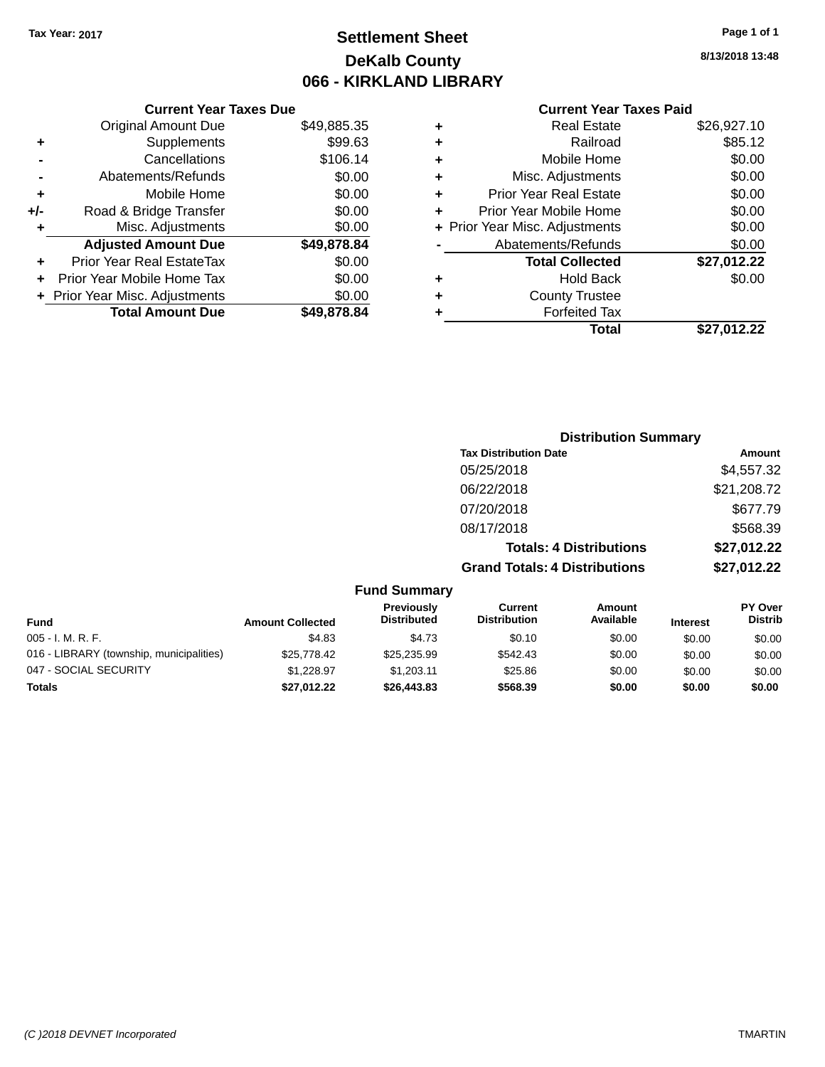## **Settlement Sheet Tax Year: 2017 Page 1 of 1 DeKalb County 066 - KIRKLAND LIBRARY**

**8/13/2018 13:48**

### **Current Year Taxes Paid**

|       | <b>Current Year Taxes Due</b>  |             |
|-------|--------------------------------|-------------|
|       | <b>Original Amount Due</b>     | \$49,885.35 |
| ٠     | Supplements                    | \$99.63     |
|       | Cancellations                  | \$106.14    |
|       | Abatements/Refunds             | \$0.00      |
| ÷     | Mobile Home                    | \$0.00      |
| $+/-$ | Road & Bridge Transfer         | \$0.00      |
| ٠     | Misc. Adjustments              | \$0.00      |
|       | <b>Adjusted Amount Due</b>     | \$49,878.84 |
| ÷     | Prior Year Real EstateTax      | \$0.00      |
|       | Prior Year Mobile Home Tax     | \$0.00      |
|       | + Prior Year Misc. Adjustments | \$0.00      |
|       | <b>Total Amount Due</b>        | \$49,878.84 |
|       |                                |             |

|   | <b>Real Estate</b>             | \$26,927.10 |
|---|--------------------------------|-------------|
| ٠ | Railroad                       | \$85.12     |
| ٠ | Mobile Home                    | \$0.00      |
| ٠ | Misc. Adjustments              | \$0.00      |
| ٠ | <b>Prior Year Real Estate</b>  | \$0.00      |
| ٠ | Prior Year Mobile Home         | \$0.00      |
|   | + Prior Year Misc. Adjustments | \$0.00      |
|   | Abatements/Refunds             | \$0.00      |
|   | <b>Total Collected</b>         | \$27,012.22 |
| ٠ | Hold Back                      | \$0.00      |
| ٠ | <b>County Trustee</b>          |             |
| ٠ | <b>Forfeited Tax</b>           |             |
|   | Total                          | \$27.012.22 |
|   |                                |             |

|                     | <b>Distribution Summary</b>          |             |
|---------------------|--------------------------------------|-------------|
|                     | <b>Tax Distribution Date</b>         | Amount      |
|                     | 05/25/2018                           | \$4,557.32  |
|                     | 06/22/2018                           | \$21,208.72 |
|                     | 07/20/2018                           | \$677.79    |
|                     | 08/17/2018                           | \$568.39    |
|                     | <b>Totals: 4 Distributions</b>       | \$27,012.22 |
|                     | <b>Grand Totals: 4 Distributions</b> | \$27,012.22 |
| <b>Fund Summary</b> |                                      |             |

| <b>Fund</b>                              | <b>Amount Collected</b> | Previously<br><b>Distributed</b> | Current<br><b>Distribution</b> | Amount<br>Available | <b>Interest</b> | <b>PY Over</b><br><b>Distrib</b> |
|------------------------------------------|-------------------------|----------------------------------|--------------------------------|---------------------|-----------------|----------------------------------|
| $005 - I. M. R. F.$                      | \$4.83                  | \$4.73                           | \$0.10                         | \$0.00              | \$0.00          | \$0.00                           |
| 016 - LIBRARY (township, municipalities) | \$25,778,42             | \$25.235.99                      | \$542.43                       | \$0.00              | \$0.00          | \$0.00                           |
| 047 - SOCIAL SECURITY                    | \$1.228.97              | \$1,203.11                       | \$25.86                        | \$0.00              | \$0.00          | \$0.00                           |
| <b>Totals</b>                            | \$27.012.22             | \$26,443.83                      | \$568.39                       | \$0.00              | \$0.00          | \$0.00                           |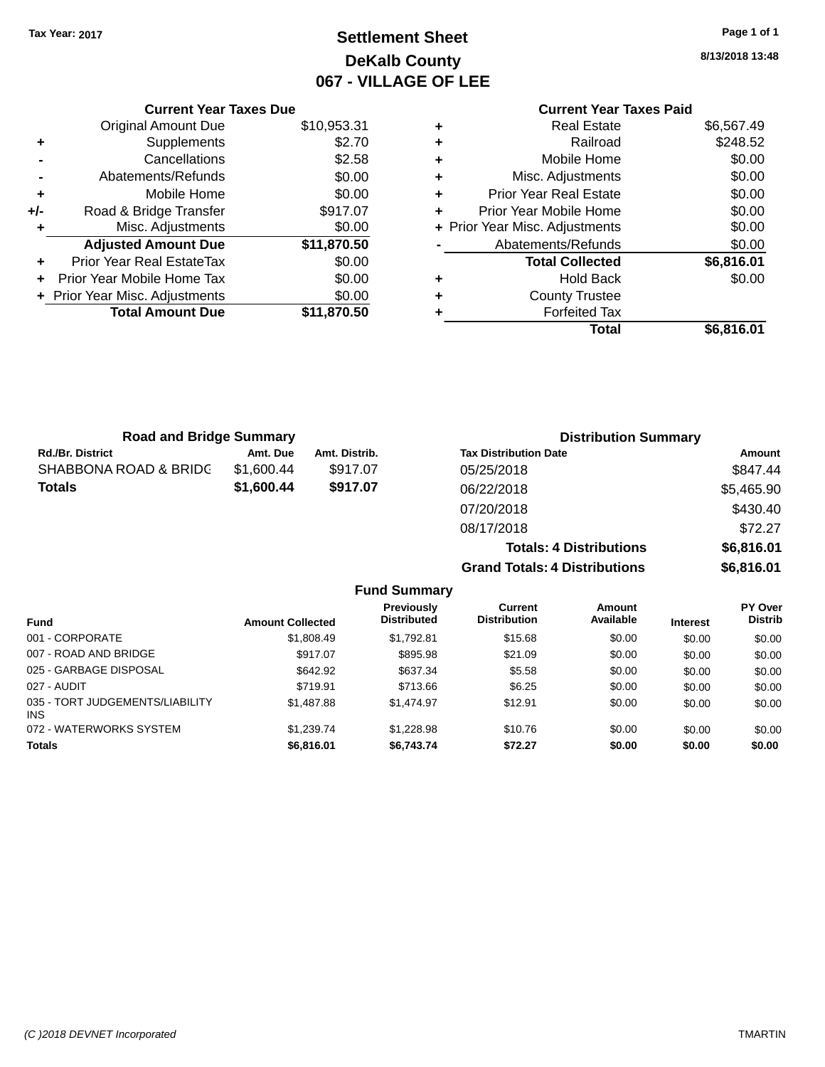## **Settlement Sheet Tax Year: 2017 Page 1 of 1 DeKalb County 067 - VILLAGE OF LEE**

**8/13/2018 13:48**

|     | <b>Current Year Taxes Due</b>  |             |
|-----|--------------------------------|-------------|
|     | <b>Original Amount Due</b>     | \$10,953.31 |
| ٠   | Supplements                    | \$2.70      |
|     | Cancellations                  | \$2.58      |
|     | Abatements/Refunds             | \$0.00      |
| ٠   | Mobile Home                    | \$0.00      |
| +/- | Road & Bridge Transfer         | \$917.07    |
|     | Misc. Adjustments              | \$0.00      |
|     | <b>Adjusted Amount Due</b>     | \$11,870.50 |
|     | Prior Year Real EstateTax      | \$0.00      |
|     | Prior Year Mobile Home Tax     | \$0.00      |
|     | + Prior Year Misc. Adjustments | \$0.00      |
|     | <b>Total Amount Due</b>        | \$11,870.50 |
|     |                                |             |

### **Current Year Taxes Paid +** Real Estate \$6,567.49 **+** Railroad \$248.52 **+** Mobile Home \$0.00

| ٠ | Misc. Adjustments              | \$0.00     |
|---|--------------------------------|------------|
| ٠ | <b>Prior Year Real Estate</b>  | \$0.00     |
|   | Prior Year Mobile Home         | \$0.00     |
|   | + Prior Year Misc. Adjustments | \$0.00     |
|   | Abatements/Refunds             | \$0.00     |
|   |                                |            |
|   | <b>Total Collected</b>         | \$6,816.01 |
|   | <b>Hold Back</b>               | \$0.00     |
| ٠ | <b>County Trustee</b>          |            |
| ٠ | <b>Forfeited Tax</b>           |            |

**Totals: 4 Distributions \$6,816.01**

**Grand Totals: 4 Distributions \$6,816.01**

| <b>Road and Bridge Summary</b> |            |               | <b>Distribution Summary</b>  |            |  |
|--------------------------------|------------|---------------|------------------------------|------------|--|
| <b>Rd./Br. District</b>        | Amt. Due   | Amt. Distrib. | <b>Tax Distribution Date</b> | Amount     |  |
| SHABBONA ROAD & BRIDC          | \$1.600.44 | \$917.07      | 05/25/2018                   | \$847.44   |  |
| Totals                         | \$1,600.44 | \$917.07      | 06/22/2018                   | \$5,465.90 |  |
|                                |            |               | 07/20/2018                   | \$430.40   |  |
|                                |            |               | 08/17/2018                   | \$72.27    |  |

| <b>Amount Collected</b> | Previously<br><b>Distributed</b> | <b>Current</b><br><b>Distribution</b> | Amount<br>Available | <b>Interest</b> | PY Over<br><b>Distrib</b> |
|-------------------------|----------------------------------|---------------------------------------|---------------------|-----------------|---------------------------|
| \$1,808.49              | \$1,792.81                       | \$15.68                               | \$0.00              | \$0.00          | \$0.00                    |
| \$917.07                | \$895.98                         | \$21.09                               | \$0.00              | \$0.00          | \$0.00                    |
| \$642.92                | \$637.34                         | \$5.58                                | \$0.00              | \$0.00          | \$0.00                    |
| \$719.91                | \$713.66                         | \$6.25                                | \$0.00              | \$0.00          | \$0.00                    |
| \$1,487.88              | \$1.474.97                       | \$12.91                               | \$0.00              | \$0.00          | \$0.00                    |
| \$1,239.74              | \$1,228.98                       | \$10.76                               | \$0.00              | \$0.00          | \$0.00                    |
| \$6,816.01              | \$6,743.74                       | \$72.27                               | \$0.00              | \$0.00          | \$0.00                    |
|                         |                                  | <b>Fund Summary</b>                   |                     |                 |                           |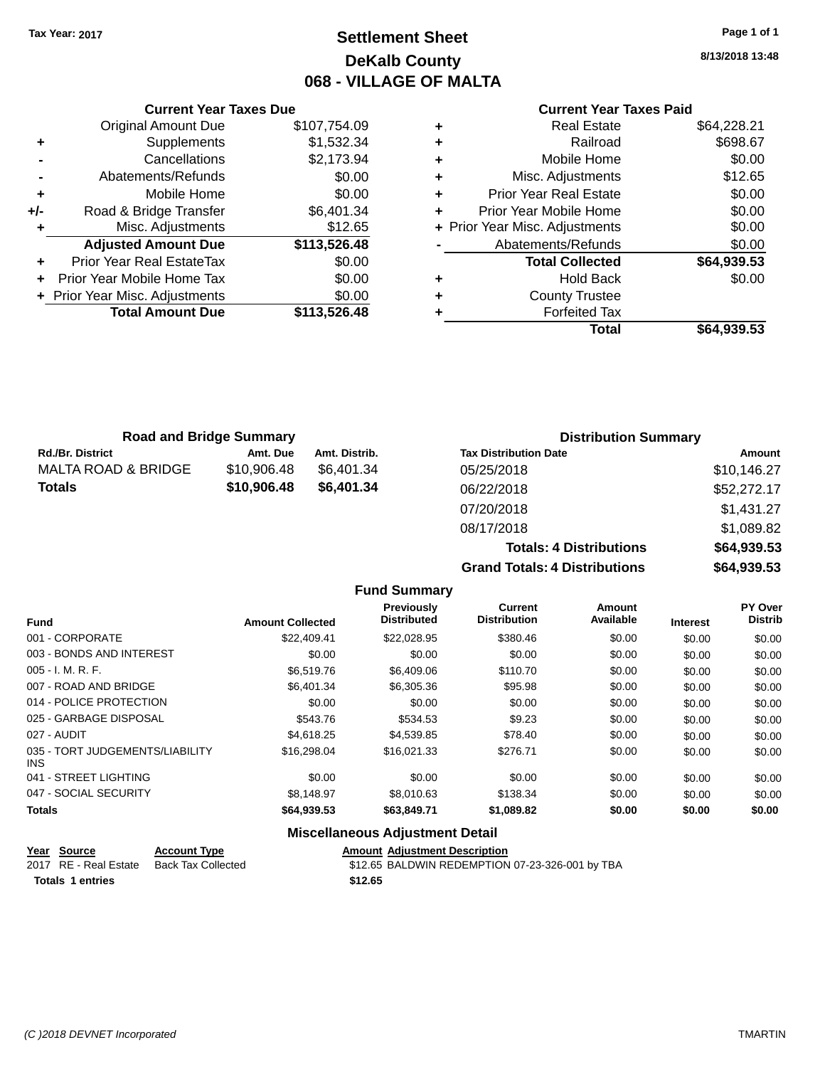## **Settlement Sheet Tax Year: 2017 Page 1 of 1 DeKalb County 068 - VILLAGE OF MALTA**

**8/13/2018 13:48**

### **Current Year Taxes Paid**

|     | Original Amount Due            | \$107,754.09 |
|-----|--------------------------------|--------------|
| ٠   | Supplements                    | \$1,532.34   |
|     | Cancellations                  | \$2,173.94   |
|     | Abatements/Refunds             | \$0.00       |
| ٠   | Mobile Home                    | \$0.00       |
| +/- | Road & Bridge Transfer         | \$6,401.34   |
| ٠   | Misc. Adjustments              | \$12.65      |
|     | <b>Adjusted Amount Due</b>     | \$113,526.48 |
| ٠   | Prior Year Real EstateTax      | \$0.00       |
| ÷   | Prior Year Mobile Home Tax     | \$0.00       |
|     | + Prior Year Misc. Adjustments | \$0.00       |
|     | <b>Total Amount Due</b>        | \$113,526.48 |
|     |                                |              |

**Current Year Taxes Due**

| ٠ | <b>Real Estate</b>             | \$64,228.21 |
|---|--------------------------------|-------------|
| ٠ | Railroad                       | \$698.67    |
| ٠ | Mobile Home                    | \$0.00      |
| ٠ | Misc. Adjustments              | \$12.65     |
| ٠ | <b>Prior Year Real Estate</b>  | \$0.00      |
| ÷ | Prior Year Mobile Home         | \$0.00      |
|   | + Prior Year Misc. Adjustments | \$0.00      |
|   | Abatements/Refunds             | \$0.00      |
|   | <b>Total Collected</b>         | \$64,939.53 |
| ٠ | Hold Back                      | \$0.00      |
| ٠ | <b>County Trustee</b>          |             |
| ٠ | <b>Forfeited Tax</b>           |             |
|   | Total                          | \$64.939.53 |
|   |                                |             |

**Totals: 4 Distributions \$64,939.53**

**Grand Totals: 4 Distributions \$64,939.53**

| <b>Road and Bridge Summary</b> |             |               | <b>Distribution Summary</b>  |             |  |
|--------------------------------|-------------|---------------|------------------------------|-------------|--|
| <b>Rd./Br. District</b>        | Amt. Due    | Amt. Distrib. | <b>Tax Distribution Date</b> | Amount      |  |
| MALTA ROAD & BRIDGE            | \$10,906.48 | \$6.401.34    | 05/25/2018                   | \$10,146.27 |  |
| <b>Totals</b>                  | \$10,906.48 | \$6,401.34    | 06/22/2018                   | \$52,272.17 |  |
|                                |             |               | 07/20/2018                   | \$1,431.27  |  |
|                                |             |               | 08/17/2018                   | \$1,089.82  |  |

**Fund Summary Fund Interest Amount Collected Distributed PY Over Distrib Amount Available Current Distribution Previously** 001 - CORPORATE \$22,409.41 \$22,028.95 \$380.46 \$0.00 \$0.00 \$0.00 003 - BONDS AND INTEREST  $$0.00$   $$0.00$   $$0.00$   $$0.00$   $$0.00$   $$0.00$   $$0.00$   $$0.00$ 005 - I. M. R. F. \$6,519.76 \$6,409.06 \$110.70 \$0.00 \$0.00 \$0.00 007 - ROAD AND BRIDGE \$6,401.34 \$6,305.36 \$95.98 \$0.00 \$0.00 \$0.00 014 - POLICE PROTECTION  $$0.00$  \$0.00 \$0.00 \$0.00 \$0.00 \$0.00 \$0.00 \$0.00 025 - GARBAGE DISPOSAL \$543.76 \$534.53 \$9.23 \$0.00 \$0.00 \$0.00 027 - AUDIT \$4,618.25 \$4,539.85 \$78.40 \$0.00 \$0.00 \$0.00 035 - TORT JUDGEMENTS/LIABILITY INS \$16,298.04 \$16,021.33 \$276.71 \$0.00 \$0.00 \$0.00 041 - STREET LIGHTING  $$0.00$   $$0.00$   $$0.00$   $$0.00$   $$0.00$   $$0.00$   $$0.00$   $$0.00$ 047 - SOCIAL SECURITY \$8,148.97 \$8,010.63 \$138.34 \$0.00 \$0.00 \$0.00 **Totals \$64,939.53 \$63,849.71 \$1,089.82 \$0.00 \$0.00 \$0.00**

| Year Source             | <b>Account Type</b> | <b>Amount Adiustment Description</b>            |
|-------------------------|---------------------|-------------------------------------------------|
| 2017 RE - Real Estate   | Back Tax Collected  | \$12.65 BALDWIN REDEMPTION 07-23-326-001 by TBA |
| <b>Totals 1 entries</b> |                     | \$12.65                                         |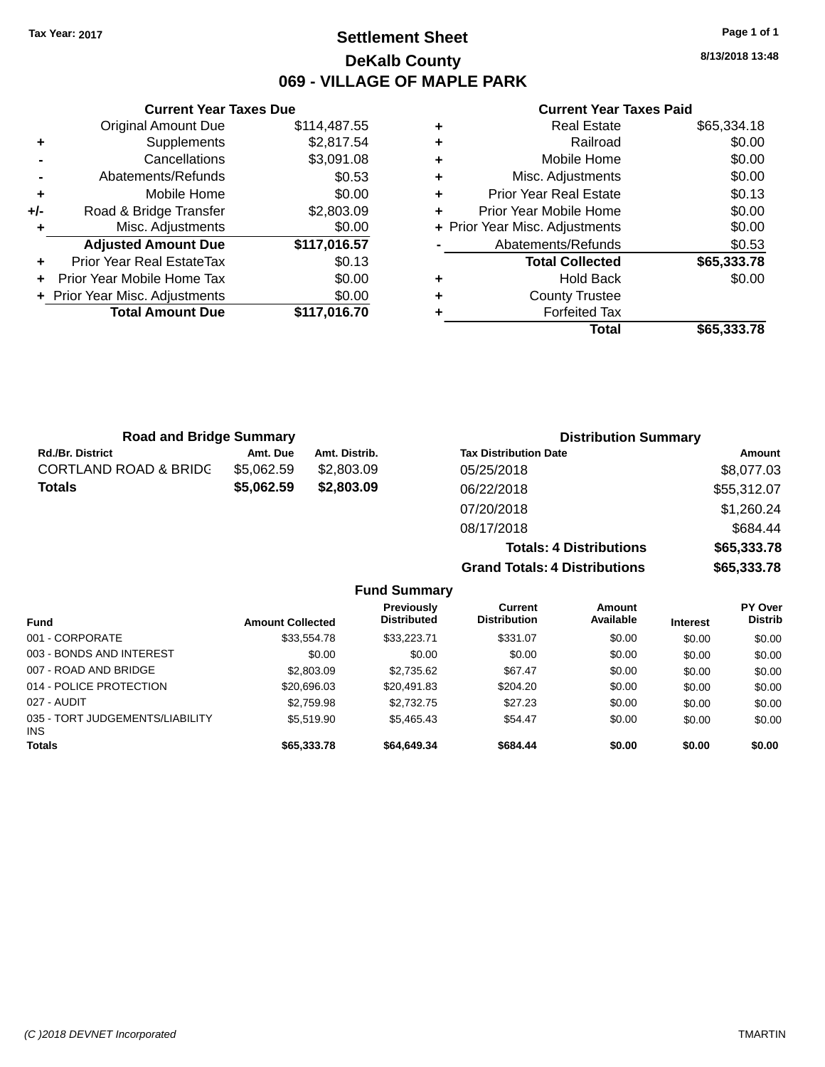## **Settlement Sheet Tax Year: 2017 Page 1 of 1 DeKalb County 069 - VILLAGE OF MAPLE PARK**

**8/13/2018 13:48**

### **Current Year Taxes Paid**

|     | <b>Current Year Taxes Due</b>  |              |  |  |  |
|-----|--------------------------------|--------------|--|--|--|
|     | <b>Original Amount Due</b>     | \$114,487.55 |  |  |  |
| ٠   | Supplements                    | \$2,817.54   |  |  |  |
|     | Cancellations                  | \$3,091.08   |  |  |  |
|     | Abatements/Refunds             | \$0.53       |  |  |  |
| ٠   | Mobile Home                    | \$0.00       |  |  |  |
| +/- | Road & Bridge Transfer         | \$2,803.09   |  |  |  |
|     | Misc. Adjustments              | \$0.00       |  |  |  |
|     | <b>Adjusted Amount Due</b>     | \$117,016.57 |  |  |  |
| ٠   | Prior Year Real EstateTax      | \$0.13       |  |  |  |
|     | Prior Year Mobile Home Tax     | \$0.00       |  |  |  |
|     | + Prior Year Misc. Adjustments | \$0.00       |  |  |  |
|     | <b>Total Amount Due</b>        | \$117.016.70 |  |  |  |
|     |                                |              |  |  |  |

| ٠ | <b>Real Estate</b>             | \$65,334.18 |
|---|--------------------------------|-------------|
| ٠ | Railroad                       | \$0.00      |
| ٠ | Mobile Home                    | \$0.00      |
| ٠ | Misc. Adjustments              | \$0.00      |
| ٠ | <b>Prior Year Real Estate</b>  | \$0.13      |
| ٠ | Prior Year Mobile Home         | \$0.00      |
|   | + Prior Year Misc. Adjustments | \$0.00      |
|   | Abatements/Refunds             | \$0.53      |
|   | <b>Total Collected</b>         | \$65,333.78 |
| ٠ | <b>Hold Back</b>               | \$0.00      |
| ٠ | <b>County Trustee</b>          |             |
|   | <b>Forfeited Tax</b>           |             |
|   | Total                          | \$65,333.78 |

| <b>Road and Bridge Summary</b>   |            |               | <b>Distribution Summary</b>    |             |
|----------------------------------|------------|---------------|--------------------------------|-------------|
| <b>Rd./Br. District</b>          | Amt. Due   | Amt. Distrib. | <b>Tax Distribution Date</b>   | Amount      |
| <b>CORTLAND ROAD &amp; BRIDG</b> | \$5,062.59 | \$2,803.09    | 05/25/2018                     | \$8,077.03  |
| <b>Totals</b>                    | \$5,062.59 | \$2,803.09    | 06/22/2018                     | \$55,312.07 |
|                                  |            |               | 07/20/2018                     | \$1,260.24  |
|                                  |            |               | 08/17/2018                     | \$684.44    |
|                                  |            |               | <b>Totals: 4 Distributions</b> | \$65,333.78 |

**Grand Totals: 4 Distributions \$65,333.78**

|                                               |                         | <b>Fund Summary</b>                     |                                       |                     |                 |                                  |
|-----------------------------------------------|-------------------------|-----------------------------------------|---------------------------------------|---------------------|-----------------|----------------------------------|
| <b>Fund</b>                                   | <b>Amount Collected</b> | <b>Previously</b><br><b>Distributed</b> | <b>Current</b><br><b>Distribution</b> | Amount<br>Available | <b>Interest</b> | <b>PY Over</b><br><b>Distrib</b> |
| 001 - CORPORATE                               | \$33,554.78             | \$33,223,71                             | \$331.07                              | \$0.00              | \$0.00          | \$0.00                           |
| 003 - BONDS AND INTEREST                      | \$0.00                  | \$0.00                                  | \$0.00                                | \$0.00              | \$0.00          | \$0.00                           |
| 007 - ROAD AND BRIDGE                         | \$2,803.09              | \$2,735.62                              | \$67.47                               | \$0.00              | \$0.00          | \$0.00                           |
| 014 - POLICE PROTECTION                       | \$20,696,03             | \$20.491.83                             | \$204.20                              | \$0.00              | \$0.00          | \$0.00                           |
| 027 - AUDIT                                   | \$2.759.98              | \$2,732.75                              | \$27.23                               | \$0.00              | \$0.00          | \$0.00                           |
| 035 - TORT JUDGEMENTS/LIABILITY<br><b>INS</b> | \$5.519.90              | \$5.465.43                              | \$54.47                               | \$0.00              | \$0.00          | \$0.00                           |
| <b>Totals</b>                                 | \$65,333.78             | \$64,649.34                             | \$684.44                              | \$0.00              | \$0.00          | \$0.00                           |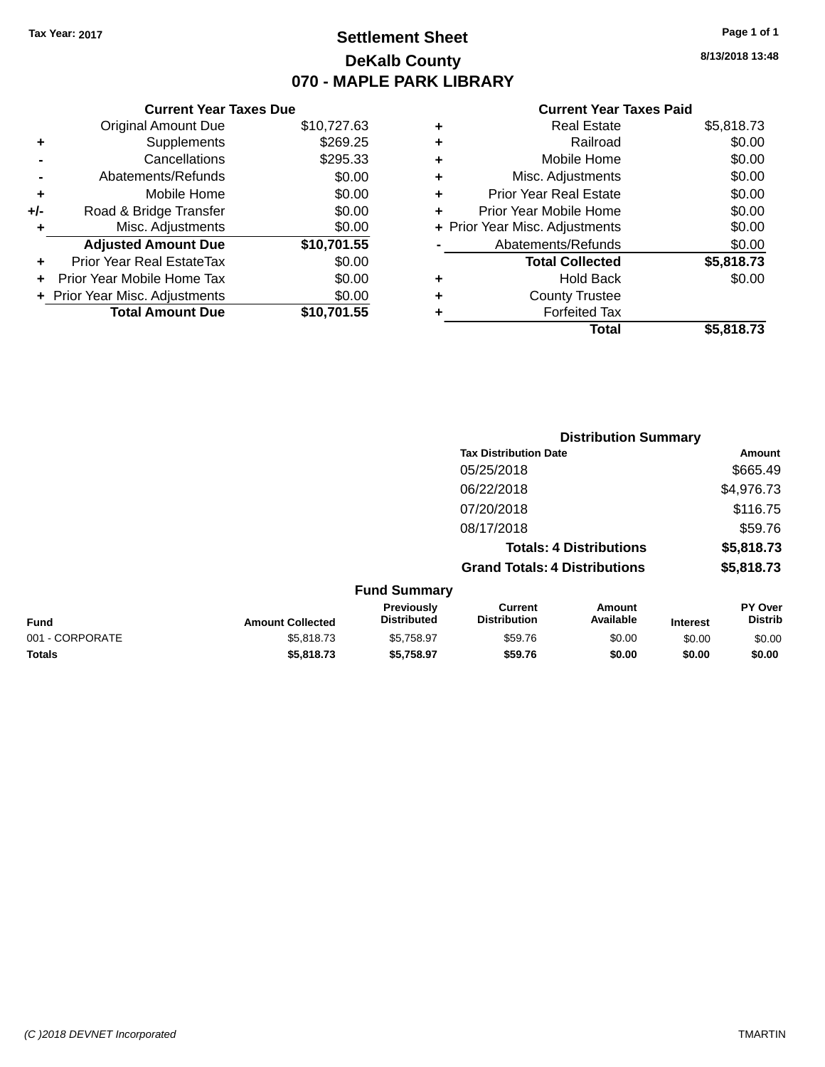## **Settlement Sheet Tax Year: 2017 Page 1 of 1 DeKalb County 070 - MAPLE PARK LIBRARY**

**8/13/2018 13:48**

#### **Current Year Taxes Paid**

|       | <b>Current Year Taxes Due</b>  |             |  |  |  |  |
|-------|--------------------------------|-------------|--|--|--|--|
|       | <b>Original Amount Due</b>     | \$10,727.63 |  |  |  |  |
| ٠     | Supplements                    | \$269.25    |  |  |  |  |
|       | Cancellations                  | \$295.33    |  |  |  |  |
|       | Abatements/Refunds             | \$0.00      |  |  |  |  |
| ٠     | Mobile Home                    | \$0.00      |  |  |  |  |
| $+/-$ | Road & Bridge Transfer         | \$0.00      |  |  |  |  |
| ٠     | Misc. Adjustments              | \$0.00      |  |  |  |  |
|       | <b>Adjusted Amount Due</b>     | \$10,701.55 |  |  |  |  |
| ٠     | Prior Year Real EstateTax      | \$0.00      |  |  |  |  |
|       | Prior Year Mobile Home Tax     | \$0.00      |  |  |  |  |
|       | + Prior Year Misc. Adjustments | \$0.00      |  |  |  |  |
|       | <b>Total Amount Due</b>        | \$10,701.55 |  |  |  |  |
|       |                                |             |  |  |  |  |

|   | <b>Real Estate</b>             | \$5,818.73 |
|---|--------------------------------|------------|
| ٠ | Railroad                       | \$0.00     |
| ٠ | Mobile Home                    | \$0.00     |
| ٠ | Misc. Adjustments              | \$0.00     |
| ٠ | <b>Prior Year Real Estate</b>  | \$0.00     |
| ÷ | Prior Year Mobile Home         | \$0.00     |
|   | + Prior Year Misc. Adjustments | \$0.00     |
|   | Abatements/Refunds             | \$0.00     |
|   | <b>Total Collected</b>         | \$5,818.73 |
| ٠ | Hold Back                      | \$0.00     |
| ٠ | <b>County Trustee</b>          |            |
| ٠ | <b>Forfeited Tax</b>           |            |
|   | Total                          | \$5,818.73 |
|   |                                |            |

|                 |                         |                                  |                                       | <b>Distribution Summary</b>    |                 |                           |
|-----------------|-------------------------|----------------------------------|---------------------------------------|--------------------------------|-----------------|---------------------------|
|                 |                         |                                  | <b>Tax Distribution Date</b>          |                                |                 | Amount                    |
|                 |                         |                                  | 05/25/2018                            |                                |                 | \$665.49                  |
|                 |                         |                                  | 06/22/2018                            |                                | \$4,976.73      |                           |
|                 |                         |                                  | 07/20/2018                            |                                |                 | \$116.75                  |
|                 |                         |                                  | 08/17/2018                            |                                |                 | \$59.76                   |
|                 |                         |                                  |                                       | <b>Totals: 4 Distributions</b> |                 | \$5,818.73                |
|                 |                         |                                  | <b>Grand Totals: 4 Distributions</b>  |                                |                 | \$5,818.73                |
|                 |                         | <b>Fund Summary</b>              |                                       |                                |                 |                           |
| <b>Fund</b>     | <b>Amount Collected</b> | Previously<br><b>Distributed</b> | <b>Current</b><br><b>Distribution</b> | Amount<br>Available            | <b>Interest</b> | PY Over<br><b>Distrib</b> |
| 001 - CORPORATE | \$5,818.73              | \$5,758.97                       | \$59.76                               | \$0.00                         | \$0.00          | \$0.00                    |

**Totals \$5,818.73 \$5,758.97 \$59.76 \$0.00 \$0.00 \$0.00**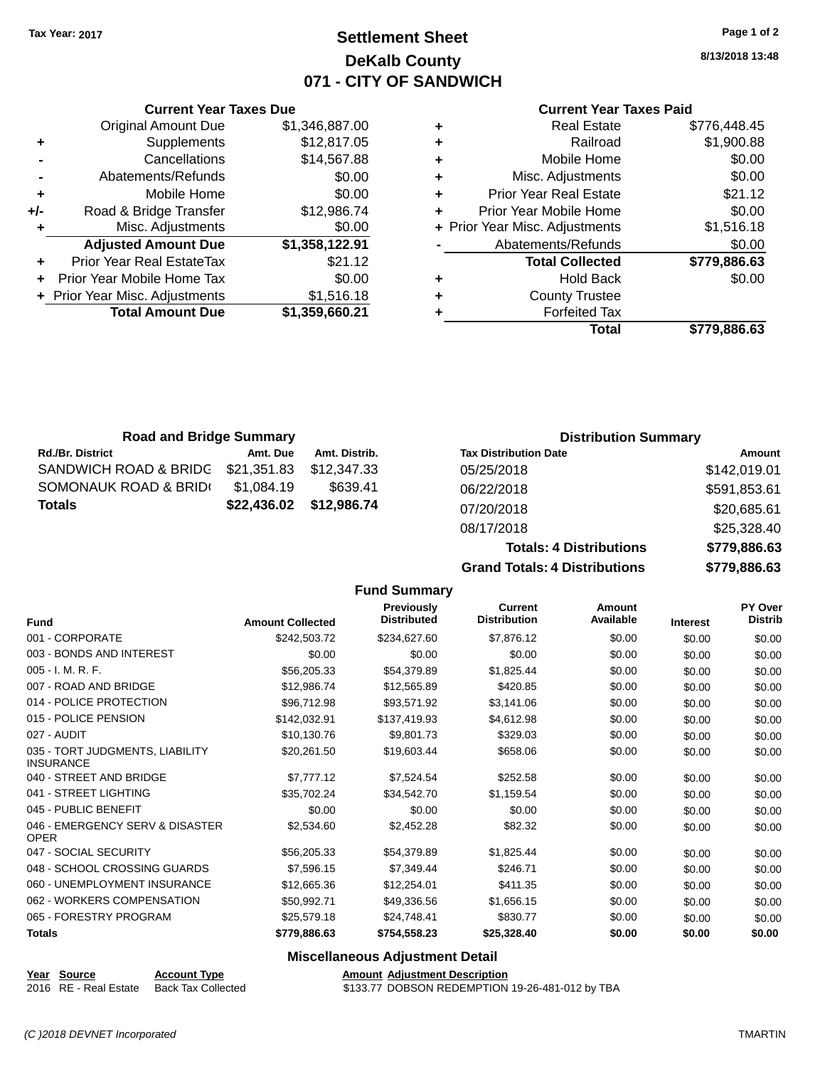## **Settlement Sheet Tax Year: 2017 Page 1 of 2 DeKalb County 071 - CITY OF SANDWICH**

**8/13/2018 13:48**

#### **Current Year Taxes Paid**

| Curi                  |   | <b>Current Year Taxes Due</b> |                                  |       |
|-----------------------|---|-------------------------------|----------------------------------|-------|
| R٥                    | ٠ | \$1,346,887.00                | <b>Original Amount Due</b>       |       |
|                       | ٠ | \$12,817.05                   | <b>Supplements</b>               | ٠     |
| Mot                   | ٠ | \$14,567.88                   | Cancellations                    |       |
| Misc. Ad              | ٠ | \$0.00                        | Abatements/Refunds               |       |
| Prior Year Re         | ٠ | \$0.00                        | Mobile Home                      |       |
| <b>Prior Year Mot</b> | ÷ | \$12,986.74                   | Road & Bridge Transfer           | $+/-$ |
| + Prior Year Misc. Ad |   | \$0.00                        | Misc. Adjustments                |       |
| Abatements            |   | \$1,358,122.91                | <b>Adjusted Amount Due</b>       |       |
| Total (               |   | \$21.12                       | <b>Prior Year Real EstateTax</b> |       |
|                       | ٠ | \$0.00                        | Prior Year Mobile Home Tax       | ÷     |
| Count                 | ٠ | \$1,516.18                    | + Prior Year Misc. Adjustments   |       |
| For                   |   | \$1,359,660.21                | <b>Total Amount Due</b>          |       |
|                       |   |                               |                                  |       |

| ٠ | <b>Real Estate</b>             | \$776,448.45 |
|---|--------------------------------|--------------|
|   | Railroad                       | \$1,900.88   |
| ٠ | Mobile Home                    | \$0.00       |
| ٠ | Misc. Adjustments              | \$0.00       |
| ٠ | <b>Prior Year Real Estate</b>  | \$21.12      |
| ÷ | Prior Year Mobile Home         | \$0.00       |
|   | + Prior Year Misc. Adjustments | \$1,516.18   |
|   | Abatements/Refunds             | \$0.00       |
|   | <b>Total Collected</b>         | \$779,886.63 |
|   | <b>Hold Back</b>               | \$0.00       |
| ٠ | <b>County Trustee</b>          |              |
|   | <b>Forfeited Tax</b>           |              |
|   | Total                          | \$779,886.63 |
|   |                                |              |

| <b>Road and Bridge Summary</b> |             |                         | <b>Distribution Summary</b>  |                 |  |
|--------------------------------|-------------|-------------------------|------------------------------|-----------------|--|
| <b>Rd./Br. District</b>        | Amt. Due    | Amt. Distrib.           | <b>Tax Distribution Date</b> | Amount          |  |
| SANDWICH ROAD & BRIDG          | \$21,351.83 | \$12.347.33             | 05/25/2018                   | \$142,019.01    |  |
| SOMONAUK ROAD & BRID(          | \$1,084.19  | \$639.41                | 06/22/2018                   | \$591,853.61    |  |
| <b>Totals</b>                  |             | \$22,436.02 \$12,986.74 | 07/20/2018                   | \$20,685.61     |  |
|                                |             |                         | 0.0147/0040                  | 0.05, 0.00, 0.0 |  |

| <b>Grand Totals: 4 Distributions</b> | \$779,886.63 |
|--------------------------------------|--------------|
| <b>Totals: 4 Distributions</b>       | \$779,886.63 |
| 08/17/2018                           | \$25,328.40  |
| 07/20/2018                           | \$20,685.61  |
| 06/22/2018                           | \$591,853.61 |

|                                                     |                         | <b>Fund Summary</b>              |                                       |                     |                 |                           |
|-----------------------------------------------------|-------------------------|----------------------------------|---------------------------------------|---------------------|-----------------|---------------------------|
| <b>Fund</b>                                         | <b>Amount Collected</b> | Previously<br><b>Distributed</b> | <b>Current</b><br><b>Distribution</b> | Amount<br>Available | <b>Interest</b> | PY Over<br><b>Distrib</b> |
| 001 - CORPORATE                                     | \$242,503.72            | \$234,627.60                     | \$7,876.12                            | \$0.00              | \$0.00          | \$0.00                    |
| 003 - BONDS AND INTEREST                            | \$0.00                  | \$0.00                           | \$0.00                                | \$0.00              | \$0.00          | \$0.00                    |
| 005 - I. M. R. F.                                   | \$56,205.33             | \$54,379.89                      | \$1,825.44                            | \$0.00              | \$0.00          | \$0.00                    |
| 007 - ROAD AND BRIDGE                               | \$12,986.74             | \$12,565.89                      | \$420.85                              | \$0.00              | \$0.00          | \$0.00                    |
| 014 - POLICE PROTECTION                             | \$96,712.98             | \$93,571.92                      | \$3,141.06                            | \$0.00              | \$0.00          | \$0.00                    |
| 015 - POLICE PENSION                                | \$142,032.91            | \$137,419.93                     | \$4,612.98                            | \$0.00              | \$0.00          | \$0.00                    |
| 027 - AUDIT                                         | \$10,130.76             | \$9,801.73                       | \$329.03                              | \$0.00              | \$0.00          | \$0.00                    |
| 035 - TORT JUDGMENTS, LIABILITY<br><b>INSURANCE</b> | \$20.261.50             | \$19,603.44                      | \$658.06                              | \$0.00              | \$0.00          | \$0.00                    |
| 040 - STREET AND BRIDGE                             | \$7,777.12              | \$7,524.54                       | \$252.58                              | \$0.00              | \$0.00          | \$0.00                    |
| 041 - STREET LIGHTING                               | \$35,702.24             | \$34,542.70                      | \$1,159.54                            | \$0.00              | \$0.00          | \$0.00                    |
| 045 - PUBLIC BENEFIT                                | \$0.00                  | \$0.00                           | \$0.00                                | \$0.00              | \$0.00          | \$0.00                    |
| 046 - EMERGENCY SERV & DISASTER<br><b>OPER</b>      | \$2,534.60              | \$2,452.28                       | \$82.32                               | \$0.00              | \$0.00          | \$0.00                    |
| 047 - SOCIAL SECURITY                               | \$56,205.33             | \$54,379.89                      | \$1,825.44                            | \$0.00              | \$0.00          | \$0.00                    |
| 048 - SCHOOL CROSSING GUARDS                        | \$7,596.15              | \$7,349.44                       | \$246.71                              | \$0.00              | \$0.00          | \$0.00                    |
| 060 - UNEMPLOYMENT INSURANCE                        | \$12,665.36             | \$12,254.01                      | \$411.35                              | \$0.00              | \$0.00          | \$0.00                    |
| 062 - WORKERS COMPENSATION                          | \$50,992.71             | \$49,336.56                      | \$1,656.15                            | \$0.00              | \$0.00          | \$0.00                    |
| 065 - FORESTRY PROGRAM                              | \$25,579.18             | \$24,748.41                      | \$830.77                              | \$0.00              | \$0.00          | \$0.00                    |
| <b>Totals</b>                                       | \$779,886.63            | \$754,558.23                     | \$25,328.40                           | \$0.00              | \$0.00          | \$0.00                    |

#### **Miscellaneous Adjustment Detail**

**Year** Source **Account Type Account Adjustment Description** 

2016 RE - Real Estate Back Tax Collected \$133.77 DOBSON REDEMPTION 19-26-481-012 by TBA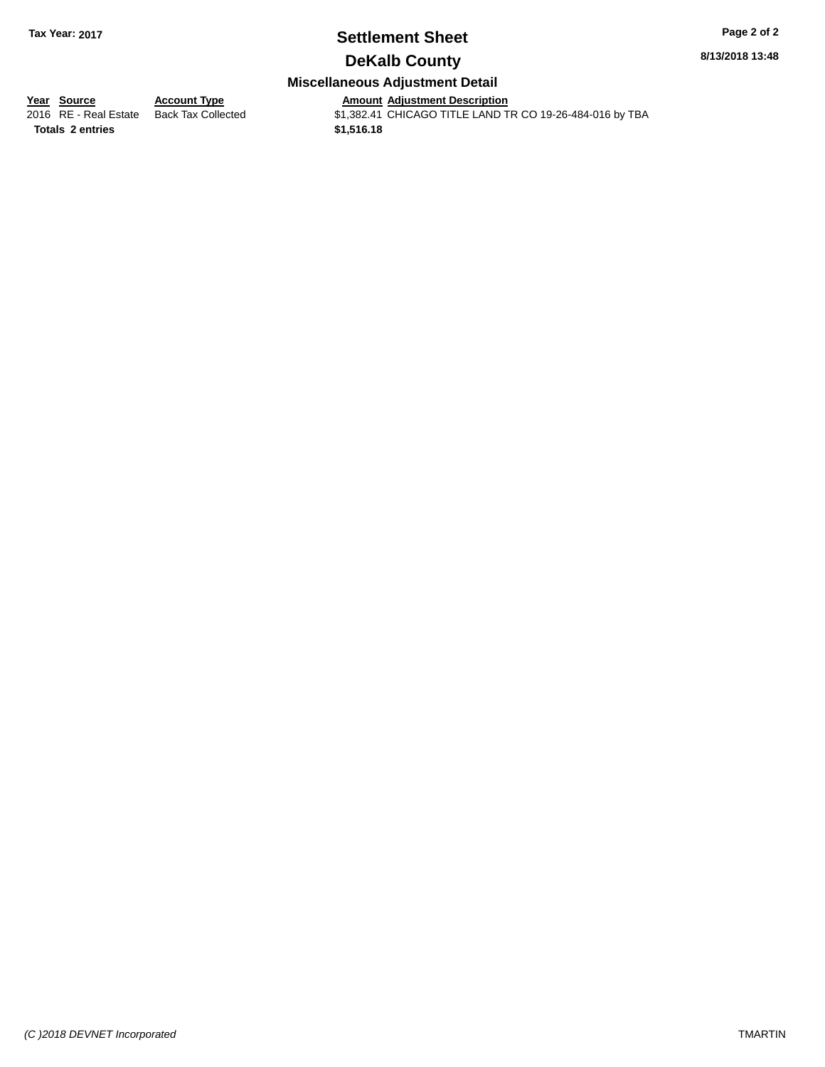## **Settlement Sheet Tax Year: 2017 Page 2 of 2**

**8/13/2018 13:48**

### **DeKalb County**

### **Miscellaneous Adjustment Detail**

**<u>Year Source</u> Account Type<br>
2016 RE - Real Estate Back Tax Collected** 

**Totals \$1,516.18 2 entries**

Amount Adjustment Description<br>\$1,382.41 CHICAGO TITLE LAND TR CO 19-26-484-016 by TBA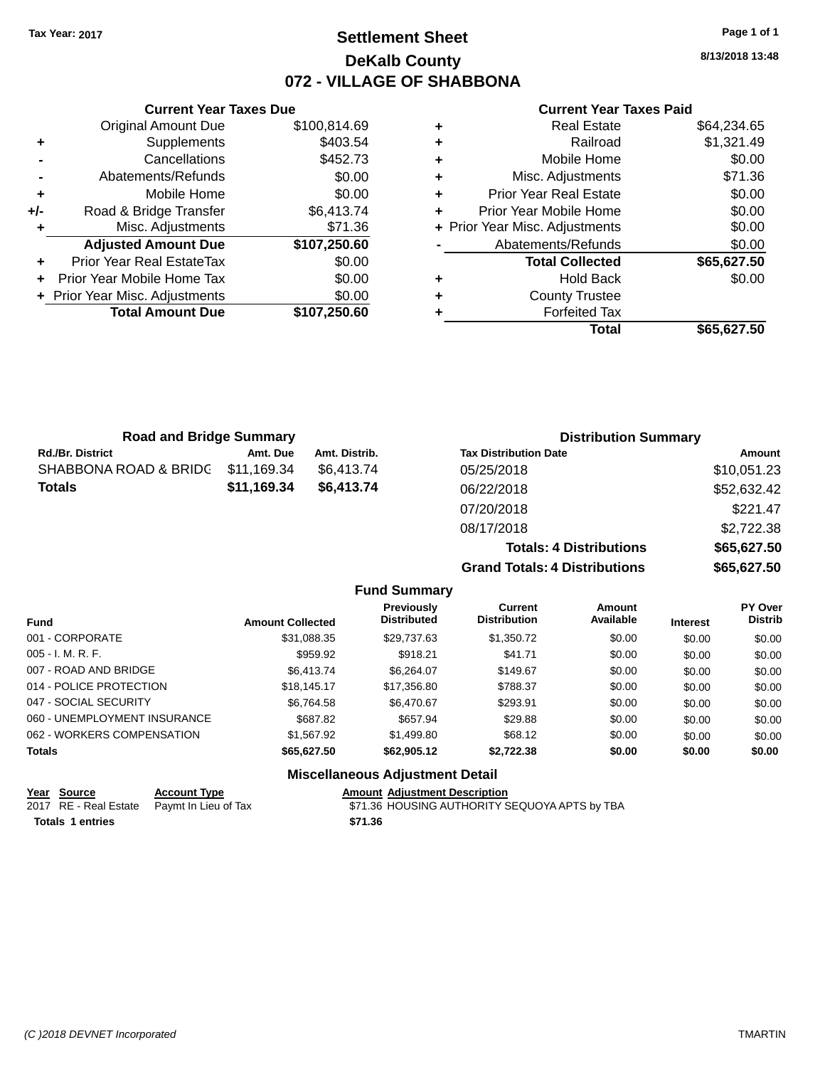## **Settlement Sheet Tax Year: 2017 Page 1 of 1 DeKalb County 072 - VILLAGE OF SHABBONA**

**8/13/2018 13:48**

#### **Current Year Taxes Paid**

|       | <b>Current Year Taxes Due</b>  |              |
|-------|--------------------------------|--------------|
|       | <b>Original Amount Due</b>     | \$100,814.69 |
| ٠     | Supplements                    | \$403.54     |
|       | Cancellations                  | \$452.73     |
|       | Abatements/Refunds             | \$0.00       |
| ٠     | Mobile Home                    | \$0.00       |
| $+/-$ | Road & Bridge Transfer         | \$6,413.74   |
| ٠     | Misc. Adjustments              | \$71.36      |
|       | <b>Adjusted Amount Due</b>     | \$107,250.60 |
| ٠     | Prior Year Real EstateTax      | \$0.00       |
|       | Prior Year Mobile Home Tax     | \$0.00       |
|       | + Prior Year Misc. Adjustments | \$0.00       |
|       | <b>Total Amount Due</b>        | \$107,250.60 |
|       |                                |              |

|   | <b>Real Estate</b>             | \$64,234.65 |
|---|--------------------------------|-------------|
| ٠ | Railroad                       | \$1,321.49  |
| ٠ | Mobile Home                    | \$0.00      |
| ٠ | Misc. Adjustments              | \$71.36     |
| ٠ | <b>Prior Year Real Estate</b>  | \$0.00      |
| ٠ | Prior Year Mobile Home         | \$0.00      |
|   | + Prior Year Misc. Adjustments | \$0.00      |
|   | Abatements/Refunds             | \$0.00      |
|   | <b>Total Collected</b>         | \$65,627.50 |
| ٠ | <b>Hold Back</b>               | \$0.00      |
| ٠ | <b>County Trustee</b>          |             |
| ٠ | <b>Forfeited Tax</b>           |             |
|   | <b>Total</b>                   | \$65,627.50 |
|   |                                |             |

| <b>Road and Bridge Summary</b> |                           |               | <b>Distribution Summary</b>    |             |  |
|--------------------------------|---------------------------|---------------|--------------------------------|-------------|--|
| <b>Rd./Br. District</b>        | Amt. Due                  | Amt. Distrib. | <b>Tax Distribution Date</b>   | Amount      |  |
| SHABBONA ROAD & BRIDG          | \$11,169.34               | \$6,413.74    | 05/25/2018                     | \$10,051.23 |  |
| <b>Totals</b>                  | \$11,169.34<br>\$6,413.74 |               | 06/22/2018                     | \$52,632.42 |  |
|                                |                           |               | 07/20/2018                     | \$221.47    |  |
|                                |                           |               | 08/17/2018                     | \$2,722.38  |  |
|                                |                           |               | <b>Totals: 4 Distributions</b> | \$65,627.50 |  |
|                                |                           |               | __________                     | *** *** **  |  |

**Grand Totals: 4 Distributions \$65,627.50**

|                              |                         | <b>Fund Summary</b>                     |                                |                     |                 |                           |
|------------------------------|-------------------------|-----------------------------------------|--------------------------------|---------------------|-----------------|---------------------------|
| Fund                         | <b>Amount Collected</b> | <b>Previously</b><br><b>Distributed</b> | Current<br><b>Distribution</b> | Amount<br>Available | <b>Interest</b> | PY Over<br><b>Distrib</b> |
| 001 - CORPORATE              | \$31.088.35             | \$29.737.63                             | \$1,350.72                     | \$0.00              | \$0.00          | \$0.00                    |
| $005 - I. M. R. F.$          | \$959.92                | \$918.21                                | \$41.71                        | \$0.00              | \$0.00          | \$0.00                    |
| 007 - ROAD AND BRIDGE        | \$6,413.74              | \$6.264.07                              | \$149.67                       | \$0.00              | \$0.00          | \$0.00                    |
| 014 - POLICE PROTECTION      | \$18.145.17             | \$17,356.80                             | \$788.37                       | \$0.00              | \$0.00          | \$0.00                    |
| 047 - SOCIAL SECURITY        | \$6.764.58              | \$6,470.67                              | \$293.91                       | \$0.00              | \$0.00          | \$0.00                    |
| 060 - UNEMPLOYMENT INSURANCE | \$687.82                | \$657.94                                | \$29.88                        | \$0.00              | \$0.00          | \$0.00                    |
| 062 - WORKERS COMPENSATION   | \$1,567.92              | \$1,499.80                              | \$68.12                        | \$0.00              | \$0.00          | \$0.00                    |
| <b>Totals</b>                | \$65,627.50             | \$62,905.12                             | \$2,722.38                     | \$0.00              | \$0.00          | \$0.00                    |
|                              |                         | Missellenseus Adjustment Detail         |                                |                     |                 |                           |

| Year Source             | <b>Account Type</b>                        |         | <b>Amount Adjustment Description</b>          |
|-------------------------|--------------------------------------------|---------|-----------------------------------------------|
|                         | 2017 RE - Real Estate Paymt In Lieu of Tax |         | \$71.36 HOUSING AUTHORITY SEQUOYA APTS by TBA |
| <b>Totals 1 entries</b> |                                            | \$71.36 |                                               |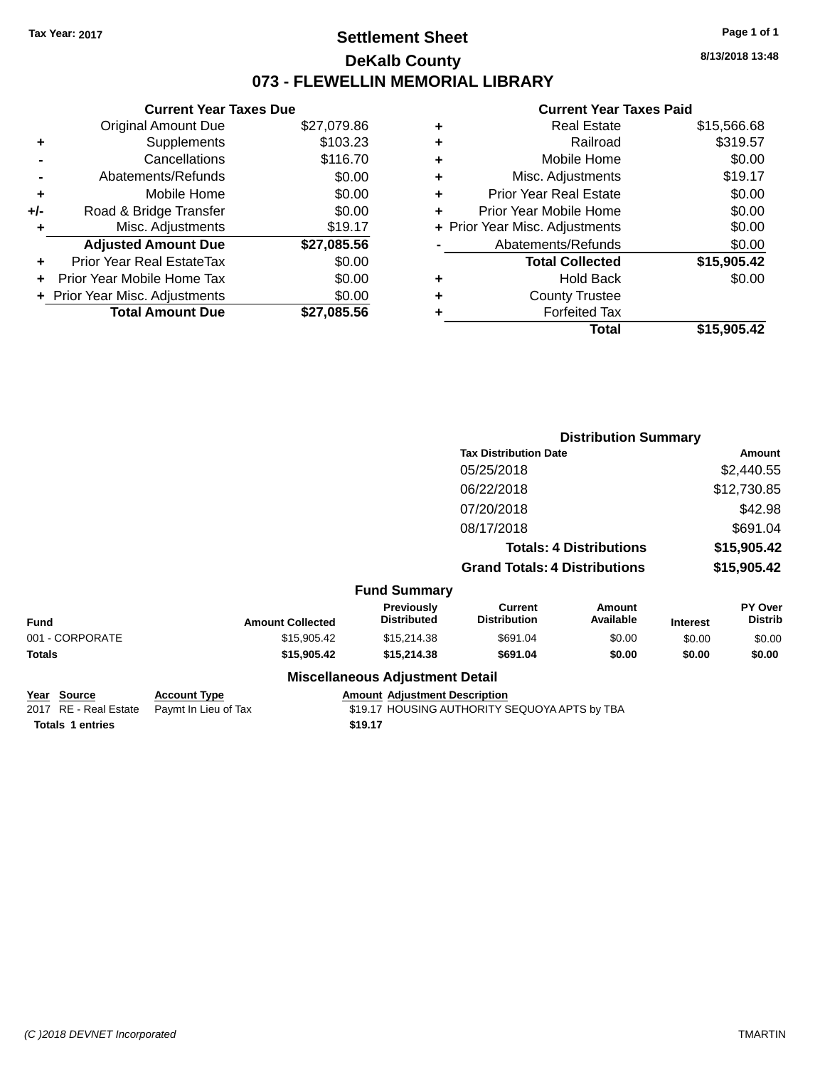### **Settlement Sheet Tax Year: 2017 Page 1 of 1 DeKalb County 073 - FLEWELLIN MEMORIAL LIBRARY**

**8/13/2018 13:48**

### **Current Year Taxes Paid**

|       | <b>Current Year Taxes Due</b>  |             |  |  |  |
|-------|--------------------------------|-------------|--|--|--|
|       | <b>Original Amount Due</b>     | \$27,079.86 |  |  |  |
| ٠     | Supplements                    | \$103.23    |  |  |  |
|       | Cancellations                  | \$116.70    |  |  |  |
|       | Abatements/Refunds             | \$0.00      |  |  |  |
| ٠     | Mobile Home                    | \$0.00      |  |  |  |
| $+/-$ | Road & Bridge Transfer         | \$0.00      |  |  |  |
| ۰     | \$19.17<br>Misc. Adjustments   |             |  |  |  |
|       | <b>Adjusted Amount Due</b>     | \$27,085.56 |  |  |  |
|       | Prior Year Real EstateTax      | \$0.00      |  |  |  |
|       | Prior Year Mobile Home Tax     | \$0.00      |  |  |  |
|       | + Prior Year Misc. Adjustments | \$0.00      |  |  |  |
|       | <b>Total Amount Due</b>        | \$27,085.56 |  |  |  |
|       |                                |             |  |  |  |

|   | <b>Real Estate</b>             | \$15,566.68 |
|---|--------------------------------|-------------|
| ٠ | Railroad                       | \$319.57    |
| ٠ | Mobile Home                    | \$0.00      |
| ٠ | Misc. Adjustments              | \$19.17     |
| ٠ | <b>Prior Year Real Estate</b>  | \$0.00      |
| ÷ | Prior Year Mobile Home         | \$0.00      |
|   | + Prior Year Misc. Adjustments | \$0.00      |
|   | Abatements/Refunds             | \$0.00      |
|   | <b>Total Collected</b>         | \$15,905.42 |
| ٠ | <b>Hold Back</b>               | \$0.00      |
| ٠ | <b>County Trustee</b>          |             |
| ٠ | <b>Forfeited Tax</b>           |             |
|   | Total                          | \$15,905.42 |
|   |                                |             |

|                 |                         |                                        | <b>Distribution Summary</b>                                            |                            |                            |                           |
|-----------------|-------------------------|----------------------------------------|------------------------------------------------------------------------|----------------------------|----------------------------|---------------------------|
|                 |                         |                                        | <b>Tax Distribution Date</b><br>05/25/2018<br>06/22/2018<br>07/20/2018 |                            | Amount                     |                           |
|                 |                         |                                        |                                                                        |                            |                            | \$2,440.55                |
|                 |                         |                                        |                                                                        |                            |                            | \$12,730.85               |
|                 |                         |                                        |                                                                        |                            |                            | \$42.98                   |
|                 |                         |                                        | 08/17/2018                                                             |                            |                            | \$691.04                  |
|                 |                         |                                        | <b>Totals: 4 Distributions</b><br><b>Grand Totals: 4 Distributions</b> |                            | \$15,905.42<br>\$15,905.42 |                           |
|                 |                         |                                        |                                                                        |                            |                            |                           |
|                 |                         | <b>Fund Summary</b>                    |                                                                        |                            |                            |                           |
| <b>Fund</b>     | <b>Amount Collected</b> | Previously<br>Distributed              | <b>Current</b><br><b>Distribution</b>                                  | <b>Amount</b><br>Available | <b>Interest</b>            | PY Over<br><b>Distrib</b> |
| 001 - CORPORATE | \$15,905.42             | \$15,214.38                            | \$691.04                                                               | \$0.00                     | \$0.00                     | \$0.00                    |
| Totals          | \$15,905.42             | \$15,214.38                            | \$691.04                                                               | \$0.00                     | \$0.00                     | \$0.00                    |
|                 |                         | <b>Miscellaneous Adjustment Detail</b> |                                                                        |                            |                            |                           |

|                         | Year Source | <b>Account Type</b>                        | <b>Amount Adiustment Description</b>          |
|-------------------------|-------------|--------------------------------------------|-----------------------------------------------|
|                         |             | 2017 RE - Real Estate Paymt In Lieu of Tax | \$19.17 HOUSING AUTHORITY SEQUOYA APTS by TBA |
| <b>Totals 1 entries</b> |             |                                            | \$19.17                                       |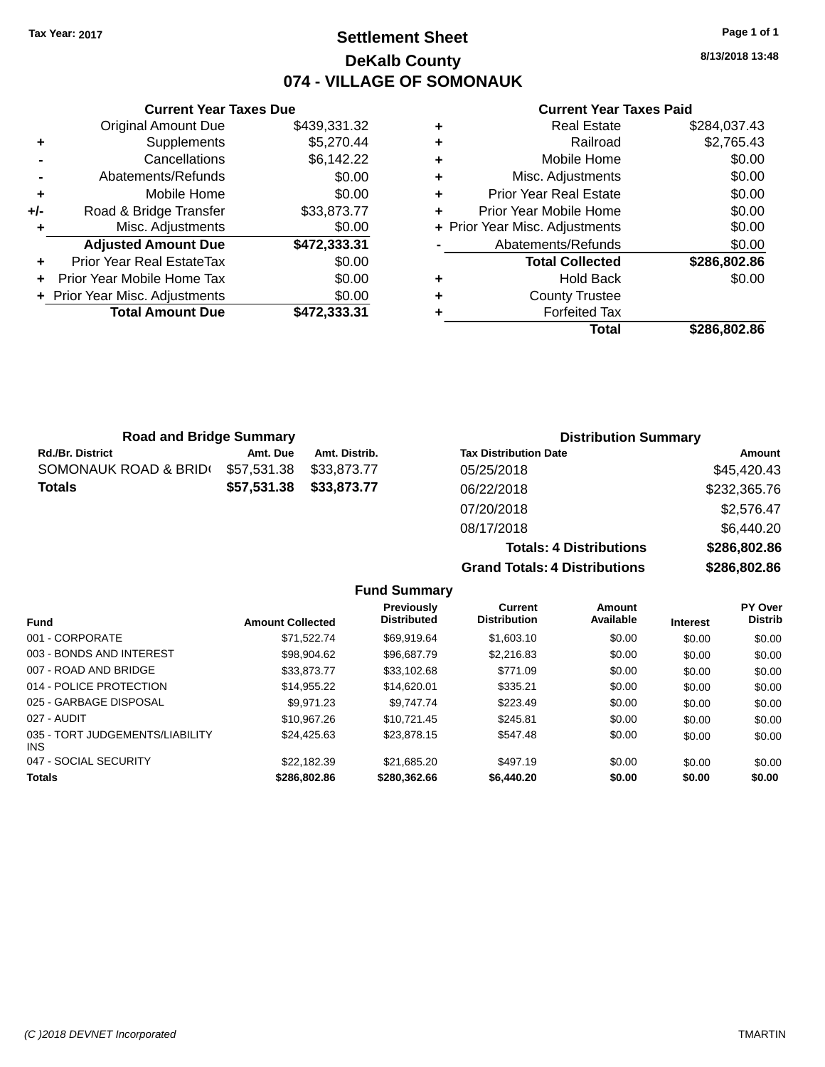## **Settlement Sheet Tax Year: 2017 Page 1 of 1 DeKalb County 074 - VILLAGE OF SOMONAUK**

**8/13/2018 13:48**

### **Current Year Taxes Paid**

|     | <b>Current Year Taxes Due</b>  |              |
|-----|--------------------------------|--------------|
|     | <b>Original Amount Due</b>     | \$439,331.32 |
| ٠   | Supplements                    | \$5,270.44   |
|     | Cancellations                  | \$6,142.22   |
|     | Abatements/Refunds             | \$0.00       |
| ٠   | Mobile Home                    | \$0.00       |
| +/- | Road & Bridge Transfer         | \$33,873.77  |
| ٠   | Misc. Adjustments              | \$0.00       |
|     | <b>Adjusted Amount Due</b>     | \$472,333.31 |
| ٠   | Prior Year Real EstateTax      | \$0.00       |
| ÷   | Prior Year Mobile Home Tax     | \$0.00       |
|     | + Prior Year Misc. Adjustments | \$0.00       |
|     | <b>Total Amount Due</b>        | \$472,333.31 |
|     |                                |              |

| \$284,037.43 |
|--------------|
| \$2,765.43   |
| \$0.00       |
| \$0.00       |
| \$0.00       |
| \$0.00       |
| \$0.00       |
| \$0.00       |
| \$286,802.86 |
| \$0.00       |
|              |
|              |
| \$286,802.86 |
|              |

| <b>Road and Bridge Summary</b> |             |               | <b>Distribution Summary</b>    |              |  |
|--------------------------------|-------------|---------------|--------------------------------|--------------|--|
| Rd./Br. District               | Amt. Due    | Amt. Distrib. | <b>Tax Distribution Date</b>   | Amount       |  |
| SOMONAUK ROAD & BRID(          | \$57,531.38 | \$33,873,77   | 05/25/2018                     | \$45,420.43  |  |
| Totals                         | \$57,531.38 | \$33,873.77   | 06/22/2018                     | \$232,365.76 |  |
|                                |             |               | 07/20/2018                     | \$2,576.47   |  |
|                                |             |               | 08/17/2018                     | \$6.440.20   |  |
|                                |             |               | <b>Totals: 4 Distributions</b> | \$286,802.86 |  |

**Grand Totals: 4 Distributions \$286,802.86**

| <b>Fund Summary</b>                     |                         |                                  |                                |                     |                 |                           |
|-----------------------------------------|-------------------------|----------------------------------|--------------------------------|---------------------|-----------------|---------------------------|
| <b>Fund</b>                             | <b>Amount Collected</b> | Previously<br><b>Distributed</b> | Current<br><b>Distribution</b> | Amount<br>Available | <b>Interest</b> | PY Over<br><b>Distrib</b> |
| 001 - CORPORATE                         | \$71.522.74             | \$69.919.64                      | \$1,603.10                     | \$0.00              | \$0.00          | \$0.00                    |
| 003 - BONDS AND INTEREST                | \$98,904.62             | \$96,687.79                      | \$2,216.83                     | \$0.00              | \$0.00          | \$0.00                    |
| 007 - ROAD AND BRIDGE                   | \$33,873,77             | \$33,102.68                      | \$771.09                       | \$0.00              | \$0.00          | \$0.00                    |
| 014 - POLICE PROTECTION                 | \$14.955.22             | \$14,620.01                      | \$335.21                       | \$0.00              | \$0.00          | \$0.00                    |
| 025 - GARBAGE DISPOSAL                  | \$9.971.23              | \$9.747.74                       | \$223.49                       | \$0.00              | \$0.00          | \$0.00                    |
| 027 - AUDIT                             | \$10.967.26             | \$10.721.45                      | \$245.81                       | \$0.00              | \$0.00          | \$0.00                    |
| 035 - TORT JUDGEMENTS/LIABILITY<br>INS. | \$24.425.63             | \$23.878.15                      | \$547.48                       | \$0.00              | \$0.00          | \$0.00                    |
| 047 - SOCIAL SECURITY                   | \$22.182.39             | \$21,685.20                      | \$497.19                       | \$0.00              | \$0.00          | \$0.00                    |
| <b>Totals</b>                           | \$286,802.86            | \$280,362.66                     | \$6,440.20                     | \$0.00              | \$0.00          | \$0.00                    |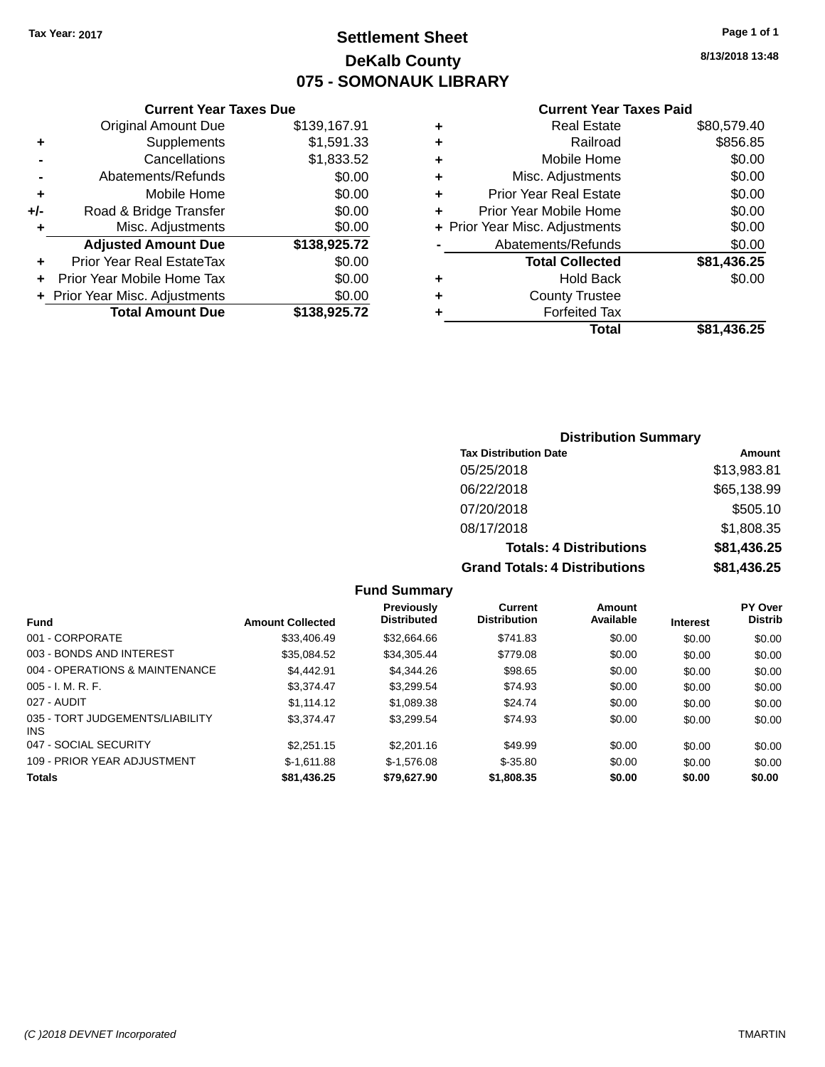### **Settlement Sheet Tax Year: 2017 Page 1 of 1 DeKalb County 075 - SOMONAUK LIBRARY**

**8/13/2018 13:48**

#### **Current Year Taxes Paid**

|     | <b>Current Year Taxes Due</b>  |              |  |  |  |
|-----|--------------------------------|--------------|--|--|--|
|     | <b>Original Amount Due</b>     | \$139,167.91 |  |  |  |
| ٠   | Supplements                    | \$1,591.33   |  |  |  |
|     | Cancellations                  | \$1,833.52   |  |  |  |
|     | Abatements/Refunds             | \$0.00       |  |  |  |
| ٠   | Mobile Home                    | \$0.00       |  |  |  |
| +/- | Road & Bridge Transfer         | \$0.00       |  |  |  |
| ٠   | Misc. Adjustments              | \$0.00       |  |  |  |
|     | <b>Adjusted Amount Due</b>     | \$138,925.72 |  |  |  |
|     | Prior Year Real EstateTax      | \$0.00       |  |  |  |
|     | Prior Year Mobile Home Tax     | \$0.00       |  |  |  |
|     | + Prior Year Misc. Adjustments | \$0.00       |  |  |  |
|     | <b>Total Amount Due</b>        | \$138,925.72 |  |  |  |
|     |                                |              |  |  |  |

| ٠ | <b>Real Estate</b>             | \$80,579.40 |
|---|--------------------------------|-------------|
| ٠ | Railroad                       | \$856.85    |
| ٠ | Mobile Home                    | \$0.00      |
| ٠ | Misc. Adjustments              | \$0.00      |
| ٠ | <b>Prior Year Real Estate</b>  | \$0.00      |
| ٠ | Prior Year Mobile Home         | \$0.00      |
|   | + Prior Year Misc. Adjustments | \$0.00      |
|   | Abatements/Refunds             | \$0.00      |
|   | <b>Total Collected</b>         | \$81,436.25 |
| ٠ | <b>Hold Back</b>               | \$0.00      |
| ٠ | <b>County Trustee</b>          |             |
| ٠ | <b>Forfeited Tax</b>           |             |
|   | Total                          | \$81,436.25 |
|   |                                |             |

#### **Distribution Summary Tax Distribution Date Amount** 05/25/2018 \$13,983.81 06/22/2018 \$65,138.99 07/20/2018 \$505.10 08/17/2018 \$1,808.35 **Totals: 4 Distributions \$81,436.25 Grand Totals: 4 Distributions \$81,436.25**

#### **Fund Summary**

| Fund                                          | <b>Amount Collected</b> | <b>Previously</b><br><b>Distributed</b> | Current<br><b>Distribution</b> | Amount<br>Available | <b>Interest</b> | <b>PY Over</b><br><b>Distrib</b> |
|-----------------------------------------------|-------------------------|-----------------------------------------|--------------------------------|---------------------|-----------------|----------------------------------|
| 001 - CORPORATE                               | \$33,406.49             | \$32.664.66                             | \$741.83                       | \$0.00              | \$0.00          | \$0.00                           |
| 003 - BONDS AND INTEREST                      | \$35.084.52             | \$34,305,44                             | \$779.08                       | \$0.00              | \$0.00          | \$0.00                           |
| 004 - OPERATIONS & MAINTENANCE                | \$4,442.91              | \$4,344.26                              | \$98.65                        | \$0.00              | \$0.00          | \$0.00                           |
| $005 - I. M. R. F.$                           | \$3.374.47              | \$3,299.54                              | \$74.93                        | \$0.00              | \$0.00          | \$0.00                           |
| 027 - AUDIT                                   | \$1.114.12              | \$1,089.38                              | \$24.74                        | \$0.00              | \$0.00          | \$0.00                           |
| 035 - TORT JUDGEMENTS/LIABILITY<br><b>INS</b> | \$3.374.47              | \$3.299.54                              | \$74.93                        | \$0.00              | \$0.00          | \$0.00                           |
| 047 - SOCIAL SECURITY                         | \$2.251.15              | \$2,201.16                              | \$49.99                        | \$0.00              | \$0.00          | \$0.00                           |
| 109 - PRIOR YEAR ADJUSTMENT                   | $$-1.611.88$            | $$-1.576.08$                            | $$ -35.80$                     | \$0.00              | \$0.00          | \$0.00                           |
| <b>Totals</b>                                 | \$81,436.25             | \$79,627.90                             | \$1,808.35                     | \$0.00              | \$0.00          | \$0.00                           |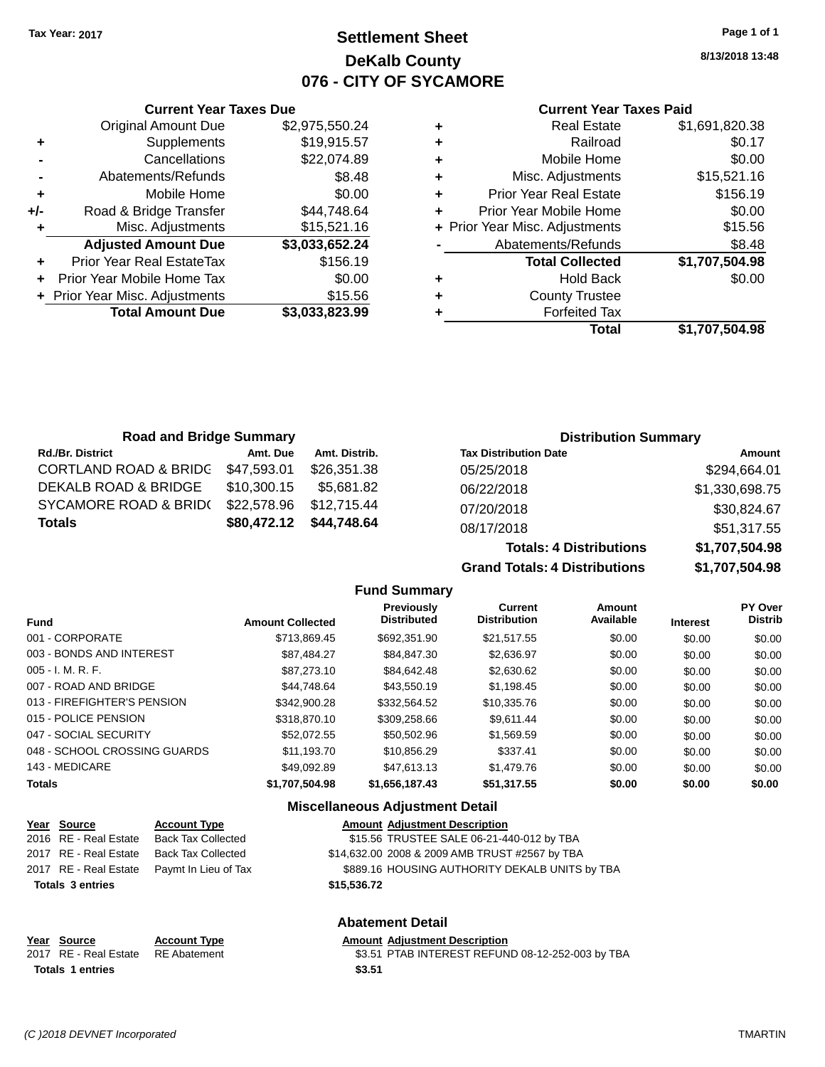### **Settlement Sheet Tax Year: 2017 Page 1 of 1 DeKalb County 076 - CITY OF SYCAMORE**

**8/13/2018 13:48**

#### **Current Year Taxes Paid**

|     | <b>Current Year Taxes Due</b>  |                |  |  |  |  |
|-----|--------------------------------|----------------|--|--|--|--|
|     | <b>Original Amount Due</b>     | \$2,975,550.24 |  |  |  |  |
| ٠   | Supplements                    | \$19,915.57    |  |  |  |  |
|     | Cancellations                  | \$22,074.89    |  |  |  |  |
|     | Abatements/Refunds             | \$8.48         |  |  |  |  |
| ٠   | Mobile Home                    | \$0.00         |  |  |  |  |
| +/- | Road & Bridge Transfer         | \$44,748.64    |  |  |  |  |
| ٠   | Misc. Adjustments              | \$15,521.16    |  |  |  |  |
|     | <b>Adjusted Amount Due</b>     | \$3,033,652.24 |  |  |  |  |
| ٠   | Prior Year Real EstateTax      | \$156.19       |  |  |  |  |
|     | Prior Year Mobile Home Tax     | \$0.00         |  |  |  |  |
|     | + Prior Year Misc. Adjustments | \$15.56        |  |  |  |  |
|     | <b>Total Amount Due</b>        | \$3,033,823.99 |  |  |  |  |
|     |                                |                |  |  |  |  |

|   | <b>Real Estate</b>             | \$1,691,820.38 |
|---|--------------------------------|----------------|
| ٠ | Railroad                       | \$0.17         |
| ٠ | Mobile Home                    | \$0.00         |
| ٠ | Misc. Adjustments              | \$15,521.16    |
| ٠ | <b>Prior Year Real Estate</b>  | \$156.19       |
| ٠ | Prior Year Mobile Home         | \$0.00         |
|   | + Prior Year Misc. Adjustments | \$15.56        |
|   | Abatements/Refunds             | \$8.48         |
|   | <b>Total Collected</b>         | \$1,707,504.98 |
| ٠ | <b>Hold Back</b>               | \$0.00         |
| ٠ | <b>County Trustee</b>          |                |
| ٠ | <b>Forfeited Tax</b>           |                |
|   | Total                          | \$1,707,504.98 |
|   |                                |                |

| <b>Road and Bridge Summary</b>   |             |               |                              | <b>Distribution Summary</b> |
|----------------------------------|-------------|---------------|------------------------------|-----------------------------|
| <b>Rd./Br. District</b>          | Amt. Due    | Amt. Distrib. | <b>Tax Distribution Date</b> | Amount                      |
| <b>CORTLAND ROAD &amp; BRIDG</b> | \$47,593.01 | \$26,351,38   | 05/25/2018                   | \$294,664.01                |
| DEKALB ROAD & BRIDGE             | \$10,300.15 | \$5.681.82    | 06/22/2018                   | \$1,330,698.75              |
| SYCAMORE ROAD & BRID(            | \$22,578.96 | \$12,715.44   | 07/20/2018                   | \$30,824.67                 |
| <b>Totals</b>                    | \$80,472.12 | \$44,748.64   | 08/17/2018                   | \$51,317.55                 |

**Fund Summary**

|                                | <b>Totals: 4 Distributions</b> | \$1,707,504.98  |                                  |  |  |
|--------------------------------|--------------------------------|-----------------|----------------------------------|--|--|
| Grand Totals: 4 Distributions  |                                | \$1,707,504.98  |                                  |  |  |
| Current<br><b>Distribution</b> | Amount<br>Available            | <b>Interest</b> | <b>PY Over</b><br><b>Distrib</b> |  |  |
| \$21.517.55                    | \$0.00                         | \$0.00          | \$0.00                           |  |  |
| $\sim$ $\sim$ $\sim$           | $\sim$ $\sim$                  | $\cdots$        | $\cdots$                         |  |  |

| <b>Fund</b>                  | <b>Amount Collected</b> | <b>Previously</b><br><b>Distributed</b> | <b>Current</b><br><b>Distribution</b> | <b>Amount</b><br>Available | <b>Interest</b> | PY Over<br><b>Distrib</b> |
|------------------------------|-------------------------|-----------------------------------------|---------------------------------------|----------------------------|-----------------|---------------------------|
| 001 - CORPORATE              | \$713.869.45            | \$692,351,90                            | \$21.517.55                           | \$0.00                     | \$0.00          | \$0.00                    |
| 003 - BONDS AND INTEREST     | \$87.484.27             | \$84.847.30                             | \$2,636.97                            | \$0.00                     | \$0.00          | \$0.00                    |
| $005 - I. M. R. F.$          | \$87.273.10             | \$84.642.48                             | \$2,630.62                            | \$0.00                     | \$0.00          | \$0.00                    |
| 007 - ROAD AND BRIDGE        | \$44.748.64             | \$43.550.19                             | \$1,198.45                            | \$0.00                     | \$0.00          | \$0.00                    |
| 013 - FIREFIGHTER'S PENSION  | \$342,900.28            | \$332.564.52                            | \$10,335.76                           | \$0.00                     | \$0.00          | \$0.00                    |
| 015 - POLICE PENSION         | \$318,870.10            | \$309,258.66                            | \$9.611.44                            | \$0.00                     | \$0.00          | \$0.00                    |
| 047 - SOCIAL SECURITY        | \$52.072.55             | \$50,502.96                             | \$1,569.59                            | \$0.00                     | \$0.00          | \$0.00                    |
| 048 - SCHOOL CROSSING GUARDS | \$11.193.70             | \$10.856.29                             | \$337.41                              | \$0.00                     | \$0.00          | \$0.00                    |
| 143 - MEDICARE               | \$49.092.89             | \$47,613.13                             | \$1,479.76                            | \$0.00                     | \$0.00          | \$0.00                    |
| <b>Totals</b>                | \$1,707,504.98          | \$1,656,187.43                          | \$51,317.55                           | \$0.00                     | \$0.00          | \$0.00                    |

#### **Miscellaneous Adjustment Detail**

| Year Source             | <b>Account Type</b>       |             | <b>Amount Adjustment Description</b>           |
|-------------------------|---------------------------|-------------|------------------------------------------------|
| 2016 RE - Real Estate   | <b>Back Tax Collected</b> |             | \$15.56 TRUSTEE SALE 06-21-440-012 by TBA      |
| 2017 RE - Real Estate   | <b>Back Tax Collected</b> |             | \$14,632.00 2008 & 2009 AMB TRUST #2567 by TBA |
| 2017 RE - Real Estate   | Paymt In Lieu of Tax      |             | \$889.16 HOUSING AUTHORITY DEKALB UNITS by TBA |
| <b>Totals 3 entries</b> |                           | \$15,536.72 |                                                |
|                         |                           |             | <b>Abatement Detail</b>                        |

#### **Year** Source **Account Type Account Adjustment Description**

2017 RE - Real Estate RE Abatement \$3.51 PTAB INTEREST REFUND 08-12-252-003 by TBA Totals 1 entries \$3.51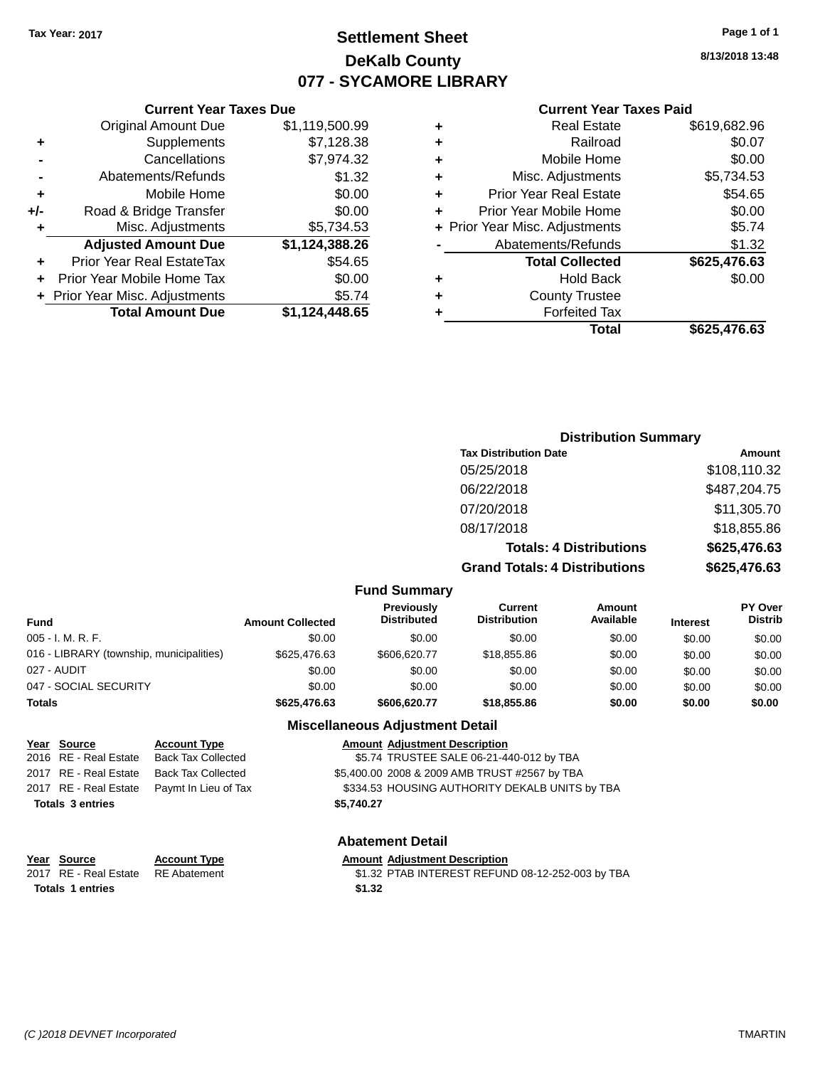### **Settlement Sheet Tax Year: 2017 Page 1 of 1 DeKalb County 077 - SYCAMORE LIBRARY**

**8/13/2018 13:48**

#### **Current Year Taxes Paid**

|     | <b>Total Amount Due</b>          | \$1,124,448.65 |
|-----|----------------------------------|----------------|
|     | + Prior Year Misc. Adjustments   | \$5.74         |
| ٠   | Prior Year Mobile Home Tax       | \$0.00         |
| ٠   | <b>Prior Year Real EstateTax</b> | \$54.65        |
|     | <b>Adjusted Amount Due</b>       | \$1,124,388.26 |
| ٠   | Misc. Adjustments                | \$5,734.53     |
| +/- | Road & Bridge Transfer           | \$0.00         |
| ٠   | Mobile Home                      | \$0.00         |
|     | Abatements/Refunds               | \$1.32         |
|     | Cancellations                    | \$7,974.32     |
| ٠   | Supplements                      | \$7,128.38     |
|     | <b>Original Amount Due</b>       | \$1,119,500.99 |
|     |                                  |                |

**Current Year Taxes Due**

|   | <b>Real Estate</b>             | \$619,682.96 |
|---|--------------------------------|--------------|
| ٠ | Railroad                       | \$0.07       |
| ٠ | Mobile Home                    | \$0.00       |
| ٠ | Misc. Adjustments              | \$5,734.53   |
| ٠ | <b>Prior Year Real Estate</b>  | \$54.65      |
| ٠ | Prior Year Mobile Home         | \$0.00       |
|   | + Prior Year Misc. Adjustments | \$5.74       |
|   | Abatements/Refunds             | \$1.32       |
|   | <b>Total Collected</b>         | \$625,476.63 |
| ٠ | <b>Hold Back</b>               | \$0.00       |
| ٠ | <b>County Trustee</b>          |              |
| ٠ | <b>Forfeited Tax</b>           |              |
|   | Total                          | \$625,476.63 |
|   |                                |              |

### **Distribution Summary Tax Distribution Date Amount** 05/25/2018 \$108,110.32 06/22/2018 \$487,204.75 07/20/2018 \$11,305.70 08/17/2018 \$18,855.86 **Totals: 4 Distributions \$625,476.63 Grand Totals: 4 Distributions \$625,476.63**

#### **Fund Summary**

| Fund                                     | <b>Amount Collected</b> | <b>Previously</b><br><b>Distributed</b> | Current<br><b>Distribution</b> | Amount<br>Available | <b>Interest</b> | <b>PY Over</b><br><b>Distrib</b> |
|------------------------------------------|-------------------------|-----------------------------------------|--------------------------------|---------------------|-----------------|----------------------------------|
| 005 - I. M. R. F.                        | \$0.00                  | \$0.00                                  | \$0.00                         | \$0.00              | \$0.00          | \$0.00                           |
| 016 - LIBRARY (township, municipalities) | \$625,476.63            | \$606,620.77                            | \$18,855.86                    | \$0.00              | \$0.00          | \$0.00                           |
| 027 - AUDIT                              | \$0.00                  | \$0.00                                  | \$0.00                         | \$0.00              | \$0.00          | \$0.00                           |
| 047 - SOCIAL SECURITY                    | \$0.00                  | \$0.00                                  | \$0.00                         | \$0.00              | \$0.00          | \$0.00                           |
| Totals                                   | \$625,476.63            | \$606,620.77                            | \$18,855,86                    | \$0.00              | \$0.00          | \$0.00                           |

#### **Miscellaneous Adjustment Detail**

| <u>Year Source</u>      | <b>Account Type</b>       | <b>Amount Adjustment Description</b> |                                                |
|-------------------------|---------------------------|--------------------------------------|------------------------------------------------|
| 2016 RE - Real Estate   | <b>Back Tax Collected</b> |                                      | \$5.74 TRUSTEE SALE 06-21-440-012 by TBA       |
| 2017 RE - Real Estate   | Back Tax Collected        |                                      | \$5,400.00 2008 & 2009 AMB TRUST #2567 by TBA  |
| 2017 RE - Real Estate   | Paymt In Lieu of Tax      |                                      | \$334.53 HOUSING AUTHORITY DEKALB UNITS by TBA |
| <b>Totals 3 entries</b> |                           | \$5.740.27                           |                                                |
|                         |                           |                                      |                                                |

#### **Abatement Detail**

# **Year Source Account Type Amount Adjustment Description**<br>2017 RE - Real Estate RE Abatement \$1.32 PTAB INTEREST REFUN

\$1.32 PTAB INTEREST REFUND 08-12-252-003 by TBA

**Totals \$1.32 1 entries**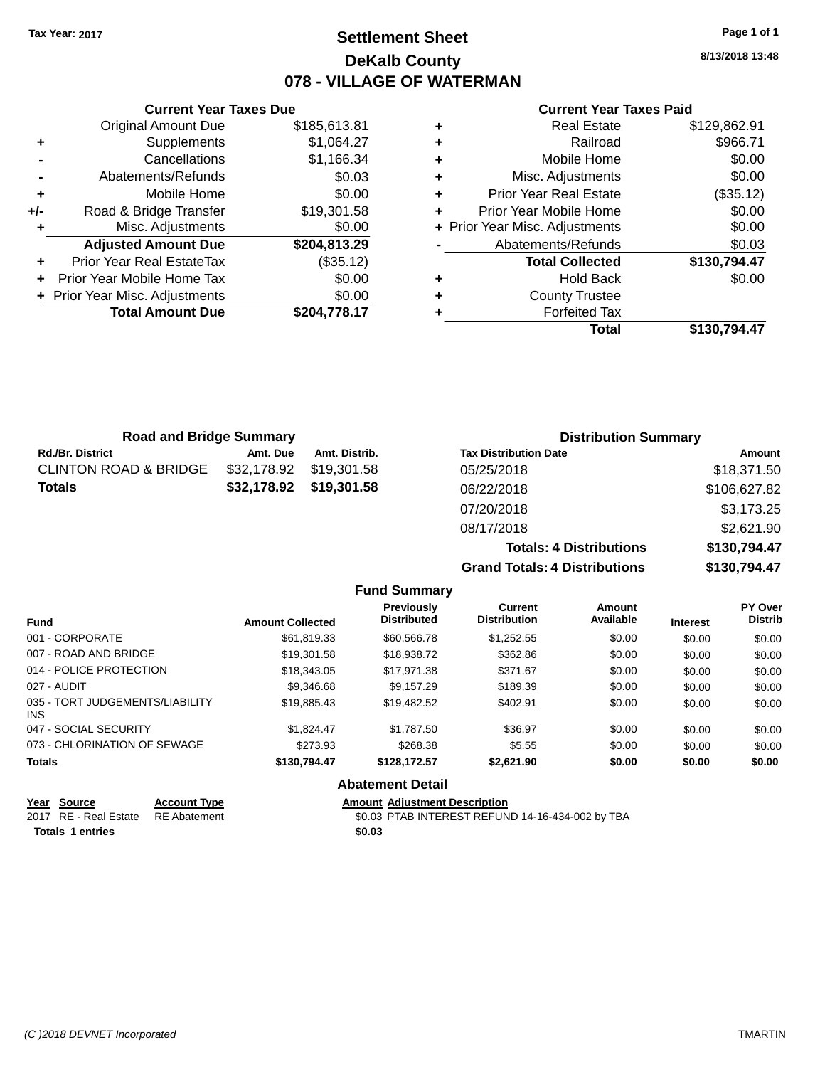### **Settlement Sheet Tax Year: 2017 Page 1 of 1 DeKalb County 078 - VILLAGE OF WATERMAN**

**8/13/2018 13:48**

#### **Current Year Taxes Paid**

|     | <b>Current Year Taxes Due</b>  |              |
|-----|--------------------------------|--------------|
|     | <b>Original Amount Due</b>     | \$185,613.81 |
| ٠   | Supplements                    | \$1,064.27   |
|     | Cancellations                  | \$1,166.34   |
|     | Abatements/Refunds             | \$0.03       |
| ٠   | Mobile Home                    | \$0.00       |
| +/- | Road & Bridge Transfer         | \$19,301.58  |
| ٠   | Misc. Adjustments              | \$0.00       |
|     | <b>Adjusted Amount Due</b>     | \$204,813.29 |
| ٠   | Prior Year Real EstateTax      | (\$35.12)    |
|     | Prior Year Mobile Home Tax     | \$0.00       |
|     | + Prior Year Misc. Adjustments | \$0.00       |
|     | <b>Total Amount Due</b>        | \$204,778.17 |
|     |                                |              |

|   | <b>Real Estate</b>             | \$129,862.91 |
|---|--------------------------------|--------------|
| ÷ | Railroad                       | \$966.71     |
| ÷ | Mobile Home                    | \$0.00       |
| ٠ | Misc. Adjustments              | \$0.00       |
| ٠ | <b>Prior Year Real Estate</b>  | (\$35.12)    |
| ٠ | Prior Year Mobile Home         | \$0.00       |
|   | + Prior Year Misc. Adjustments | \$0.00       |
|   | Abatements/Refunds             | \$0.03       |
|   | <b>Total Collected</b>         | \$130,794.47 |
| ٠ | <b>Hold Back</b>               | \$0.00       |
| ٠ | <b>County Trustee</b>          |              |
| ٠ | <b>Forfeited Tax</b>           |              |
|   | Total                          | \$130,794.47 |
|   |                                |              |

| <b>Road and Bridge Summary</b> |             |               | <b>Distribution Summary</b>    |              |
|--------------------------------|-------------|---------------|--------------------------------|--------------|
| Rd./Br. District               | Amt. Due    | Amt. Distrib. | <b>Tax Distribution Date</b>   | Amount       |
| CLINTON ROAD & BRIDGE          | \$32,178.92 | \$19.301.58   | 05/25/2018                     | \$18,371.50  |
| Totals                         | \$32,178.92 | \$19,301.58   | 06/22/2018                     | \$106,627.82 |
|                                |             |               | 07/20/2018                     | \$3,173.25   |
|                                |             |               | 08/17/2018                     | \$2,621.90   |
|                                |             |               | <b>Totals: 4 Distributions</b> | \$130,794.47 |

**Grand Totals: 4 Distributions \$130,794.47**

|                                         |                         | <b>Fund Summary</b>                     |                                       |                     |                 |                                  |
|-----------------------------------------|-------------------------|-----------------------------------------|---------------------------------------|---------------------|-----------------|----------------------------------|
| <b>Fund</b>                             | <b>Amount Collected</b> | <b>Previously</b><br><b>Distributed</b> | <b>Current</b><br><b>Distribution</b> | Amount<br>Available | <b>Interest</b> | <b>PY Over</b><br><b>Distrib</b> |
| 001 - CORPORATE                         | \$61,819.33             | \$60,566.78                             | \$1,252.55                            | \$0.00              | \$0.00          | \$0.00                           |
| 007 - ROAD AND BRIDGE                   | \$19,301.58             | \$18,938,72                             | \$362.86                              | \$0.00              | \$0.00          | \$0.00                           |
| 014 - POLICE PROTECTION                 | \$18,343.05             | \$17.971.38                             | \$371.67                              | \$0.00              | \$0.00          | \$0.00                           |
| 027 - AUDIT                             | \$9,346.68              | \$9.157.29                              | \$189.39                              | \$0.00              | \$0.00          | \$0.00                           |
| 035 - TORT JUDGEMENTS/LIABILITY<br>INS. | \$19,885.43             | \$19,482.52                             | \$402.91                              | \$0.00              | \$0.00          | \$0.00                           |
| 047 - SOCIAL SECURITY                   | \$1.824.47              | \$1,787.50                              | \$36.97                               | \$0.00              | \$0.00          | \$0.00                           |
| 073 - CHLORINATION OF SEWAGE            | \$273.93                | \$268.38                                | \$5.55                                | \$0.00              | \$0.00          | \$0.00                           |
| <b>Totals</b>                           | \$130,794.47            | \$128.172.57                            | \$2,621.90                            | \$0.00              | \$0.00          | \$0.00                           |
|                                         |                         | <b>Abatement Detail</b>                 |                                       |                     |                 |                                  |

| Year Source             | <b>Account Type</b> | <b>Amount Adiustment Description</b>             |
|-------------------------|---------------------|--------------------------------------------------|
| 2017 RE - Real Estate   | RE Abatement        | \$0.03 PTAB INTEREST REFUND 14-16-434-002 by TBA |
| <b>Totals 1 entries</b> |                     | \$0.03                                           |
|                         |                     |                                                  |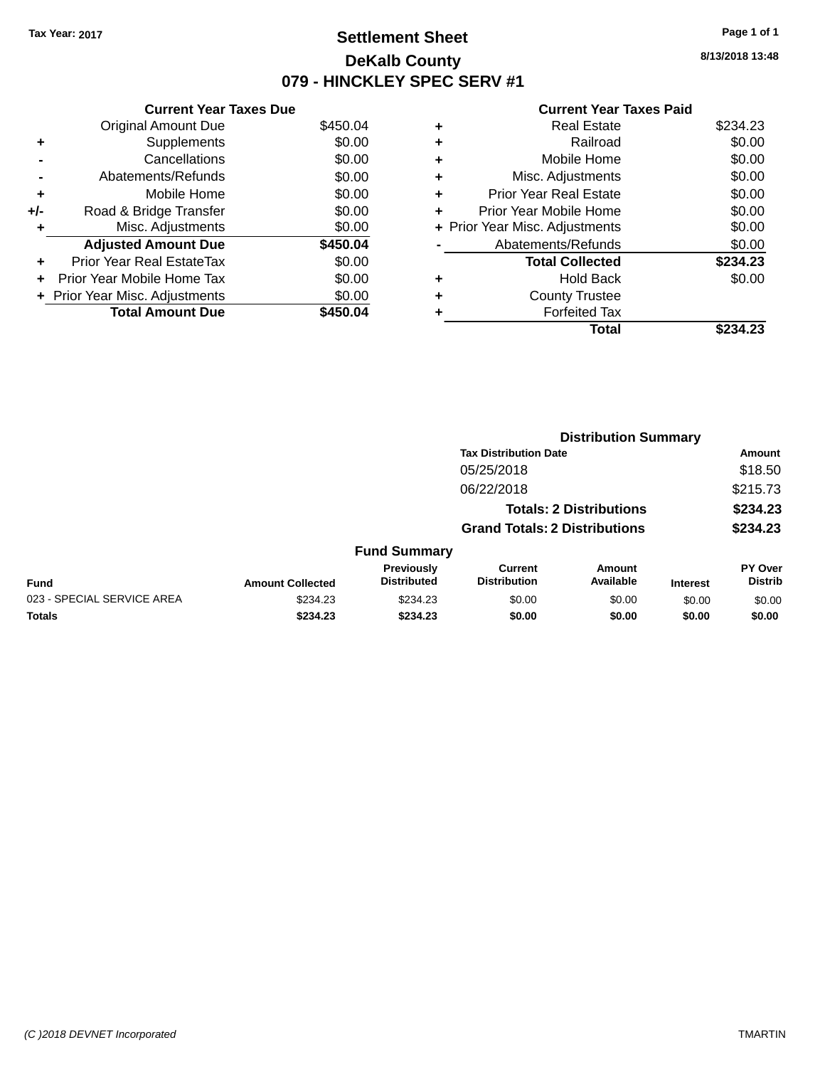### **Settlement Sheet Tax Year: 2017 Page 1 of 1 DeKalb County 079 - HINCKLEY SPEC SERV #1**

**8/13/2018 13:48**

#### **Current Year Taxes Paid**

|     | <b>Current Year Taxes Due</b>  |          |  |  |  |  |  |
|-----|--------------------------------|----------|--|--|--|--|--|
|     | <b>Original Amount Due</b>     | \$450.04 |  |  |  |  |  |
| ٠   | Supplements                    | \$0.00   |  |  |  |  |  |
|     | Cancellations                  | \$0.00   |  |  |  |  |  |
|     | Abatements/Refunds             | \$0.00   |  |  |  |  |  |
| ٠   | Mobile Home                    | \$0.00   |  |  |  |  |  |
| +/- | Road & Bridge Transfer         | \$0.00   |  |  |  |  |  |
| ٠   | Misc. Adjustments              | \$0.00   |  |  |  |  |  |
|     | <b>Adjusted Amount Due</b>     | \$450.04 |  |  |  |  |  |
| ٠   | Prior Year Real EstateTax      | \$0.00   |  |  |  |  |  |
| ÷   | Prior Year Mobile Home Tax     | \$0.00   |  |  |  |  |  |
|     | + Prior Year Misc. Adjustments | \$0.00   |  |  |  |  |  |
|     | <b>Total Amount Due</b>        | \$450.04 |  |  |  |  |  |

|   | Total                          | \$234.23 |
|---|--------------------------------|----------|
|   | <b>Forfeited Tax</b>           |          |
|   | <b>County Trustee</b>          |          |
| ٠ | <b>Hold Back</b>               | \$0.00   |
|   | <b>Total Collected</b>         | \$234.23 |
|   | Abatements/Refunds             | \$0.00   |
|   | + Prior Year Misc. Adjustments | \$0.00   |
| ٠ | Prior Year Mobile Home         | \$0.00   |
| ÷ | <b>Prior Year Real Estate</b>  | \$0.00   |
| ٠ | Misc. Adjustments              | \$0.00   |
| ٠ | Mobile Home                    | \$0.00   |
| ٠ | Railroad                       | \$0.00   |
| ٠ | <b>Real Estate</b>             | \$234.23 |
|   |                                |          |

|                            | <b>Distribution Summary</b> |                                  |                                       |                                |                 |                                  |  |
|----------------------------|-----------------------------|----------------------------------|---------------------------------------|--------------------------------|-----------------|----------------------------------|--|
|                            |                             |                                  | <b>Tax Distribution Date</b>          |                                |                 | Amount                           |  |
|                            |                             |                                  | 05/25/2018                            |                                |                 | \$18.50                          |  |
|                            |                             |                                  | 06/22/2018                            |                                |                 | \$215.73                         |  |
|                            |                             |                                  |                                       | <b>Totals: 2 Distributions</b> |                 | \$234.23                         |  |
|                            |                             |                                  | <b>Grand Totals: 2 Distributions</b>  |                                |                 | \$234.23                         |  |
|                            |                             | <b>Fund Summary</b>              |                                       |                                |                 |                                  |  |
| <b>Fund</b>                | <b>Amount Collected</b>     | Previously<br><b>Distributed</b> | <b>Current</b><br><b>Distribution</b> | Amount<br>Available            | <b>Interest</b> | <b>PY Over</b><br><b>Distrib</b> |  |
| 023 - SPECIAL SERVICE AREA | \$234.23                    | \$234.23                         | \$0.00                                | \$0.00                         | \$0.00          | \$0.00                           |  |
| <b>Totals</b>              | \$234.23                    | \$234.23                         | \$0.00                                | \$0.00                         | \$0.00          | \$0.00                           |  |
|                            |                             |                                  |                                       |                                |                 |                                  |  |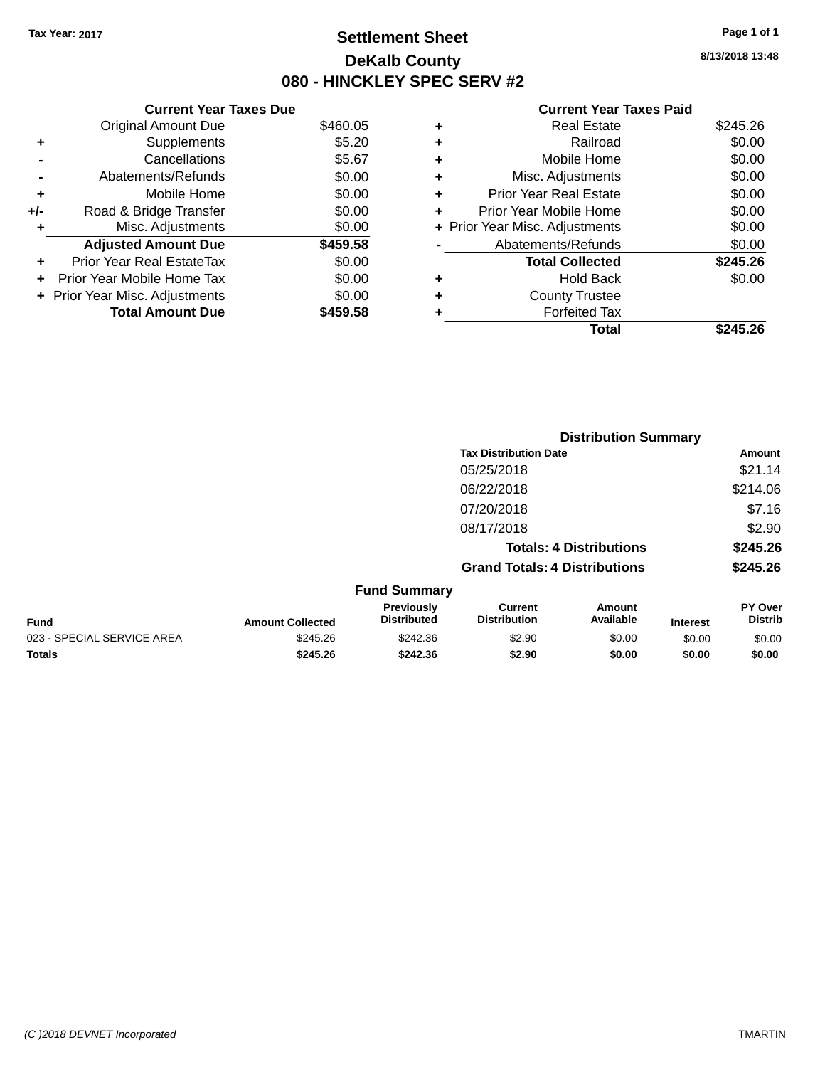### **Settlement Sheet Tax Year: 2017 Page 1 of 1 DeKalb County 080 - HINCKLEY SPEC SERV #2**

**8/13/2018 13:48**

#### **Current Year Taxes Paid**

|     | <b>Current Year Taxes Due</b>  |          |  |  |  |  |
|-----|--------------------------------|----------|--|--|--|--|
|     | <b>Original Amount Due</b>     | \$460.05 |  |  |  |  |
| ÷   | Supplements                    | \$5.20   |  |  |  |  |
|     | Cancellations                  | \$5.67   |  |  |  |  |
|     | Abatements/Refunds             | \$0.00   |  |  |  |  |
| ٠   | Mobile Home                    | \$0.00   |  |  |  |  |
| +/- | Road & Bridge Transfer         | \$0.00   |  |  |  |  |
| ٠   | Misc. Adjustments              | \$0.00   |  |  |  |  |
|     | <b>Adjusted Amount Due</b>     | \$459.58 |  |  |  |  |
| ÷   | Prior Year Real EstateTax      | \$0.00   |  |  |  |  |
| ÷   | Prior Year Mobile Home Tax     | \$0.00   |  |  |  |  |
|     | + Prior Year Misc. Adjustments | \$0.00   |  |  |  |  |
|     | <b>Total Amount Due</b>        | \$459.58 |  |  |  |  |

| ٠ | <b>Real Estate</b>             | \$245.26 |
|---|--------------------------------|----------|
| ٠ | Railroad                       | \$0.00   |
| ٠ | Mobile Home                    | \$0.00   |
| ٠ | Misc. Adjustments              | \$0.00   |
| ٠ | <b>Prior Year Real Estate</b>  | \$0.00   |
| ٠ | Prior Year Mobile Home         | \$0.00   |
|   | + Prior Year Misc. Adjustments | \$0.00   |
|   | Abatements/Refunds             | \$0.00   |
|   | <b>Total Collected</b>         | \$245.26 |
| ٠ | <b>Hold Back</b>               | \$0.00   |
| ٠ | <b>County Trustee</b>          |          |
| ٠ | <b>Forfeited Tax</b>           |          |
|   | Total                          | \$245.26 |
|   |                                |          |

|                            |                         |                                  |                                       | <b>Distribution Summary</b>    |                 |                           |
|----------------------------|-------------------------|----------------------------------|---------------------------------------|--------------------------------|-----------------|---------------------------|
|                            |                         |                                  | <b>Tax Distribution Date</b>          |                                |                 | Amount                    |
|                            |                         |                                  | 05/25/2018                            |                                |                 | \$21.14                   |
|                            |                         |                                  | 06/22/2018                            |                                |                 | \$214.06                  |
|                            |                         |                                  | 07/20/2018                            |                                |                 | \$7.16                    |
|                            |                         |                                  | 08/17/2018                            |                                |                 | \$2.90                    |
|                            |                         |                                  |                                       | <b>Totals: 4 Distributions</b> |                 | \$245.26                  |
|                            |                         |                                  | <b>Grand Totals: 4 Distributions</b>  |                                |                 | \$245.26                  |
|                            |                         | <b>Fund Summary</b>              |                                       |                                |                 |                           |
| <b>Fund</b>                | <b>Amount Collected</b> | Previously<br><b>Distributed</b> | <b>Current</b><br><b>Distribution</b> | Amount<br>Available            | <b>Interest</b> | PY Over<br><b>Distrib</b> |
| 023 - SPECIAL SERVICE AREA | \$245.26                | \$242.36                         | \$2.90                                | \$0.00                         | \$0.00          | \$0.00                    |
| Totals                     | \$245.26                | \$242.36                         | \$2.90                                | \$0.00                         | \$0.00          | \$0.00                    |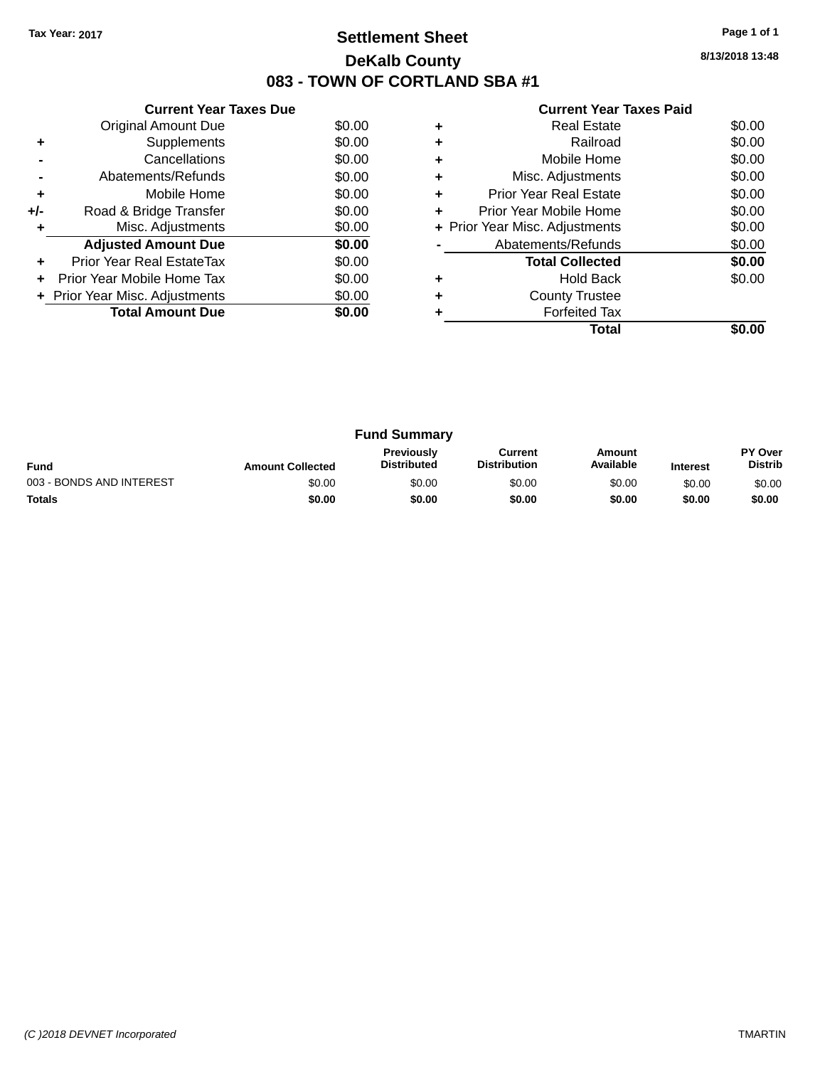### **Settlement Sheet Tax Year: 2017 Page 1 of 1 DeKalb County 083 - TOWN OF CORTLAND SBA #1**

**8/13/2018 13:48**

| <b>Current Year Taxes Paid</b> |  |  |
|--------------------------------|--|--|
|                                |  |  |

|     | <b>Current Year Taxes Due</b>  |        |
|-----|--------------------------------|--------|
|     | Original Amount Due            | \$0.00 |
| ÷   | Supplements                    | \$0.00 |
|     | Cancellations                  | \$0.00 |
|     | Abatements/Refunds             | \$0.00 |
| ٠   | Mobile Home                    | \$0.00 |
| +/- | Road & Bridge Transfer         | \$0.00 |
| ٠   | Misc. Adjustments              | \$0.00 |
|     | <b>Adjusted Amount Due</b>     | \$0.00 |
| ÷   | Prior Year Real EstateTax      | \$0.00 |
| ÷   | Prior Year Mobile Home Tax     | \$0.00 |
|     | + Prior Year Misc. Adjustments | \$0.00 |
|     | <b>Total Amount Due</b>        | \$0.00 |
|     |                                |        |

|   | <b>Real Estate</b>             | \$0.00 |
|---|--------------------------------|--------|
|   | Railroad                       | \$0.00 |
| ٠ | Mobile Home                    | \$0.00 |
| ٠ | Misc. Adjustments              | \$0.00 |
| ٠ | <b>Prior Year Real Estate</b>  | \$0.00 |
| ٠ | Prior Year Mobile Home         | \$0.00 |
|   | + Prior Year Misc. Adjustments | \$0.00 |
|   | Abatements/Refunds             | \$0.00 |
|   | <b>Total Collected</b>         | \$0.00 |
| ٠ | Hold Back                      | \$0.00 |
|   | <b>County Trustee</b>          |        |
|   | <b>Forfeited Tax</b>           |        |
|   | Total                          |        |

| <b>Fund Summary</b>      |                         |                                         |                                |                     |                 |                                  |
|--------------------------|-------------------------|-----------------------------------------|--------------------------------|---------------------|-----------------|----------------------------------|
| <b>Fund</b>              | <b>Amount Collected</b> | <b>Previously</b><br><b>Distributed</b> | Current<br><b>Distribution</b> | Amount<br>Available | <b>Interest</b> | <b>PY Over</b><br><b>Distrib</b> |
| 003 - BONDS AND INTEREST | \$0.00                  | \$0.00                                  | \$0.00                         | \$0.00              | \$0.00          | \$0.00                           |
| <b>Totals</b>            | \$0.00                  | \$0.00                                  | \$0.00                         | \$0.00              | \$0.00          | \$0.00                           |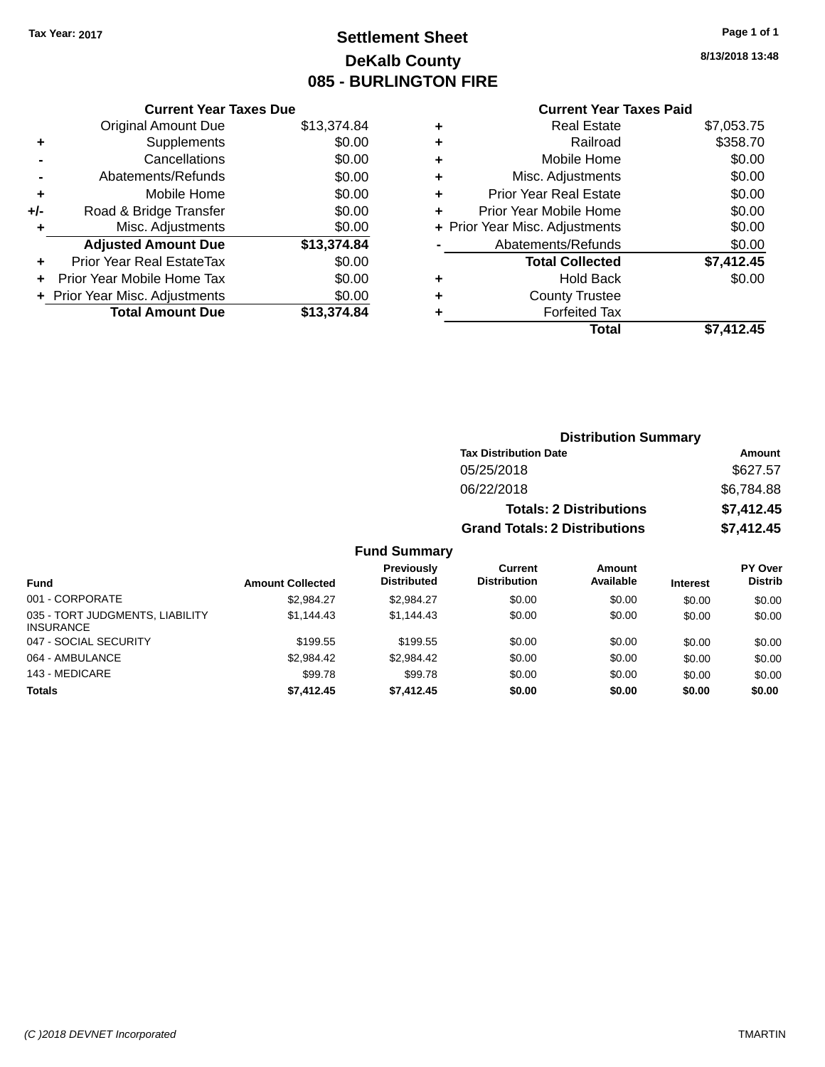### **Settlement Sheet Tax Year: 2017 Page 1 of 1 DeKalb County 085 - BURLINGTON FIRE**

**8/13/2018 13:48**

#### **Current Year Taxes Paid**

|     | <b>Current Year Taxes Due</b>  |             |
|-----|--------------------------------|-------------|
|     | <b>Original Amount Due</b>     | \$13,374.84 |
| ٠   | Supplements                    | \$0.00      |
|     | Cancellations                  | \$0.00      |
|     | Abatements/Refunds             | \$0.00      |
| ٠   | Mobile Home                    | \$0.00      |
| +/- | Road & Bridge Transfer         | \$0.00      |
| ٠   | Misc. Adjustments              | \$0.00      |
|     | <b>Adjusted Amount Due</b>     | \$13,374.84 |
| ÷   | Prior Year Real EstateTax      | \$0.00      |
| ÷   | Prior Year Mobile Home Tax     | \$0.00      |
|     | + Prior Year Misc. Adjustments | \$0.00      |
|     | <b>Total Amount Due</b>        | \$13,374.84 |
|     |                                |             |

|   | <b>Real Estate</b>             | \$7,053.75 |
|---|--------------------------------|------------|
| ٠ | Railroad                       | \$358.70   |
| ٠ | Mobile Home                    | \$0.00     |
| ٠ | Misc. Adjustments              | \$0.00     |
| ٠ | <b>Prior Year Real Estate</b>  | \$0.00     |
| ٠ | Prior Year Mobile Home         | \$0.00     |
|   | + Prior Year Misc. Adjustments | \$0.00     |
|   | Abatements/Refunds             | \$0.00     |
|   | <b>Total Collected</b>         | \$7,412.45 |
| ٠ | <b>Hold Back</b>               | \$0.00     |
| ٠ | <b>County Trustee</b>          |            |
| ٠ | <b>Forfeited Tax</b>           |            |
|   | Total                          | \$7,412.45 |
|   |                                |            |

| <b>Distribution Summary</b>          |            |  |  |  |
|--------------------------------------|------------|--|--|--|
| <b>Tax Distribution Date</b>         | Amount     |  |  |  |
| 05/25/2018                           | \$627.57   |  |  |  |
| 06/22/2018                           | \$6,784.88 |  |  |  |
| <b>Totals: 2 Distributions</b>       | \$7,412.45 |  |  |  |
| <b>Grand Totals: 2 Distributions</b> | \$7.412.45 |  |  |  |

#### **Fund Summary**

| Fund                                                | <b>Amount Collected</b> | Previously<br><b>Distributed</b> | <b>Current</b><br><b>Distribution</b> | Amount<br>Available | <b>Interest</b> | PY Over<br><b>Distrib</b> |
|-----------------------------------------------------|-------------------------|----------------------------------|---------------------------------------|---------------------|-----------------|---------------------------|
| 001 - CORPORATE                                     | \$2.984.27              | \$2.984.27                       | \$0.00                                | \$0.00              | \$0.00          | \$0.00                    |
| 035 - TORT JUDGMENTS, LIABILITY<br><b>INSURANCE</b> | \$1,144.43              | \$1.144.43                       | \$0.00                                | \$0.00              | \$0.00          | \$0.00                    |
| 047 - SOCIAL SECURITY                               | \$199.55                | \$199.55                         | \$0.00                                | \$0.00              | \$0.00          | \$0.00                    |
| 064 - AMBULANCE                                     | \$2,984.42              | \$2.984.42                       | \$0.00                                | \$0.00              | \$0.00          | \$0.00                    |
| 143 - MEDICARE                                      | \$99.78                 | \$99.78                          | \$0.00                                | \$0.00              | \$0.00          | \$0.00                    |
| <b>Totals</b>                                       | \$7,412.45              | \$7,412.45                       | \$0.00                                | \$0.00              | \$0.00          | \$0.00                    |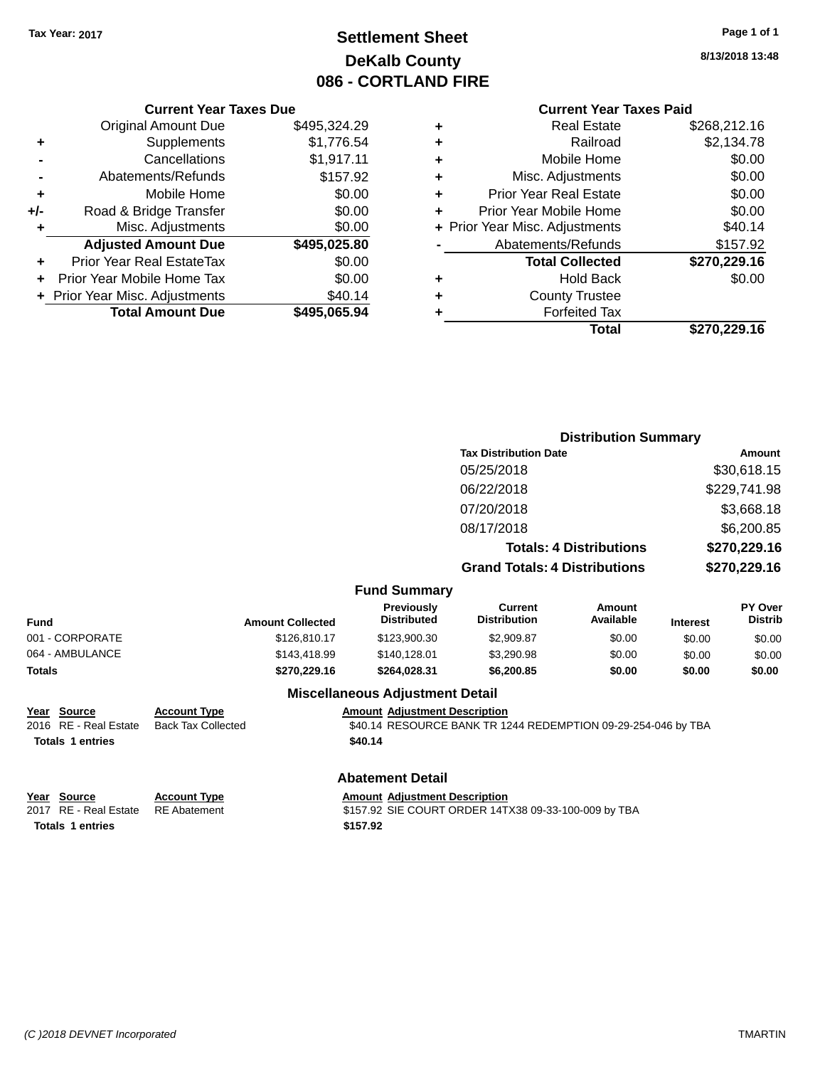### **Settlement Sheet Tax Year: 2017 Page 1 of 1 DeKalb County 086 - CORTLAND FIRE**

**8/13/2018 13:48**

| <b>Current Year Taxes Due</b> |  |  |
|-------------------------------|--|--|
|                               |  |  |

|     | <b>Original Amount Due</b>       | \$495,324.29 |
|-----|----------------------------------|--------------|
| ٠   | Supplements                      | \$1,776.54   |
|     | Cancellations                    | \$1,917.11   |
|     | Abatements/Refunds               | \$157.92     |
| ٠   | Mobile Home                      | \$0.00       |
| +/- | Road & Bridge Transfer           | \$0.00       |
| ٠   | Misc. Adjustments                | \$0.00       |
|     | <b>Adjusted Amount Due</b>       | \$495,025.80 |
| ÷   | <b>Prior Year Real EstateTax</b> | \$0.00       |
|     | Prior Year Mobile Home Tax       | \$0.00       |
|     | + Prior Year Misc. Adjustments   | \$40.14      |
|     | <b>Total Amount Due</b>          | \$495,065.94 |

**Totals 1 entries** \$157.92

#### **Current Year Taxes Paid**

|   | <b>Real Estate</b>             | \$268,212.16 |
|---|--------------------------------|--------------|
| ٠ | Railroad                       | \$2,134.78   |
| ٠ | Mobile Home                    | \$0.00       |
| ٠ | Misc. Adjustments              | \$0.00       |
| ٠ | <b>Prior Year Real Estate</b>  | \$0.00       |
| ٠ | Prior Year Mobile Home         | \$0.00       |
|   | + Prior Year Misc. Adjustments | \$40.14      |
|   | Abatements/Refunds             | \$157.92     |
|   | <b>Total Collected</b>         | \$270,229.16 |
| ٠ | Hold Back                      | \$0.00       |
| ٠ | <b>County Trustee</b>          |              |
| ٠ | <b>Forfeited Tax</b>           |              |
|   | Total                          | \$270,229.16 |

|                                                                 |                                                  |                                                 |                                                               | <b>Distribution Summary</b>    |                 |                           |
|-----------------------------------------------------------------|--------------------------------------------------|-------------------------------------------------|---------------------------------------------------------------|--------------------------------|-----------------|---------------------------|
|                                                                 |                                                  | <b>Tax Distribution Date</b>                    |                                                               |                                | <b>Amount</b>   |                           |
|                                                                 |                                                  | 05/25/2018                                      |                                                               |                                | \$30,618.15     |                           |
|                                                                 |                                                  |                                                 | 06/22/2018                                                    |                                |                 | \$229,741.98              |
|                                                                 |                                                  |                                                 | 07/20/2018                                                    |                                |                 | \$3,668.18                |
|                                                                 |                                                  |                                                 | 08/17/2018                                                    |                                |                 | \$6,200.85                |
|                                                                 |                                                  |                                                 |                                                               | <b>Totals: 4 Distributions</b> |                 | \$270,229.16              |
|                                                                 |                                                  |                                                 | <b>Grand Totals: 4 Distributions</b>                          |                                | \$270,229.16    |                           |
|                                                                 |                                                  | <b>Fund Summary</b>                             |                                                               |                                |                 |                           |
| Fund                                                            | <b>Amount Collected</b>                          | Previously<br><b>Distributed</b>                | <b>Current</b><br><b>Distribution</b>                         | Amount<br>Available            | <b>Interest</b> | PY Over<br><b>Distrib</b> |
| 001 - CORPORATE                                                 | \$126,810.17                                     | \$123,900.30                                    | \$2,909.87                                                    | \$0.00                         | \$0.00          | \$0.00                    |
| 064 - AMBULANCE                                                 | \$143,418.99                                     | \$140,128.01                                    | \$3,290.98                                                    | \$0.00                         | \$0.00          | \$0.00                    |
| <b>Totals</b>                                                   | \$270,229.16                                     | \$264,028.31                                    | \$6,200.85                                                    | \$0.00                         | \$0.00          | \$0.00                    |
|                                                                 |                                                  | <b>Miscellaneous Adjustment Detail</b>          |                                                               |                                |                 |                           |
| Year Source<br>2016 RE - Real Estate<br><b>Totals 1 entries</b> | <b>Account Type</b><br><b>Back Tax Collected</b> | <b>Amount Adjustment Description</b><br>\$40.14 | \$40.14 RESOURCE BANK TR 1244 REDEMPTION 09-29-254-046 by TBA |                                |                 |                           |
|                                                                 |                                                  |                                                 |                                                               |                                |                 |                           |
|                                                                 |                                                  | <b>Abatement Detail</b>                         |                                                               |                                |                 |                           |
| Year Source<br>2017 RE - Real Estate                            | <b>Account Type</b><br><b>RE</b> Abatement       | <b>Amount Adjustment Description</b>            | \$157.92 SIE COURT ORDER 14TX38 09-33-100-009 by TBA          |                                |                 |                           |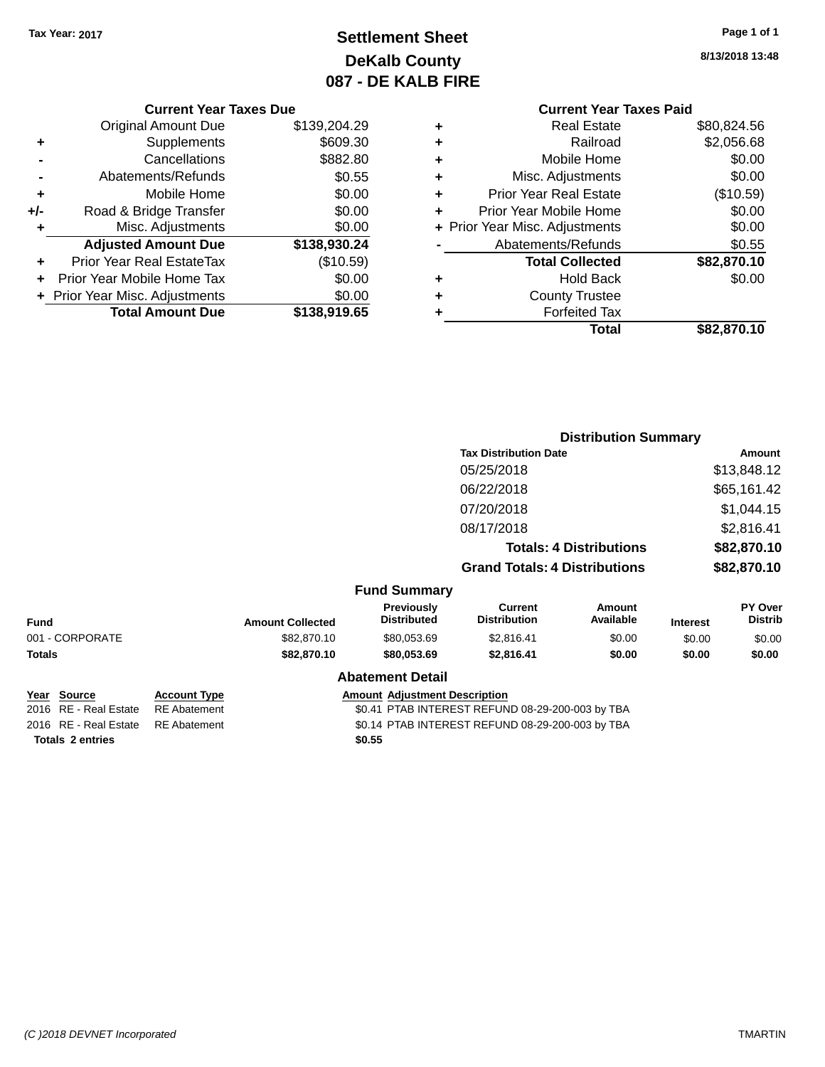### **Settlement Sheet Tax Year: 2017 Page 1 of 1 DeKalb County 087 - DE KALB FIRE**

**8/13/2018 13:48**

|     | <b>Current Year Taxes Due</b>  |              |
|-----|--------------------------------|--------------|
|     | <b>Original Amount Due</b>     | \$139,204.29 |
| ٠   | Supplements                    | \$609.30     |
|     | Cancellations                  | \$882.80     |
|     | Abatements/Refunds             | \$0.55       |
| ٠   | Mobile Home                    | \$0.00       |
| +/- | Road & Bridge Transfer         | \$0.00       |
|     | Misc. Adjustments              | \$0.00       |
|     | <b>Adjusted Amount Due</b>     | \$138,930.24 |
|     | Prior Year Real EstateTax      | (\$10.59)    |
| ÷   | Prior Year Mobile Home Tax     | \$0.00       |
|     | + Prior Year Misc. Adjustments | \$0.00       |
|     | <b>Total Amount Due</b>        | \$138,919.65 |
|     |                                |              |

# **Current Year Taxes Paid**

|   | <b>Real Estate</b>             | \$80,824.56 |
|---|--------------------------------|-------------|
| ٠ | Railroad                       | \$2,056.68  |
| ٠ | Mobile Home                    | \$0.00      |
| ٠ | Misc. Adjustments              | \$0.00      |
| ٠ | <b>Prior Year Real Estate</b>  | (\$10.59)   |
| ٠ | Prior Year Mobile Home         | \$0.00      |
|   | + Prior Year Misc. Adjustments | \$0.00      |
|   | Abatements/Refunds             | \$0.55      |
|   | <b>Total Collected</b>         | \$82,870.10 |
|   | <b>Hold Back</b>               | \$0.00      |
| ٠ | <b>County Trustee</b>          |             |
|   | <b>Forfeited Tax</b>           |             |
|   | Total                          | \$82,870.10 |
|   |                                |             |

|                                                                 |                     |                         |                                      | <b>Distribution Summary</b>           |                                |                 |                           |
|-----------------------------------------------------------------|---------------------|-------------------------|--------------------------------------|---------------------------------------|--------------------------------|-----------------|---------------------------|
|                                                                 |                     |                         |                                      | <b>Tax Distribution Date</b>          |                                | Amount          |                           |
|                                                                 |                     |                         |                                      | 05/25/2018                            |                                |                 | \$13,848.12               |
|                                                                 |                     |                         |                                      | 06/22/2018                            |                                |                 | \$65,161.42               |
|                                                                 |                     |                         |                                      | 07/20/2018                            |                                |                 | \$1,044.15                |
|                                                                 |                     |                         |                                      | 08/17/2018                            |                                |                 | \$2,816.41                |
|                                                                 |                     |                         |                                      |                                       | <b>Totals: 4 Distributions</b> |                 | \$82,870.10               |
|                                                                 |                     |                         |                                      | <b>Grand Totals: 4 Distributions</b>  |                                |                 | \$82,870.10               |
|                                                                 |                     |                         | <b>Fund Summary</b>                  |                                       |                                |                 |                           |
| <b>Fund</b>                                                     |                     | <b>Amount Collected</b> | Previously<br><b>Distributed</b>     | <b>Current</b><br><b>Distribution</b> | <b>Amount</b><br>Available     | <b>Interest</b> | PY Over<br><b>Distrib</b> |
| 001 - CORPORATE                                                 |                     | \$82,870.10             | \$80,053.69                          | \$2,816.41                            | \$0.00                         | \$0.00          | \$0.00                    |
| <b>Totals</b>                                                   |                     | \$82,870.10             | \$80,053.69                          | \$2,816.41                            | \$0.00                         | \$0.00          | \$0.00                    |
|                                                                 |                     |                         | <b>Abatement Detail</b>              |                                       |                                |                 |                           |
| Year Source<br>$\sim$ $\sim$ $\sim$ $\sim$ $\sim$ $\sim$ $\sim$ | <b>Account Type</b> |                         | <b>Amount Adjustment Description</b> |                                       |                                |                 |                           |

**Totals \$0.55 2 entries**

2016 RE - Real Estate RE Abatement \$0.41 PTAB INTEREST REFUND 08-29-200-003 by TBA

2016 RE - Real Estate RE Abatement \$0.14 PTAB INTEREST REFUND 08-29-200-003 by TBA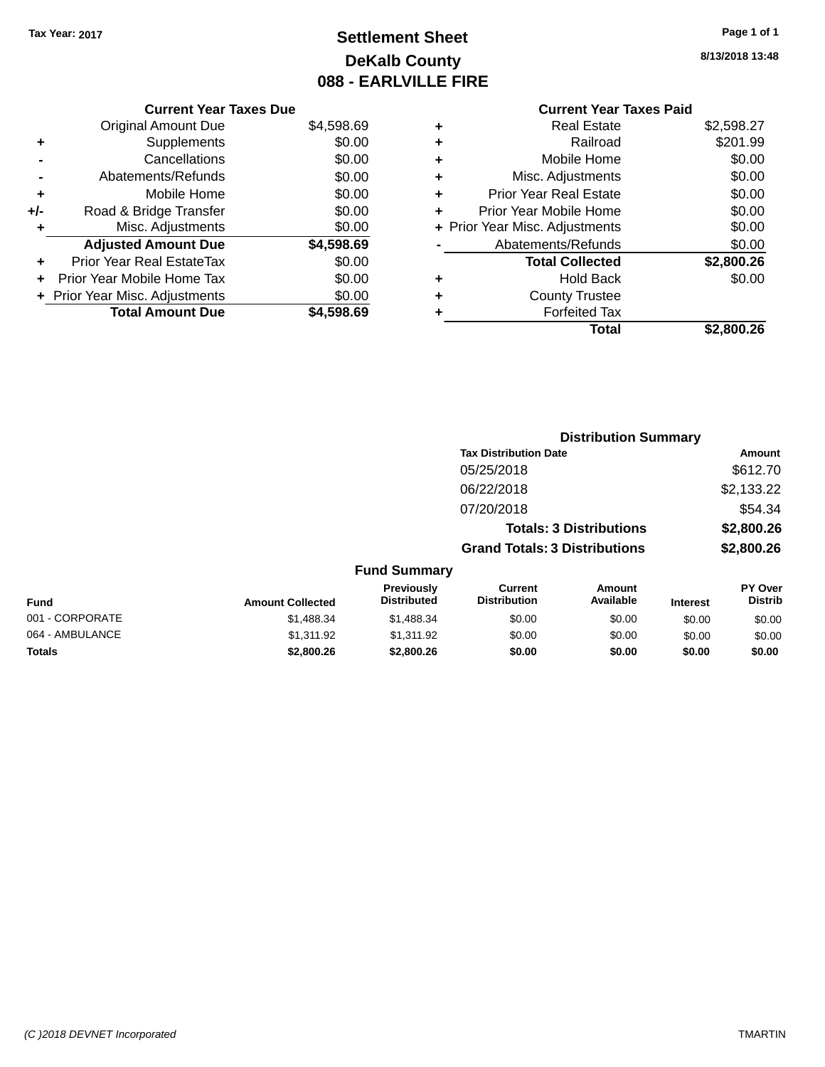### **Settlement Sheet Tax Year: 2017 Page 1 of 1 DeKalb County 088 - EARLVILLE FIRE**

**8/13/2018 13:48**

# **Current Year Taxes Paid**

|     | <b>Current Year Taxes Due</b>  |            |
|-----|--------------------------------|------------|
|     | <b>Original Amount Due</b>     | \$4,598.69 |
| ٠   | Supplements                    | \$0.00     |
|     | Cancellations                  | \$0.00     |
|     | Abatements/Refunds             | \$0.00     |
| ٠   | Mobile Home                    | \$0.00     |
| +/- | Road & Bridge Transfer         | \$0.00     |
| ٠   | Misc. Adjustments              | \$0.00     |
|     | <b>Adjusted Amount Due</b>     | \$4,598.69 |
| ÷   | Prior Year Real EstateTax      | \$0.00     |
|     | Prior Year Mobile Home Tax     | \$0.00     |
|     | + Prior Year Misc. Adjustments | \$0.00     |
|     | <b>Total Amount Due</b>        | \$4.598.69 |

|   | <b>Real Estate</b>             | \$2,598.27 |
|---|--------------------------------|------------|
| ٠ | Railroad                       | \$201.99   |
| ٠ | Mobile Home                    | \$0.00     |
| ٠ | Misc. Adjustments              | \$0.00     |
| ٠ | <b>Prior Year Real Estate</b>  | \$0.00     |
| ÷ | Prior Year Mobile Home         | \$0.00     |
|   | + Prior Year Misc. Adjustments | \$0.00     |
|   | Abatements/Refunds             | \$0.00     |
|   | <b>Total Collected</b>         | \$2,800.26 |
| ٠ | <b>Hold Back</b>               | \$0.00     |
| ٠ | <b>County Trustee</b>          |            |
| ٠ | <b>Forfeited Tax</b>           |            |
|   | Total                          | \$2,800.26 |
|   |                                |            |

|              |                                         |                                      | <b>Distribution Summary</b>    |                 |                                  |  |
|--------------|-----------------------------------------|--------------------------------------|--------------------------------|-----------------|----------------------------------|--|
|              |                                         | <b>Tax Distribution Date</b>         |                                |                 | Amount                           |  |
|              |                                         | 05/25/2018                           |                                |                 | \$612.70                         |  |
|              |                                         | 06/22/2018                           |                                |                 | \$2,133.22                       |  |
|              |                                         | 07/20/2018                           |                                |                 | \$54.34                          |  |
|              |                                         |                                      | <b>Totals: 3 Distributions</b> |                 | \$2,800.26                       |  |
|              |                                         | <b>Grand Totals: 3 Distributions</b> |                                |                 | \$2,800.26                       |  |
|              | <b>Fund Summary</b>                     |                                      |                                |                 |                                  |  |
| าt Collected | <b>Previously</b><br><b>Distributed</b> | Current<br><b>Distribution</b>       | Amount<br>Available            | <b>Interest</b> | <b>PY Over</b><br><b>Distrib</b> |  |

| Fund            | <b>Amount Collected</b> | <b>Previously</b><br>Distributed | Current<br><b>Distribution</b> | Amount<br>Available | <b>Interest</b> | <b>PY Over</b><br><b>Distrib</b> |
|-----------------|-------------------------|----------------------------------|--------------------------------|---------------------|-----------------|----------------------------------|
| 001 - CORPORATE | \$1.488.34              | \$1,488.34                       | \$0.00                         | \$0.00              | \$0.00          | \$0.00                           |
| 064 - AMBULANCE | \$1.311.92              | \$1.311.92                       | \$0.00                         | \$0.00              | \$0.00          | \$0.00                           |
| <b>Totals</b>   | \$2,800.26              | \$2,800.26                       | \$0.00                         | \$0.00              | \$0.00          | \$0.00                           |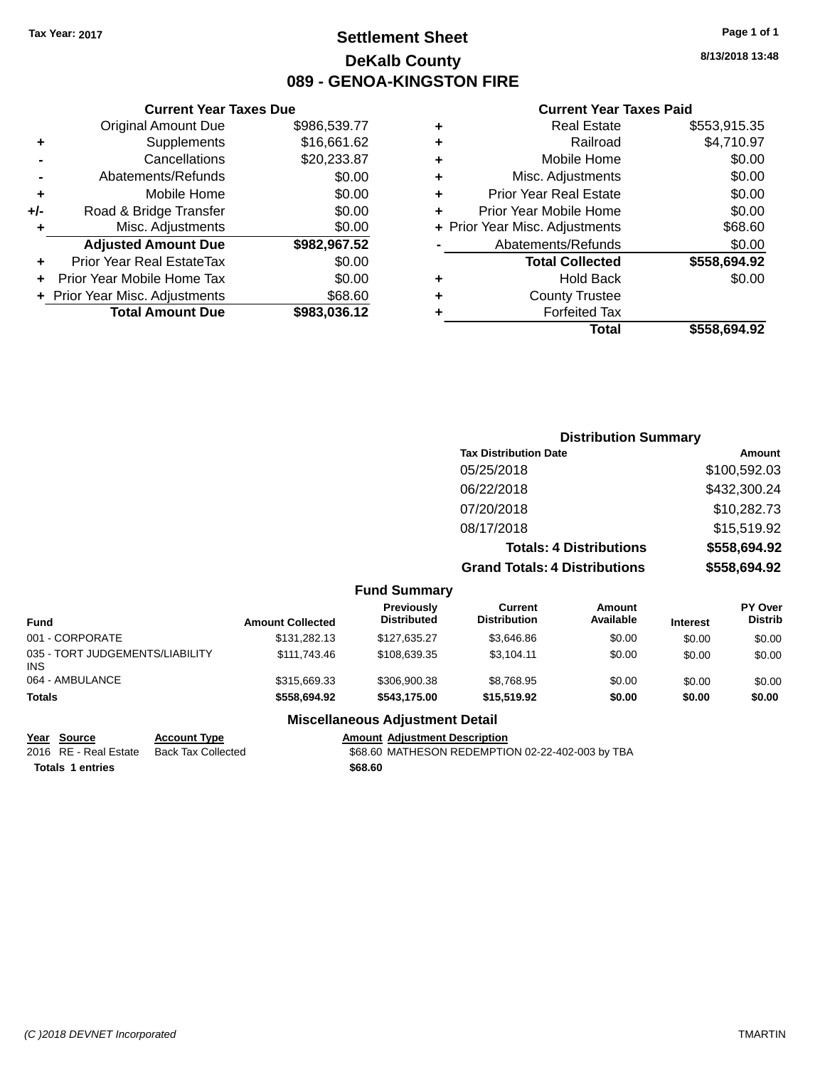### **Settlement Sheet Tax Year: 2017 Page 1 of 1 DeKalb County 089 - GENOA-KINGSTON FIRE**

**8/13/2018 13:48**

#### **Current Year Taxes Paid**

| <b>Current Year Taxes Due</b> |              |   | <b>Current Year Taxes Paid</b> |              |  |  |
|-------------------------------|--------------|---|--------------------------------|--------------|--|--|
| ıl Amount Due                 | \$986,539.77 | ٠ | <b>Real Estate</b>             | \$553,915.35 |  |  |
| Supplements                   | \$16,661.62  | ٠ | Railroad                       | \$4,710.97   |  |  |
| Cancellations                 | \$20,233.87  | ÷ | Mobile Home                    | \$0.00       |  |  |
| าents/Refunds                 | \$0.00       | ٠ | Misc. Adjustments              | \$0.00       |  |  |
| Mobile Home                   | \$0.00       | ÷ | <b>Prior Year Real Estate</b>  | \$0.00       |  |  |
| ridge Transfer                | \$0.00       | ÷ | Prior Year Mobile Home         | \$0.00       |  |  |
| . Adjustments                 | \$0.00       |   | + Prior Year Misc. Adjustments | \$68.60      |  |  |
| <b>Amount Due</b>             | \$982,967.52 |   | Abatements/Refunds             | \$0.00       |  |  |
| leal EstateTax≀               | \$0.00       |   | <b>Total Collected</b>         | \$558,694.92 |  |  |
| bile Home Tax                 | \$0.00       | ÷ | <b>Hold Back</b>               | \$0.00       |  |  |
| . Adjustments                 | \$68.60      | ٠ | <b>County Trustee</b>          |              |  |  |
| <b>Amount Due</b>             | \$983,036.12 |   | <b>Forfeited Tax</b>           |              |  |  |
|                               |              |   | <b>Total</b>                   | \$558,694.92 |  |  |

|                      | <b>Total Amount Due</b>          | \$983,036.12 |
|----------------------|----------------------------------|--------------|
|                      | + Prior Year Misc. Adjustments   | \$68.60      |
|                      | Prior Year Mobile Home Tax       | \$0.00       |
| ٠                    | <b>Prior Year Real EstateTax</b> | \$0.00       |
|                      | <b>Adjusted Amount Due</b>       | \$982,967.52 |
| $\ddot{\phantom{1}}$ | Misc. Adjustments                | \$0.00       |
| +/-                  | Road & Bridge Transfer           | \$0.00       |
| ٠                    | Mobile Home                      | \$0.00       |
|                      | Abatements/Refunds               | \$0.00       |
|                      | Cancellations                    | \$20,233.87  |
| ٠                    | Supplements                      | \$16,661.62  |

**Original Amount Due** 

#### **Distribution Summary**

| <b>Tax Distribution Date</b>         | Amount       |
|--------------------------------------|--------------|
| 05/25/2018                           | \$100,592.03 |
| 06/22/2018                           | \$432,300.24 |
| 07/20/2018                           | \$10,282.73  |
| 08/17/2018                           | \$15,519.92  |
| <b>Totals: 4 Distributions</b>       | \$558,694.92 |
| <b>Grand Totals: 4 Distributions</b> | \$558,694.92 |

#### **Fund Summary**

| Fund                                   | <b>Amount Collected</b> | <b>Previously</b><br><b>Distributed</b> | Current<br><b>Distribution</b> | Amount<br>Available | <b>Interest</b> | <b>PY Over</b><br><b>Distrib</b> |
|----------------------------------------|-------------------------|-----------------------------------------|--------------------------------|---------------------|-----------------|----------------------------------|
| 001 - CORPORATE                        | \$131,282.13            | \$127.635.27                            | \$3.646.86                     | \$0.00              | \$0.00          | \$0.00                           |
| 035 - TORT JUDGEMENTS/LIABILITY<br>INS | \$111,743,46            | \$108.639.35                            | \$3.104.11                     | \$0.00              | \$0.00          | \$0.00                           |
| 064 - AMBULANCE                        | \$315,669.33            | \$306,900.38                            | \$8.768.95                     | \$0.00              | \$0.00          | \$0.00                           |
| Totals                                 | \$558,694.92            | \$543.175.00                            | \$15,519.92                    | \$0.00              | \$0.00          | \$0.00                           |

#### **Miscellaneous Adjustment Detail**

**Totals \$68.60 1 entries**

**Year Source Account Type Amount Adjustment Description** \$68.60 MATHESON REDEMPTION 02-22-402-003 by TBA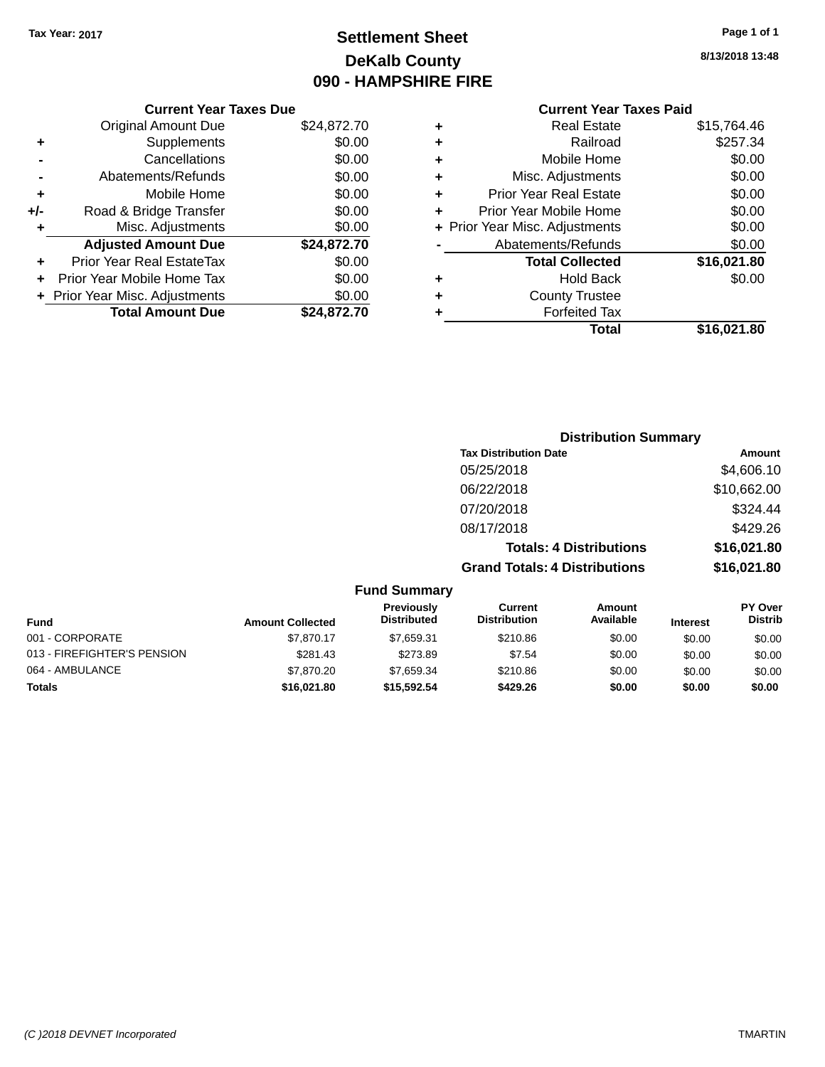### **Settlement Sheet Tax Year: 2017 Page 1 of 1 DeKalb County 090 - HAMPSHIRE FIRE**

**8/13/2018 13:48**

## **Current Year Taxes Paid**

|     | <b>Current Year Taxes Due</b>  |             |
|-----|--------------------------------|-------------|
|     | <b>Original Amount Due</b>     | \$24,872.70 |
| ٠   | Supplements                    | \$0.00      |
|     | Cancellations                  | \$0.00      |
|     | Abatements/Refunds             | \$0.00      |
| ٠   | Mobile Home                    | \$0.00      |
| +/- | Road & Bridge Transfer         | \$0.00      |
| ٠   | Misc. Adjustments              | \$0.00      |
|     | <b>Adjusted Amount Due</b>     | \$24,872.70 |
| ٠   | Prior Year Real EstateTax      | \$0.00      |
|     | Prior Year Mobile Home Tax     | \$0.00      |
|     | + Prior Year Misc. Adjustments | \$0.00      |
|     | <b>Total Amount Due</b>        | \$24,872.70 |
|     |                                |             |

|   | <b>Real Estate</b>             | \$15,764.46 |
|---|--------------------------------|-------------|
| ٠ | Railroad                       | \$257.34    |
| ٠ | Mobile Home                    | \$0.00      |
| ٠ | Misc. Adjustments              | \$0.00      |
| ٠ | <b>Prior Year Real Estate</b>  | \$0.00      |
| ÷ | Prior Year Mobile Home         | \$0.00      |
|   | + Prior Year Misc. Adjustments | \$0.00      |
|   | Abatements/Refunds             | \$0.00      |
|   | <b>Total Collected</b>         | \$16,021.80 |
| ٠ | <b>Hold Back</b>               | \$0.00      |
| ٠ | <b>County Trustee</b>          |             |
| ٠ | <b>Forfeited Tax</b>           |             |
|   | Total                          | \$16,021.80 |
|   |                                |             |

|                     | <b>Distribution Summary</b>          |             |
|---------------------|--------------------------------------|-------------|
|                     | <b>Tax Distribution Date</b>         | Amount      |
|                     | 05/25/2018                           | \$4,606.10  |
|                     | 06/22/2018                           | \$10,662.00 |
|                     | 07/20/2018                           | \$324.44    |
|                     | 08/17/2018                           | \$429.26    |
|                     | <b>Totals: 4 Distributions</b>       | \$16,021.80 |
|                     | <b>Grand Totals: 4 Distributions</b> | \$16,021.80 |
| <b>Fund Summary</b> |                                      |             |

| <b>Fund</b>                 | <b>Amount Collected</b> | Previously<br><b>Distributed</b> | Current<br><b>Distribution</b> | Amount<br>Available | <b>Interest</b> | <b>PY Over</b><br><b>Distrib</b> |
|-----------------------------|-------------------------|----------------------------------|--------------------------------|---------------------|-----------------|----------------------------------|
| 001 - CORPORATE             | \$7.870.17              | \$7.659.31                       | \$210.86                       | \$0.00              | \$0.00          | \$0.00                           |
| 013 - FIREFIGHTER'S PENSION | \$281.43                | \$273.89                         | \$7.54                         | \$0.00              | \$0.00          | \$0.00                           |
| 064 - AMBULANCE             | \$7,870,20              | \$7.659.34                       | \$210.86                       | \$0.00              | \$0.00          | \$0.00                           |
| <b>Totals</b>               | \$16,021.80             | \$15.592.54                      | \$429.26                       | \$0.00              | \$0.00          | \$0.00                           |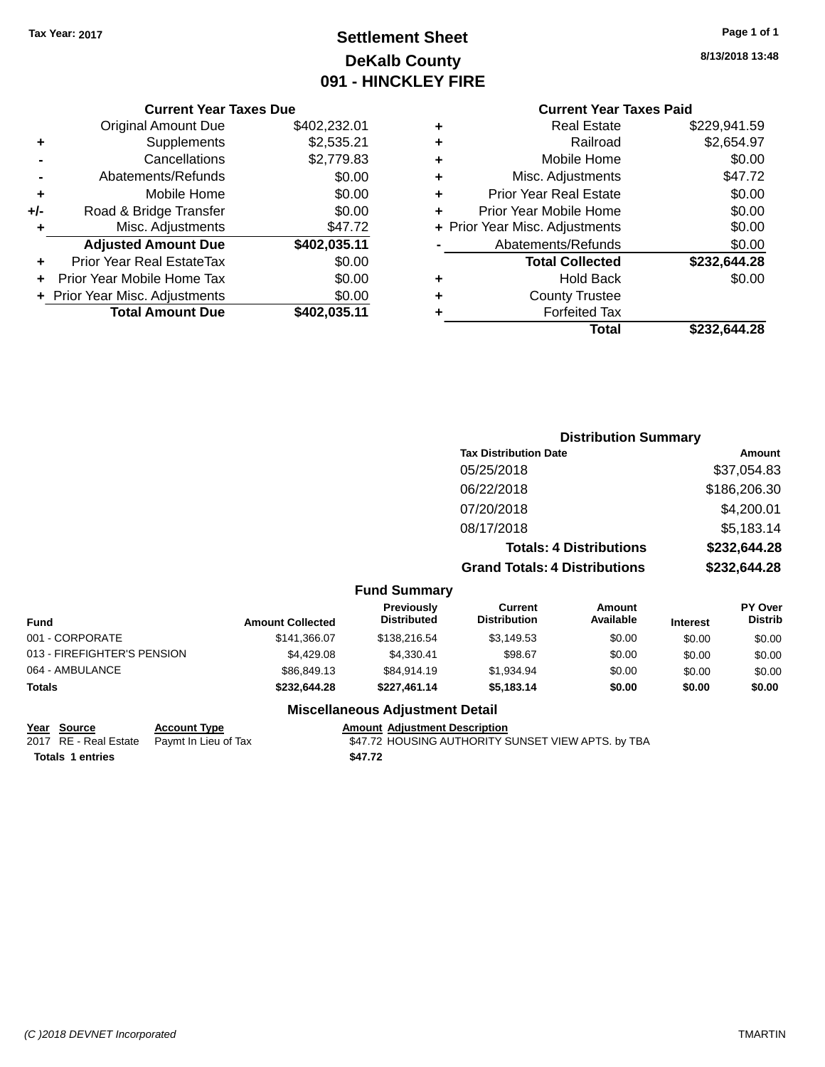### **Settlement Sheet Tax Year: 2017 Page 1 of 1 DeKalb County 091 - HINCKLEY FIRE**

**8/13/2018 13:48**

|     | <b>Current Year Taxes Due</b>  |              |  |  |
|-----|--------------------------------|--------------|--|--|
|     | <b>Original Amount Due</b>     | \$402,232.01 |  |  |
| ٠   | Supplements                    | \$2,535.21   |  |  |
|     | Cancellations                  | \$2,779.83   |  |  |
|     | Abatements/Refunds             | \$0.00       |  |  |
| ٠   | Mobile Home                    | \$0.00       |  |  |
| +/- | Road & Bridge Transfer         | \$0.00       |  |  |
| ٠   | Misc. Adjustments              | \$47.72      |  |  |
|     | <b>Adjusted Amount Due</b>     | \$402,035.11 |  |  |
| ٠   | Prior Year Real EstateTax      | \$0.00       |  |  |
|     | Prior Year Mobile Home Tax     | \$0.00       |  |  |
|     | + Prior Year Misc. Adjustments | \$0.00       |  |  |
|     | <b>Total Amount Due</b>        | \$402,035.11 |  |  |
|     |                                |              |  |  |

# **Current Year Taxes Paid**

|   | <b>Real Estate</b>             | \$229,941.59 |
|---|--------------------------------|--------------|
| ٠ | Railroad                       | \$2,654.97   |
| ٠ | Mobile Home                    | \$0.00       |
| ٠ | Misc. Adjustments              | \$47.72      |
| ÷ | <b>Prior Year Real Estate</b>  | \$0.00       |
| ٠ | Prior Year Mobile Home         | \$0.00       |
|   | + Prior Year Misc. Adjustments | \$0.00       |
|   | Abatements/Refunds             | \$0.00       |
|   | <b>Total Collected</b>         | \$232,644.28 |
| ٠ | <b>Hold Back</b>               | \$0.00       |
| ٠ | <b>County Trustee</b>          |              |
|   | <b>Forfeited Tax</b>           |              |
|   | Total                          | \$232,644.28 |
|   |                                |              |

|                             |                         |                                         |                                      | <b>Distribution Summary</b>    |                 |                                  |
|-----------------------------|-------------------------|-----------------------------------------|--------------------------------------|--------------------------------|-----------------|----------------------------------|
|                             |                         |                                         | <b>Tax Distribution Date</b>         |                                |                 | Amount                           |
|                             |                         |                                         | 05/25/2018                           |                                |                 | \$37,054.83                      |
|                             |                         |                                         | 06/22/2018                           |                                |                 | \$186,206.30                     |
|                             |                         |                                         | 07/20/2018                           |                                |                 | \$4,200.01                       |
|                             |                         |                                         | 08/17/2018                           |                                |                 | \$5,183.14                       |
|                             |                         |                                         |                                      | <b>Totals: 4 Distributions</b> |                 | \$232,644.28                     |
|                             |                         |                                         | <b>Grand Totals: 4 Distributions</b> |                                |                 | \$232,644.28                     |
|                             |                         | <b>Fund Summary</b>                     |                                      |                                |                 |                                  |
| <b>Fund</b>                 | <b>Amount Collected</b> | <b>Previously</b><br><b>Distributed</b> | Current<br><b>Distribution</b>       | Amount<br>Available            | <b>Interest</b> | <b>PY Over</b><br><b>Distrib</b> |
| 001 - CORPORATE             | \$141,366.07            | \$138,216.54                            | \$3,149.53                           | \$0.00                         | \$0.00          | \$0.00                           |
| 013 - FIREFIGHTER'S PENSION | \$4,429.08              | \$4,330.41                              | \$98.67                              | \$0.00                         | \$0.00          | \$0.00                           |
| 064 - AMBULANCE             | \$86,849.13             | \$84,914.19                             | \$1,934.94                           | \$0.00                         | \$0.00          | \$0.00                           |

#### **Miscellaneous Adjustment Detail**

064 - AMBULANCE 6 60.00 \$86,849.13 \$86,849.13 \$84,914.19 \$1,934.94 \$0.00 \$0.00 \$0.00 \$0.00 **Totals \$232,644.28 \$227,461.14 \$5,183.14 \$0.00 \$0.00 \$0.00**

| ear | Source |  |
|-----|--------|--|
|     |        |  |

**Totals 1 entries** \$47.72

**Year Source Account Type Amount Adjustment Description**<br>2017 RE - Real Estate Paymt In Lieu of Tax **AMOUSING AUTHORITY** \$47.72 HOUSING AUTHORITY SUNSET VIEW APTS. by TBA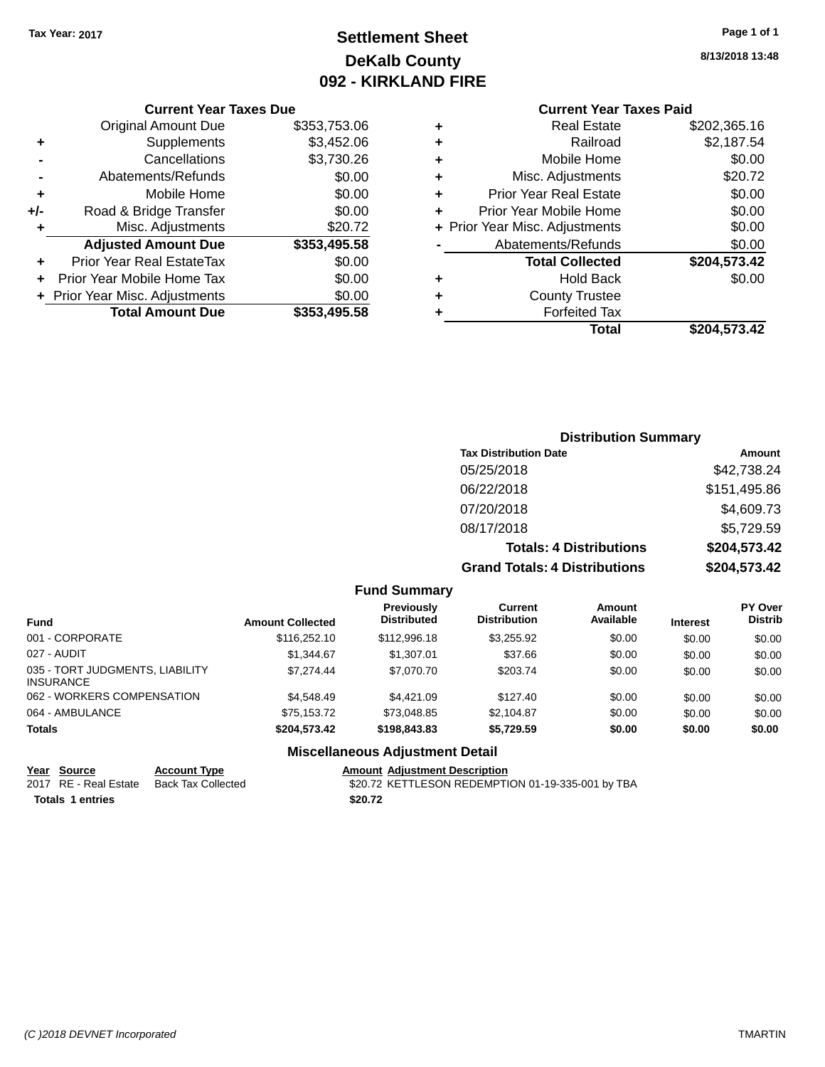### **Settlement Sheet Tax Year: 2017 Page 1 of 1 DeKalb County 092 - KIRKLAND FIRE**

**8/13/2018 13:48**

### **Current Year Taxes Paid**

| ٠ | <b>Real Estate</b>             | \$202,365.16 |
|---|--------------------------------|--------------|
| ٠ | Railroad                       | \$2,187.54   |
| ٠ | Mobile Home                    | \$0.00       |
| ٠ | Misc. Adjustments              | \$20.72      |
| ٠ | <b>Prior Year Real Estate</b>  | \$0.00       |
| ٠ | Prior Year Mobile Home         | \$0.00       |
|   | + Prior Year Misc. Adjustments | \$0.00       |
|   | Abatements/Refunds             | \$0.00       |
|   | <b>Total Collected</b>         | \$204,573.42 |
| ٠ | <b>Hold Back</b>               | \$0.00       |
| ٠ | <b>County Trustee</b>          |              |
|   | <b>Forfeited Tax</b>           |              |
|   | Total                          | \$204,573.42 |
|   |                                |              |

|     | <b>Current Year Taxes Due</b>  |              |  |  |
|-----|--------------------------------|--------------|--|--|
|     | <b>Original Amount Due</b>     | \$353,753.06 |  |  |
| ٠   | Supplements                    | \$3,452.06   |  |  |
|     | Cancellations                  | \$3,730.26   |  |  |
|     | Abatements/Refunds             | \$0.00       |  |  |
| ٠   | Mobile Home                    | \$0.00       |  |  |
| +/- | Road & Bridge Transfer         | \$0.00       |  |  |
| ٠   | Misc. Adjustments              | \$20.72      |  |  |
|     | <b>Adjusted Amount Due</b>     | \$353,495.58 |  |  |
|     | Prior Year Real EstateTax      | \$0.00       |  |  |
|     | Prior Year Mobile Home Tax     | \$0.00       |  |  |
|     | + Prior Year Misc. Adjustments | \$0.00       |  |  |
|     | <b>Total Amount Due</b>        | \$353,495.58 |  |  |

| <b>Distribution Summary</b>          |              |
|--------------------------------------|--------------|
| <b>Tax Distribution Date</b>         | Amount       |
| 05/25/2018                           | \$42,738.24  |
| 06/22/2018                           | \$151,495.86 |
| 07/20/2018                           | \$4,609.73   |
| 08/17/2018                           | \$5,729.59   |
| <b>Totals: 4 Distributions</b>       | \$204,573.42 |
| <b>Grand Totals: 4 Distributions</b> | \$204,573.42 |

| <b>Fund Summary</b> |  |
|---------------------|--|
|---------------------|--|

| <b>Fund</b>                                         | <b>Amount Collected</b> | Previously<br><b>Distributed</b> | Current<br><b>Distribution</b> | <b>Amount</b><br>Available | <b>Interest</b> | <b>PY Over</b><br><b>Distrib</b> |
|-----------------------------------------------------|-------------------------|----------------------------------|--------------------------------|----------------------------|-----------------|----------------------------------|
| 001 - CORPORATE                                     | \$116,252.10            | \$112,996.18                     | \$3,255.92                     | \$0.00                     | \$0.00          | \$0.00                           |
| 027 - AUDIT                                         | \$1.344.67              | \$1,307.01                       | \$37.66                        | \$0.00                     | \$0.00          | \$0.00                           |
| 035 - TORT JUDGMENTS, LIABILITY<br><b>INSURANCE</b> | \$7,274.44              | \$7,070.70                       | \$203.74                       | \$0.00                     | \$0.00          | \$0.00                           |
| 062 - WORKERS COMPENSATION                          | \$4,548,49              | \$4.421.09                       | \$127.40                       | \$0.00                     | \$0.00          | \$0.00                           |
| 064 - AMBULANCE                                     | \$75.153.72             | \$73,048.85                      | \$2,104.87                     | \$0.00                     | \$0.00          | \$0.00                           |
| <b>Totals</b>                                       | \$204.573.42            | \$198,843.83                     | \$5,729.59                     | \$0.00                     | \$0.00          | \$0.00                           |

#### **Miscellaneous Adjustment Detail**

**Year Source Account Type Amount Adjustment Description Totals 1 entries** \$20.72

\$20.72 KETTLESON REDEMPTION 01-19-335-001 by TBA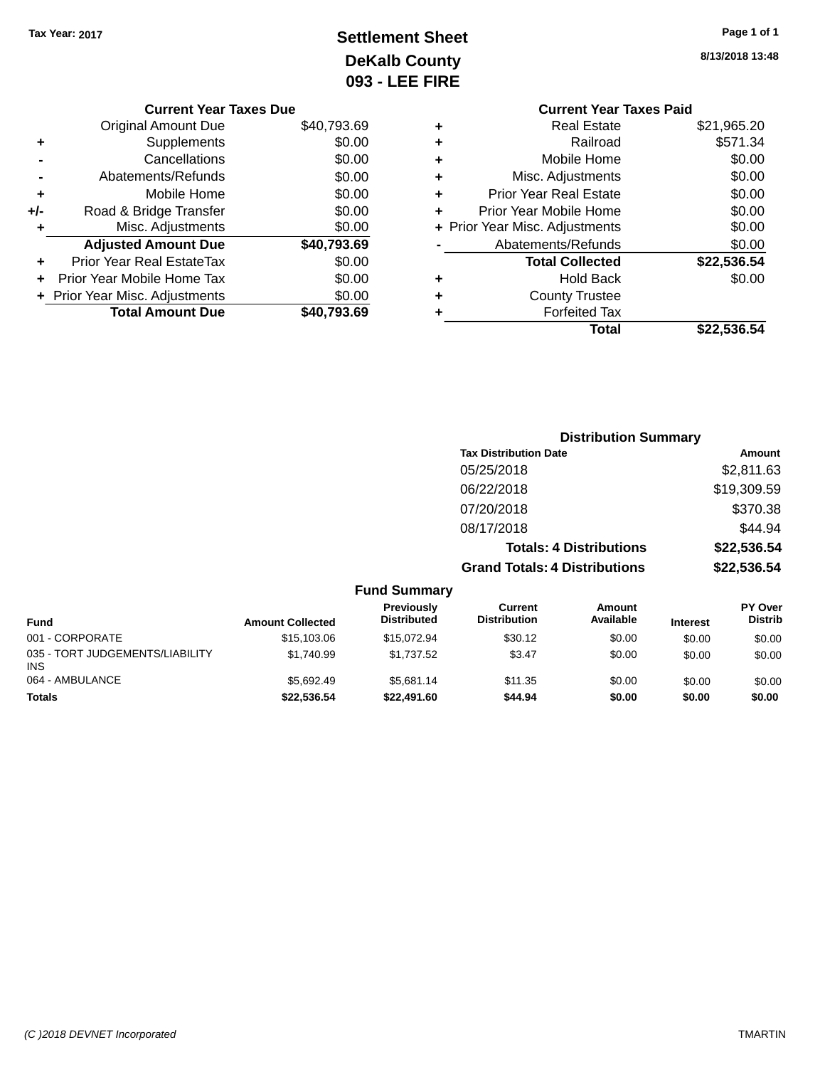## **Settlement Sheet Tax Year: 2017 Page 1 of 1 DeKalb County 093 - LEE FIRE**

| Page Tor T |  |  |
|------------|--|--|
|            |  |  |

**8/13/2018 13:48**

|   | <b>Current Year Taxes Paid</b> |             |
|---|--------------------------------|-------------|
| ٠ | Real Estate                    | \$21,965.20 |
| ٠ | Railroad                       | \$571.34    |
| ٠ | Mobile Home                    | \$0.00      |
| ٠ | Misc. Adjustments              | \$0.00      |
| ٠ | <b>Prior Year Real Estate</b>  | \$0.00      |
| ÷ | Prior Year Mobile Home         | \$0.00      |
|   | + Prior Year Misc. Adjustments | \$0.00      |
|   | Abatements/Refunds             | \$0.00      |
|   | <b>Total Collected</b>         | \$22,536.54 |
| ٠ | <b>Hold Back</b>               | \$0.00      |
|   | <b>County Trustee</b>          |             |
|   | <b>Forfeited Tax</b>           |             |
|   | Total                          | \$22.536.54 |
|   |                                |             |

|     | <b>Current Year Taxes Due</b>    |             |
|-----|----------------------------------|-------------|
|     | Original Amount Due              | \$40,793.69 |
| ٠   | Supplements                      | \$0.00      |
|     | Cancellations                    | \$0.00      |
|     | Abatements/Refunds               | \$0.00      |
| ٠   | Mobile Home                      | \$0.00      |
| +/- | Road & Bridge Transfer           | \$0.00      |
|     | Misc. Adjustments                | \$0.00      |
|     | <b>Adjusted Amount Due</b>       | \$40,793.69 |
|     | <b>Prior Year Real EstateTax</b> | \$0.00      |
| ÷   | Prior Year Mobile Home Tax       | \$0.00      |
|     | Prior Year Misc. Adjustments     | \$0.00      |
|     | <b>Total Amount Due</b>          | \$40.793.69 |
|     |                                  |             |

|           | <b>Distribution Summary</b>          |             |
|-----------|--------------------------------------|-------------|
|           | <b>Tax Distribution Date</b>         | Amount      |
|           | 05/25/2018                           | \$2,811.63  |
|           | 06/22/2018                           | \$19,309.59 |
|           | 07/20/2018                           | \$370.38    |
|           | 08/17/2018                           | \$44.94     |
|           | <b>Totals: 4 Distributions</b>       | \$22,536.54 |
|           | <b>Grand Totals: 4 Distributions</b> | \$22,536.54 |
| d Summary |                                      |             |

|                                               |                         | <b>Fund Summary</b>              |                                |                            |                 |                                  |
|-----------------------------------------------|-------------------------|----------------------------------|--------------------------------|----------------------------|-----------------|----------------------------------|
| <b>Fund</b>                                   | <b>Amount Collected</b> | Previously<br><b>Distributed</b> | Current<br><b>Distribution</b> | <b>Amount</b><br>Available | <b>Interest</b> | <b>PY Over</b><br><b>Distrib</b> |
| 001 - CORPORATE                               | \$15,103.06             | \$15.072.94                      | \$30.12                        | \$0.00                     | \$0.00          | \$0.00                           |
| 035 - TORT JUDGEMENTS/LIABILITY<br><b>INS</b> | \$1.740.99              | \$1.737.52                       | \$3.47                         | \$0.00                     | \$0.00          | \$0.00                           |
| 064 - AMBULANCE                               | \$5.692.49              | \$5.681.14                       | \$11.35                        | \$0.00                     | \$0.00          | \$0.00                           |
| <b>Totals</b>                                 | \$22,536.54             | \$22,491.60                      | \$44.94                        | \$0.00                     | \$0.00          | \$0.00                           |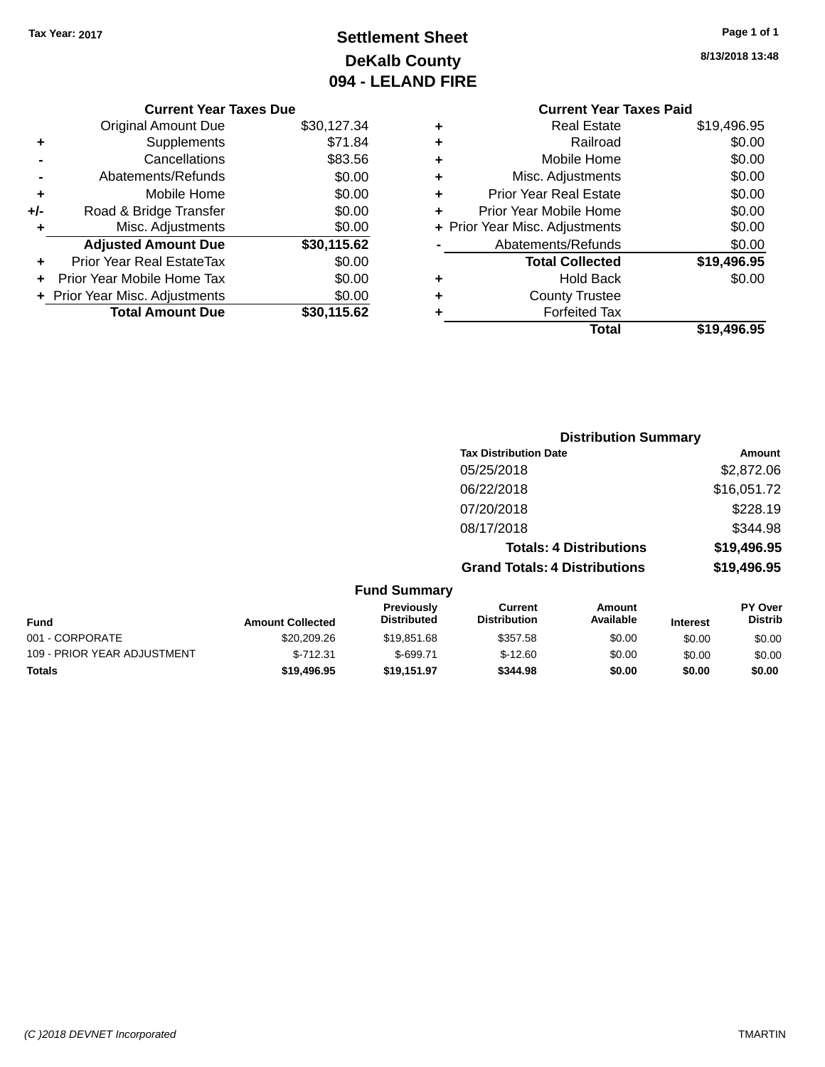## **Settlement Sheet Tax Year: 2017 Page 1 of 1 DeKalb County 094 - LELAND FIRE**

**8/13/2018 13:48**

|     | <b>Current Year Taxes Due</b>  |             |  |  |  |
|-----|--------------------------------|-------------|--|--|--|
|     | <b>Original Amount Due</b>     | \$30,127.34 |  |  |  |
| ٠   | Supplements                    | \$71.84     |  |  |  |
|     | Cancellations                  | \$83.56     |  |  |  |
|     | Abatements/Refunds             | \$0.00      |  |  |  |
| ٠   | Mobile Home                    | \$0.00      |  |  |  |
| +/- | Road & Bridge Transfer         | \$0.00      |  |  |  |
| ٠   | Misc. Adjustments              | \$0.00      |  |  |  |
|     | <b>Adjusted Amount Due</b>     | \$30,115.62 |  |  |  |
| ٠   | Prior Year Real EstateTax      | \$0.00      |  |  |  |
| ÷   | Prior Year Mobile Home Tax     | \$0.00      |  |  |  |
|     | + Prior Year Misc. Adjustments | \$0.00      |  |  |  |
|     | <b>Total Amount Due</b>        | \$30,115.62 |  |  |  |
|     |                                |             |  |  |  |

#### **Current Year Taxes Paid +** Real Estate \$19,496.95 **+** Railroad \$0.00 **+** Mobile Home \$0.00 **+** Misc. Adjustments \$0.00 **+** Prior Year Real Estate \$0.00 **+** Prior Year Mobile Home \$0.00 **+ Prior Year Misc. Adjustments**  $$0.00$ **-** Abatements/Refunds \$0.00 **Total Collected \$19,496.95 +** Hold Back \$0.00 **+** County Trustee **+** Forfeited Tax **Total \$19,496.95**

|                             |                         |                                  | <b>Distribution Summary</b>          |                                |                 |                                  |
|-----------------------------|-------------------------|----------------------------------|--------------------------------------|--------------------------------|-----------------|----------------------------------|
|                             |                         |                                  | <b>Tax Distribution Date</b>         |                                |                 | Amount                           |
|                             |                         |                                  | 05/25/2018                           |                                |                 | \$2,872.06                       |
|                             |                         |                                  | 06/22/2018                           |                                |                 | \$16,051.72                      |
|                             |                         |                                  | 07/20/2018                           |                                |                 | \$228.19                         |
|                             |                         |                                  | 08/17/2018                           |                                |                 | \$344.98                         |
|                             |                         |                                  |                                      | <b>Totals: 4 Distributions</b> |                 | \$19,496.95                      |
|                             |                         |                                  | <b>Grand Totals: 4 Distributions</b> |                                |                 | \$19,496.95                      |
|                             |                         | <b>Fund Summary</b>              |                                      |                                |                 |                                  |
| <b>Fund</b>                 | <b>Amount Collected</b> | Previously<br><b>Distributed</b> | Current<br><b>Distribution</b>       | Amount<br>Available            | <b>Interest</b> | <b>PY Over</b><br><b>Distrib</b> |
| 001 - CORPORATE             | \$20,209.26             | \$19,851.68                      | \$357.58                             | \$0.00                         | \$0.00          | \$0.00                           |
| 109 - PRIOR YEAR ADJUSTMENT | $$-712.31$              | $$-699.71$                       | $$-12.60$                            | \$0.00                         | \$0.00          | \$0.00                           |
| Totals                      | \$19,496.95             | \$19,151.97                      | \$344.98                             | \$0.00                         | \$0.00          | \$0.00                           |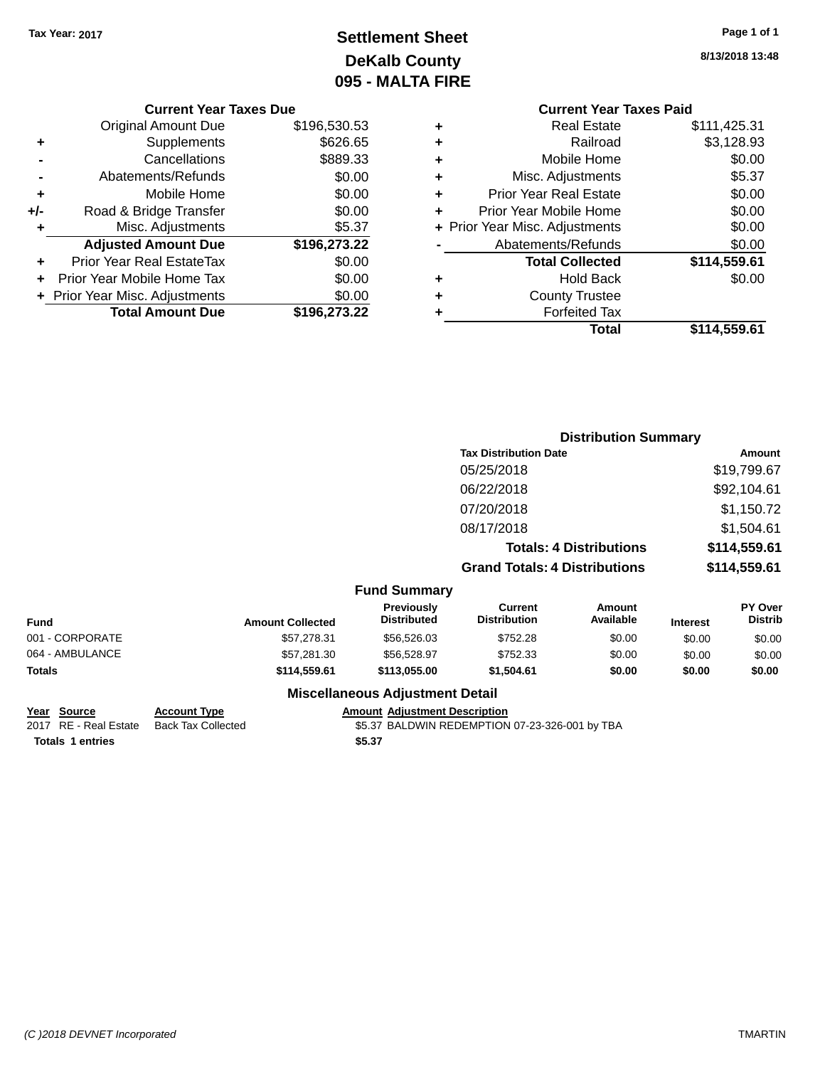## **Settlement Sheet Tax Year: 2017 Page 1 of 1 DeKalb County 095 - MALTA FIRE**

**8/13/2018 13:48**

#### **Current Year Taxes Due**

|     | <b>Original Amount Due</b>       | \$196,530.53 |
|-----|----------------------------------|--------------|
| ٠   | Supplements                      | \$626.65     |
|     | Cancellations                    | \$889.33     |
|     | Abatements/Refunds               | \$0.00       |
| ٠   | Mobile Home                      | \$0.00       |
| +/- | Road & Bridge Transfer           | \$0.00       |
| ٠   | Misc. Adjustments                | \$5.37       |
|     | <b>Adjusted Amount Due</b>       | \$196,273.22 |
|     | <b>Prior Year Real EstateTax</b> | \$0.00       |
|     | Prior Year Mobile Home Tax       | \$0.00       |
|     | + Prior Year Misc. Adjustments   | \$0.00       |
|     | <b>Total Amount Due</b>          | \$196,273.22 |

#### **Current Year Taxes Paid +** Real Estate \$111,425.31 **+** Railroad \$3,128.93 **+** Mobile Home \$0.00 **+** Misc. Adjustments \$5.37 **+** Prior Year Real Estate \$0.00 **+** Prior Year Mobile Home \$0.00 **+** Prior Year Misc. Adjustments \$0.00 Abatements/Refunds \$0.00 **Total Collected \$114,559.61 +** Hold Back \$0.00 **+** County Trustee **+** Forfeited Tax

**Total \$114,559.61**

|                         |                                         | <b>Distribution Summary</b>          |                                |                 |                                  |
|-------------------------|-----------------------------------------|--------------------------------------|--------------------------------|-----------------|----------------------------------|
|                         |                                         | <b>Tax Distribution Date</b>         |                                |                 | Amount                           |
|                         |                                         | 05/25/2018                           |                                | \$19,799.67     |                                  |
|                         |                                         | 06/22/2018                           |                                |                 | \$92,104.61                      |
|                         |                                         | 07/20/2018                           |                                | \$1,150.72      |                                  |
|                         |                                         | 08/17/2018                           |                                |                 | \$1,504.61                       |
|                         |                                         |                                      | <b>Totals: 4 Distributions</b> |                 | \$114,559.61                     |
|                         |                                         | <b>Grand Totals: 4 Distributions</b> |                                |                 | \$114,559.61                     |
|                         | <b>Fund Summary</b>                     |                                      |                                |                 |                                  |
| <b>Amount Collected</b> | <b>Previously</b><br><b>Distributed</b> | Current<br><b>Distribution</b>       | Amount<br>Available            | <b>Interest</b> | <b>PY Over</b><br><b>Distrib</b> |
| \$57.278.31             | \$56,526,03                             | \$752.28                             | \$0.00                         | \$0.00          | \$0.00                           |

| Fund            | <b>Amount Collected</b> | <b>Previously</b><br><b>Distributed</b> | Current<br><b>Distribution</b> | Amount<br>Available | <b>Interest</b> | <b>PY Over</b><br><b>Distrib</b> |
|-----------------|-------------------------|-----------------------------------------|--------------------------------|---------------------|-----------------|----------------------------------|
| 001 - CORPORATE | \$57,278.31             | \$56,526,03                             | \$752.28                       | \$0.00              | \$0.00          | \$0.00                           |
| 064 - AMBULANCE | \$57.281.30             | \$56,528.97                             | \$752.33                       | \$0.00              | \$0.00          | \$0.00                           |
| Totals          | \$114,559.61            | \$113.055.00                            | \$1.504.61                     | \$0.00              | \$0.00          | \$0.00                           |
|                 |                         | <b>Miscellaneous Adjustment Detail</b>  |                                |                     |                 |                                  |

# **Year Source Account Type Amount Adjustment Description**

\$5.37 BALDWIN REDEMPTION 07-23-326-001 by TBA **Totals \$5.37 1 entries**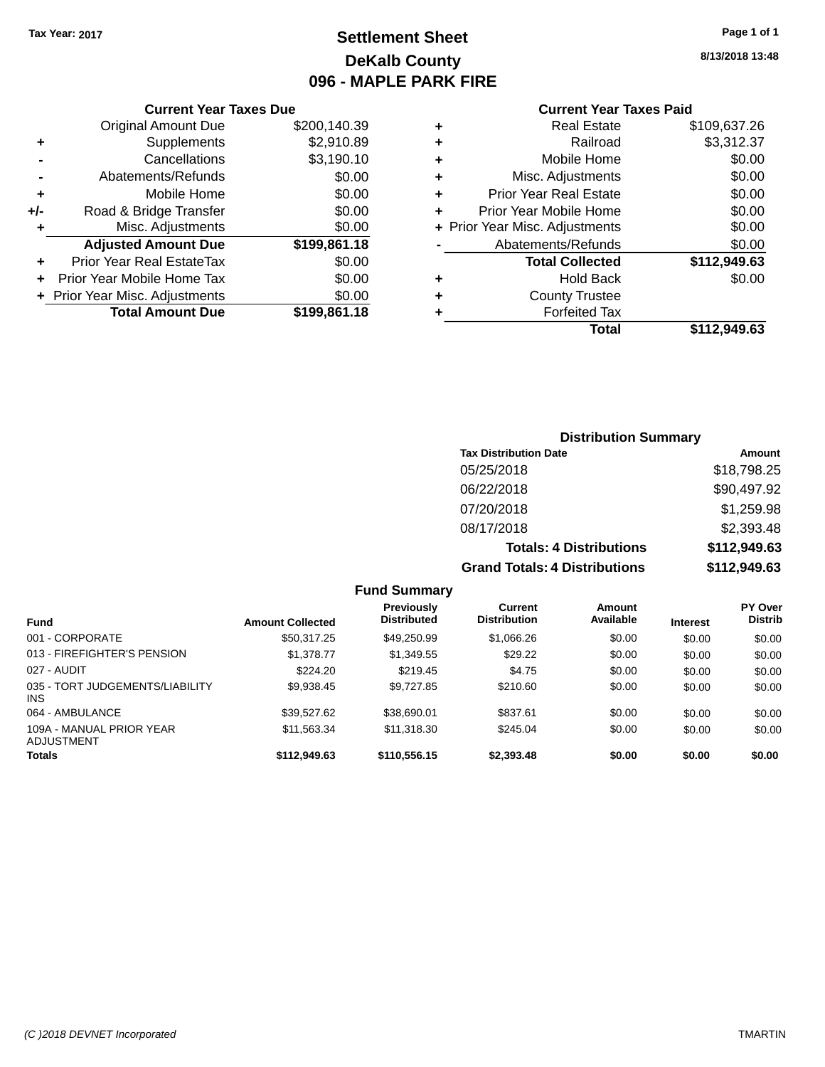### **Settlement Sheet Tax Year: 2017 Page 1 of 1 DeKalb County 096 - MAPLE PARK FIRE**

**8/13/2018 13:48**

#### **Current Year Taxes Paid**

|     | <b>Current Year Taxes Due</b> |              |  |  |  |
|-----|-------------------------------|--------------|--|--|--|
|     | <b>Original Amount Due</b>    | \$200,140.39 |  |  |  |
| ٠   | Supplements                   | \$2,910.89   |  |  |  |
|     | Cancellations                 | \$3,190.10   |  |  |  |
|     | Abatements/Refunds            | \$0.00       |  |  |  |
| ٠   | Mobile Home                   | \$0.00       |  |  |  |
| +/- | Road & Bridge Transfer        | \$0.00       |  |  |  |
| ٠   | Misc. Adjustments             | \$0.00       |  |  |  |
|     | <b>Adjusted Amount Due</b>    | \$199,861.18 |  |  |  |
| ٠   | Prior Year Real EstateTax     | \$0.00       |  |  |  |
| ٠   | Prior Year Mobile Home Tax    | \$0.00       |  |  |  |
|     | Prior Year Misc. Adjustments  | \$0.00       |  |  |  |
|     | <b>Total Amount Due</b>       | \$199,861.18 |  |  |  |

| ٠ | <b>Real Estate</b>             | \$109,637.26 |
|---|--------------------------------|--------------|
| ٠ | Railroad                       | \$3,312.37   |
| ٠ | Mobile Home                    | \$0.00       |
| ٠ | Misc. Adjustments              | \$0.00       |
| ٠ | <b>Prior Year Real Estate</b>  | \$0.00       |
| ÷ | Prior Year Mobile Home         | \$0.00       |
|   | + Prior Year Misc. Adjustments | \$0.00       |
|   | Abatements/Refunds             | \$0.00       |
|   | <b>Total Collected</b>         | \$112,949.63 |
| ٠ | <b>Hold Back</b>               | \$0.00       |
| ٠ | <b>County Trustee</b>          |              |
|   | <b>Forfeited Tax</b>           |              |
|   | Total                          | \$112.949.63 |
|   |                                |              |

### **Distribution Summary Tax Distribution Date Amount** 05/25/2018 \$18,798.25 06/22/2018 \$90,497.92 07/20/2018 \$1,259.98 08/17/2018 \$2,393.48 **Totals: 4 Distributions \$112,949.63 Grand Totals: 4 Distributions \$112,949.63**

| <b>Fund Summary</b>                     |                         |                                         |                                |                     |                 |                                  |
|-----------------------------------------|-------------------------|-----------------------------------------|--------------------------------|---------------------|-----------------|----------------------------------|
| <b>Fund</b>                             | <b>Amount Collected</b> | <b>Previously</b><br><b>Distributed</b> | Current<br><b>Distribution</b> | Amount<br>Available | <b>Interest</b> | <b>PY Over</b><br><b>Distrib</b> |
| 001 - CORPORATE                         | \$50.317.25             | \$49.250.99                             | \$1,066.26                     | \$0.00              | \$0.00          | \$0.00                           |
| 013 - FIREFIGHTER'S PENSION             | \$1,378,77              | \$1,349.55                              | \$29.22                        | \$0.00              | \$0.00          | \$0.00                           |
| 027 - AUDIT                             | \$224.20                | \$219.45                                | \$4.75                         | \$0.00              | \$0.00          | \$0.00                           |
| 035 - TORT JUDGEMENTS/LIABILITY<br>INS. | \$9.938.45              | \$9.727.85                              | \$210.60                       | \$0.00              | \$0.00          | \$0.00                           |
| 064 - AMBULANCE                         | \$39.527.62             | \$38,690.01                             | \$837.61                       | \$0.00              | \$0.00          | \$0.00                           |
| 109A - MANUAL PRIOR YEAR<br>ADJUSTMENT  | \$11.563.34             | \$11.318.30                             | \$245.04                       | \$0.00              | \$0.00          | \$0.00                           |
| <b>Totals</b>                           | \$112,949.63            | \$110,556.15                            | \$2,393.48                     | \$0.00              | \$0.00          | \$0.00                           |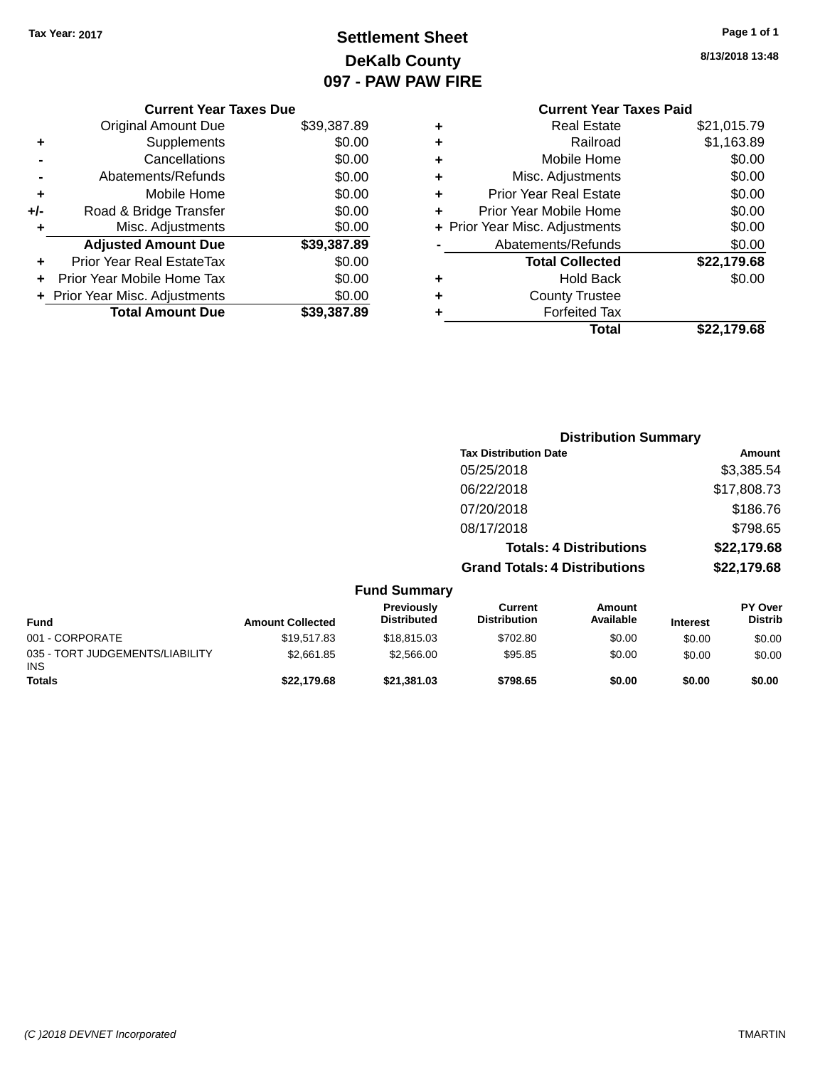### **Settlement Sheet Tax Year: 2017 Page 1 of 1 DeKalb County 097 - PAW PAW FIRE**

**8/13/2018 13:48**

|     | <b>Current Year Taxes Due</b>  |             |
|-----|--------------------------------|-------------|
|     | <b>Original Amount Due</b>     | \$39,387.89 |
| ٠   | Supplements                    | \$0.00      |
|     | Cancellations                  | \$0.00      |
|     | Abatements/Refunds             | \$0.00      |
| ÷   | Mobile Home                    | \$0.00      |
| +/- | Road & Bridge Transfer         | \$0.00      |
|     | Misc. Adjustments              | \$0.00      |
|     | <b>Adjusted Amount Due</b>     | \$39,387.89 |
| ÷   | Prior Year Real EstateTax      | \$0.00      |
|     | Prior Year Mobile Home Tax     | \$0.00      |
|     | + Prior Year Misc. Adjustments | \$0.00      |
|     | <b>Total Amount Due</b>        | \$39,387,89 |
|     |                                |             |

|   | <b>Current Year Taxes Paid</b> |             |
|---|--------------------------------|-------------|
| ÷ | Real Estate                    | \$21,015.79 |
| ٠ | Railroad                       | \$1,163.89  |
| ٠ | Mobile Home                    | \$0.00      |
| ٠ | Misc. Adjustments              | \$0.00      |
| ٠ | Prior Year Real Estate         | \$0.00      |
| ÷ | Prior Year Mobile Home         | \$0.00      |
|   | + Prior Year Misc. Adjustments | \$0.00      |
|   | Abatements/Refunds             | \$0.00      |
|   | <b>Total Collected</b>         | \$22,179.68 |
|   | Hold Back                      | \$0.00      |
|   | <b>County Trustee</b>          |             |
| ٠ | <b>Forfeited Tax</b>           |             |
|   | Total                          | \$22,179.68 |
|   |                                |             |

|                                         |                         |                                  |                                      | <b>Distribution Summary</b>    |                 |                                  |
|-----------------------------------------|-------------------------|----------------------------------|--------------------------------------|--------------------------------|-----------------|----------------------------------|
|                                         |                         |                                  | <b>Tax Distribution Date</b>         |                                |                 | <b>Amount</b>                    |
|                                         |                         |                                  | 05/25/2018                           |                                |                 | \$3,385.54                       |
|                                         |                         |                                  | 06/22/2018                           |                                |                 | \$17,808.73                      |
|                                         |                         |                                  | 07/20/2018                           |                                |                 | \$186.76                         |
|                                         |                         |                                  | 08/17/2018                           |                                |                 | \$798.65                         |
|                                         |                         |                                  |                                      | <b>Totals: 4 Distributions</b> |                 | \$22,179.68                      |
|                                         |                         |                                  | <b>Grand Totals: 4 Distributions</b> |                                |                 | \$22,179.68                      |
|                                         |                         | <b>Fund Summary</b>              |                                      |                                |                 |                                  |
| <b>Fund</b>                             | <b>Amount Collected</b> | Previously<br><b>Distributed</b> | Current<br><b>Distribution</b>       | Amount<br>Available            | <b>Interest</b> | <b>PY Over</b><br><b>Distrib</b> |
| 001 - CORPORATE                         | \$19,517.83             | \$18,815.03                      | \$702.80                             | \$0.00                         | \$0.00          | \$0.00                           |
| 035 - TORT JUDGEMENTS/LIABILITY<br>INS. | \$2,661.85              | \$2,566.00                       | \$95.85                              | \$0.00                         | \$0.00          | \$0.00                           |
| Totals                                  | \$22,179.68             | \$21,381.03                      | \$798.65                             | \$0.00                         | \$0.00          | \$0.00                           |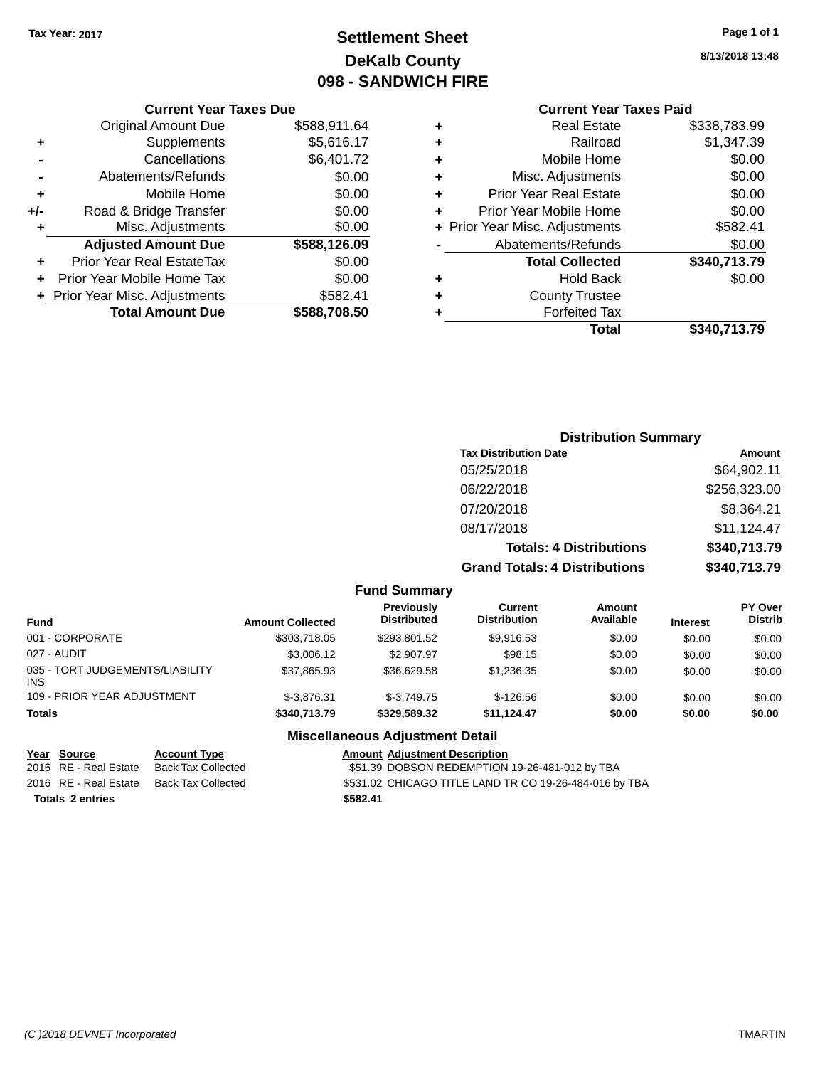### **Settlement Sheet Tax Year: 2017 Page 1 of 1 DeKalb County 098 - SANDWICH FIRE**

**8/13/2018 13:48**

#### **Current Year Taxes Paid**

| ٠ | Railroad                       | \$1,347.39   |
|---|--------------------------------|--------------|
| ٠ | Mobile Home                    | \$0.00       |
| ٠ | Misc. Adjustments              | \$0.00       |
| ٠ | <b>Prior Year Real Estate</b>  | \$0.00       |
| ٠ | Prior Year Mobile Home         | \$0.00       |
|   | + Prior Year Misc. Adjustments | \$582.41     |
|   | Abatements/Refunds             | \$0.00       |
|   | <b>Total Collected</b>         | \$340,713.79 |
|   |                                |              |
| ٠ | Hold Back                      | \$0.00       |
| ٠ | <b>County Trustee</b>          |              |
| ٠ | <b>Forfeited Tax</b>           |              |

|     | <b>Current Year Taxes Due</b>    |              |
|-----|----------------------------------|--------------|
|     | <b>Original Amount Due</b>       | \$588,911.64 |
| ÷   | Supplements                      | \$5,616.17   |
|     | Cancellations                    | \$6,401.72   |
|     | Abatements/Refunds               | \$0.00       |
| ٠   | Mobile Home                      | \$0.00       |
| +/- | Road & Bridge Transfer           | \$0.00       |
| ٠   | Misc. Adjustments                | \$0.00       |
|     | <b>Adjusted Amount Due</b>       | \$588,126.09 |
| ٠   | <b>Prior Year Real EstateTax</b> | \$0.00       |
|     | Prior Year Mobile Home Tax       | \$0.00       |
|     | + Prior Year Misc. Adjustments   | \$582.41     |
|     | <b>Total Amount Due</b>          | \$588,708.50 |

| <b>Distribution Summary</b>          |              |
|--------------------------------------|--------------|
| <b>Tax Distribution Date</b>         | Amount       |
| 05/25/2018                           | \$64,902.11  |
| 06/22/2018                           | \$256,323.00 |
| 07/20/2018                           | \$8,364.21   |
| 08/17/2018                           | \$11,124.47  |
| <b>Totals: 4 Distributions</b>       | \$340,713.79 |
| <b>Grand Totals: 4 Distributions</b> | \$340,713.79 |

|  | <b>Fund Summary</b> |
|--|---------------------|
|--|---------------------|

| <b>Fund</b>                             | <b>Amount Collected</b> | Previously<br><b>Distributed</b> | Current<br><b>Distribution</b> | <b>Amount</b><br>Available | <b>Interest</b> | <b>PY Over</b><br><b>Distrib</b> |
|-----------------------------------------|-------------------------|----------------------------------|--------------------------------|----------------------------|-----------------|----------------------------------|
| 001 - CORPORATE                         | \$303,718.05            | \$293.801.52                     | \$9.916.53                     | \$0.00                     | \$0.00          | \$0.00                           |
| 027 - AUDIT                             | \$3,006.12              | \$2,907.97                       | \$98.15                        | \$0.00                     | \$0.00          | \$0.00                           |
| 035 - TORT JUDGEMENTS/LIABILITY<br>INS. | \$37.865.93             | \$36,629.58                      | \$1.236.35                     | \$0.00                     | \$0.00          | \$0.00                           |
| 109 - PRIOR YEAR ADJUSTMENT             | $$-3.876.31$            | $$-3.749.75$                     | $$-126.56$                     | \$0.00                     | \$0.00          | \$0.00                           |
| <b>Totals</b>                           | \$340,713.79            | \$329,589,32                     | \$11.124.47                    | \$0.00                     | \$0.00          | \$0.00                           |

#### **Miscellaneous Adjustment Detail**

#### **Year** Source **Account Type Account Adjustment Description** 2016 RE - Real Estate Back Tax Collected \$51.39 DOBSON REDEMPTION 19-26-481-012 by TBA 2016 RE - Real Estate Back Tax Collected \$531.02 CHICAGO TITLE LAND TR CO 19-26-484-016 by TBA **Totals \$582.41 2 entries**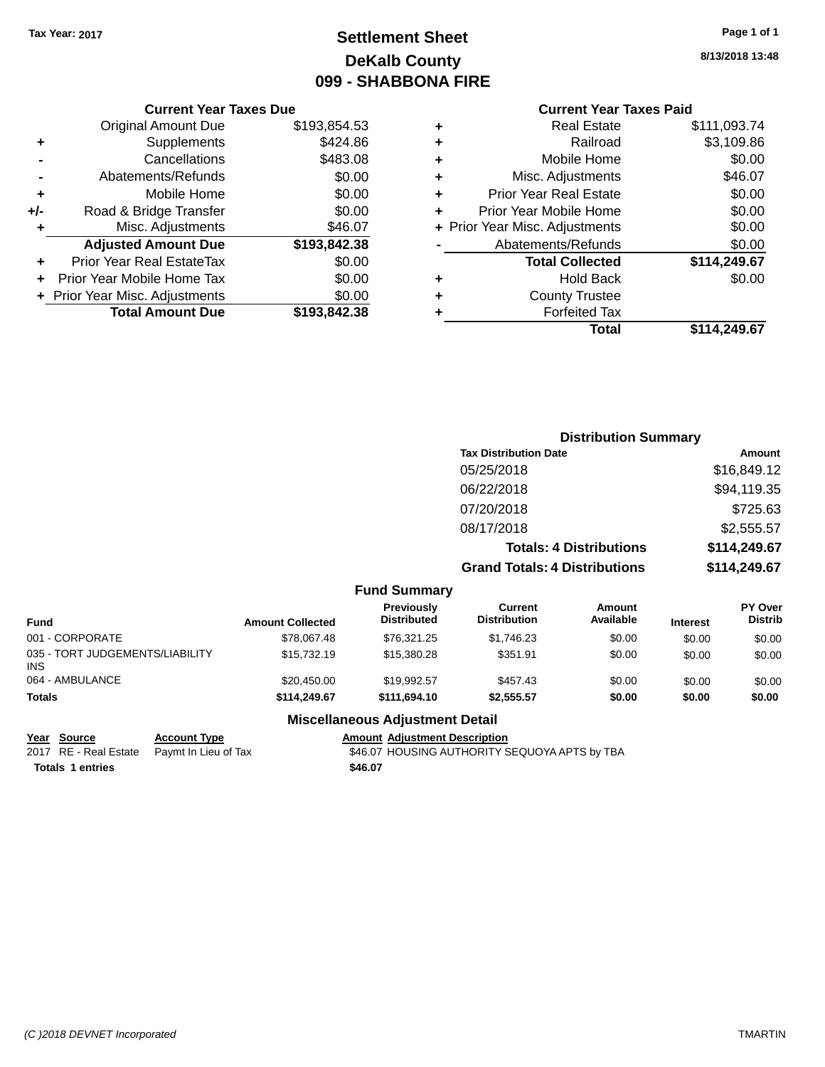### **Settlement Sheet Tax Year: 2017 Page 1 of 1 DeKalb County 099 - SHABBONA FIRE**

**8/13/2018 13:48**

#### **Current Year Taxes Paid**

|       | <b>Current Year Taxes Due</b>  |              |
|-------|--------------------------------|--------------|
|       | <b>Original Amount Due</b>     | \$193,854.53 |
| ٠     | Supplements                    | \$424.86     |
|       | Cancellations                  | \$483.08     |
|       | Abatements/Refunds             | \$0.00       |
| ٠     | Mobile Home                    | \$0.00       |
| $+/-$ | Road & Bridge Transfer         | \$0.00       |
| ٠     | Misc. Adjustments              | \$46.07      |
|       | <b>Adjusted Amount Due</b>     | \$193,842.38 |
| ÷     | Prior Year Real EstateTax      | \$0.00       |
|       | Prior Year Mobile Home Tax     | \$0.00       |
|       | + Prior Year Misc. Adjustments | \$0.00       |
|       | <b>Total Amount Due</b>        | \$193,842,38 |
|       |                                |              |

|         | \$114,249.67 | Total                          |   |
|---------|--------------|--------------------------------|---|
|         |              | <b>Forfeited Tax</b>           | ٠ |
|         |              | <b>County Trustee</b>          | ٠ |
| \$0.00  |              | Hold Back                      | ٠ |
|         | \$114,249.67 | <b>Total Collected</b>         |   |
| \$0.00  |              | Abatements/Refunds             |   |
| \$0.00  |              | + Prior Year Misc. Adjustments |   |
| \$0.00  |              | Prior Year Mobile Home         | ٠ |
| \$0.00  |              | <b>Prior Year Real Estate</b>  | ٠ |
| \$46.07 |              | Misc. Adjustments              | ÷ |
| \$0.00  |              | Mobile Home                    | ٠ |
|         | \$3,109.86   | Railroad                       | ٠ |
|         | \$111,093.74 | <b>Real Estate</b>             | ٠ |
|         |              |                                |   |

| <b>Distribution Summary</b>          |              |
|--------------------------------------|--------------|
| <b>Tax Distribution Date</b>         | Amount       |
| 05/25/2018                           | \$16,849.12  |
| 06/22/2018                           | \$94,119.35  |
| 07/20/2018                           | \$725.63     |
| 08/17/2018                           | \$2,555.57   |
| <b>Totals: 4 Distributions</b>       | \$114,249.67 |
| <b>Grand Totals: 4 Distributions</b> | \$114,249.67 |

| <b>Fund Summary</b> |
|---------------------|
|                     |

| Fund                                    | <b>Amount Collected</b> | Previously<br><b>Distributed</b> | Current<br><b>Distribution</b> | Amount<br>Available | <b>Interest</b> | <b>PY Over</b><br><b>Distrib</b> |
|-----------------------------------------|-------------------------|----------------------------------|--------------------------------|---------------------|-----------------|----------------------------------|
| 001 - CORPORATE                         | \$78,067.48             | \$76.321.25                      | \$1,746.23                     | \$0.00              | \$0.00          | \$0.00                           |
| 035 - TORT JUDGEMENTS/LIABILITY<br>INS. | \$15,732.19             | \$15,380.28                      | \$351.91                       | \$0.00              | \$0.00          | \$0.00                           |
| 064 - AMBULANCE                         | \$20,450.00             | \$19,992.57                      | \$457.43                       | \$0.00              | \$0.00          | \$0.00                           |
| <b>Totals</b>                           | \$114,249.67            | \$111.694.10                     | \$2,555.57                     | \$0.00              | \$0.00          | \$0.00                           |

#### **Miscellaneous Adjustment Detail**

**Totals 1 entries** \$46.07

**Year Source Account Type Account Type Amount Adjustment Description**<br>2017 RE - Real Estate Paymt In Lieu of Tax \$46.07 HOUSING AUTHORITY S \$46.07 HOUSING AUTHORITY SEQUOYA APTS by TBA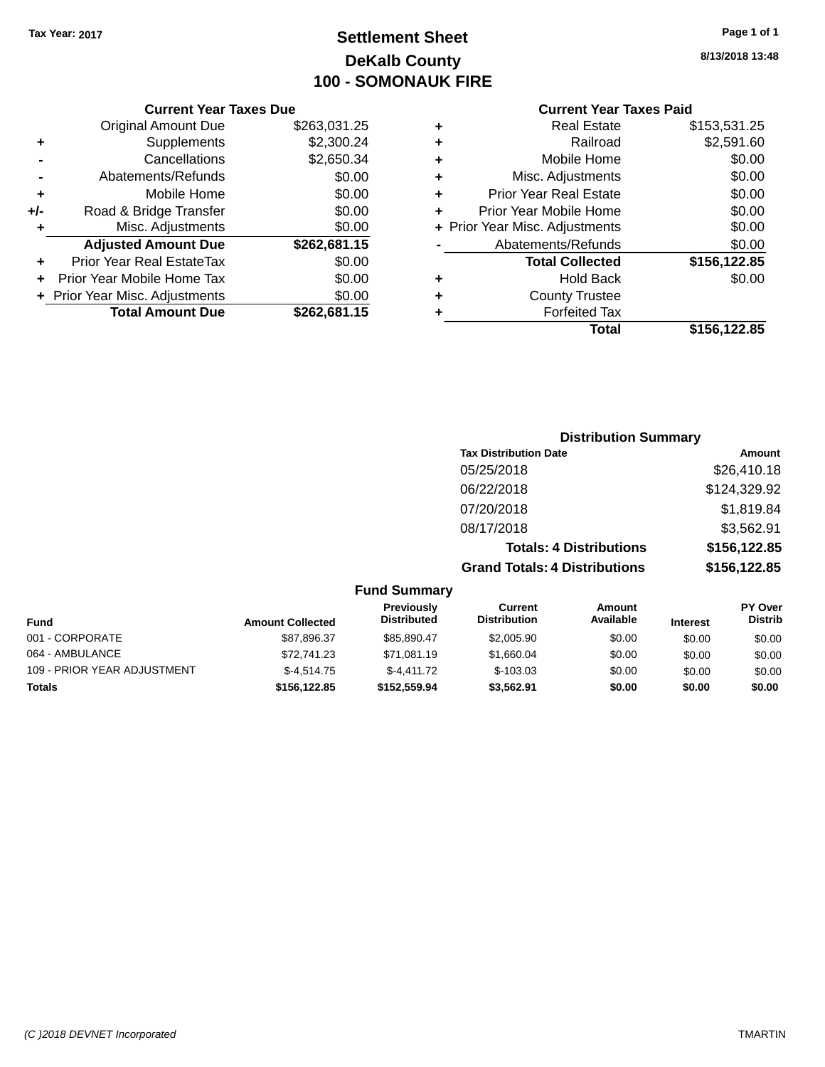### **Settlement Sheet Tax Year: 2017 Page 1 of 1 DeKalb County 100 - SOMONAUK FIRE**

**8/13/2018 13:48**

#### **Current Year Taxes Paid**

|     | <b>Current Year Taxes Due</b>  |              |
|-----|--------------------------------|--------------|
|     | <b>Original Amount Due</b>     | \$263,031.25 |
| ٠   | Supplements                    | \$2,300.24   |
|     | Cancellations                  | \$2,650.34   |
| -   | Abatements/Refunds             | \$0.00       |
| ٠   | Mobile Home                    | \$0.00       |
| +/- | Road & Bridge Transfer         | \$0.00       |
| ٠   | Misc. Adjustments              | \$0.00       |
|     | <b>Adjusted Amount Due</b>     | \$262,681.15 |
| ٠   | Prior Year Real EstateTax      | \$0.00       |
|     | Prior Year Mobile Home Tax     | \$0.00       |
|     | + Prior Year Misc. Adjustments | \$0.00       |
|     | <b>Total Amount Due</b>        | \$262,681.15 |
|     |                                |              |

| ٠ | <b>Real Estate</b>             | \$153,531.25 |
|---|--------------------------------|--------------|
| ٠ | Railroad                       | \$2,591.60   |
| ٠ | Mobile Home                    | \$0.00       |
| ٠ | Misc. Adjustments              | \$0.00       |
| ٠ | <b>Prior Year Real Estate</b>  | \$0.00       |
| ÷ | Prior Year Mobile Home         | \$0.00       |
|   | + Prior Year Misc. Adjustments | \$0.00       |
|   | Abatements/Refunds             | \$0.00       |
|   | <b>Total Collected</b>         | \$156,122.85 |
| ٠ | <b>Hold Back</b>               | \$0.00       |
|   | <b>County Trustee</b>          |              |
| ٠ | <b>Forfeited Tax</b>           |              |
|   | Total                          | \$156,122.85 |
|   |                                |              |

### **Distribution Summary Tax Distribution Date Amount** 05/25/2018 \$26,410.18 06/22/2018 \$124,329.92 07/20/2018 \$1,819.84 08/17/2018 \$3,562.91 **Totals: 4 Distributions \$156,122.85 Grand Totals: 4 Distributions \$156,122.85**

|  | Fund Summary |  |
|--|--------------|--|
|--|--------------|--|

| <b>Fund</b>                 | <b>Amount Collected</b> | Previously<br><b>Distributed</b> | <b>Current</b><br><b>Distribution</b> | Amount<br>Available | <b>Interest</b> | <b>PY Over</b><br><b>Distrib</b> |
|-----------------------------|-------------------------|----------------------------------|---------------------------------------|---------------------|-----------------|----------------------------------|
| 001 - CORPORATE             | \$87,896.37             | \$85.890.47                      | \$2,005.90                            | \$0.00              | \$0.00          | \$0.00                           |
| 064 - AMBULANCE             | \$72,741.23             | \$71,081.19                      | \$1.660.04                            | \$0.00              | \$0.00          | \$0.00                           |
| 109 - PRIOR YEAR ADJUSTMENT | $$-4.514.75$            | $$-4.411.72$                     | $$-103.03$                            | \$0.00              | \$0.00          | \$0.00                           |
| <b>Totals</b>               | \$156,122.85            | \$152,559.94                     | \$3.562.91                            | \$0.00              | \$0.00          | \$0.00                           |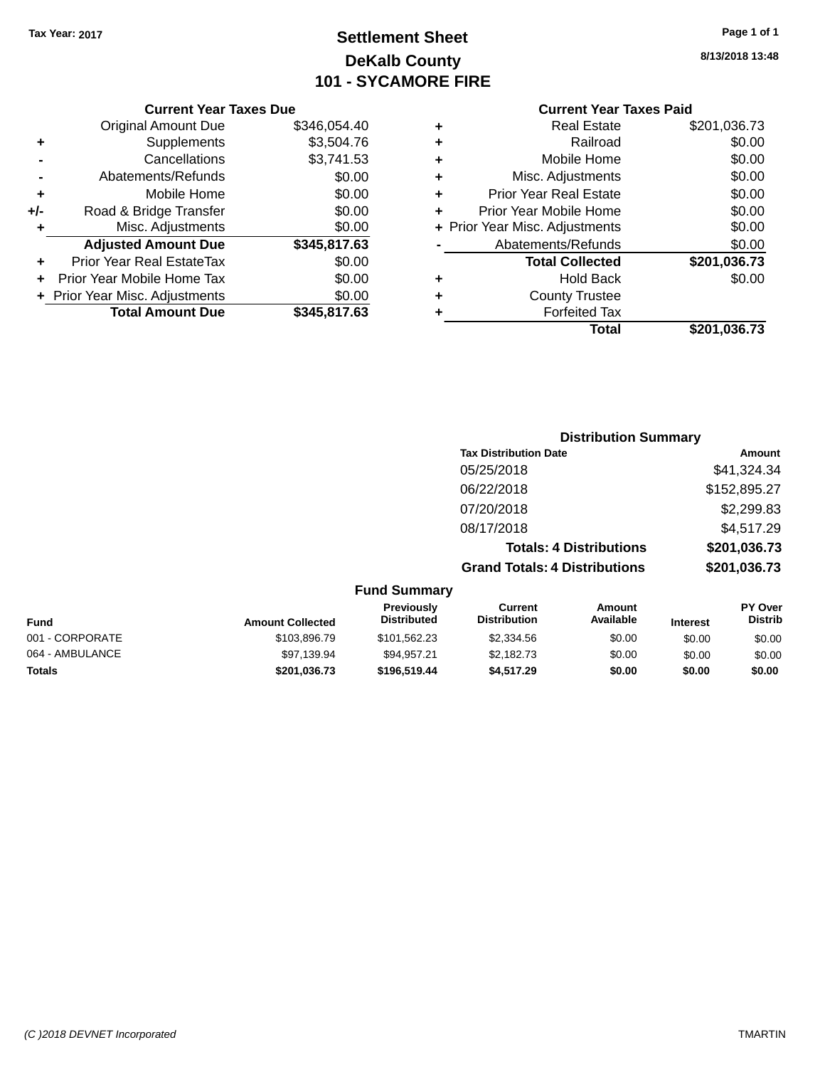### **Settlement Sheet Tax Year: 2017 Page 1 of 1 DeKalb County 101 - SYCAMORE FIRE**

#### **Current Year Taxes Due**

|       | <b>Original Amount Due</b>     | \$346,054.40 |
|-------|--------------------------------|--------------|
| ٠     | Supplements                    | \$3,504.76   |
|       | Cancellations                  | \$3,741.53   |
|       | Abatements/Refunds             | \$0.00       |
| ٠     | Mobile Home                    | \$0.00       |
| $+/-$ | Road & Bridge Transfer         | \$0.00       |
| ٠     | Misc. Adjustments              | \$0.00       |
|       | <b>Adjusted Amount Due</b>     | \$345,817.63 |
|       | Prior Year Real EstateTax      | \$0.00       |
|       | Prior Year Mobile Home Tax     | \$0.00       |
|       | + Prior Year Misc. Adjustments | \$0.00       |
|       | <b>Total Amount Due</b>        | \$345,817.63 |

#### **Current Year Taxes Paid**

|   | <b>Real Estate</b>             | \$201,036.73 |
|---|--------------------------------|--------------|
| ٠ | Railroad                       | \$0.00       |
| ٠ | Mobile Home                    | \$0.00       |
| ٠ | Misc. Adjustments              | \$0.00       |
| ٠ | <b>Prior Year Real Estate</b>  | \$0.00       |
| ٠ | Prior Year Mobile Home         | \$0.00       |
|   | + Prior Year Misc. Adjustments | \$0.00       |
|   | Abatements/Refunds             | \$0.00       |
|   | <b>Total Collected</b>         | \$201,036.73 |
| ٠ | Hold Back                      | \$0.00       |
| ٠ | <b>County Trustee</b>          |              |
| ٠ | <b>Forfeited Tax</b>           |              |
|   | Total                          | \$201,036.73 |
|   |                                |              |

### **Distribution Summary Tax Distribution Date Amount** 05/25/2018 \$41,324.34 06/22/2018 \$152,895.27 07/20/2018 \$2,299.83 08/17/2018 \$4,517.29 **Totals: 4 Distributions \$201,036.73 Grand Totals: 4 Distributions \$201,036.73**

**Fund Summary Fund Interest Amount Collected Distributed PY Over Distrib Amount Available Current Distribution Previously** 001 - CORPORATE \$103,896.79 \$101,562.23 \$2,334.56 \$0.00 \$0.00 \$0.00 064 - AMBULANCE 6 \$97,139.94 \$99,957.21 \$2,182.73 \$0.00 \$0.00 \$0.00 \$0.00 **Totals \$201,036.73 \$196,519.44 \$4,517.29 \$0.00 \$0.00 \$0.00**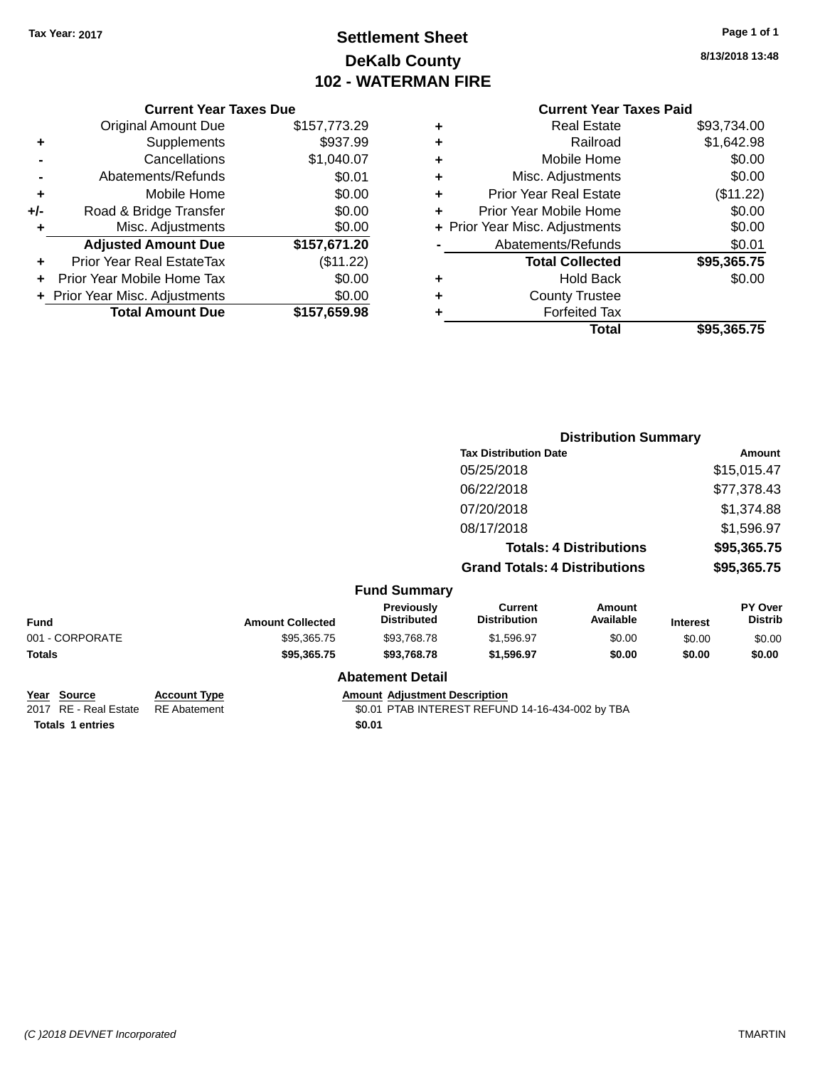### **Settlement Sheet Tax Year: 2017 Page 1 of 1 DeKalb County 102 - WATERMAN FIRE**

**8/13/2018 13:48**

### **Current Year Taxes Paid**

|     | <b>Current Year Taxes Due</b>  |              |
|-----|--------------------------------|--------------|
|     | <b>Original Amount Due</b>     | \$157,773.29 |
| ٠   | Supplements                    | \$937.99     |
|     | Cancellations                  | \$1,040.07   |
|     | Abatements/Refunds             | \$0.01       |
| ٠   | Mobile Home                    | \$0.00       |
| +/- | Road & Bridge Transfer         | \$0.00       |
| ٠   | Misc. Adjustments              | \$0.00       |
|     | <b>Adjusted Amount Due</b>     | \$157,671.20 |
|     | Prior Year Real EstateTax      | (\$11.22)    |
|     | Prior Year Mobile Home Tax     | \$0.00       |
|     | + Prior Year Misc. Adjustments | \$0.00       |
|     | <b>Total Amount Due</b>        | \$157,659.98 |
|     |                                |              |

|   | Total                          | \$95,365.75 |
|---|--------------------------------|-------------|
| ٠ | <b>Forfeited Tax</b>           |             |
| ٠ | <b>County Trustee</b>          |             |
| ٠ | <b>Hold Back</b>               | \$0.00      |
|   | <b>Total Collected</b>         | \$95,365.75 |
|   | Abatements/Refunds             | \$0.01      |
|   | + Prior Year Misc. Adjustments | \$0.00      |
| ٠ | Prior Year Mobile Home         | \$0.00      |
| ÷ | <b>Prior Year Real Estate</b>  | (\$11.22)   |
| ٠ | Misc. Adjustments              | \$0.00      |
| ٠ | Mobile Home                    | \$0.00      |
| ٠ | Railroad                       | \$1,642.98  |
| ٠ | Real Estate                    | \$93.734.00 |
|   |                                |             |

|                 |                         |                                  | <b>Distribution Summary</b>           |                                |                 |                           |
|-----------------|-------------------------|----------------------------------|---------------------------------------|--------------------------------|-----------------|---------------------------|
|                 |                         |                                  | <b>Tax Distribution Date</b>          |                                |                 | Amount                    |
|                 |                         |                                  | 05/25/2018                            |                                |                 | \$15,015.47               |
|                 |                         |                                  | 06/22/2018                            |                                |                 | \$77,378.43               |
|                 |                         |                                  | 07/20/2018                            |                                |                 | \$1,374.88                |
|                 |                         |                                  | 08/17/2018                            |                                |                 | \$1,596.97                |
|                 |                         |                                  |                                       | <b>Totals: 4 Distributions</b> |                 | \$95,365.75               |
|                 |                         |                                  | <b>Grand Totals: 4 Distributions</b>  |                                |                 | \$95,365.75               |
|                 |                         | <b>Fund Summary</b>              |                                       |                                |                 |                           |
| <b>Fund</b>     | <b>Amount Collected</b> | Previously<br><b>Distributed</b> | <b>Current</b><br><b>Distribution</b> | <b>Amount</b><br>Available     | <b>Interest</b> | PY Over<br><b>Distrib</b> |
| 001 - CORPORATE | \$95,365.75             | \$93,768.78                      | \$1,596.97                            | \$0.00                         | \$0.00          | \$0.00                    |
| Totals          | \$95,365.75             | \$93,768.78                      | \$1,596.97                            | \$0.00                         | \$0.00          | \$0.00                    |
|                 |                         | <b>Abatement Detail</b>          |                                       |                                |                 |                           |
|                 |                         |                                  |                                       |                                |                 |                           |

**Year Source Account Type Amount Adjustment Description**<br>2017 RE - Real Estate RE Abatement **Amount 1998** 1999 **Amount 1999** 1999 **Amount 1999** 

**Totals 1 entries** \$0.01

 $$0.01$  PTAB INTEREST REFUND 14-16-434-002 by TBA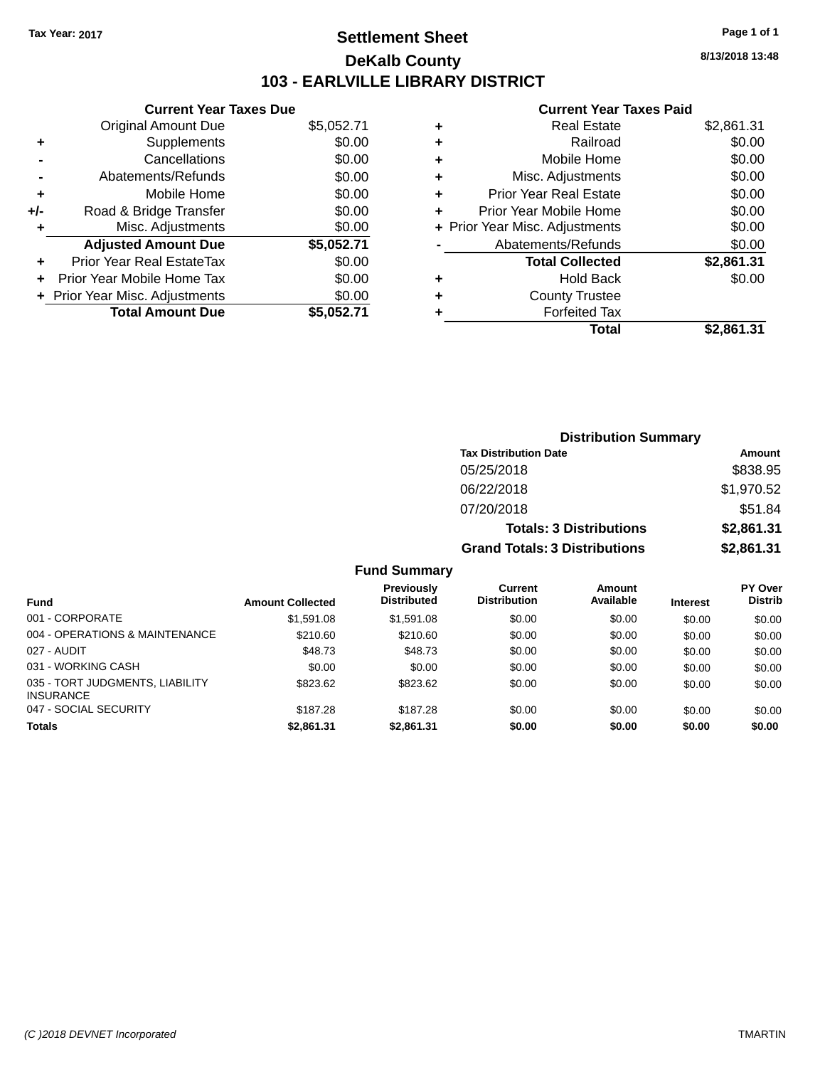### **Settlement Sheet Tax Year: 2017 Page 1 of 1 DeKalb County 103 - EARLVILLE LIBRARY DISTRICT**

**8/13/2018 13:48**

#### **Current Year Taxes Paid**

|       | <b>Current Year Taxes Due</b>  |            |
|-------|--------------------------------|------------|
|       | <b>Original Amount Due</b>     | \$5,052.71 |
| ٠     | Supplements                    | \$0.00     |
|       | Cancellations                  | \$0.00     |
|       | Abatements/Refunds             | \$0.00     |
| ÷     | Mobile Home                    | \$0.00     |
| $+/-$ | Road & Bridge Transfer         | \$0.00     |
|       | Misc. Adjustments              | \$0.00     |
|       | <b>Adjusted Amount Due</b>     | \$5,052.71 |
| ÷     | Prior Year Real EstateTax      | \$0.00     |
|       | Prior Year Mobile Home Tax     | \$0.00     |
|       | + Prior Year Misc. Adjustments | \$0.00     |
|       | <b>Total Amount Due</b>        | \$5.052.71 |
|       |                                |            |

|   | <b>Real Estate</b>             | \$2,861.31 |
|---|--------------------------------|------------|
| ٠ | Railroad                       | \$0.00     |
| ٠ | Mobile Home                    | \$0.00     |
| ٠ | Misc. Adjustments              | \$0.00     |
| ٠ | <b>Prior Year Real Estate</b>  | \$0.00     |
| ٠ | Prior Year Mobile Home         | \$0.00     |
|   | + Prior Year Misc. Adjustments | \$0.00     |
|   | Abatements/Refunds             | \$0.00     |
|   | <b>Total Collected</b>         | \$2,861.31 |
| ٠ | <b>Hold Back</b>               | \$0.00     |
| ٠ | <b>County Trustee</b>          |            |
| ٠ | <b>Forfeited Tax</b>           |            |
|   | <b>Total</b>                   | \$2,861.31 |
|   |                                |            |

| <b>Distribution Summary</b>          |            |  |  |
|--------------------------------------|------------|--|--|
| <b>Tax Distribution Date</b>         | Amount     |  |  |
| 05/25/2018                           | \$838.95   |  |  |
| 06/22/2018                           | \$1,970.52 |  |  |
| 07/20/2018                           | \$51.84    |  |  |
| <b>Totals: 3 Distributions</b>       | \$2,861.31 |  |  |
| <b>Grand Totals: 3 Distributions</b> | \$2,861.31 |  |  |

#### **Fund Summary**

|                                                     |                         | <b>Previously</b>  | <b>Current</b>      | <b>Amount</b> |                 | <b>PY Over</b> |
|-----------------------------------------------------|-------------------------|--------------------|---------------------|---------------|-----------------|----------------|
| <b>Fund</b>                                         | <b>Amount Collected</b> | <b>Distributed</b> | <b>Distribution</b> | Available     | <b>Interest</b> | <b>Distrib</b> |
| 001 - CORPORATE                                     | \$1,591.08              | \$1.591.08         | \$0.00              | \$0.00        | \$0.00          | \$0.00         |
| 004 - OPERATIONS & MAINTENANCE                      | \$210.60                | \$210.60           | \$0.00              | \$0.00        | \$0.00          | \$0.00         |
| 027 - AUDIT                                         | \$48.73                 | \$48.73            | \$0.00              | \$0.00        | \$0.00          | \$0.00         |
| 031 - WORKING CASH                                  | \$0.00                  | \$0.00             | \$0.00              | \$0.00        | \$0.00          | \$0.00         |
| 035 - TORT JUDGMENTS, LIABILITY<br><b>INSURANCE</b> | \$823.62                | \$823.62           | \$0.00              | \$0.00        | \$0.00          | \$0.00         |
| 047 - SOCIAL SECURITY                               | \$187.28                | \$187.28           | \$0.00              | \$0.00        | \$0.00          | \$0.00         |
| <b>Totals</b>                                       | \$2,861.31              | \$2,861.31         | \$0.00              | \$0.00        | \$0.00          | \$0.00         |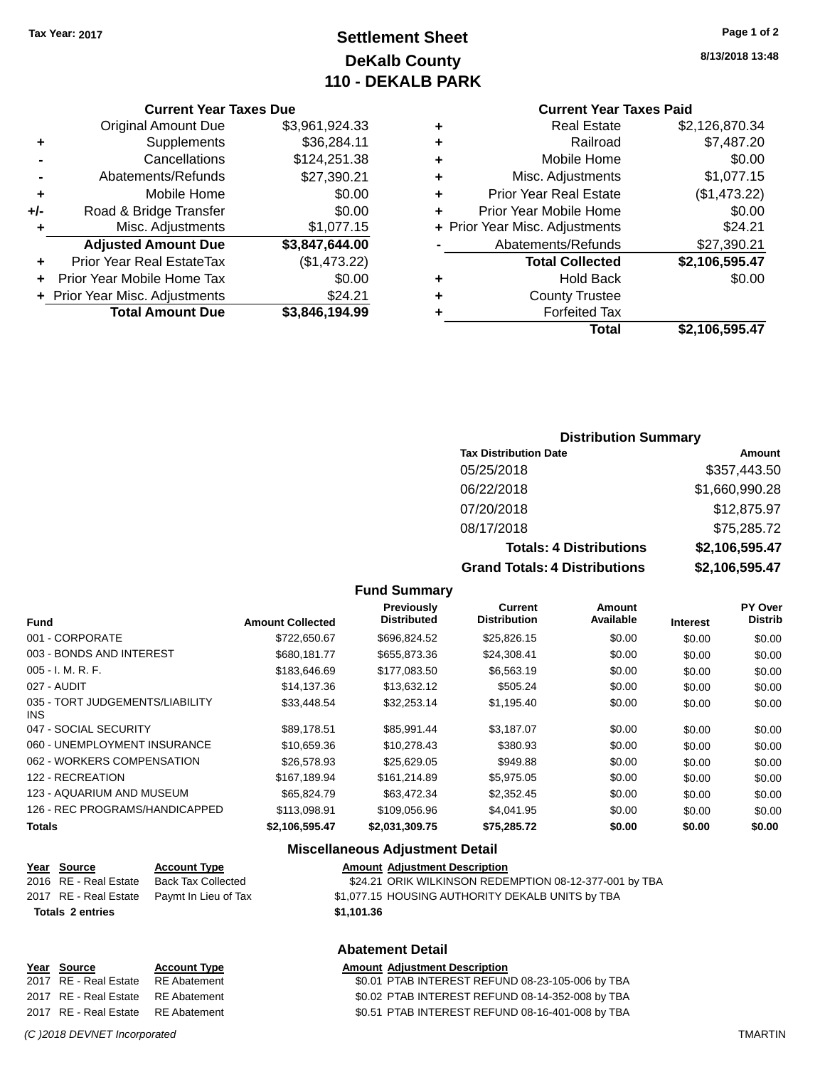### **Settlement Sheet Tax Year: 2017 Page 1 of 2 DeKalb County 110 - DEKALB PARK**

#### **Current Year Taxes Due**

|     | <b>Original Amount Due</b>     | \$3,961,924.33 |
|-----|--------------------------------|----------------|
| ٠   | Supplements                    | \$36,284.11    |
|     | Cancellations                  | \$124,251.38   |
|     | Abatements/Refunds             | \$27,390.21    |
| ٠   | Mobile Home                    | \$0.00         |
| +/- | Road & Bridge Transfer         | \$0.00         |
| ٠   | Misc. Adjustments              | \$1,077.15     |
|     | <b>Adjusted Amount Due</b>     | \$3,847,644.00 |
|     | Prior Year Real EstateTax      | (\$1,473.22)   |
|     | Prior Year Mobile Home Tax     | \$0.00         |
|     | + Prior Year Misc. Adjustments | \$24.21        |
|     | <b>Total Amount Due</b>        | \$3.846.194.99 |

#### **8/13/2018 13:48**

# **Current Year Taxes Paid**

|   | <b>Total</b>                   | \$2,106,595.47 |
|---|--------------------------------|----------------|
| ٠ | <b>Forfeited Tax</b>           |                |
| ٠ | <b>County Trustee</b>          |                |
| ٠ | <b>Hold Back</b>               | \$0.00         |
|   | <b>Total Collected</b>         | \$2,106,595.47 |
|   | Abatements/Refunds             | \$27,390.21    |
|   | + Prior Year Misc. Adjustments | \$24.21        |
| ٠ | Prior Year Mobile Home         | \$0.00         |
| ٠ | <b>Prior Year Real Estate</b>  | (\$1,473.22)   |
| ٠ | Misc. Adjustments              | \$1,077.15     |
| ٠ | Mobile Home                    | \$0.00         |
| ٠ | Railroad                       | \$7,487.20     |
| ٠ | <b>Real Estate</b>             | \$2,126,870.34 |

#### **Distribution Summary**

| <b>Tax Distribution Date</b>         | Amount         |
|--------------------------------------|----------------|
| 05/25/2018                           | \$357,443.50   |
| 06/22/2018                           | \$1,660,990.28 |
| 07/20/2018                           | \$12,875.97    |
| 08/17/2018                           | \$75,285.72    |
| <b>Totals: 4 Distributions</b>       | \$2,106,595.47 |
| <b>Grand Totals: 4 Distributions</b> | \$2,106,595.47 |

#### **Fund Summary**

| <b>Fund</b>                                   | <b>Amount Collected</b> | Previously<br><b>Distributed</b> | Current<br><b>Distribution</b> | Amount<br>Available | <b>Interest</b> | PY Over<br><b>Distrib</b> |
|-----------------------------------------------|-------------------------|----------------------------------|--------------------------------|---------------------|-----------------|---------------------------|
| 001 - CORPORATE                               | \$722,650.67            | \$696,824.52                     | \$25,826.15                    | \$0.00              | \$0.00          | \$0.00                    |
| 003 - BONDS AND INTEREST                      | \$680,181.77            | \$655,873.36                     | \$24,308.41                    | \$0.00              | \$0.00          | \$0.00                    |
| $005 - I. M. R. F.$                           | \$183,646.69            | \$177,083.50                     | \$6,563.19                     | \$0.00              | \$0.00          | \$0.00                    |
| 027 - AUDIT                                   | \$14,137.36             | \$13,632.12                      | \$505.24                       | \$0.00              | \$0.00          | \$0.00                    |
| 035 - TORT JUDGEMENTS/LIABILITY<br><b>INS</b> | \$33,448.54             | \$32,253.14                      | \$1,195.40                     | \$0.00              | \$0.00          | \$0.00                    |
| 047 - SOCIAL SECURITY                         | \$89.178.51             | \$85.991.44                      | \$3,187.07                     | \$0.00              | \$0.00          | \$0.00                    |
| 060 - UNEMPLOYMENT INSURANCE                  | \$10.659.36             | \$10.278.43                      | \$380.93                       | \$0.00              | \$0.00          | \$0.00                    |
| 062 - WORKERS COMPENSATION                    | \$26,578.93             | \$25,629.05                      | \$949.88                       | \$0.00              | \$0.00          | \$0.00                    |
| 122 - RECREATION                              | \$167.189.94            | \$161.214.89                     | \$5,975.05                     | \$0.00              | \$0.00          | \$0.00                    |
| 123 - AQUARIUM AND MUSEUM                     | \$65,824.79             | \$63.472.34                      | \$2,352.45                     | \$0.00              | \$0.00          | \$0.00                    |
| 126 - REC PROGRAMS/HANDICAPPED                | \$113.098.91            | \$109,056.96                     | \$4,041.95                     | \$0.00              | \$0.00          | \$0.00                    |
| <b>Totals</b>                                 | \$2,106,595.47          | \$2,031,309.75                   | \$75,285.72                    | \$0.00              | \$0.00          | \$0.00                    |

#### **Miscellaneous Adjustment Detail**

|                         | Year Source           | <b>Account Type</b>                        |            | <b>Amount Adjustment Description</b>                   |
|-------------------------|-----------------------|--------------------------------------------|------------|--------------------------------------------------------|
|                         | 2016 RE - Real Estate | Back Tax Collected                         |            | \$24.21 ORIK WILKINSON REDEMPTION 08-12-377-001 by TBA |
|                         |                       | 2017 RE - Real Estate Paymt In Lieu of Tax |            | \$1,077.15 HOUSING AUTHORITY DEKALB UNITS by TBA       |
| <b>Totals 2 entries</b> |                       |                                            | \$1.101.36 |                                                        |

#### **Abatement Detail**

| Year Source                        | <b>Account Type</b> | <b>Amount Adjustment Description</b>             |
|------------------------------------|---------------------|--------------------------------------------------|
| 2017 RE - Real Estate RE Abatement |                     | \$0.01 PTAB INTEREST REFUND 08-23-105-006 by TBA |
| 2017 RE - Real Estate RE Abatement |                     | \$0.02 PTAB INTEREST REFUND 08-14-352-008 by TBA |
| 2017 RE - Real Estate RE Abatement |                     | \$0.51 PTAB INTEREST REFUND 08-16-401-008 by TBA |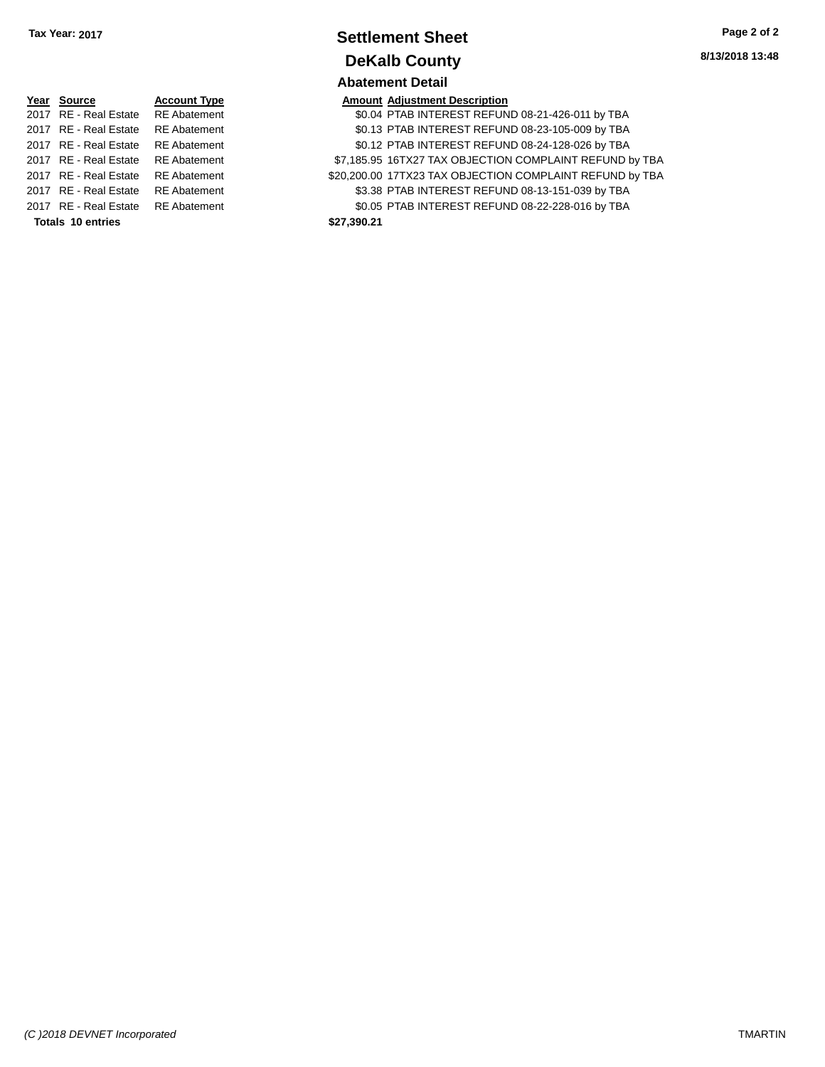| Tax Year: 2017 | <b>Settlement Sheet</b> | Page 2 of 2     |
|----------------|-------------------------|-----------------|
|                | <b>DeKalb County</b>    | 8/13/2018 13:48 |
|                | <b>Abatement Detail</b> |                 |

|                          | Year Source           | <b>Account Typ</b> |  |  |  |
|--------------------------|-----------------------|--------------------|--|--|--|
|                          | 2017 RE - Real Estate | <b>RE</b> Abateme  |  |  |  |
|                          | 2017 RE - Real Estate | <b>RE</b> Abateme  |  |  |  |
|                          | 2017 RE - Real Estate | <b>RE</b> Abateme  |  |  |  |
|                          | 2017 RE - Real Estate | <b>RE Abateme</b>  |  |  |  |
|                          | 2017 RE - Real Estate | <b>RE Abateme</b>  |  |  |  |
|                          | 2017 RE - Real Estate | <b>RE</b> Abateme  |  |  |  |
|                          | 2017 RE - Real Estate | <b>RE</b> Abateme  |  |  |  |
| <b>Totals 10 entries</b> |                       |                    |  |  |  |

|                          | Year Source                        | <b>Account Type</b> |             | <b>Amount Adjustment Description</b>                     |
|--------------------------|------------------------------------|---------------------|-------------|----------------------------------------------------------|
|                          | 2017 RE - Real Estate              | <b>RE Abatement</b> |             | \$0.04 PTAB INTEREST REFUND 08-21-426-011 by TBA         |
|                          | 2017 RE - Real Estate              | <b>RE</b> Abatement |             | \$0.13 PTAB INTEREST REFUND 08-23-105-009 by TBA         |
|                          | 2017 RE - Real Estate              | <b>RE</b> Abatement |             | \$0.12 PTAB INTEREST REFUND 08-24-128-026 by TBA         |
|                          | 2017 RE - Real Estate              | RE Abatement        |             | \$7,185.95 16TX27 TAX OBJECTION COMPLAINT REFUND by TBA  |
|                          | 2017 RE - Real Estate              | <b>RE Abatement</b> |             | \$20,200.00 17TX23 TAX OBJECTION COMPLAINT REFUND by TBA |
|                          | 2017 RE - Real Estate              | <b>RE</b> Abatement |             | \$3.38 PTAB INTEREST REFUND 08-13-151-039 by TBA         |
|                          | 2017 RE - Real Estate RE Abatement |                     |             | \$0.05 PTAB INTEREST REFUND 08-22-228-016 by TBA         |
| <b>Totals 10 entries</b> |                                    |                     | \$27.390.21 |                                                          |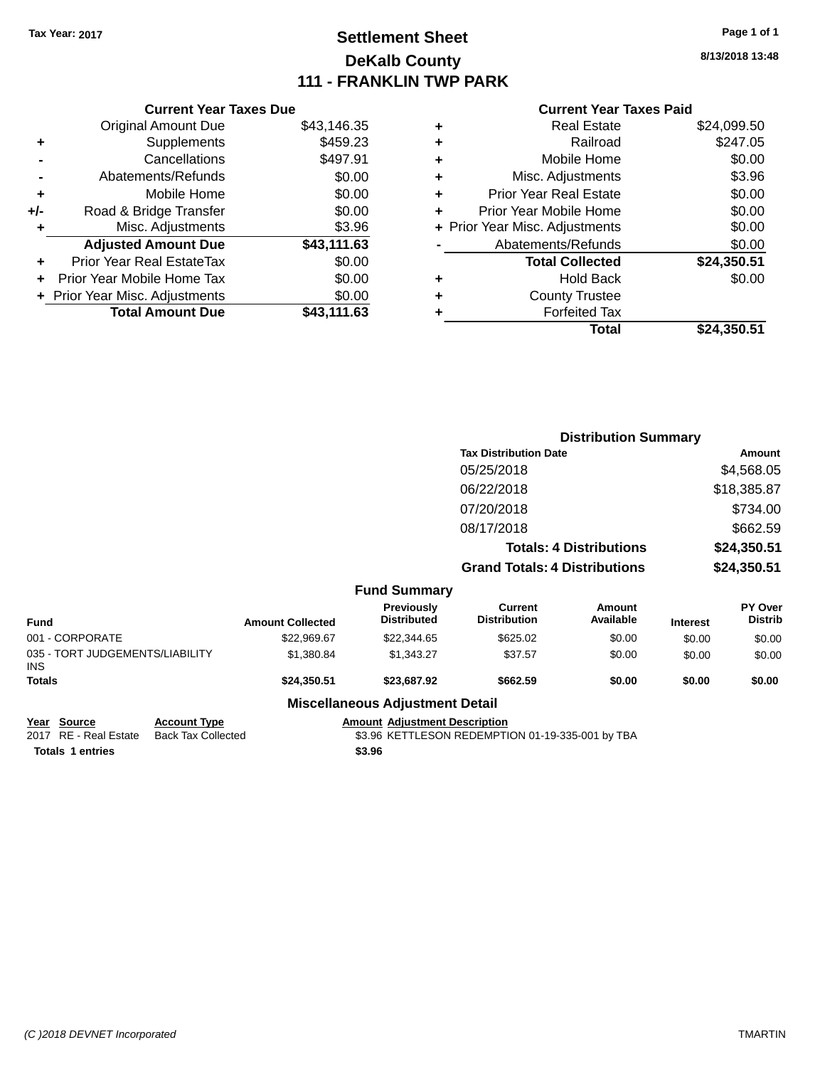### **Settlement Sheet Tax Year: 2017 Page 1 of 1 DeKalb County 111 - FRANKLIN TWP PARK**

**8/13/2018 13:48**

| <b>Current Year Taxes Paid</b> |
|--------------------------------|
|--------------------------------|

| <b>Current Year Taxes Due</b>  |             |
|--------------------------------|-------------|
| <b>Original Amount Due</b>     | \$43,146.35 |
| Supplements                    | \$459.23    |
| Cancellations                  | \$497.91    |
| Abatements/Refunds             | \$0.00      |
| Mobile Home                    | \$0.00      |
| Road & Bridge Transfer         | \$0.00      |
| Misc. Adjustments              | \$3.96      |
| <b>Adjusted Amount Due</b>     | \$43,111.63 |
| Prior Year Real EstateTax      | \$0.00      |
| Prior Year Mobile Home Tax     | \$0.00      |
| + Prior Year Misc. Adjustments | \$0.00      |
| <b>Total Amount Due</b>        | \$43.111.63 |
|                                |             |

|   | <b>Real Estate</b>             | \$24,099.50 |
|---|--------------------------------|-------------|
| ٠ | Railroad                       | \$247.05    |
| ٠ | Mobile Home                    | \$0.00      |
| ٠ | Misc. Adjustments              | \$3.96      |
| ٠ | <b>Prior Year Real Estate</b>  | \$0.00      |
| ÷ | Prior Year Mobile Home         | \$0.00      |
|   | + Prior Year Misc. Adjustments | \$0.00      |
|   | Abatements/Refunds             | \$0.00      |
|   | <b>Total Collected</b>         | \$24,350.51 |
| ٠ | <b>Hold Back</b>               | \$0.00      |
| ٠ | <b>County Trustee</b>          |             |
| ٠ | <b>Forfeited Tax</b>           |             |
|   | Total                          | \$24,350.51 |
|   |                                |             |

|                                         |                         |                                        | <b>Distribution Summary</b>           |                     |                 |                           |
|-----------------------------------------|-------------------------|----------------------------------------|---------------------------------------|---------------------|-----------------|---------------------------|
|                                         |                         |                                        | <b>Tax Distribution Date</b>          |                     |                 | Amount                    |
|                                         |                         |                                        | 05/25/2018                            |                     |                 | \$4,568.05                |
|                                         |                         |                                        | 06/22/2018                            |                     |                 | \$18,385.87               |
|                                         |                         |                                        | 07/20/2018                            |                     |                 | \$734.00                  |
|                                         |                         |                                        | 08/17/2018                            |                     |                 | \$662.59                  |
|                                         |                         |                                        | <b>Totals: 4 Distributions</b>        |                     | \$24,350.51     |                           |
|                                         |                         |                                        | <b>Grand Totals: 4 Distributions</b>  |                     |                 | \$24,350.51               |
|                                         |                         | <b>Fund Summary</b>                    |                                       |                     |                 |                           |
| <b>Fund</b>                             | <b>Amount Collected</b> | Previously<br><b>Distributed</b>       | <b>Current</b><br><b>Distribution</b> | Amount<br>Available | <b>Interest</b> | PY Over<br><b>Distrib</b> |
| 001 - CORPORATE                         | \$22,969.67             | \$22,344.65                            | \$625.02                              | \$0.00              | \$0.00          | \$0.00                    |
| 035 - TORT JUDGEMENTS/LIABILITY<br>INS. | \$1,380.84              | \$1,343.27                             | \$37.57                               | \$0.00              | \$0.00          | \$0.00                    |
| Totals                                  | \$24,350.51             | \$23,687.92                            | \$662.59                              | \$0.00              | \$0.00          | \$0.00                    |
|                                         |                         | <b>Miscellaneous Adjustment Detail</b> |                                       |                     |                 |                           |

**Totals \$3.96 1 entries**

**Year Source Account Type Anneurs Adjustment Description**<br>2017 RE - Real Estate Back Tax Collected \$3.96 KETTLESON REDEMPTI \$3.96 KETTLESON REDEMPTION 01-19-335-001 by TBA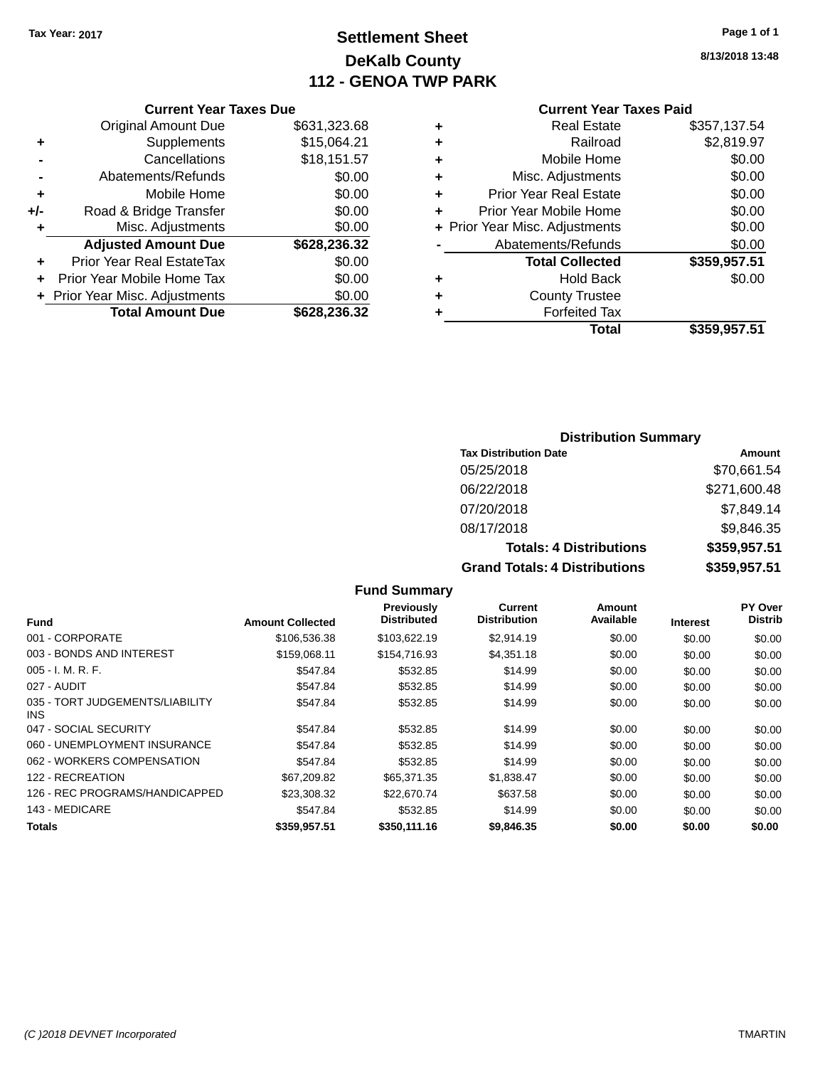### **Settlement Sheet Tax Year: 2017 Page 1 of 1 DeKalb County 112 - GENOA TWP PARK**

**8/13/2018 13:48**

#### **Current Year Taxes Paid**

|     | <b>Current Year Taxes Due</b> |              |
|-----|-------------------------------|--------------|
|     | <b>Original Amount Due</b>    | \$631,323.68 |
| ٠   | Supplements                   | \$15,064.21  |
|     | Cancellations                 | \$18,151.57  |
|     | Abatements/Refunds            | \$0.00       |
| ٠   | Mobile Home                   | \$0.00       |
| +/- | Road & Bridge Transfer        | \$0.00       |
| ٠   | Misc. Adjustments             | \$0.00       |
|     | <b>Adjusted Amount Due</b>    | \$628,236.32 |
| ٠   | Prior Year Real EstateTax     | \$0.00       |
| ÷   | Prior Year Mobile Home Tax    | \$0.00       |
|     | Prior Year Misc. Adjustments  | \$0.00       |
|     | <b>Total Amount Due</b>       | \$628,236.32 |
|     |                               |              |

| ٠ | <b>Real Estate</b>             | \$357,137.54 |
|---|--------------------------------|--------------|
| ٠ | Railroad                       | \$2,819.97   |
| ٠ | Mobile Home                    | \$0.00       |
| ٠ | Misc. Adjustments              | \$0.00       |
| ٠ | <b>Prior Year Real Estate</b>  | \$0.00       |
| ÷ | Prior Year Mobile Home         | \$0.00       |
|   | + Prior Year Misc. Adjustments | \$0.00       |
|   | Abatements/Refunds             | \$0.00       |
|   | <b>Total Collected</b>         | \$359,957.51 |
| ٠ | Hold Back                      | \$0.00       |
| ٠ | <b>County Trustee</b>          |              |
| ٠ | <b>Forfeited Tax</b>           |              |
|   | Total                          | \$359,957.51 |
|   |                                |              |

#### **Distribution Summary**

| <b>Tax Distribution Date</b>         | Amount       |
|--------------------------------------|--------------|
| 05/25/2018                           | \$70,661.54  |
| 06/22/2018                           | \$271,600.48 |
| 07/20/2018                           | \$7,849.14   |
| 08/17/2018                           | \$9,846.35   |
| <b>Totals: 4 Distributions</b>       | \$359,957.51 |
| <b>Grand Totals: 4 Distributions</b> | \$359,957.51 |

#### **Fund Summary**

|                                         |                         | Previously<br><b>Distributed</b> | Current<br><b>Distribution</b> | <b>Amount</b><br>Available |                 | PY Over<br><b>Distrib</b> |
|-----------------------------------------|-------------------------|----------------------------------|--------------------------------|----------------------------|-----------------|---------------------------|
| <b>Fund</b>                             | <b>Amount Collected</b> |                                  |                                |                            | <b>Interest</b> |                           |
| 001 - CORPORATE                         | \$106,536.38            | \$103,622.19                     | \$2.914.19                     | \$0.00                     | \$0.00          | \$0.00                    |
| 003 - BONDS AND INTEREST                | \$159,068.11            | \$154,716.93                     | \$4,351.18                     | \$0.00                     | \$0.00          | \$0.00                    |
| $005 - I. M. R. F.$                     | \$547.84                | \$532.85                         | \$14.99                        | \$0.00                     | \$0.00          | \$0.00                    |
| 027 - AUDIT                             | \$547.84                | \$532.85                         | \$14.99                        | \$0.00                     | \$0.00          | \$0.00                    |
| 035 - TORT JUDGEMENTS/LIABILITY<br>INS. | \$547.84                | \$532.85                         | \$14.99                        | \$0.00                     | \$0.00          | \$0.00                    |
| 047 - SOCIAL SECURITY                   | \$547.84                | \$532.85                         | \$14.99                        | \$0.00                     | \$0.00          | \$0.00                    |
| 060 - UNEMPLOYMENT INSURANCE            | \$547.84                | \$532.85                         | \$14.99                        | \$0.00                     | \$0.00          | \$0.00                    |
| 062 - WORKERS COMPENSATION              | \$547.84                | \$532.85                         | \$14.99                        | \$0.00                     | \$0.00          | \$0.00                    |
| 122 - RECREATION                        | \$67,209.82             | \$65,371,35                      | \$1,838.47                     | \$0.00                     | \$0.00          | \$0.00                    |
| 126 - REC PROGRAMS/HANDICAPPED          | \$23,308.32             | \$22,670.74                      | \$637.58                       | \$0.00                     | \$0.00          | \$0.00                    |
| 143 - MEDICARE                          | \$547.84                | \$532.85                         | \$14.99                        | \$0.00                     | \$0.00          | \$0.00                    |
| <b>Totals</b>                           | \$359,957.51            | \$350,111,16                     | \$9,846,35                     | \$0.00                     | \$0.00          | \$0.00                    |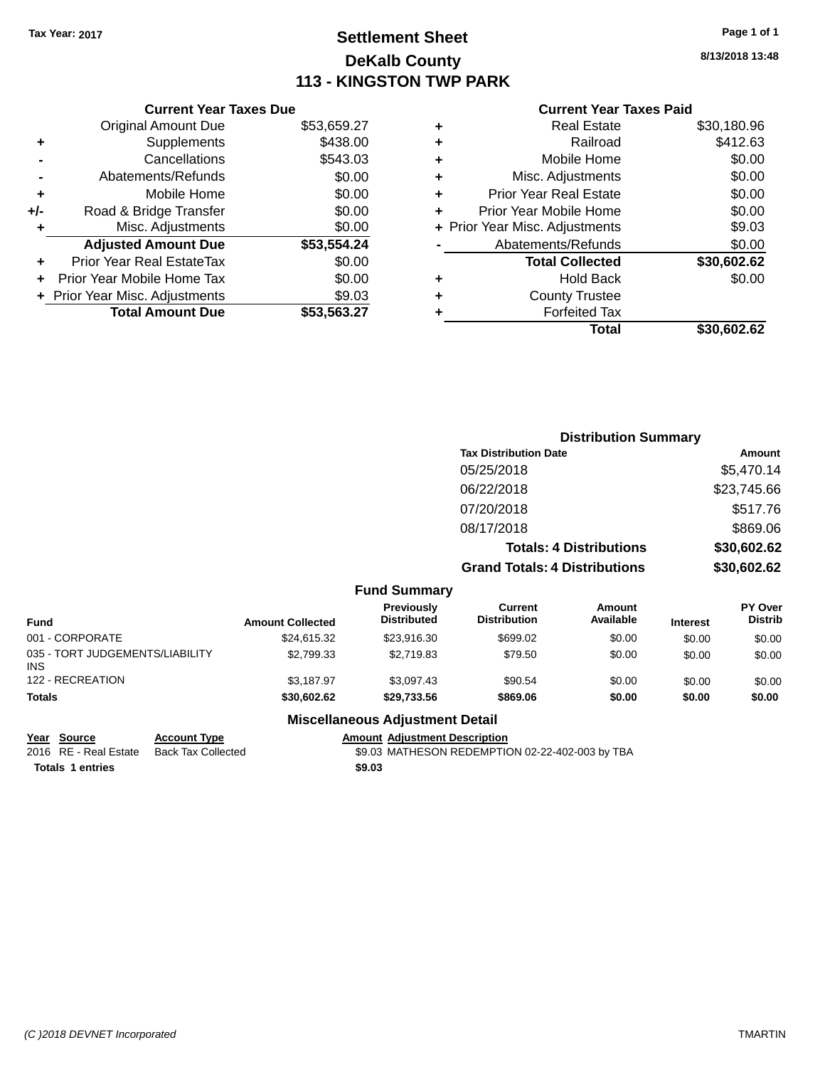### **Settlement Sheet Tax Year: 2017 Page 1 of 1 DeKalb County 113 - KINGSTON TWP PARK**

**8/13/2018 13:48**

#### **Current Year Taxes Paid**

|     | <b>Current Year Taxes Due</b>  |             |
|-----|--------------------------------|-------------|
|     | <b>Original Amount Due</b>     | \$53,659.27 |
| ٠   | Supplements                    | \$438.00    |
|     | Cancellations                  | \$543.03    |
|     | Abatements/Refunds             | \$0.00      |
| ٠   | Mobile Home                    | \$0.00      |
| +/- | Road & Bridge Transfer         | \$0.00      |
| ٠   | Misc. Adjustments              | \$0.00      |
|     | <b>Adjusted Amount Due</b>     | \$53,554.24 |
| ÷   | Prior Year Real EstateTax      | \$0.00      |
|     | Prior Year Mobile Home Tax     | \$0.00      |
|     | + Prior Year Misc. Adjustments | \$9.03      |
|     | <b>Total Amount Due</b>        | \$53.563.27 |

|   | <b>Real Estate</b>             | \$30,180.96 |
|---|--------------------------------|-------------|
| ٠ | Railroad                       | \$412.63    |
| ٠ | Mobile Home                    | \$0.00      |
| ٠ | Misc. Adjustments              | \$0.00      |
| ٠ | <b>Prior Year Real Estate</b>  | \$0.00      |
| ÷ | Prior Year Mobile Home         | \$0.00      |
|   | + Prior Year Misc. Adjustments | \$9.03      |
|   | Abatements/Refunds             | \$0.00      |
|   | <b>Total Collected</b>         | \$30,602.62 |
| ٠ | <b>Hold Back</b>               | \$0.00      |
| ٠ | <b>County Trustee</b>          |             |
| ٠ | <b>Forfeited Tax</b>           |             |
|   | Total                          | \$30,602.62 |
|   |                                |             |

|                                               |                         |                                         |                                      | <b>Distribution Summary</b>    |                 |                           |
|-----------------------------------------------|-------------------------|-----------------------------------------|--------------------------------------|--------------------------------|-----------------|---------------------------|
|                                               |                         |                                         | <b>Tax Distribution Date</b>         |                                |                 | Amount                    |
|                                               |                         |                                         | 05/25/2018                           |                                |                 | \$5,470.14                |
|                                               |                         |                                         | 06/22/2018                           |                                |                 | \$23,745.66               |
|                                               |                         |                                         | 07/20/2018                           |                                |                 | \$517.76                  |
|                                               |                         |                                         | 08/17/2018                           |                                |                 | \$869.06                  |
|                                               |                         |                                         |                                      | <b>Totals: 4 Distributions</b> |                 | \$30,602.62               |
|                                               |                         |                                         | <b>Grand Totals: 4 Distributions</b> |                                |                 | \$30,602.62               |
|                                               |                         | <b>Fund Summary</b>                     |                                      |                                |                 |                           |
| <b>Fund</b>                                   | <b>Amount Collected</b> | <b>Previously</b><br><b>Distributed</b> | Current<br><b>Distribution</b>       | Amount<br>Available            | <b>Interest</b> | PY Over<br><b>Distrib</b> |
| 001 - CORPORATE                               | \$24,615.32             | \$23,916.30                             | \$699.02                             | \$0.00                         | \$0.00          | \$0.00                    |
| 035 - TORT JUDGEMENTS/LIABILITY<br><b>INS</b> | \$2,799.33              | \$2,719.83                              | \$79.50                              | \$0.00                         | \$0.00          | \$0.00                    |

#### **Totals \$30,602.62 \$29,733.56 \$869.06 \$0.00 \$0.00 \$0.00 Miscellaneous Adjustment Detail**

122 - RECREATION \$1,187.97 \$3,187.97 \$3,097.43 \$90.54 \$0.00 \$0.00 \$0.00 \$0.00

| Year Source         |
|---------------------|
| 2016 RE - Real Esta |

INS

**Totals \$9.03 1 entries**

**Year Account Type**<br>Back Tax Collected **Amount Adjustment Description**<br>\$9.03 MATHESON REDEMPTIC 2016 ate Back Tax Collected \$9.03 MATHESON REDEMPTION 02-22-402-003 by TBA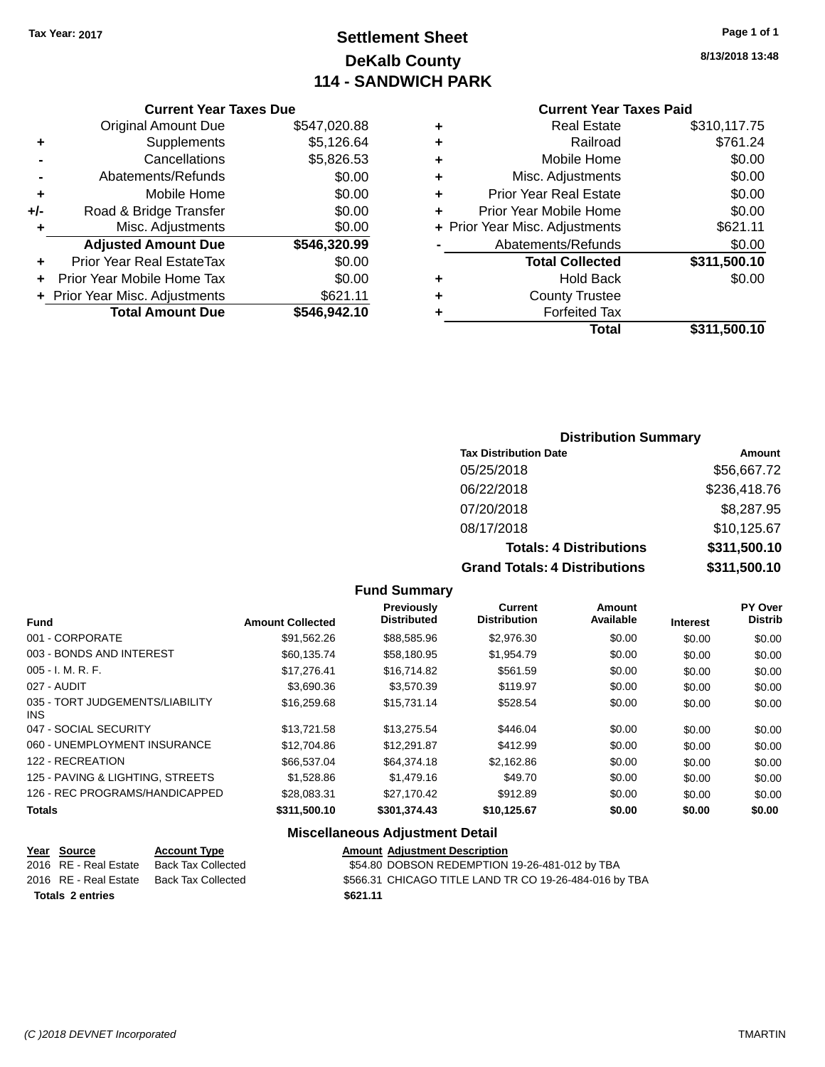### **Settlement Sheet Tax Year: 2017 Page 1 of 1 DeKalb County 114 - SANDWICH PARK**

**8/13/2018 13:48**

#### **Current Year Taxes Due**

|     | <b>Original Amount Due</b>     | \$547,020.88 |
|-----|--------------------------------|--------------|
| ٠   | Supplements                    | \$5,126.64   |
|     | Cancellations                  | \$5,826.53   |
|     | Abatements/Refunds             | \$0.00       |
| ٠   | Mobile Home                    | \$0.00       |
| +/- | Road & Bridge Transfer         | \$0.00       |
| ٠   | Misc. Adjustments              | \$0.00       |
|     | <b>Adjusted Amount Due</b>     | \$546,320.99 |
|     | Prior Year Real EstateTax      | \$0.00       |
|     | Prior Year Mobile Home Tax     | \$0.00       |
|     | + Prior Year Misc. Adjustments | \$621.11     |
|     | <b>Total Amount Due</b>        | \$546,942.10 |

#### **Current Year Taxes Paid**

|   | <b>Real Estate</b>             | \$310,117.75 |
|---|--------------------------------|--------------|
| ÷ | Railroad                       | \$761.24     |
| ÷ | Mobile Home                    | \$0.00       |
| ٠ | Misc. Adjustments              | \$0.00       |
| ٠ | <b>Prior Year Real Estate</b>  | \$0.00       |
| ÷ | Prior Year Mobile Home         | \$0.00       |
|   | + Prior Year Misc. Adjustments | \$621.11     |
|   | Abatements/Refunds             | \$0.00       |
|   | <b>Total Collected</b>         | \$311,500.10 |
| ٠ | <b>Hold Back</b>               | \$0.00       |
| ٠ | <b>County Trustee</b>          |              |
| ٠ | <b>Forfeited Tax</b>           |              |
|   | Total                          | \$311,500.10 |
|   |                                |              |

#### **Distribution Summary**

| <b>Tax Distribution Date</b>         | Amount       |
|--------------------------------------|--------------|
| 05/25/2018                           | \$56,667.72  |
| 06/22/2018                           | \$236,418.76 |
| 07/20/2018                           | \$8,287.95   |
| 08/17/2018                           | \$10,125.67  |
| <b>Totals: 4 Distributions</b>       | \$311,500.10 |
| <b>Grand Totals: 4 Distributions</b> | \$311,500.10 |

#### **Fund Summary**

| <b>Fund</b>                             | <b>Amount Collected</b> | <b>Previously</b><br><b>Distributed</b> | <b>Current</b><br><b>Distribution</b> | <b>Amount</b><br>Available | <b>Interest</b> | PY Over<br><b>Distrib</b> |
|-----------------------------------------|-------------------------|-----------------------------------------|---------------------------------------|----------------------------|-----------------|---------------------------|
| 001 - CORPORATE                         | \$91.562.26             | \$88,585.96                             | \$2,976.30                            | \$0.00                     | \$0.00          | \$0.00                    |
| 003 - BONDS AND INTEREST                | \$60.135.74             | \$58.180.95                             | \$1,954.79                            | \$0.00                     | \$0.00          | \$0.00                    |
| $005 - I. M. R. F.$                     | \$17.276.41             | \$16,714.82                             | \$561.59                              | \$0.00                     | \$0.00          | \$0.00                    |
| 027 - AUDIT                             | \$3,690.36              | \$3,570.39                              | \$119.97                              | \$0.00                     | \$0.00          | \$0.00                    |
| 035 - TORT JUDGEMENTS/LIABILITY<br>INS. | \$16,259.68             | \$15.731.14                             | \$528.54                              | \$0.00                     | \$0.00          | \$0.00                    |
| 047 - SOCIAL SECURITY                   | \$13,721.58             | \$13.275.54                             | \$446.04                              | \$0.00                     | \$0.00          | \$0.00                    |
| 060 - UNEMPLOYMENT INSURANCE            | \$12,704.86             | \$12,291.87                             | \$412.99                              | \$0.00                     | \$0.00          | \$0.00                    |
| 122 - RECREATION                        | \$66,537.04             | \$64,374.18                             | \$2,162.86                            | \$0.00                     | \$0.00          | \$0.00                    |
| 125 - PAVING & LIGHTING, STREETS        | \$1,528.86              | \$1,479.16                              | \$49.70                               | \$0.00                     | \$0.00          | \$0.00                    |
| 126 - REC PROGRAMS/HANDICAPPED          | \$28,083.31             | \$27.170.42                             | \$912.89                              | \$0.00                     | \$0.00          | \$0.00                    |
| <b>Totals</b>                           | \$311,500.10            | \$301,374.43                            | \$10,125.67                           | \$0.00                     | \$0.00          | \$0.00                    |

#### **Miscellaneous Adjustment Detail**

| Year Source             | <b>Account Type</b> | <b>Amount Adjustment Description</b>                   |
|-------------------------|---------------------|--------------------------------------------------------|
| 2016 RE - Real Estate   | Back Tax Collected  | \$54.80 DOBSON REDEMPTION 19-26-481-012 by TBA         |
| 2016 RE - Real Estate   | Back Tax Collected  | \$566.31 CHICAGO TITLE LAND TR CO 19-26-484-016 by TBA |
| <b>Totals 2 entries</b> |                     | \$621.11                                               |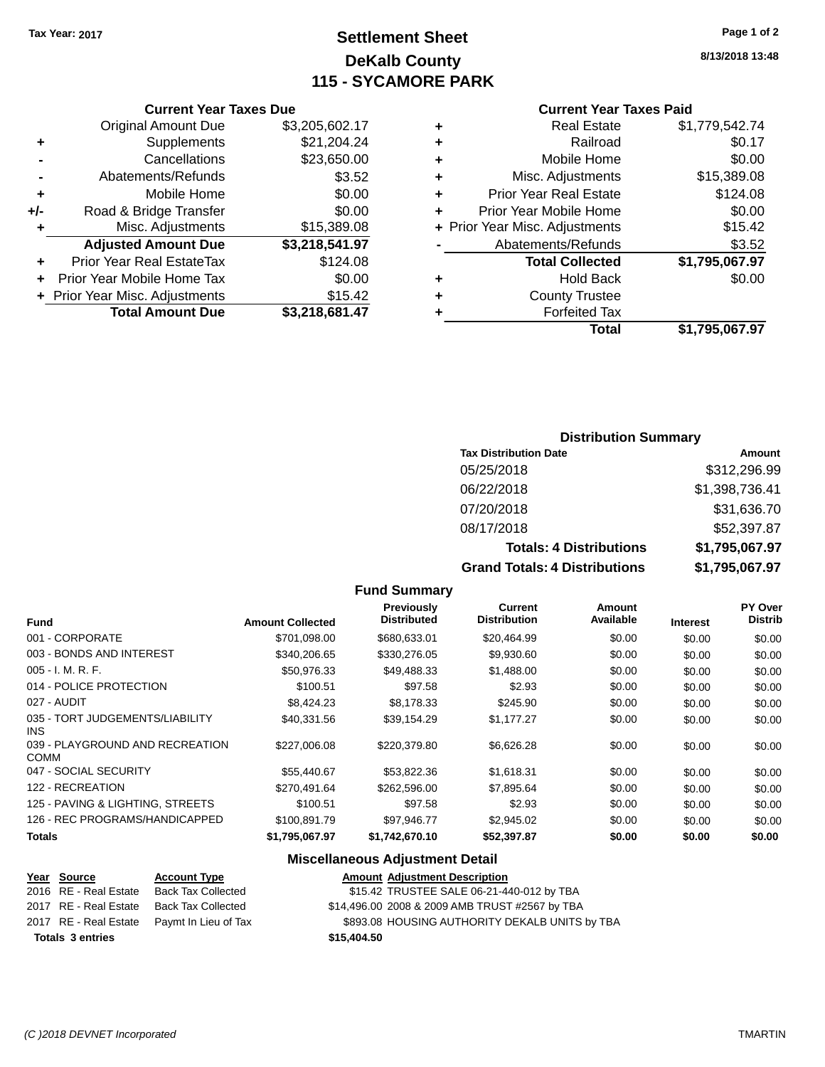### **Settlement Sheet Tax Year: 2017 Page 1 of 2 DeKalb County 115 - SYCAMORE PARK**

**8/13/2018 13:48**

#### **Current Year Taxes Paid**

|                |   | Total                          | \$1,795,067.97 |
|----------------|---|--------------------------------|----------------|
|                |   | <b>Forfeited Tax</b>           |                |
| $\frac{2}{7}$  |   | <b>County Trustee</b>          |                |
| 0              | ٠ | <b>Hold Back</b>               | \$0.00         |
| 8              |   | <b>Total Collected</b>         | \$1,795,067.97 |
|                |   | Abatements/Refunds             | \$3.52         |
| $\frac{8}{7}$  |   | + Prior Year Misc. Adjustments | \$15.42        |
| 0              |   | Prior Year Mobile Home         | \$0.00         |
| 0              | ٠ | <b>Prior Year Real Estate</b>  | \$124.08       |
| $\overline{2}$ | ٠ | Misc. Adjustments              | \$15,389.08    |
| 0              | ٠ | Mobile Home                    | \$0.00         |
| 4              | ٠ | Railroad                       | \$0.17         |
| 7              | ٠ | <b>Real Estate</b>             | \$1,779,542.74 |
|                |   |                                |                |

#### **Current Year Taxes Due**

|     | <b>Original Amount Due</b>       | \$3,205,602.17 |
|-----|----------------------------------|----------------|
| ٠   | Supplements                      | \$21,204.24    |
|     | Cancellations                    | \$23,650.00    |
|     | Abatements/Refunds               | \$3.52         |
| ٠   | Mobile Home                      | \$0.00         |
| +/- | Road & Bridge Transfer           | \$0.00         |
| ٠   | Misc. Adjustments                | \$15,389.08    |
|     | <b>Adjusted Amount Due</b>       | \$3,218,541.97 |
| ٠   | <b>Prior Year Real EstateTax</b> | \$124.08       |
|     | Prior Year Mobile Home Tax       | \$0.00         |
|     | + Prior Year Misc. Adjustments   | \$15.42        |
|     | <b>Total Amount Due</b>          | \$3,218,681.47 |

#### **Distribution Summary**

| <b>Tax Distribution Date</b>         | Amount         |
|--------------------------------------|----------------|
| 05/25/2018                           | \$312,296.99   |
| 06/22/2018                           | \$1,398,736.41 |
| 07/20/2018                           | \$31,636.70    |
| 08/17/2018                           | \$52,397.87    |
| <b>Totals: 4 Distributions</b>       | \$1,795,067.97 |
| <b>Grand Totals: 4 Distributions</b> | \$1,795,067.97 |

#### **Fund Summary**

| <b>Fund</b>                                    | <b>Amount Collected</b> | <b>Previously</b><br><b>Distributed</b> | Current<br><b>Distribution</b> | Amount<br>Available | <b>Interest</b> | <b>PY Over</b><br><b>Distrib</b> |
|------------------------------------------------|-------------------------|-----------------------------------------|--------------------------------|---------------------|-----------------|----------------------------------|
| 001 - CORPORATE                                | \$701,098.00            | \$680,633.01                            | \$20,464.99                    | \$0.00              | \$0.00          | \$0.00                           |
| 003 - BONDS AND INTEREST                       | \$340,206.65            | \$330,276.05                            | \$9,930.60                     | \$0.00              | \$0.00          | \$0.00                           |
| $005 - I. M. R. F.$                            | \$50,976.33             | \$49,488.33                             | \$1,488.00                     | \$0.00              | \$0.00          | \$0.00                           |
| 014 - POLICE PROTECTION                        | \$100.51                | \$97.58                                 | \$2.93                         | \$0.00              | \$0.00          | \$0.00                           |
| 027 - AUDIT                                    | \$8,424,23              | \$8.178.33                              | \$245.90                       | \$0.00              | \$0.00          | \$0.00                           |
| 035 - TORT JUDGEMENTS/LIABILITY<br><b>INS</b>  | \$40.331.56             | \$39.154.29                             | \$1.177.27                     | \$0.00              | \$0.00          | \$0.00                           |
| 039 - PLAYGROUND AND RECREATION<br><b>COMM</b> | \$227,006.08            | \$220,379.80                            | \$6,626.28                     | \$0.00              | \$0.00          | \$0.00                           |
| 047 - SOCIAL SECURITY                          | \$55,440.67             | \$53,822,36                             | \$1,618.31                     | \$0.00              | \$0.00          | \$0.00                           |
| 122 - RECREATION                               | \$270.491.64            | \$262,596.00                            | \$7,895.64                     | \$0.00              | \$0.00          | \$0.00                           |
| 125 - PAVING & LIGHTING, STREETS               | \$100.51                | \$97.58                                 | \$2.93                         | \$0.00              | \$0.00          | \$0.00                           |
| 126 - REC PROGRAMS/HANDICAPPED                 | \$100,891.79            | \$97,946.77                             | \$2,945.02                     | \$0.00              | \$0.00          | \$0.00                           |
| <b>Totals</b>                                  | \$1,795,067.97          | \$1.742.670.10                          | \$52,397.87                    | \$0.00              | \$0.00          | \$0.00                           |

#### **Miscellaneous Adjustment Detail**

|                         | <u>Year Source</u>    | <b>Account Type</b>                        |             | <b>Amount Adjustment Description</b>           |
|-------------------------|-----------------------|--------------------------------------------|-------------|------------------------------------------------|
|                         | 2016 RE - Real Estate | Back Tax Collected                         |             | \$15.42 TRUSTEE SALE 06-21-440-012 by TBA      |
|                         | 2017 RE - Real Estate | Back Tax Collected                         |             | \$14,496.00 2008 & 2009 AMB TRUST #2567 by TBA |
|                         |                       | 2017 RE - Real Estate Paymt In Lieu of Tax |             | \$893.08 HOUSING AUTHORITY DEKALB UNITS by TBA |
| <b>Totals 3 entries</b> |                       |                                            | \$15,404.50 |                                                |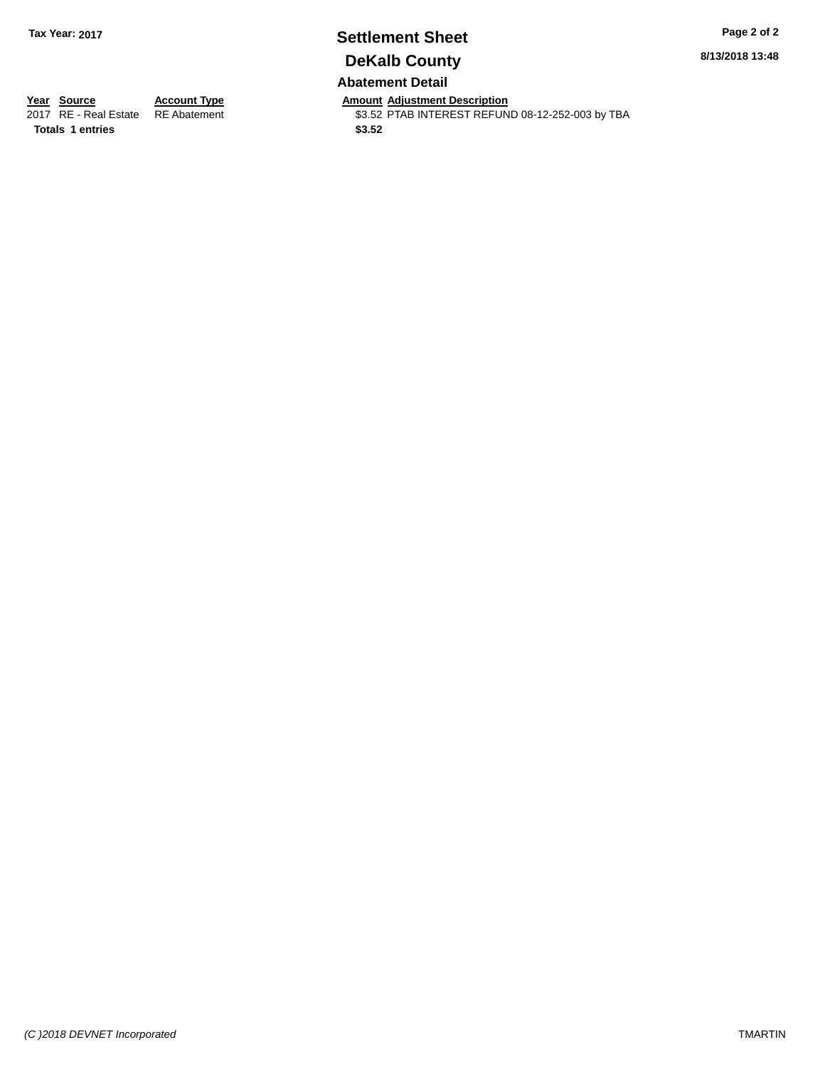# **Settlement Sheet Tax Year: 2017 Page 2 of 2 DeKalb County**

**8/13/2018 13:48**

**Abatement Detail**

**Totals 1 entries** \$3.52

**Year Source Account Type And Amount Adjustment Description**<br>2017 RE - Real Estate RE Abatement **Account 1998 AMOU SENSE ARE ADDER** S3.52 PTAB INTEREST REFUN \$3.52 PTAB INTEREST REFUND 08-12-252-003 by TBA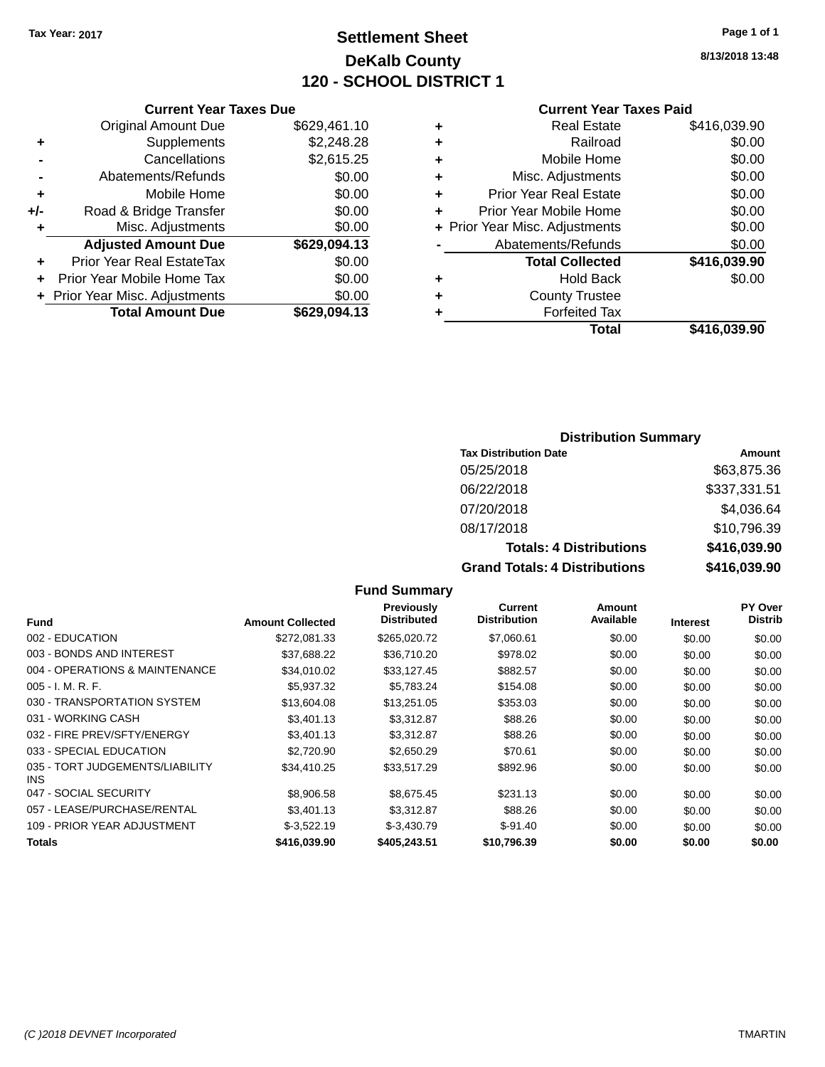### **Settlement Sheet Tax Year: 2017 Page 1 of 1 DeKalb County 120 - SCHOOL DISTRICT 1**

**8/13/2018 13:48**

#### **Current Year Taxes Paid**

|     | <b>Original Amount Due</b>     | \$629,461.10 |
|-----|--------------------------------|--------------|
| ٠   | Supplements                    | \$2,248.28   |
|     | Cancellations                  | \$2,615.25   |
|     | Abatements/Refunds             | \$0.00       |
| ٠   | Mobile Home                    | \$0.00       |
| +/- | Road & Bridge Transfer         | \$0.00       |
| ٠   | Misc. Adjustments              | \$0.00       |
|     | <b>Adjusted Amount Due</b>     | \$629,094.13 |
|     | Prior Year Real EstateTax      | \$0.00       |
| ٠   | Prior Year Mobile Home Tax     | \$0.00       |
|     | + Prior Year Misc. Adjustments | \$0.00       |
|     | <b>Total Amount Due</b>        | \$629,094.13 |
|     |                                |              |

**Current Year Taxes Due**

| ٠ | <b>Real Estate</b>             | \$416,039.90 |
|---|--------------------------------|--------------|
| ٠ | Railroad                       | \$0.00       |
| ٠ | Mobile Home                    | \$0.00       |
| ٠ | Misc. Adjustments              | \$0.00       |
| ٠ | <b>Prior Year Real Estate</b>  | \$0.00       |
| ٠ | Prior Year Mobile Home         | \$0.00       |
|   | + Prior Year Misc. Adjustments | \$0.00       |
|   | Abatements/Refunds             | \$0.00       |
|   | <b>Total Collected</b>         | \$416,039.90 |
| ٠ | <b>Hold Back</b>               | \$0.00       |
|   | <b>County Trustee</b>          |              |
| ٠ | <b>Forfeited Tax</b>           |              |
|   | Total                          | \$416,039.90 |
|   |                                |              |

#### **Distribution Summary**

| <b>Tax Distribution Date</b>         | Amount       |
|--------------------------------------|--------------|
| 05/25/2018                           | \$63,875.36  |
| 06/22/2018                           | \$337,331.51 |
| 07/20/2018                           | \$4,036.64   |
| 08/17/2018                           | \$10,796.39  |
| <b>Totals: 4 Distributions</b>       | \$416,039.90 |
| <b>Grand Totals: 4 Distributions</b> | \$416,039.90 |

#### **Fund Interest Amount Collected Distributed PY Over Distrib Amount Available Current Distribution Previously** 002 - EDUCATION \$272,081.33 \$265,020.72 \$7,060.61 \$0.00 \$0.00 \$0.00 003 - BONDS AND INTEREST 60.00 \$37,688.22 \$36,710.20 \$978.02 \$0.00 \$0.00 \$0.00 \$0.00 004 - OPERATIONS & MAINTENANCE  $$34,010.02$   $$33,127.45$   $$882.57$   $$0.00$   $$0.00$   $$0.00$ 005 - I. M. R. F. \$5,937.32 \$5,783.24 \$154.08 \$0.00 \$0.00 \$0.00 030 - TRANSPORTATION SYSTEM \$13,604.08 \$13,251.05 \$353.03 \$0.00 \$0.00 \$0.00 031 - WORKING CASH \$1,401.13 \$3,401.13 \$3,312.87 \$88.26 \$0.00 \$0.00 \$0.00 \$0.00 032 - FIRE PREV/SFTY/ENERGY \$3,401.13 \$3,312.87 \$88.26 \$0.00 \$0.00 \$0.00 \$0.00 033 - SPECIAL EDUCATION \$2,720.90 \$2,650.29 \$70.61 \$0.00 \$0.00 \$0.00 \$0.00 035 - TORT JUDGEMENTS/LIABILITY INS \$34,410.25 \$33,517.29 \$892.96 \$0.00 \$0.00 \$0.00 047 - SOCIAL SECURITY \$8,906.58 \$8,675.45 \$231.13 \$0.00 \$0.00 \$0.00 057 - LEASE/PURCHASE/RENTAL  $$3,401.13$   $$3,312.87$   $$88.26$  \$0.00  $$0.00$  \$0.00 \$0.00 109 - PRIOR YEAR ADJUSTMENT  $$-3,522.19$   $$-3,430.79$   $$-91.40$  \$0.00  $$0.00$   $$0.00$ **Totals \$416,039.90 \$405,243.51 \$10,796.39 \$0.00 \$0.00 \$0.00**

**Fund Summary**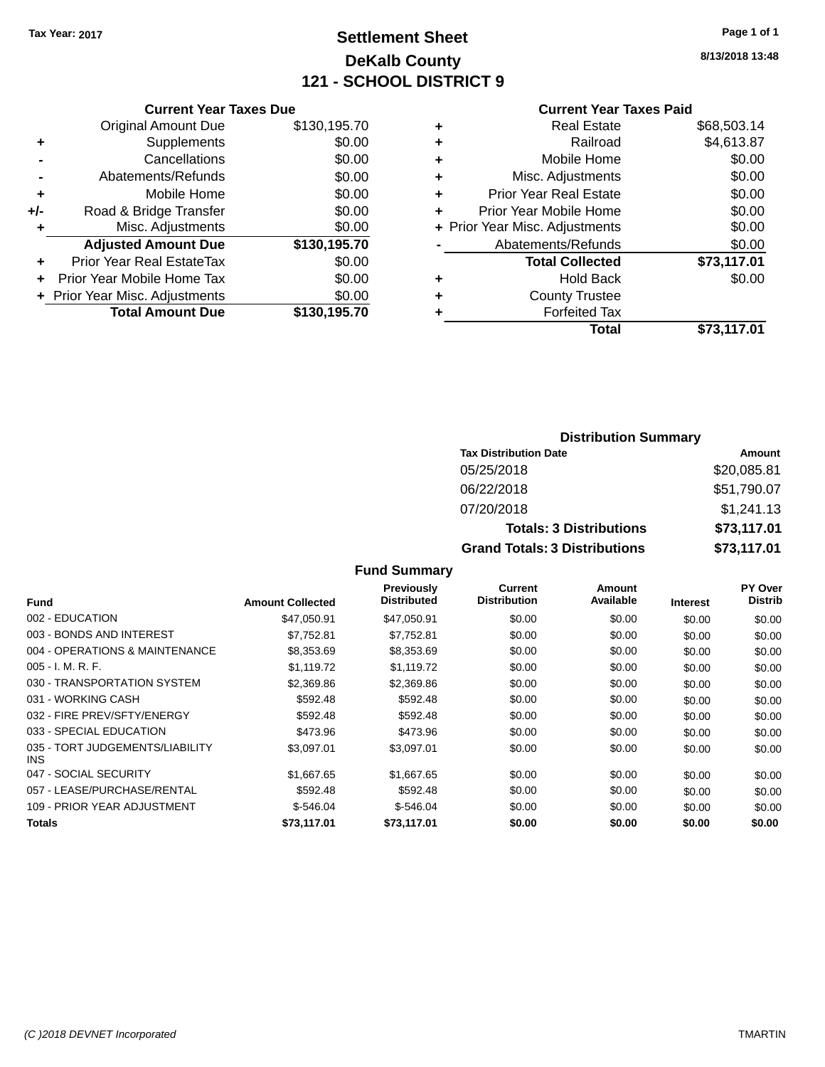### **Settlement Sheet Tax Year: 2017 Page 1 of 1 DeKalb County 121 - SCHOOL DISTRICT 9**

**8/13/2018 13:48**

#### **Current Year Taxes Paid**

|     | <b>Current Year Taxes Due</b>    |              |  |  |  |  |  |  |
|-----|----------------------------------|--------------|--|--|--|--|--|--|
|     | <b>Original Amount Due</b>       | \$130,195.70 |  |  |  |  |  |  |
| ٠   | Supplements                      | \$0.00       |  |  |  |  |  |  |
|     | \$0.00<br>Cancellations          |              |  |  |  |  |  |  |
|     | \$0.00<br>Abatements/Refunds     |              |  |  |  |  |  |  |
| ٠   | \$0.00<br>Mobile Home            |              |  |  |  |  |  |  |
| +/- | \$0.00<br>Road & Bridge Transfer |              |  |  |  |  |  |  |
|     | Misc. Adjustments                |              |  |  |  |  |  |  |
|     | <b>Adjusted Amount Due</b>       | \$130,195.70 |  |  |  |  |  |  |
|     | <b>Prior Year Real EstateTax</b> | \$0.00       |  |  |  |  |  |  |
|     | Prior Year Mobile Home Tax       | \$0.00       |  |  |  |  |  |  |
|     | + Prior Year Misc. Adjustments   | \$0.00       |  |  |  |  |  |  |
|     | <b>Total Amount Due</b>          | \$130.195.70 |  |  |  |  |  |  |
|     |                                  |              |  |  |  |  |  |  |

|   | <b>Real Estate</b>             | \$68,503.14 |
|---|--------------------------------|-------------|
| ٠ | Railroad                       | \$4,613.87  |
| ٠ | Mobile Home                    | \$0.00      |
| ٠ | Misc. Adjustments              | \$0.00      |
| ٠ | <b>Prior Year Real Estate</b>  | \$0.00      |
| ٠ | Prior Year Mobile Home         | \$0.00      |
|   | + Prior Year Misc. Adjustments | \$0.00      |
|   | Abatements/Refunds             | \$0.00      |
|   | <b>Total Collected</b>         | \$73,117.01 |
| ٠ | Hold Back                      | \$0.00      |
| ٠ | <b>County Trustee</b>          |             |
| ٠ | <b>Forfeited Tax</b>           |             |
|   | Total                          | \$73,117.01 |
|   |                                |             |

#### **Distribution Summary Tax Distribution Date Amount** 05/25/2018 \$20,085.81 06/22/2018 \$51,790.07 07/20/2018 \$1,241.13 **Totals: 3 Distributions \$73,117.01 Grand Totals: 3 Distributions \$73,117.01**

#### **Fund Summary**

| <b>Fund</b>                             | <b>Amount Collected</b> | Previously<br><b>Distributed</b> | <b>Current</b><br><b>Distribution</b> | Amount<br>Available | <b>Interest</b> | <b>PY Over</b><br><b>Distrib</b> |
|-----------------------------------------|-------------------------|----------------------------------|---------------------------------------|---------------------|-----------------|----------------------------------|
| 002 - EDUCATION                         | \$47,050.91             | \$47,050.91                      | \$0.00                                | \$0.00              | \$0.00          | \$0.00                           |
| 003 - BONDS AND INTEREST                | \$7,752.81              | \$7,752.81                       | \$0.00                                | \$0.00              | \$0.00          | \$0.00                           |
| 004 - OPERATIONS & MAINTENANCE          | \$8,353.69              | \$8,353.69                       | \$0.00                                | \$0.00              | \$0.00          | \$0.00                           |
| $005 - I. M. R. F.$                     | \$1,119.72              | \$1.119.72                       | \$0.00                                | \$0.00              | \$0.00          | \$0.00                           |
| 030 - TRANSPORTATION SYSTEM             | \$2,369.86              | \$2,369.86                       | \$0.00                                | \$0.00              | \$0.00          | \$0.00                           |
| 031 - WORKING CASH                      | \$592.48                | \$592.48                         | \$0.00                                | \$0.00              | \$0.00          | \$0.00                           |
| 032 - FIRE PREV/SFTY/ENERGY             | \$592.48                | \$592.48                         | \$0.00                                | \$0.00              | \$0.00          | \$0.00                           |
| 033 - SPECIAL EDUCATION                 | \$473.96                | \$473.96                         | \$0.00                                | \$0.00              | \$0.00          | \$0.00                           |
| 035 - TORT JUDGEMENTS/LIABILITY<br>INS. | \$3,097.01              | \$3,097.01                       | \$0.00                                | \$0.00              | \$0.00          | \$0.00                           |
| 047 - SOCIAL SECURITY                   | \$1,667.65              | \$1,667.65                       | \$0.00                                | \$0.00              | \$0.00          | \$0.00                           |
| 057 - LEASE/PURCHASE/RENTAL             | \$592.48                | \$592.48                         | \$0.00                                | \$0.00              | \$0.00          | \$0.00                           |
| 109 - PRIOR YEAR ADJUSTMENT             | $$-546.04$              | $$-546.04$                       | \$0.00                                | \$0.00              | \$0.00          | \$0.00                           |
| <b>Totals</b>                           | \$73,117.01             | \$73,117.01                      | \$0.00                                | \$0.00              | \$0.00          | \$0.00                           |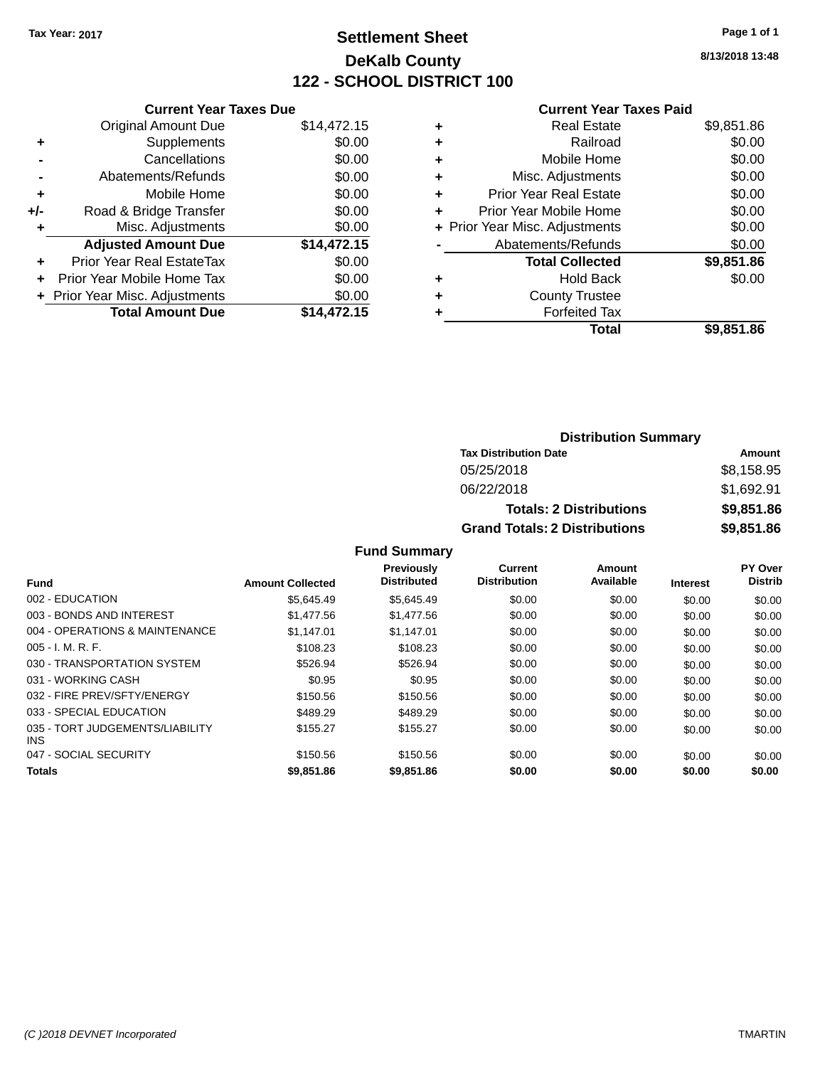# **Settlement Sheet Tax Year: 2017 Page 1 of 1 DeKalb County 122 - SCHOOL DISTRICT 100**

**8/13/2018 13:48**

#### **Current Year Taxes Paid**

| <b>Original Amount Due</b> | \$14,472.15                                                     |
|----------------------------|-----------------------------------------------------------------|
| Supplements                | \$0.00                                                          |
| Cancellations              | \$0.00                                                          |
| Abatements/Refunds         | \$0.00                                                          |
| Mobile Home                | \$0.00                                                          |
| Road & Bridge Transfer     | \$0.00                                                          |
| Misc. Adjustments          | \$0.00                                                          |
| <b>Adjusted Amount Due</b> | \$14,472.15                                                     |
| Prior Year Real EstateTax  | \$0.00                                                          |
| Prior Year Mobile Home Tax | \$0.00                                                          |
|                            | \$0.00                                                          |
| <b>Total Amount Due</b>    | \$14.472.15                                                     |
|                            | <b>Current Year Taxes Due</b><br>+ Prior Year Misc. Adjustments |

|   | <b>Real Estate</b>             | \$9,851.86 |
|---|--------------------------------|------------|
| ٠ | Railroad                       | \$0.00     |
| ٠ | Mobile Home                    | \$0.00     |
| ٠ | Misc. Adjustments              | \$0.00     |
| ٠ | <b>Prior Year Real Estate</b>  | \$0.00     |
| ٠ | Prior Year Mobile Home         | \$0.00     |
|   | + Prior Year Misc. Adjustments | \$0.00     |
|   | Abatements/Refunds             | \$0.00     |
|   | <b>Total Collected</b>         | \$9,851.86 |
| ٠ | <b>Hold Back</b>               | \$0.00     |
| ٠ | <b>County Trustee</b>          |            |
| ٠ | <b>Forfeited Tax</b>           |            |
|   | Total                          | \$9,851.86 |
|   |                                |            |

| <b>Distribution Summary</b>          |            |  |  |  |
|--------------------------------------|------------|--|--|--|
| <b>Tax Distribution Date</b>         | Amount     |  |  |  |
| 05/25/2018                           | \$8,158.95 |  |  |  |
| 06/22/2018                           | \$1,692.91 |  |  |  |
| <b>Totals: 2 Distributions</b>       | \$9,851.86 |  |  |  |
| <b>Grand Totals: 2 Distributions</b> | \$9,851.86 |  |  |  |

| <b>Fund</b>                             | <b>Amount Collected</b> | <b>Previously</b><br><b>Distributed</b> | Current<br><b>Distribution</b> | Amount<br>Available | <b>Interest</b> | PY Over<br><b>Distrib</b> |
|-----------------------------------------|-------------------------|-----------------------------------------|--------------------------------|---------------------|-----------------|---------------------------|
| 002 - EDUCATION                         | \$5.645.49              | \$5.645.49                              | \$0.00                         | \$0.00              |                 |                           |
|                                         |                         |                                         |                                |                     | \$0.00          | \$0.00                    |
| 003 - BONDS AND INTEREST                | \$1,477.56              | \$1,477.56                              | \$0.00                         | \$0.00              | \$0.00          | \$0.00                    |
| 004 - OPERATIONS & MAINTENANCE          | \$1.147.01              | \$1.147.01                              | \$0.00                         | \$0.00              | \$0.00          | \$0.00                    |
| $005 - I. M. R. F.$                     | \$108.23                | \$108.23                                | \$0.00                         | \$0.00              | \$0.00          | \$0.00                    |
| 030 - TRANSPORTATION SYSTEM             | \$526.94                | \$526.94                                | \$0.00                         | \$0.00              | \$0.00          | \$0.00                    |
| 031 - WORKING CASH                      | \$0.95                  | \$0.95                                  | \$0.00                         | \$0.00              | \$0.00          | \$0.00                    |
| 032 - FIRE PREV/SFTY/ENERGY             | \$150.56                | \$150.56                                | \$0.00                         | \$0.00              | \$0.00          | \$0.00                    |
| 033 - SPECIAL EDUCATION                 | \$489.29                | \$489.29                                | \$0.00                         | \$0.00              | \$0.00          | \$0.00                    |
| 035 - TORT JUDGEMENTS/LIABILITY<br>INS. | \$155.27                | \$155.27                                | \$0.00                         | \$0.00              | \$0.00          | \$0.00                    |
| 047 - SOCIAL SECURITY                   | \$150.56                | \$150.56                                | \$0.00                         | \$0.00              | \$0.00          | \$0.00                    |
| <b>Totals</b>                           | \$9,851.86              | \$9,851.86                              | \$0.00                         | \$0.00              | \$0.00          | \$0.00                    |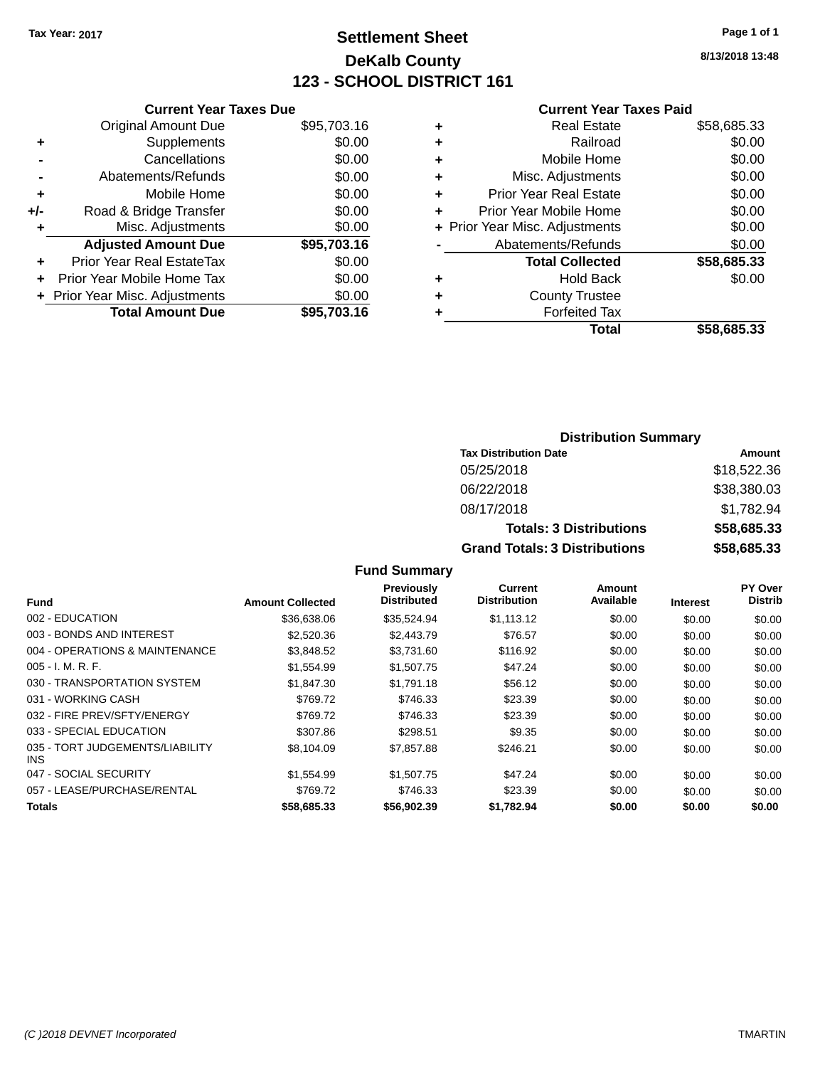# **Settlement Sheet Tax Year: 2017 Page 1 of 1 DeKalb County 123 - SCHOOL DISTRICT 161**

**8/13/2018 13:48**

#### **Current Year Taxes Paid**

| \$95,703.16 |
|-------------|
| \$0.00      |
| \$0.00      |
| \$0.00      |
| \$0.00      |
| \$0.00      |
| \$0.00      |
| \$95,703.16 |
| \$0.00      |
| \$0.00      |
| \$0.00      |
| \$95,703,16 |
|             |

|   | <b>Real Estate</b>             | \$58,685.33 |
|---|--------------------------------|-------------|
| ٠ | Railroad                       | \$0.00      |
| ٠ | Mobile Home                    | \$0.00      |
| ٠ | Misc. Adjustments              | \$0.00      |
| ٠ | <b>Prior Year Real Estate</b>  | \$0.00      |
| ÷ | Prior Year Mobile Home         | \$0.00      |
|   | + Prior Year Misc. Adjustments | \$0.00      |
|   | Abatements/Refunds             | \$0.00      |
|   | <b>Total Collected</b>         | \$58,685.33 |
| ٠ | <b>Hold Back</b>               | \$0.00      |
| ٠ | <b>County Trustee</b>          |             |
| ٠ | <b>Forfeited Tax</b>           |             |
|   | <b>Total</b>                   | \$58.685.33 |
|   |                                |             |

### **Distribution Summary Tax Distribution Date Amount** 05/25/2018 \$18,522.36 06/22/2018 \$38,380.03 08/17/2018 \$1,782.94 **Totals: 3 Distributions \$58,685.33 Grand Totals: 3 Distributions \$58,685.33**

| Fund                                    | <b>Amount Collected</b> | <b>Previously</b><br><b>Distributed</b> | Current<br><b>Distribution</b> | Amount<br>Available | <b>Interest</b> | PY Over<br><b>Distrib</b> |
|-----------------------------------------|-------------------------|-----------------------------------------|--------------------------------|---------------------|-----------------|---------------------------|
| 002 - EDUCATION                         | \$36,638.06             | \$35,524.94                             | \$1,113.12                     | \$0.00              | \$0.00          | \$0.00                    |
| 003 - BONDS AND INTEREST                | \$2,520.36              | \$2,443.79                              | \$76.57                        | \$0.00              | \$0.00          | \$0.00                    |
| 004 - OPERATIONS & MAINTENANCE          | \$3,848.52              | \$3,731.60                              | \$116.92                       | \$0.00              | \$0.00          | \$0.00                    |
| $005 - I. M. R. F.$                     | \$1,554.99              | \$1,507.75                              | \$47.24                        | \$0.00              | \$0.00          | \$0.00                    |
| 030 - TRANSPORTATION SYSTEM             | \$1.847.30              | \$1,791.18                              | \$56.12                        | \$0.00              | \$0.00          | \$0.00                    |
| 031 - WORKING CASH                      | \$769.72                | \$746.33                                | \$23.39                        | \$0.00              | \$0.00          | \$0.00                    |
| 032 - FIRE PREV/SFTY/ENERGY             | \$769.72                | \$746.33                                | \$23.39                        | \$0.00              | \$0.00          | \$0.00                    |
| 033 - SPECIAL EDUCATION                 | \$307.86                | \$298.51                                | \$9.35                         | \$0.00              | \$0.00          | \$0.00                    |
| 035 - TORT JUDGEMENTS/LIABILITY<br>INS. | \$8,104.09              | \$7,857.88                              | \$246.21                       | \$0.00              | \$0.00          | \$0.00                    |
| 047 - SOCIAL SECURITY                   | \$1.554.99              | \$1,507.75                              | \$47.24                        | \$0.00              | \$0.00          | \$0.00                    |
| 057 - LEASE/PURCHASE/RENTAL             | \$769.72                | \$746.33                                | \$23.39                        | \$0.00              | \$0.00          | \$0.00                    |
| <b>Totals</b>                           | \$58,685.33             | \$56,902.39                             | \$1.782.94                     | \$0.00              | \$0.00          | \$0.00                    |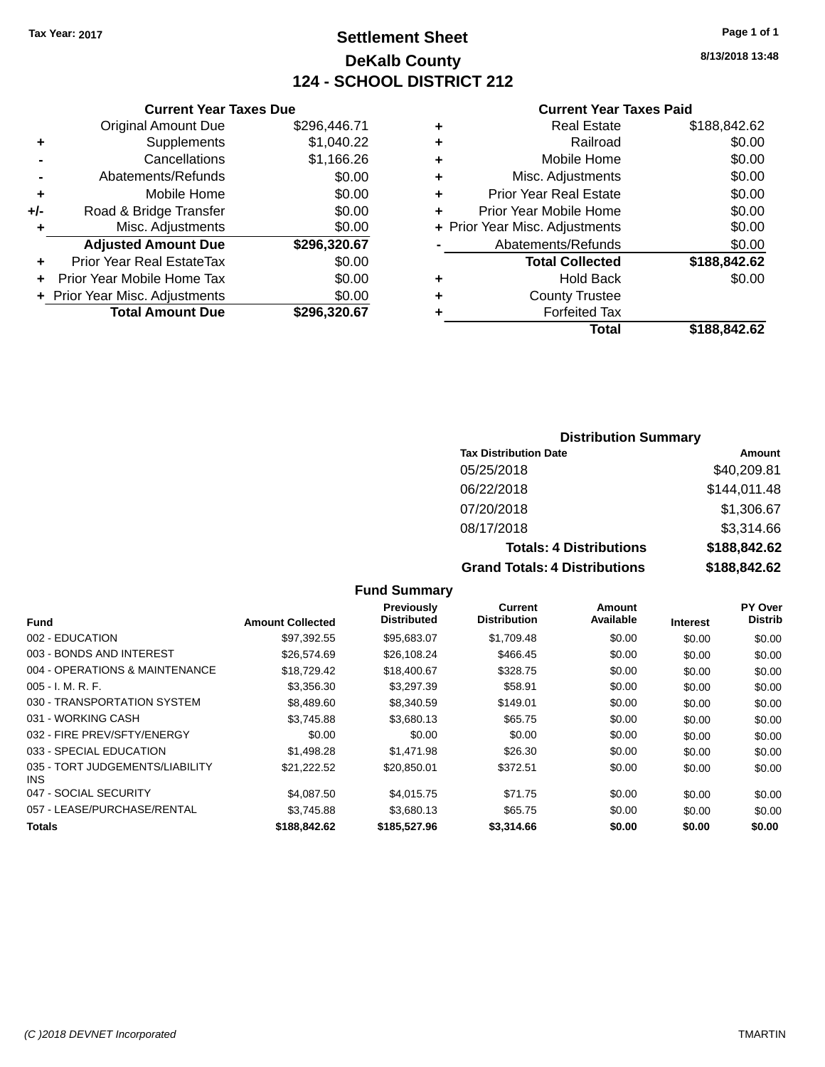# **Settlement Sheet Tax Year: 2017 Page 1 of 1 DeKalb County 124 - SCHOOL DISTRICT 212**

**8/13/2018 13:48**

#### **Current Year Taxes Paid**

|     | <b>Original Amount Due</b>       | \$296,446.71 |
|-----|----------------------------------|--------------|
| ٠   | Supplements                      | \$1,040.22   |
|     | Cancellations                    | \$1,166.26   |
|     | Abatements/Refunds               | \$0.00       |
| ÷   | Mobile Home                      | \$0.00       |
| +/- | Road & Bridge Transfer           | \$0.00       |
| ٠   | Misc. Adjustments                | \$0.00       |
|     | <b>Adjusted Amount Due</b>       | \$296,320.67 |
| ٠   | <b>Prior Year Real EstateTax</b> | \$0.00       |
| ٠   | Prior Year Mobile Home Tax       | \$0.00       |
|     | + Prior Year Misc. Adjustments   | \$0.00       |
|     | <b>Total Amount Due</b>          | \$296,320.67 |
|     |                                  |              |

**Current Year Taxes Due**

|   | Real Estate                    | \$188,842.62 |
|---|--------------------------------|--------------|
| ٠ | Railroad                       | \$0.00       |
| ٠ | Mobile Home                    | \$0.00       |
| ٠ | Misc. Adjustments              | \$0.00       |
| ٠ | <b>Prior Year Real Estate</b>  | \$0.00       |
| ٠ | Prior Year Mobile Home         | \$0.00       |
|   | + Prior Year Misc. Adjustments | \$0.00       |
|   | Abatements/Refunds             | \$0.00       |
|   | <b>Total Collected</b>         | \$188,842.62 |
| ٠ | Hold Back                      | \$0.00       |
| ٠ | <b>County Trustee</b>          |              |
| ٠ | <b>Forfeited Tax</b>           |              |
|   | Total                          | \$188,842.62 |
|   |                                |              |

### **Distribution Summary**

| <b>Tax Distribution Date</b>         | Amount       |
|--------------------------------------|--------------|
| 05/25/2018                           | \$40,209.81  |
| 06/22/2018                           | \$144,011.48 |
| 07/20/2018                           | \$1,306.67   |
| 08/17/2018                           | \$3,314.66   |
| <b>Totals: 4 Distributions</b>       | \$188,842.62 |
| <b>Grand Totals: 4 Distributions</b> | \$188,842.62 |

#### **Fund Interest Amount Collected Distributed Amount Available Current Distribution Previously** 002 - EDUCATION \$97,392.55 \$95,683.07 \$1,709.48 \$0.00 \$0.00 \$0.00 003 - BONDS AND INTEREST \$26,574.69 \$26,108.24 \$466.45 \$0.00 \$0.00 \$0.00 \$0.00 004 - OPERATIONS & MAINTENANCE \$18,729.42 \$18,400.67 \$328.75 \$0.00 \$0.00 \$0.00 005 - I. M. R. F. \$3,356.30 \$3,297.39 \$58.91 \$0.00 \$0.00 \$0.00 030 - TRANSPORTATION SYSTEM \$8,489.60 \$8,340.59 \$149.01 \$0.00 \$0.00 \$0.00 \$0.00 031 - WORKING CASH \$3,745.88 \$3,680.13 \$65.75 \$0.00 \$0.00 \$0.00

| <b>Totals</b>                                 | \$188,842,62 | \$185,527,96 | \$3,314,66    | \$0.00 | \$0.00 | \$0.00 |
|-----------------------------------------------|--------------|--------------|---------------|--------|--------|--------|
| 057 - LEASE/PURCHASE/RENTAL                   | \$3.745.88   | \$3,680.13   | \$65.75       | \$0.00 | \$0.00 | \$0.00 |
| 047 - SOCIAL SECURITY                         | \$4.087.50   | \$4.015.75   | \$71.75       | \$0.00 | \$0.00 | \$0.00 |
| 035 - TORT JUDGEMENTS/LIABILITY<br><b>INS</b> | \$21.222.52  | \$20,850.01  | \$372.51      | \$0.00 | \$0.00 | \$0.00 |
| 033 - SPECIAL EDUCATION                       | \$1,498.28   | \$1.471.98   | \$26.30       | \$0.00 | \$0.00 | \$0.00 |
| 032 - FIRE PREV/SFTY/ENERGY                   | \$0.00       | \$0.00       | \$0.00        | \$0.00 | \$0.00 | \$0.00 |
| $\mathbf{v}$                                  | 99.ITV.OU    | 30.000.IU    | <b>UUU.IU</b> | ⊎∪.∪∪  | JU.UU  | vv.vv  |

**Fund Summary**

**PY Over Distrib**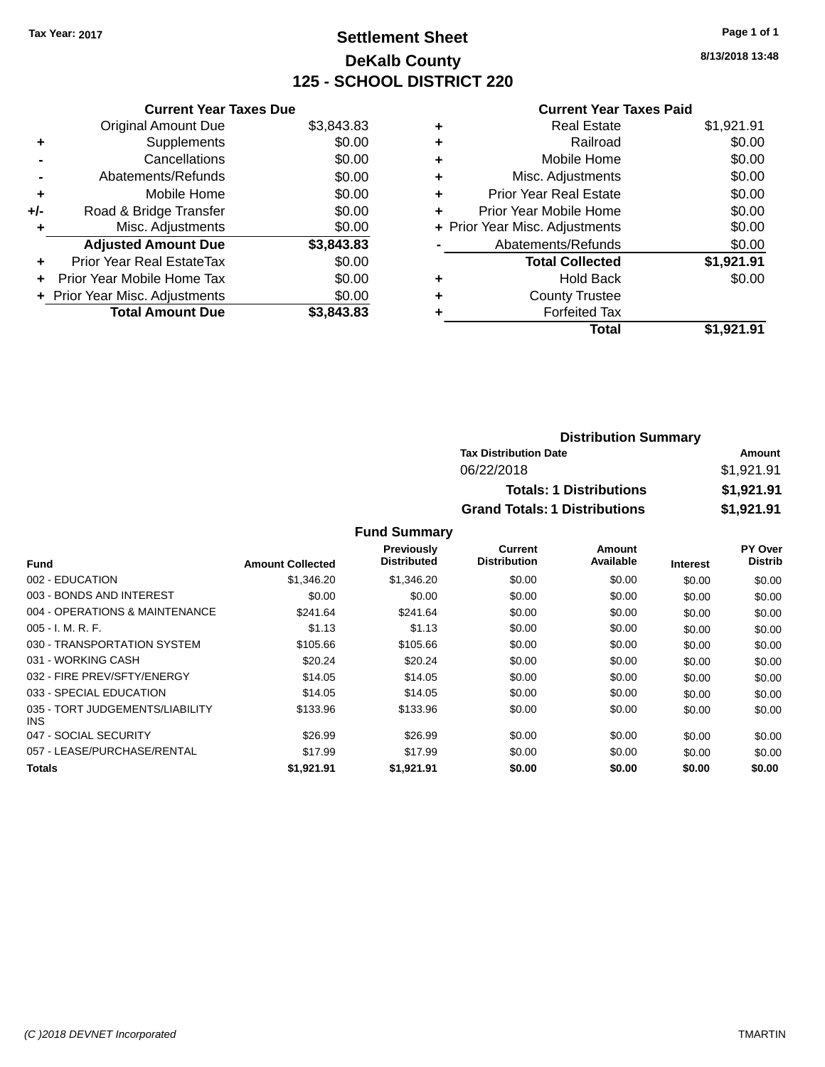# **Settlement Sheet Tax Year: 2017 Page 1 of 1 DeKalb County 125 - SCHOOL DISTRICT 220**

**8/13/2018 13:48**

#### **Current Year Taxes Paid**

|     | <b>Current Year Taxes Due</b>  |            |
|-----|--------------------------------|------------|
|     | <b>Original Amount Due</b>     | \$3,843.83 |
| ٠   | Supplements                    | \$0.00     |
|     | Cancellations                  | \$0.00     |
|     | Abatements/Refunds             | \$0.00     |
| ٠   | Mobile Home                    | \$0.00     |
| +/- | Road & Bridge Transfer         | \$0.00     |
| ٠   | Misc. Adjustments              | \$0.00     |
|     | <b>Adjusted Amount Due</b>     | \$3,843.83 |
| ٠   | Prior Year Real EstateTax      | \$0.00     |
| ÷   | Prior Year Mobile Home Tax     | \$0.00     |
|     | + Prior Year Misc. Adjustments | \$0.00     |
|     | <b>Total Amount Due</b>        | \$3,843.83 |

|   | <b>Real Estate</b>             | \$1,921.91 |
|---|--------------------------------|------------|
| ٠ | Railroad                       | \$0.00     |
| ٠ | Mobile Home                    | \$0.00     |
| ٠ | Misc. Adjustments              | \$0.00     |
| ٠ | <b>Prior Year Real Estate</b>  | \$0.00     |
| ٠ | Prior Year Mobile Home         | \$0.00     |
|   | + Prior Year Misc. Adjustments | \$0.00     |
|   | Abatements/Refunds             | \$0.00     |
|   | <b>Total Collected</b>         | \$1,921.91 |
| ٠ | Hold Back                      | \$0.00     |
| ٠ | <b>County Trustee</b>          |            |
| ٠ | <b>Forfeited Tax</b>           |            |
|   | Total                          | \$1,921.91 |
|   |                                |            |

| <b>Distribution Summary</b>          |            |
|--------------------------------------|------------|
| <b>Tax Distribution Date</b>         | Amount     |
| 06/22/2018                           | \$1,921.91 |
| <b>Totals: 1 Distributions</b>       | \$1,921.91 |
| <b>Grand Totals: 1 Distributions</b> | \$1,921.91 |

|                                               |                         | <b>Previously</b><br><b>Distributed</b> | Current<br><b>Distribution</b> | Amount<br>Available |                 | PY Over<br><b>Distrib</b> |
|-----------------------------------------------|-------------------------|-----------------------------------------|--------------------------------|---------------------|-----------------|---------------------------|
| <b>Fund</b>                                   | <b>Amount Collected</b> |                                         |                                |                     | <b>Interest</b> |                           |
| 002 - EDUCATION                               | \$1,346.20              | \$1,346.20                              | \$0.00                         | \$0.00              | \$0.00          | \$0.00                    |
| 003 - BONDS AND INTEREST                      | \$0.00                  | \$0.00                                  | \$0.00                         | \$0.00              | \$0.00          | \$0.00                    |
| 004 - OPERATIONS & MAINTENANCE                | \$241.64                | \$241.64                                | \$0.00                         | \$0.00              | \$0.00          | \$0.00                    |
| $005 - I. M. R. F.$                           | \$1.13                  | \$1.13                                  | \$0.00                         | \$0.00              | \$0.00          | \$0.00                    |
| 030 - TRANSPORTATION SYSTEM                   | \$105.66                | \$105.66                                | \$0.00                         | \$0.00              | \$0.00          | \$0.00                    |
| 031 - WORKING CASH                            | \$20.24                 | \$20.24                                 | \$0.00                         | \$0.00              | \$0.00          | \$0.00                    |
| 032 - FIRE PREV/SFTY/ENERGY                   | \$14.05                 | \$14.05                                 | \$0.00                         | \$0.00              | \$0.00          | \$0.00                    |
| 033 - SPECIAL EDUCATION                       | \$14.05                 | \$14.05                                 | \$0.00                         | \$0.00              | \$0.00          | \$0.00                    |
| 035 - TORT JUDGEMENTS/LIABILITY<br><b>INS</b> | \$133.96                | \$133.96                                | \$0.00                         | \$0.00              | \$0.00          | \$0.00                    |
| 047 - SOCIAL SECURITY                         | \$26.99                 | \$26.99                                 | \$0.00                         | \$0.00              | \$0.00          | \$0.00                    |
| 057 - LEASE/PURCHASE/RENTAL                   | \$17.99                 | \$17.99                                 | \$0.00                         | \$0.00              | \$0.00          | \$0.00                    |
| <b>Totals</b>                                 | \$1.921.91              | \$1.921.91                              | \$0.00                         | \$0.00              | \$0.00          | \$0.00                    |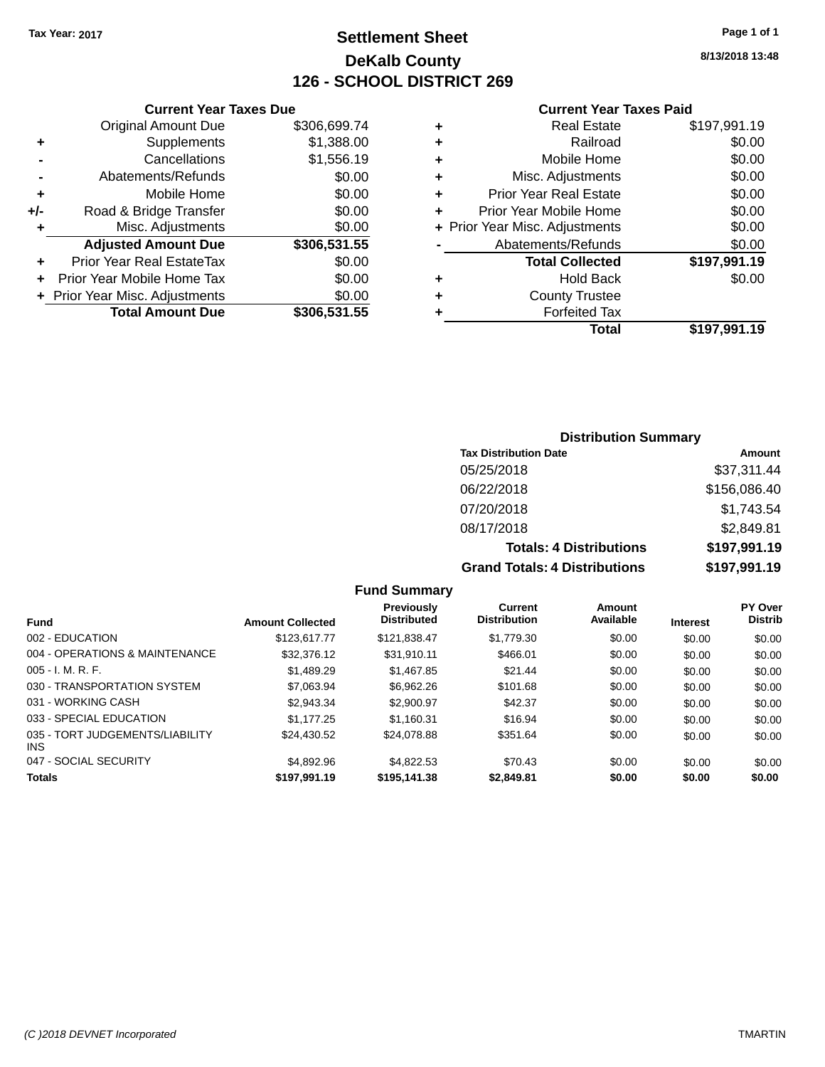# **Settlement Sheet Tax Year: 2017 Page 1 of 1 DeKalb County 126 - SCHOOL DISTRICT 269**

**8/13/2018 13:48**

#### **Current Year Taxes Paid**

| Total                          | \$197,991.19 |
|--------------------------------|--------------|
| <b>Forfeited Tax</b>           |              |
| <b>County Trustee</b>          |              |
| Hold Back                      | \$0.00       |
| <b>Total Collected</b>         | \$197,991.19 |
| Abatements/Refunds             | \$0.00       |
| + Prior Year Misc. Adjustments | \$0.00       |
| Prior Year Mobile Home         | \$0.00       |
| <b>Prior Year Real Estate</b>  | \$0.00       |
| Misc. Adjustments              | \$0.00       |
| Mobile Home                    | \$0.00       |
| Railroad                       | \$0.00       |
| <b>Real Estate</b>             | \$197,991.19 |
|                                |              |

|     | <b>Current Year Taxes Due</b>  |              |
|-----|--------------------------------|--------------|
|     | <b>Original Amount Due</b>     | \$306,699.74 |
| ٠   | Supplements                    | \$1,388.00   |
|     | Cancellations                  | \$1,556.19   |
|     | Abatements/Refunds             | \$0.00       |
| ÷   | Mobile Home                    | \$0.00       |
| +/- | Road & Bridge Transfer         | \$0.00       |
| ٠   | Misc. Adjustments              | \$0.00       |
|     | <b>Adjusted Amount Due</b>     | \$306,531.55 |
|     | Prior Year Real EstateTax      | \$0.00       |
|     | Prior Year Mobile Home Tax     | \$0.00       |
|     | + Prior Year Misc. Adjustments | \$0.00       |
|     | <b>Total Amount Due</b>        | \$306,531.55 |

### **Distribution Summary**

| <b>Tax Distribution Date</b>         | Amount       |
|--------------------------------------|--------------|
| 05/25/2018                           | \$37,311.44  |
| 06/22/2018                           | \$156,086.40 |
| 07/20/2018                           | \$1,743.54   |
| 08/17/2018                           | \$2,849.81   |
| <b>Totals: 4 Distributions</b>       | \$197,991.19 |
| <b>Grand Totals: 4 Distributions</b> | \$197,991.19 |

|                                         |                         | <b>Fund Summary</b>                     |                                       |                     |                 |                           |
|-----------------------------------------|-------------------------|-----------------------------------------|---------------------------------------|---------------------|-----------------|---------------------------|
| <b>Fund</b>                             | <b>Amount Collected</b> | <b>Previously</b><br><b>Distributed</b> | <b>Current</b><br><b>Distribution</b> | Amount<br>Available | <b>Interest</b> | PY Over<br><b>Distrib</b> |
| 002 - EDUCATION                         | \$123,617,77            | \$121.838.47                            | \$1,779.30                            | \$0.00              | \$0.00          | \$0.00                    |
| 004 - OPERATIONS & MAINTENANCE          | \$32,376.12             | \$31.910.11                             | \$466.01                              | \$0.00              | \$0.00          | \$0.00                    |
| $005 - I. M. R. F.$                     | \$1.489.29              | \$1,467.85                              | \$21.44                               | \$0.00              | \$0.00          | \$0.00                    |
| 030 - TRANSPORTATION SYSTEM             | \$7,063.94              | \$6.962.26                              | \$101.68                              | \$0.00              | \$0.00          | \$0.00                    |
| 031 - WORKING CASH                      | \$2,943,34              | \$2,900.97                              | \$42.37                               | \$0.00              | \$0.00          | \$0.00                    |
| 033 - SPECIAL EDUCATION                 | \$1.177.25              | \$1.160.31                              | \$16.94                               | \$0.00              | \$0.00          | \$0.00                    |
| 035 - TORT JUDGEMENTS/LIABILITY<br>INS. | \$24.430.52             | \$24.078.88                             | \$351.64                              | \$0.00              | \$0.00          | \$0.00                    |
| 047 - SOCIAL SECURITY                   | \$4,892.96              | \$4.822.53                              | \$70.43                               | \$0.00              | \$0.00          | \$0.00                    |
| <b>Totals</b>                           | \$197.991.19            | \$195,141,38                            | \$2.849.81                            | \$0.00              | \$0.00          | \$0.00                    |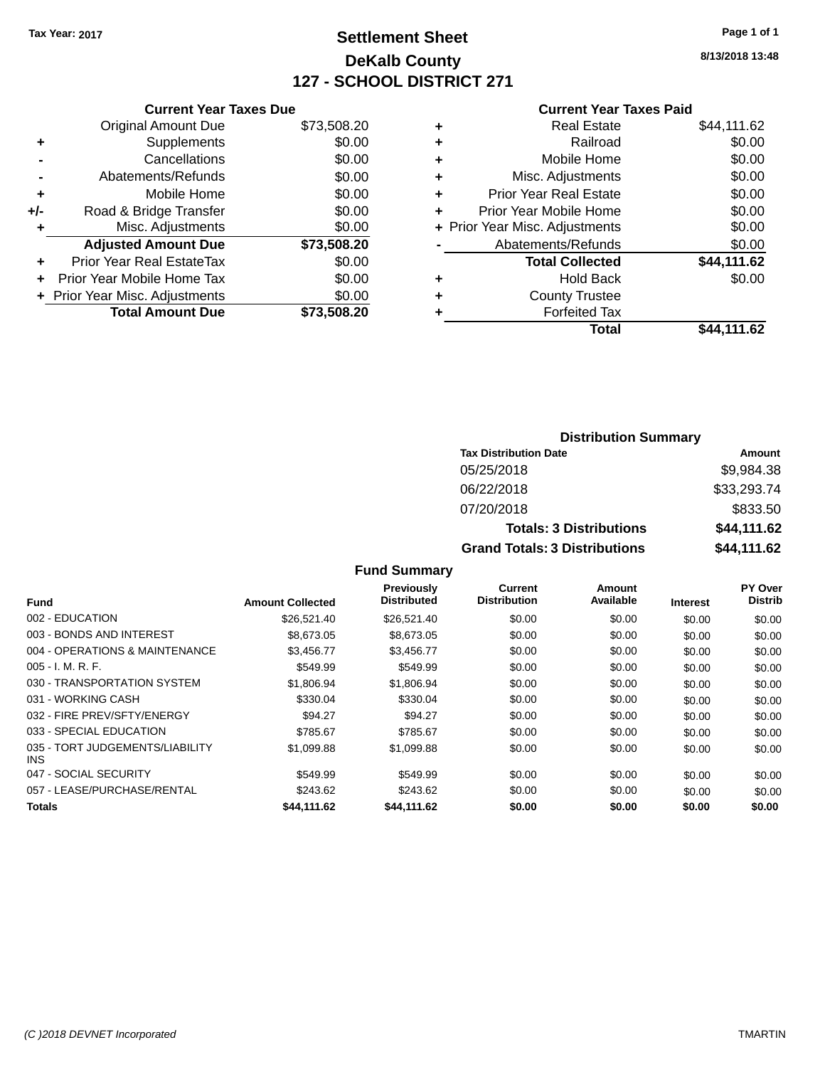# **Settlement Sheet Tax Year: 2017 Page 1 of 1 DeKalb County 127 - SCHOOL DISTRICT 271**

**8/13/2018 13:48**

#### **Current Year Taxes Paid**

|     | <b>Current Year Taxes Due</b>  |             |  |  |
|-----|--------------------------------|-------------|--|--|
|     | <b>Original Amount Due</b>     | \$73,508.20 |  |  |
| ٠   | Supplements                    | \$0.00      |  |  |
|     | Cancellations                  | \$0.00      |  |  |
|     | Abatements/Refunds             | \$0.00      |  |  |
| ٠   | Mobile Home                    | \$0.00      |  |  |
| +/- | Road & Bridge Transfer         | \$0.00      |  |  |
| ٠   | Misc. Adjustments              | \$0.00      |  |  |
|     | <b>Adjusted Amount Due</b>     | \$73,508.20 |  |  |
| ÷   | Prior Year Real EstateTax      | \$0.00      |  |  |
|     | Prior Year Mobile Home Tax     | \$0.00      |  |  |
|     | + Prior Year Misc. Adjustments | \$0.00      |  |  |
|     | <b>Total Amount Due</b>        | \$73.508.20 |  |  |
|     |                                |             |  |  |

| ٠ | <b>Real Estate</b>             | \$44,111.62 |
|---|--------------------------------|-------------|
| ٠ | Railroad                       | \$0.00      |
| ٠ | Mobile Home                    | \$0.00      |
| ٠ | Misc. Adjustments              | \$0.00      |
| ٠ | <b>Prior Year Real Estate</b>  | \$0.00      |
| ٠ | Prior Year Mobile Home         | \$0.00      |
|   | + Prior Year Misc. Adjustments | \$0.00      |
|   | Abatements/Refunds             | \$0.00      |
|   | <b>Total Collected</b>         | \$44,111.62 |
| ٠ | Hold Back                      | \$0.00      |
| ٠ | <b>County Trustee</b>          |             |
| ٠ | <b>Forfeited Tax</b>           |             |
|   | Total                          | \$44,111.62 |
|   |                                |             |

| <b>Distribution Summary</b>          |             |  |  |  |
|--------------------------------------|-------------|--|--|--|
| <b>Tax Distribution Date</b>         | Amount      |  |  |  |
| 05/25/2018                           | \$9,984.38  |  |  |  |
| 06/22/2018                           | \$33,293.74 |  |  |  |
| 07/20/2018                           | \$833.50    |  |  |  |
| <b>Totals: 3 Distributions</b>       | \$44,111.62 |  |  |  |
| <b>Grand Totals: 3 Distributions</b> | \$44,111.62 |  |  |  |

| <b>Fund</b>                             | <b>Amount Collected</b> | Previously<br><b>Distributed</b> | <b>Current</b><br><b>Distribution</b> | Amount<br>Available | <b>Interest</b> | PY Over<br><b>Distrib</b> |
|-----------------------------------------|-------------------------|----------------------------------|---------------------------------------|---------------------|-----------------|---------------------------|
| 002 - EDUCATION                         | \$26,521.40             | \$26,521.40                      | \$0.00                                | \$0.00              | \$0.00          | \$0.00                    |
| 003 - BONDS AND INTEREST                | \$8,673,05              | \$8,673,05                       | \$0.00                                | \$0.00              | \$0.00          | \$0.00                    |
| 004 - OPERATIONS & MAINTENANCE          | \$3,456.77              | \$3,456.77                       | \$0.00                                | \$0.00              | \$0.00          | \$0.00                    |
| $005 - I. M. R. F.$                     | \$549.99                | \$549.99                         | \$0.00                                | \$0.00              | \$0.00          | \$0.00                    |
| 030 - TRANSPORTATION SYSTEM             | \$1.806.94              | \$1,806.94                       | \$0.00                                | \$0.00              | \$0.00          | \$0.00                    |
| 031 - WORKING CASH                      | \$330.04                | \$330.04                         | \$0.00                                | \$0.00              | \$0.00          | \$0.00                    |
| 032 - FIRE PREV/SFTY/ENERGY             | \$94.27                 | \$94.27                          | \$0.00                                | \$0.00              | \$0.00          | \$0.00                    |
| 033 - SPECIAL EDUCATION                 | \$785.67                | \$785.67                         | \$0.00                                | \$0.00              | \$0.00          | \$0.00                    |
| 035 - TORT JUDGEMENTS/LIABILITY<br>INS. | \$1,099.88              | \$1,099.88                       | \$0.00                                | \$0.00              | \$0.00          | \$0.00                    |
| 047 - SOCIAL SECURITY                   | \$549.99                | \$549.99                         | \$0.00                                | \$0.00              | \$0.00          | \$0.00                    |
| 057 - LEASE/PURCHASE/RENTAL             | \$243.62                | \$243.62                         | \$0.00                                | \$0.00              | \$0.00          | \$0.00                    |
| <b>Totals</b>                           | \$44,111.62             | \$44,111.62                      | \$0.00                                | \$0.00              | \$0.00          | \$0.00                    |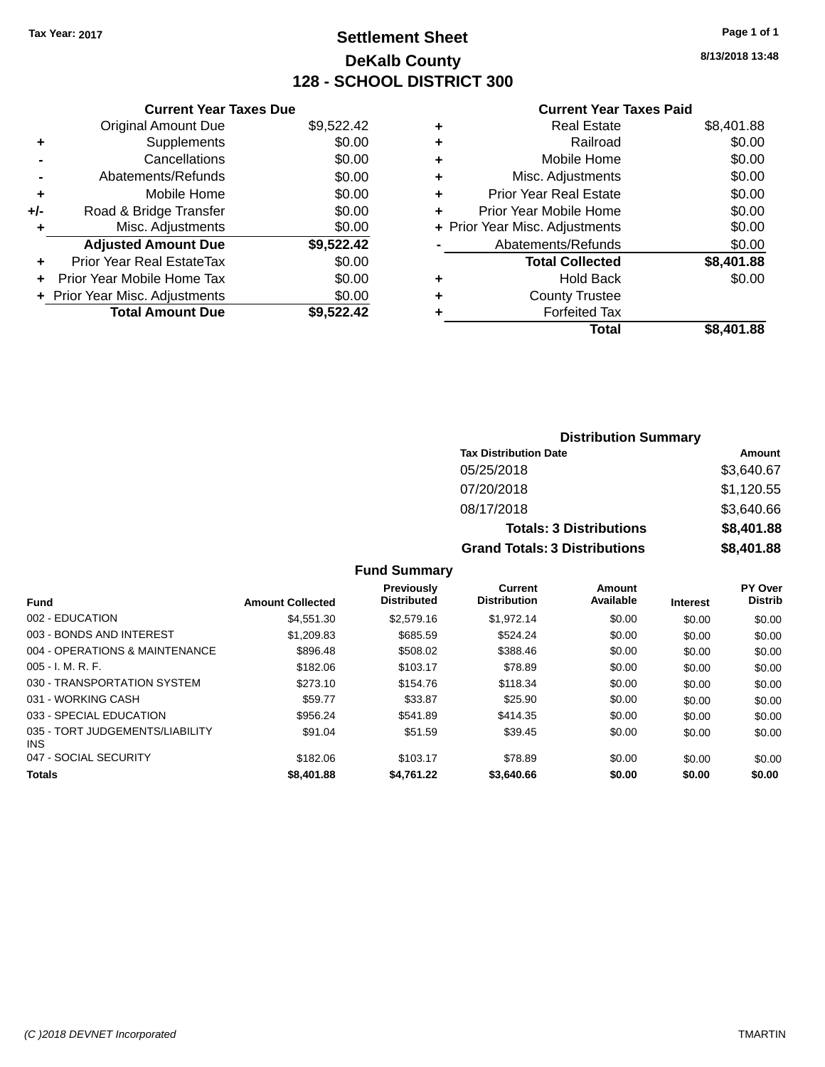# **Settlement Sheet Tax Year: 2017 Page 1 of 1 DeKalb County 128 - SCHOOL DISTRICT 300**

**8/13/2018 13:48**

#### **Current Year Taxes Paid**

|     | <b>Current Year Taxes Due</b>  |            |
|-----|--------------------------------|------------|
|     | <b>Original Amount Due</b>     | \$9,522.42 |
| ÷   | Supplements                    | \$0.00     |
|     | Cancellations                  | \$0.00     |
|     | Abatements/Refunds             | \$0.00     |
| ٠   | Mobile Home                    | \$0.00     |
| +/- | Road & Bridge Transfer         | \$0.00     |
|     | Misc. Adjustments              | \$0.00     |
|     | <b>Adjusted Amount Due</b>     | \$9,522.42 |
| ÷   | Prior Year Real EstateTax      | \$0.00     |
| ÷   | Prior Year Mobile Home Tax     | \$0.00     |
|     | + Prior Year Misc. Adjustments | \$0.00     |
|     | <b>Total Amount Due</b>        | \$9.522.42 |

|   | <b>Real Estate</b>             | \$8,401.88 |
|---|--------------------------------|------------|
| ٠ | Railroad                       | \$0.00     |
| ٠ | Mobile Home                    | \$0.00     |
| ٠ | Misc. Adjustments              | \$0.00     |
| ٠ | <b>Prior Year Real Estate</b>  | \$0.00     |
| ٠ | Prior Year Mobile Home         | \$0.00     |
|   | + Prior Year Misc. Adjustments | \$0.00     |
|   | Abatements/Refunds             | \$0.00     |
|   | <b>Total Collected</b>         | \$8,401.88 |
| ٠ | Hold Back                      | \$0.00     |
| ٠ | <b>County Trustee</b>          |            |
| ٠ | <b>Forfeited Tax</b>           |            |
|   | Total                          | \$8,401.88 |
|   |                                |            |

| <b>Distribution Summary</b>          |            |
|--------------------------------------|------------|
| <b>Tax Distribution Date</b>         | Amount     |
| 05/25/2018                           | \$3,640.67 |
| 07/20/2018                           | \$1,120.55 |
| 08/17/2018                           | \$3,640.66 |
| <b>Totals: 3 Distributions</b>       | \$8,401.88 |
| <b>Grand Totals: 3 Distributions</b> | \$8,401.88 |

| <b>Amount Collected</b> | <b>Previously</b><br><b>Distributed</b> | <b>Current</b><br><b>Distribution</b> | Amount<br>Available | <b>Interest</b> | <b>PY Over</b><br><b>Distrib</b> |
|-------------------------|-----------------------------------------|---------------------------------------|---------------------|-----------------|----------------------------------|
| \$4.551.30              | \$2,579.16                              | \$1.972.14                            | \$0.00              | \$0.00          | \$0.00                           |
| \$1.209.83              | \$685.59                                | \$524.24                              | \$0.00              | \$0.00          | \$0.00                           |
| \$896.48                | \$508.02                                | \$388.46                              | \$0.00              | \$0.00          | \$0.00                           |
| \$182.06                | \$103.17                                | \$78.89                               | \$0.00              | \$0.00          | \$0.00                           |
| \$273.10                | \$154.76                                | \$118.34                              | \$0.00              | \$0.00          | \$0.00                           |
| \$59.77                 | \$33.87                                 | \$25.90                               | \$0.00              | \$0.00          | \$0.00                           |
| \$956.24                | \$541.89                                | \$414.35                              | \$0.00              | \$0.00          | \$0.00                           |
| \$91.04                 | \$51.59                                 | \$39.45                               | \$0.00              | \$0.00          | \$0.00                           |
| \$182.06                | \$103.17                                | \$78.89                               | \$0.00              | \$0.00          | \$0.00                           |
| \$8,401.88              | \$4.761.22                              | \$3,640.66                            | \$0.00              | \$0.00          | \$0.00                           |
|                         |                                         |                                       |                     |                 |                                  |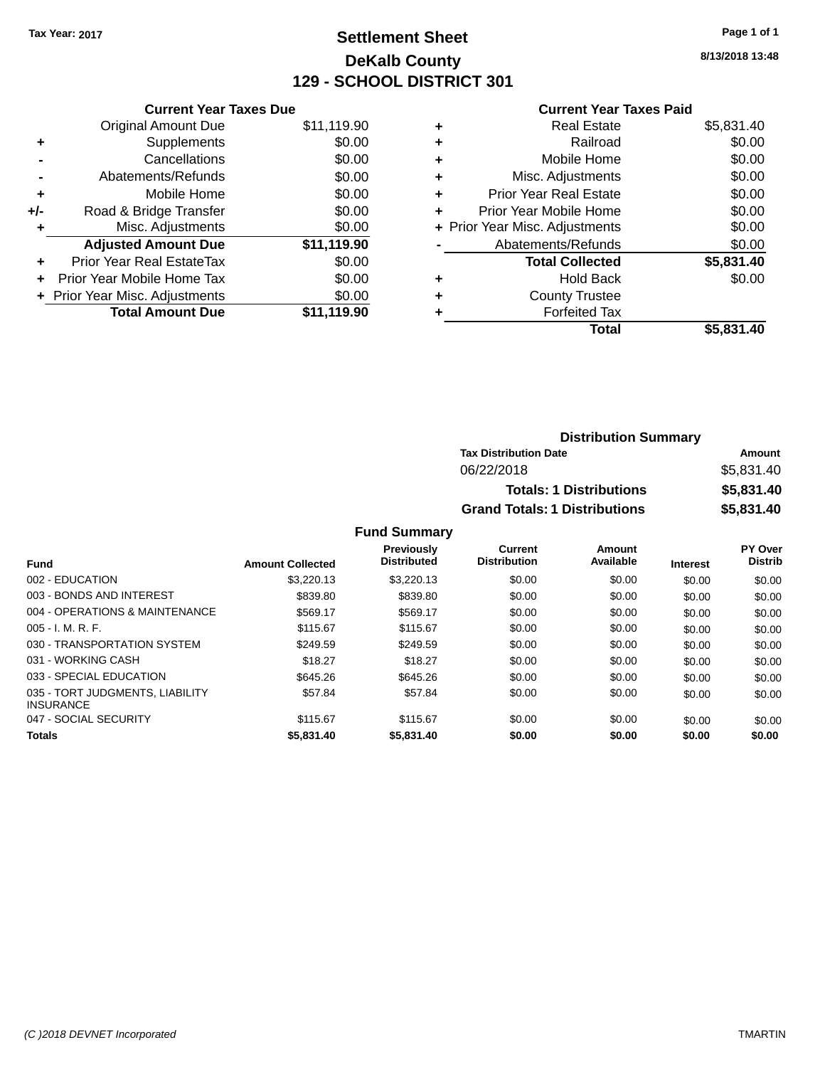# **Settlement Sheet Tax Year: 2017 Page 1 of 1 DeKalb County 129 - SCHOOL DISTRICT 301**

**8/13/2018 13:48**

#### **Current Year Taxes Paid**

|     | <b>Current Year Taxes Due</b>  |             |
|-----|--------------------------------|-------------|
|     | <b>Original Amount Due</b>     | \$11,119.90 |
| ÷   | Supplements                    | \$0.00      |
|     | Cancellations                  | \$0.00      |
|     | Abatements/Refunds             | \$0.00      |
| ٠   | Mobile Home                    | \$0.00      |
| +/- | Road & Bridge Transfer         | \$0.00      |
| ٠   | Misc. Adjustments              | \$0.00      |
|     | <b>Adjusted Amount Due</b>     | \$11,119.90 |
| ÷   | Prior Year Real EstateTax      | \$0.00      |
| ÷   | Prior Year Mobile Home Tax     | \$0.00      |
|     | + Prior Year Misc. Adjustments | \$0.00      |
|     | <b>Total Amount Due</b>        | \$11.119.90 |

|   | <b>Real Estate</b>             | \$5,831.40 |
|---|--------------------------------|------------|
| ٠ | Railroad                       | \$0.00     |
| ٠ | Mobile Home                    | \$0.00     |
| ٠ | Misc. Adjustments              | \$0.00     |
| ٠ | <b>Prior Year Real Estate</b>  | \$0.00     |
| ٠ | Prior Year Mobile Home         | \$0.00     |
|   | + Prior Year Misc. Adjustments | \$0.00     |
|   | Abatements/Refunds             | \$0.00     |
|   | <b>Total Collected</b>         | \$5,831.40 |
| ٠ | <b>Hold Back</b>               | \$0.00     |
| ٠ | <b>County Trustee</b>          |            |
| ٠ | <b>Forfeited Tax</b>           |            |
|   | Total                          | \$5,831.40 |
|   |                                |            |

| <b>Distribution Summary</b>          |            |
|--------------------------------------|------------|
| <b>Tax Distribution Date</b>         | Amount     |
| 06/22/2018                           | \$5,831.40 |
| <b>Totals: 1 Distributions</b>       | \$5,831.40 |
| <b>Grand Totals: 1 Distributions</b> | \$5,831.40 |

| <b>Fund</b>                                         | <b>Amount Collected</b> | <b>Previously</b><br><b>Distributed</b> | Current<br><b>Distribution</b> | Amount<br>Available | <b>Interest</b> | PY Over<br><b>Distrib</b> |
|-----------------------------------------------------|-------------------------|-----------------------------------------|--------------------------------|---------------------|-----------------|---------------------------|
| 002 - EDUCATION                                     | \$3,220.13              | \$3,220.13                              | \$0.00                         | \$0.00              | \$0.00          | \$0.00                    |
| 003 - BONDS AND INTEREST                            | \$839.80                | \$839.80                                | \$0.00                         | \$0.00              | \$0.00          | \$0.00                    |
| 004 - OPERATIONS & MAINTENANCE                      | \$569.17                | \$569.17                                | \$0.00                         | \$0.00              | \$0.00          | \$0.00                    |
| $005 - I. M. R. F.$                                 | \$115.67                | \$115.67                                | \$0.00                         | \$0.00              | \$0.00          | \$0.00                    |
| 030 - TRANSPORTATION SYSTEM                         | \$249.59                | \$249.59                                | \$0.00                         | \$0.00              | \$0.00          | \$0.00                    |
| 031 - WORKING CASH                                  | \$18.27                 | \$18.27                                 | \$0.00                         | \$0.00              | \$0.00          | \$0.00                    |
| 033 - SPECIAL EDUCATION                             | \$645.26                | \$645.26                                | \$0.00                         | \$0.00              | \$0.00          | \$0.00                    |
| 035 - TORT JUDGMENTS, LIABILITY<br><b>INSURANCE</b> | \$57.84                 | \$57.84                                 | \$0.00                         | \$0.00              | \$0.00          | \$0.00                    |
| 047 - SOCIAL SECURITY                               | \$115.67                | \$115.67                                | \$0.00                         | \$0.00              | \$0.00          | \$0.00                    |
| <b>Totals</b>                                       | \$5,831.40              | \$5,831.40                              | \$0.00                         | \$0.00              | \$0.00          | \$0.00                    |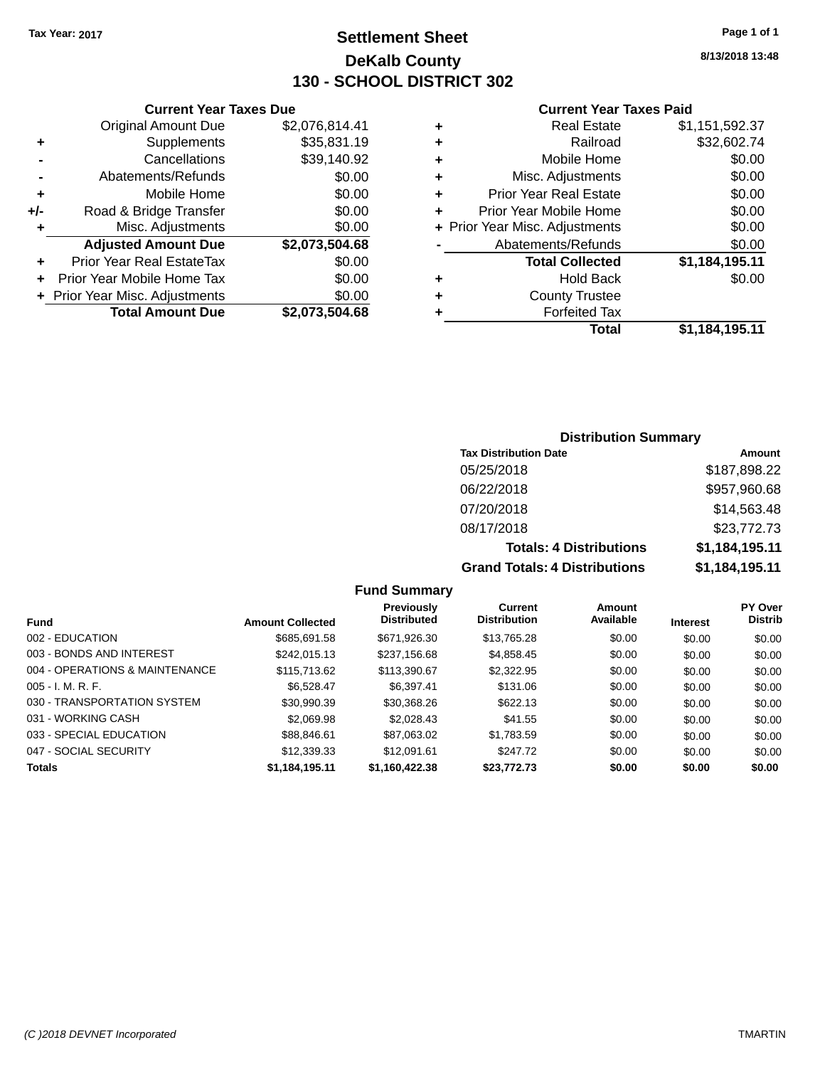# **Settlement Sheet Tax Year: 2017 Page 1 of 1 DeKalb County 130 - SCHOOL DISTRICT 302**

**8/13/2018 13:48**

#### **Current Year Taxes Paid**

|     | <b>Current Year Taxes Due</b>  |                |  |  |  |  |
|-----|--------------------------------|----------------|--|--|--|--|
|     | <b>Original Amount Due</b>     | \$2,076,814.41 |  |  |  |  |
| ٠   | Supplements                    | \$35,831.19    |  |  |  |  |
|     | Cancellations                  | \$39,140.92    |  |  |  |  |
|     | Abatements/Refunds             | \$0.00         |  |  |  |  |
| ٠   | Mobile Home                    | \$0.00         |  |  |  |  |
| +/- | Road & Bridge Transfer         | \$0.00         |  |  |  |  |
| ٠   | Misc. Adjustments              | \$0.00         |  |  |  |  |
|     | <b>Adjusted Amount Due</b>     | \$2,073,504.68 |  |  |  |  |
| ÷   | Prior Year Real EstateTax      | \$0.00         |  |  |  |  |
|     | Prior Year Mobile Home Tax     | \$0.00         |  |  |  |  |
|     | + Prior Year Misc. Adjustments | \$0.00         |  |  |  |  |
|     | <b>Total Amount Due</b>        | \$2,073,504.68 |  |  |  |  |
|     |                                |                |  |  |  |  |

| <b>Real Estate</b>             | \$1,151,592.37 |
|--------------------------------|----------------|
| Railroad                       | \$32,602.74    |
| Mobile Home                    | \$0.00         |
| Misc. Adjustments              | \$0.00         |
| <b>Prior Year Real Estate</b>  | \$0.00         |
| Prior Year Mobile Home         | \$0.00         |
| + Prior Year Misc. Adjustments | \$0.00         |
| Abatements/Refunds             | \$0.00         |
| <b>Total Collected</b>         | \$1,184,195.11 |
| Hold Back                      | \$0.00         |
| <b>County Trustee</b>          |                |
| <b>Forfeited Tax</b>           |                |
| Total                          | \$1,184,195.11 |
|                                |                |

### **Distribution Summary**

| <b>Tax Distribution Date</b>         | Amount         |
|--------------------------------------|----------------|
| 05/25/2018                           | \$187,898.22   |
| 06/22/2018                           | \$957,960.68   |
| 07/20/2018                           | \$14,563.48    |
| 08/17/2018                           | \$23,772.73    |
| <b>Totals: 4 Distributions</b>       | \$1,184,195.11 |
| <b>Grand Totals: 4 Distributions</b> | \$1,184,195.11 |

|                                |                         | Previously         | Current             | Amount    |                 | <b>PY Over</b> |
|--------------------------------|-------------------------|--------------------|---------------------|-----------|-----------------|----------------|
| Fund                           | <b>Amount Collected</b> | <b>Distributed</b> | <b>Distribution</b> | Available | <b>Interest</b> | <b>Distrib</b> |
| 002 - EDUCATION                | \$685,691.58            | \$671,926.30       | \$13,765.28         | \$0.00    | \$0.00          | \$0.00         |
| 003 - BONDS AND INTEREST       | \$242,015.13            | \$237,156.68       | \$4,858.45          | \$0.00    | \$0.00          | \$0.00         |
| 004 - OPERATIONS & MAINTENANCE | \$115,713.62            | \$113,390.67       | \$2,322.95          | \$0.00    | \$0.00          | \$0.00         |
| $005 - I. M. R. F.$            | \$6.528.47              | \$6.397.41         | \$131.06            | \$0.00    | \$0.00          | \$0.00         |
| 030 - TRANSPORTATION SYSTEM    | \$30.990.39             | \$30,368.26        | \$622.13            | \$0.00    | \$0.00          | \$0.00         |
| 031 - WORKING CASH             | \$2.069.98              | \$2,028.43         | \$41.55             | \$0.00    | \$0.00          | \$0.00         |
| 033 - SPECIAL EDUCATION        | \$88,846.61             | \$87,063.02        | \$1,783.59          | \$0.00    | \$0.00          | \$0.00         |
| 047 - SOCIAL SECURITY          | \$12,339.33             | \$12,091.61        | \$247.72            | \$0.00    | \$0.00          | \$0.00         |
| <b>Totals</b>                  | \$1,184,195.11          | \$1,160,422.38     | \$23,772.73         | \$0.00    | \$0.00          | \$0.00         |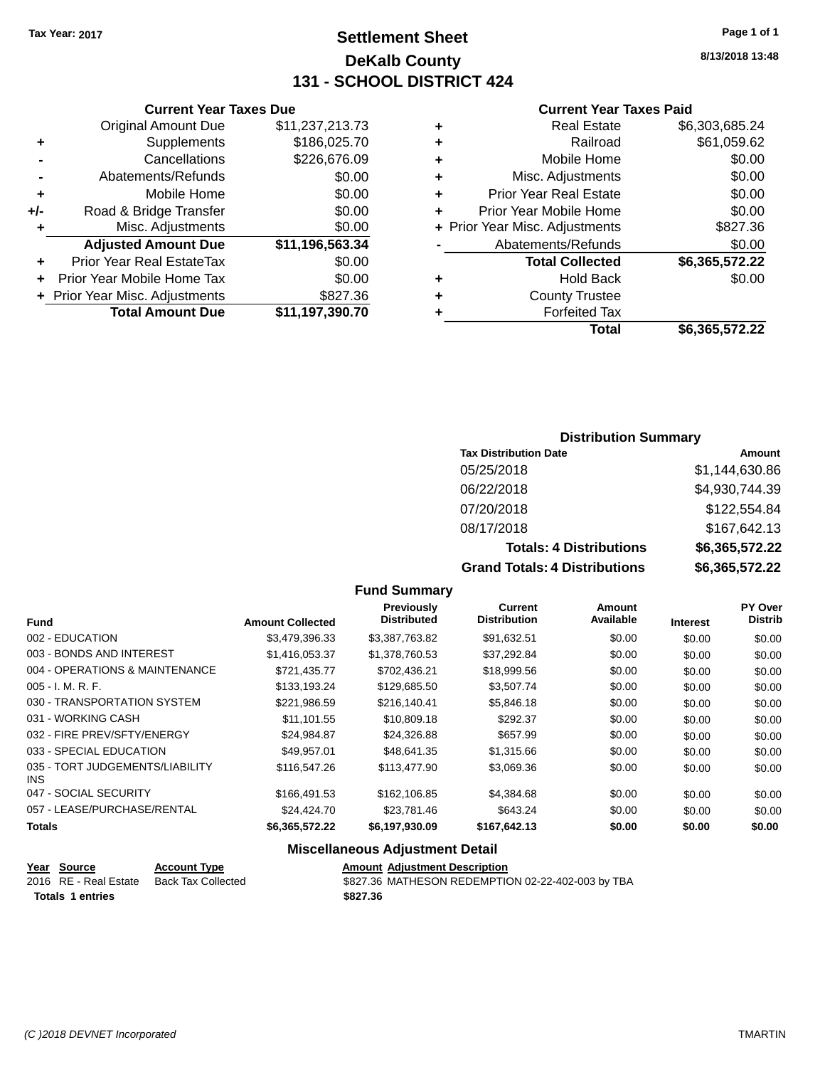# **Settlement Sheet Tax Year: 2017 Page 1 of 1 DeKalb County 131 - SCHOOL DISTRICT 424**

**8/13/2018 13:48**

#### **Current Year Taxes Paid**

|     | <b>Current Year Taxes Due</b>  |                 |  |  |  |  |
|-----|--------------------------------|-----------------|--|--|--|--|
|     | <b>Original Amount Due</b>     | \$11,237,213.73 |  |  |  |  |
| ٠   | Supplements                    | \$186,025.70    |  |  |  |  |
|     | Cancellations                  | \$226,676.09    |  |  |  |  |
|     | Abatements/Refunds             | \$0.00          |  |  |  |  |
| ٠   | Mobile Home                    | \$0.00          |  |  |  |  |
| +/- | Road & Bridge Transfer         | \$0.00          |  |  |  |  |
| ٠   | Misc. Adjustments              | \$0.00          |  |  |  |  |
|     | <b>Adjusted Amount Due</b>     | \$11,196,563.34 |  |  |  |  |
| ٠   | Prior Year Real EstateTax      | \$0.00          |  |  |  |  |
|     | Prior Year Mobile Home Tax     | \$0.00          |  |  |  |  |
|     | + Prior Year Misc. Adjustments | \$827.36        |  |  |  |  |
|     | <b>Total Amount Due</b>        | \$11,197,390.70 |  |  |  |  |
|     |                                |                 |  |  |  |  |

|   | <b>Real Estate</b>             | \$6,303,685.24 |
|---|--------------------------------|----------------|
| ٠ | Railroad                       | \$61,059.62    |
| ٠ | Mobile Home                    | \$0.00         |
| ٠ | Misc. Adjustments              | \$0.00         |
| ٠ | <b>Prior Year Real Estate</b>  | \$0.00         |
| ٠ | Prior Year Mobile Home         | \$0.00         |
|   | + Prior Year Misc. Adjustments | \$827.36       |
|   | Abatements/Refunds             | \$0.00         |
|   | <b>Total Collected</b>         | \$6,365,572.22 |
| ٠ | Hold Back                      | \$0.00         |
| ٠ | <b>County Trustee</b>          |                |
| ٠ | <b>Forfeited Tax</b>           |                |
|   | Total                          | \$6,365,572.22 |
|   |                                |                |

### **Distribution Summary**

| <b>Tax Distribution Date</b>         | Amount         |
|--------------------------------------|----------------|
| 05/25/2018                           | \$1,144,630.86 |
| 06/22/2018                           | \$4,930,744.39 |
| 07/20/2018                           | \$122,554.84   |
| 08/17/2018                           | \$167,642.13   |
| <b>Totals: 4 Distributions</b>       | \$6,365,572.22 |
| <b>Grand Totals: 4 Distributions</b> | \$6,365,572.22 |

### **Fund Summary**

|                                         |                         | Previously         | Current             | Amount    |                 | PY Over        |
|-----------------------------------------|-------------------------|--------------------|---------------------|-----------|-----------------|----------------|
| <b>Fund</b>                             | <b>Amount Collected</b> | <b>Distributed</b> | <b>Distribution</b> | Available | <b>Interest</b> | <b>Distrib</b> |
| 002 - EDUCATION                         | \$3,479,396.33          | \$3,387,763.82     | \$91,632.51         | \$0.00    | \$0.00          | \$0.00         |
| 003 - BONDS AND INTEREST                | \$1,416,053.37          | \$1,378,760.53     | \$37,292.84         | \$0.00    | \$0.00          | \$0.00         |
| 004 - OPERATIONS & MAINTENANCE          | \$721.435.77            | \$702,436.21       | \$18,999.56         | \$0.00    | \$0.00          | \$0.00         |
| $005 - I. M. R. F.$                     | \$133,193.24            | \$129,685.50       | \$3,507.74          | \$0.00    | \$0.00          | \$0.00         |
| 030 - TRANSPORTATION SYSTEM             | \$221,986.59            | \$216,140.41       | \$5,846.18          | \$0.00    | \$0.00          | \$0.00         |
| 031 - WORKING CASH                      | \$11.101.55             | \$10,809.18        | \$292.37            | \$0.00    | \$0.00          | \$0.00         |
| 032 - FIRE PREV/SFTY/ENERGY             | \$24,984.87             | \$24,326.88        | \$657.99            | \$0.00    | \$0.00          | \$0.00         |
| 033 - SPECIAL EDUCATION                 | \$49.957.01             | \$48.641.35        | \$1,315.66          | \$0.00    | \$0.00          | \$0.00         |
| 035 - TORT JUDGEMENTS/LIABILITY<br>INS. | \$116,547.26            | \$113,477.90       | \$3,069.36          | \$0.00    | \$0.00          | \$0.00         |
| 047 - SOCIAL SECURITY                   | \$166,491.53            | \$162,106.85       | \$4,384.68          | \$0.00    | \$0.00          | \$0.00         |
| 057 - LEASE/PURCHASE/RENTAL             | \$24,424.70             | \$23,781.46        | \$643.24            | \$0.00    | \$0.00          | \$0.00         |
| <b>Totals</b>                           | \$6,365,572.22          | \$6,197,930.09     | \$167,642.13        | \$0.00    | \$0.00          | \$0.00         |

### **Miscellaneous Adjustment Detail**

|                  | Year Source           | <b>Account Type</b> | <b>Amount Adiustment Description</b>              |
|------------------|-----------------------|---------------------|---------------------------------------------------|
|                  | 2016 RE - Real Estate | Back Tax Collected  | \$827.36 MATHESON REDEMPTION 02-22-402-003 by TBA |
| Totals 1 entries |                       |                     | \$827.36                                          |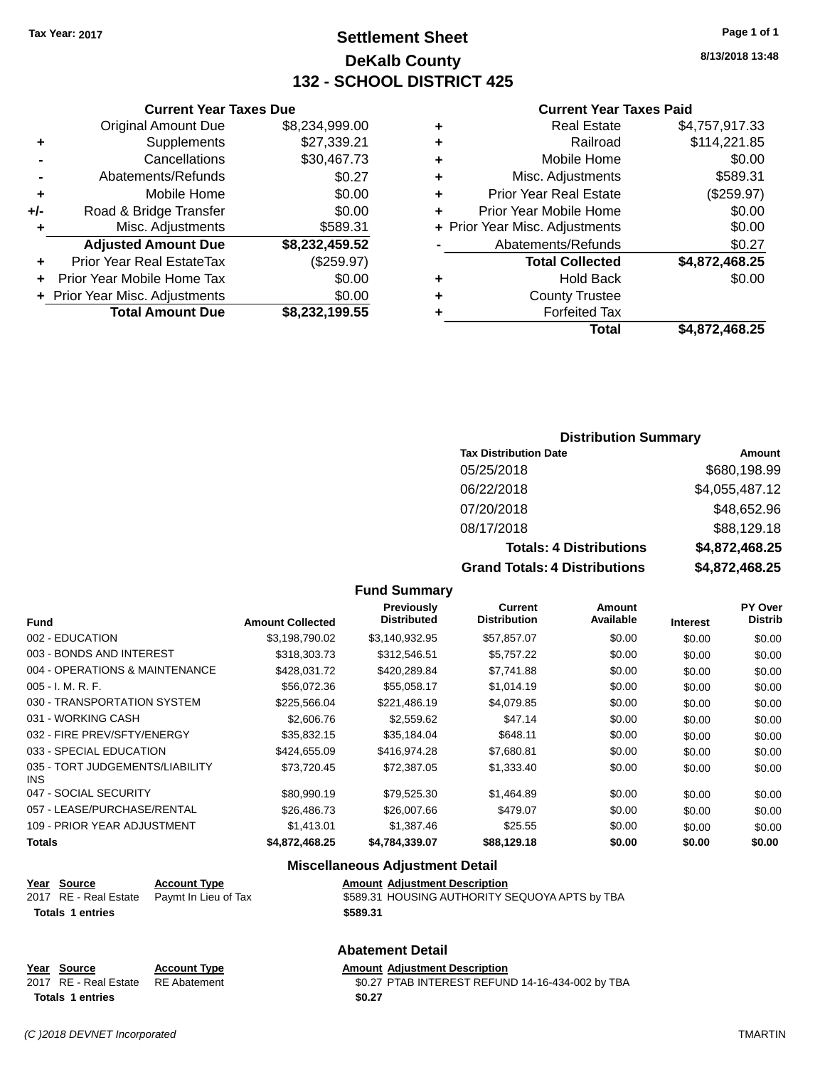# **Settlement Sheet Tax Year: 2017 Page 1 of 1 DeKalb County 132 - SCHOOL DISTRICT 425**

**8/13/2018 13:48**

#### **Current Year Taxes Paid**

|   | Total                          | \$4,872,468.25 |
|---|--------------------------------|----------------|
|   | <b>Forfeited Tax</b>           |                |
| ÷ | <b>County Trustee</b>          |                |
| ÷ | <b>Hold Back</b>               | \$0.00         |
|   | <b>Total Collected</b>         | \$4,872,468.25 |
|   | Abatements/Refunds             | \$0.27         |
|   | + Prior Year Misc. Adjustments | \$0.00         |
| ÷ | Prior Year Mobile Home         | \$0.00         |
| ÷ | <b>Prior Year Real Estate</b>  | (\$259.97)     |
| ٠ | Misc. Adjustments              | \$589.31       |
| ٠ | Mobile Home                    | \$0.00         |
| ٠ | Railroad                       | \$114,221.85   |
| ٠ | <b>Real Estate</b>             | \$4,757,917.33 |
|   |                                |                |

|     | <b>Current Year Taxes Due</b>  |                |
|-----|--------------------------------|----------------|
|     | <b>Original Amount Due</b>     | \$8,234,999.00 |
| ٠   | Supplements                    | \$27,339.21    |
|     | Cancellations                  | \$30,467.73    |
|     | Abatements/Refunds             | \$0.27         |
| ٠   | Mobile Home                    | \$0.00         |
| +/- | Road & Bridge Transfer         | \$0.00         |
| ٠   | Misc. Adjustments              | \$589.31       |
|     | <b>Adjusted Amount Due</b>     | \$8,232,459.52 |
| ٠   | Prior Year Real EstateTax      | (\$259.97)     |
| ٠   | Prior Year Mobile Home Tax     | \$0.00         |
|     | + Prior Year Misc. Adjustments | \$0.00         |
|     | <b>Total Amount Due</b>        | \$8,232,199.55 |
|     |                                |                |

#### **Distribution Summary**

| <b>Tax Distribution Date</b>         | Amount         |
|--------------------------------------|----------------|
| 05/25/2018                           | \$680,198.99   |
| 06/22/2018                           | \$4,055,487.12 |
| 07/20/2018                           | \$48,652.96    |
| 08/17/2018                           | \$88,129.18    |
| <b>Totals: 4 Distributions</b>       | \$4,872,468.25 |
| <b>Grand Totals: 4 Distributions</b> | \$4,872,468.25 |

#### **Fund Summary**

|                                         |                         | <b>Previously</b>  | <b>Current</b>      | <b>Amount</b> |                 | <b>PY Over</b> |
|-----------------------------------------|-------------------------|--------------------|---------------------|---------------|-----------------|----------------|
| <b>Fund</b>                             | <b>Amount Collected</b> | <b>Distributed</b> | <b>Distribution</b> | Available     | <b>Interest</b> | <b>Distrib</b> |
| 002 - EDUCATION                         | \$3,198,790.02          | \$3.140.932.95     | \$57,857.07         | \$0.00        | \$0.00          | \$0.00         |
| 003 - BONDS AND INTEREST                | \$318,303.73            | \$312,546.51       | \$5,757.22          | \$0.00        | \$0.00          | \$0.00         |
| 004 - OPERATIONS & MAINTENANCE          | \$428,031.72            | \$420,289.84       | \$7,741.88          | \$0.00        | \$0.00          | \$0.00         |
| $005 - I. M. R. F.$                     | \$56,072.36             | \$55,058.17        | \$1,014.19          | \$0.00        | \$0.00          | \$0.00         |
| 030 - TRANSPORTATION SYSTEM             | \$225,566.04            | \$221,486.19       | \$4,079.85          | \$0.00        | \$0.00          | \$0.00         |
| 031 - WORKING CASH                      | \$2,606.76              | \$2,559.62         | \$47.14             | \$0.00        | \$0.00          | \$0.00         |
| 032 - FIRE PREV/SFTY/ENERGY             | \$35.832.15             | \$35,184.04        | \$648.11            | \$0.00        | \$0.00          | \$0.00         |
| 033 - SPECIAL EDUCATION                 | \$424,655.09            | \$416,974.28       | \$7,680.81          | \$0.00        | \$0.00          | \$0.00         |
| 035 - TORT JUDGEMENTS/LIABILITY<br>INS. | \$73,720.45             | \$72.387.05        | \$1,333.40          | \$0.00        | \$0.00          | \$0.00         |
| 047 - SOCIAL SECURITY                   | \$80.990.19             | \$79.525.30        | \$1,464.89          | \$0.00        | \$0.00          | \$0.00         |
| 057 - LEASE/PURCHASE/RENTAL             | \$26,486,73             | \$26,007.66        | \$479.07            | \$0.00        | \$0.00          | \$0.00         |
| 109 - PRIOR YEAR ADJUSTMENT             | \$1,413.01              | \$1,387.46         | \$25.55             | \$0.00        | \$0.00          | \$0.00         |
| Totals                                  | \$4.872.468.25          | \$4.784.339.07     | \$88,129.18         | \$0.00        | \$0.00          | \$0.00         |

### **Miscellaneous Adjustment Detail Year Source Account Type Amount Adjustment Description Totals \$589.31 1 entries**

# $\overline{3589.31}$  HOUSING AUTHORITY SEQUOYA APTS by TBA

|     | <b>Account Type</b> |
|-----|---------------------|
| ate | <b>RF</b> Abatement |

**Abatement Detail**

**Year Source Account Type Amount Adjustment Description** 2017 RE - Real Estate RE Abatement \$0.27 PTAB INTEREST REFUND 14-16-434-002 by TBA Totals 1 entries \$0.27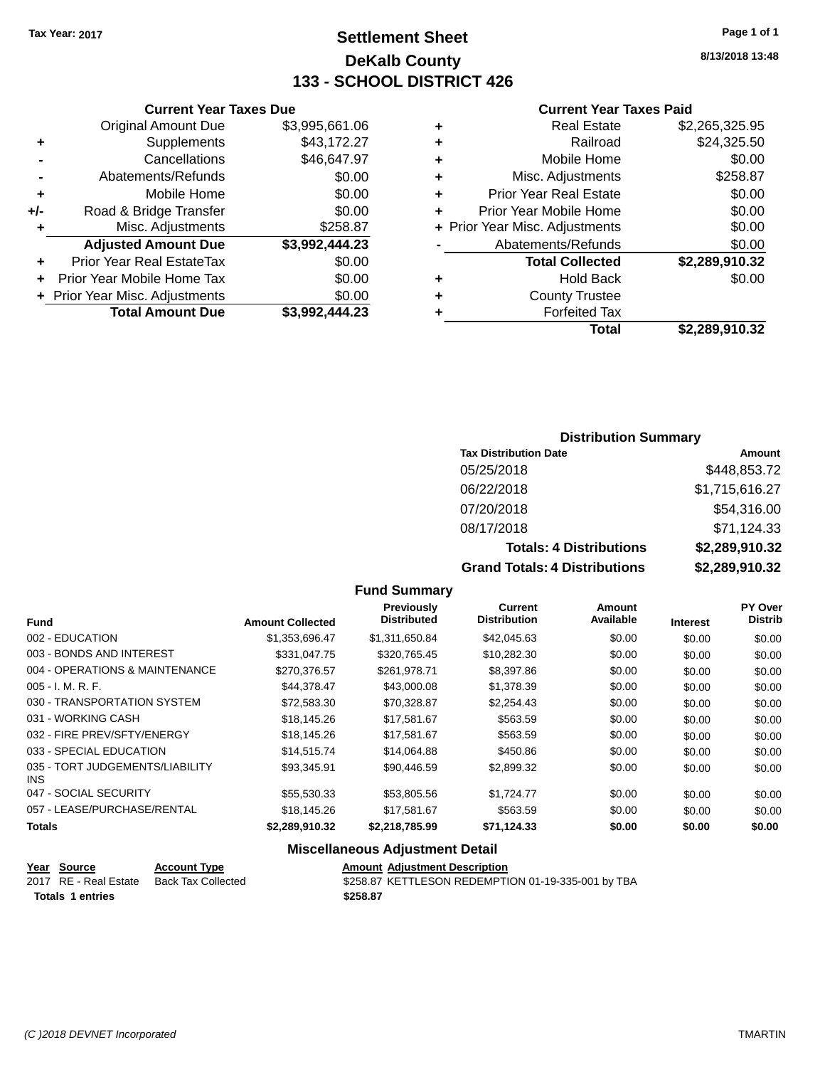# **Settlement Sheet Tax Year: 2017 Page 1 of 1 DeKalb County 133 - SCHOOL DISTRICT 426**

**8/13/2018 13:48**

### **Current Year Taxes Paid**

|     | <b>Current Year Taxes Due</b>    |                |   | <b>Current Year Taxes Paid</b> |                       |
|-----|----------------------------------|----------------|---|--------------------------------|-----------------------|
|     | <b>Original Amount Due</b>       | \$3,995,661.06 |   | <b>Real Estate</b>             | \$2,265,325.95        |
| ٠   | Supplements                      | \$43,172.27    | ٠ | Railroad                       | \$24,325.50           |
|     | Cancellations                    | \$46,647.97    |   | Mobile Home                    | \$0.00                |
|     | Abatements/Refunds               | \$0.00         | ٠ | Misc. Adjustments              | \$258.87              |
| ٠   | Mobile Home                      | \$0.00         | ٠ | <b>Prior Year Real Estate</b>  | \$0.00                |
| +/- | Road & Bridge Transfer           | \$0.00         |   | Prior Year Mobile Home         | \$0.00                |
|     | Misc. Adjustments                | \$258.87       |   | + Prior Year Misc. Adjustments | \$0.00                |
|     | <b>Adjusted Amount Due</b>       | \$3,992,444.23 |   | Abatements/Refunds             | \$0.00                |
| ٠   | <b>Prior Year Real EstateTax</b> | \$0.00         |   | <b>Total Collected</b>         | \$2,289,910.32        |
| ÷.  | Prior Year Mobile Home Tax       | \$0.00         | ٠ | <b>Hold Back</b>               | \$0.00                |
|     | + Prior Year Misc. Adjustments   | \$0.00         | ٠ | <b>County Trustee</b>          |                       |
|     | <b>Total Amount Due</b>          | \$3,992,444.23 |   | <b>Forfeited Tax</b>           |                       |
|     |                                  |                |   | Total                          | <b>¢ኃ ኃዩ</b> ០ 04ሰ ?ኃ |

|   | Total                          | \$2,289,910.32 |
|---|--------------------------------|----------------|
| ٠ | <b>Forfeited Tax</b>           |                |
| ÷ | <b>County Trustee</b>          |                |
| ٠ | <b>Hold Back</b>               | \$0.00         |
|   | <b>Total Collected</b>         | \$2,289,910.32 |
|   | Abatements/Refunds             | \$0.00         |
|   | + Prior Year Misc. Adjustments | \$0.00         |
| ÷ | Prior Year Mobile Home         | \$0.00         |
| ÷ | <b>Prior Year Real Estate</b>  | \$0.00         |
| ÷ | Misc. Adjustments              | \$258.87       |
| ٠ | Mobile Home                    | \$0.00         |

### **Distribution Summary**

| <b>Tax Distribution Date</b>         | Amount         |
|--------------------------------------|----------------|
| 05/25/2018                           | \$448,853.72   |
| 06/22/2018                           | \$1,715,616.27 |
| 07/20/2018                           | \$54,316.00    |
| 08/17/2018                           | \$71,124.33    |
| <b>Totals: 4 Distributions</b>       | \$2,289,910.32 |
| <b>Grand Totals: 4 Distributions</b> | \$2,289,910.32 |

#### **Fund Summary**

|                                         |                         | Previously<br><b>Distributed</b> | <b>Current</b><br><b>Distribution</b> | Amount<br>Available |                 | PY Over<br><b>Distrib</b> |
|-----------------------------------------|-------------------------|----------------------------------|---------------------------------------|---------------------|-----------------|---------------------------|
| Fund                                    | <b>Amount Collected</b> |                                  |                                       |                     | <b>Interest</b> |                           |
| 002 - EDUCATION                         | \$1,353,696.47          | \$1,311,650.84                   | \$42,045.63                           | \$0.00              | \$0.00          | \$0.00                    |
| 003 - BONDS AND INTEREST                | \$331,047.75            | \$320,765.45                     | \$10,282.30                           | \$0.00              | \$0.00          | \$0.00                    |
| 004 - OPERATIONS & MAINTENANCE          | \$270.376.57            | \$261.978.71                     | \$8,397.86                            | \$0.00              | \$0.00          | \$0.00                    |
| $005 - I. M. R. F.$                     | \$44,378.47             | \$43,000.08                      | \$1,378.39                            | \$0.00              | \$0.00          | \$0.00                    |
| 030 - TRANSPORTATION SYSTEM             | \$72,583.30             | \$70,328.87                      | \$2,254.43                            | \$0.00              | \$0.00          | \$0.00                    |
| 031 - WORKING CASH                      | \$18,145.26             | \$17,581.67                      | \$563.59                              | \$0.00              | \$0.00          | \$0.00                    |
| 032 - FIRE PREV/SFTY/ENERGY             | \$18,145.26             | \$17.581.67                      | \$563.59                              | \$0.00              | \$0.00          | \$0.00                    |
| 033 - SPECIAL EDUCATION                 | \$14,515.74             | \$14.064.88                      | \$450.86                              | \$0.00              | \$0.00          | \$0.00                    |
| 035 - TORT JUDGEMENTS/LIABILITY<br>INS. | \$93,345.91             | \$90.446.59                      | \$2,899.32                            | \$0.00              | \$0.00          | \$0.00                    |
| 047 - SOCIAL SECURITY                   | \$55,530.33             | \$53,805.56                      | \$1,724.77                            | \$0.00              | \$0.00          | \$0.00                    |
| 057 - LEASE/PURCHASE/RENTAL             | \$18,145.26             | \$17.581.67                      | \$563.59                              | \$0.00              | \$0.00          | \$0.00                    |
| Totals                                  | \$2,289,910.32          | \$2,218,785.99                   | \$71,124.33                           | \$0.00              | \$0.00          | \$0.00                    |

#### **Miscellaneous Adjustment Detail**

| Year Source           | <b>Account Type</b> | <b>Amount Adiustment Description</b>               |
|-----------------------|---------------------|----------------------------------------------------|
| 2017 RE - Real Estate | Back Tax Collected  | \$258.87 KETTLESON REDEMPTION 01-19-335-001 by TBA |
| Totals 1 entries      |                     | \$258.87                                           |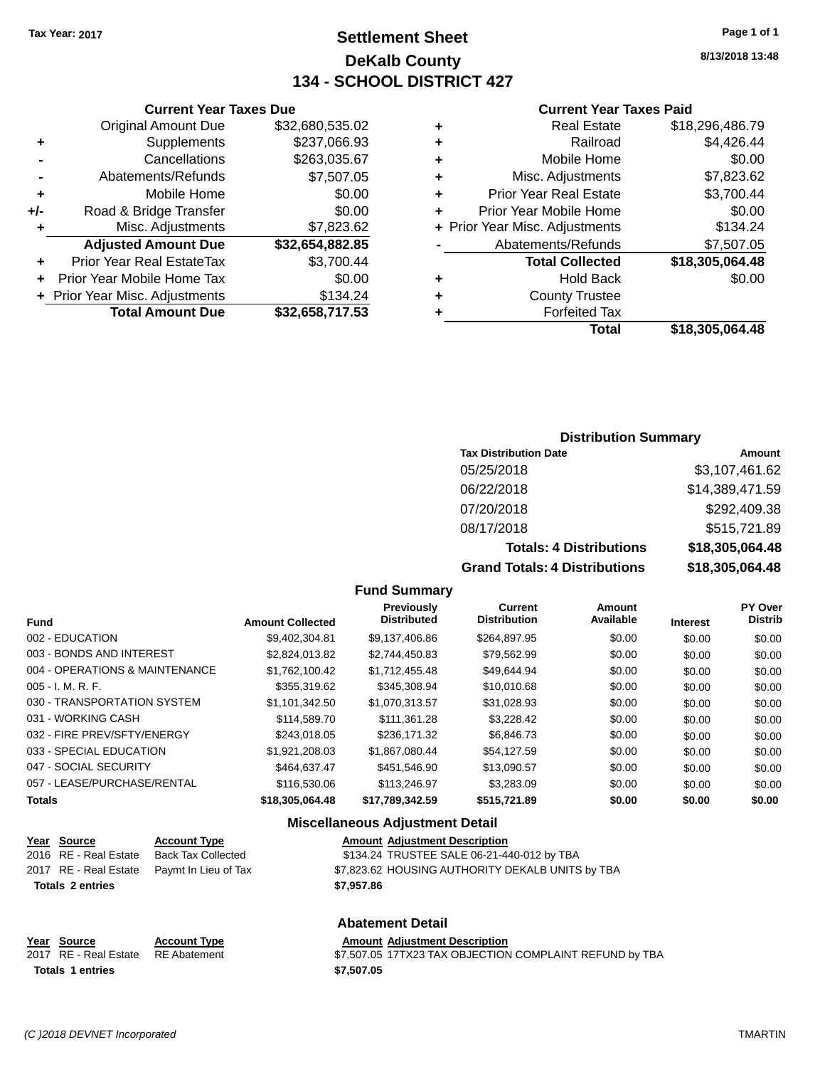# **Settlement Sheet Tax Year: 2017 Page 1 of 1 DeKalb County 134 - SCHOOL DISTRICT 427**

**8/13/2018 13:48**

#### **Current Year Taxes Paid**

| ٠ | <b>Real Estate</b>             | \$18,296,486.79 |
|---|--------------------------------|-----------------|
| ٠ | Railroad                       | \$4,426.44      |
| ٠ | Mobile Home                    | \$0.00          |
| ٠ | Misc. Adjustments              | \$7,823.62      |
| ٠ | <b>Prior Year Real Estate</b>  | \$3,700.44      |
| ٠ | Prior Year Mobile Home         | \$0.00          |
|   | + Prior Year Misc. Adjustments | \$134.24        |
|   | Abatements/Refunds             | \$7,507.05      |
|   | <b>Total Collected</b>         | \$18,305,064.48 |
| ٠ | <b>Hold Back</b>               | \$0.00          |
| ٠ | <b>County Trustee</b>          |                 |
|   | <b>Forfeited Tax</b>           |                 |
|   | Total                          | \$18,305,064.48 |

### **Current Year Taxes Due** Original Amount Due \$32,680,535.02 **+** Supplements \$237,066.93 **-** Cancellations \$263,035.67 **-** Abatements/Refunds \$7,507.05 **+** Mobile Home \$0.00 **+/-** Road & Bridge Transfer \$0.00 **+** Misc. Adjustments \$7,823.62 **Adjusted Amount Due \$32,654,882.85 +** Prior Year Real EstateTax \$3,700.44 **+** Prior Year Mobile Home Tax \$0.00

**+ Prior Year Misc. Adjustments \$134.24** 

**Total Amount Due \$32,658,717.53**

#### **Distribution Summary**

| <b>Tax Distribution Date</b>         | Amount          |
|--------------------------------------|-----------------|
| 05/25/2018                           | \$3,107,461.62  |
| 06/22/2018                           | \$14,389,471.59 |
| 07/20/2018                           | \$292,409.38    |
| 08/17/2018                           | \$515,721.89    |
| <b>Totals: 4 Distributions</b>       | \$18,305,064.48 |
| <b>Grand Totals: 4 Distributions</b> | \$18,305,064.48 |

#### **Fund Summary**

| <b>Fund</b>                    | <b>Amount Collected</b> | <b>Previously</b><br><b>Distributed</b> | Current<br><b>Distribution</b> | Amount<br>Available | <b>Interest</b> | <b>PY Over</b><br><b>Distrib</b> |
|--------------------------------|-------------------------|-----------------------------------------|--------------------------------|---------------------|-----------------|----------------------------------|
| 002 - EDUCATION                | \$9.402.304.81          | \$9.137.406.86                          | \$264.897.95                   | \$0.00              | \$0.00          | \$0.00                           |
| 003 - BONDS AND INTEREST       | \$2.824.013.82          | \$2.744.450.83                          | \$79,562.99                    | \$0.00              | \$0.00          | \$0.00                           |
| 004 - OPERATIONS & MAINTENANCE | \$1.762.100.42          | \$1.712.455.48                          | \$49,644.94                    | \$0.00              | \$0.00          | \$0.00                           |
| $005 - I. M. R. F.$            | \$355.319.62            | \$345.308.94                            | \$10,010.68                    | \$0.00              | \$0.00          | \$0.00                           |
| 030 - TRANSPORTATION SYSTEM    | \$1,101,342.50          | \$1.070.313.57                          | \$31.028.93                    | \$0.00              | \$0.00          | \$0.00                           |
| 031 - WORKING CASH             | \$114,589.70            | \$111.361.28                            | \$3.228.42                     | \$0.00              | \$0.00          | \$0.00                           |
| 032 - FIRE PREV/SFTY/ENERGY    | \$243.018.05            | \$236.171.32                            | \$6,846,73                     | \$0.00              | \$0.00          | \$0.00                           |
| 033 - SPECIAL EDUCATION        | \$1,921,208.03          | \$1.867.080.44                          | \$54,127.59                    | \$0.00              | \$0.00          | \$0.00                           |
| 047 - SOCIAL SECURITY          | \$464,637,47            | \$451.546.90                            | \$13,090.57                    | \$0.00              | \$0.00          | \$0.00                           |
| 057 - LEASE/PURCHASE/RENTAL    | \$116,530.06            | \$113,246.97                            | \$3,283,09                     | \$0.00              | \$0.00          | \$0.00                           |
| <b>Totals</b>                  | \$18,305,064,48         | \$17,789,342.59                         | \$515.721.89                   | \$0.00              | \$0.00          | \$0.00                           |

#### **Miscellaneous Adjustment Detail**

| Year Source             | <b>Account Type</b>                        | <b>Amount Adjustment Description</b>             |
|-------------------------|--------------------------------------------|--------------------------------------------------|
| 2016 RE - Real Estate   | Back Tax Collected                         | \$134.24 TRUSTEE SALE 06-21-440-012 by TBA       |
|                         | 2017 RE - Real Estate Paymt In Lieu of Tax | \$7,823.62 HOUSING AUTHORITY DEKALB UNITS by TBA |
| <b>Totals 2 entries</b> |                                            | \$7.957.86                                       |
|                         |                                            |                                                  |

#### **Abatement Detail**

#### **Year Source Account Type Amount Adjustment Description**<br>2017 RE - Real Estate RE Abatement \$7,507.05 17TX23 TAX OBJECTION  $$7,507.05$   $17TX23$  TAX OBJECTION COMPLAINT REFUND by TBA **Totals \$7,507.05 1 entries**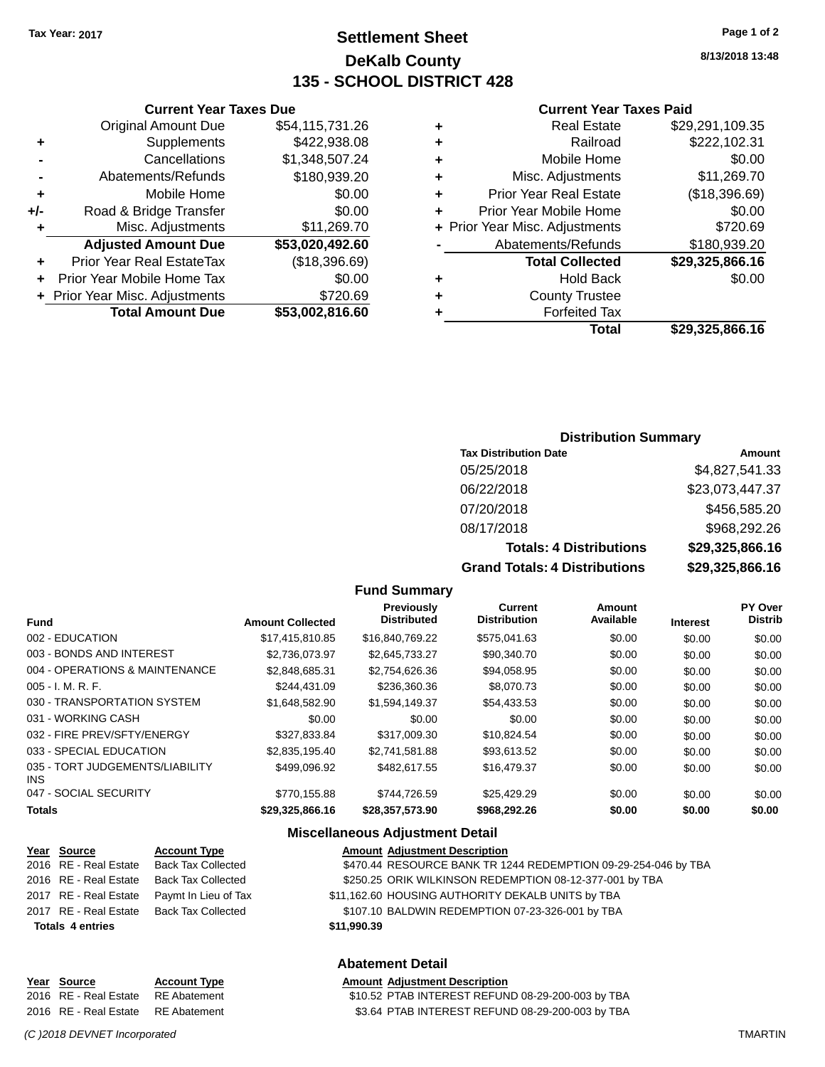## **Settlement Sheet Tax Year: 2017 Page 1 of 2 DeKalb County 135 - SCHOOL DISTRICT 428**

**8/13/2018 13:48**

#### **Current Year Taxes Paid**

| ٠ | <b>Real Estate</b>             | \$29,291,109.35 |
|---|--------------------------------|-----------------|
| ٠ | Railroad                       | \$222,102.31    |
| ٠ | Mobile Home                    | \$0.00          |
| ٠ | Misc. Adjustments              | \$11,269.70     |
| ٠ | <b>Prior Year Real Estate</b>  | (\$18,396.69)   |
| ٠ | Prior Year Mobile Home         | \$0.00          |
|   | + Prior Year Misc. Adjustments | \$720.69        |
|   | Abatements/Refunds             | \$180,939.20    |
|   | <b>Total Collected</b>         | \$29,325,866.16 |
| ٠ | <b>Hold Back</b>               | \$0.00          |
| ٠ | <b>County Trustee</b>          |                 |
|   | <b>Forfeited Tax</b>           |                 |
|   | Total                          | \$29,325,866.16 |

### **Current Year Taxes Due** Original Amount Due \$54,115,731.26 **+** Supplements \$422,938.08 **-** Cancellations \$1,348,507.24 **-** Abatements/Refunds \$180,939.20 **+** Mobile Home \$0.00 **+/-** Road & Bridge Transfer \$0.00 **+** Misc. Adjustments \$11,269.70 **Adjusted Amount Due \$53,020,492.60 +** Prior Year Real EstateTax (\$18,396.69) **+** Prior Year Mobile Home Tax \$0.00

**+** Prior Year Misc. Adjustments \$720.69

**Total Amount Due \$53,002,816.60**

#### **Distribution Summary**

| <b>Tax Distribution Date</b>         | Amount          |
|--------------------------------------|-----------------|
| 05/25/2018                           | \$4,827,541.33  |
| 06/22/2018                           | \$23,073,447.37 |
| 07/20/2018                           | \$456,585.20    |
| 08/17/2018                           | \$968,292.26    |
| <b>Totals: 4 Distributions</b>       | \$29,325,866.16 |
| <b>Grand Totals: 4 Distributions</b> | \$29,325,866.16 |

#### **Fund Summary**

|                                         |                         | Previously         | Current             | <b>Amount</b> |                 | <b>PY Over</b> |
|-----------------------------------------|-------------------------|--------------------|---------------------|---------------|-----------------|----------------|
| <b>Fund</b>                             | <b>Amount Collected</b> | <b>Distributed</b> | <b>Distribution</b> | Available     | <b>Interest</b> | <b>Distrib</b> |
| 002 - EDUCATION                         | \$17.415.810.85         | \$16,840,769,22    | \$575.041.63        | \$0.00        | \$0.00          | \$0.00         |
| 003 - BONDS AND INTEREST                | \$2.736.073.97          | \$2.645.733.27     | \$90,340.70         | \$0.00        | \$0.00          | \$0.00         |
| 004 - OPERATIONS & MAINTENANCE          | \$2,848,685.31          | \$2,754,626.36     | \$94,058.95         | \$0.00        | \$0.00          | \$0.00         |
| $005 - I. M. R. F.$                     | \$244.431.09            | \$236,360.36       | \$8,070.73          | \$0.00        | \$0.00          | \$0.00         |
| 030 - TRANSPORTATION SYSTEM             | \$1,648,582.90          | \$1,594,149.37     | \$54,433.53         | \$0.00        | \$0.00          | \$0.00         |
| 031 - WORKING CASH                      | \$0.00                  | \$0.00             | \$0.00              | \$0.00        | \$0.00          | \$0.00         |
| 032 - FIRE PREV/SFTY/ENERGY             | \$327.833.84            | \$317,009.30       | \$10.824.54         | \$0.00        | \$0.00          | \$0.00         |
| 033 - SPECIAL EDUCATION                 | \$2,835,195,40          | \$2.741.581.88     | \$93.613.52         | \$0.00        | \$0.00          | \$0.00         |
| 035 - TORT JUDGEMENTS/LIABILITY<br>INS. | \$499.096.92            | \$482.617.55       | \$16,479.37         | \$0.00        | \$0.00          | \$0.00         |
| 047 - SOCIAL SECURITY                   | \$770,155.88            | \$744.726.59       | \$25,429.29         | \$0.00        | \$0.00          | \$0.00         |
| <b>Totals</b>                           | \$29,325,866.16         | \$28,357,573.90    | \$968,292.26        | \$0.00        | \$0.00          | \$0.00         |

#### **Miscellaneous Adjustment Detail**

|                         | Year Source             | <b>Account Type</b>                      | <b>Amount Adjustment Description</b>                           |  |  |
|-------------------------|-------------------------|------------------------------------------|----------------------------------------------------------------|--|--|
|                         | 2016 RE - Real Estate   | Back Tax Collected                       | \$470.44 RESOURCE BANK TR 1244 REDEMPTION 09-29-254-046 by TBA |  |  |
|                         | 2016 RE - Real Estate   | Back Tax Collected                       | \$250.25 ORIK WILKINSON REDEMPTION 08-12-377-001 by TBA        |  |  |
|                         | 2017 RE - Real Estate   | Paymt In Lieu of Tax                     | \$11,162.60 HOUSING AUTHORITY DEKALB UNITS by TBA              |  |  |
|                         |                         | 2017 RE - Real Estate Back Tax Collected | \$107.10 BALDWIN REDEMPTION 07-23-326-001 by TBA               |  |  |
|                         | <b>Totals 4 entries</b> |                                          | \$11,990.39                                                    |  |  |
| <b>Abatement Detail</b> |                         |                                          |                                                                |  |  |

#### **Year** Source **Account Type Account Adjustment Description** 2016 RE - Real Estate RE Abatement \$10.52 PTAB INTEREST REFUND 08-29-200-003 by TBA 2016 RE - Real Estate RE Abatement \$3.64 PTAB INTEREST REFUND 08-29-200-003 by TBA

*(C )2018 DEVNET Incorporated* TMARTIN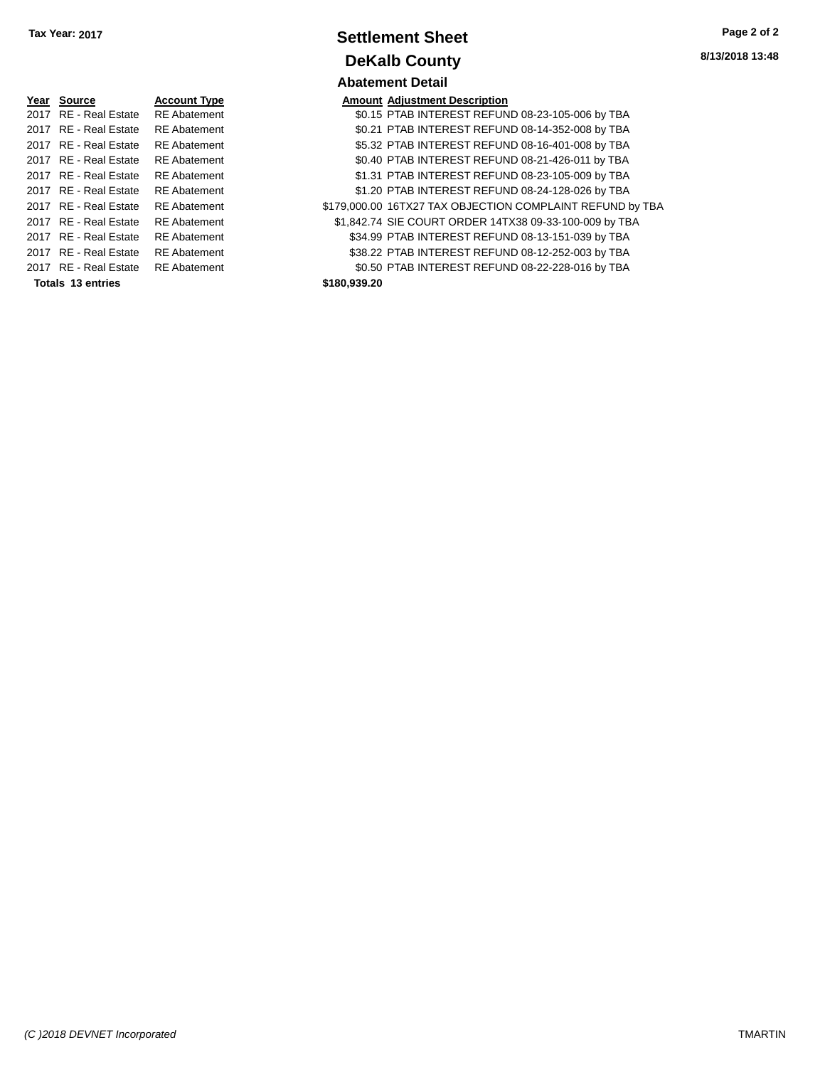| Tax Year: 2017 |                                  | <b>Settlement Sheet</b>                                                      | Page 2 of 2     |
|----------------|----------------------------------|------------------------------------------------------------------------------|-----------------|
|                |                                  | <b>DeKalb County</b>                                                         | 8/13/2018 13:48 |
|                |                                  | <b>Abatement Detail</b>                                                      |                 |
| Year Source    | <b>Account Type</b><br>$- - - -$ | <b>Amount Adjustment Description</b><br>$\ddot{ }$ - -   - - - - - - -     . |                 |

| Year Source           | <b>Account Type</b> | Amount       |
|-----------------------|---------------------|--------------|
| 2017 RE - Real Estate | <b>RE</b> Abatement | \$0.15       |
| 2017 RE - Real Estate | <b>RE</b> Abatement | \$0.21       |
| 2017 RE - Real Estate | <b>RE</b> Abatement | \$5.32       |
| 2017 RE - Real Estate | <b>RE</b> Abatement | \$0.40       |
| 2017 RE - Real Estate | <b>RE</b> Abatement | \$1.31       |
| 2017 RE - Real Estate | <b>RE</b> Abatement | \$1.20       |
| 2017 RE - Real Estate | <b>RE</b> Abatement | \$179,000.00 |
| 2017 RE - Real Estate | <b>RE</b> Abatement | \$1.842.74   |
| 2017 RE - Real Estate | <b>RE</b> Abatement | \$34.99      |
| 2017 RE - Real Estate | <b>RE</b> Abatement | \$38.22      |
| 2017 RE - Real Estate | <b>RE</b> Abatement | \$0.50       |
| Totals 13 entries     |                     | \$180,939.20 |
|                       |                     |              |

|                       |                     | Avalchicht Delail                                         |
|-----------------------|---------------------|-----------------------------------------------------------|
| Year Source           | <b>Account Type</b> | <b>Amount Adjustment Description</b>                      |
| 2017 RE - Real Estate | <b>RE</b> Abatement | \$0.15 PTAB INTEREST REFUND 08-23-105-006 by TBA          |
| 2017 RE - Real Estate | <b>RE</b> Abatement | \$0.21 PTAB INTEREST REFUND 08-14-352-008 by TBA          |
| 2017 RE - Real Estate | <b>RE</b> Abatement | \$5.32 PTAB INTEREST REFUND 08-16-401-008 by TBA          |
| 2017 RE - Real Estate | <b>RE</b> Abatement | \$0.40 PTAB INTEREST REFUND 08-21-426-011 by TBA          |
| 2017 RE - Real Estate | <b>RE</b> Abatement | \$1.31 PTAB INTEREST REFUND 08-23-105-009 by TBA          |
| 2017 RE - Real Estate | <b>RE</b> Abatement | \$1.20 PTAB INTEREST REFUND 08-24-128-026 by TBA          |
| 2017 RE - Real Estate | <b>RE</b> Abatement | \$179,000.00 16TX27 TAX OBJECTION COMPLAINT REFUND by TBA |
| 2017 RE - Real Estate | <b>RE</b> Abatement | \$1,842.74 SIE COURT ORDER 14TX38 09-33-100-009 by TBA    |
| 2017 RE - Real Estate | <b>RE</b> Abatement | \$34.99 PTAB INTEREST REFUND 08-13-151-039 by TBA         |
| 2017 RE - Real Estate | <b>RE</b> Abatement | \$38.22 PTAB INTEREST REFUND 08-12-252-003 by TBA         |
| 2017 RE - Real Estate | <b>RE</b> Abatement | \$0.50 PTAB INTEREST REFUND 08-22-228-016 by TBA          |
| Tatala 49 sutrina     |                     |                                                           |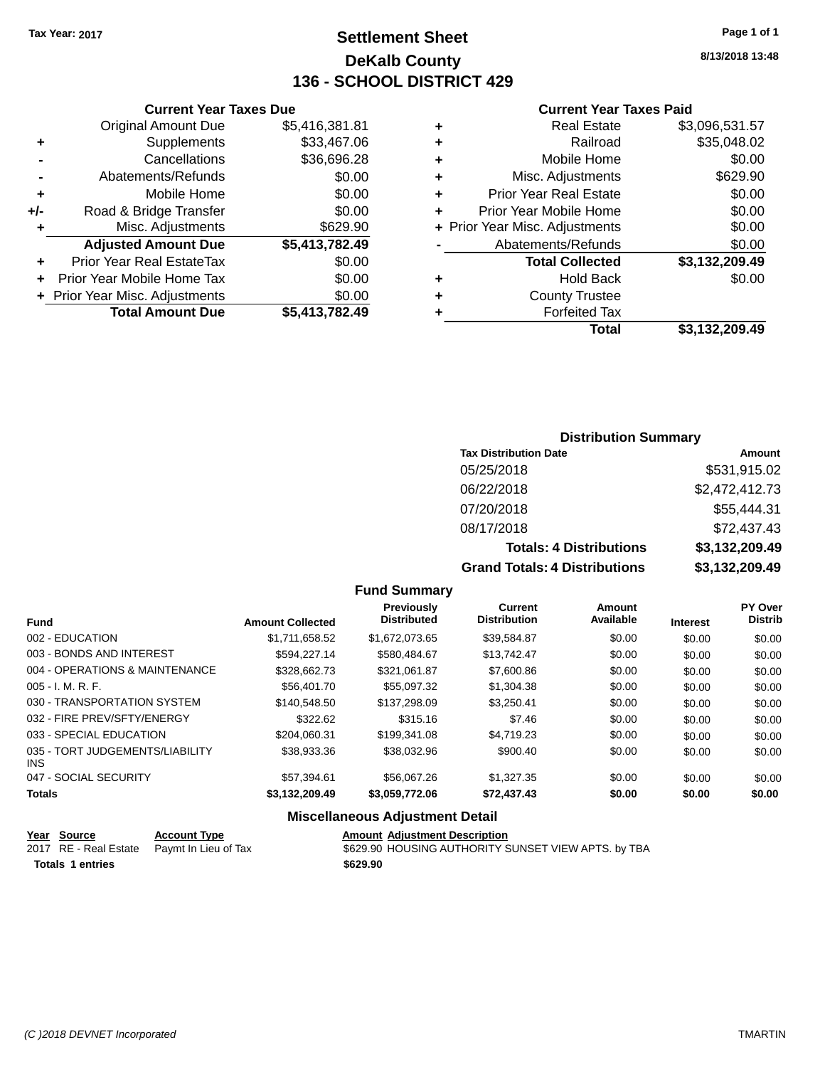# **Settlement Sheet Tax Year: 2017 Page 1 of 1 DeKalb County 136 - SCHOOL DISTRICT 429**

**8/13/2018 13:48**

#### **Current Year Taxes Paid**

| <b>Current Yea</b>            |   | <b>Current Year Taxes Due</b> |                                  |     |  |  |
|-------------------------------|---|-------------------------------|----------------------------------|-----|--|--|
| <b>Real Estat</b>             | ÷ | \$5,416,381.81                | <b>Original Amount Due</b>       |     |  |  |
| Railroa                       | ÷ | \$33,467.06                   | Supplements                      |     |  |  |
| Mobile Hom                    | ٠ | \$36,696.28                   | Cancellations                    |     |  |  |
| Misc. Adjustmen               | ÷ | \$0.00                        | Abatements/Refunds               |     |  |  |
| Prior Year Real Estat         | ÷ | \$0.00                        | Mobile Home                      | ÷   |  |  |
| Prior Year Mobile Hom         | ÷ | \$0.00                        | Road & Bridge Transfer           | +/- |  |  |
| + Prior Year Misc. Adjustment |   | \$629.90                      | Misc. Adjustments                |     |  |  |
| Abatements/Refund             |   | \$5,413,782.49                | <b>Adjusted Amount Due</b>       |     |  |  |
| <b>Total Collecte</b>         |   | \$0.00                        | <b>Prior Year Real EstateTax</b> |     |  |  |
| Hold Bad                      | ÷ | \$0.00                        | Prior Year Mobile Home Tax       | ÷.  |  |  |
| <b>County Truste</b>          | ٠ | \$0.00                        | + Prior Year Misc. Adjustments   |     |  |  |
| <b>Forfeited Ta</b>           |   | \$5,413,782.49                | <b>Total Amount Due</b>          |     |  |  |
| Tot:                          |   |                               |                                  |     |  |  |

| ٠ | <b>Real Estate</b>             | \$3,096,531.57 |
|---|--------------------------------|----------------|
| ÷ | Railroad                       | \$35,048.02    |
|   | Mobile Home                    | \$0.00         |
| ٠ | Misc. Adjustments              | \$629.90       |
| ٠ | <b>Prior Year Real Estate</b>  | \$0.00         |
|   | Prior Year Mobile Home         | \$0.00         |
|   | + Prior Year Misc. Adjustments | \$0.00         |
|   | Abatements/Refunds             | \$0.00         |
|   | <b>Total Collected</b>         | \$3,132,209.49 |
| ٠ | <b>Hold Back</b>               | \$0.00         |
| ٠ | <b>County Trustee</b>          |                |
|   | <b>Forfeited Tax</b>           |                |
|   | Total                          | \$3,132,209.49 |
|   |                                |                |

### **Distribution Summary Tax Distribution Date Amount** 05/25/2018 \$531,915.02 06/22/2018 \$2,472,412.73 07/20/2018 \$55,444.31 08/17/2018 \$72,437.43 **Totals: 4 Distributions \$3,132,209.49 Grand Totals: 4 Distributions \$3,132,209.49**

#### **Fund Summary**

| <b>Fund</b>                             | <b>Amount Collected</b> | Previously<br><b>Distributed</b> | <b>Current</b><br><b>Distribution</b> | Amount<br>Available | <b>Interest</b> | PY Over<br><b>Distrib</b> |
|-----------------------------------------|-------------------------|----------------------------------|---------------------------------------|---------------------|-----------------|---------------------------|
| 002 - EDUCATION                         | \$1,711,658.52          | \$1,672,073.65                   | \$39,584.87                           | \$0.00              | \$0.00          | \$0.00                    |
| 003 - BONDS AND INTEREST                | \$594.227.14            | \$580.484.67                     | \$13,742.47                           | \$0.00              | \$0.00          | \$0.00                    |
| 004 - OPERATIONS & MAINTENANCE          | \$328,662.73            | \$321.061.87                     | \$7,600.86                            | \$0.00              | \$0.00          | \$0.00                    |
| $005 - I. M. R. F.$                     | \$56,401.70             | \$55.097.32                      | \$1,304.38                            | \$0.00              | \$0.00          | \$0.00                    |
| 030 - TRANSPORTATION SYSTEM             | \$140,548.50            | \$137,298.09                     | \$3.250.41                            | \$0.00              | \$0.00          | \$0.00                    |
| 032 - FIRE PREV/SFTY/ENERGY             | \$322.62                | \$315.16                         | \$7.46                                | \$0.00              | \$0.00          | \$0.00                    |
| 033 - SPECIAL EDUCATION                 | \$204.060.31            | \$199.341.08                     | \$4.719.23                            | \$0.00              | \$0.00          | \$0.00                    |
| 035 - TORT JUDGEMENTS/LIABILITY<br>INS. | \$38.933.36             | \$38,032.96                      | \$900.40                              | \$0.00              | \$0.00          | \$0.00                    |
| 047 - SOCIAL SECURITY                   | \$57.394.61             | \$56,067.26                      | \$1.327.35                            | \$0.00              | \$0.00          | \$0.00                    |
| <b>Totals</b>                           | \$3,132,209.49          | \$3,059,772.06                   | \$72,437.43                           | \$0.00              | \$0.00          | \$0.00                    |

### **Miscellaneous Adjustment Detail**

|                         | Year Source | <b>Account Type</b>                        | <b>Amount Adjustment Description</b>                |
|-------------------------|-------------|--------------------------------------------|-----------------------------------------------------|
|                         |             | 2017 RE - Real Estate Paymt In Lieu of Tax | \$629.90 HOUSING AUTHORITY SUNSET VIEW APTS. by TBA |
| <b>Totals 1 entries</b> |             |                                            | \$629.90                                            |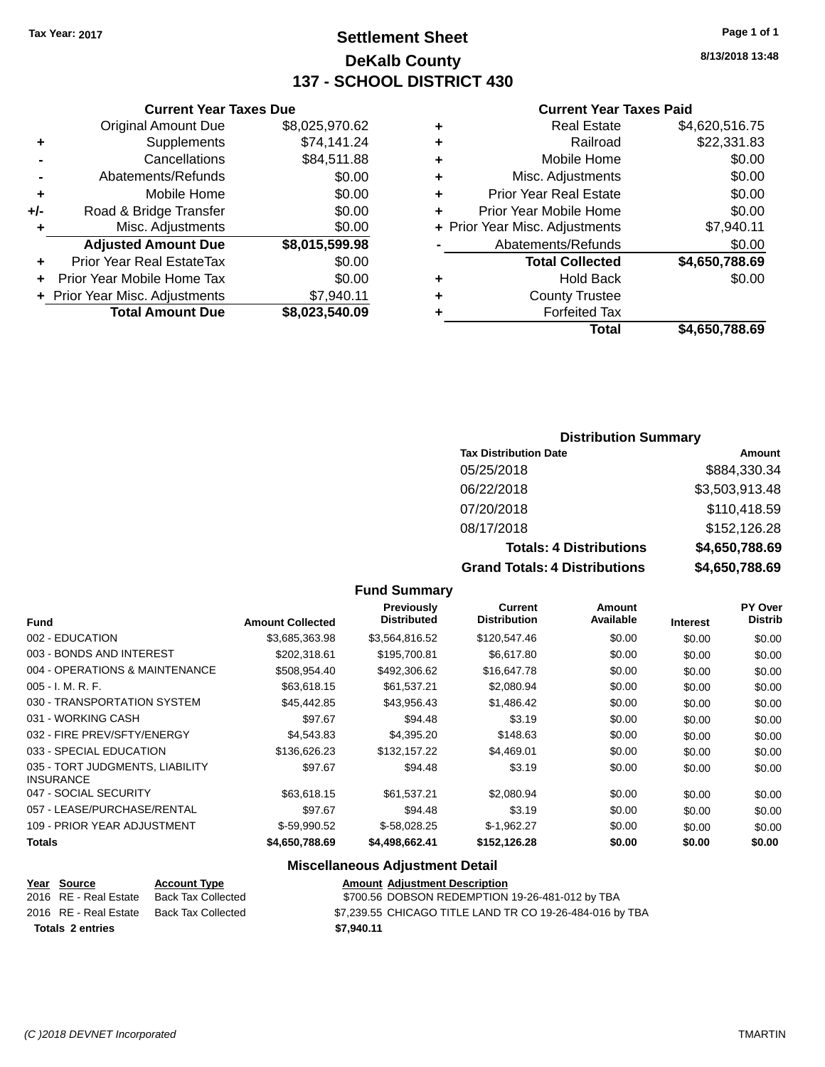**Current Year Taxes Due**

# **Settlement Sheet Tax Year: 2017 Page 1 of 1 DeKalb County 137 - SCHOOL DISTRICT 430**

**8/13/2018 13:48**

#### **Current Year Taxes Paid**

|    |                                |                |   | Total                          | \$4,650,788.69 |
|----|--------------------------------|----------------|---|--------------------------------|----------------|
|    | <b>Total Amount Due</b>        | \$8,023,540.09 |   | <b>Forfeited Tax</b>           |                |
|    | + Prior Year Misc. Adjustments | \$7,940.11     | ٠ | <b>County Trustee</b>          |                |
|    | + Prior Year Mobile Home Tax   | \$0.00         | ٠ | <b>Hold Back</b>               | \$0.00         |
| ÷  | Prior Year Real EstateTax      | \$0.00         |   | <b>Total Collected</b>         | \$4,650,788.69 |
|    | <b>Adjusted Amount Due</b>     | \$8,015,599.98 |   | Abatements/Refunds             | \$0.00         |
| ÷  | Misc. Adjustments              | \$0.00         |   | + Prior Year Misc. Adjustments | \$7,940.11     |
| I- | Road & Bridge Transfer         | \$0.00         |   | Prior Year Mobile Home         | \$0.00         |
| ÷  | Mobile Home                    | \$0.00         |   | <b>Prior Year Real Estate</b>  | \$0.00         |
|    | Abatements/Refunds             | \$0.00         | ٠ | Misc. Adjustments              | \$0.00         |
|    | Cancellations                  | \$84,511.88    | ٠ | Mobile Home                    | \$0.00         |
| ÷  | <b>Supplements</b>             | \$74,141.24    | ٠ | Railroad                       | \$22,331.83    |
|    | <b>Original Amount Due</b>     | \$8,025,970.62 | ٠ | <b>Real Estate</b>             | \$4,620,516.75 |
|    |                                |                |   |                                |                |

#### **Distribution Summary**

| <b>Tax Distribution Date</b>         | Amount         |
|--------------------------------------|----------------|
| 05/25/2018                           | \$884,330.34   |
| 06/22/2018                           | \$3,503,913.48 |
| 07/20/2018                           | \$110,418.59   |
| 08/17/2018                           | \$152,126.28   |
| <b>Totals: 4 Distributions</b>       | \$4,650,788.69 |
| <b>Grand Totals: 4 Distributions</b> | \$4,650,788.69 |

#### **Fund Summary**

| <b>Fund</b>                                         | <b>Amount Collected</b> | <b>Previously</b><br><b>Distributed</b> | <b>Current</b><br><b>Distribution</b> | Amount<br>Available | <b>Interest</b> | PY Over<br><b>Distrib</b> |
|-----------------------------------------------------|-------------------------|-----------------------------------------|---------------------------------------|---------------------|-----------------|---------------------------|
|                                                     |                         |                                         |                                       |                     |                 |                           |
| 002 - EDUCATION                                     | \$3,685,363.98          | \$3,564,816.52                          | \$120,547.46                          | \$0.00              | \$0.00          | \$0.00                    |
| 003 - BONDS AND INTEREST                            | \$202.318.61            | \$195,700.81                            | \$6,617.80                            | \$0.00              | \$0.00          | \$0.00                    |
| 004 - OPERATIONS & MAINTENANCE                      | \$508.954.40            | \$492,306.62                            | \$16,647.78                           | \$0.00              | \$0.00          | \$0.00                    |
| 005 - I. M. R. F.                                   | \$63,618.15             | \$61,537.21                             | \$2,080.94                            | \$0.00              | \$0.00          | \$0.00                    |
| 030 - TRANSPORTATION SYSTEM                         | \$45.442.85             | \$43,956.43                             | \$1,486.42                            | \$0.00              | \$0.00          | \$0.00                    |
| 031 - WORKING CASH                                  | \$97.67                 | \$94.48                                 | \$3.19                                | \$0.00              | \$0.00          | \$0.00                    |
| 032 - FIRE PREV/SFTY/ENERGY                         | \$4,543.83              | \$4,395.20                              | \$148.63                              | \$0.00              | \$0.00          | \$0.00                    |
| 033 - SPECIAL EDUCATION                             | \$136,626,23            | \$132,157.22                            | \$4,469.01                            | \$0.00              | \$0.00          | \$0.00                    |
| 035 - TORT JUDGMENTS, LIABILITY<br><b>INSURANCE</b> | \$97.67                 | \$94.48                                 | \$3.19                                | \$0.00              | \$0.00          | \$0.00                    |
| 047 - SOCIAL SECURITY                               | \$63.618.15             | \$61.537.21                             | \$2,080.94                            | \$0.00              | \$0.00          | \$0.00                    |
| 057 - LEASE/PURCHASE/RENTAL                         | \$97.67                 | \$94.48                                 | \$3.19                                | \$0.00              | \$0.00          | \$0.00                    |
| 109 - PRIOR YEAR ADJUSTMENT                         | $$-59.990.52$           | $$-58.028.25$                           | $$-1.962.27$                          | \$0.00              | \$0.00          | \$0.00                    |
| Totals                                              | \$4,650,788.69          | \$4,498,662.41                          | \$152,126.28                          | \$0.00              | \$0.00          | \$0.00                    |

### **Miscellaneous Adjustment Detail**

| Year Source           | <b>Account Type</b> | <b>Amount Adjustment Description</b>                     |
|-----------------------|---------------------|----------------------------------------------------------|
| 2016 RE - Real Estate | Back Tax Collected  | \$700.56 DOBSON REDEMPTION 19-26-481-012 by TBA          |
| 2016 RE - Real Estate | Back Tax Collected  | \$7,239.55 CHICAGO TITLE LAND TR CO 19-26-484-016 by TBA |
| Totals 2 entries      |                     | \$7.940.11                                               |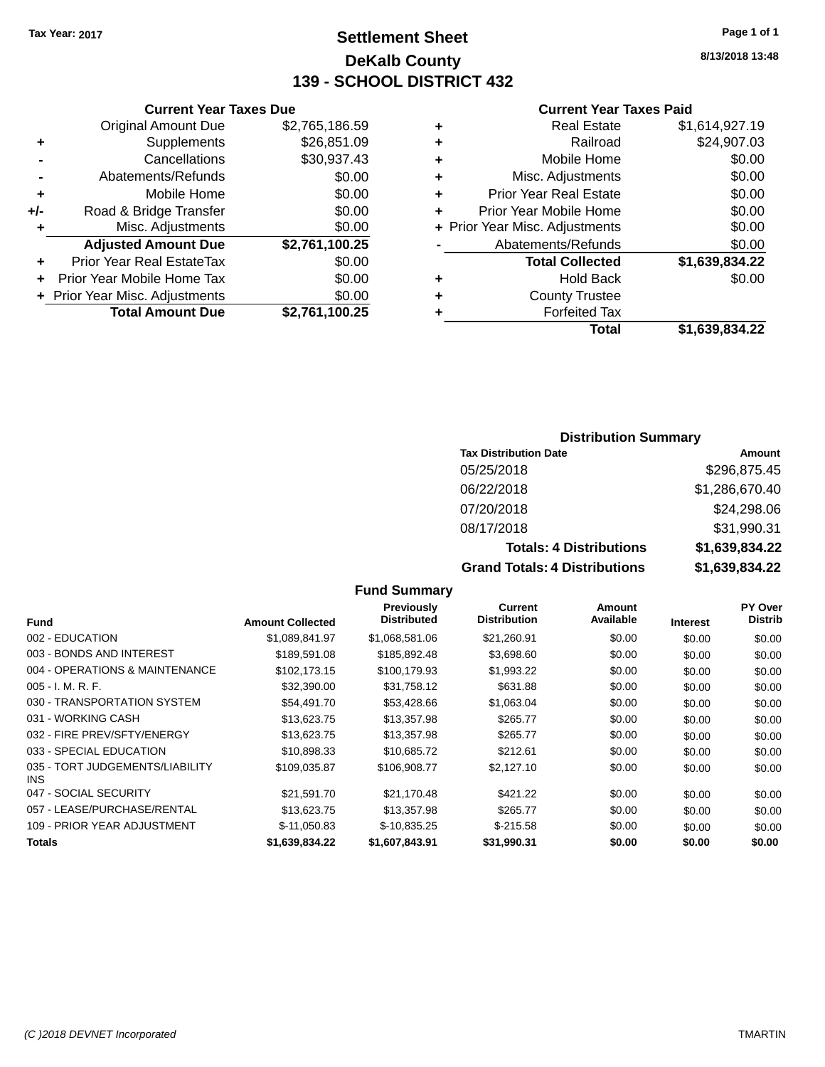# **Settlement Sheet Tax Year: 2017 Page 1 of 1 DeKalb County 139 - SCHOOL DISTRICT 432**

**8/13/2018 13:48**

#### **Current Year Taxes Paid**

| <b>Adjusted Amount Due</b><br><b>Prior Year Real EstateTax</b><br>Prior Year Mobile Home Tax<br>+ Prior Year Misc. Adjustments | \$2,761,100.25<br>\$0.00<br>\$0.00<br>\$0.00 |
|--------------------------------------------------------------------------------------------------------------------------------|----------------------------------------------|
|                                                                                                                                |                                              |
|                                                                                                                                |                                              |
|                                                                                                                                |                                              |
| Misc. Adjustments                                                                                                              | \$0.00                                       |
| Road & Bridge Transfer                                                                                                         | \$0.00                                       |
| Mobile Home                                                                                                                    | \$0.00                                       |
| Abatements/Refunds                                                                                                             | \$0.00                                       |
| Cancellations                                                                                                                  | \$30,937.43                                  |
| Supplements                                                                                                                    | \$26,851.09                                  |
| <b>Original Amount Due</b>                                                                                                     | \$2,765,186.59                               |
|                                                                                                                                |                                              |

**Current Year Taxes Due**

|   | <b>Real Estate</b>             | \$1,614,927.19 |
|---|--------------------------------|----------------|
| ÷ | Railroad                       | \$24,907.03    |
| ÷ | Mobile Home                    | \$0.00         |
| ٠ | Misc. Adjustments              | \$0.00         |
| ٠ | <b>Prior Year Real Estate</b>  | \$0.00         |
| ٠ | Prior Year Mobile Home         | \$0.00         |
|   | + Prior Year Misc. Adjustments | \$0.00         |
|   | Abatements/Refunds             | \$0.00         |
|   | <b>Total Collected</b>         | \$1,639,834.22 |
| ٠ | <b>Hold Back</b>               | \$0.00         |
| ٠ | <b>County Trustee</b>          |                |
| ٠ | <b>Forfeited Tax</b>           |                |
|   | <b>Total</b>                   | \$1,639,834.22 |
|   |                                |                |

#### **Distribution Summary**

| <b>Tax Distribution Date</b>         | Amount         |
|--------------------------------------|----------------|
| 05/25/2018                           | \$296,875.45   |
| 06/22/2018                           | \$1,286,670.40 |
| 07/20/2018                           | \$24,298.06    |
| 08/17/2018                           | \$31,990.31    |
| <b>Totals: 4 Distributions</b>       | \$1,639,834.22 |
| <b>Grand Totals: 4 Distributions</b> | \$1,639,834.22 |

#### **Fund Interest Amount Collected Distributed PY Over Distrib Amount Available Current Distribution Previously** 002 - EDUCATION \$1,089,841.97 \$1,068,581.06 \$21,260.91 \$0.00 \$0.00 \$0.00 003 - BONDS AND INTEREST 60.00 \$189,591.08 \$185,892.48 \$3,698.60 \$0.00 \$0.00 \$0.00 004 - OPERATIONS & MAINTENANCE \$102,173.15 \$100,179.93 \$1,993.22 \$0.00 \$0.00 \$0.00 005 - I. M. R. F. \$32,390.00 \$31,758.12 \$631.88 \$0.00 \$0.00 \$0.00 030 - TRANSPORTATION SYSTEM  $$54,491.70$   $$53,428.66$   $$1,063.04$  \$0.00  $$0.00$  \$0.00 \$0.00 031 - WORKING CASH \$13,623.75 \$13,357.98 \$265.77 \$0.00 \$0.00 \$0.00 \$0.00 \$0.00 \$0.00 \$0.00 \$0.00 \$0.00 \$0.00 \$0.00 032 - FIRE PREV/SFTY/ENERGY \$13,623.75 \$13,357.98 \$265.77 \$0.00 \$0.00 \$0.00 \$0.00 033 - SPECIAL EDUCATION \$10,898.33 \$10,898.33 \$10,685.72 \$212.61 \$0.00 \$0.00 \$0.00 \$0.00 035 - TORT JUDGEMENTS/LIABILITY INS \$109,035.87 \$106,908.77 \$2,127.10 \$0.00 \$0.00 \$0.00 047 - SOCIAL SECURITY \$21,591.70 \$21,170.48 \$421.22 \$0.00 \$0.00 \$0.00 \$0.00 057 - LEASE/PURCHASE/RENTAL \$13,623.75 \$13,357.98 \$265.77 \$0.00 \$0.00 \$0.00 \$0.00 109 - PRIOR YEAR ADJUSTMENT  $$-11,050.83$   $$-10,835.25$   $$-215.58$   $$0.00$   $$0.00$   $$0.00$ **Totals \$1,639,834.22 \$1,607,843.91 \$31,990.31 \$0.00 \$0.00 \$0.00**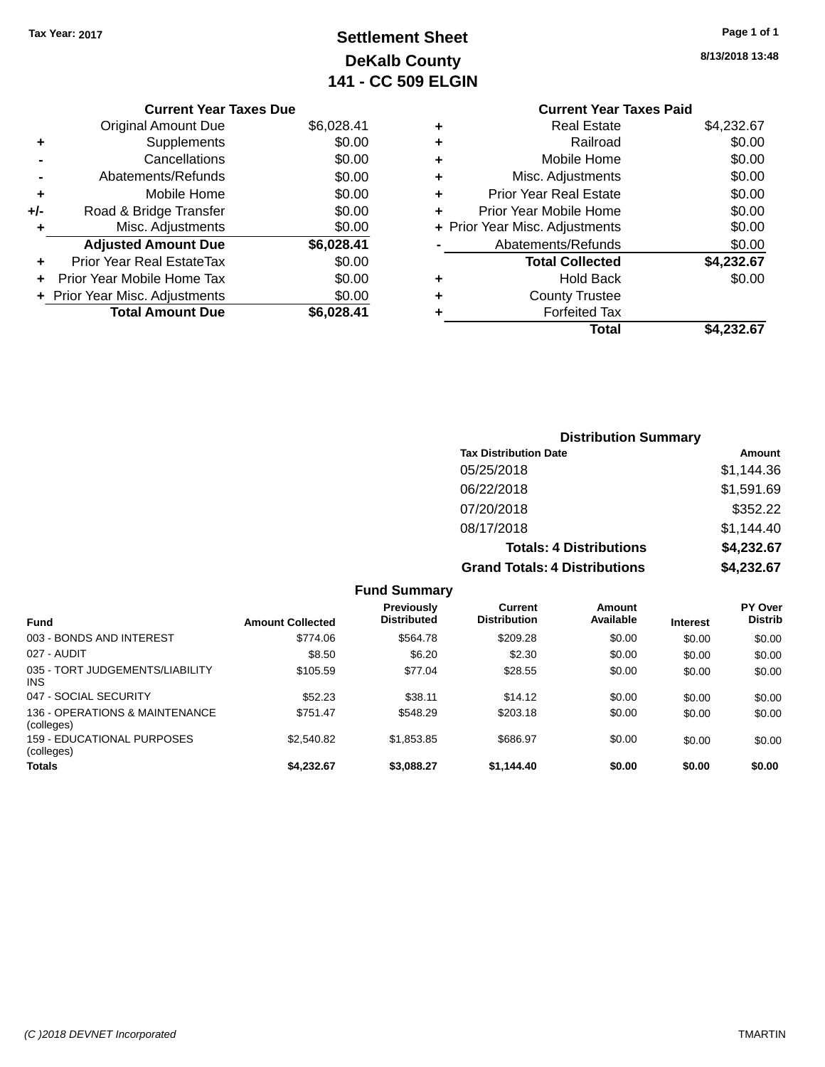**+** Prior Year Mobile Home Tax \$0.00 **+ Prior Year Misc. Adjustments**  $$0.00$ 

Total Amount Due \$6,028.41

# **Settlement Sheet Tax Year: 2017 Page 1 of 1 DeKalb County 141 - CC 509 ELGIN**

|           | <b>Current Year Taxes Due</b> |            |   |                    |
|-----------|-------------------------------|------------|---|--------------------|
|           | <b>Original Amount Due</b>    | \$6,028.41 | ٠ |                    |
| ÷         | Supplements                   | \$0.00     |   |                    |
|           | Cancellations                 | \$0.00     |   |                    |
|           | Abatements/Refunds            | \$0.00     | ٠ | Misc.              |
| ÷         | Mobile Home                   | \$0.00     | ٠ | <b>Prior Year</b>  |
| I-        | Road & Bridge Transfer        | \$0.00     |   | Prior Year I       |
| $\ddot{}$ | Misc. Adjustments             | \$0.00     |   | + Prior Year Misc. |
|           | <b>Adjusted Amount Due</b>    | \$6,028.41 |   | Abateme            |
|           | Prior Year Real EstateTax     | \$0.00     |   | Tot                |

**8/13/2018 13:48**

|   | <b>Current Year Taxes Paid</b> |            |
|---|--------------------------------|------------|
|   | Real Estate                    | \$4,232.67 |
| ٠ | Railroad                       | \$0.00     |
| ٠ | Mobile Home                    | \$0.00     |
|   | Misc. Adjustments              | \$0.00     |
| ٠ | <b>Prior Year Real Estate</b>  | \$0.00     |
| ٠ | Prior Year Mobile Home         | \$0.00     |
|   | + Prior Year Misc. Adjustments | \$0.00     |
|   | Abatements/Refunds             | \$0.00     |
|   | <b>Total Collected</b>         | \$4,232.67 |
| ٠ | Hold Back                      | \$0.00     |
|   | <b>County Trustee</b>          |            |
|   | <b>Forfeited Tax</b>           |            |
|   | Total                          | \$4.232.67 |
|   |                                |            |

| <b>Distribution Summary</b>          |            |
|--------------------------------------|------------|
| <b>Tax Distribution Date</b>         | Amount     |
| 05/25/2018                           | \$1,144.36 |
| 06/22/2018                           | \$1,591.69 |
| 07/20/2018                           | \$352.22   |
| 08/17/2018                           | \$1.144.40 |
| <b>Totals: 4 Distributions</b>       | \$4,232.67 |
| <b>Grand Totals: 4 Distributions</b> | \$4,232.67 |

|                                              |                         | <b>Fund Summary</b>                     |                                |                     |                 |                                  |
|----------------------------------------------|-------------------------|-----------------------------------------|--------------------------------|---------------------|-----------------|----------------------------------|
| <b>Fund</b>                                  | <b>Amount Collected</b> | <b>Previously</b><br><b>Distributed</b> | Current<br><b>Distribution</b> | Amount<br>Available | <b>Interest</b> | <b>PY Over</b><br><b>Distrib</b> |
| 003 - BONDS AND INTEREST                     | \$774.06                | \$564.78                                | \$209.28                       | \$0.00              | \$0.00          | \$0.00                           |
| 027 - AUDIT                                  | \$8.50                  | \$6.20                                  | \$2.30                         | \$0.00              | \$0.00          | \$0.00                           |
| 035 - TORT JUDGEMENTS/LIABILITY<br>INS.      | \$105.59                | \$77.04                                 | \$28.55                        | \$0.00              | \$0.00          | \$0.00                           |
| 047 - SOCIAL SECURITY                        | \$52.23                 | \$38.11                                 | \$14.12                        | \$0.00              | \$0.00          | \$0.00                           |
| 136 - OPERATIONS & MAINTENANCE<br>(colleges) | \$751.47                | \$548.29                                | \$203.18                       | \$0.00              | \$0.00          | \$0.00                           |
| 159 - EDUCATIONAL PURPOSES<br>(colleges)     | \$2,540.82              | \$1,853.85                              | \$686.97                       | \$0.00              | \$0.00          | \$0.00                           |
| <b>Totals</b>                                | \$4.232.67              | \$3,088,27                              | \$1.144.40                     | \$0.00              | \$0.00          | \$0.00                           |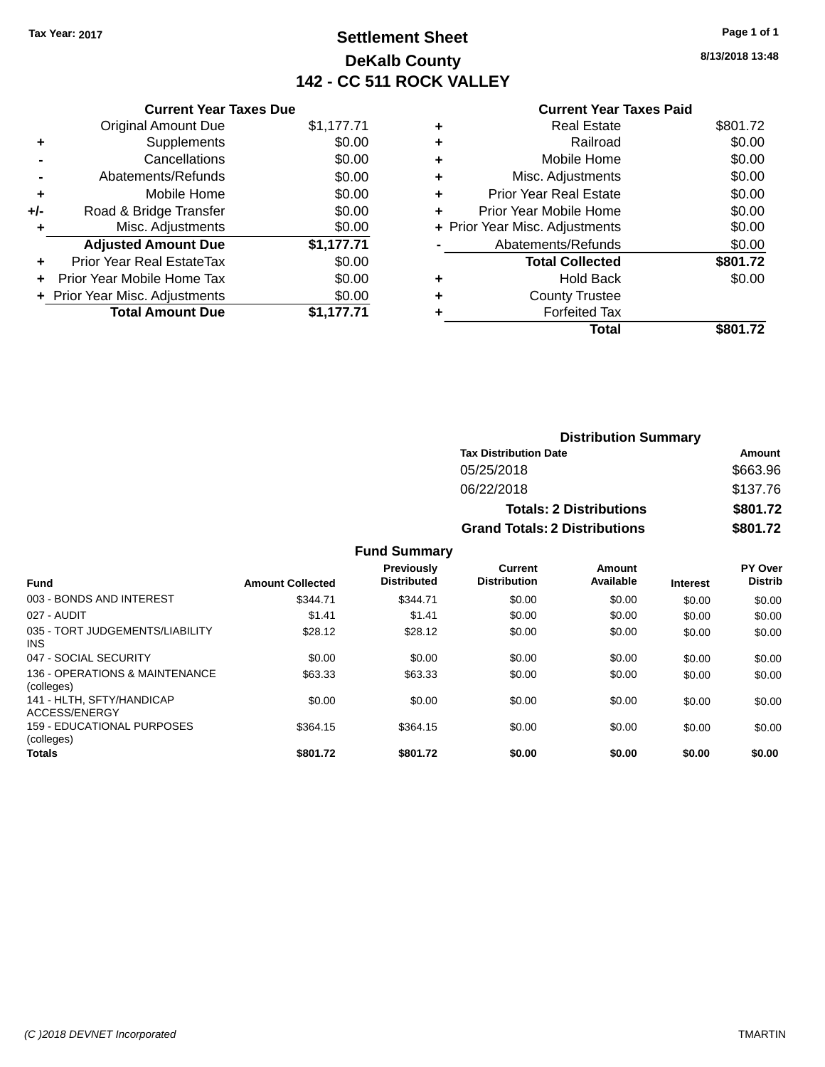# **Settlement Sheet Tax Year: 2017 Page 1 of 1 DeKalb County 142 - CC 511 ROCK VALLEY**

**8/13/2018 13:48**

#### **Current Year Taxes Paid**

|     | <b>Current Year Taxes Due</b>  |            |
|-----|--------------------------------|------------|
|     | <b>Original Amount Due</b>     | \$1,177.71 |
| ٠   | Supplements                    | \$0.00     |
|     | Cancellations                  | \$0.00     |
|     | Abatements/Refunds             | \$0.00     |
| ٠   | Mobile Home                    | \$0.00     |
| +/- | Road & Bridge Transfer         | \$0.00     |
| ٠   | Misc. Adjustments              | \$0.00     |
|     | <b>Adjusted Amount Due</b>     | \$1,177.71 |
| ÷   | Prior Year Real EstateTax      | \$0.00     |
|     | Prior Year Mobile Home Tax     | \$0.00     |
|     | + Prior Year Misc. Adjustments | \$0.00     |
|     | <b>Total Amount Due</b>        | \$1.177.71 |
|     |                                |            |

|   | <b>Real Estate</b>             | \$801.72 |
|---|--------------------------------|----------|
| ٠ | Railroad                       | \$0.00   |
| ٠ | Mobile Home                    | \$0.00   |
| ٠ | Misc. Adjustments              | \$0.00   |
| ٠ | <b>Prior Year Real Estate</b>  | \$0.00   |
| ٠ | Prior Year Mobile Home         | \$0.00   |
|   | + Prior Year Misc. Adjustments | \$0.00   |
|   | Abatements/Refunds             | \$0.00   |
|   | <b>Total Collected</b>         | \$801.72 |
| ٠ | Hold Back                      | \$0.00   |
| ٠ | <b>County Trustee</b>          |          |
| ٠ | <b>Forfeited Tax</b>           |          |
|   | Total                          | \$801.72 |
|   |                                |          |

| <b>Distribution Summary</b>          |          |
|--------------------------------------|----------|
| <b>Tax Distribution Date</b>         | Amount   |
| 05/25/2018                           | \$663.96 |
| 06/22/2018                           | \$137.76 |
| <b>Totals: 2 Distributions</b>       | \$801.72 |
| <b>Grand Totals: 2 Distributions</b> | \$801.72 |

| <b>Fund</b>                                     | <b>Amount Collected</b> | Previously<br><b>Distributed</b> | Current<br><b>Distribution</b> | Amount<br>Available | <b>Interest</b> | PY Over<br><b>Distrib</b> |
|-------------------------------------------------|-------------------------|----------------------------------|--------------------------------|---------------------|-----------------|---------------------------|
| 003 - BONDS AND INTEREST                        | \$344.71                | \$344.71                         | \$0.00                         | \$0.00              | \$0.00          | \$0.00                    |
| 027 - AUDIT                                     | \$1.41                  | \$1.41                           | \$0.00                         | \$0.00              | \$0.00          | \$0.00                    |
| 035 - TORT JUDGEMENTS/LIABILITY<br><b>INS</b>   | \$28.12                 | \$28.12                          | \$0.00                         | \$0.00              | \$0.00          | \$0.00                    |
| 047 - SOCIAL SECURITY                           | \$0.00                  | \$0.00                           | \$0.00                         | \$0.00              | \$0.00          | \$0.00                    |
| 136 - OPERATIONS & MAINTENANCE<br>(colleges)    | \$63.33                 | \$63.33                          | \$0.00                         | \$0.00              | \$0.00          | \$0.00                    |
| 141 - HLTH, SFTY/HANDICAP<br>ACCESS/ENERGY      | \$0.00                  | \$0.00                           | \$0.00                         | \$0.00              | \$0.00          | \$0.00                    |
| <b>159 - EDUCATIONAL PURPOSES</b><br>(colleges) | \$364.15                | \$364.15                         | \$0.00                         | \$0.00              | \$0.00          | \$0.00                    |
| <b>Totals</b>                                   | \$801.72                | \$801.72                         | \$0.00                         | \$0.00              | \$0.00          | \$0.00                    |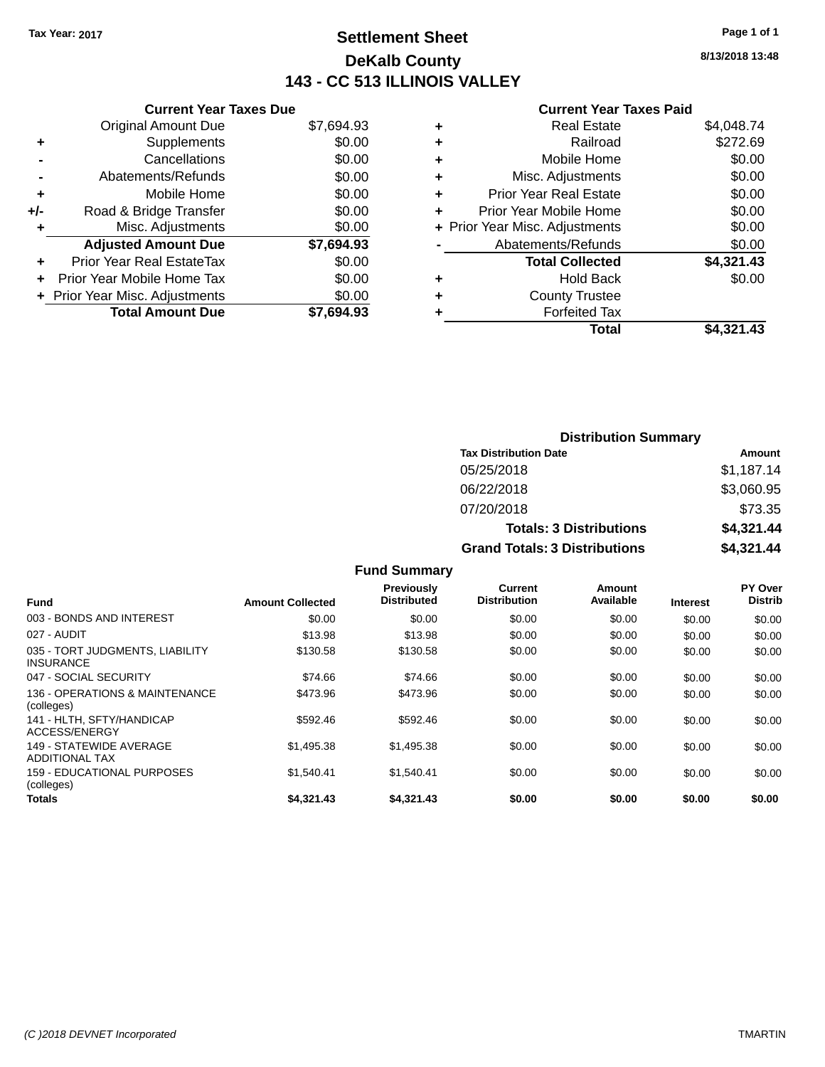# **Settlement Sheet Tax Year: 2017 Page 1 of 1 DeKalb County 143 - CC 513 ILLINOIS VALLEY**

**8/13/2018 13:48**

#### **Current Year Taxes Paid**

|     | <b>Current Year Taxes Due</b> |            |
|-----|-------------------------------|------------|
|     | <b>Original Amount Due</b>    | \$7,694.93 |
| ÷   | Supplements                   | \$0.00     |
|     | Cancellations                 | \$0.00     |
|     | Abatements/Refunds            | \$0.00     |
| ٠   | Mobile Home                   | \$0.00     |
| +/- | Road & Bridge Transfer        | \$0.00     |
|     | Misc. Adjustments             | \$0.00     |
|     | <b>Adjusted Amount Due</b>    | \$7,694.93 |
| ÷   | Prior Year Real EstateTax     | \$0.00     |
|     | Prior Year Mobile Home Tax    | \$0.00     |
|     | Prior Year Misc. Adjustments  | \$0.00     |
|     | <b>Total Amount Due</b>       | \$7.694.93 |
|     |                               |            |

|   | <b>Real Estate</b>             | \$4,048.74 |
|---|--------------------------------|------------|
| ٠ | Railroad                       | \$272.69   |
| ٠ | Mobile Home                    | \$0.00     |
| ٠ | Misc. Adjustments              | \$0.00     |
| ٠ | Prior Year Real Estate         | \$0.00     |
| ٠ | Prior Year Mobile Home         | \$0.00     |
|   | + Prior Year Misc. Adjustments | \$0.00     |
|   | Abatements/Refunds             | \$0.00     |
|   | <b>Total Collected</b>         | \$4,321.43 |
| ٠ | <b>Hold Back</b>               | \$0.00     |
| ٠ | <b>County Trustee</b>          |            |
| ٠ | <b>Forfeited Tax</b>           |            |
|   | Total                          | \$4,321.43 |
|   |                                |            |

| <b>Distribution Summary</b>          |            |  |  |  |
|--------------------------------------|------------|--|--|--|
| <b>Tax Distribution Date</b>         | Amount     |  |  |  |
| 05/25/2018                           | \$1,187.14 |  |  |  |
| 06/22/2018                           | \$3,060.95 |  |  |  |
| 07/20/2018                           | \$73.35    |  |  |  |
| <b>Totals: 3 Distributions</b>       | \$4,321.44 |  |  |  |
| <b>Grand Totals: 3 Distributions</b> | \$4,321.44 |  |  |  |

| <b>Fund</b>                                         | <b>Amount Collected</b> | <b>Previously</b><br><b>Distributed</b> | Current<br><b>Distribution</b> | Amount<br>Available | <b>Interest</b> | PY Over<br><b>Distrib</b> |
|-----------------------------------------------------|-------------------------|-----------------------------------------|--------------------------------|---------------------|-----------------|---------------------------|
| 003 - BONDS AND INTEREST                            | \$0.00                  | \$0.00                                  | \$0.00                         | \$0.00              | \$0.00          | \$0.00                    |
| 027 - AUDIT                                         | \$13.98                 | \$13.98                                 | \$0.00                         | \$0.00              | \$0.00          | \$0.00                    |
| 035 - TORT JUDGMENTS, LIABILITY<br><b>INSURANCE</b> | \$130.58                | \$130.58                                | \$0.00                         | \$0.00              | \$0.00          | \$0.00                    |
| 047 - SOCIAL SECURITY                               | \$74.66                 | \$74.66                                 | \$0.00                         | \$0.00              | \$0.00          | \$0.00                    |
| 136 - OPERATIONS & MAINTENANCE<br>(colleges)        | \$473.96                | \$473.96                                | \$0.00                         | \$0.00              | \$0.00          | \$0.00                    |
| 141 - HLTH, SFTY/HANDICAP<br>ACCESS/ENERGY          | \$592.46                | \$592.46                                | \$0.00                         | \$0.00              | \$0.00          | \$0.00                    |
| 149 - STATEWIDE AVERAGE<br>ADDITIONAL TAX           | \$1.495.38              | \$1,495.38                              | \$0.00                         | \$0.00              | \$0.00          | \$0.00                    |
| 159 - EDUCATIONAL PURPOSES<br>(colleges)            | \$1.540.41              | \$1,540.41                              | \$0.00                         | \$0.00              | \$0.00          | \$0.00                    |
| <b>Totals</b>                                       | \$4.321.43              | \$4,321.43                              | \$0.00                         | \$0.00              | \$0.00          | \$0.00                    |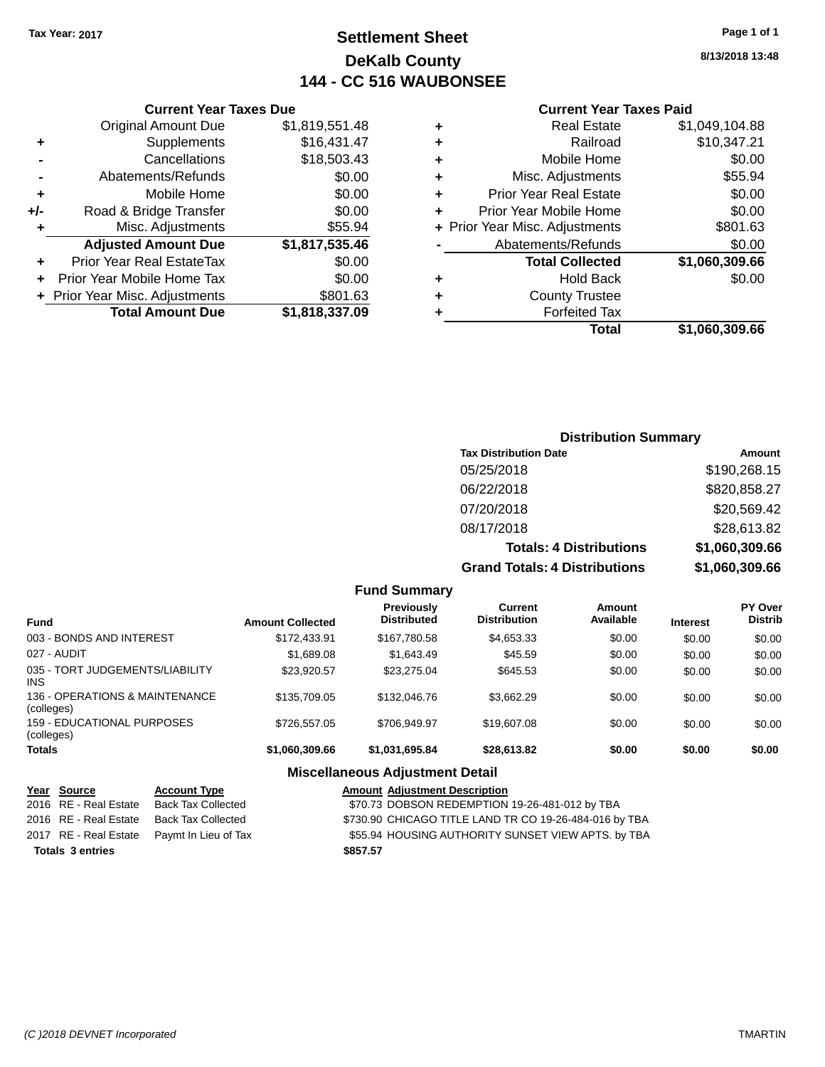# **Settlement Sheet Tax Year: 2017 Page 1 of 1 DeKalb County 144 - CC 516 WAUBONSEE**

**8/13/2018 13:48**

#### **Current Year Taxes Paid**

|                    | ٠ | \$1,819,551.48 | <b>Original Amount Due</b>       |       |
|--------------------|---|----------------|----------------------------------|-------|
|                    | ٠ | \$16,431.47    | Supplements                      |       |
|                    | ٠ | \$18,503.43    | Cancellations                    |       |
| Misc.              | ٠ | \$0.00         | Abatements/Refunds               |       |
| <b>Prior Year</b>  | ٠ | \$0.00         | Mobile Home                      | ٠     |
| Prior Year M       |   | \$0.00         | Road & Bridge Transfer           | $+/-$ |
| + Prior Year Misc. |   | \$55.94        | Misc. Adjustments                | ٠     |
| Abateme            |   | \$1,817,535.46 | <b>Adjusted Amount Due</b>       |       |
| Tot                |   | \$0.00         | <b>Prior Year Real EstateTax</b> | ÷     |
|                    | ٠ | \$0.00         | Prior Year Mobile Home Tax       | ٠     |
| Co                 | ٠ | \$801.63       | + Prior Year Misc. Adjustments   |       |
|                    |   | \$1,818,337.09 | <b>Total Amount Due</b>          |       |
|                    |   |                |                                  |       |

**Current Year Taxes Due**

|   | <b>Real Estate</b>             | \$1,049,104.88 |
|---|--------------------------------|----------------|
|   | Railroad                       | \$10,347.21    |
| ٠ | Mobile Home                    | \$0.00         |
| ٠ | Misc. Adjustments              | \$55.94        |
| ٠ | <b>Prior Year Real Estate</b>  | \$0.00         |
| ٠ | Prior Year Mobile Home         | \$0.00         |
|   | + Prior Year Misc. Adjustments | \$801.63       |
|   | Abatements/Refunds             | \$0.00         |
|   | <b>Total Collected</b>         | \$1,060,309.66 |
|   | <b>Hold Back</b>               | \$0.00         |
|   | <b>County Trustee</b>          |                |
|   | <b>Forfeited Tax</b>           |                |
|   | Total                          | \$1,060,309.66 |
|   |                                |                |

### **Distribution Summary Tax Distribution Date Amount** 05/25/2018 \$190,268.15 06/22/2018 \$820,858.27 07/20/2018 \$20,569.42 08/17/2018 \$28,613.82 **Totals: 4 Distributions \$1,060,309.66 Grand Totals: 4 Distributions \$1,060,309.66**

|                                              |                         | <b>Fund Summary</b>                    |                                |                     |                 |                                  |
|----------------------------------------------|-------------------------|----------------------------------------|--------------------------------|---------------------|-----------------|----------------------------------|
| Fund                                         | <b>Amount Collected</b> | Previously<br><b>Distributed</b>       | Current<br><b>Distribution</b> | Amount<br>Available | <b>Interest</b> | <b>PY Over</b><br><b>Distrib</b> |
| 003 - BONDS AND INTEREST                     | \$172,433.91            | \$167.780.58                           | \$4,653.33                     | \$0.00              | \$0.00          | \$0.00                           |
| 027 - AUDIT                                  | \$1,689.08              | \$1.643.49                             | \$45.59                        | \$0.00              | \$0.00          | \$0.00                           |
| 035 - TORT JUDGEMENTS/LIABILITY<br>INS.      | \$23.920.57             | \$23.275.04                            | \$645.53                       | \$0.00              | \$0.00          | \$0.00                           |
| 136 - OPERATIONS & MAINTENANCE<br>(colleges) | \$135,709.05            | \$132,046.76                           | \$3.662.29                     | \$0.00              | \$0.00          | \$0.00                           |
| 159 - EDUCATIONAL PURPOSES<br>(colleges)     | \$726,557.05            | \$706.949.97                           | \$19,607.08                    | \$0.00              | \$0.00          | \$0.00                           |
| <b>Totals</b>                                | \$1.060.309.66          | \$1,031,695.84                         | \$28,613.82                    | \$0.00              | \$0.00          | \$0.00                           |
|                                              |                         | <b>Miscellaneous Adjustment Detail</b> |                                |                     |                 |                                  |

#### **Year** Source **Account Type Aggle Account Type Amount Adjustment Description** 2016 RE - Real Estate Back Tax Collected \$70.73 DOBSON REDEMPTION 19-26-481-012 by TBA 2016 RE - Real Estate Back Tax Collected \$730.90 CHICAGO TITLE LAND TR CO 19-26-484-016 by TBA 2017 RE - Real Estate Paymt In Lieu of Tax **555.94 HOUSING AUTHORITY SUNSET VIEW APTS.** by TBA **Totals \$857.57 3 entries**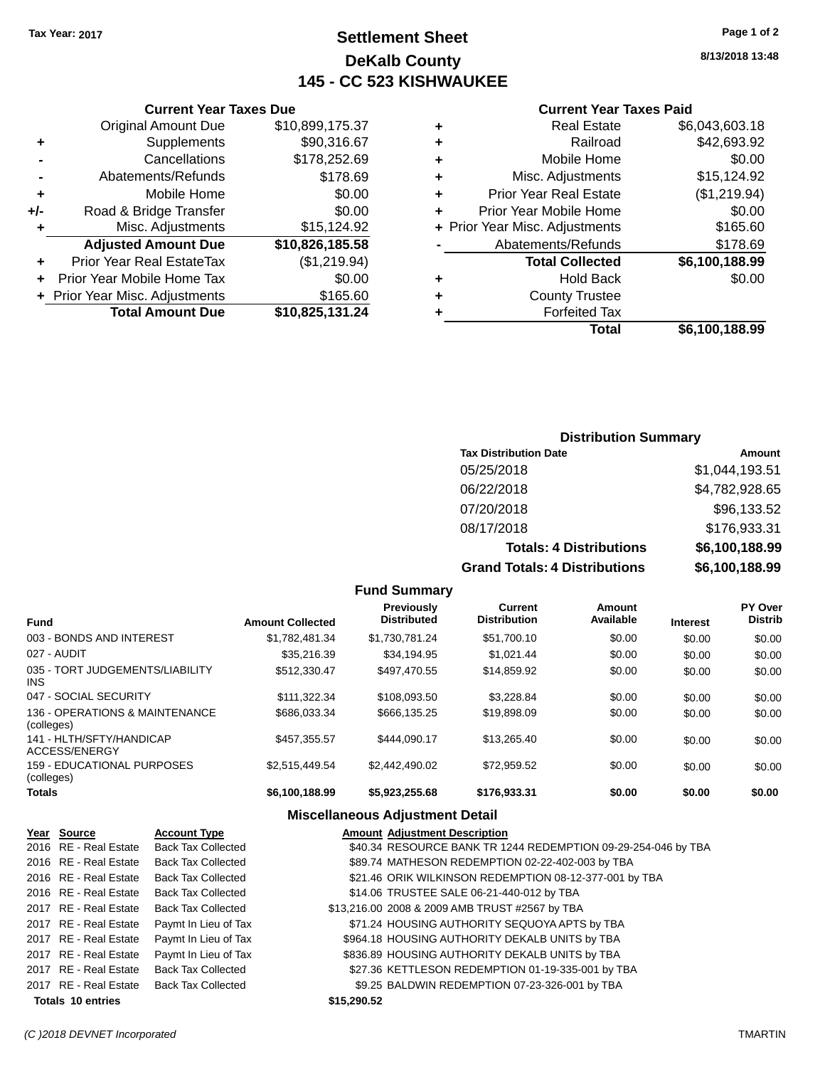# **Settlement Sheet Tax Year: 2017 Page 1 of 2 DeKalb County 145 - CC 523 KISHWAUKEE**

**8/13/2018 13:48**

#### **Current Year Taxes Paid**

| ٠ | <b>Real Estate</b>             | \$6,043,603.18 |
|---|--------------------------------|----------------|
| ٠ | Railroad                       | \$42,693.92    |
| ٠ | Mobile Home                    | \$0.00         |
| ٠ | Misc. Adjustments              | \$15,124.92    |
| ٠ | <b>Prior Year Real Estate</b>  | (\$1,219.94)   |
| ÷ | Prior Year Mobile Home         | \$0.00         |
|   | + Prior Year Misc. Adjustments | \$165.60       |
|   | Abatements/Refunds             | \$178.69       |
|   | <b>Total Collected</b>         | \$6,100,188.99 |
| ٠ | <b>Hold Back</b>               | \$0.00         |
| ٠ | <b>County Trustee</b>          |                |
|   | <b>Forfeited Tax</b>           |                |
|   | Total                          | \$6,100,188.99 |

### **Current Year Taxes Due** Original Amount Due \$10,899,175.37 **+** Supplements \$90,316.67 **-** Cancellations \$178,252.69 **-** Abatements/Refunds \$178.69 **+** Mobile Home \$0.00 **+/-** Road & Bridge Transfer \$0.00 **+** Misc. Adjustments \$15,124.92 **Adjusted Amount Due \$10,826,185.58 +** Prior Year Real EstateTax (\$1,219.94) **+** Prior Year Mobile Home Tax \$0.00 **+ Prior Year Misc. Adjustments \$165.60 Total Amount Due \$10,825,131.24**

#### **Distribution Summary**

| <b>Tax Distribution Date</b>         | Amount         |
|--------------------------------------|----------------|
| 05/25/2018                           | \$1,044,193.51 |
| 06/22/2018                           | \$4,782,928.65 |
| 07/20/2018                           | \$96,133.52    |
| 08/17/2018                           | \$176,933.31   |
| <b>Totals: 4 Distributions</b>       | \$6,100,188.99 |
| <b>Grand Totals: 4 Distributions</b> | \$6,100,188.99 |

| .                                            |                         |                                         |                                       |                            |                 |                                  |
|----------------------------------------------|-------------------------|-----------------------------------------|---------------------------------------|----------------------------|-----------------|----------------------------------|
| Fund                                         | <b>Amount Collected</b> | <b>Previously</b><br><b>Distributed</b> | <b>Current</b><br><b>Distribution</b> | <b>Amount</b><br>Available | <b>Interest</b> | <b>PY Over</b><br><b>Distrib</b> |
| 003 - BONDS AND INTEREST                     | \$1.782.481.34          | \$1,730,781.24                          | \$51,700.10                           | \$0.00                     | \$0.00          | \$0.00                           |
| 027 - AUDIT                                  | \$35,216.39             | \$34.194.95                             | \$1.021.44                            | \$0.00                     | \$0.00          | \$0.00                           |
| 035 - TORT JUDGEMENTS/LIABILITY<br>INS       | \$512,330.47            | \$497.470.55                            | \$14,859.92                           | \$0.00                     | \$0.00          | \$0.00                           |
| 047 - SOCIAL SECURITY                        | \$111.322.34            | \$108,093.50                            | \$3.228.84                            | \$0.00                     | \$0.00          | \$0.00                           |
| 136 - OPERATIONS & MAINTENANCE<br>(colleges) | \$686.033.34            | \$666.135.25                            | \$19.898.09                           | \$0.00                     | \$0.00          | \$0.00                           |
| 141 - HLTH/SFTY/HANDICAP<br>ACCESS/ENERGY    | \$457.355.57            | \$444.090.17                            | \$13.265.40                           | \$0.00                     | \$0.00          | \$0.00                           |
| 159 - EDUCATIONAL PURPOSES<br>(colleges)     | \$2,515,449.54          | \$2.442.490.02                          | \$72.959.52                           | \$0.00                     | \$0.00          | \$0.00                           |
| Totals                                       | \$6,100,188.99          | \$5,923,255.68                          | \$176,933.31                          | \$0.00                     | \$0.00          | \$0.00                           |
|                                              |                         |                                         |                                       |                            |                 |                                  |

**Fund Summary**

#### **Miscellaneous Adjustment Detail**

| Year Source              | <b>Account Type</b>       |             | <b>Amount Adjustment Description</b>                          |
|--------------------------|---------------------------|-------------|---------------------------------------------------------------|
| 2016 RE - Real Estate    | <b>Back Tax Collected</b> |             | \$40.34 RESOURCE BANK TR 1244 REDEMPTION 09-29-254-046 by TBA |
| 2016 RE - Real Estate    | <b>Back Tax Collected</b> |             | \$89.74 MATHESON REDEMPTION 02-22-402-003 by TBA              |
| 2016 RE - Real Estate    | <b>Back Tax Collected</b> |             | \$21.46 ORIK WILKINSON REDEMPTION 08-12-377-001 by TBA        |
| 2016 RE - Real Estate    | <b>Back Tax Collected</b> |             | \$14.06 TRUSTEE SALE 06-21-440-012 by TBA                     |
| 2017 RE - Real Estate    | <b>Back Tax Collected</b> |             | \$13,216.00 2008 & 2009 AMB TRUST #2567 by TBA                |
| 2017 RE - Real Estate    | Paymt In Lieu of Tax      |             | \$71.24 HOUSING AUTHORITY SEQUOYA APTS by TBA                 |
| 2017 RE - Real Estate    | Paymt In Lieu of Tax      |             | \$964.18 HOUSING AUTHORITY DEKALB UNITS by TBA                |
| 2017 RE - Real Estate    | Paymt In Lieu of Tax      |             | \$836.89 HOUSING AUTHORITY DEKALB UNITS by TBA                |
| 2017 RE - Real Estate    | <b>Back Tax Collected</b> |             | \$27.36 KETTLESON REDEMPTION 01-19-335-001 by TBA             |
| 2017 RE - Real Estate    | <b>Back Tax Collected</b> |             | \$9.25 BALDWIN REDEMPTION 07-23-326-001 by TBA                |
| <b>Totals 10 entries</b> |                           | \$15,290,52 |                                                               |
|                          |                           |             |                                                               |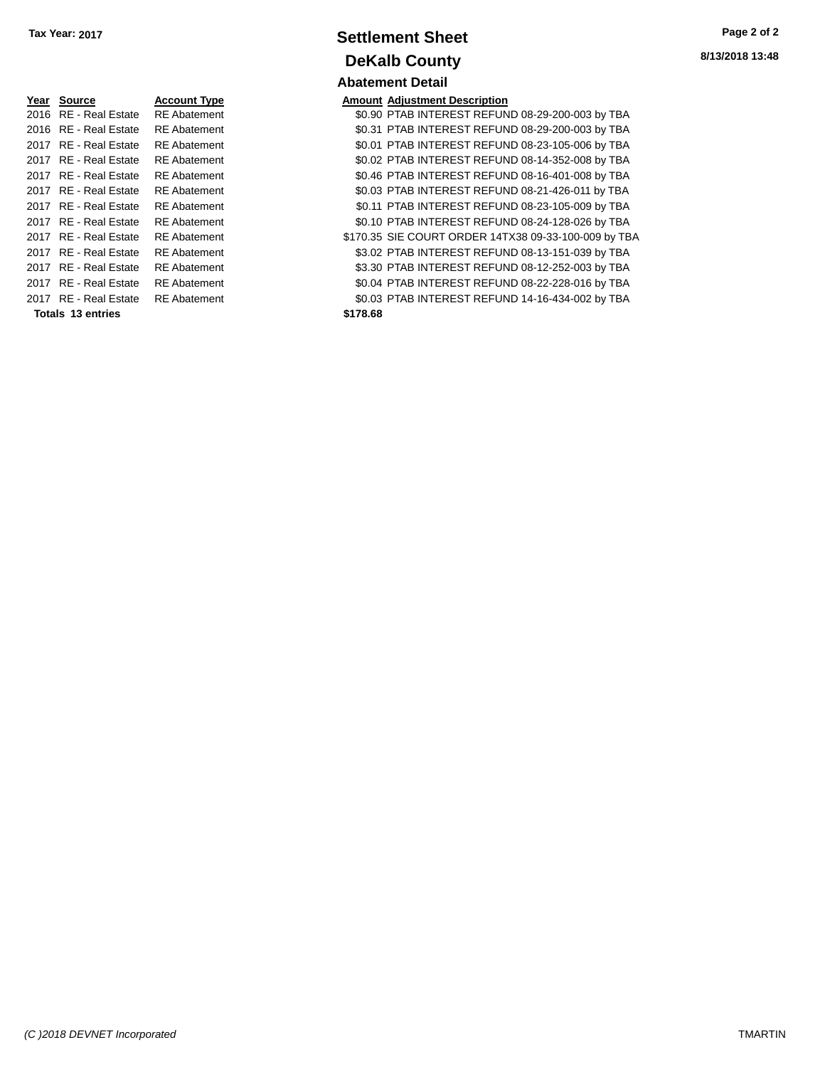| Year | <b>Source</b>           | <b>Account Type</b> |
|------|-------------------------|---------------------|
| 2016 | RE - Real Estate        | <b>RE</b> Abatement |
| 2016 | RE - Real Estate        | RF Abatement        |
| 2017 | RF - Real Estate        | RE Abatement        |
| 2017 | <b>RE</b> - Real Estate | <b>RE</b> Abatement |
| 2017 | <b>RE</b> - Real Estate | <b>RE</b> Abatement |
| 2017 | RF - Real Estate        | RE Abatement        |
| 2017 | RF - Real Estate        | <b>RE</b> Abatement |
| 2017 | RF - Real Estate        | RF Abatement        |
| 2017 | RF - Real Estate        | RF Abatement        |
| 2017 | RF - Real Estate        | RE Abatement        |
| 2017 | RF - Real Estate        | RE Abatement        |
| 2017 | RF - Real Estate        | RF Abatement        |
|      | RF - Real Estate        | RF Abatement        |
|      |                         |                     |

**Totals \$178.68 13 entries**

### **Settlement Sheet Tax Year: 2017 Page 2 of 2 DeKalb County Abatement Detail**

**Amount Adjustment Description** \$0.90 PTAB INTEREST REFUND 08-29-200-003 by TBA \$0.31 PTAB INTEREST REFUND 08-29-200-003 by TBA \$0.01 PTAB INTEREST REFUND 08-23-105-006 by TBA \$0.02 PTAB INTEREST REFUND 08-14-352-008 by TBA \$0.46 PTAB INTEREST REFUND 08-16-401-008 by TBA \$0.03 PTAB INTEREST REFUND 08-21-426-011 by TBA \$0.11 PTAB INTEREST REFUND 08-23-105-009 by TBA

\$0.10 PTAB INTEREST REFUND 08-24-128-026 by TBA \$170.35 SIE COURT ORDER 14TX38 09-33-100-009 by TBA \$3.02 PTAB INTEREST REFUND 08-13-151-039 by TBA \$3.30 PTAB INTEREST REFUND 08-12-252-003 by TBA \$0.04 PTAB INTEREST REFUND 08-22-228-016 by TBA \$0.03 PTAB INTEREST REFUND 14-16-434-002 by TBA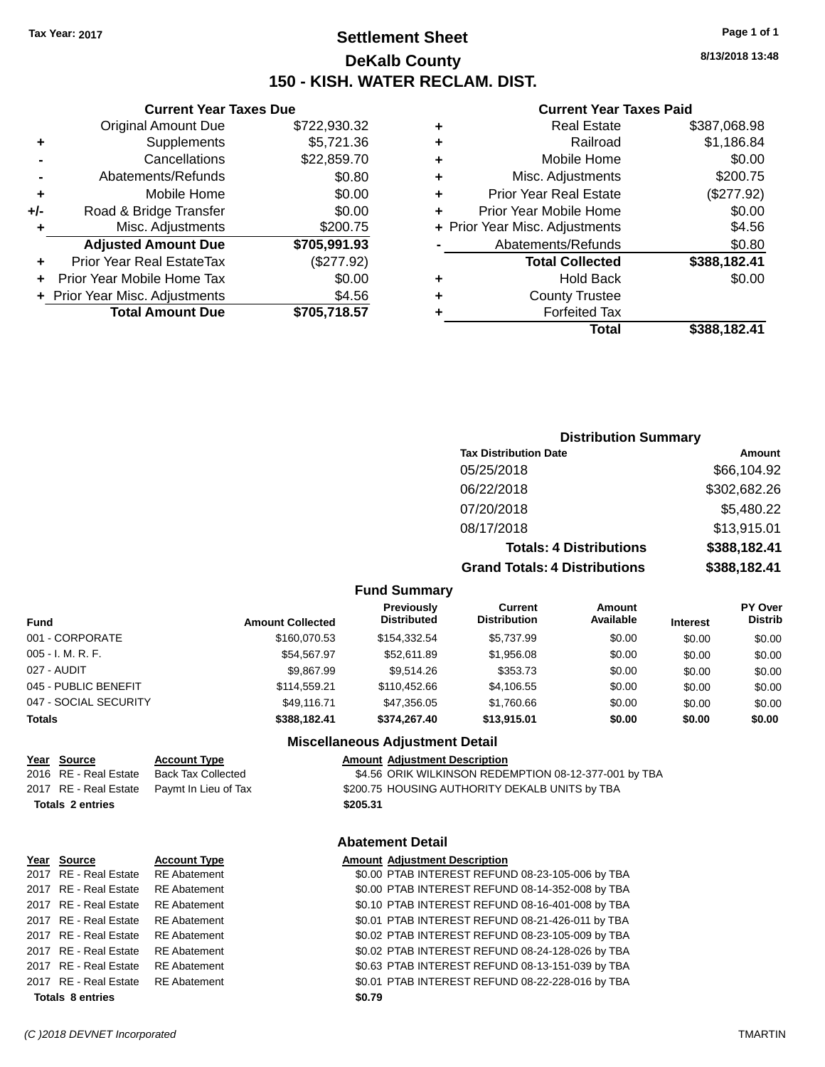# **Settlement Sheet Tax Year: 2017 Page 1 of 1 DeKalb County 150 - KISH. WATER RECLAM. DIST.**

**8/13/2018 13:48**

#### **Current Year Taxes Paid**

| <b>Curren</b>             |   |              | <b>Current Year Taxes Due</b>    |     |
|---------------------------|---|--------------|----------------------------------|-----|
| Real                      | ÷ | \$722,930.32 | <b>Original Amount Due</b>       |     |
| R                         | ٠ | \$5,721.36   | Supplements                      | ٠   |
| Mobile                    | ٠ | \$22,859.70  | Cancellations                    |     |
| Misc. Adjust              | ٠ | \$0.80       | Abatements/Refunds               |     |
| Prior Year Real           | ÷ | \$0.00       | Mobile Home                      | ٠   |
| <b>Prior Year Mobile</b>  | ٠ | \$0.00       | Road & Bridge Transfer           | +/- |
| + Prior Year Misc. Adjust |   | \$200.75     | Misc. Adjustments                | ٠   |
| Abatements/R              |   | \$705,991.93 | <b>Adjusted Amount Due</b>       |     |
| <b>Total Col</b>          |   | (\$277.92)   | <b>Prior Year Real EstateTax</b> |     |
| Hok                       | ٠ | \$0.00       | Prior Year Mobile Home Tax       |     |
| County T                  | ٠ | \$4.56       | + Prior Year Misc. Adjustments   |     |
| Forfeit                   |   | \$705,718.57 | <b>Total Amount Due</b>          |     |
|                           |   |              |                                  |     |

|   | Total                          | \$388,182.41 |
|---|--------------------------------|--------------|
|   | <b>Forfeited Tax</b>           |              |
|   | <b>County Trustee</b>          |              |
|   | <b>Hold Back</b>               | \$0.00       |
|   | <b>Total Collected</b>         | \$388,182.41 |
|   | Abatements/Refunds             | \$0.80       |
|   | + Prior Year Misc. Adjustments | \$4.56       |
|   | Prior Year Mobile Home         | \$0.00       |
|   | <b>Prior Year Real Estate</b>  | (\$277.92)   |
|   | Misc. Adjustments              | \$200.75     |
|   | Mobile Home                    | \$0.00       |
| ÷ | Railroad                       | \$1,186.84   |
|   | <b>Real Estate</b>             | \$387,068.98 |

### **Distribution Summary Tax Distribution Date Amount** 05/25/2018 \$66,104.92 06/22/2018 \$302,682.26 07/20/2018 \$5,480.22 08/17/2018 \$13,915.01 **Totals: 4 Distributions \$388,182.41 Grand Totals: 4 Distributions \$388,182.41**

#### **Fund Summary**

| Fund                  | <b>Amount Collected</b> | <b>Previously</b><br><b>Distributed</b> | Current<br><b>Distribution</b> | <b>Amount</b><br>Available | <b>Interest</b> | <b>PY Over</b><br><b>Distrib</b> |
|-----------------------|-------------------------|-----------------------------------------|--------------------------------|----------------------------|-----------------|----------------------------------|
| 001 - CORPORATE       | \$160,070.53            | \$154.332.54                            | \$5,737.99                     | \$0.00                     | \$0.00          | \$0.00                           |
| 005 - I. M. R. F.     | \$54.567.97             | \$52,611.89                             | \$1,956.08                     | \$0.00                     | \$0.00          | \$0.00                           |
| 027 - AUDIT           | \$9.867.99              | \$9.514.26                              | \$353.73                       | \$0.00                     | \$0.00          | \$0.00                           |
| 045 - PUBLIC BENEFIT  | \$114.559.21            | \$110,452,66                            | \$4,106.55                     | \$0.00                     | \$0.00          | \$0.00                           |
| 047 - SOCIAL SECURITY | \$49,116.71             | \$47.356.05                             | \$1.760.66                     | \$0.00                     | \$0.00          | \$0.00                           |
| <b>Totals</b>         | \$388,182,41            | \$374.267.40                            | \$13,915.01                    | \$0.00                     | \$0.00          | \$0.00                           |

#### **Miscellaneous Adjustment Detail**

| Year Source             | <b>Account Type</b>                        | <b>Amount Adjustment Description</b>                  |
|-------------------------|--------------------------------------------|-------------------------------------------------------|
| 2016 RE - Real Estate   | Back Tax Collected                         | \$4.56 ORIK WILKINSON REDEMPTION 08-12-377-001 by TBA |
|                         | 2017 RE - Real Estate Paymt In Lieu of Tax | \$200.75 HOUSING AUTHORITY DEKALB UNITS by TBA        |
| <b>Totals 2 entries</b> |                                            | \$205.31                                              |

#### **Abatement Detail**

#### **Year Source Account Type Amount Adjustment Description**

| <b>Totals 8 entries</b>            |                     | \$0.79                                           |
|------------------------------------|---------------------|--------------------------------------------------|
| 2017 RE - Real Estate RE Abatement |                     | \$0.01 PTAB INTEREST REFUND 08-22-228-016 by TBA |
| 2017 RE - Real Estate              | <b>RE</b> Abatement | \$0.63 PTAB INTEREST REFUND 08-13-151-039 by TBA |
| 2017 RE - Real Estate              | RE Abatement        | \$0.02 PTAB INTEREST REFUND 08-24-128-026 by TBA |
| 2017 RE - Real Estate              | RE Abatement        | \$0.02 PTAB INTEREST REFUND 08-23-105-009 by TBA |
| 2017 RE - Real Estate              | RE Abatement        | \$0.01 PTAB INTEREST REFUND 08-21-426-011 by TBA |
| 2017 RE - Real Estate              | <b>RE Abatement</b> | \$0.10 PTAB INTEREST REFUND 08-16-401-008 by TBA |
| 2017 RE - Real Estate              | RE Abatement        | \$0.00 PTAB INTEREST REFUND 08-14-352-008 by TBA |
| 2017 RE - Real Estate RE Abatement |                     | \$0.00 PTAB INTEREST REFUND 08-23-105-006 by TBA |
|                                    |                     |                                                  |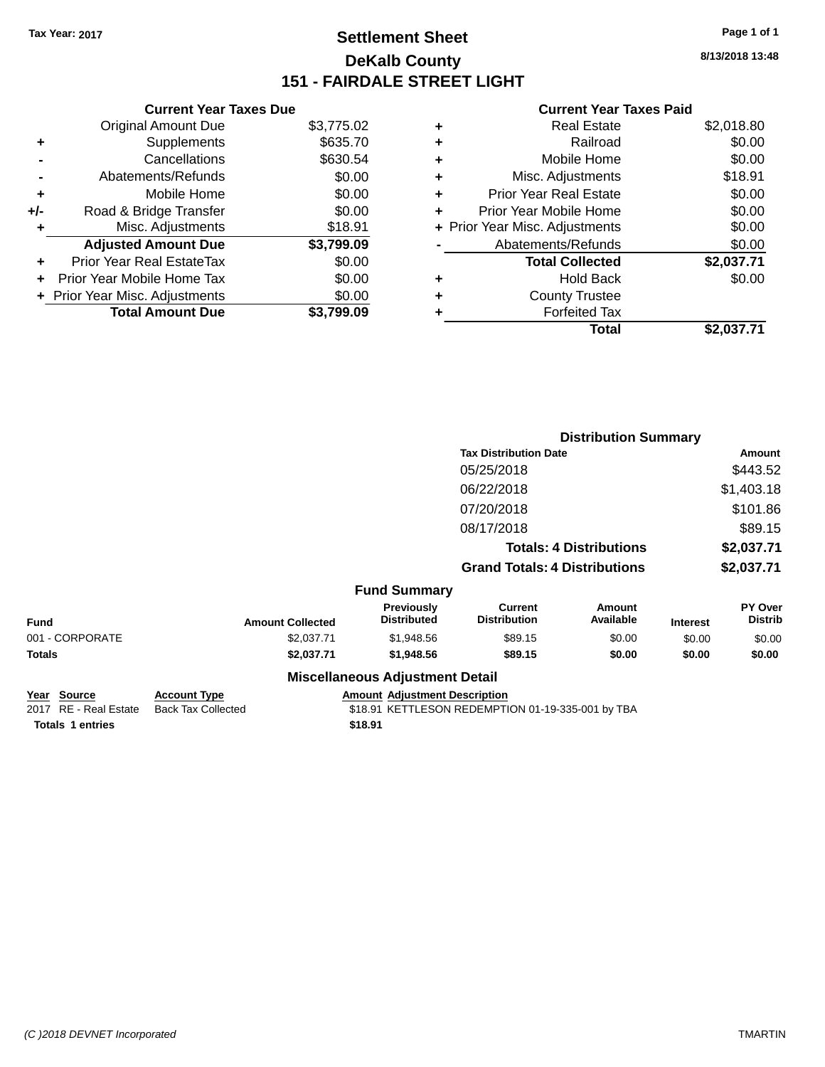# **Settlement Sheet Tax Year: 2017 Page 1 of 1 DeKalb County 151 - FAIRDALE STREET LIGHT**

**8/13/2018 13:48**

#### **Current Year Taxes Paid**

|       | <b>Current Year Taxes Due</b>  |            |
|-------|--------------------------------|------------|
|       | <b>Original Amount Due</b>     | \$3,775.02 |
| ٠     | Supplements                    | \$635.70   |
|       | Cancellations                  | \$630.54   |
|       | Abatements/Refunds             | \$0.00     |
| ٠     | Mobile Home                    | \$0.00     |
| $+/-$ | Road & Bridge Transfer         | \$0.00     |
|       | Misc. Adjustments              | \$18.91    |
|       | <b>Adjusted Amount Due</b>     | \$3,799.09 |
| ÷     | Prior Year Real EstateTax      | \$0.00     |
|       | Prior Year Mobile Home Tax     | \$0.00     |
|       | + Prior Year Misc. Adjustments | \$0.00     |
|       | <b>Total Amount Due</b>        | \$3.799.09 |

|   | <b>Real Estate</b>             | \$2,018.80 |
|---|--------------------------------|------------|
| ٠ | Railroad                       | \$0.00     |
| ٠ | Mobile Home                    | \$0.00     |
| ٠ | Misc. Adjustments              | \$18.91    |
| ٠ | <b>Prior Year Real Estate</b>  | \$0.00     |
| ٠ | Prior Year Mobile Home         | \$0.00     |
|   | + Prior Year Misc. Adjustments | \$0.00     |
|   | Abatements/Refunds             | \$0.00     |
|   | <b>Total Collected</b>         | \$2,037.71 |
| ٠ | <b>Hold Back</b>               | \$0.00     |
| ٠ | <b>County Trustee</b>          |            |
| ٠ | <b>Forfeited Tax</b>           |            |
|   | Total                          | \$2.037.71 |
|   |                                |            |

|                 |                         |                                        | <b>Distribution Summary</b>           |                                |                 |                           |
|-----------------|-------------------------|----------------------------------------|---------------------------------------|--------------------------------|-----------------|---------------------------|
|                 |                         |                                        | <b>Tax Distribution Date</b>          |                                |                 | Amount                    |
|                 |                         |                                        | 05/25/2018                            |                                |                 | \$443.52                  |
|                 |                         |                                        | 06/22/2018                            |                                |                 | \$1,403.18                |
|                 |                         |                                        | 07/20/2018                            |                                |                 | \$101.86                  |
|                 |                         |                                        | 08/17/2018                            |                                |                 | \$89.15                   |
|                 |                         |                                        |                                       | <b>Totals: 4 Distributions</b> |                 | \$2,037.71                |
|                 |                         |                                        | <b>Grand Totals: 4 Distributions</b>  |                                |                 | \$2,037.71                |
|                 |                         | <b>Fund Summary</b>                    |                                       |                                |                 |                           |
| <b>Fund</b>     | <b>Amount Collected</b> | Previously<br><b>Distributed</b>       | <b>Current</b><br><b>Distribution</b> | Amount<br>Available            | <b>Interest</b> | PY Over<br><b>Distrib</b> |
| 001 - CORPORATE | \$2,037.71              | \$1,948.56                             | \$89.15                               | \$0.00                         | \$0.00          | \$0.00                    |
| <b>Totals</b>   | \$2,037.71              | \$1,948.56                             | \$89.15                               | \$0.00                         | \$0.00          | \$0.00                    |
|                 |                         | <b>Miscellaneous Adjustment Detail</b> |                                       |                                |                 |                           |

| Year Source             | <b>Account Type</b> | <b>Amount Adiust</b> |
|-------------------------|---------------------|----------------------|
| 2017 RE - Real Estate   | Back Tax Collected  | \$18.91 KETTL        |
| <b>Totals 1 entries</b> |                     | \$18.91              |

**<u>Ement Description</u>** 

LESON REDEMPTION 01-19-335-001 by TBA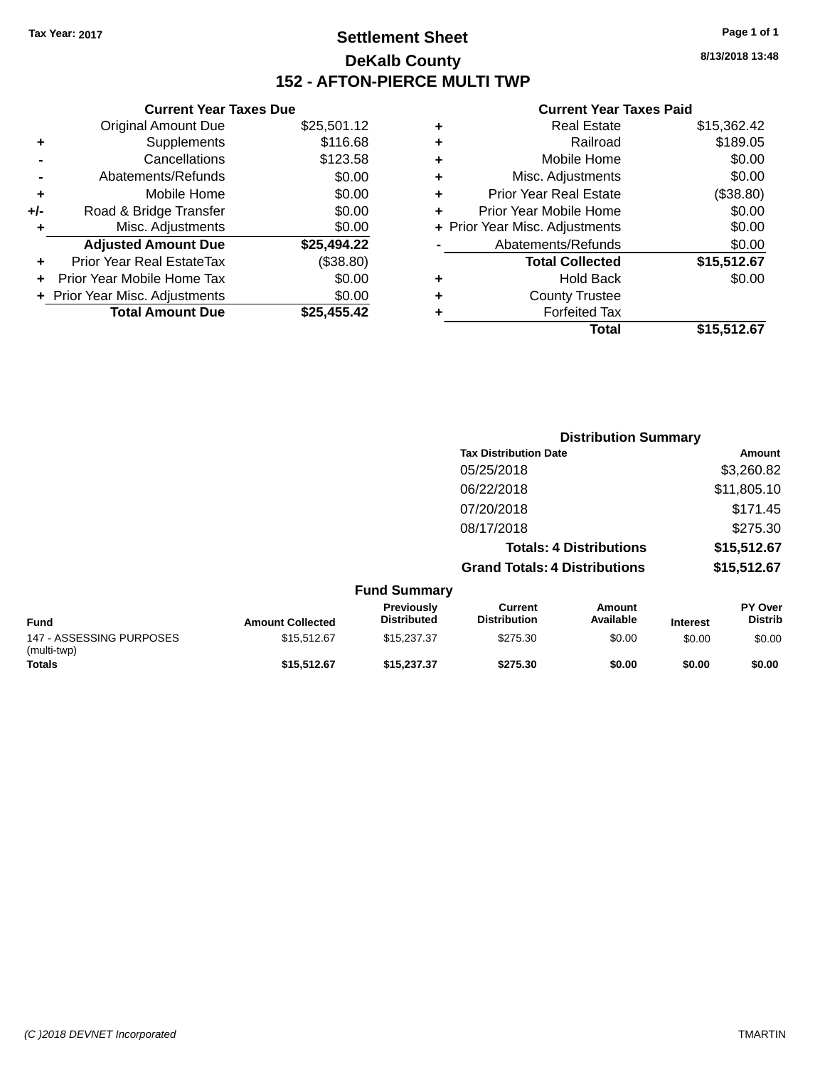# **Settlement Sheet Tax Year: 2017 Page 1 of 1 DeKalb County 152 - AFTON-PIERCE MULTI TWP**

**8/13/2018 13:48**

#### **Current Year Taxes Paid**

|     | <b>Current Year Taxes Due</b>  |             |   |  |  |  |
|-----|--------------------------------|-------------|---|--|--|--|
|     | <b>Original Amount Due</b>     | \$25,501.12 | ٠ |  |  |  |
| ٠   | Supplements                    | \$116.68    |   |  |  |  |
|     | Cancellations                  | \$123.58    | ٠ |  |  |  |
|     | Abatements/Refunds             | \$0.00      | ÷ |  |  |  |
|     | Mobile Home                    | \$0.00      | ٠ |  |  |  |
| +/- | Road & Bridge Transfer         | \$0.00      | ÷ |  |  |  |
|     | Misc. Adjustments              | \$0.00      |   |  |  |  |
|     | <b>Adjusted Amount Due</b>     | \$25,494.22 |   |  |  |  |
| ٠   | Prior Year Real EstateTax      | (\$38.80)   |   |  |  |  |
|     | Prior Year Mobile Home Tax     | \$0.00      |   |  |  |  |
|     | + Prior Year Misc. Adjustments | \$0.00      | ٠ |  |  |  |
|     | <b>Total Amount Due</b>        | \$25,455.42 |   |  |  |  |
|     |                                |             |   |  |  |  |

| ٠ | <b>Real Estate</b>             | \$15,362.42 |
|---|--------------------------------|-------------|
| ٠ | Railroad                       | \$189.05    |
| ٠ | Mobile Home                    | \$0.00      |
| ٠ | Misc. Adjustments              | \$0.00      |
| ٠ | <b>Prior Year Real Estate</b>  | (\$38.80)   |
| ÷ | Prior Year Mobile Home         | \$0.00      |
|   | + Prior Year Misc. Adjustments | \$0.00      |
|   | Abatements/Refunds             | \$0.00      |
|   | <b>Total Collected</b>         | \$15,512.67 |
| ٠ | Hold Back                      | \$0.00      |
| ٠ | <b>County Trustee</b>          |             |
|   | <b>Forfeited Tax</b>           |             |
|   | Total                          | \$15,512.67 |
|   |                                |             |

|                                         |                         |                                  | <b>Distribution Summary</b>           |                                |                 |                                  |
|-----------------------------------------|-------------------------|----------------------------------|---------------------------------------|--------------------------------|-----------------|----------------------------------|
|                                         |                         |                                  | <b>Tax Distribution Date</b>          |                                |                 | Amount                           |
|                                         |                         |                                  | 05/25/2018                            |                                |                 | \$3,260.82                       |
|                                         |                         |                                  | 06/22/2018                            |                                |                 | \$11,805.10                      |
|                                         |                         |                                  | 07/20/2018                            |                                |                 | \$171.45                         |
|                                         |                         |                                  | 08/17/2018                            |                                |                 | \$275.30                         |
|                                         |                         |                                  |                                       | <b>Totals: 4 Distributions</b> |                 | \$15,512.67                      |
|                                         |                         |                                  | <b>Grand Totals: 4 Distributions</b>  |                                |                 | \$15,512.67                      |
|                                         |                         | <b>Fund Summary</b>              |                                       |                                |                 |                                  |
| <b>Fund</b>                             | <b>Amount Collected</b> | Previously<br><b>Distributed</b> | <b>Current</b><br><b>Distribution</b> | <b>Amount</b><br>Available     | <b>Interest</b> | <b>PY Over</b><br><b>Distrib</b> |
| 147 - ASSESSING PURPOSES<br>(multi-twp) | \$15,512.67             | \$15,237.37                      | \$275.30                              | \$0.00                         | \$0.00          | \$0.00                           |
| Totals                                  | \$15,512.67             | \$15,237.37                      | \$275.30                              | \$0.00                         | \$0.00          | \$0.00                           |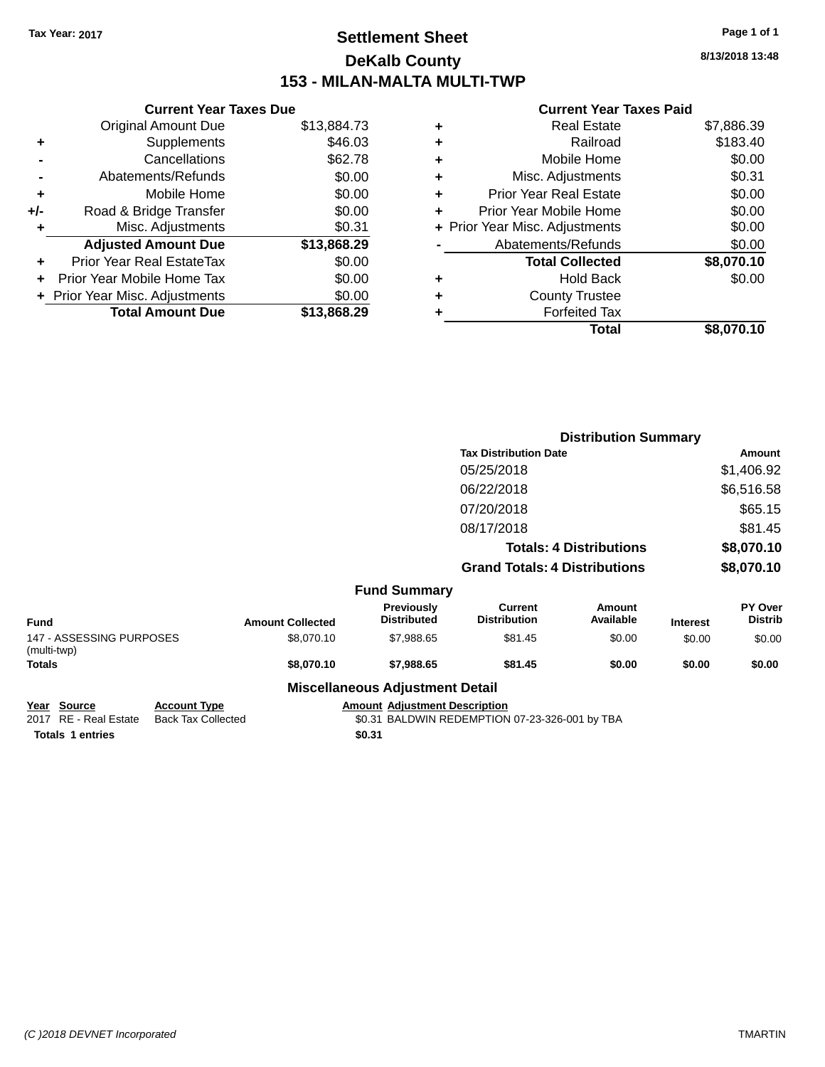# **Settlement Sheet Tax Year: 2017 Page 1 of 1 DeKalb County 153 - MILAN-MALTA MULTI-TWP**

**8/13/2018 13:48**

|     | <b>Current Year Taxes Due</b>  |             |
|-----|--------------------------------|-------------|
|     | <b>Original Amount Due</b>     | \$13,884.73 |
| ٠   | Supplements                    | \$46.03     |
|     | Cancellations                  | \$62.78     |
|     | Abatements/Refunds             | \$0.00      |
| ٠   | Mobile Home                    | \$0.00      |
| +/- | Road & Bridge Transfer         | \$0.00      |
|     | Misc. Adjustments              | \$0.31      |
|     | <b>Adjusted Amount Due</b>     | \$13,868.29 |
|     | Prior Year Real EstateTax      | \$0.00      |
| ÷   | Prior Year Mobile Home Tax     | \$0.00      |
|     | + Prior Year Misc. Adjustments | \$0.00      |
|     | <b>Total Amount Due</b>        | \$13,868.29 |
|     |                                |             |

### **Current Year Taxes Paid**

| ٠ | <b>Real Estate</b>             | \$7,886.39 |
|---|--------------------------------|------------|
| ٠ | Railroad                       | \$183.40   |
| ٠ | Mobile Home                    | \$0.00     |
| ٠ | Misc. Adjustments              | \$0.31     |
| ٠ | <b>Prior Year Real Estate</b>  | \$0.00     |
| ٠ | Prior Year Mobile Home         | \$0.00     |
|   | + Prior Year Misc. Adjustments | \$0.00     |
|   | Abatements/Refunds             | \$0.00     |
|   | <b>Total Collected</b>         | \$8,070.10 |
| ٠ | <b>Hold Back</b>               | \$0.00     |
| ٠ | <b>County Trustee</b>          |            |
| ٠ | <b>Forfeited Tax</b>           |            |
|   | Total                          | \$8,070.10 |
|   |                                |            |

|                                         |                         |                                        | <b>Distribution Summary</b>          |                                |                 |                           |
|-----------------------------------------|-------------------------|----------------------------------------|--------------------------------------|--------------------------------|-----------------|---------------------------|
|                                         |                         |                                        | <b>Tax Distribution Date</b>         |                                |                 | <b>Amount</b>             |
|                                         |                         |                                        | 05/25/2018                           |                                |                 | \$1,406.92                |
|                                         |                         |                                        | 06/22/2018                           |                                |                 | \$6,516.58                |
|                                         |                         |                                        | 07/20/2018                           |                                |                 | \$65.15                   |
|                                         |                         |                                        | 08/17/2018                           |                                |                 | \$81.45                   |
|                                         |                         |                                        |                                      | <b>Totals: 4 Distributions</b> |                 | \$8,070.10                |
|                                         |                         |                                        | <b>Grand Totals: 4 Distributions</b> |                                |                 | \$8,070.10                |
|                                         |                         | <b>Fund Summary</b>                    |                                      |                                |                 |                           |
| <b>Fund</b>                             | <b>Amount Collected</b> | Previously<br><b>Distributed</b>       | Current<br><b>Distribution</b>       | Amount<br>Available            | <b>Interest</b> | PY Over<br><b>Distrib</b> |
| 147 - ASSESSING PURPOSES<br>(multi-twp) | \$8,070.10              | \$7,988.65                             | \$81.45                              | \$0.00                         | \$0.00          | \$0.00                    |
| Totals                                  | \$8,070.10              | \$7,988.65                             | \$81.45                              | \$0.00                         | \$0.00          | \$0.00                    |
|                                         |                         | <b>Miscellaneous Adjustment Detail</b> |                                      |                                |                 |                           |
| Year Source<br><b>Account Type</b>      |                         | <b>Amount Adjustment Description</b>   |                                      |                                |                 |                           |

**Totals 1 entries** \$0.31

**<u>Pear Source</u><br>
2017 RE - Real Estate Back Tax Collected** 

 $\overline{$0.31$}$  BALDWIN REDEMPTION 07-23-326-001 by TBA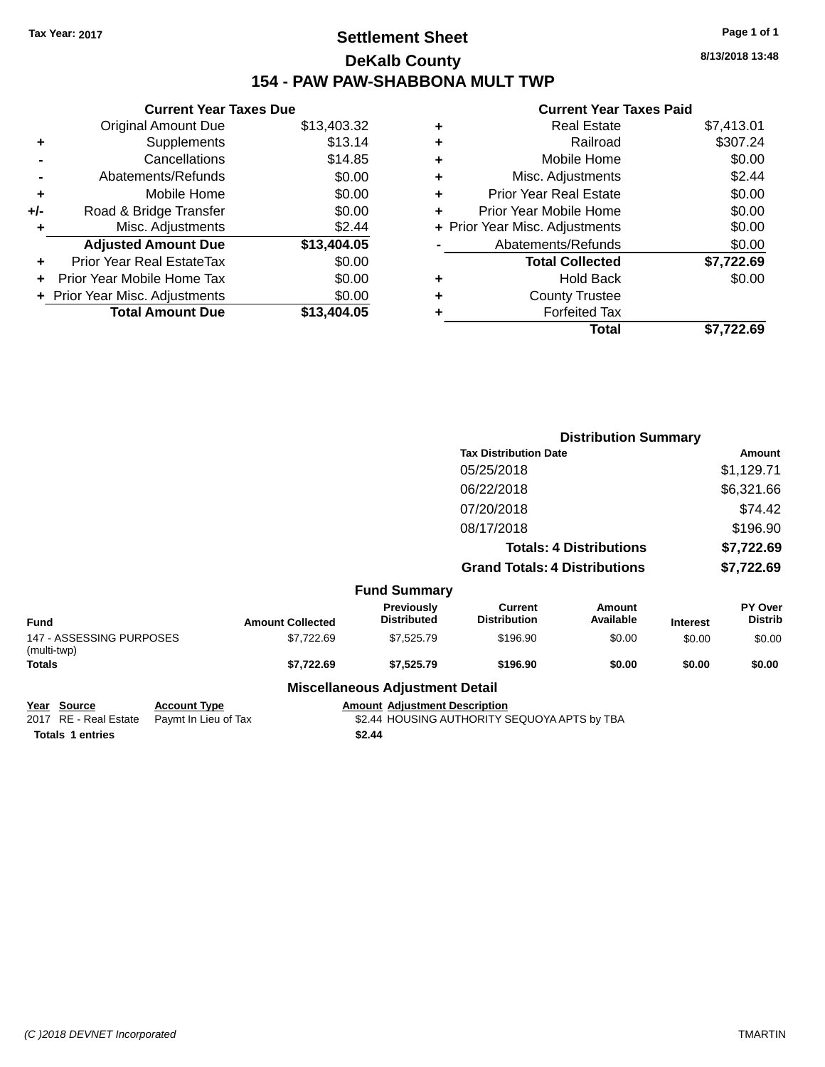# **Settlement Sheet Tax Year: 2017 Page 1 of 1 DeKalb County 154 - PAW PAW-SHABBONA MULT TWP**

**8/13/2018 13:48**

#### **Current Year Taxes Paid**

|     | <b>Current Year Taxes Due</b>  |             |
|-----|--------------------------------|-------------|
|     | <b>Original Amount Due</b>     | \$13,403.32 |
| ٠   | Supplements                    | \$13.14     |
|     | Cancellations                  | \$14.85     |
|     | Abatements/Refunds             | \$0.00      |
| ٠   | Mobile Home                    | \$0.00      |
| +/- | Road & Bridge Transfer         | \$0.00      |
| ٠   | Misc. Adjustments              | \$2.44      |
|     | <b>Adjusted Amount Due</b>     | \$13,404.05 |
| ÷   | Prior Year Real EstateTax      | \$0.00      |
|     | Prior Year Mobile Home Tax     | \$0.00      |
|     | + Prior Year Misc. Adjustments | \$0.00      |
|     | <b>Total Amount Due</b>        | \$13,404.05 |
|     |                                |             |

|   | <b>Real Estate</b>             | \$7,413.01 |
|---|--------------------------------|------------|
| ٠ | Railroad                       | \$307.24   |
| ٠ | Mobile Home                    | \$0.00     |
| ٠ | Misc. Adjustments              | \$2.44     |
| ٠ | <b>Prior Year Real Estate</b>  | \$0.00     |
| ٠ | Prior Year Mobile Home         | \$0.00     |
|   | + Prior Year Misc. Adjustments | \$0.00     |
|   | Abatements/Refunds             | \$0.00     |
|   | <b>Total Collected</b>         | \$7,722.69 |
| ٠ | Hold Back                      | \$0.00     |
| ٠ | <b>County Trustee</b>          |            |
| ٠ | <b>Forfeited Tax</b>           |            |
|   | Total                          | \$7,722.69 |
|   |                                |            |

|                                         |                         |                                        |                                       | <b>Distribution Summary</b>    |                 |                           |
|-----------------------------------------|-------------------------|----------------------------------------|---------------------------------------|--------------------------------|-----------------|---------------------------|
|                                         |                         |                                        | <b>Tax Distribution Date</b>          |                                |                 | Amount                    |
|                                         |                         |                                        | 05/25/2018                            |                                |                 | \$1,129.71                |
|                                         |                         |                                        | 06/22/2018                            |                                |                 | \$6,321.66                |
|                                         |                         |                                        | 07/20/2018                            |                                |                 | \$74.42                   |
|                                         |                         |                                        | 08/17/2018                            |                                |                 | \$196.90                  |
|                                         |                         |                                        |                                       | <b>Totals: 4 Distributions</b> |                 | \$7,722.69                |
|                                         |                         |                                        | <b>Grand Totals: 4 Distributions</b>  |                                |                 | \$7,722.69                |
|                                         |                         | <b>Fund Summary</b>                    |                                       |                                |                 |                           |
| <b>Fund</b>                             | <b>Amount Collected</b> | Previously<br><b>Distributed</b>       | <b>Current</b><br><b>Distribution</b> | Amount<br>Available            | <b>Interest</b> | PY Over<br><b>Distrib</b> |
| 147 - ASSESSING PURPOSES<br>(multi-twp) | \$7,722.69              | \$7,525.79                             | \$196.90                              | \$0.00                         | \$0.00          | \$0.00                    |
| Totals                                  | \$7,722.69              | \$7,525.79                             | \$196.90                              | \$0.00                         | \$0.00          | \$0.00                    |
|                                         |                         | <b>Miscellaneous Adjustment Detail</b> |                                       |                                |                 |                           |
| Vaar Calleag<br>Accessod Trees          |                         | Amarrat Adjustment Desariation         |                                       |                                |                 |                           |

**Totals \$2.44 1 entries**

**Year Source Account Type Account Type Amount Adjustment Description**<br>2017 RE - Real Estate Paymt In Lieu of Tax \$2.44 HOUSING AUTHORITY S \$2.44 HOUSING AUTHORITY SEQUOYA APTS by TBA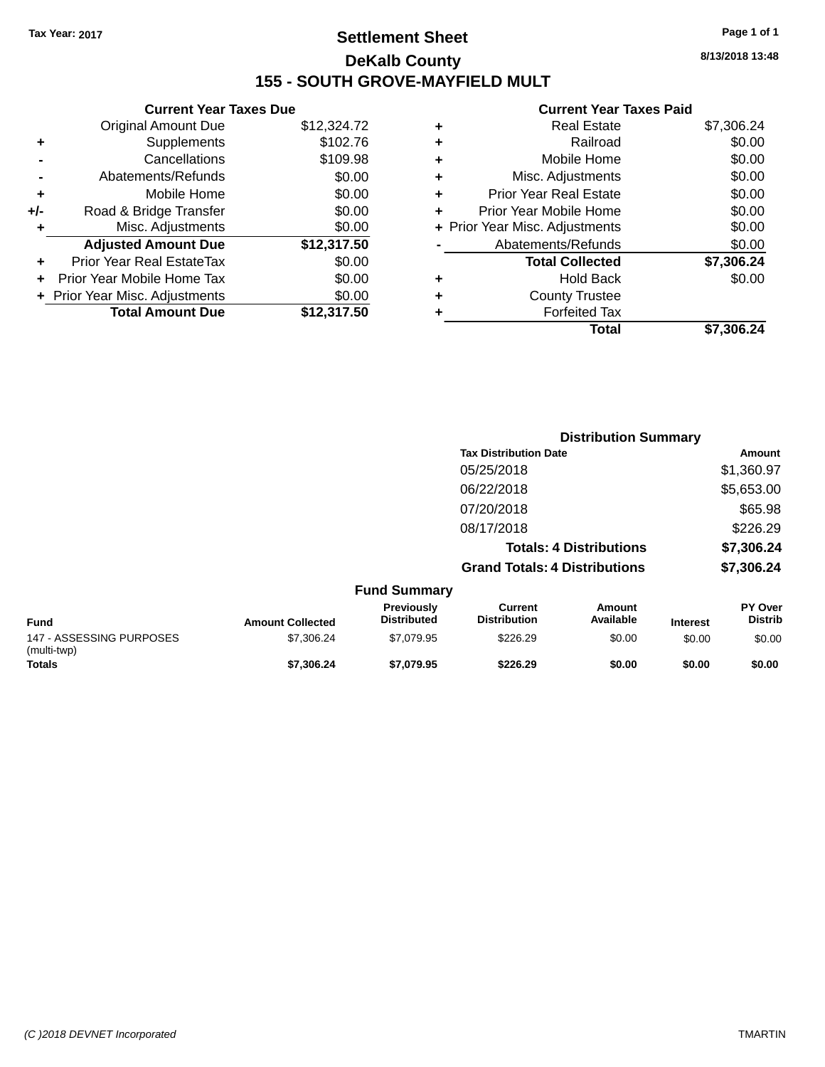# **Settlement Sheet Tax Year: 2017 Page 1 of 1 DeKalb County 155 - SOUTH GROVE-MAYFIELD MULT**

**8/13/2018 13:48**

#### **Current Year Taxes Paid**

|     | <b>Current Year Taxes Due</b>  |             |
|-----|--------------------------------|-------------|
|     | <b>Original Amount Due</b>     | \$12,324.72 |
| ÷   | Supplements                    | \$102.76    |
|     | Cancellations                  | \$109.98    |
|     | Abatements/Refunds             | \$0.00      |
| ٠   | Mobile Home                    | \$0.00      |
| +/- | Road & Bridge Transfer         | \$0.00      |
| ٠   | Misc. Adjustments              | \$0.00      |
|     | <b>Adjusted Amount Due</b>     | \$12,317.50 |
| ÷   | Prior Year Real EstateTax      | \$0.00      |
|     | Prior Year Mobile Home Tax     | \$0.00      |
|     | + Prior Year Misc. Adjustments | \$0.00      |
|     | <b>Total Amount Due</b>        | \$12,317.50 |
|     |                                |             |

| ٠ | <b>Real Estate</b>             | \$7,306.24 |
|---|--------------------------------|------------|
| ٠ | Railroad                       | \$0.00     |
| ٠ | Mobile Home                    | \$0.00     |
| ٠ | Misc. Adjustments              | \$0.00     |
| ٠ | <b>Prior Year Real Estate</b>  | \$0.00     |
| ٠ | Prior Year Mobile Home         | \$0.00     |
|   | + Prior Year Misc. Adjustments | \$0.00     |
|   | Abatements/Refunds             | \$0.00     |
|   | <b>Total Collected</b>         | \$7,306.24 |
| ٠ | <b>Hold Back</b>               | \$0.00     |
| ٠ | <b>County Trustee</b>          |            |
|   | <b>Forfeited Tax</b>           |            |
|   | Total                          | \$7,306.24 |
|   |                                |            |

|                                         |                         |                                  |                                      | <b>Distribution Summary</b>    |                 |                                  |
|-----------------------------------------|-------------------------|----------------------------------|--------------------------------------|--------------------------------|-----------------|----------------------------------|
|                                         |                         |                                  | <b>Tax Distribution Date</b>         |                                |                 | <b>Amount</b>                    |
|                                         |                         |                                  | 05/25/2018                           |                                |                 | \$1,360.97                       |
|                                         |                         |                                  | 06/22/2018                           |                                |                 | \$5,653.00                       |
|                                         |                         |                                  | 07/20/2018                           |                                |                 | \$65.98                          |
|                                         |                         |                                  | 08/17/2018                           |                                |                 | \$226.29                         |
|                                         |                         |                                  |                                      | <b>Totals: 4 Distributions</b> |                 | \$7,306.24                       |
|                                         |                         |                                  | <b>Grand Totals: 4 Distributions</b> |                                |                 | \$7,306.24                       |
|                                         |                         | <b>Fund Summary</b>              |                                      |                                |                 |                                  |
| <b>Fund</b>                             | <b>Amount Collected</b> | Previously<br><b>Distributed</b> | Current<br><b>Distribution</b>       | <b>Amount</b><br>Available     | <b>Interest</b> | <b>PY Over</b><br><b>Distrib</b> |
| 147 - ASSESSING PURPOSES<br>(multi-twp) | \$7,306.24              | \$7,079.95                       | \$226.29                             | \$0.00                         | \$0.00          | \$0.00                           |
| Totals                                  | \$7,306.24              | \$7,079.95                       | \$226.29                             | \$0.00                         | \$0.00          | \$0.00                           |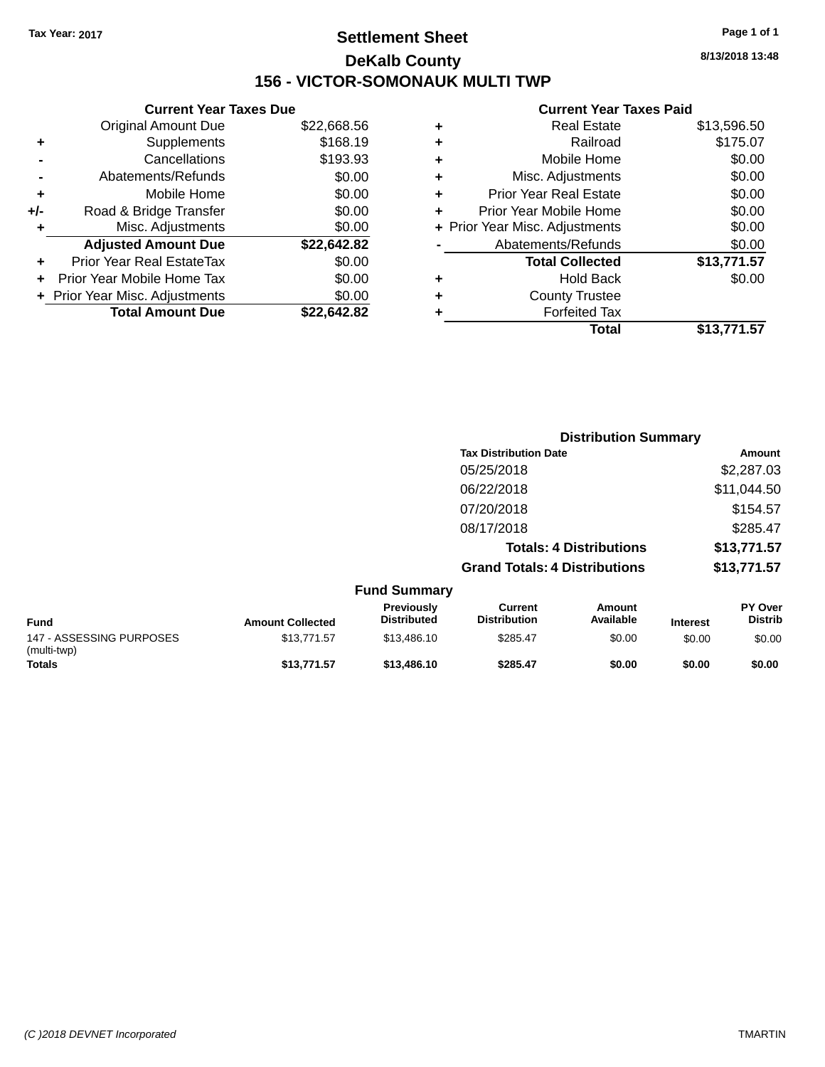# **Settlement Sheet Tax Year: 2017 Page 1 of 1 DeKalb County 156 - VICTOR-SOMONAUK MULTI TWP**

**8/13/2018 13:48**

#### **Current Year Taxes Paid**

|     | <b>Current Year Taxes Due</b>  |             |
|-----|--------------------------------|-------------|
|     | <b>Original Amount Due</b>     | \$22,668.56 |
| ÷   | Supplements                    | \$168.19    |
|     | Cancellations                  | \$193.93    |
|     | Abatements/Refunds             | \$0.00      |
| ٠   | Mobile Home                    | \$0.00      |
| +/- | Road & Bridge Transfer         | \$0.00      |
|     | Misc. Adjustments              | \$0.00      |
|     | <b>Adjusted Amount Due</b>     | \$22,642.82 |
| ÷   | Prior Year Real EstateTax      | \$0.00      |
|     | Prior Year Mobile Home Tax     | \$0.00      |
|     | + Prior Year Misc. Adjustments | \$0.00      |
|     | <b>Total Amount Due</b>        | \$22.642.82 |
|     |                                |             |

| ٠ | <b>Real Estate</b>             | \$13,596.50 |
|---|--------------------------------|-------------|
| ٠ | Railroad                       | \$175.07    |
| ٠ | Mobile Home                    | \$0.00      |
| ٠ | Misc. Adjustments              | \$0.00      |
| ٠ | <b>Prior Year Real Estate</b>  | \$0.00      |
| ٠ | Prior Year Mobile Home         | \$0.00      |
|   | + Prior Year Misc. Adjustments | \$0.00      |
|   | Abatements/Refunds             | \$0.00      |
|   | <b>Total Collected</b>         | \$13,771.57 |
| ٠ | <b>Hold Back</b>               | \$0.00      |
|   | <b>County Trustee</b>          |             |
| ٠ | <b>Forfeited Tax</b>           |             |
|   | Total                          | \$13.771.57 |
|   |                                |             |

|                         |                                  | <b>Distribution Summary</b>           |                                |                 |                                  |
|-------------------------|----------------------------------|---------------------------------------|--------------------------------|-----------------|----------------------------------|
|                         |                                  | <b>Tax Distribution Date</b>          |                                |                 | Amount                           |
|                         |                                  | 05/25/2018                            |                                |                 | \$2,287.03                       |
|                         |                                  | 06/22/2018                            |                                |                 | \$11,044.50                      |
|                         |                                  | 07/20/2018                            |                                |                 | \$154.57                         |
|                         |                                  | 08/17/2018                            |                                |                 | \$285.47                         |
|                         |                                  |                                       | <b>Totals: 4 Distributions</b> |                 | \$13,771.57                      |
|                         |                                  | <b>Grand Totals: 4 Distributions</b>  |                                |                 | \$13,771.57                      |
|                         | <b>Fund Summary</b>              |                                       |                                |                 |                                  |
| <b>Amount Collected</b> | Previously<br><b>Distributed</b> | <b>Current</b><br><b>Distribution</b> | Amount<br>Available            | <b>Interest</b> | <b>PY Over</b><br><b>Distrib</b> |
| \$13,771.57             | \$13,486.10                      | \$285.47                              | \$0.00                         | \$0.00          | \$0.00                           |

|                                         |                         | <b>Fund Summary</b>                     |                                |                     |                 |                                  |
|-----------------------------------------|-------------------------|-----------------------------------------|--------------------------------|---------------------|-----------------|----------------------------------|
| <b>Fund</b>                             | <b>Amount Collected</b> | <b>Previously</b><br><b>Distributed</b> | Current<br><b>Distribution</b> | Amount<br>Available | <b>Interest</b> | <b>PY Over</b><br><b>Distrib</b> |
| 147 - ASSESSING PURPOSES<br>(multi-twp) | \$13,771.57             | \$13,486.10                             | \$285.47                       | \$0.00              | \$0.00          | \$0.00                           |
| <b>Totals</b>                           | \$13,771.57             | \$13,486.10                             | \$285.47                       | \$0.00              | \$0.00          | \$0.00                           |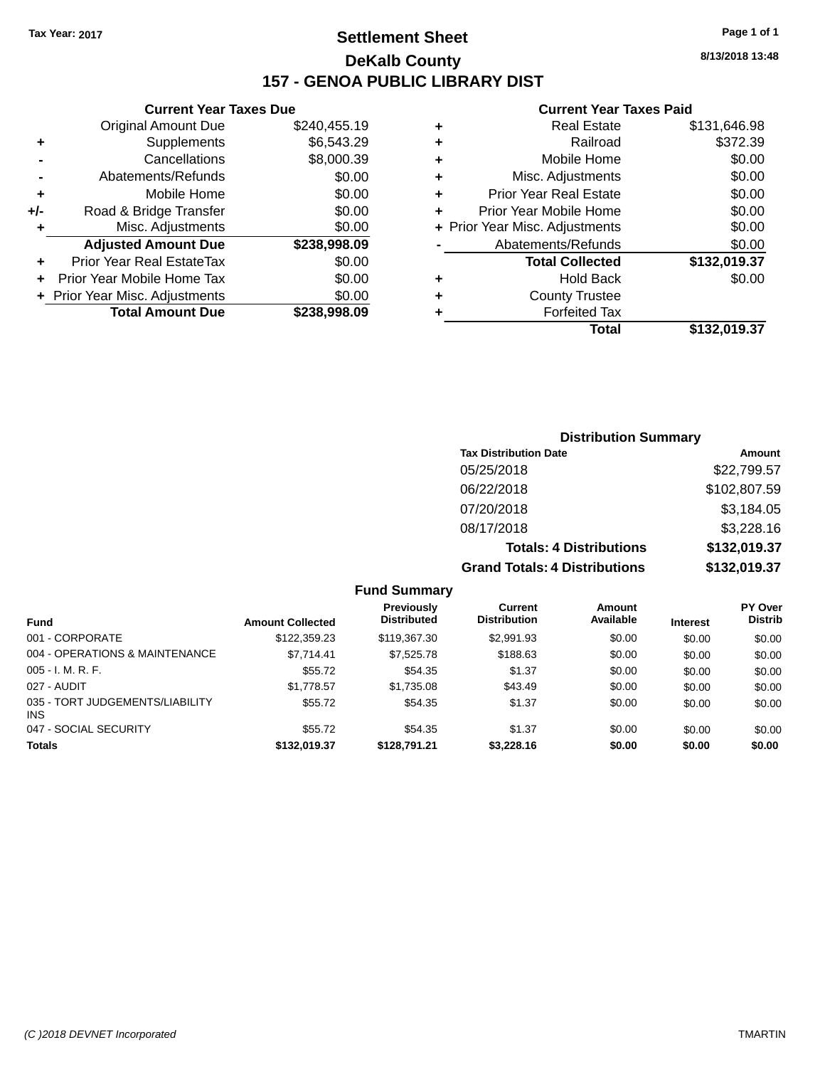# **Settlement Sheet Tax Year: 2017 Page 1 of 1 DeKalb County 157 - GENOA PUBLIC LIBRARY DIST**

#### **Current Year Taxes Due**

| <b>Original Amount Due</b>     | \$240,455.19 |
|--------------------------------|--------------|
| Supplements                    | \$6,543.29   |
| Cancellations                  | \$8,000.39   |
| Abatements/Refunds             | \$0.00       |
| Mobile Home                    | \$0.00       |
| Road & Bridge Transfer         | \$0.00       |
| Misc. Adjustments              | \$0.00       |
| <b>Adjusted Amount Due</b>     | \$238,998.09 |
| Prior Year Real EstateTax      | \$0.00       |
| Prior Year Mobile Home Tax     | \$0.00       |
| + Prior Year Misc. Adjustments | \$0.00       |
| <b>Total Amount Due</b>        | \$238,998.09 |
|                                |              |

#### **Current Year Taxes Paid**

|   | <b>Real Estate</b>             | \$131,646.98 |
|---|--------------------------------|--------------|
| ٠ | Railroad                       | \$372.39     |
| ٠ | Mobile Home                    | \$0.00       |
| ٠ | Misc. Adjustments              | \$0.00       |
| ٠ | <b>Prior Year Real Estate</b>  | \$0.00       |
| ٠ | Prior Year Mobile Home         | \$0.00       |
|   | + Prior Year Misc. Adjustments | \$0.00       |
|   | Abatements/Refunds             | \$0.00       |
|   | <b>Total Collected</b>         | \$132,019.37 |
| ٠ | <b>Hold Back</b>               | \$0.00       |
| ٠ | <b>County Trustee</b>          |              |
| ٠ | <b>Forfeited Tax</b>           |              |
|   | Total                          | \$132,019.37 |
|   |                                |              |

### **Distribution Summary Tax Distribution Date Amount** 05/25/2018 \$22,799.57 06/22/2018 \$102,807.59 07/20/2018 \$3,184.05 08/17/2018 \$3,228.16 **Totals: 4 Distributions \$132,019.37 Grand Totals: 4 Distributions \$132,019.37**

**Fund Summary Fund Interest Amount Collected Distributed PY Over Distrib Amount Available Current Distribution Previously** 001 - CORPORATE \$122,359.23 \$119,367.30 \$2,991.93 \$0.00 \$0.00 \$0.00 004 - OPERATIONS & MAINTENANCE \$7,714.41 \$7,525.78 \$188.63 \$0.00 \$0.00 \$0.00 005 - I. M. R. F. Channel Communication (St. 10) - \$55.72 \$54.35 \$1.37 \$0.00 \$0.00 \$0.00 \$0.00 \$0.00 027 - AUDIT \$1,778.57 \$1,735.08 \$43.49 \$0.00 \$0.00 \$0.00 035 - TORT JUDGEMENTS/LIABILITY INS \$55.72 \$54.35 \$1.37 \$0.00 \$0.00 \$0.00 047 - SOCIAL SECURITY \$55.72 \$54.35 \$0.00 \$0.00 \$0.00 \$0.00 **Totals \$132,019.37 \$128,791.21 \$3,228.16 \$0.00 \$0.00 \$0.00**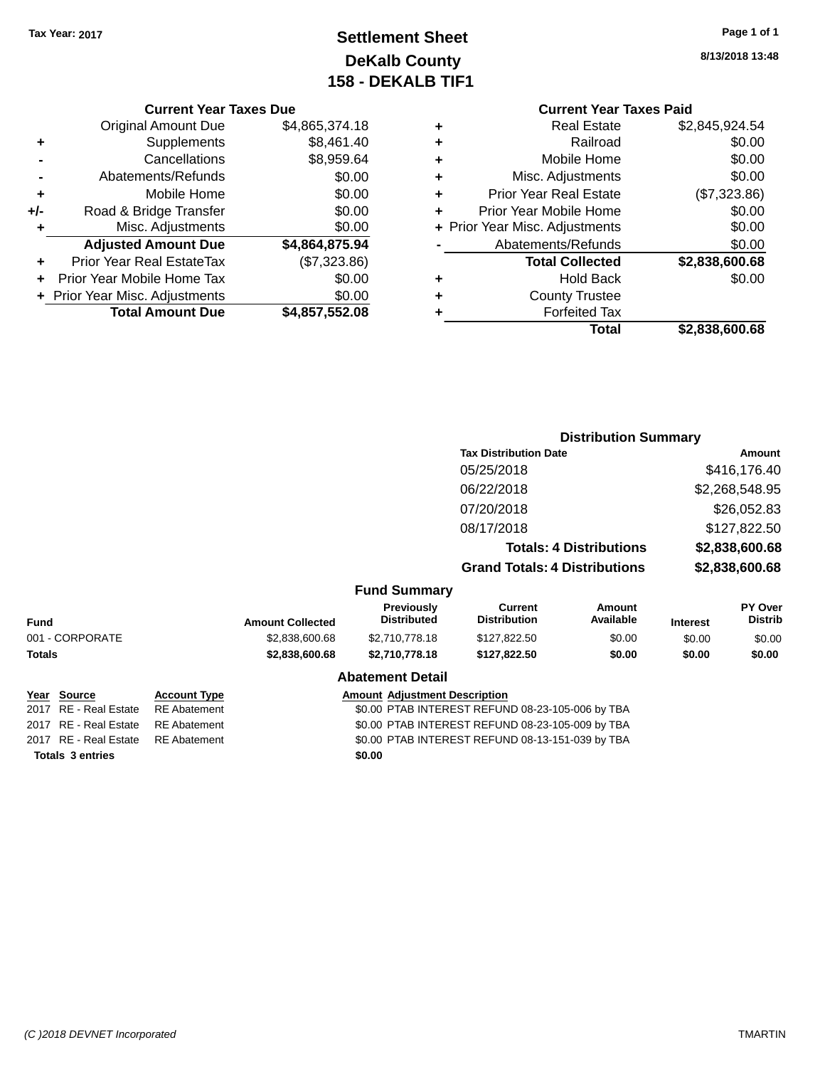# **Settlement Sheet Tax Year: 2017 Page 1 of 1 DeKalb County 158 - DEKALB TIF1**

**8/13/2018 13:48**

### **Current Year Taxes Due**

|     | <b>Original Amount Due</b>     | \$4,865,374.18 |
|-----|--------------------------------|----------------|
| ٠   | Supplements                    | \$8,461.40     |
|     | Cancellations                  | \$8,959.64     |
|     | Abatements/Refunds             | \$0.00         |
| ٠   | Mobile Home                    | \$0.00         |
| +/- | Road & Bridge Transfer         | \$0.00         |
| ٠   | Misc. Adjustments              | \$0.00         |
|     | <b>Adjusted Amount Due</b>     | \$4,864,875.94 |
| ÷   | Prior Year Real EstateTax      | (\$7,323.86)   |
|     | Prior Year Mobile Home Tax     | \$0.00         |
|     | + Prior Year Misc. Adjustments | \$0.00         |
|     | <b>Total Amount Due</b>        | \$4,857,552.08 |

### **Current Year Taxes Paid +** Real Estate \$2,845,924.54 **+** Railroad \$0.00 **+** Mobile Home \$0.00 **+** Misc. Adjustments \$0.00 **+** Prior Year Real Estate (\$7,323.86) **+** Prior Year Mobile Home \$0.00<br> **+** Prior Year Misc. Adjustments \$0.00 **+ Prior Year Misc. Adjustments -** Abatements/Refunds \$0.00 **+** Hold Back \$0.00

|   | <b>Total Collected</b> | \$2,838,600.68 |
|---|------------------------|----------------|
| ٠ | Hold Back              | \$0.00         |
| ٠ | <b>County Trustee</b>  |                |
| ٠ | <b>Forfeited Tax</b>   |                |
|   | <b>Total</b>           | \$2,838,600.68 |

|                       |                                         | <b>Distribution Summary</b>          |                                |                 |                                  |
|-----------------------|-----------------------------------------|--------------------------------------|--------------------------------|-----------------|----------------------------------|
|                       |                                         | <b>Tax Distribution Date</b>         |                                |                 | Amount                           |
|                       |                                         | 05/25/2018                           |                                |                 | \$416,176.40                     |
|                       |                                         | 06/22/2018                           |                                |                 | \$2,268,548.95                   |
|                       |                                         | 07/20/2018                           |                                |                 | \$26,052.83                      |
|                       |                                         | 08/17/2018                           |                                |                 | \$127,822.50                     |
|                       |                                         |                                      | <b>Totals: 4 Distributions</b> |                 | \$2,838,600.68                   |
|                       |                                         | <b>Grand Totals: 4 Distributions</b> |                                |                 | \$2,838,600.68                   |
|                       | <b>Fund Summary</b>                     |                                      |                                |                 |                                  |
| <b>punt Collected</b> | <b>Previously</b><br><b>Distributed</b> | Current<br><b>Distribution</b>       | Amount<br>Available            | <b>Interest</b> | <b>PY Over</b><br><b>Distrib</b> |
|                       |                                         |                                      |                                |                 |                                  |

| <b>Fund</b>             |                     | <b>Amount Collected</b>                          | <b>Distributed</b>                   | <b>Distribution</b>                              | Available | <b>Interest</b> | <b>Distrib</b> |
|-------------------------|---------------------|--------------------------------------------------|--------------------------------------|--------------------------------------------------|-----------|-----------------|----------------|
| 001 - CORPORATE         |                     | \$2,838,600.68                                   | \$2,710,778.18                       | \$127,822.50                                     | \$0.00    | \$0.00          | \$0.00         |
| Totals                  |                     | \$2,838,600.68                                   | \$2,710,778.18                       | \$127.822.50                                     | \$0.00    | \$0.00          | \$0.00         |
|                         |                     |                                                  | <b>Abatement Detail</b>              |                                                  |           |                 |                |
| Year Source             | <b>Account Type</b> |                                                  | <b>Amount Adjustment Description</b> |                                                  |           |                 |                |
| 2017 RE - Real Estate   | <b>RE</b> Abatement |                                                  |                                      | \$0.00 PTAB INTEREST REFUND 08-23-105-006 by TBA |           |                 |                |
| 2017 RE - Real Estate   | <b>RE</b> Abatement |                                                  |                                      | \$0.00 PTAB INTEREST REFUND 08-23-105-009 by TBA |           |                 |                |
| 2017 RE - Real Estate   | <b>RE</b> Abatement | \$0.00 PTAB INTEREST REFUND 08-13-151-039 by TBA |                                      |                                                  |           |                 |                |
| <b>Totals 3 entries</b> |                     |                                                  | \$0.00                               |                                                  |           |                 |                |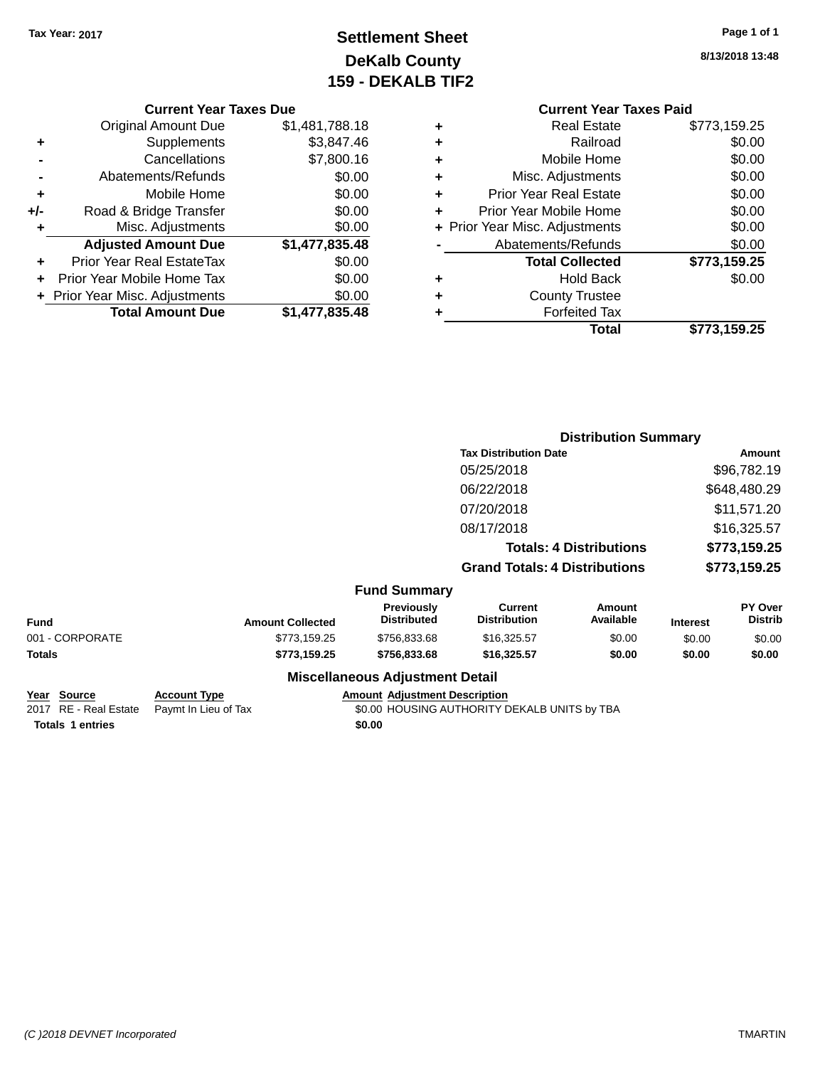# **Settlement Sheet Tax Year: 2017 Page 1 of 1 DeKalb County 159 - DEKALB TIF2**

**8/13/2018 13:48**

|   | <b>Current Year Taxes Paid</b> |              |  |  |  |  |
|---|--------------------------------|--------------|--|--|--|--|
| ٠ | <b>Real Estate</b>             | \$773,159.25 |  |  |  |  |
| ٠ | Railroad                       | \$0.00       |  |  |  |  |
| ٠ | Mobile Home                    | \$0.00       |  |  |  |  |
| ٠ | Misc. Adjustments              | \$0.00       |  |  |  |  |
| ٠ | <b>Prior Year Real Estate</b>  | \$0.00       |  |  |  |  |
| ٠ | Prior Year Mobile Home         | \$0.00       |  |  |  |  |
|   | + Prior Year Misc. Adjustments | \$0.00       |  |  |  |  |
|   | Abatements/Refunds             | \$0.00       |  |  |  |  |
|   | <b>Total Collected</b>         | \$773,159.25 |  |  |  |  |
| ٠ | <b>Hold Back</b>               | \$0.00       |  |  |  |  |
|   | <b>County Trustee</b>          |              |  |  |  |  |
| ٠ | <b>Forfeited Tax</b>           |              |  |  |  |  |
|   | Total                          | \$773.159.25 |  |  |  |  |
|   |                                |              |  |  |  |  |

|     | <b>Current Year Taxes Due</b>  |                |
|-----|--------------------------------|----------------|
|     | <b>Original Amount Due</b>     | \$1,481,788.18 |
|     |                                |                |
| ٠   | Supplements                    | \$3,847.46     |
|     | Cancellations                  | \$7,800.16     |
|     | Abatements/Refunds             | \$0.00         |
| ٠   | Mobile Home                    | \$0.00         |
| +/- | Road & Bridge Transfer         | \$0.00         |
| ٠   | Misc. Adjustments              | \$0.00         |
|     | <b>Adjusted Amount Due</b>     | \$1,477,835.48 |
|     | Prior Year Real EstateTax      | \$0.00         |
|     | Prior Year Mobile Home Tax     | \$0.00         |
|     | + Prior Year Misc. Adjustments | \$0.00         |
|     | <b>Total Amount Due</b>        | \$1,477,835.48 |

|                 |                         |                                         | <b>Distribution Summary</b>           |                                |                 |                           |
|-----------------|-------------------------|-----------------------------------------|---------------------------------------|--------------------------------|-----------------|---------------------------|
|                 |                         |                                         | <b>Tax Distribution Date</b>          |                                |                 | Amount                    |
|                 |                         |                                         | 05/25/2018                            |                                |                 | \$96,782.19               |
|                 |                         |                                         | 06/22/2018                            |                                |                 | \$648,480.29              |
|                 |                         |                                         | 07/20/2018                            |                                |                 | \$11,571.20               |
|                 |                         |                                         | 08/17/2018                            |                                |                 | \$16,325.57               |
|                 |                         |                                         |                                       | <b>Totals: 4 Distributions</b> |                 | \$773,159.25              |
|                 |                         |                                         | <b>Grand Totals: 4 Distributions</b>  |                                |                 | \$773,159.25              |
|                 |                         | <b>Fund Summary</b>                     |                                       |                                |                 |                           |
| <b>Fund</b>     | <b>Amount Collected</b> | <b>Previously</b><br><b>Distributed</b> | <b>Current</b><br><b>Distribution</b> | Amount<br>Available            | <b>Interest</b> | PY Over<br><b>Distrib</b> |
| 001 - CORPORATE | \$773,159.25            | \$756,833.68                            | \$16,325.57                           | \$0.00                         | \$0.00          | \$0.00                    |
| Totals          | \$773,159.25            | \$756,833.68                            | \$16,325.57                           | \$0.00                         | \$0.00          | \$0.00                    |
|                 |                         | <b>Miscellaneous Adjustment Detail</b>  |                                       |                                |                 |                           |

| Year Source             | <b>Account Type</b>                        | <b>Amount Adiustment Description</b>         |  |
|-------------------------|--------------------------------------------|----------------------------------------------|--|
|                         | 2017 RE - Real Estate Paymt In Lieu of Tax | \$0.00 HOUSING AUTHORITY DEKALB UNITS by TBA |  |
| <b>Totals 1 entries</b> |                                            | \$0.00                                       |  |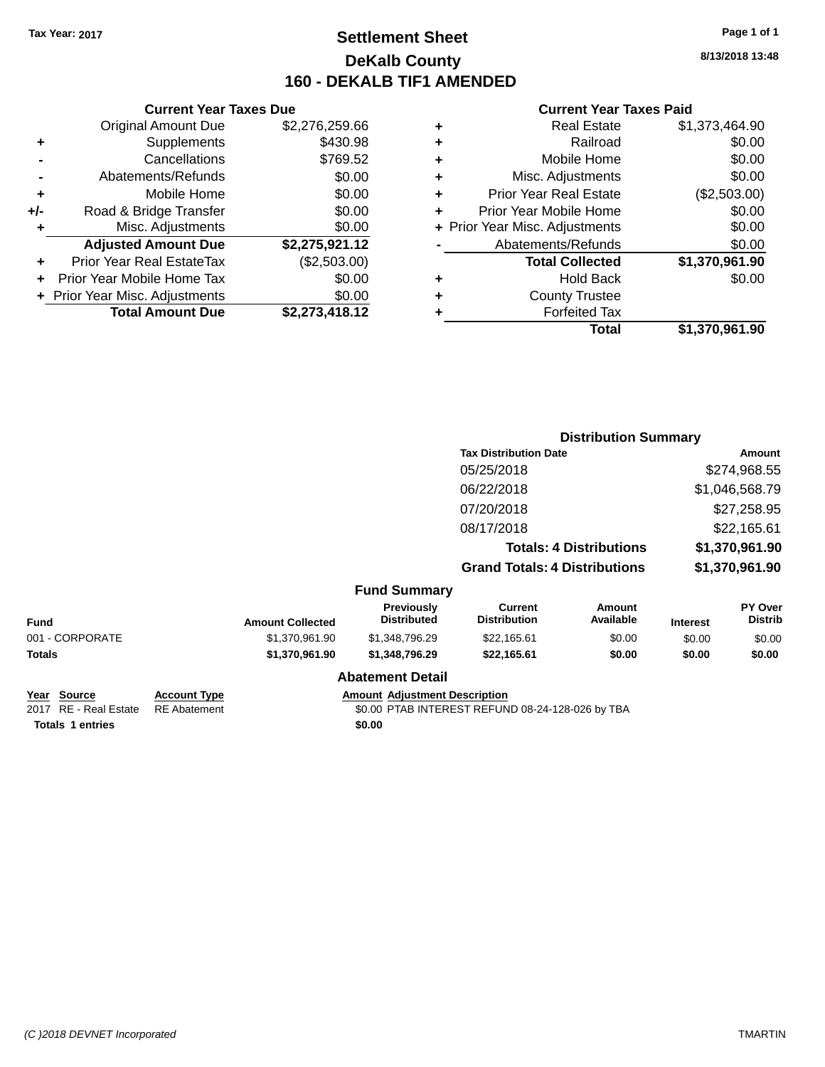# **Settlement Sheet Tax Year: 2017 Page 1 of 1 DeKalb County 160 - DEKALB TIF1 AMENDED**

**8/13/2018 13:48**

#### **Current Year Taxes Paid**

| <b>Real Estate</b>             | \$1,373,464.90 |
|--------------------------------|----------------|
| Railroad                       | \$0.00         |
| Mobile Home                    | \$0.00         |
| Misc. Adjustments              | \$0.00         |
| <b>Prior Year Real Estate</b>  | (\$2,503.00)   |
| Prior Year Mobile Home         | \$0.00         |
| + Prior Year Misc. Adjustments | \$0.00         |
| Abatements/Refunds             | \$0.00         |
| <b>Total Collected</b>         | \$1,370,961.90 |
| <b>Hold Back</b>               | \$0.00         |
| <b>County Trustee</b>          |                |
| <b>Forfeited Tax</b>           |                |
| Total                          | \$1,370,961.90 |
|                                |                |

|     | Mobile Home                      | \$0.00         |   | Prior Ye         |
|-----|----------------------------------|----------------|---|------------------|
| +/- | Road & Bridge Transfer           | \$0.00         |   | <b>Prior Yea</b> |
| ٠   | Misc. Adjustments                | \$0.00         |   | + Prior Year Mis |
|     | <b>Adjusted Amount Due</b>       | \$2,275,921.12 |   | Abate            |
|     | <b>Prior Year Real EstateTax</b> | (\$2,503.00)   |   |                  |
|     | Prior Year Mobile Home Tax       | \$0.00         | ٠ |                  |
|     | + Prior Year Misc. Adjustments   | \$0.00         | ٠ |                  |
|     | <b>Total Amount Due</b>          | \$2,273,418.12 |   |                  |
|     |                                  |                |   |                  |
|     |                                  |                |   |                  |
|     |                                  |                |   |                  |
|     |                                  |                |   |                  |
|     |                                  |                |   |                  |

**Current Year Taxes Due** Original Amount Due \$2,276,259.66

**+** Supplements \$430.98 **-** Cancellations \$769.52 **-** Abatements/Refunds \$0.00

|                       |                     |                         |                                      |                                       | <b>Distribution Summary</b>    |                 |                           |
|-----------------------|---------------------|-------------------------|--------------------------------------|---------------------------------------|--------------------------------|-----------------|---------------------------|
|                       |                     |                         |                                      | <b>Tax Distribution Date</b>          |                                |                 | Amount                    |
|                       |                     |                         |                                      | 05/25/2018                            |                                |                 | \$274,968.55              |
|                       |                     |                         |                                      | 06/22/2018                            |                                |                 | \$1,046,568.79            |
|                       |                     |                         |                                      | 07/20/2018                            |                                |                 | \$27,258.95               |
|                       |                     |                         |                                      | 08/17/2018                            |                                |                 | \$22,165.61               |
|                       |                     |                         |                                      |                                       | <b>Totals: 4 Distributions</b> |                 | \$1,370,961.90            |
|                       |                     |                         |                                      | <b>Grand Totals: 4 Distributions</b>  |                                |                 | \$1,370,961.90            |
|                       |                     |                         | <b>Fund Summary</b>                  |                                       |                                |                 |                           |
| <b>Fund</b>           |                     | <b>Amount Collected</b> | Previously<br><b>Distributed</b>     | <b>Current</b><br><b>Distribution</b> | Amount<br>Available            | <b>Interest</b> | PY Over<br><b>Distrib</b> |
| 001 - CORPORATE       |                     | \$1,370,961.90          | \$1,348,796.29                       | \$22,165.61                           | \$0.00                         | \$0.00          | \$0.00                    |
| <b>Totals</b>         |                     | \$1,370,961.90          | \$1,348,796.29                       | \$22,165.61                           | \$0.00                         | \$0.00          | \$0.00                    |
|                       |                     |                         | <b>Abatement Detail</b>              |                                       |                                |                 |                           |
| <b>Source</b><br>Year | <b>Account Type</b> |                         | <b>Amount Adjustment Description</b> |                                       |                                |                 |                           |

**Totals 1 entries** \$0.00

2017 RE - Real Estate RE Abatement \$0.00 PTAB INTEREST REFUND 08-24-128-026 by TBA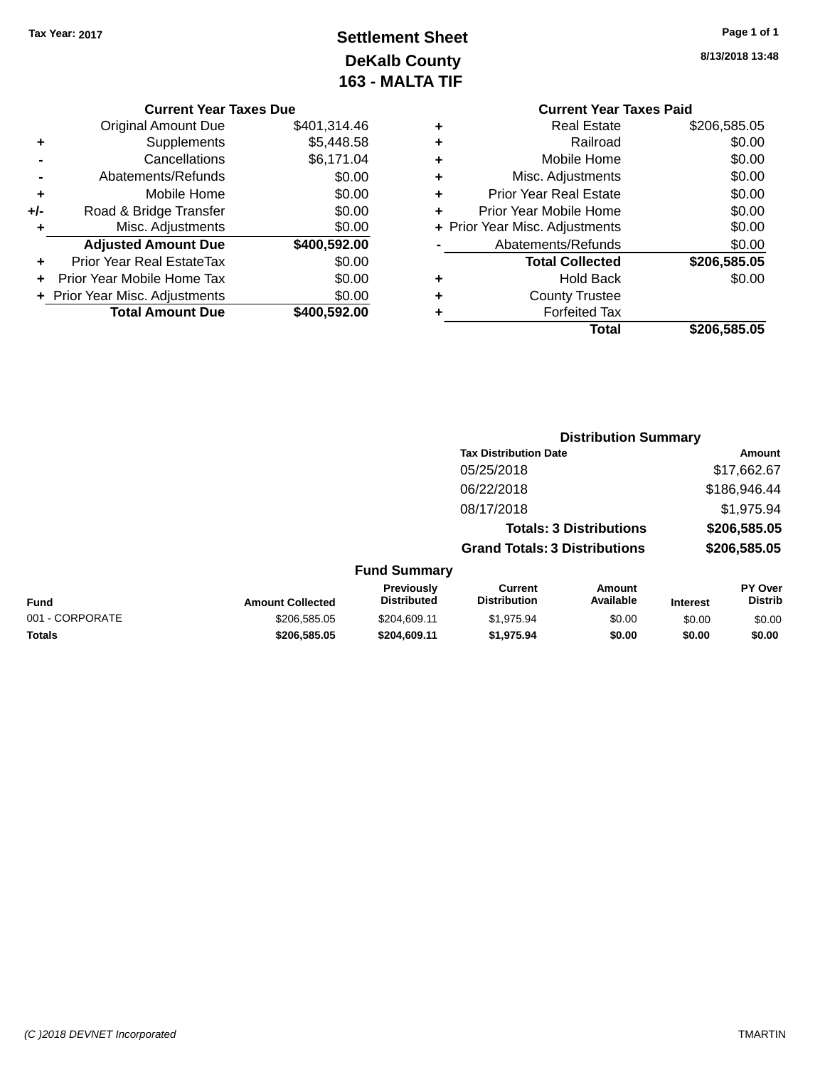# **Settlement Sheet Tax Year: 2017 Page 1 of 1 DeKalb County 163 - MALTA TIF**

**8/13/2018 13:48**

|      |   | <b>Current Year Taxes Paid</b> |              |
|------|---|--------------------------------|--------------|
| 4.46 | ٠ | <b>Real Estate</b>             | \$206,585.05 |
| 8.58 | ÷ | Railroad                       | \$0.00       |
| 1.04 | ٠ | Mobile Home                    | \$0.00       |
| 0.00 | ٠ | Misc. Adjustments              | \$0.00       |
| 0.00 | ٠ | <b>Prior Year Real Estate</b>  | \$0.00       |
| 0.00 | ÷ | Prior Year Mobile Home         | \$0.00       |
| 0.00 |   | + Prior Year Misc. Adjustments | \$0.00       |
| 2.00 |   | Abatements/Refunds             | \$0.00       |
| 0.00 |   | <b>Total Collected</b>         | \$206,585.05 |
| 0.00 | ٠ | <b>Hold Back</b>               | \$0.00       |
| 0.00 | ÷ | <b>County Trustee</b>          |              |
| 2.00 | ٠ | <b>Forfeited Tax</b>           |              |
|      |   | Total                          | \$206,585.05 |

**Distribution Summary**

|     | <b>Current Year Taxes Due</b>  |              |
|-----|--------------------------------|--------------|
|     | <b>Original Amount Due</b>     | \$401.314.46 |
| ٠   | Supplements                    | \$5,448.58   |
|     | Cancellations                  | \$6,171.04   |
|     | Abatements/Refunds             | \$0.00       |
| ٠   | Mobile Home                    | \$0.00       |
| +/- | Road & Bridge Transfer         | \$0.00       |
| ٠   | Misc. Adjustments              | \$0.00       |
|     | <b>Adjusted Amount Due</b>     | \$400,592.00 |
| ٠   | Prior Year Real EstateTax      | \$0.00       |
|     | Prior Year Mobile Home Tax     | \$0.00       |
|     | + Prior Year Misc. Adjustments | \$0.00       |
|     | <b>Total Amount Due</b>        | \$400,592.00 |
|     |                                |              |

|                 |                         |                                  | <b>Tax Distribution Date</b>                                                                                     | Amount<br>\$17,662.67<br>\$186,946.44<br>\$1,975.94<br>\$206,585.05<br>\$206,585.05 |                 |                           |
|-----------------|-------------------------|----------------------------------|------------------------------------------------------------------------------------------------------------------|-------------------------------------------------------------------------------------|-----------------|---------------------------|
|                 |                         |                                  | 05/25/2018<br>06/22/2018<br>08/17/2018<br><b>Totals: 3 Distributions</b><br><b>Grand Totals: 3 Distributions</b> |                                                                                     |                 |                           |
|                 |                         |                                  |                                                                                                                  |                                                                                     |                 |                           |
|                 |                         |                                  |                                                                                                                  |                                                                                     |                 |                           |
|                 |                         |                                  |                                                                                                                  |                                                                                     |                 |                           |
|                 |                         |                                  |                                                                                                                  |                                                                                     |                 |                           |
|                 |                         | <b>Fund Summary</b>              |                                                                                                                  |                                                                                     |                 |                           |
| <b>Fund</b>     | <b>Amount Collected</b> | Previously<br><b>Distributed</b> | <b>Current</b><br><b>Distribution</b>                                                                            | Amount<br>Available                                                                 | <b>Interest</b> | PY Over<br><b>Distrib</b> |
| 001 - CORPORATE | \$206,585.05            | \$204,609.11                     | \$1,975.94                                                                                                       | \$0.00                                                                              | \$0.00          | \$0.00                    |
| <b>Totals</b>   | \$206,585.05            | \$204.609.11                     | \$1,975.94                                                                                                       | \$0.00                                                                              | \$0.00          | \$0.00                    |

#### *(C )2018 DEVNET Incorporated* TMARTIN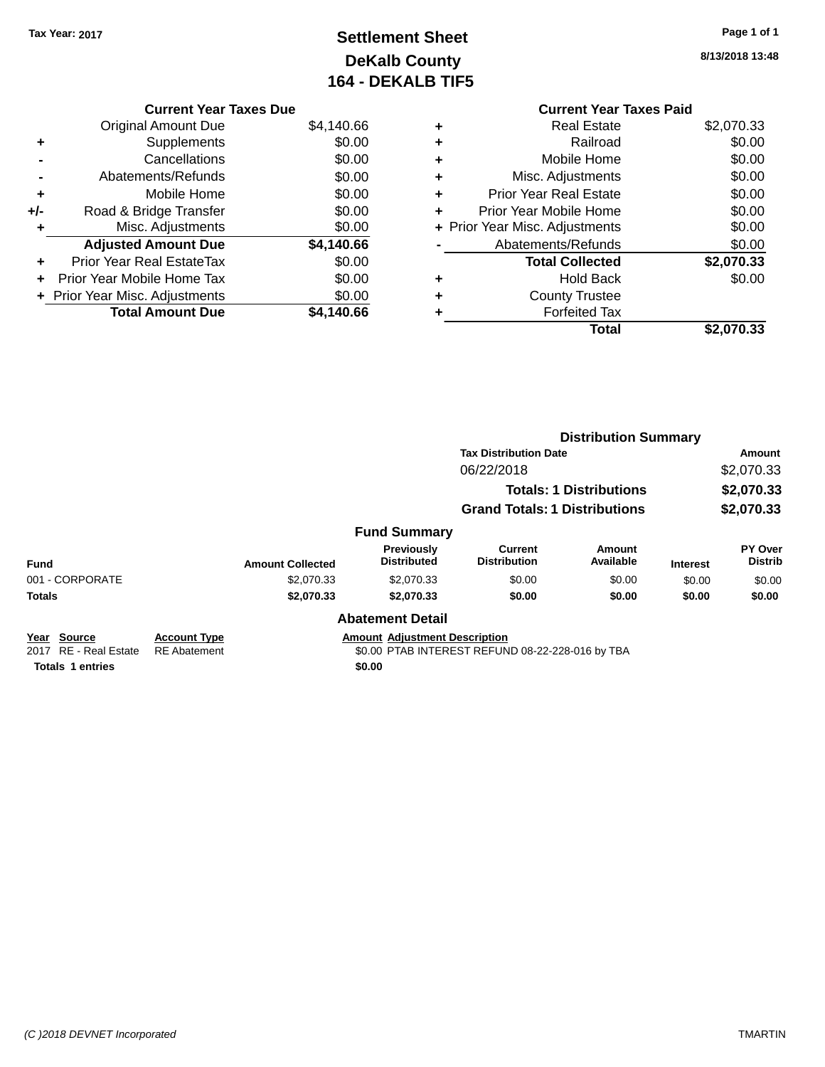## **Settlement Sheet Tax Year: 2017 Page 1 of 1 DeKalb County 164 - DEKALB TIF5**

**8/13/2018 13:48**

|   | <b>Current Year Taxes Paid</b> |            |
|---|--------------------------------|------------|
| ٠ | <b>Real Estate</b>             | \$2,070.33 |
|   | Railroad                       | \$0.00     |
|   | Mobile Home                    | \$0.00     |
|   | Misc. Adjustments              | \$0.00     |
| ÷ | <b>Prior Year Real Estate</b>  | \$0.00     |
| ٠ | Prior Year Mobile Home         | \$0.00     |
|   | Prior Year Misc. Adjustments   | \$0.00     |
|   | Abatements/Refunds             | \$0.00     |
|   | <b>Total Collected</b>         | \$2,070.33 |
|   | <b>Hold Back</b>               | \$0.00     |
|   | <b>County Trustee</b>          |            |
|   | <b>Forfeited Tax</b>           |            |
|   | Total                          | \$2,070.33 |

|     | <b>Current Year Taxes Due</b>  |            |
|-----|--------------------------------|------------|
|     | Original Amount Due            | \$4,140.66 |
| ٠   | Supplements                    | \$0.00     |
|     | Cancellations                  | \$0.00     |
|     | Abatements/Refunds             | \$0.00     |
| ٠   | Mobile Home                    | \$0.00     |
| +/- | Road & Bridge Transfer         | \$0.00     |
| ٠   | Misc. Adjustments              | \$0.00     |
|     | <b>Adjusted Amount Due</b>     | \$4,140.66 |
| ٠   | Prior Year Real EstateTax      | \$0.00     |
|     | Prior Year Mobile Home Tax     | \$0.00     |
|     | + Prior Year Misc. Adjustments | \$0.00     |
|     | <b>Total Amount Due</b>        | \$4,140.66 |

|                          |                     |                         |                                      | <b>Distribution Summary</b>                      |                                |                 |                                  |  |  |
|--------------------------|---------------------|-------------------------|--------------------------------------|--------------------------------------------------|--------------------------------|-----------------|----------------------------------|--|--|
|                          |                     |                         |                                      | <b>Tax Distribution Date</b>                     |                                |                 | <b>Amount</b>                    |  |  |
|                          |                     |                         |                                      | 06/22/2018                                       |                                |                 | \$2,070.33                       |  |  |
|                          |                     |                         |                                      |                                                  | <b>Totals: 1 Distributions</b> |                 | \$2,070.33                       |  |  |
|                          |                     |                         |                                      | <b>Grand Totals: 1 Distributions</b>             |                                | \$2,070.33      |                                  |  |  |
|                          |                     |                         | <b>Fund Summary</b>                  |                                                  |                                |                 |                                  |  |  |
| <b>Fund</b>              |                     | <b>Amount Collected</b> | Previously<br><b>Distributed</b>     | Current<br><b>Distribution</b>                   | Amount<br>Available            | <b>Interest</b> | <b>PY Over</b><br><b>Distrib</b> |  |  |
| 001 - CORPORATE          |                     | \$2,070.33              | \$2,070.33                           | \$0.00                                           | \$0.00                         | \$0.00          | \$0.00                           |  |  |
| <b>Totals</b>            |                     | \$2,070.33              | \$2,070.33                           | \$0.00                                           | \$0.00                         | \$0.00          | \$0.00                           |  |  |
|                          |                     |                         | <b>Abatement Detail</b>              |                                                  |                                |                 |                                  |  |  |
| Year Source              | <b>Account Type</b> |                         | <b>Amount Adjustment Description</b> |                                                  |                                |                 |                                  |  |  |
| RE - Real Estate<br>2017 | <b>RE</b> Abatement |                         |                                      | \$0.00 PTAB INTEREST REFUND 08-22-228-016 by TBA |                                |                 |                                  |  |  |
| <b>Totals 1 entries</b>  |                     |                         | \$0.00                               |                                                  |                                |                 |                                  |  |  |

*(C )2018 DEVNET Incorporated* TMARTIN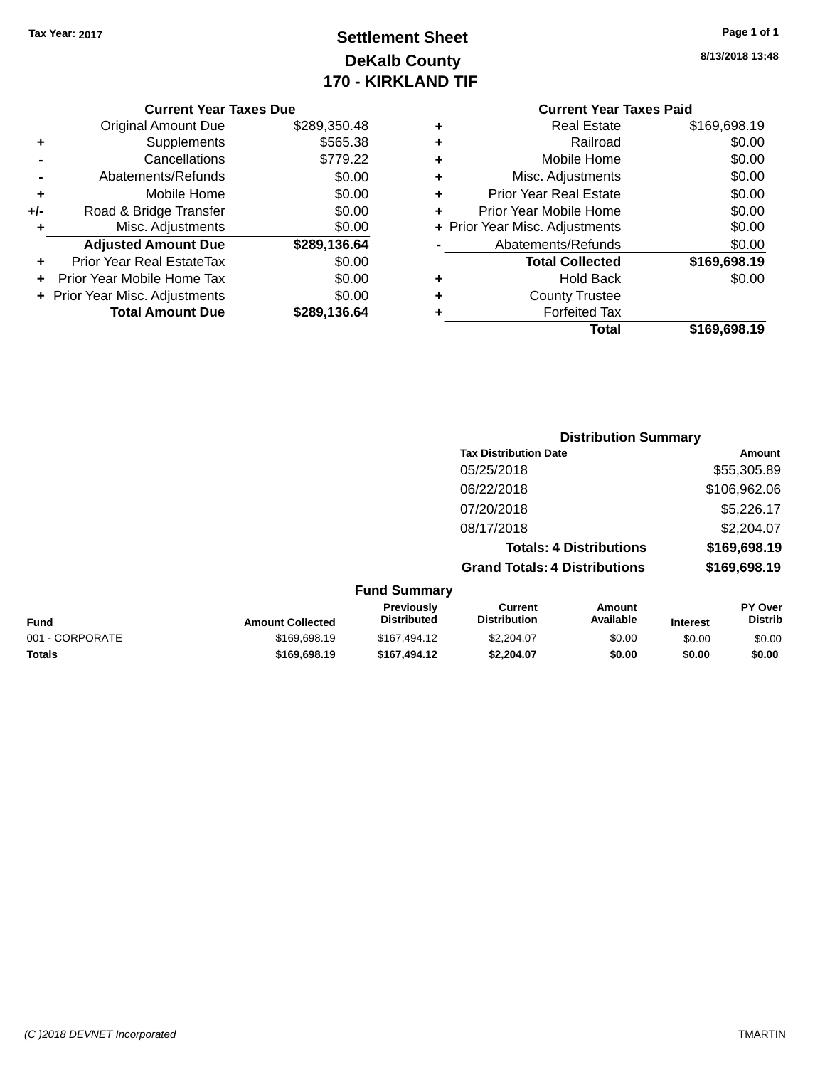## **Settlement Sheet Tax Year: 2017 Page 1 of 1 DeKalb County 170 - KIRKLAND TIF**

**8/13/2018 13:48**

| <b>Original Amount Due</b>       | \$289,350.48                   |
|----------------------------------|--------------------------------|
| Supplements                      | \$565.38                       |
| Cancellations                    | \$779.22                       |
| Abatements/Refunds               | \$0.00                         |
| Mobile Home                      | \$0.00                         |
| Road & Bridge Transfer           | \$0.00                         |
| Misc. Adjustments                | \$0.00                         |
| <b>Adjusted Amount Due</b>       | \$289,136.64                   |
| <b>Prior Year Real EstateTax</b> | \$0.00                         |
| Prior Year Mobile Home Tax       | \$0.00                         |
|                                  | \$0.00                         |
| <b>Total Amount Due</b>          | \$289,136.64                   |
|                                  | + Prior Year Misc. Adjustments |

| ٠ | <b>Real Estate</b>             | \$169,698.19 |
|---|--------------------------------|--------------|
| ٠ | Railroad                       | \$0.00       |
| ٠ | Mobile Home                    | \$0.00       |
| ٠ | Misc. Adjustments              | \$0.00       |
| ٠ | <b>Prior Year Real Estate</b>  | \$0.00       |
| ٠ | Prior Year Mobile Home         | \$0.00       |
|   | + Prior Year Misc. Adjustments | \$0.00       |
|   | Abatements/Refunds             | \$0.00       |
|   | <b>Total Collected</b>         | \$169,698.19 |
| ٠ | <b>Hold Back</b>               | \$0.00       |
| ٠ | <b>County Trustee</b>          |              |
| ٠ | <b>Forfeited Tax</b>           |              |
|   | Total                          | \$169,698.19 |
|   |                                |              |

|                     | <b>Distribution Summary</b>          |              |
|---------------------|--------------------------------------|--------------|
|                     | <b>Tax Distribution Date</b>         | Amount       |
|                     | 05/25/2018                           | \$55,305.89  |
|                     | 06/22/2018                           | \$106,962.06 |
|                     | 07/20/2018                           | \$5,226.17   |
|                     | 08/17/2018                           | \$2,204.07   |
|                     | <b>Totals: 4 Distributions</b>       | \$169,698.19 |
|                     | <b>Grand Totals: 4 Distributions</b> | \$169,698.19 |
| <b>Fund Summary</b> |                                      |              |

| <b>Fund</b>     | <b>Amount Collected</b> | <b>Previously</b><br><b>Distributed</b> | Current<br><b>Distribution</b> | Amount<br>Available | <b>Interest</b> | <b>PY Over</b><br>Distrib |
|-----------------|-------------------------|-----------------------------------------|--------------------------------|---------------------|-----------------|---------------------------|
| 001 - CORPORATE | \$169,698.19            | \$167,494.12                            | \$2,204.07                     | \$0.00              | \$0.00          | \$0.00                    |
| <b>Totals</b>   | \$169,698.19            | \$167.494.12                            | \$2.204.07                     | \$0.00              | \$0.00          | \$0.00                    |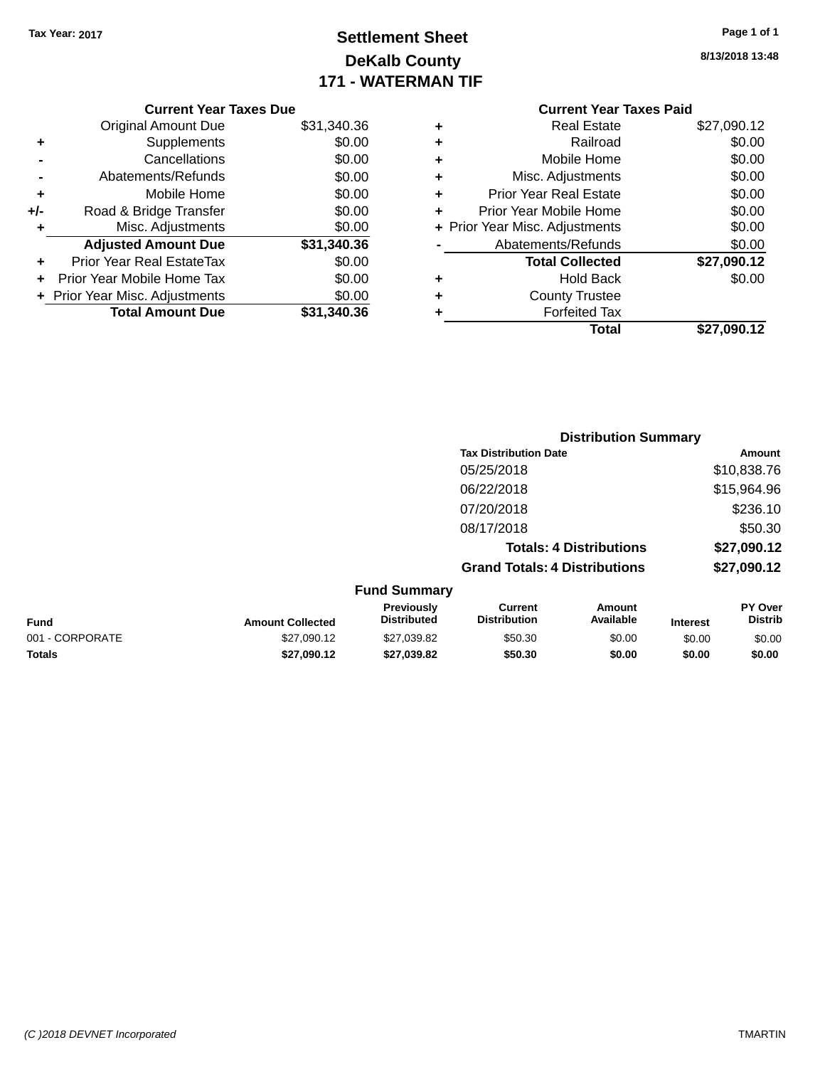## **Settlement Sheet Tax Year: 2017 Page 1 of 1 DeKalb County 171 - WATERMAN TIF**

| Page 1 of 1 |  |  |  |
|-------------|--|--|--|
|-------------|--|--|--|

**8/13/2018 13:48**

|  | <b>Current Year Taxes Due</b> |  |  |  |  |  |  |  |
|--|-------------------------------|--|--|--|--|--|--|--|
|  |                               |  |  |  |  |  |  |  |

|     | <b>Original Amount Due</b>     | \$31,340.36 |
|-----|--------------------------------|-------------|
| ٠   | Supplements                    | \$0.00      |
|     | Cancellations                  | \$0.00      |
|     | Abatements/Refunds             | \$0.00      |
| ٠   | Mobile Home                    | \$0.00      |
| +/- | Road & Bridge Transfer         | \$0.00      |
| ÷   | Misc. Adjustments              | \$0.00      |
|     | <b>Adjusted Amount Due</b>     | \$31,340.36 |
| ÷   | Prior Year Real EstateTax      | \$0.00      |
| ÷   | Prior Year Mobile Home Tax     | \$0.00      |
|     | + Prior Year Misc. Adjustments | \$0.00      |
|     | <b>Total Amount Due</b>        | \$31,340.36 |

### **Current Year Taxes Paid +** Real Estate \$27,090.12 **+** Railroad \$0.00 **+** Mobile Home \$0.00 **+** Misc. Adjustments \$0.00 **+** Prior Year Real Estate \$0.00 **+** Prior Year Mobile Home \$0.00 **+ Prior Year Misc. Adjustments**  $$0.00$ **-** Abatements/Refunds \$0.00 **Total Collected \$27,090.12 +** Hold Back \$0.00 **+** County Trustee **+** Forfeited Tax **Total \$27,090.12**

|                 | <b>Distribution Summary</b> |                                  |                                       |                     |                 |                           |  |
|-----------------|-----------------------------|----------------------------------|---------------------------------------|---------------------|-----------------|---------------------------|--|
|                 |                             |                                  | <b>Tax Distribution Date</b>          |                     |                 | Amount                    |  |
|                 |                             |                                  | 05/25/2018                            |                     |                 | \$10,838.76               |  |
|                 |                             |                                  | 06/22/2018                            |                     |                 | \$15,964.96               |  |
|                 |                             |                                  | 07/20/2018                            |                     |                 | \$236.10                  |  |
|                 |                             |                                  | 08/17/2018                            |                     |                 | \$50.30                   |  |
|                 |                             |                                  | <b>Totals: 4 Distributions</b>        |                     | \$27,090.12     |                           |  |
|                 |                             |                                  | <b>Grand Totals: 4 Distributions</b>  |                     |                 | \$27,090.12               |  |
|                 |                             | <b>Fund Summary</b>              |                                       |                     |                 |                           |  |
| Fund            | <b>Amount Collected</b>     | Previously<br><b>Distributed</b> | <b>Current</b><br><b>Distribution</b> | Amount<br>Available | <b>Interest</b> | PY Over<br><b>Distrib</b> |  |
| 001 - CORPORATE | \$27,090.12                 | \$27,039.82                      | \$50.30                               | \$0.00              | \$0.00          | \$0.00                    |  |
| <b>Totals</b>   | \$27.090.12                 | \$27,039.82                      | \$50.30                               | \$0.00              | \$0.00          | \$0.00                    |  |
|                 |                             |                                  |                                       |                     |                 |                           |  |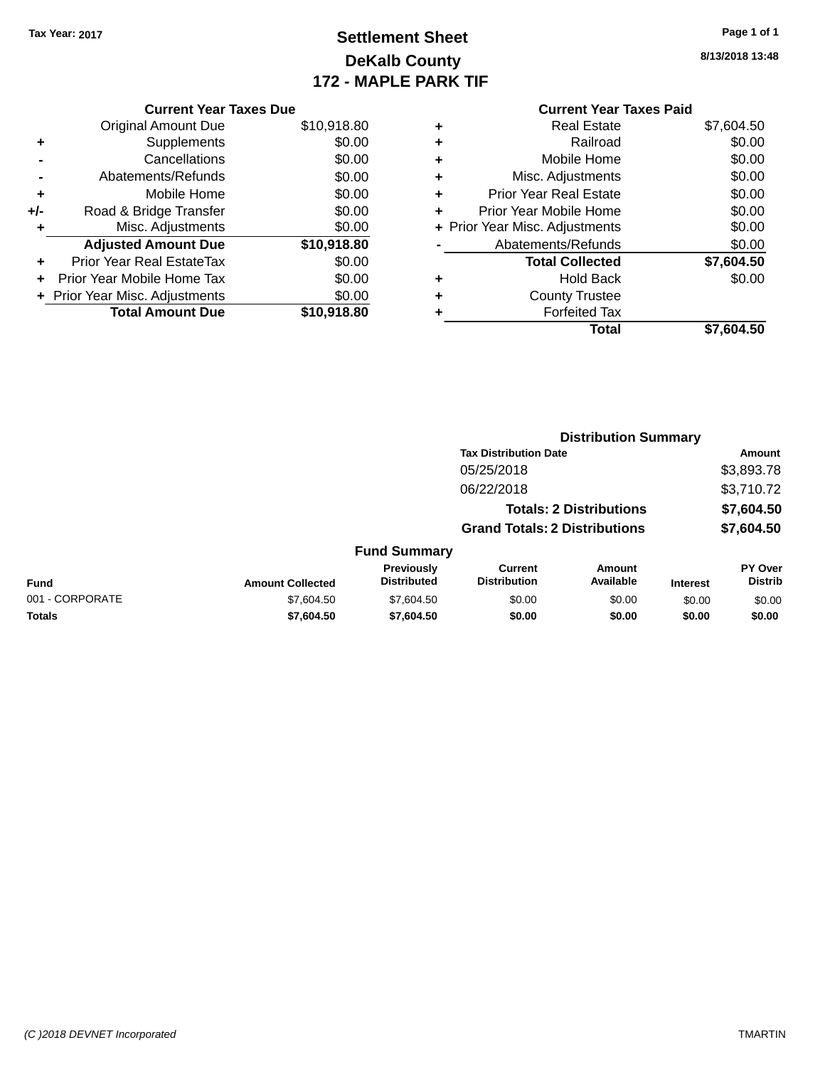## **Settlement Sheet Tax Year: 2017 Page 1 of 1 DeKalb County 172 - MAPLE PARK TIF**

**8/13/2018 13:48**

| <b>Current Year Taxes Paid</b> |                                |
|--------------------------------|--------------------------------|
| <b>Real Estate</b>             | \$7,604.50                     |
| Railroad                       | \$0.00                         |
| Mobile Home                    | \$0.00                         |
| Misc. Adjustments              | \$0.00                         |
| <b>Prior Year Real Estate</b>  | \$0.00                         |
| Prior Year Mobile Home         | \$0.00                         |
|                                | \$0.00                         |
| Abatements/Refunds             | \$0.00                         |
| <b>Total Collected</b>         | \$7,604.50                     |
| Hold Back                      | \$0.00                         |
| <b>County Trustee</b>          |                                |
| <b>Forfeited Tax</b>           |                                |
| Total                          | \$7.604.50                     |
|                                | + Prior Year Misc. Adjustments |

| <b>Current Year Taxes Due</b>  |             |
|--------------------------------|-------------|
| <b>Original Amount Due</b>     | \$10,918.80 |
| Supplements                    | \$0.00      |
| Cancellations                  | \$0.00      |
| Abatements/Refunds             | \$0.00      |
| Mobile Home                    | \$0.00      |
| Road & Bridge Transfer         | \$0.00      |
| Misc. Adjustments              | \$0.00      |
| <b>Adjusted Amount Due</b>     | \$10,918.80 |
| Prior Year Real EstateTax      | \$0.00      |
| Prior Year Mobile Home Tax     | \$0.00      |
| + Prior Year Misc. Adjustments | \$0.00      |
| <b>Total Amount Due</b>        | \$10,918,80 |
|                                |             |

|                 |                         |                                         | <b>Distribution Summary</b>           |                                |                 |                           |
|-----------------|-------------------------|-----------------------------------------|---------------------------------------|--------------------------------|-----------------|---------------------------|
|                 |                         |                                         | <b>Tax Distribution Date</b>          |                                |                 | Amount                    |
|                 |                         |                                         | 05/25/2018                            |                                |                 | \$3,893.78                |
|                 |                         |                                         | 06/22/2018                            |                                |                 | \$3,710.72                |
|                 |                         |                                         |                                       | <b>Totals: 2 Distributions</b> |                 | \$7,604.50                |
|                 |                         |                                         | <b>Grand Totals: 2 Distributions</b>  |                                |                 | \$7,604.50                |
|                 |                         | <b>Fund Summary</b>                     |                                       |                                |                 |                           |
| <b>Fund</b>     | <b>Amount Collected</b> | <b>Previously</b><br><b>Distributed</b> | <b>Current</b><br><b>Distribution</b> | Amount<br>Available            | <b>Interest</b> | PY Over<br><b>Distrib</b> |
| 001 - CORPORATE | \$7,604.50              | \$7,604.50                              | \$0.00                                | \$0.00                         | \$0.00          | \$0.00                    |
| <b>Totals</b>   | \$7,604.50              | \$7,604.50                              | \$0.00                                | \$0.00                         | \$0.00          | \$0.00                    |
|                 |                         |                                         |                                       |                                |                 |                           |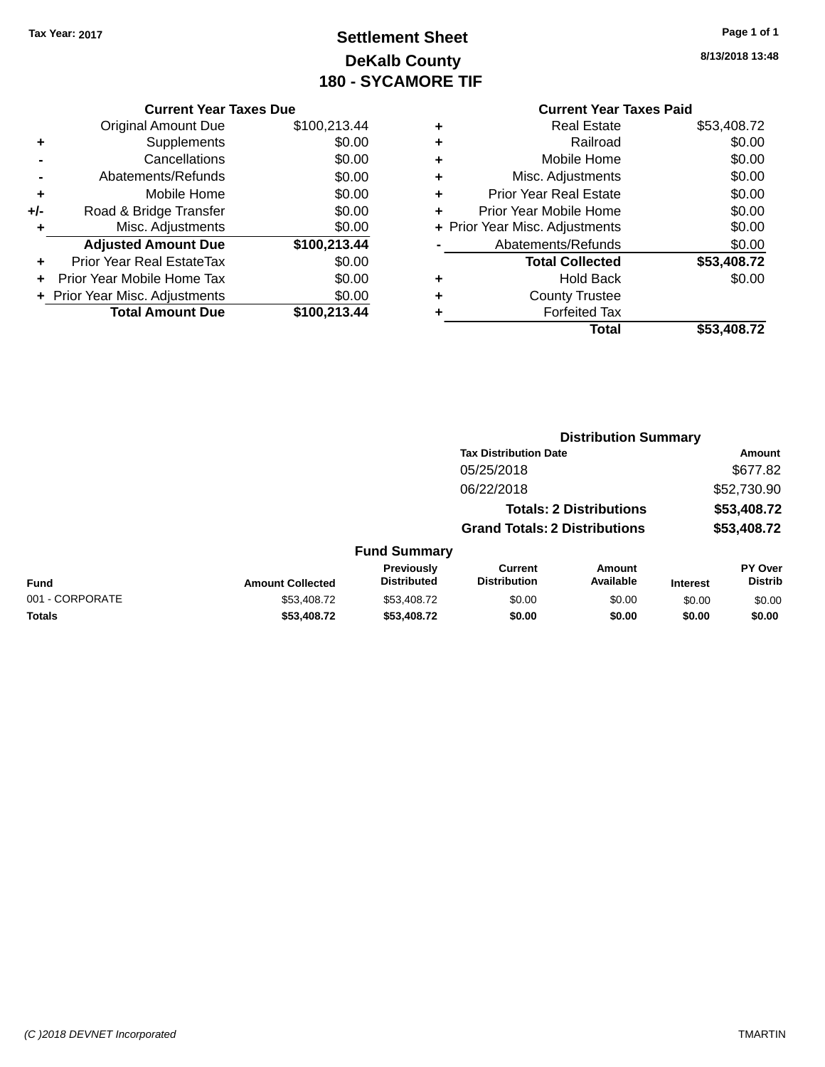## **Settlement Sheet Tax Year: 2017 Page 1 of 1 DeKalb County 180 - SYCAMORE TIF**

**8/13/2018 13:48**

|     | <b>Current Year Taxes Due</b>  |              |
|-----|--------------------------------|--------------|
|     | Original Amount Due            | \$100,213.44 |
| ٠   | Supplements                    | \$0.00       |
|     | Cancellations                  | \$0.00       |
|     | Abatements/Refunds             | \$0.00       |
| ٠   | Mobile Home                    | \$0.00       |
| +/- | Road & Bridge Transfer         | \$0.00       |
| ٠   | Misc. Adjustments              | \$0.00       |
|     | <b>Adjusted Amount Due</b>     | \$100,213.44 |
| ٠   | Prior Year Real EstateTax      | \$0.00       |
|     | Prior Year Mobile Home Tax     | \$0.00       |
|     | + Prior Year Misc. Adjustments | \$0.00       |
|     | <b>Total Amount Due</b>        | \$100,213.44 |
|     |                                |              |

|   | <b>Real Estate</b>             | \$53,408.72 |
|---|--------------------------------|-------------|
| ٠ | Railroad                       | \$0.00      |
| ٠ | Mobile Home                    | \$0.00      |
| ٠ | Misc. Adjustments              | \$0.00      |
| ٠ | <b>Prior Year Real Estate</b>  | \$0.00      |
| ٠ | Prior Year Mobile Home         | \$0.00      |
|   | + Prior Year Misc. Adjustments | \$0.00      |
|   | Abatements/Refunds             | \$0.00      |
|   | <b>Total Collected</b>         | \$53,408.72 |
| ٠ | Hold Back                      | \$0.00      |
| ٠ | <b>County Trustee</b>          |             |
|   | <b>Forfeited Tax</b>           |             |
|   | Total                          | \$53,408.72 |
|   |                                |             |

|                 |                         |                                         | <b>Distribution Summary</b>           |                                |                 |                           |
|-----------------|-------------------------|-----------------------------------------|---------------------------------------|--------------------------------|-----------------|---------------------------|
|                 |                         |                                         | <b>Tax Distribution Date</b>          |                                |                 | Amount                    |
|                 |                         |                                         | 05/25/2018                            |                                |                 | \$677.82                  |
|                 |                         |                                         | 06/22/2018                            |                                |                 | \$52,730.90               |
|                 |                         |                                         |                                       | <b>Totals: 2 Distributions</b> |                 | \$53,408.72               |
|                 |                         |                                         | <b>Grand Totals: 2 Distributions</b>  |                                |                 | \$53,408.72               |
|                 |                         | <b>Fund Summary</b>                     |                                       |                                |                 |                           |
| Fund            | <b>Amount Collected</b> | <b>Previously</b><br><b>Distributed</b> | <b>Current</b><br><b>Distribution</b> | Amount<br>Available            | <b>Interest</b> | PY Over<br><b>Distrib</b> |
| 001 - CORPORATE | \$53,408.72             | \$53,408.72                             | \$0.00                                | \$0.00                         | \$0.00          | \$0.00                    |
| <b>Totals</b>   | \$53,408.72             | \$53,408.72                             | \$0.00                                | \$0.00                         | \$0.00          | \$0.00                    |
|                 |                         |                                         |                                       |                                |                 |                           |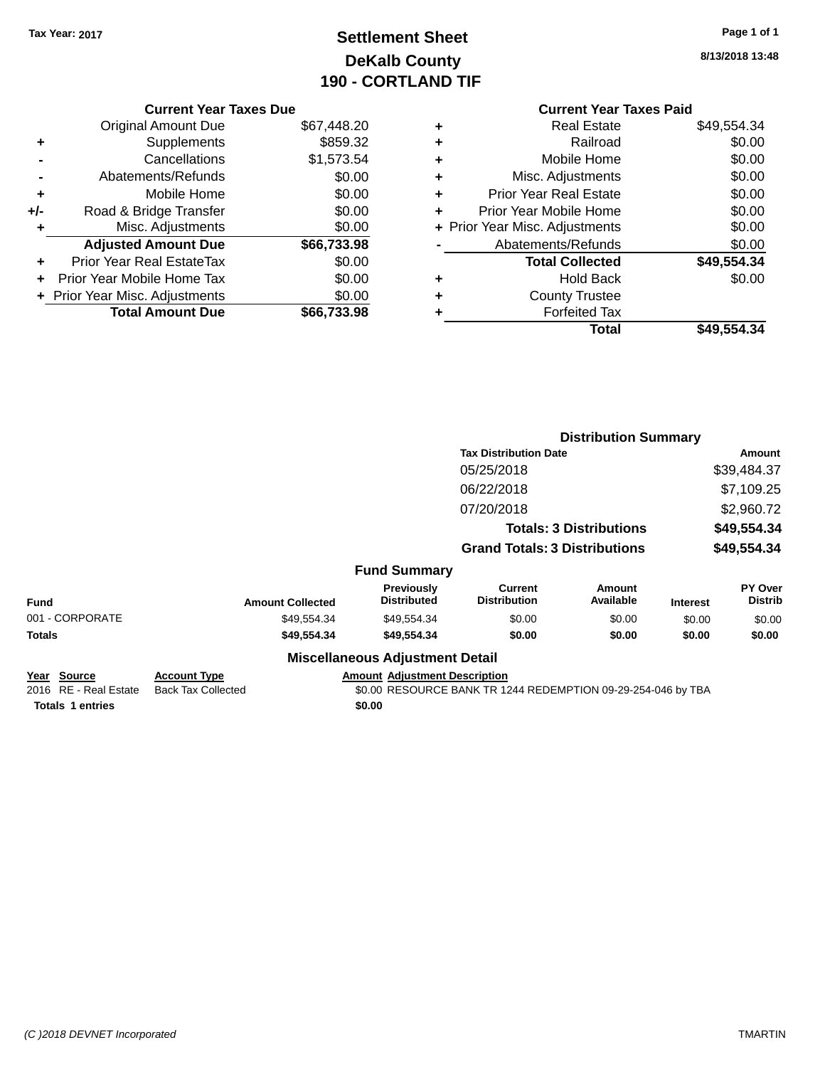## **Settlement Sheet Tax Year: 2017 Page 1 of 1 DeKalb County 190 - CORTLAND TIF**

**8/13/2018 13:48**

|       | <b>Current Year Taxes Due</b>  |             |
|-------|--------------------------------|-------------|
|       | <b>Original Amount Due</b>     | \$67,448.20 |
| ٠     | Supplements                    | \$859.32    |
|       | Cancellations                  | \$1,573.54  |
|       | Abatements/Refunds             | \$0.00      |
| ٠     | Mobile Home                    | \$0.00      |
| $+/-$ | Road & Bridge Transfer         | \$0.00      |
| ٠     | Misc. Adjustments              | \$0.00      |
|       | <b>Adjusted Amount Due</b>     | \$66,733.98 |
| ٠     | Prior Year Real EstateTax      | \$0.00      |
|       | Prior Year Mobile Home Tax     | \$0.00      |
|       | + Prior Year Misc. Adjustments | \$0.00      |
|       | <b>Total Amount Due</b>        | \$66.733.98 |
|       |                                |             |

### **Current Year Taxes Paid +** Real Estate \$49,554.34

|   | Total                          | \$49,554.34 |
|---|--------------------------------|-------------|
|   | <b>Forfeited Tax</b>           |             |
| ÷ | <b>County Trustee</b>          |             |
| ٠ | <b>Hold Back</b>               | \$0.00      |
|   | <b>Total Collected</b>         | \$49,554.34 |
|   | Abatements/Refunds             | \$0.00      |
|   | + Prior Year Misc. Adjustments | \$0.00      |
|   | Prior Year Mobile Home         | \$0.00      |
| ٠ | <b>Prior Year Real Estate</b>  | \$0.00      |
| ٠ | Misc. Adjustments              | \$0.00      |
| ÷ | Mobile Home                    | \$0.00      |
| ٠ | Railroad                       | \$0.00      |
|   |                                |             |

|                                      |                                                  |                                        |                                                              | <b>Distribution Summary</b>    |                 |                                  |
|--------------------------------------|--------------------------------------------------|----------------------------------------|--------------------------------------------------------------|--------------------------------|-----------------|----------------------------------|
|                                      |                                                  |                                        | <b>Tax Distribution Date</b>                                 |                                |                 | Amount                           |
|                                      |                                                  |                                        | 05/25/2018                                                   |                                |                 | \$39,484.37                      |
|                                      |                                                  |                                        | 06/22/2018                                                   |                                |                 | \$7,109.25                       |
|                                      |                                                  |                                        | 07/20/2018                                                   |                                |                 | \$2,960.72                       |
|                                      |                                                  |                                        |                                                              | <b>Totals: 3 Distributions</b> |                 | \$49,554.34                      |
|                                      |                                                  |                                        | <b>Grand Totals: 3 Distributions</b>                         |                                |                 | \$49,554.34                      |
|                                      |                                                  | <b>Fund Summary</b>                    |                                                              |                                |                 |                                  |
| Fund                                 | <b>Amount Collected</b>                          | Previously<br><b>Distributed</b>       | <b>Current</b><br><b>Distribution</b>                        | <b>Amount</b><br>Available     | <b>Interest</b> | <b>PY Over</b><br><b>Distrib</b> |
| 001 - CORPORATE                      | \$49,554.34                                      | \$49,554.34                            | \$0.00                                                       | \$0.00                         | \$0.00          | \$0.00                           |
| Totals                               | \$49,554.34                                      | \$49,554.34                            | \$0.00                                                       | \$0.00                         | \$0.00          | \$0.00                           |
|                                      |                                                  | <b>Miscellaneous Adjustment Detail</b> |                                                              |                                |                 |                                  |
| Year Source<br>2016 RE - Real Estate | <b>Account Type</b><br><b>Back Tax Collected</b> | <b>Amount Adjustment Description</b>   | \$0.00 RESOURCE BANK TR 1244 REDEMPTION 09-29-254-046 by TBA |                                |                 |                                  |
| <b>Totals 1 entries</b>              |                                                  | \$0.00                                 |                                                              |                                |                 |                                  |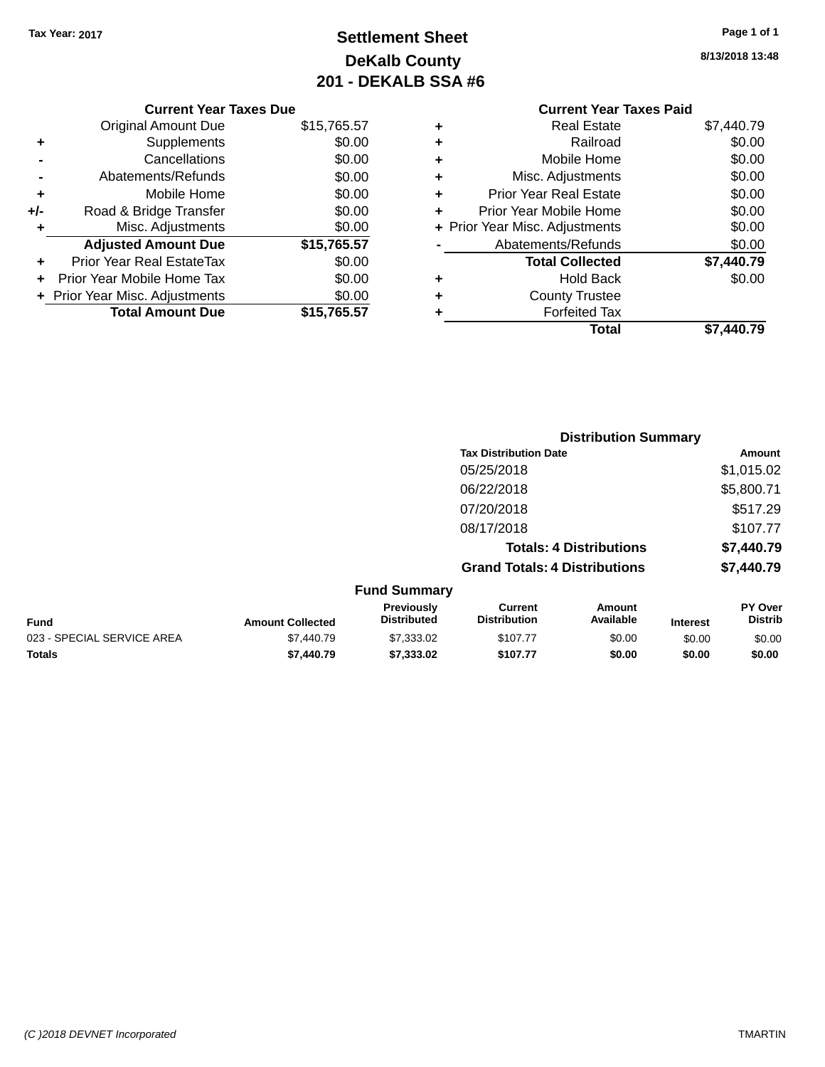## **Settlement Sheet Tax Year: 2017 Page 1 of 1 DeKalb County 201 - DEKALB SSA #6**

|       | <b>Current Year Taxes Due</b>  |             |
|-------|--------------------------------|-------------|
|       | <b>Original Amount Due</b>     | \$15,765.57 |
| ٠     | Supplements                    | \$0.00      |
|       | Cancellations                  | \$0.00      |
|       | Abatements/Refunds             | \$0.00      |
| ٠     | Mobile Home                    | \$0.00      |
| $+/-$ | Road & Bridge Transfer         | \$0.00      |
| ٠     | Misc. Adjustments              | \$0.00      |
|       | <b>Adjusted Amount Due</b>     | \$15,765.57 |
| ÷     | Prior Year Real EstateTax      | \$0.00      |
|       | Prior Year Mobile Home Tax     | \$0.00      |
|       | + Prior Year Misc. Adjustments | \$0.00      |
|       | <b>Total Amount Due</b>        | \$15,765.57 |

# **Current Year Taxes Paid +** Real Estate \$7,440.79

|   | <b>Forfeited Tax</b>                      |            |
|---|-------------------------------------------|------------|
| ٠ | <b>Hold Back</b><br><b>County Trustee</b> | \$0.00     |
|   | <b>Total Collected</b>                    | \$7,440.79 |
|   | Abatements/Refunds                        | \$0.00     |
|   | + Prior Year Misc. Adjustments            | \$0.00     |
|   | Prior Year Mobile Home                    | \$0.00     |
|   | <b>Prior Year Real Estate</b>             | \$0.00     |
|   | Misc. Adjustments                         | \$0.00     |
| ٠ | Mobile Home                               | \$0.00     |
|   | Railroad                                  | \$0.00     |

|                     | <b>Distribution Summary</b>          |            |
|---------------------|--------------------------------------|------------|
|                     | <b>Tax Distribution Date</b>         | Amount     |
|                     | 05/25/2018                           | \$1,015.02 |
|                     | 06/22/2018                           | \$5,800.71 |
|                     | 07/20/2018                           | \$517.29   |
|                     | 08/17/2018                           | \$107.77   |
|                     | <b>Totals: 4 Distributions</b>       | \$7,440.79 |
|                     | <b>Grand Totals: 4 Distributions</b> | \$7,440.79 |
| <b>Fund Summary</b> |                                      |            |

| ------------------         |                         |                                         |                                |                     |                 |                                  |
|----------------------------|-------------------------|-----------------------------------------|--------------------------------|---------------------|-----------------|----------------------------------|
| <b>Fund</b>                | <b>Amount Collected</b> | <b>Previously</b><br><b>Distributed</b> | Current<br><b>Distribution</b> | Amount<br>Available | <b>Interest</b> | <b>PY Over</b><br><b>Distrib</b> |
| 023 - SPECIAL SERVICE AREA | \$7,440.79              | \$7,333,02                              | \$107.77                       | \$0.00              | \$0.00          | \$0.00                           |
| <b>Totals</b>              | \$7,440.79              | \$7,333,02                              | \$107.77                       | \$0.00              | \$0.00          | \$0.00                           |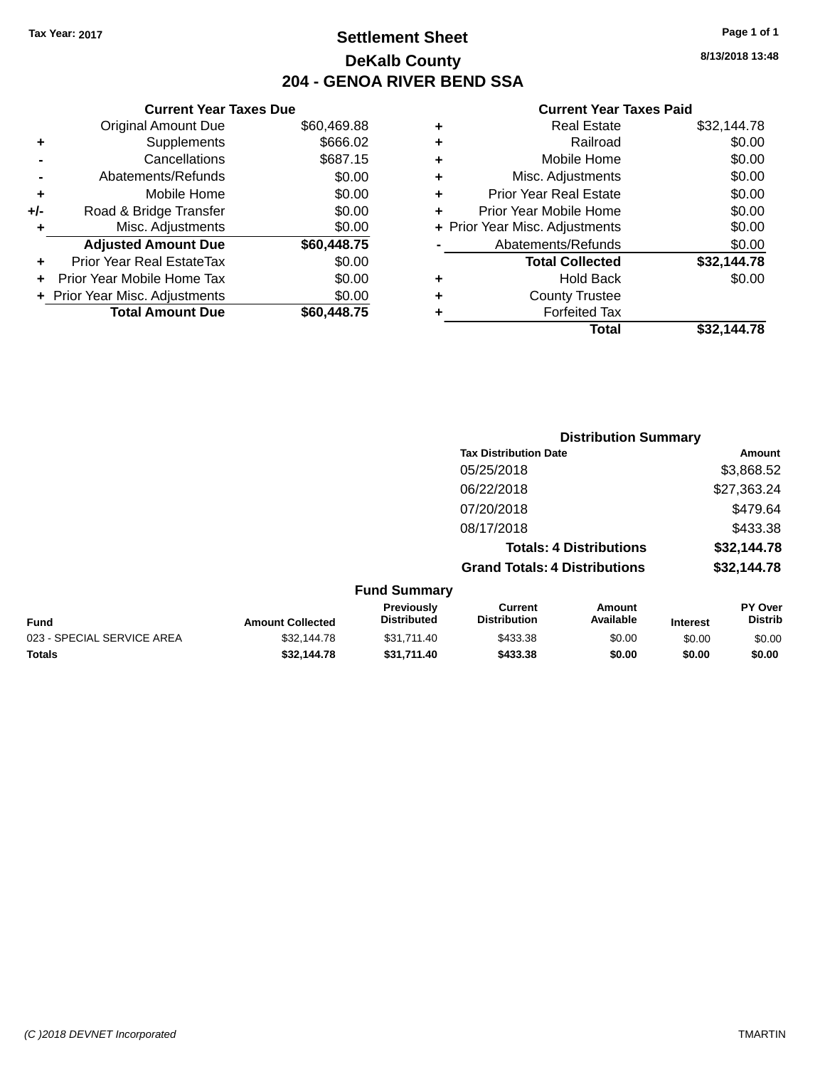### **Settlement Sheet Tax Year: 2017 Page 1 of 1 DeKalb County 204 - GENOA RIVER BEND SSA**

**8/13/2018 13:48**

#### **Current Year Taxes Paid**

|     | <b>Current Year Taxes Due</b>  |             |  |  |  |
|-----|--------------------------------|-------------|--|--|--|
|     | <b>Original Amount Due</b>     | \$60,469.88 |  |  |  |
| ٠   | \$666.02<br>Supplements        |             |  |  |  |
|     | Cancellations                  | \$687.15    |  |  |  |
|     | \$0.00<br>Abatements/Refunds   |             |  |  |  |
| ٠   | Mobile Home                    | \$0.00      |  |  |  |
| +/- | Road & Bridge Transfer         | \$0.00      |  |  |  |
| ٠   | Misc. Adjustments              | \$0.00      |  |  |  |
|     | <b>Adjusted Amount Due</b>     | \$60,448.75 |  |  |  |
| ٠   | Prior Year Real EstateTax      | \$0.00      |  |  |  |
| ٠   | Prior Year Mobile Home Tax     | \$0.00      |  |  |  |
|     | + Prior Year Misc. Adjustments | \$0.00      |  |  |  |
|     | <b>Total Amount Due</b>        | \$60,448.75 |  |  |  |
|     |                                |             |  |  |  |

|   | <b>Real Estate</b>             | \$32,144.78 |
|---|--------------------------------|-------------|
| ٠ | Railroad                       | \$0.00      |
| ٠ | Mobile Home                    | \$0.00      |
| ٠ | Misc. Adjustments              | \$0.00      |
| ٠ | <b>Prior Year Real Estate</b>  | \$0.00      |
| ÷ | Prior Year Mobile Home         | \$0.00      |
|   | + Prior Year Misc. Adjustments | \$0.00      |
|   | Abatements/Refunds             | \$0.00      |
|   | <b>Total Collected</b>         | \$32,144.78 |
| ٠ | <b>Hold Back</b>               | \$0.00      |
| ٠ | <b>County Trustee</b>          |             |
| ٠ | <b>Forfeited Tax</b>           |             |
|   | Total                          | \$32,144.78 |
|   |                                |             |

|                            |                         |                                  | <b>Distribution Summary</b>           |                                |                 |                           |
|----------------------------|-------------------------|----------------------------------|---------------------------------------|--------------------------------|-----------------|---------------------------|
|                            |                         |                                  | <b>Tax Distribution Date</b>          |                                |                 | Amount                    |
|                            |                         |                                  | 05/25/2018                            |                                |                 | \$3,868.52                |
|                            |                         |                                  | 06/22/2018                            |                                |                 | \$27,363.24               |
|                            |                         |                                  | 07/20/2018                            |                                |                 | \$479.64                  |
|                            |                         |                                  | 08/17/2018                            |                                |                 | \$433.38                  |
|                            |                         |                                  |                                       | <b>Totals: 4 Distributions</b> |                 | \$32,144.78               |
|                            |                         |                                  | <b>Grand Totals: 4 Distributions</b>  |                                |                 | \$32,144.78               |
|                            |                         | <b>Fund Summary</b>              |                                       |                                |                 |                           |
| <b>Fund</b>                | <b>Amount Collected</b> | Previously<br><b>Distributed</b> | <b>Current</b><br><b>Distribution</b> | <b>Amount</b><br>Available     | <b>Interest</b> | PY Over<br><b>Distrib</b> |
| 023 - SPECIAL SERVICE AREA | \$32,144.78             | \$31,711.40                      | \$433.38                              | \$0.00                         | \$0.00          | \$0.00                    |

**Totals \$32,144.78 \$31,711.40 \$433.38 \$0.00 \$0.00 \$0.00**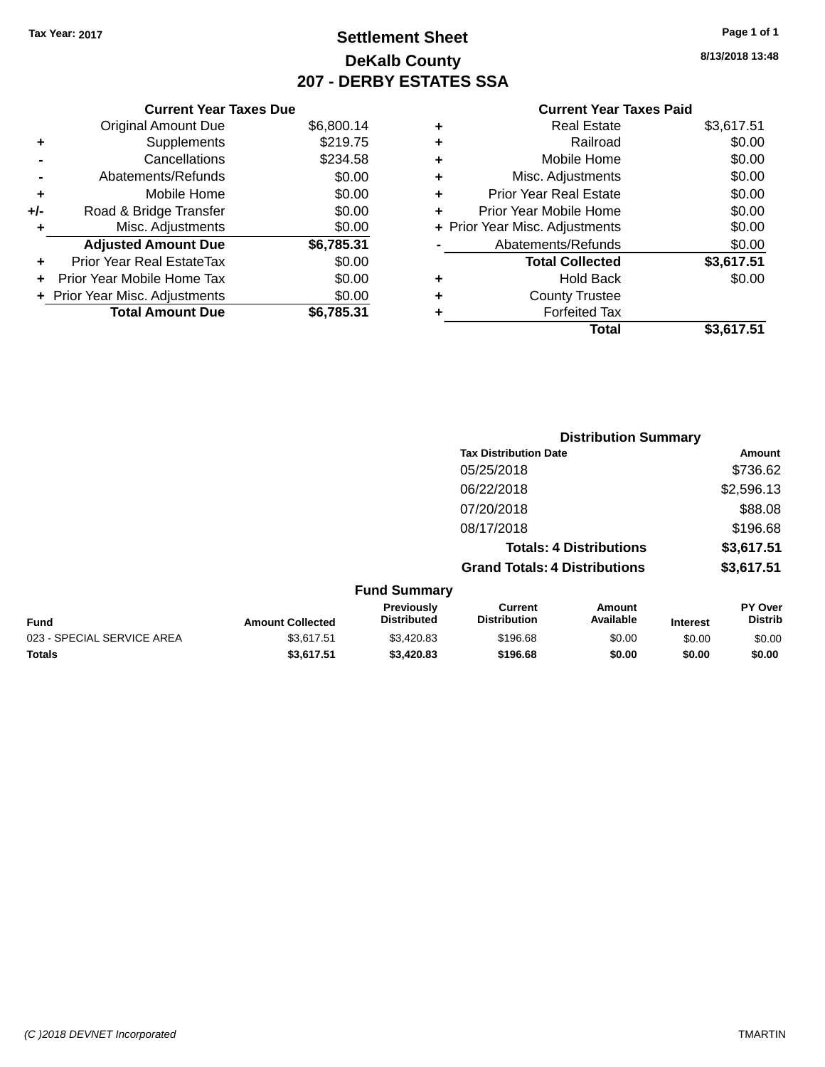## **Settlement Sheet Tax Year: 2017 Page 1 of 1 DeKalb County 207 - DERBY ESTATES SSA**

**8/13/2018 13:48**

| <b>Original Amount Due</b>     | \$6,800.14                    |  |  |  |
|--------------------------------|-------------------------------|--|--|--|
| \$219.75<br>Supplements<br>٠   |                               |  |  |  |
| Cancellations                  | \$234.58                      |  |  |  |
| \$0.00<br>Abatements/Refunds   |                               |  |  |  |
| Mobile Home                    | \$0.00                        |  |  |  |
| Road & Bridge Transfer         | \$0.00                        |  |  |  |
| Misc. Adjustments              | \$0.00                        |  |  |  |
| <b>Adjusted Amount Due</b>     | \$6,785.31                    |  |  |  |
| Prior Year Real EstateTax      | \$0.00                        |  |  |  |
| Prior Year Mobile Home Tax     | \$0.00                        |  |  |  |
| + Prior Year Misc. Adjustments | \$0.00                        |  |  |  |
| <b>Total Amount Due</b>        | \$6.785.31                    |  |  |  |
|                                | <b>Current Year Taxes Due</b> |  |  |  |

|   | <b>Real Estate</b>             | \$3,617.51 |
|---|--------------------------------|------------|
| ٠ | Railroad                       | \$0.00     |
| ٠ | Mobile Home                    | \$0.00     |
| ٠ | Misc. Adjustments              | \$0.00     |
| ٠ | <b>Prior Year Real Estate</b>  | \$0.00     |
| ÷ | Prior Year Mobile Home         | \$0.00     |
|   | + Prior Year Misc. Adjustments | \$0.00     |
|   | Abatements/Refunds             | \$0.00     |
|   | <b>Total Collected</b>         | \$3,617.51 |
| ٠ | Hold Back                      | \$0.00     |
| ٠ | <b>County Trustee</b>          |            |
| ٠ | <b>Forfeited Tax</b>           |            |
|   | Total                          | \$3,617.51 |
|   |                                |            |

|                            |                         |                                  | <b>Distribution Summary</b>          |                                |                 |                                  |
|----------------------------|-------------------------|----------------------------------|--------------------------------------|--------------------------------|-----------------|----------------------------------|
|                            |                         |                                  | <b>Tax Distribution Date</b>         |                                |                 | <b>Amount</b>                    |
|                            |                         |                                  | 05/25/2018                           |                                |                 | \$736.62                         |
|                            |                         |                                  | 06/22/2018                           |                                |                 | \$2,596.13                       |
|                            |                         |                                  | 07/20/2018                           |                                |                 | \$88.08                          |
|                            |                         |                                  | 08/17/2018                           |                                |                 | \$196.68                         |
|                            |                         |                                  |                                      | <b>Totals: 4 Distributions</b> |                 | \$3,617.51                       |
|                            |                         |                                  | <b>Grand Totals: 4 Distributions</b> |                                |                 | \$3,617.51                       |
|                            |                         | <b>Fund Summary</b>              |                                      |                                |                 |                                  |
| <b>Fund</b>                | <b>Amount Collected</b> | Previously<br><b>Distributed</b> | Current<br><b>Distribution</b>       | Amount<br>Available            | <b>Interest</b> | <b>PY Over</b><br><b>Distrib</b> |
| 023 - SPECIAL SERVICE AREA | \$3,617.51              | \$3,420.83                       | \$196.68                             | \$0.00                         | \$0.00          | \$0.00                           |
| <b>Totals</b>              | \$3,617.51              | \$3,420.83                       | \$196.68                             | \$0.00                         | \$0.00          | \$0.00                           |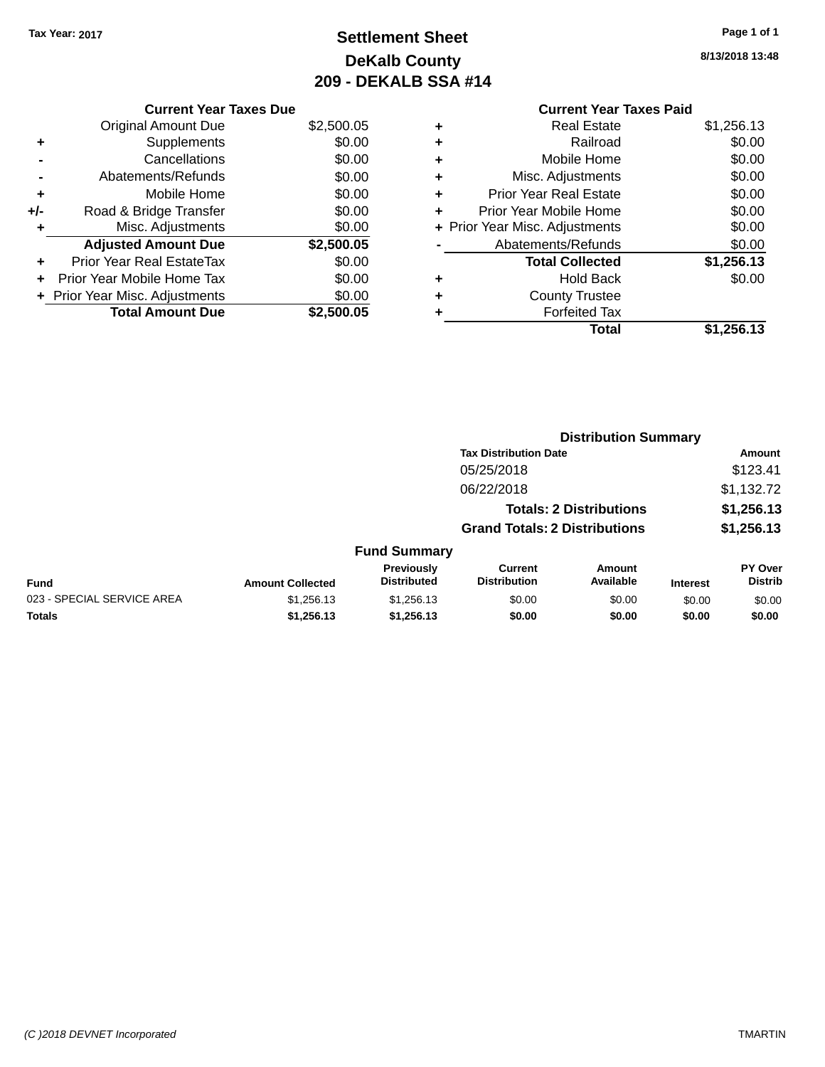## **Settlement Sheet Tax Year: 2017 Page 1 of 1 DeKalb County 209 - DEKALB SSA #14**

**8/13/2018 13:48**

|                | <b>Current Year Taxes Due</b> |            |
|----------------|-------------------------------|------------|
|                | Original Amount Due           | \$2,500.05 |
| ٠              | <b>Supplements</b>            | \$0.00     |
| $\blacksquare$ | Cancellations                 | \$0.00     |
|                | Ahatements/Refunds            | ደሰ ሰሰ      |

|                      | <b>Total Amount Due</b>        | \$2,500.05 |
|----------------------|--------------------------------|------------|
|                      | + Prior Year Misc. Adjustments | \$0.00     |
|                      | Prior Year Mobile Home Tax     | \$0.00     |
| ÷                    | Prior Year Real EstateTax      | \$0.00     |
|                      | <b>Adjusted Amount Due</b>     | \$2,500.05 |
| $\ddot{\phantom{1}}$ | Misc. Adjustments              | \$0.00     |
| +/-                  | Road & Bridge Transfer         | \$0.00     |
| ٠                    | Mobile Home                    | \$0.00     |
|                      | AVAIGHIGHIS/INGIUHUS           | vv.vv      |

# **Current Year Taxes Paid +** Real Estate \$1,256.13

|   | Railroad                       | \$0.00     |
|---|--------------------------------|------------|
|   | Mobile Home                    | \$0.00     |
| ٠ | Misc. Adjustments              | \$0.00     |
| ÷ | <b>Prior Year Real Estate</b>  | \$0.00     |
| ÷ | Prior Year Mobile Home         | \$0.00     |
|   | + Prior Year Misc. Adjustments | \$0.00     |
|   | Abatements/Refunds             | \$0.00     |
|   | <b>Total Collected</b>         | \$1,256.13 |
| ٠ | <b>Hold Back</b>               | \$0.00     |
|   | <b>County Trustee</b>          |            |
|   | <b>Forfeited Tax</b>           |            |
|   | Total                          | \$1,256.13 |
|   |                                |            |

|                            |                         |                                  |                                       | <b>Distribution Summary</b>    |                 |                                  |
|----------------------------|-------------------------|----------------------------------|---------------------------------------|--------------------------------|-----------------|----------------------------------|
|                            |                         |                                  | <b>Tax Distribution Date</b>          |                                |                 | Amount                           |
|                            |                         |                                  | 05/25/2018                            |                                |                 | \$123.41                         |
|                            |                         |                                  | 06/22/2018                            |                                |                 | \$1,132.72                       |
|                            |                         |                                  |                                       | <b>Totals: 2 Distributions</b> |                 | \$1,256.13                       |
|                            |                         |                                  | <b>Grand Totals: 2 Distributions</b>  |                                |                 | \$1,256.13                       |
|                            |                         | <b>Fund Summary</b>              |                                       |                                |                 |                                  |
| <b>Fund</b>                | <b>Amount Collected</b> | Previously<br><b>Distributed</b> | <b>Current</b><br><b>Distribution</b> | Amount<br>Available            | <b>Interest</b> | <b>PY Over</b><br><b>Distrib</b> |
| 023 - SPECIAL SERVICE AREA | \$1,256.13              | \$1,256.13                       | \$0.00                                | \$0.00                         | \$0.00          | \$0.00                           |
| <b>Totals</b>              | \$1,256.13              | \$1,256.13                       | \$0.00                                | \$0.00                         | \$0.00          | \$0.00                           |
|                            |                         |                                  |                                       |                                |                 |                                  |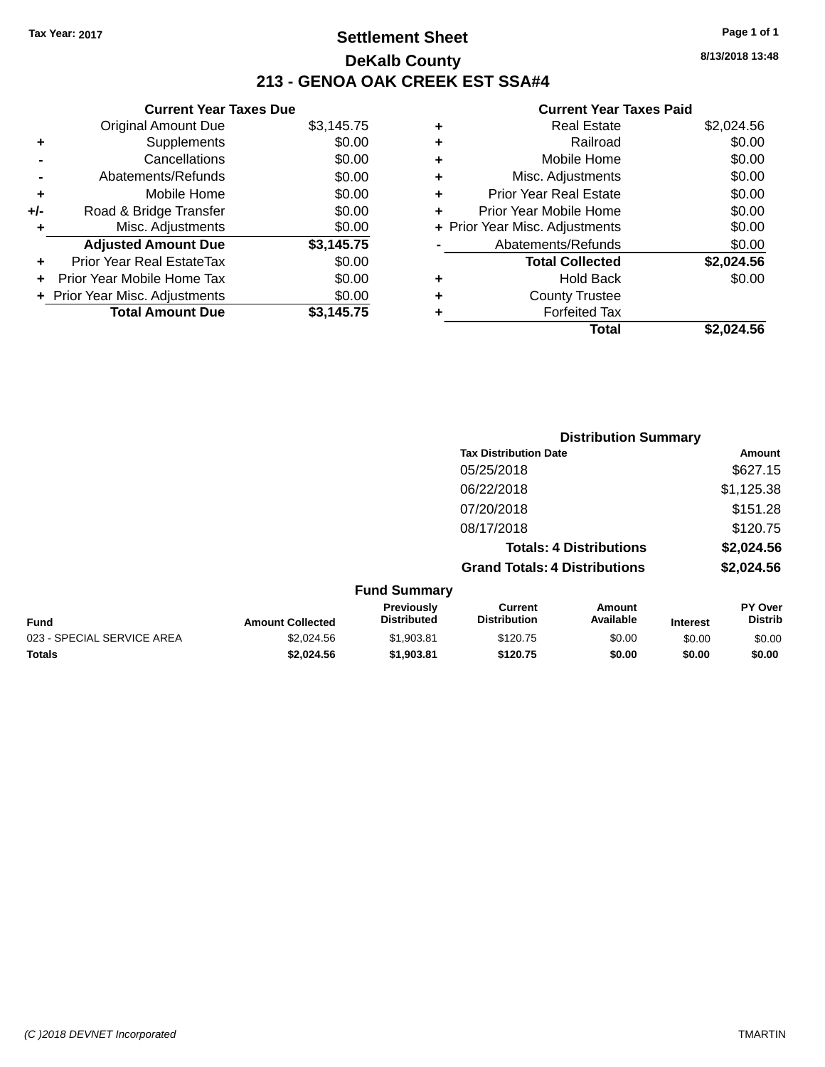### **Settlement Sheet Tax Year: 2017 Page 1 of 1 DeKalb County 213 - GENOA OAK CREEK EST SSA#4**

### **Current Year Taxes Due** Original Amount Due \$3,145.75 **+** Supplements \$0.00 **-** Cancellations \$0.00 **-** Abatements/Refunds \$0.00 **+** Mobile Home \$0.00 **+/-** Road & Bridge Transfer \$0.00 **+** Misc. Adjustments \$0.00 **Adjusted Amount Due \$3,145.75 +** Prior Year Real EstateTax \$0.00 **+** Prior Year Mobile Home Tax \$0.00 **+ Prior Year Misc. Adjustments**  $$0.00$ **Total Amount Due \$3,145.75**

| ٠ | <b>Real Estate</b>             | \$2,024.56 |
|---|--------------------------------|------------|
| ÷ | Railroad                       | \$0.00     |
| ٠ | Mobile Home                    | \$0.00     |
| ٠ | Misc. Adjustments              | \$0.00     |
| ٠ | <b>Prior Year Real Estate</b>  | \$0.00     |
| ٠ | Prior Year Mobile Home         | \$0.00     |
|   | + Prior Year Misc. Adjustments | \$0.00     |
|   | Abatements/Refunds             | \$0.00     |
|   | <b>Total Collected</b>         | \$2,024.56 |
| ٠ | Hold Back                      | \$0.00     |
| ٠ | <b>County Trustee</b>          |            |
| ٠ | <b>Forfeited Tax</b>           |            |
|   | Total                          | \$2.024.56 |
|   |                                |            |

|                            |                         |                                  | <b>Distribution Summary</b>           |                                |                 |                                  |
|----------------------------|-------------------------|----------------------------------|---------------------------------------|--------------------------------|-----------------|----------------------------------|
|                            |                         |                                  | <b>Tax Distribution Date</b>          |                                |                 | Amount                           |
|                            |                         |                                  | 05/25/2018                            |                                |                 | \$627.15                         |
|                            |                         |                                  | 06/22/2018                            |                                |                 | \$1,125.38                       |
|                            |                         |                                  | 07/20/2018                            |                                |                 | \$151.28                         |
|                            |                         |                                  | 08/17/2018                            |                                |                 | \$120.75                         |
|                            |                         |                                  |                                       | <b>Totals: 4 Distributions</b> |                 | \$2,024.56                       |
|                            |                         |                                  | <b>Grand Totals: 4 Distributions</b>  |                                |                 | \$2,024.56                       |
|                            |                         | <b>Fund Summary</b>              |                                       |                                |                 |                                  |
| <b>Fund</b>                | <b>Amount Collected</b> | Previously<br><b>Distributed</b> | <b>Current</b><br><b>Distribution</b> | Amount<br>Available            | <b>Interest</b> | <b>PY Over</b><br><b>Distrib</b> |
| 023 - SPECIAL SERVICE AREA | \$2,024.56              | \$1,903.81                       | \$120.75                              | \$0.00                         | \$0.00          | \$0.00                           |
| <b>Totals</b>              | \$2.024.56              | \$1,903.81                       | \$120.75                              | \$0.00                         | \$0.00          | \$0.00                           |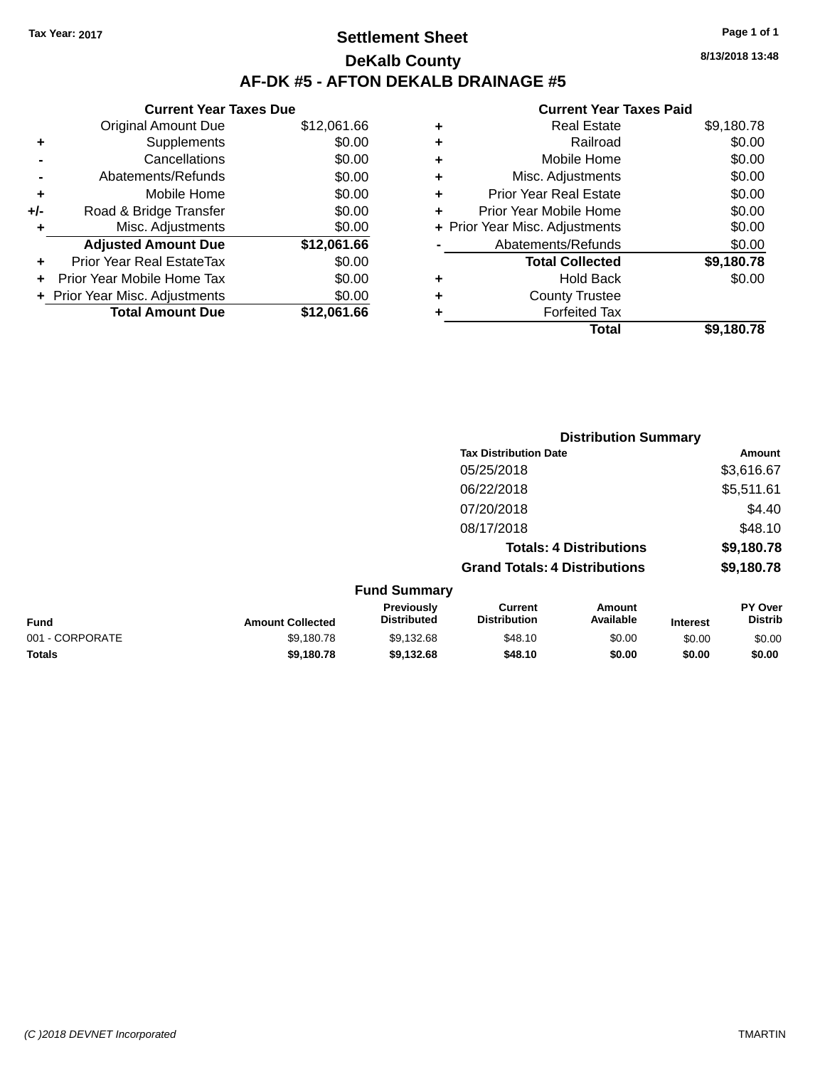### **Settlement Sheet Tax Year: 2017 Page 1 of 1 DeKalb County AF-DK #5 - AFTON DEKALB DRAINAGE #5**

|     | <b>Current Year Taxes Due</b>  |             |  |  |  |
|-----|--------------------------------|-------------|--|--|--|
|     | <b>Original Amount Due</b>     | \$12,061.66 |  |  |  |
| ٠   | Supplements                    | \$0.00      |  |  |  |
|     | Cancellations                  | \$0.00      |  |  |  |
|     | Abatements/Refunds             | \$0.00      |  |  |  |
| ٠   | Mobile Home                    | \$0.00      |  |  |  |
| +/- | Road & Bridge Transfer         | \$0.00      |  |  |  |
| ٠   | Misc. Adjustments              | \$0.00      |  |  |  |
|     | <b>Adjusted Amount Due</b>     | \$12,061.66 |  |  |  |
| ÷   | Prior Year Real EstateTax      | \$0.00      |  |  |  |
|     | Prior Year Mobile Home Tax     | \$0.00      |  |  |  |
|     | + Prior Year Misc. Adjustments | \$0.00      |  |  |  |
|     | <b>Total Amount Due</b>        | \$12,061.66 |  |  |  |

#### **Current Year Taxes Paid**

|   | <b>Real Estate</b>             | \$9,180.78 |
|---|--------------------------------|------------|
| ٠ | Railroad                       | \$0.00     |
| ٠ | Mobile Home                    | \$0.00     |
| ٠ | Misc. Adjustments              | \$0.00     |
| ٠ | <b>Prior Year Real Estate</b>  | \$0.00     |
| ٠ | Prior Year Mobile Home         | \$0.00     |
|   | + Prior Year Misc. Adjustments | \$0.00     |
|   | Abatements/Refunds             | \$0.00     |
|   | <b>Total Collected</b>         | \$9,180.78 |
| ٠ | <b>Hold Back</b>               | \$0.00     |
| ٠ | <b>County Trustee</b>          |            |
| ٠ | <b>Forfeited Tax</b>           |            |
|   | Total                          | \$9,180.78 |
|   |                                |            |

|                 |                         |                                  |                                       | <b>Distribution Summary</b>    |                 |                                  |  |  |
|-----------------|-------------------------|----------------------------------|---------------------------------------|--------------------------------|-----------------|----------------------------------|--|--|
|                 |                         |                                  | <b>Tax Distribution Date</b>          |                                |                 | <b>Amount</b>                    |  |  |
|                 |                         |                                  | 05/25/2018                            |                                |                 | \$3,616.67                       |  |  |
|                 |                         |                                  | 06/22/2018                            |                                |                 | \$5,511.61                       |  |  |
|                 |                         |                                  | 07/20/2018                            |                                |                 | \$4.40                           |  |  |
|                 |                         |                                  | 08/17/2018                            |                                |                 | \$48.10                          |  |  |
|                 |                         |                                  |                                       | <b>Totals: 4 Distributions</b> |                 | \$9,180.78                       |  |  |
|                 |                         |                                  | <b>Grand Totals: 4 Distributions</b>  |                                |                 | \$9,180.78                       |  |  |
|                 |                         | <b>Fund Summary</b>              |                                       |                                |                 |                                  |  |  |
| <b>Fund</b>     | <b>Amount Collected</b> | Previously<br><b>Distributed</b> | <b>Current</b><br><b>Distribution</b> | <b>Amount</b><br>Available     | <b>Interest</b> | <b>PY Over</b><br><b>Distrib</b> |  |  |
| 001 - CORPORATE | \$9,180.78              | \$9,132.68                       | \$48.10                               | \$0.00                         | \$0.00          | \$0.00                           |  |  |
|                 |                         |                                  |                                       |                                |                 |                                  |  |  |

**Totals \$9,180.78 \$9,132.68 \$48.10 \$0.00 \$0.00 \$0.00**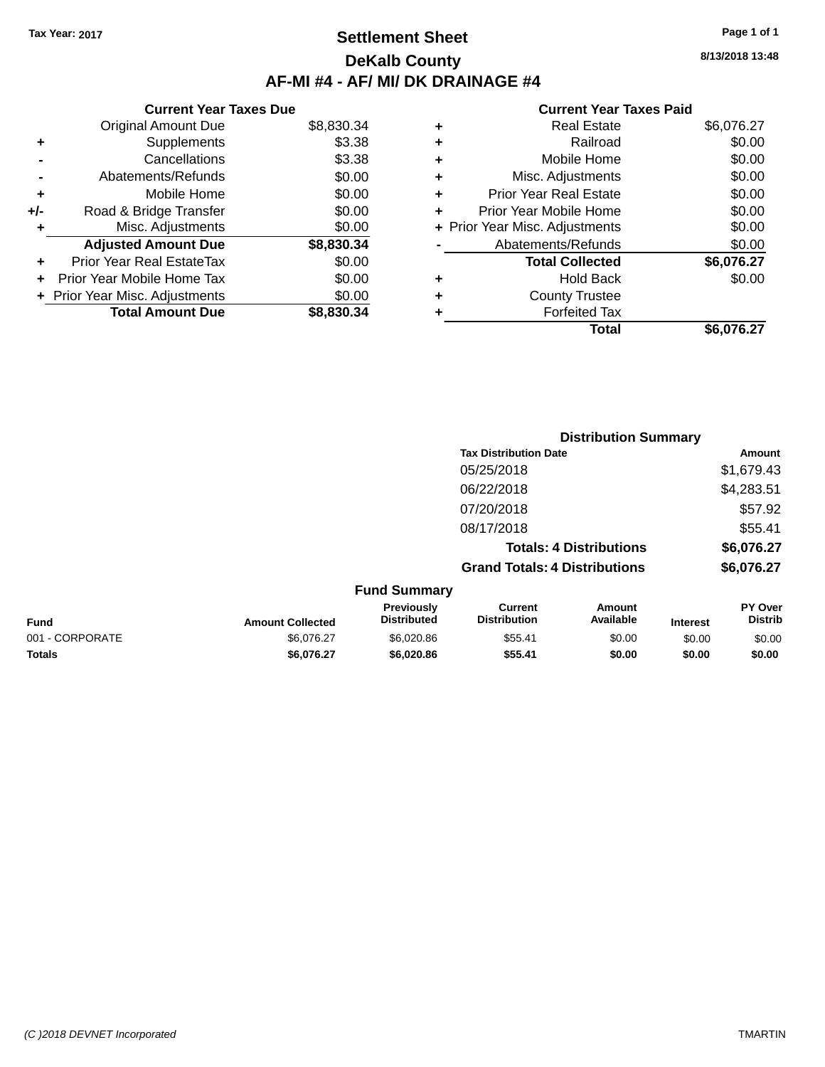### **Settlement Sheet Tax Year: 2017 Page 1 of 1 DeKalb County AF-MI #4 - AF/ MI/ DK DRAINAGE #4**

**8/13/2018 13:48**

|     | <b>Current Year Taxes Due</b>     |            |
|-----|-----------------------------------|------------|
|     | <b>Original Amount Due</b>        | \$8,830.34 |
| ٠   | Supplements                       | \$3.38     |
|     | Cancellations                     | \$3.38     |
|     | Abatements/Refunds                | \$0.00     |
| ٠   | Mobile Home                       | \$0.00     |
| +/- | Road & Bridge Transfer            | \$0.00     |
|     | Misc. Adjustments                 | \$0.00     |
|     | <b>Adjusted Amount Due</b>        | \$8,830.34 |
| ٠   | Prior Year Real EstateTax         | \$0.00     |
| ÷   | <b>Prior Year Mobile Home Tax</b> | \$0.00     |
|     | + Prior Year Misc. Adjustments    | \$0.00     |
|     | <b>Total Amount Due</b>           | \$8,830,34 |

| ٠ | <b>Real Estate</b>             | \$6,076.27 |
|---|--------------------------------|------------|
| ٠ | Railroad                       | \$0.00     |
| ٠ | Mobile Home                    | \$0.00     |
| ٠ | Misc. Adjustments              | \$0.00     |
| ٠ | <b>Prior Year Real Estate</b>  | \$0.00     |
|   | Prior Year Mobile Home         | \$0.00     |
|   | + Prior Year Misc. Adjustments | \$0.00     |
|   | Abatements/Refunds             | \$0.00     |
|   | <b>Total Collected</b>         | \$6,076.27 |
| ٠ | <b>Hold Back</b>               | \$0.00     |
|   | <b>County Trustee</b>          |            |
| ٠ | <b>Forfeited Tax</b>           |            |
|   | Total                          | \$6,076.27 |
|   |                                |            |

|                         |                                  |                                       | <b>Distribution Summary</b>    |                 |                                  |
|-------------------------|----------------------------------|---------------------------------------|--------------------------------|-----------------|----------------------------------|
|                         |                                  | <b>Tax Distribution Date</b>          |                                |                 | Amount                           |
|                         |                                  | 05/25/2018                            |                                |                 | \$1,679.43                       |
|                         |                                  | 06/22/2018                            |                                |                 | \$4,283.51                       |
|                         |                                  | 07/20/2018                            |                                |                 | \$57.92                          |
|                         |                                  | 08/17/2018                            |                                |                 | \$55.41                          |
|                         |                                  |                                       | <b>Totals: 4 Distributions</b> |                 | \$6,076.27                       |
|                         |                                  | <b>Grand Totals: 4 Distributions</b>  |                                |                 | \$6,076.27                       |
|                         | <b>Fund Summary</b>              |                                       |                                |                 |                                  |
| <b>Amount Collected</b> | Previously<br><b>Distributed</b> | <b>Current</b><br><b>Distribution</b> | <b>Amount</b><br>Available     | <b>Interest</b> | <b>PY Over</b><br><b>Distrib</b> |
| -------                 |                                  |                                       |                                |                 |                                  |

| <b>Fund</b>     | <b>Amount Collected</b> | ι ισνιυμσιγ<br><b>Distributed</b> | <b>VULLEN</b><br><b>Distribution</b> | Allivulit<br>Available | <b>Interest</b> | 1 U V U I<br><b>Distrib</b> |
|-----------------|-------------------------|-----------------------------------|--------------------------------------|------------------------|-----------------|-----------------------------|
| 001 - CORPORATE | \$6.076.27              | \$6,020.86                        | \$55.41                              | \$0.00                 | \$0.00          | \$0.00                      |
| Totals          | \$6,076,27              | \$6.020.86                        | \$55.41                              | \$0.00                 | \$0.00          | \$0.00                      |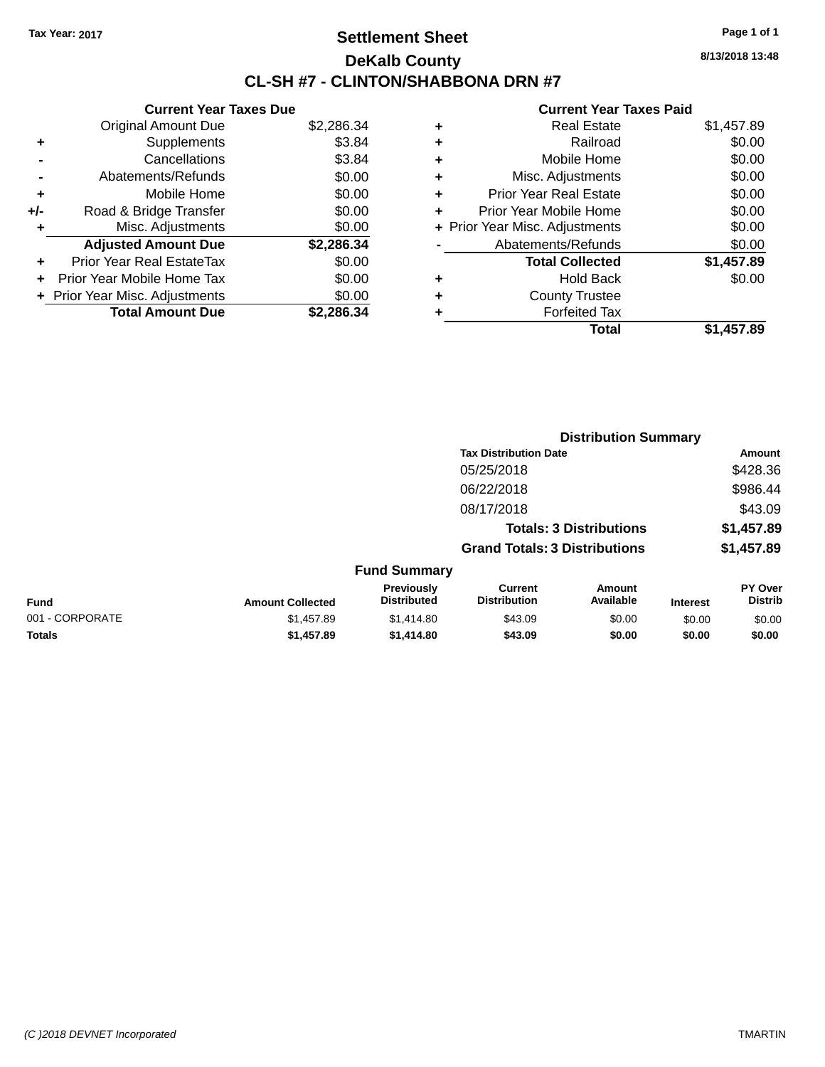### **Settlement Sheet Tax Year: 2017 Page 1 of 1 DeKalb County CL-SH #7 - CLINTON/SHABBONA DRN #7**

**8/13/2018 13:48**

|     | <b>Current Year Taxes Due</b>  |            |
|-----|--------------------------------|------------|
|     | <b>Original Amount Due</b>     | \$2,286.34 |
| ٠   | Supplements                    | \$3.84     |
|     | Cancellations                  | \$3.84     |
|     | Abatements/Refunds             | \$0.00     |
| ٠   | Mobile Home                    | \$0.00     |
| +/- | Road & Bridge Transfer         | \$0.00     |
| ٠   | Misc. Adjustments              | \$0.00     |
|     | <b>Adjusted Amount Due</b>     | \$2,286.34 |
| ÷   | Prior Year Real EstateTax      | \$0.00     |
| ÷   | Prior Year Mobile Home Tax     | \$0.00     |
|     | + Prior Year Misc. Adjustments | \$0.00     |
|     | <b>Total Amount Due</b>        | \$2.286.34 |

|   | <b>Real Estate</b>             | \$1,457.89 |
|---|--------------------------------|------------|
| ٠ | Railroad                       | \$0.00     |
| ٠ | Mobile Home                    | \$0.00     |
| ٠ | Misc. Adjustments              | \$0.00     |
| ٠ | <b>Prior Year Real Estate</b>  | \$0.00     |
|   | Prior Year Mobile Home         | \$0.00     |
|   | + Prior Year Misc. Adjustments | \$0.00     |
|   | Abatements/Refunds             | \$0.00     |
|   | <b>Total Collected</b>         | \$1,457.89 |
| ٠ | <b>Hold Back</b>               | \$0.00     |
| ٠ | <b>County Trustee</b>          |            |
| ٠ | <b>Forfeited Tax</b>           |            |
|   | Total                          | \$1,457.89 |
|   |                                |            |

|                 |                         |                                  | <b>Distribution Summary</b>           |                                |                 |                                  |
|-----------------|-------------------------|----------------------------------|---------------------------------------|--------------------------------|-----------------|----------------------------------|
|                 |                         |                                  | <b>Tax Distribution Date</b>          |                                |                 | Amount                           |
|                 |                         |                                  | 05/25/2018                            |                                |                 | \$428.36                         |
|                 |                         |                                  | 06/22/2018                            |                                |                 | \$986.44                         |
|                 |                         |                                  | 08/17/2018                            |                                |                 | \$43.09                          |
|                 |                         |                                  |                                       | <b>Totals: 3 Distributions</b> |                 | \$1,457.89                       |
|                 |                         |                                  | <b>Grand Totals: 3 Distributions</b>  |                                |                 | \$1,457.89                       |
|                 |                         | <b>Fund Summary</b>              |                                       |                                |                 |                                  |
| Fund            | <b>Amount Collected</b> | Previously<br><b>Distributed</b> | <b>Current</b><br><b>Distribution</b> | Amount<br>Available            | <b>Interest</b> | <b>PY Over</b><br><b>Distrib</b> |
| 001 - CORPORATE | \$1,457.89              | \$1,414.80                       | \$43.09                               | \$0.00                         | \$0.00          | \$0.00                           |
| <b>Totals</b>   | \$1,457.89              | \$1,414.80                       | \$43.09                               | \$0.00                         | \$0.00          | \$0.00                           |
|                 |                         |                                  |                                       |                                |                 |                                  |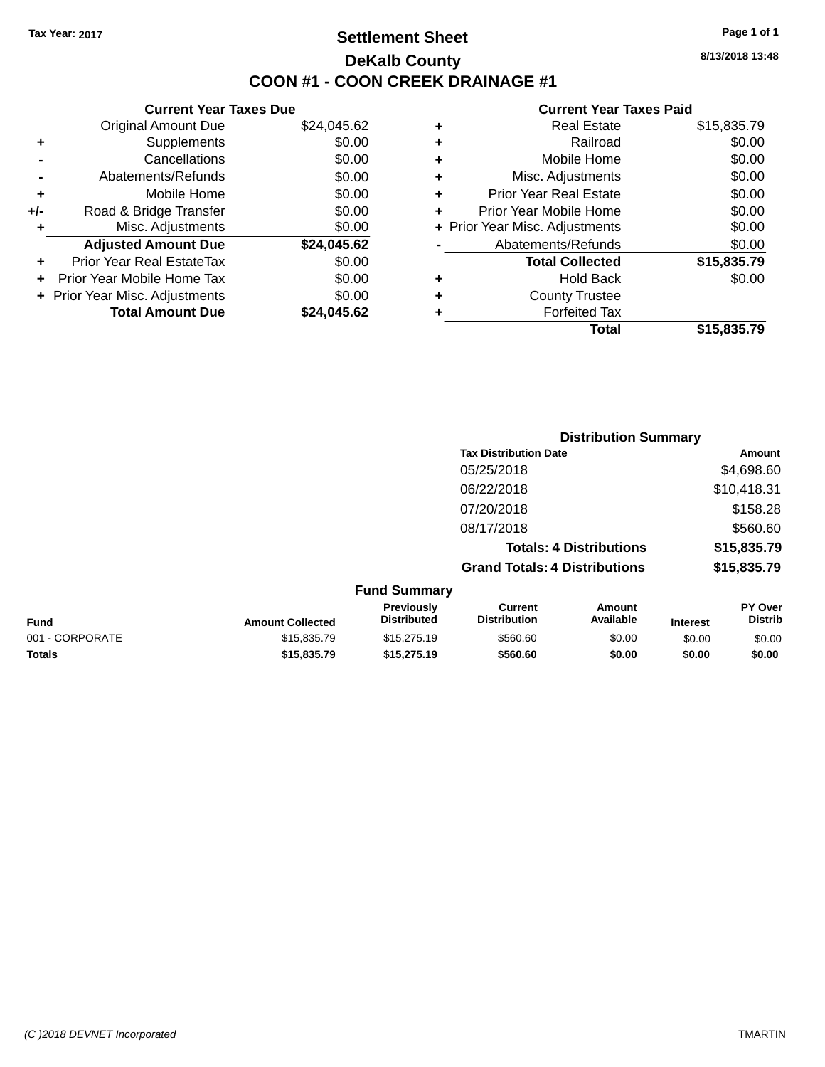### **Settlement Sheet Tax Year: 2017 Page 1 of 1 DeKalb County COON #1 - COON CREEK DRAINAGE #1**

**8/13/2018 13:48**

|     | <b>Current Year Taxes Due</b>  |             |
|-----|--------------------------------|-------------|
|     | <b>Original Amount Due</b>     | \$24,045.62 |
| ٠   | Supplements                    | \$0.00      |
|     | Cancellations                  | \$0.00      |
|     | Abatements/Refunds             | \$0.00      |
| ٠   | Mobile Home                    | \$0.00      |
| +/- | Road & Bridge Transfer         | \$0.00      |
| ٠   | Misc. Adjustments              | \$0.00      |
|     | <b>Adjusted Amount Due</b>     | \$24,045.62 |
| ٠   | Prior Year Real EstateTax      | \$0.00      |
| ÷   | Prior Year Mobile Home Tax     | \$0.00      |
|     | + Prior Year Misc. Adjustments | \$0.00      |
|     | <b>Total Amount Due</b>        | \$24.045.62 |
|     |                                |             |

| ٠ | <b>Real Estate</b>             | \$15,835.79 |
|---|--------------------------------|-------------|
| ٠ | Railroad                       | \$0.00      |
| ٠ | Mobile Home                    | \$0.00      |
| ٠ | Misc. Adjustments              | \$0.00      |
| ٠ | <b>Prior Year Real Estate</b>  | \$0.00      |
| ٠ | Prior Year Mobile Home         | \$0.00      |
|   | + Prior Year Misc. Adjustments | \$0.00      |
|   | Abatements/Refunds             | \$0.00      |
|   | <b>Total Collected</b>         | \$15,835.79 |
| ٠ | <b>Hold Back</b>               | \$0.00      |
| ٠ | <b>County Trustee</b>          |             |
| ٠ | <b>Forfeited Tax</b>           |             |
|   | Total                          | \$15,835.79 |
|   |                                |             |

|                                     |                                      | <b>Distribution Summary</b>    |             |
|-------------------------------------|--------------------------------------|--------------------------------|-------------|
|                                     | <b>Tax Distribution Date</b>         |                                | Amount      |
|                                     | 05/25/2018                           |                                | \$4,698.60  |
|                                     | 06/22/2018                           |                                | \$10,418.31 |
|                                     | 07/20/2018                           |                                | \$158.28    |
|                                     | 08/17/2018                           |                                | \$560.60    |
|                                     |                                      | <b>Totals: 4 Distributions</b> | \$15,835.79 |
|                                     | <b>Grand Totals: 4 Distributions</b> |                                | \$15,835.79 |
| <b>Fund Summary</b><br>Desidente la | $P$                                  |                                | <b>DV 0</b> |

| Fund            | <b>Amount Collected</b> | <b>Previously</b><br><b>Distributed</b> | Current<br><b>Distribution</b> | Amount<br>Available | <b>Interest</b> | PY Over<br>Distrib |
|-----------------|-------------------------|-----------------------------------------|--------------------------------|---------------------|-----------------|--------------------|
| 001 - CORPORATE | \$15,835.79             | \$15,275.19                             | \$560.60                       | \$0.00              | \$0.00          | \$0.00             |
| <b>Totals</b>   | \$15,835,79             | \$15,275.19                             | \$560.60                       | \$0.00              | \$0.00          | \$0.00             |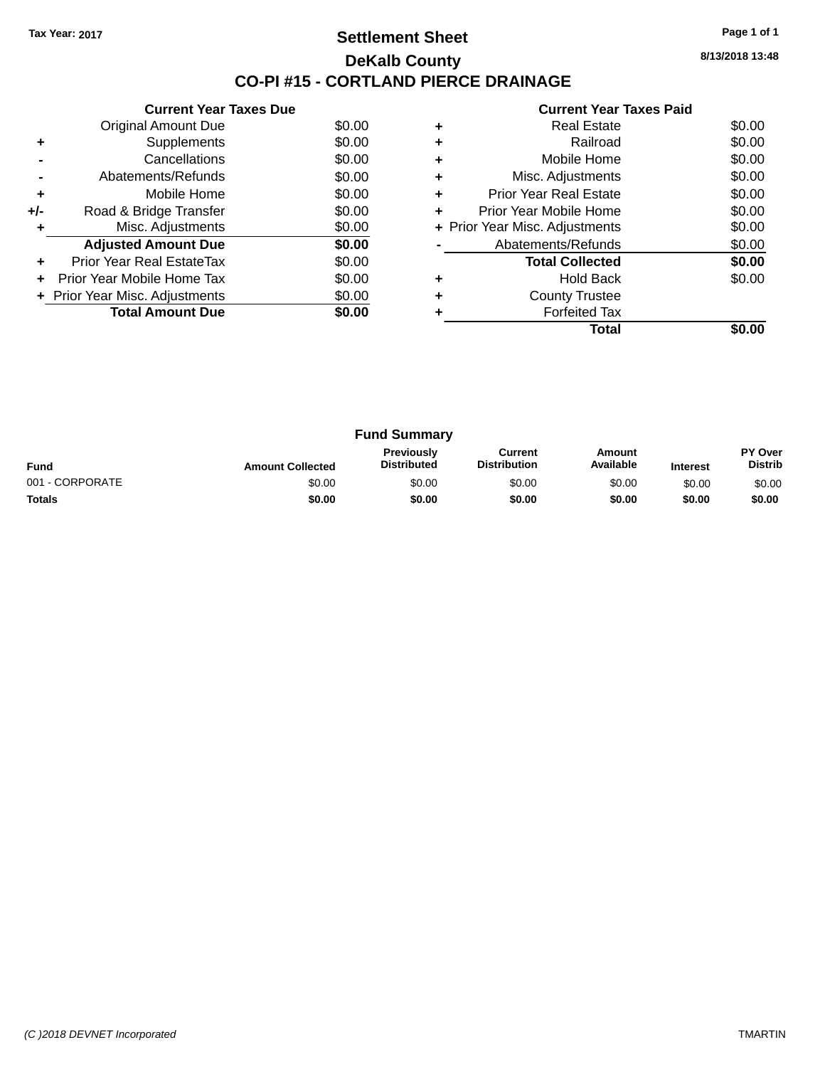### **Settlement Sheet Tax Year: 2017 Page 1 of 1 DeKalb County CO-PI #15 - CORTLAND PIERCE DRAINAGE**

**8/13/2018 13:48**

|     | <b>Current Year Taxes Due</b>  |        |
|-----|--------------------------------|--------|
|     | <b>Original Amount Due</b>     | \$0.00 |
| ٠   | Supplements                    | \$0.00 |
|     | Cancellations                  | \$0.00 |
|     | Abatements/Refunds             | \$0.00 |
| ٠   | Mobile Home                    | \$0.00 |
| +/- | Road & Bridge Transfer         | \$0.00 |
| ٠   | Misc. Adjustments              | \$0.00 |
|     | <b>Adjusted Amount Due</b>     | \$0.00 |
| ٠   | Prior Year Real EstateTax      | \$0.00 |
|     | Prior Year Mobile Home Tax     | \$0.00 |
|     | + Prior Year Misc. Adjustments | \$0.00 |
|     | <b>Total Amount Due</b>        | \$0.00 |
|     |                                |        |

|   | <b>Real Estate</b>             | \$0.00 |
|---|--------------------------------|--------|
|   | Railroad                       | \$0.00 |
| ٠ | Mobile Home                    | \$0.00 |
| ٠ | Misc. Adjustments              | \$0.00 |
| ٠ | Prior Year Real Estate         | \$0.00 |
| ٠ | Prior Year Mobile Home         | \$0.00 |
|   | + Prior Year Misc. Adjustments | \$0.00 |
|   | Abatements/Refunds             | \$0.00 |
|   | <b>Total Collected</b>         | \$0.00 |
|   | Hold Back                      | \$0.00 |
|   | <b>County Trustee</b>          |        |
|   | <b>Forfeited Tax</b>           |        |
|   | Total                          |        |

| <b>Fund Summary</b> |                         |                                         |                                |                     |                 |                           |
|---------------------|-------------------------|-----------------------------------------|--------------------------------|---------------------|-----------------|---------------------------|
| <b>Fund</b>         | <b>Amount Collected</b> | <b>Previously</b><br><b>Distributed</b> | Current<br><b>Distribution</b> | Amount<br>Available | <b>Interest</b> | PY Over<br><b>Distrib</b> |
| 001 - CORPORATE     | \$0.00                  | \$0.00                                  | \$0.00                         | \$0.00              | \$0.00          | \$0.00                    |
| <b>Totals</b>       | \$0.00                  | \$0.00                                  | \$0.00                         | \$0.00              | \$0.00          | \$0.00                    |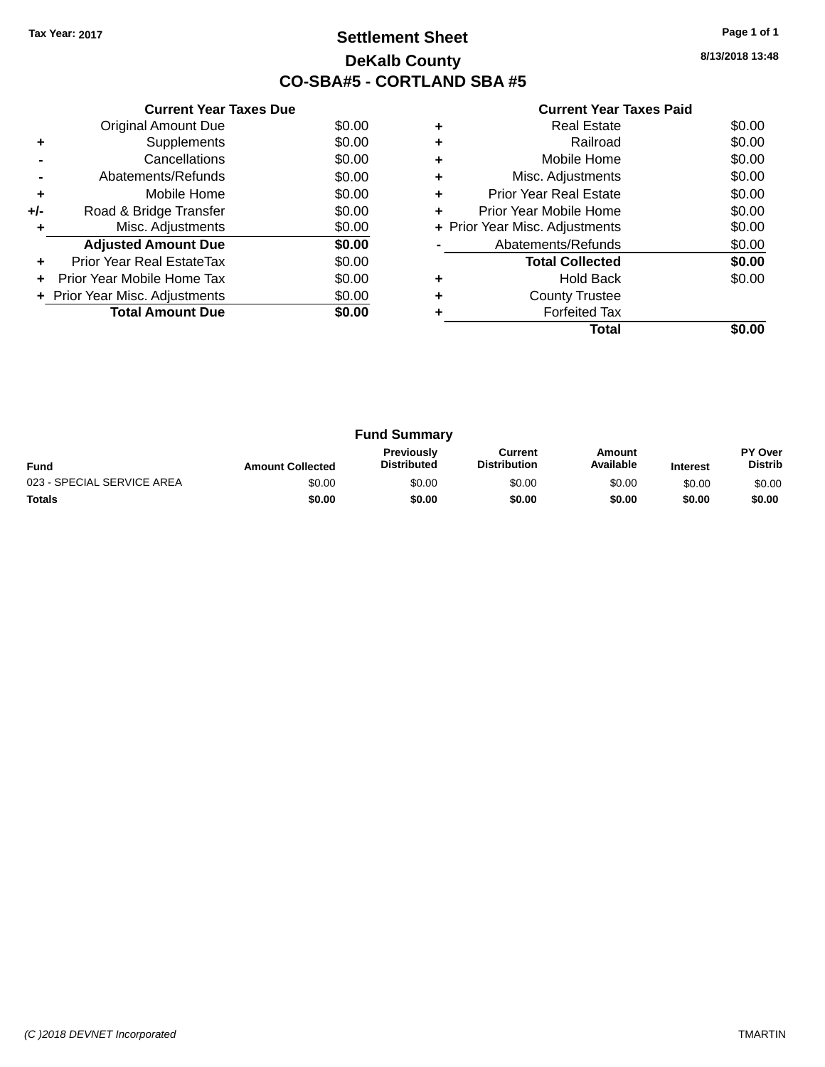### **Settlement Sheet Tax Year: 2017 Page 1 of 1 DeKalb County CO-SBA#5 - CORTLAND SBA #5**

**8/13/2018 13:48**

|     | <b>Current Year Taxes Due</b>  |        |  |  |  |  |
|-----|--------------------------------|--------|--|--|--|--|
|     | <b>Original Amount Due</b>     | \$0.00 |  |  |  |  |
| ٠   | Supplements                    | \$0.00 |  |  |  |  |
|     | Cancellations                  | \$0.00 |  |  |  |  |
|     | Abatements/Refunds             | \$0.00 |  |  |  |  |
| ٠   | Mobile Home                    | \$0.00 |  |  |  |  |
| +/- | Road & Bridge Transfer         | \$0.00 |  |  |  |  |
| ٠   | Misc. Adjustments              | \$0.00 |  |  |  |  |
|     | <b>Adjusted Amount Due</b>     | \$0.00 |  |  |  |  |
| ٠   | Prior Year Real EstateTax      | \$0.00 |  |  |  |  |
|     | Prior Year Mobile Home Tax     | \$0.00 |  |  |  |  |
|     | + Prior Year Misc. Adjustments | \$0.00 |  |  |  |  |
|     | <b>Total Amount Due</b>        | \$0.00 |  |  |  |  |
|     |                                |        |  |  |  |  |

|   | <b>Real Estate</b>             | \$0.00 |
|---|--------------------------------|--------|
| ÷ | Railroad                       | \$0.00 |
| ٠ | Mobile Home                    | \$0.00 |
| ٠ | Misc. Adjustments              | \$0.00 |
| ٠ | <b>Prior Year Real Estate</b>  | \$0.00 |
|   | Prior Year Mobile Home         | \$0.00 |
|   | + Prior Year Misc. Adjustments | \$0.00 |
|   | Abatements/Refunds             | \$0.00 |
|   | <b>Total Collected</b>         | \$0.00 |
| ٠ | <b>Hold Back</b>               | \$0.00 |
| ٠ | <b>County Trustee</b>          |        |
|   | <b>Forfeited Tax</b>           |        |
|   | Total                          |        |

| <b>Fund Summary</b>        |                         |                                         |                                |                     |                 |                           |
|----------------------------|-------------------------|-----------------------------------------|--------------------------------|---------------------|-----------------|---------------------------|
| <b>Fund</b>                | <b>Amount Collected</b> | <b>Previously</b><br><b>Distributed</b> | Current<br><b>Distribution</b> | Amount<br>Available | <b>Interest</b> | PY Over<br><b>Distrib</b> |
| 023 - SPECIAL SERVICE AREA | \$0.00                  | \$0.00                                  | \$0.00                         | \$0.00              | \$0.00          | \$0.00                    |
| <b>Totals</b>              | \$0.00                  | \$0.00                                  | \$0.00                         | \$0.00              | \$0.00          | \$0.00                    |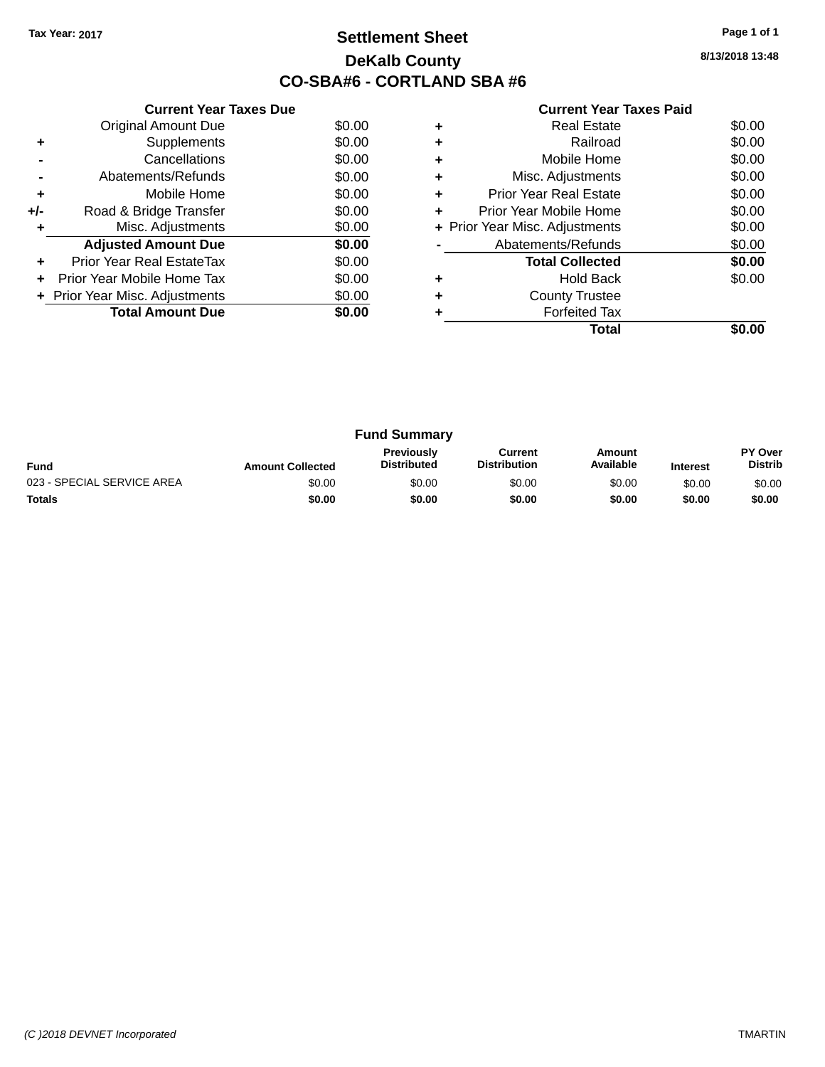### **Settlement Sheet Tax Year: 2017 Page 1 of 1 DeKalb County CO-SBA#6 - CORTLAND SBA #6**

**8/13/2018 13:48**

|     | <b>Current Year Taxes Due</b>  |        |  |  |  |  |
|-----|--------------------------------|--------|--|--|--|--|
|     | <b>Original Amount Due</b>     | \$0.00 |  |  |  |  |
| ٠   | Supplements                    | \$0.00 |  |  |  |  |
|     | Cancellations                  | \$0.00 |  |  |  |  |
|     | Abatements/Refunds             | \$0.00 |  |  |  |  |
| ٠   | Mobile Home                    | \$0.00 |  |  |  |  |
| +/- | Road & Bridge Transfer         | \$0.00 |  |  |  |  |
| ٠   | Misc. Adjustments              | \$0.00 |  |  |  |  |
|     | <b>Adjusted Amount Due</b>     | \$0.00 |  |  |  |  |
| ٠   | Prior Year Real EstateTax      | \$0.00 |  |  |  |  |
|     | Prior Year Mobile Home Tax     | \$0.00 |  |  |  |  |
|     | + Prior Year Misc. Adjustments | \$0.00 |  |  |  |  |
|     | <b>Total Amount Due</b>        | \$0.00 |  |  |  |  |
|     |                                |        |  |  |  |  |

|   | <b>Real Estate</b>             | \$0.00 |
|---|--------------------------------|--------|
| ÷ | Railroad                       | \$0.00 |
| ٠ | Mobile Home                    | \$0.00 |
| ٠ | Misc. Adjustments              | \$0.00 |
| ٠ | <b>Prior Year Real Estate</b>  | \$0.00 |
| ÷ | Prior Year Mobile Home         | \$0.00 |
|   | + Prior Year Misc. Adjustments | \$0.00 |
|   | Abatements/Refunds             | \$0.00 |
|   | <b>Total Collected</b>         | \$0.00 |
| ٠ | <b>Hold Back</b>               | \$0.00 |
| ٠ | <b>County Trustee</b>          |        |
|   | <b>Forfeited Tax</b>           |        |
|   | Total                          |        |

| <b>Fund Summary</b>        |                         |                                         |                                |                     |                 |                           |
|----------------------------|-------------------------|-----------------------------------------|--------------------------------|---------------------|-----------------|---------------------------|
| <b>Fund</b>                | <b>Amount Collected</b> | <b>Previously</b><br><b>Distributed</b> | Current<br><b>Distribution</b> | Amount<br>Available | <b>Interest</b> | PY Over<br><b>Distrib</b> |
| 023 - SPECIAL SERVICE AREA | \$0.00                  | \$0.00                                  | \$0.00                         | \$0.00              | \$0.00          | \$0.00                    |
| <b>Totals</b>              | \$0.00                  | \$0.00                                  | \$0.00                         | \$0.00              | \$0.00          | \$0.00                    |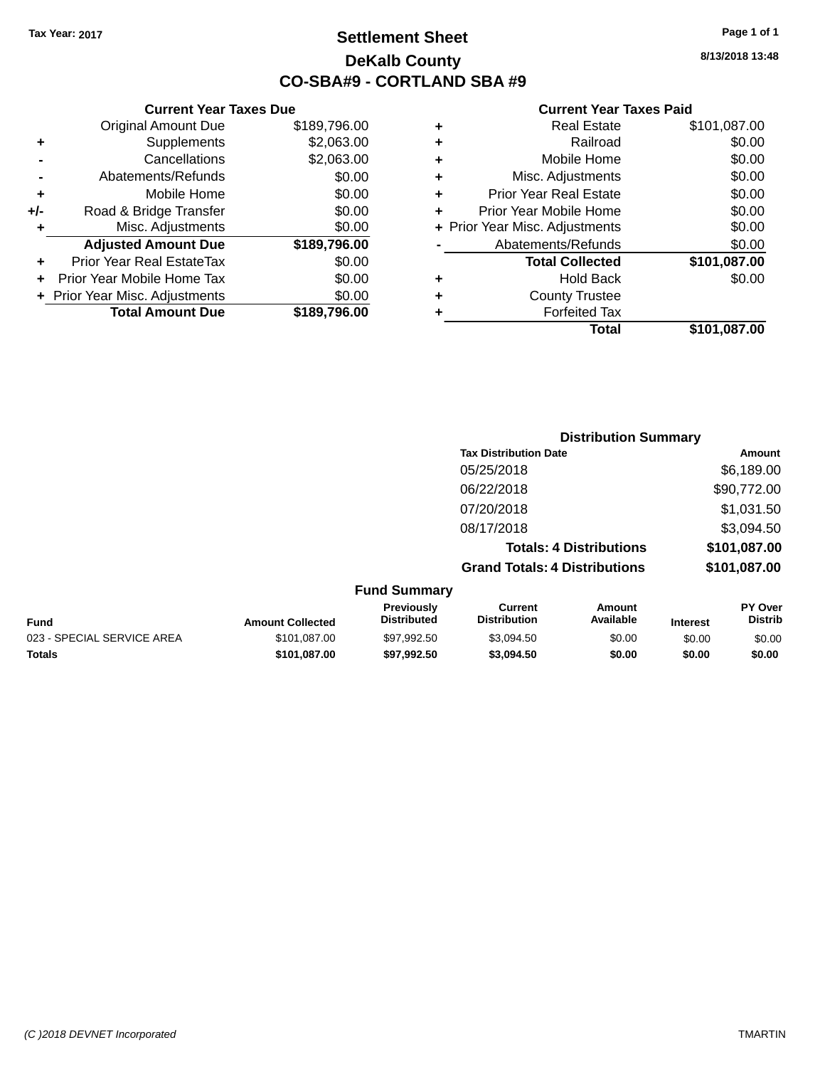### **Settlement Sheet Tax Year: 2017 Page 1 of 1 DeKalb County CO-SBA#9 - CORTLAND SBA #9**

**8/13/2018 13:48**

### **Current Year Taxes Paid**

|   | Total                          | \$101,087.00 |
|---|--------------------------------|--------------|
| ٠ | <b>Forfeited Tax</b>           |              |
| ٠ | <b>County Trustee</b>          |              |
| ٠ | <b>Hold Back</b>               | \$0.00       |
|   | <b>Total Collected</b>         | \$101,087.00 |
|   | Abatements/Refunds             | \$0.00       |
|   | + Prior Year Misc. Adjustments | \$0.00       |
| ٠ | Prior Year Mobile Home         | \$0.00       |
| ٠ | <b>Prior Year Real Estate</b>  | \$0.00       |
| ٠ | Misc. Adjustments              | \$0.00       |
| ٠ | Mobile Home                    | \$0.00       |
| ٠ | Railroad                       | \$0.00       |
| ٠ | <b>Real Estate</b>             | \$101,087.00 |
|   |                                |              |

|                         |                                  |                                      | <b>Distribution Summary</b>    |                 |                                  |
|-------------------------|----------------------------------|--------------------------------------|--------------------------------|-----------------|----------------------------------|
|                         |                                  | <b>Tax Distribution Date</b>         |                                |                 | Amount                           |
|                         |                                  | 05/25/2018                           |                                |                 | \$6,189.00                       |
|                         |                                  | 06/22/2018                           |                                |                 | \$90,772.00                      |
|                         |                                  | 07/20/2018                           |                                |                 | \$1,031.50                       |
|                         |                                  | 08/17/2018                           |                                |                 | \$3,094.50                       |
|                         |                                  |                                      | <b>Totals: 4 Distributions</b> |                 | \$101,087.00                     |
|                         |                                  | <b>Grand Totals: 4 Distributions</b> |                                |                 | \$101,087.00                     |
|                         | <b>Fund Summary</b>              |                                      |                                |                 |                                  |
| <b>Amount Collected</b> | Previously<br><b>Distributed</b> | Current<br><b>Distribution</b>       | Amount<br>Available            | <b>Interest</b> | <b>PY Over</b><br><b>Distrib</b> |

| Fund                       | <b>Amount Collected</b> | <b>PIEVIOUSIV</b><br><b>Distributed</b> | uurent<br><b>Distribution</b> | AIIIOUIIL<br>Available | <b>Interest</b> | r i vvei<br>Distrib |
|----------------------------|-------------------------|-----------------------------------------|-------------------------------|------------------------|-----------------|---------------------|
| 023 - SPECIAL SERVICE AREA | \$101.087.00            | \$97.992.50                             | \$3.094.50                    | \$0.00                 | \$0.00          | \$0.00              |
| <b>Totals</b>              | \$101.087.00            | \$97.992.50                             | \$3.094.50                    | \$0.00                 | \$0.00          | \$0.00              |

|       | <b>Total Amount Due</b>          | \$189,796.00 |
|-------|----------------------------------|--------------|
|       | + Prior Year Misc. Adjustments   | \$0.00       |
|       | Prior Year Mobile Home Tax       | \$0.00       |
|       | <b>Prior Year Real EstateTax</b> | \$0.00       |
|       | <b>Adjusted Amount Due</b>       | \$189,796.00 |
| ٠     | Misc. Adjustments                | \$0.00       |
| $+/-$ | Road & Bridge Transfer           | \$0.00       |
| ÷     | Mobile Home                      | \$0.00       |
|       | Abatements/Refunds               | \$0.00       |
|       | Cancellations                    | \$2,063.00   |
| ٠     | Supplements                      | \$2,063.00   |
|       | <b>Original Amount Due</b>       | \$189,796.00 |

**Current Year Taxes Due**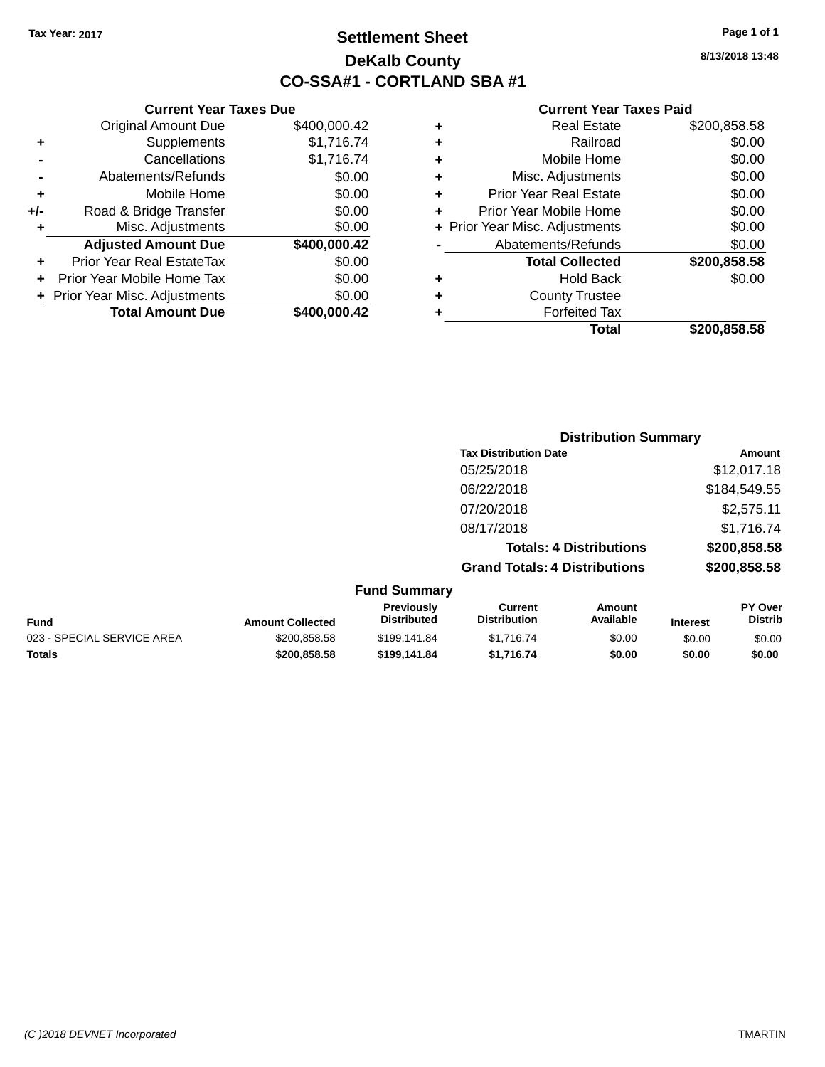### **Settlement Sheet Tax Year: 2017 Page 1 of 1 DeKalb County CO-SSA#1 - CORTLAND SBA #1**

**8/13/2018 13:48**

|   | <b>Real Estate</b>             | \$200,858.58 |
|---|--------------------------------|--------------|
| ٠ | Railroad                       | \$0.00       |
| ٠ | Mobile Home                    | \$0.00       |
| ٠ | Misc. Adjustments              | \$0.00       |
| ٠ | <b>Prior Year Real Estate</b>  | \$0.00       |
| ٠ | Prior Year Mobile Home         | \$0.00       |
|   | + Prior Year Misc. Adjustments | \$0.00       |
|   | Abatements/Refunds             | \$0.00       |
|   | <b>Total Collected</b>         | \$200,858.58 |
| ٠ | <b>Hold Back</b>               | \$0.00       |
| ٠ | <b>County Trustee</b>          |              |
|   | <b>Forfeited Tax</b>           |              |
|   | Total                          | \$200.858.58 |

|     | <b>Current Year Taxes Due</b>    |              |
|-----|----------------------------------|--------------|
|     | <b>Original Amount Due</b>       | \$400,000.42 |
| ٠   | Supplements                      | \$1,716.74   |
|     | Cancellations                    | \$1,716.74   |
|     | Abatements/Refunds               | \$0.00       |
| ٠   | Mobile Home                      | \$0.00       |
| +/- | Road & Bridge Transfer           | \$0.00       |
| ٠   | Misc. Adjustments                | \$0.00       |
|     | <b>Adjusted Amount Due</b>       | \$400,000.42 |
|     | <b>Prior Year Real EstateTax</b> | \$0.00       |
| ÷   | Prior Year Mobile Home Tax       | \$0.00       |
|     | + Prior Year Misc. Adjustments   | \$0.00       |
|     | <b>Total Amount Due</b>          | \$400,000.42 |

|                                      | <b>Distribution Summary</b>                    |
|--------------------------------------|------------------------------------------------|
| <b>Tax Distribution Date</b>         | Amount                                         |
| 05/25/2018                           | \$12,017.18                                    |
| 06/22/2018                           | \$184,549.55                                   |
| 07/20/2018                           | \$2,575.11                                     |
| 08/17/2018                           | \$1,716.74                                     |
|                                      | \$200,858.58<br><b>Totals: 4 Distributions</b> |
| <b>Grand Totals: 4 Distributions</b> | \$200,858.58                                   |
| <b>Fund Summary</b>                  |                                                |

|                            |                         | Previously<br>Distributed | Current<br><b>Distribution</b> | Amount<br>Available |                 | <b>PY Over</b> |
|----------------------------|-------------------------|---------------------------|--------------------------------|---------------------|-----------------|----------------|
| Fund                       | <b>Amount Collected</b> |                           |                                |                     | <b>Interest</b> | Distrib        |
| 023 - SPECIAL SERVICE AREA | \$200.858.58            | \$199.141.84              | \$1.716.74                     | \$0.00              | \$0.00          | \$0.00         |
| Totals                     | \$200,858,58            | \$199.141.84              | \$1.716.74                     | \$0.00              | \$0.00          | \$0.00         |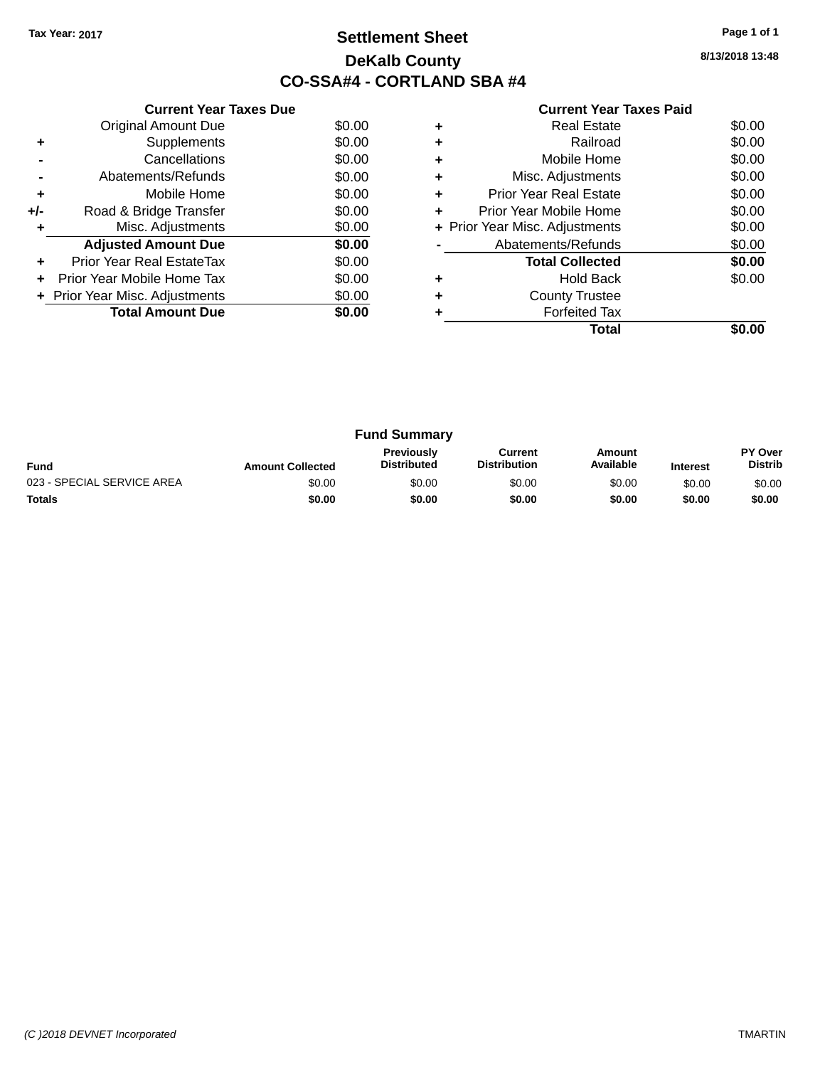### **Settlement Sheet Tax Year: 2017 Page 1 of 1 DeKalb County CO-SSA#4 - CORTLAND SBA #4**

**8/13/2018 13:48**

|     | <b>Current Year Taxes Due</b>  |        |
|-----|--------------------------------|--------|
|     | <b>Original Amount Due</b>     | \$0.00 |
| ٠   | Supplements                    | \$0.00 |
|     | Cancellations                  | \$0.00 |
|     | Abatements/Refunds             | \$0.00 |
| ÷   | Mobile Home                    | \$0.00 |
| +/- | Road & Bridge Transfer         | \$0.00 |
|     | Misc. Adjustments              | \$0.00 |
|     | <b>Adjusted Amount Due</b>     | \$0.00 |
|     | Prior Year Real EstateTax      | \$0.00 |
|     | Prior Year Mobile Home Tax     | \$0.00 |
|     | + Prior Year Misc. Adjustments | \$0.00 |
|     | <b>Total Amount Due</b>        | \$0.00 |
|     |                                |        |

|   | Total                          |        |
|---|--------------------------------|--------|
|   | <b>Forfeited Tax</b>           |        |
|   | <b>County Trustee</b>          |        |
|   | Hold Back                      | \$0.00 |
|   | <b>Total Collected</b>         | \$0.00 |
|   | Abatements/Refunds             | \$0.00 |
|   | + Prior Year Misc. Adjustments | \$0.00 |
|   | Prior Year Mobile Home         | \$0.00 |
| ٠ | Prior Year Real Estate         | \$0.00 |
| ٠ | Misc. Adjustments              | \$0.00 |
| ٠ | Mobile Home                    | \$0.00 |
|   | Railroad                       | \$0.00 |
|   | Real Estate                    | \$0.00 |

| <b>Fund Summary</b>        |                         |                                         |                                |                     |                 |                                  |
|----------------------------|-------------------------|-----------------------------------------|--------------------------------|---------------------|-----------------|----------------------------------|
| <b>Fund</b>                | <b>Amount Collected</b> | <b>Previously</b><br><b>Distributed</b> | Current<br><b>Distribution</b> | Amount<br>Available | <b>Interest</b> | <b>PY Over</b><br><b>Distrib</b> |
| 023 - SPECIAL SERVICE AREA | \$0.00                  | \$0.00                                  | \$0.00                         | \$0.00              | \$0.00          | \$0.00                           |
| <b>Totals</b>              | \$0.00                  | \$0.00                                  | \$0.00                         | \$0.00              | \$0.00          | \$0.00                           |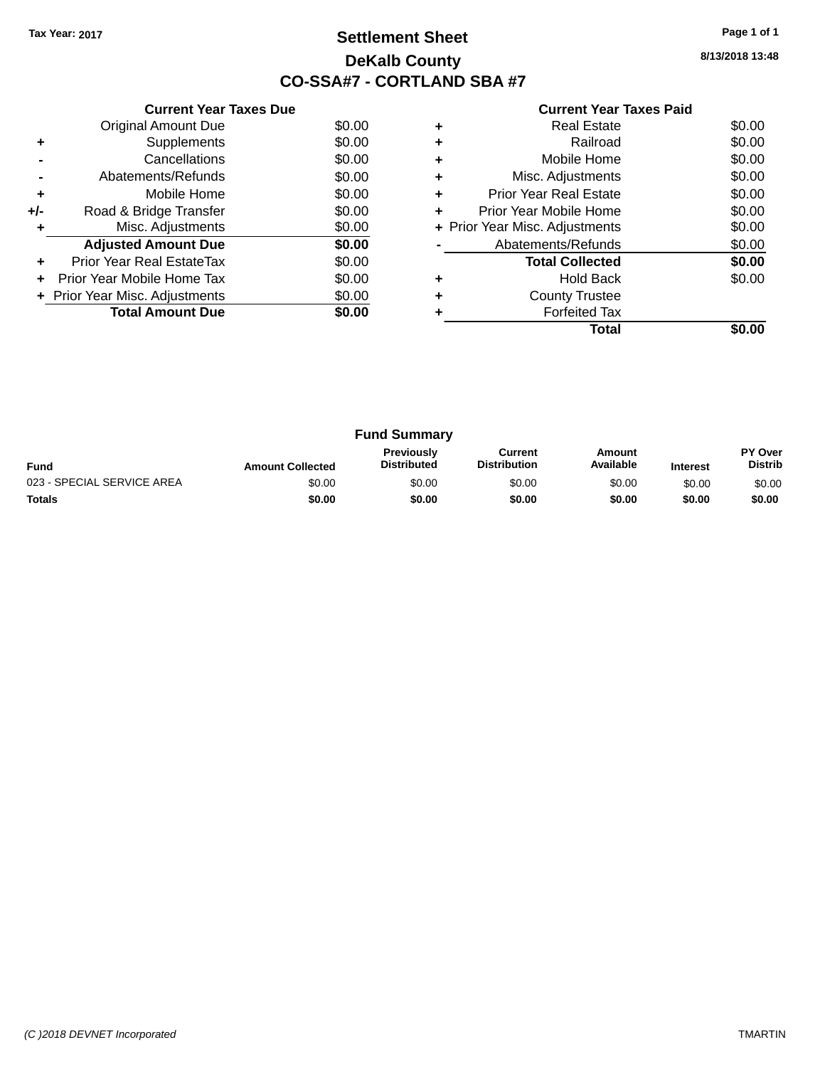### **Settlement Sheet Tax Year: 2017 Page 1 of 1 DeKalb County CO-SSA#7 - CORTLAND SBA #7**

**8/13/2018 13:48**

|     | <b>Current Year Taxes Due</b>  |        |
|-----|--------------------------------|--------|
|     | <b>Original Amount Due</b>     | \$0.00 |
| ٠   | Supplements                    | \$0.00 |
|     | Cancellations                  | \$0.00 |
|     | Abatements/Refunds             | \$0.00 |
| ٠   | Mobile Home                    | \$0.00 |
| +/- | Road & Bridge Transfer         | \$0.00 |
|     | Misc. Adjustments              | \$0.00 |
|     | <b>Adjusted Amount Due</b>     | \$0.00 |
|     | Prior Year Real EstateTax      | \$0.00 |
|     | Prior Year Mobile Home Tax     | \$0.00 |
|     | + Prior Year Misc. Adjustments | \$0.00 |
|     | <b>Total Amount Due</b>        | \$0.00 |
|     |                                |        |

|   | Total                          |        |
|---|--------------------------------|--------|
|   | <b>Forfeited Tax</b>           |        |
|   | <b>County Trustee</b>          |        |
|   | <b>Hold Back</b>               | \$0.00 |
|   | <b>Total Collected</b>         | \$0.00 |
|   | Abatements/Refunds             | \$0.00 |
|   | + Prior Year Misc. Adjustments | \$0.00 |
| ٠ | Prior Year Mobile Home         | \$0.00 |
| ٠ | Prior Year Real Estate         | \$0.00 |
| ٠ | Misc. Adjustments              | \$0.00 |
|   | Mobile Home                    | \$0.00 |
| ٠ | Railroad                       | \$0.00 |
|   | <b>Real Estate</b>             | \$0.00 |
|   |                                |        |

| <b>Fund Summary</b>        |                         |                                         |                                |                     |                 |                           |
|----------------------------|-------------------------|-----------------------------------------|--------------------------------|---------------------|-----------------|---------------------------|
| <b>Fund</b>                | <b>Amount Collected</b> | <b>Previously</b><br><b>Distributed</b> | Current<br><b>Distribution</b> | Amount<br>Available | <b>Interest</b> | PY Over<br><b>Distrib</b> |
| 023 - SPECIAL SERVICE AREA | \$0.00                  | \$0.00                                  | \$0.00                         | \$0.00              | \$0.00          | \$0.00                    |
| <b>Totals</b>              | \$0.00                  | \$0.00                                  | \$0.00                         | \$0.00              | \$0.00          | \$0.00                    |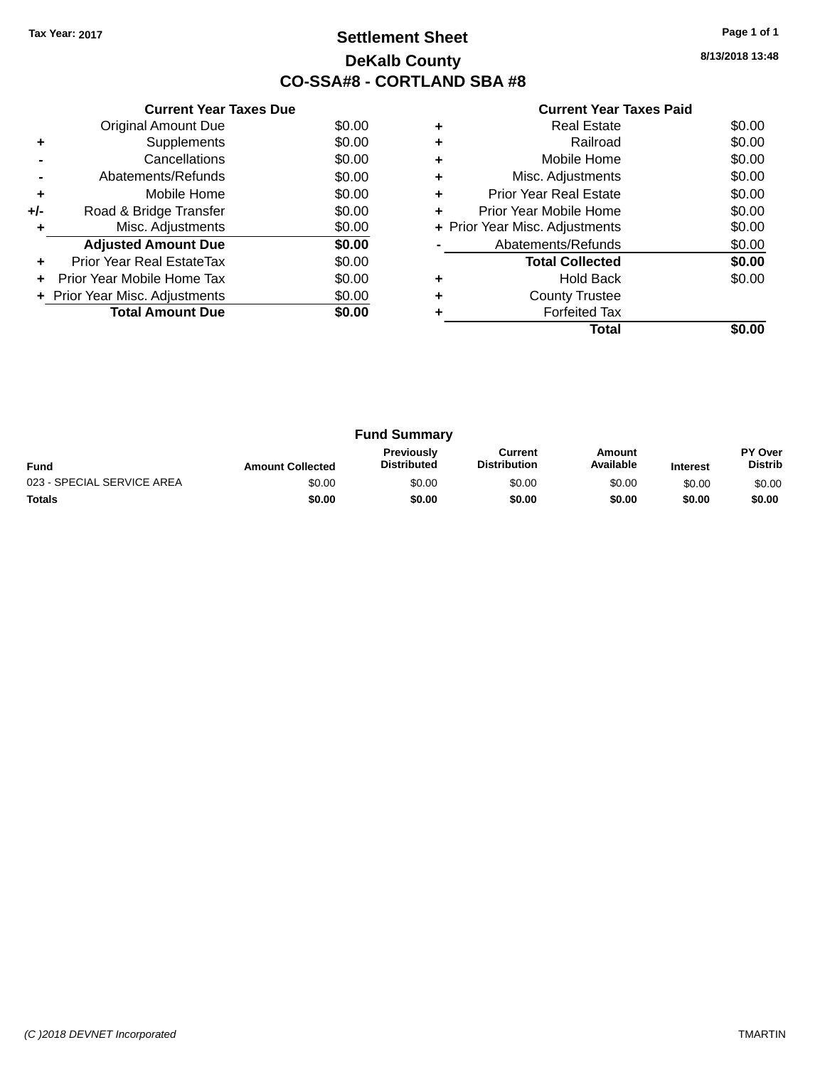### **Settlement Sheet Tax Year: 2017 Page 1 of 1 DeKalb County CO-SSA#8 - CORTLAND SBA #8**

**8/13/2018 13:48**

|     | <b>Current Year Taxes Due</b>  |        |  |  |  |
|-----|--------------------------------|--------|--|--|--|
|     | <b>Original Amount Due</b>     | \$0.00 |  |  |  |
| ٠   | Supplements                    | \$0.00 |  |  |  |
|     | Cancellations                  | \$0.00 |  |  |  |
|     | Abatements/Refunds             | \$0.00 |  |  |  |
| ٠   | Mobile Home                    | \$0.00 |  |  |  |
| +/- | Road & Bridge Transfer         | \$0.00 |  |  |  |
| ٠   | Misc. Adjustments              | \$0.00 |  |  |  |
|     | <b>Adjusted Amount Due</b>     | \$0.00 |  |  |  |
| ٠   | Prior Year Real EstateTax      | \$0.00 |  |  |  |
|     | Prior Year Mobile Home Tax     | \$0.00 |  |  |  |
|     | + Prior Year Misc. Adjustments | \$0.00 |  |  |  |
|     | <b>Total Amount Due</b>        | \$0.00 |  |  |  |
|     |                                |        |  |  |  |

|   | <b>Real Estate</b>             | \$0.00 |
|---|--------------------------------|--------|
| ÷ | Railroad                       | \$0.00 |
| ٠ | Mobile Home                    | \$0.00 |
| ٠ | Misc. Adjustments              | \$0.00 |
| ٠ | <b>Prior Year Real Estate</b>  | \$0.00 |
| ÷ | Prior Year Mobile Home         | \$0.00 |
|   | + Prior Year Misc. Adjustments | \$0.00 |
|   | Abatements/Refunds             | \$0.00 |
|   | <b>Total Collected</b>         | \$0.00 |
| ٠ | <b>Hold Back</b>               | \$0.00 |
| ٠ | <b>County Trustee</b>          |        |
|   | <b>Forfeited Tax</b>           |        |
|   | Total                          |        |

| <b>Fund Summary</b>        |                         |                                         |                                |                     |                 |                           |
|----------------------------|-------------------------|-----------------------------------------|--------------------------------|---------------------|-----------------|---------------------------|
| <b>Fund</b>                | <b>Amount Collected</b> | <b>Previously</b><br><b>Distributed</b> | Current<br><b>Distribution</b> | Amount<br>Available | <b>Interest</b> | PY Over<br><b>Distrib</b> |
| 023 - SPECIAL SERVICE AREA | \$0.00                  | \$0.00                                  | \$0.00                         | \$0.00              | \$0.00          | \$0.00                    |
| <b>Totals</b>              | \$0.00                  | \$0.00                                  | \$0.00                         | \$0.00              | \$0.00          | \$0.00                    |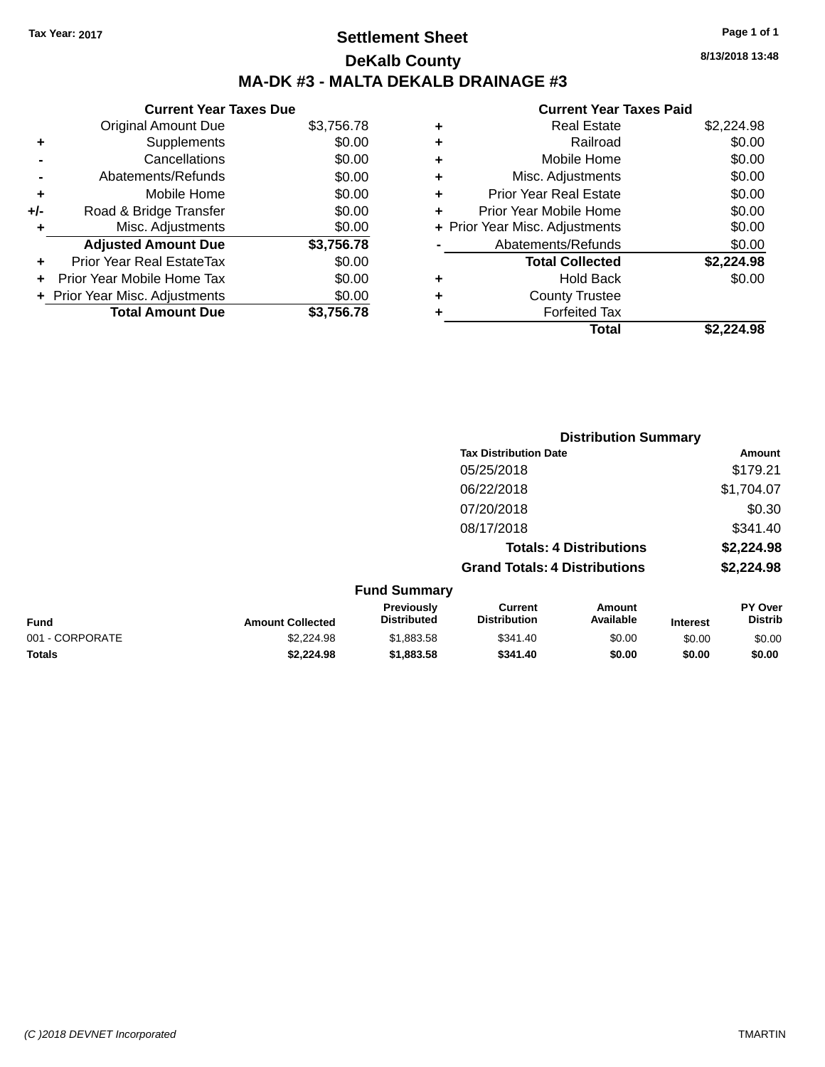## **Settlement Sheet Tax Year: 2017 Page 1 of 1 DeKalb County MA-DK #3 - MALTA DEKALB DRAINAGE #3**

### **Current Year Taxes Due** Original Amount Due \$3,756.78 **+** Supplements \$0.00 **-** Cancellations \$0.00 **-** Abatements/Refunds \$0.00 **+** Mobile Home \$0.00 **+/-** Road & Bridge Transfer \$0.00 **+** Misc. Adjustments \$0.00 **Adjusted Amount Due \$3,756.78 +** Prior Year Real EstateTax \$0.00 **+** Prior Year Mobile Home Tax \$0.00 **+ Prior Year Misc. Adjustments**  $$0.00$ **Total Amount Due \$3,756.78**

#### **Current Year Taxes Paid**

| ٠ | <b>Real Estate</b>             | \$2,224.98 |
|---|--------------------------------|------------|
| ٠ | Railroad                       | \$0.00     |
| ٠ | Mobile Home                    | \$0.00     |
| ٠ | Misc. Adjustments              | \$0.00     |
| ٠ | <b>Prior Year Real Estate</b>  | \$0.00     |
| ÷ | Prior Year Mobile Home         | \$0.00     |
|   | + Prior Year Misc. Adjustments | \$0.00     |
|   | Abatements/Refunds             | \$0.00     |
|   | <b>Total Collected</b>         | \$2,224.98 |
| ٠ | Hold Back                      | \$0.00     |
| ٠ | <b>County Trustee</b>          |            |
| ٠ | <b>Forfeited Tax</b>           |            |
|   | Total                          | \$2.224.98 |
|   |                                |            |

**Distribution Summary**

|                 | -                       |                                  |                                       |                                |                 |                                  |
|-----------------|-------------------------|----------------------------------|---------------------------------------|--------------------------------|-----------------|----------------------------------|
|                 |                         |                                  | <b>Tax Distribution Date</b>          |                                |                 | Amount                           |
|                 |                         |                                  | 05/25/2018                            |                                |                 | \$179.21                         |
|                 |                         |                                  | 06/22/2018                            |                                |                 | \$1,704.07                       |
|                 |                         |                                  | 07/20/2018                            |                                |                 | \$0.30                           |
|                 |                         |                                  | 08/17/2018                            |                                |                 | \$341.40                         |
|                 |                         |                                  |                                       | <b>Totals: 4 Distributions</b> |                 | \$2,224.98                       |
|                 |                         |                                  | <b>Grand Totals: 4 Distributions</b>  |                                |                 | \$2,224.98                       |
|                 |                         | <b>Fund Summary</b>              |                                       |                                |                 |                                  |
| Fund            | <b>Amount Collected</b> | Previously<br><b>Distributed</b> | <b>Current</b><br><b>Distribution</b> | Amount<br>Available            | <b>Interest</b> | <b>PY Over</b><br><b>Distrib</b> |
| 001 - CORPORATE | \$2,224.98              | \$1,883.58                       | \$341.40                              | \$0.00                         | \$0.00          | \$0.00                           |
| <b>Totals</b>   | \$2,224.98              | \$1,883.58                       | \$341.40                              | \$0.00                         | \$0.00          | \$0.00                           |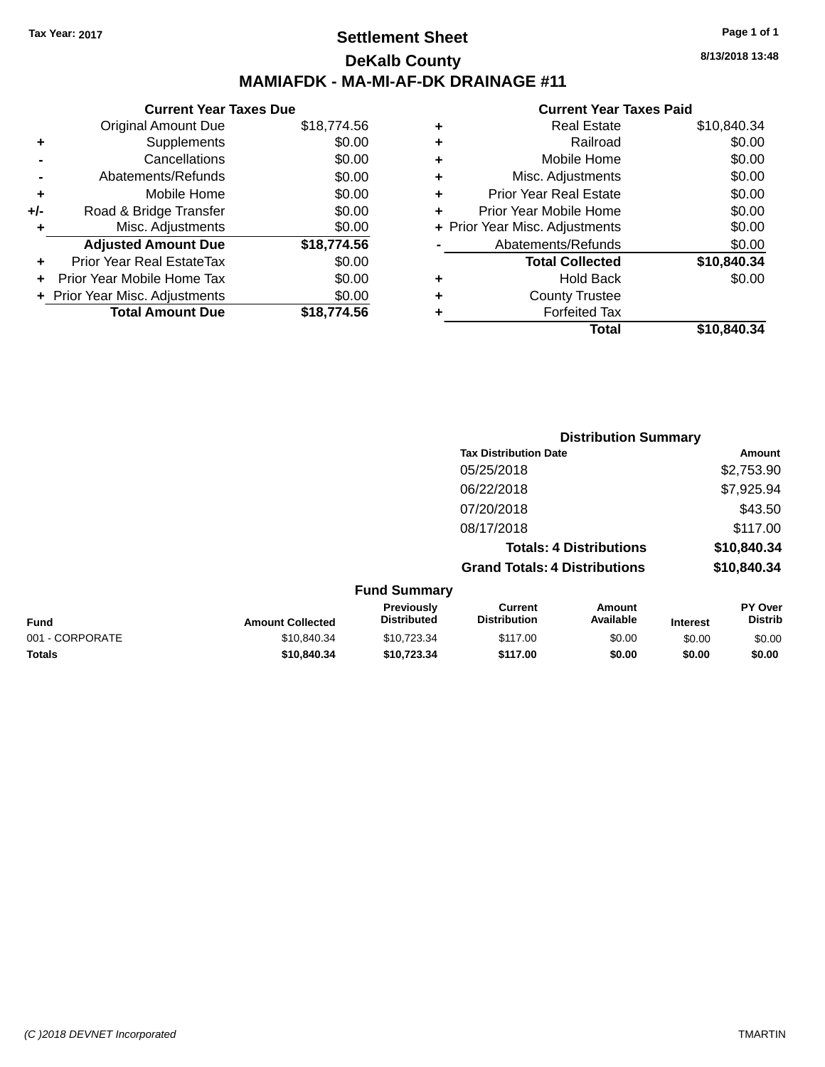### **Settlement Sheet Tax Year: 2017 Page 1 of 1 DeKalb County MAMIAFDK - MA-MI-AF-DK DRAINAGE #11**

|       | <b>Current Year Taxes Due</b>  |             |  |  |  |
|-------|--------------------------------|-------------|--|--|--|
|       | <b>Original Amount Due</b>     | \$18,774.56 |  |  |  |
|       | Supplements                    | \$0.00      |  |  |  |
|       | Cancellations                  | \$0.00      |  |  |  |
|       | Abatements/Refunds             | \$0.00      |  |  |  |
| ٠     | Mobile Home                    | \$0.00      |  |  |  |
| $+/-$ | Road & Bridge Transfer         | \$0.00      |  |  |  |
| ٠     | Misc. Adjustments              | \$0.00      |  |  |  |
|       | <b>Adjusted Amount Due</b>     | \$18,774.56 |  |  |  |
| ÷     | Prior Year Real EstateTax      | \$0.00      |  |  |  |
|       | Prior Year Mobile Home Tax     | \$0.00      |  |  |  |
|       | + Prior Year Misc. Adjustments | \$0.00      |  |  |  |
|       | <b>Total Amount Due</b>        | \$18,774.56 |  |  |  |
|       |                                |             |  |  |  |

#### **Current Year Taxes Paid**

|   | <b>Real Estate</b>             | \$10,840.34 |
|---|--------------------------------|-------------|
| ٠ | Railroad                       | \$0.00      |
| ٠ | Mobile Home                    | \$0.00      |
| ٠ | Misc. Adjustments              | \$0.00      |
| ٠ | <b>Prior Year Real Estate</b>  | \$0.00      |
| ٠ | Prior Year Mobile Home         | \$0.00      |
|   | + Prior Year Misc. Adjustments | \$0.00      |
|   | Abatements/Refunds             | \$0.00      |
|   | <b>Total Collected</b>         | \$10,840.34 |
| ٠ | <b>Hold Back</b>               | \$0.00      |
| ٠ | <b>County Trustee</b>          |             |
| ٠ | <b>Forfeited Tax</b>           |             |
|   | Total                          | \$10,840.34 |
|   |                                |             |

|                 |                         |                                  |                                       | <b>Distribution Summary</b>    |                 |                           |
|-----------------|-------------------------|----------------------------------|---------------------------------------|--------------------------------|-----------------|---------------------------|
|                 |                         |                                  | <b>Tax Distribution Date</b>          |                                |                 | Amount                    |
|                 |                         |                                  | 05/25/2018                            |                                |                 | \$2,753.90                |
|                 |                         |                                  | 06/22/2018                            |                                |                 | \$7,925.94                |
|                 |                         |                                  | 07/20/2018                            |                                |                 | \$43.50                   |
|                 |                         |                                  | 08/17/2018                            |                                |                 | \$117.00                  |
|                 |                         |                                  |                                       | <b>Totals: 4 Distributions</b> |                 | \$10,840.34               |
|                 |                         |                                  | <b>Grand Totals: 4 Distributions</b>  |                                |                 | \$10,840.34               |
|                 |                         | <b>Fund Summary</b>              |                                       |                                |                 |                           |
| <b>Fund</b>     | <b>Amount Collected</b> | Previously<br><b>Distributed</b> | <b>Current</b><br><b>Distribution</b> | Amount<br>Available            | <b>Interest</b> | PY Over<br><b>Distrib</b> |
| 001 - CORPORATE | \$10,840.34             | \$10,723.34                      | \$117.00                              | \$0.00                         | \$0.00          | \$0.00                    |
|                 |                         |                                  |                                       |                                |                 |                           |

**Totals \$10,840.34 \$10,723.34 \$117.00 \$0.00 \$0.00 \$0.00**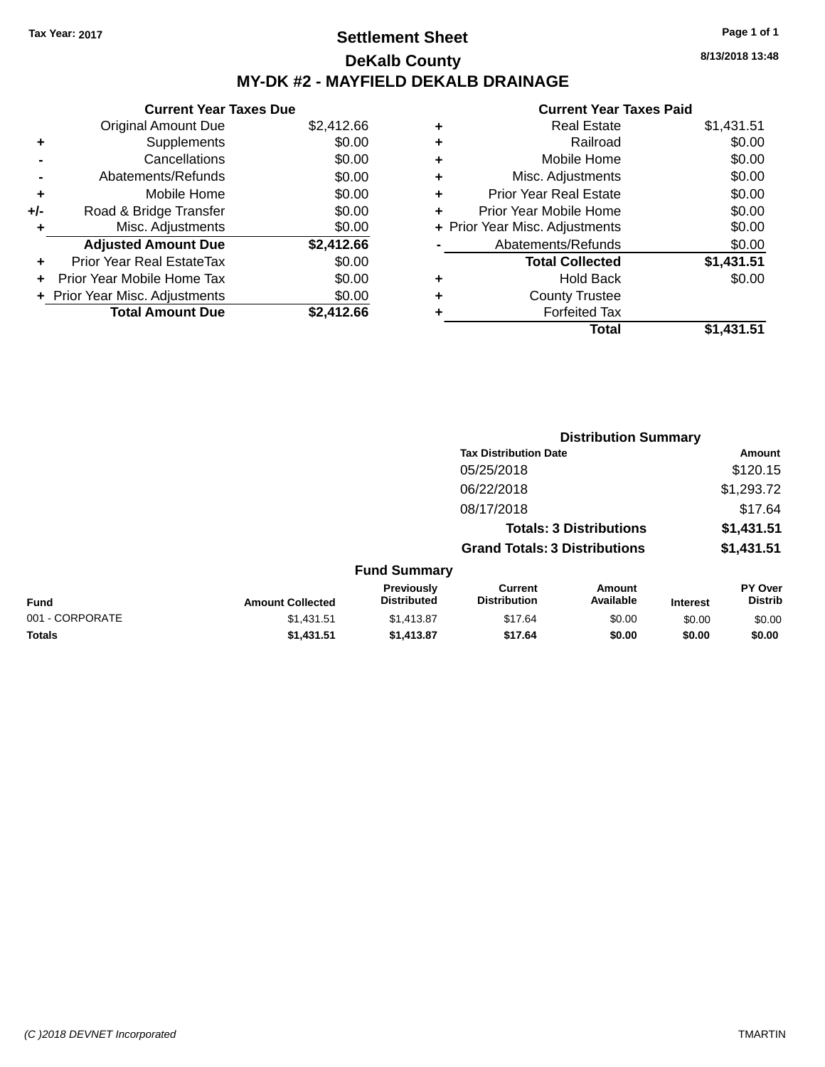### **Settlement Sheet Tax Year: 2017 Page 1 of 1 DeKalb County MY-DK #2 - MAYFIELD DEKALB DRAINAGE**

**Current Year Taxes Due** Original Amount Due \$2,412.66 **+** Supplements \$0.00 **-** Cancellations \$0.00 **-** Abatements/Refunds \$0.00 **+** Mobile Home \$0.00 **+/-** Road & Bridge Transfer \$0.00 **+** Misc. Adjustments \$0.00 **Adjusted Amount Due \$2,412.66 +** Prior Year Real EstateTax \$0.00 **+** Prior Year Mobile Home Tax \$0.00 **+ Prior Year Misc. Adjustments**  $$0.00$ **Total Amount Due \$2,412.66**

## **Current Year Taxes Paid**

|   | <b>Real Estate</b>             | \$1,431.51 |
|---|--------------------------------|------------|
| ÷ | Railroad                       | \$0.00     |
| ÷ | Mobile Home                    | \$0.00     |
| ٠ | Misc. Adjustments              | \$0.00     |
| ٠ | <b>Prior Year Real Estate</b>  | \$0.00     |
| ٠ | Prior Year Mobile Home         | \$0.00     |
|   | + Prior Year Misc. Adjustments | \$0.00     |
|   | Abatements/Refunds             | \$0.00     |
|   | <b>Total Collected</b>         | \$1,431.51 |
| ٠ | <b>Hold Back</b>               | \$0.00     |
| ٠ | <b>County Trustee</b>          |            |
| ٠ | <b>Forfeited Tax</b>           |            |
|   | Total                          | \$1,431.51 |
|   |                                |            |

**Distribution Summary**

|                 |                         | <b>PISUINUUVII VUIIIIIIII</b>    |                                       |                                |                 |                                  |
|-----------------|-------------------------|----------------------------------|---------------------------------------|--------------------------------|-----------------|----------------------------------|
|                 |                         |                                  | <b>Tax Distribution Date</b>          |                                |                 | Amount                           |
|                 |                         |                                  | 05/25/2018                            |                                |                 | \$120.15                         |
|                 |                         |                                  | 06/22/2018                            |                                |                 | \$1,293.72                       |
|                 |                         |                                  | 08/17/2018                            |                                |                 | \$17.64                          |
|                 |                         |                                  |                                       | <b>Totals: 3 Distributions</b> |                 | \$1,431.51                       |
|                 |                         |                                  | <b>Grand Totals: 3 Distributions</b>  |                                |                 | \$1,431.51                       |
|                 |                         | <b>Fund Summary</b>              |                                       |                                |                 |                                  |
| <b>Fund</b>     | <b>Amount Collected</b> | Previously<br><b>Distributed</b> | <b>Current</b><br><b>Distribution</b> | <b>Amount</b><br>Available     | <b>Interest</b> | <b>PY Over</b><br><b>Distrib</b> |
| 001 - CORPORATE | \$1,431.51              | \$1,413.87                       | \$17.64                               | \$0.00                         | \$0.00          | \$0.00                           |
| <b>Totals</b>   | \$1,431.51              | \$1,413.87                       | \$17.64                               | \$0.00                         | \$0.00          | \$0.00                           |

**8/13/2018 13:48**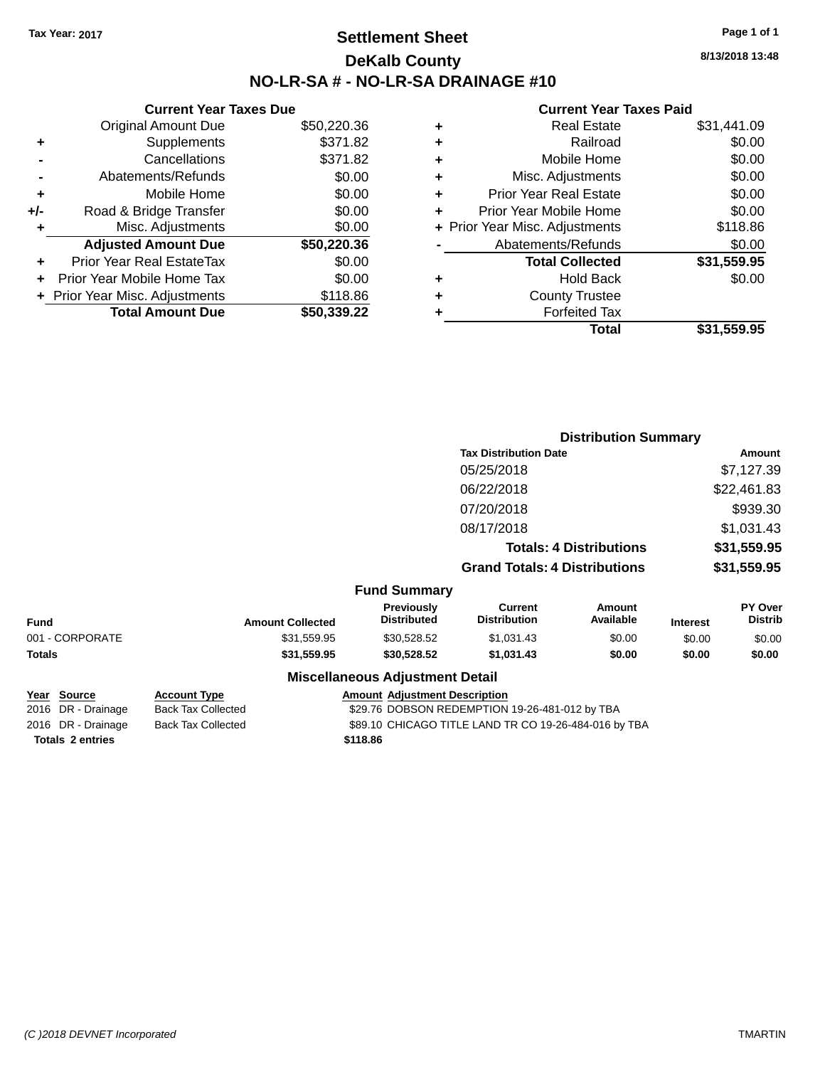### **Settlement Sheet Tax Year: 2017 Page 1 of 1 DeKalb County NO-LR-SA # - NO-LR-SA DRAINAGE #10**

**8/13/2018 13:48**

|     | <b>Current Year Taxes Due</b>  |             |
|-----|--------------------------------|-------------|
|     | <b>Original Amount Due</b>     | \$50,220.36 |
| ٠   | Supplements                    | \$371.82    |
|     | Cancellations                  | \$371.82    |
|     | Abatements/Refunds             | \$0.00      |
| ٠   | Mobile Home                    | \$0.00      |
| +/- | Road & Bridge Transfer         | \$0.00      |
| ٠   | Misc. Adjustments              | \$0.00      |
|     | <b>Adjusted Amount Due</b>     | \$50,220.36 |
|     | Prior Year Real EstateTax      | \$0.00      |
|     | Prior Year Mobile Home Tax     | \$0.00      |
|     | + Prior Year Misc. Adjustments | \$118.86    |
|     | <b>Total Amount Due</b>        | \$50.339.22 |

| ٠ | <b>Real Estate</b>             | \$31,441.09 |
|---|--------------------------------|-------------|
| ٠ | Railroad                       | \$0.00      |
| ٠ | Mobile Home                    | \$0.00      |
| ٠ | Misc. Adjustments              | \$0.00      |
| ٠ | <b>Prior Year Real Estate</b>  | \$0.00      |
| ٠ | Prior Year Mobile Home         | \$0.00      |
|   | + Prior Year Misc. Adjustments | \$118.86    |
|   | Abatements/Refunds             | \$0.00      |
|   | <b>Total Collected</b>         | \$31,559.95 |
| ٠ | Hold Back                      | \$0.00      |
| ٠ | <b>County Trustee</b>          |             |
| ٠ | <b>Forfeited Tax</b>           |             |
|   | Total                          | \$31,559.95 |
|   |                                |             |

|                 |                         |                                         | <b>Distribution Summary</b>           |                                |                 |                           |
|-----------------|-------------------------|-----------------------------------------|---------------------------------------|--------------------------------|-----------------|---------------------------|
|                 |                         |                                         | <b>Tax Distribution Date</b>          |                                |                 | Amount                    |
|                 |                         |                                         | 05/25/2018                            |                                |                 | \$7,127.39                |
|                 |                         |                                         | 06/22/2018                            |                                |                 | \$22,461.83               |
|                 |                         |                                         | 07/20/2018                            |                                |                 | \$939.30                  |
|                 |                         |                                         | 08/17/2018                            |                                |                 | \$1,031.43                |
|                 |                         |                                         |                                       | <b>Totals: 4 Distributions</b> |                 | \$31,559.95               |
|                 |                         |                                         | <b>Grand Totals: 4 Distributions</b>  |                                |                 | \$31,559.95               |
|                 |                         | <b>Fund Summary</b>                     |                                       |                                |                 |                           |
| <b>Fund</b>     | <b>Amount Collected</b> | <b>Previously</b><br><b>Distributed</b> | <b>Current</b><br><b>Distribution</b> | <b>Amount</b><br>Available     | <b>Interest</b> | PY Over<br><b>Distrib</b> |
| 001 - CORPORATE | \$31,559.95             | \$30,528.52                             | \$1,031.43                            | \$0.00                         | \$0.00          | \$0.00                    |
| Totals          | \$31,559.95             | \$30,528.52                             | \$1,031.43                            | \$0.00                         | \$0.00          | \$0.00                    |
|                 |                         | <b>Miscellaneous Adjustment Detail</b>  |                                       |                                |                 |                           |

| Year Source             | <b>Account Type</b>       | <b>Amount Adjustment Description</b>                  |
|-------------------------|---------------------------|-------------------------------------------------------|
| 2016 DR - Drainage      | Back Tax Collected        | \$29.76 DOBSON REDEMPTION 19-26-481-012 by TBA        |
| 2016 DR - Drainage      | <b>Back Tax Collected</b> | \$89.10 CHICAGO TITLE LAND TR CO 19-26-484-016 by TBA |
| <b>Totals 2 entries</b> |                           | \$118.86                                              |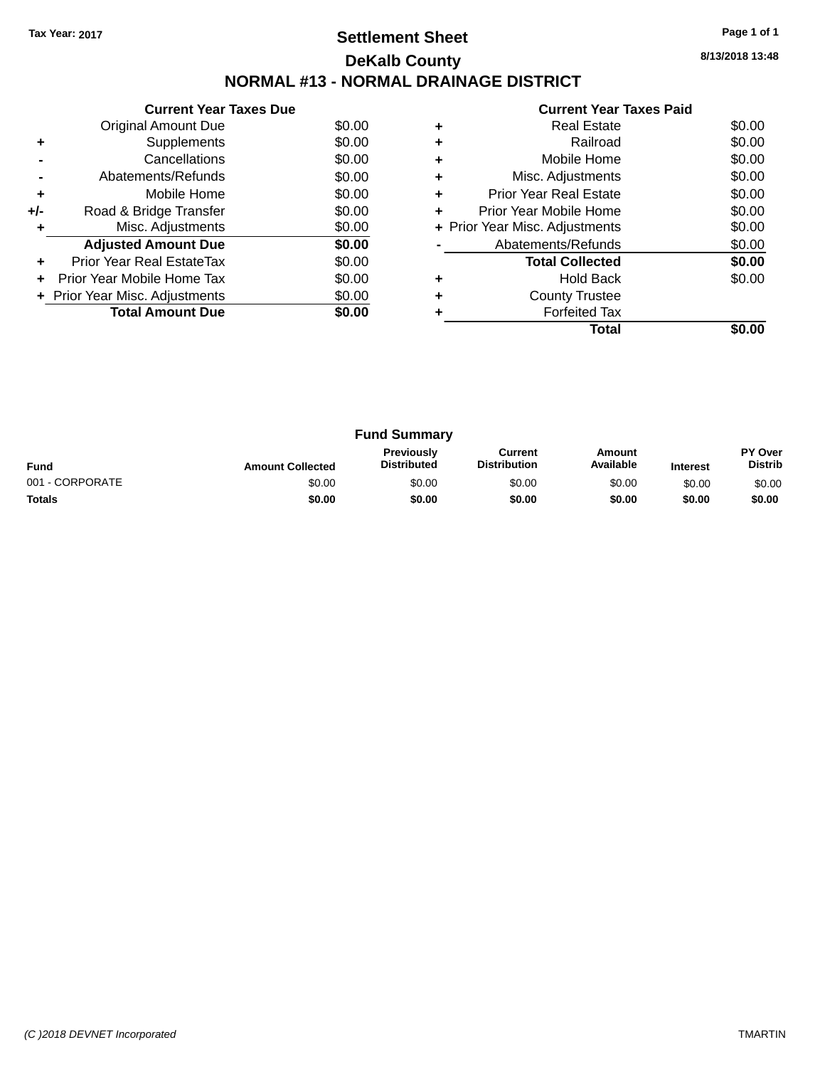## **Settlement Sheet Tax Year: 2017 Page 1 of 1 DeKalb County NORMAL #13 - NORMAL DRAINAGE DISTRICT**

**8/13/2018 13:48**

|     | <b>Current Year Taxes Due</b>  |        |  |  |  |
|-----|--------------------------------|--------|--|--|--|
|     | <b>Original Amount Due</b>     | \$0.00 |  |  |  |
|     | Supplements                    | \$0.00 |  |  |  |
|     | \$0.00<br>Cancellations        |        |  |  |  |
|     | Abatements/Refunds             | \$0.00 |  |  |  |
| ٠   | Mobile Home                    | \$0.00 |  |  |  |
| +/- | Road & Bridge Transfer         | \$0.00 |  |  |  |
|     | Misc. Adjustments              | \$0.00 |  |  |  |
|     | <b>Adjusted Amount Due</b>     | \$0.00 |  |  |  |
|     | Prior Year Real EstateTax      | \$0.00 |  |  |  |
|     | Prior Year Mobile Home Tax     | \$0.00 |  |  |  |
|     | + Prior Year Misc. Adjustments | \$0.00 |  |  |  |
|     | <b>Total Amount Due</b>        | \$0.00 |  |  |  |
|     |                                |        |  |  |  |

| ٠ | Misc. Adjustments              | \$0.00 |
|---|--------------------------------|--------|
|   |                                |        |
| ٠ | <b>Prior Year Real Estate</b>  | \$0.00 |
| ٠ | Prior Year Mobile Home         | \$0.00 |
|   | + Prior Year Misc. Adjustments | \$0.00 |
|   | Abatements/Refunds             | \$0.00 |
|   |                                |        |
|   | <b>Total Collected</b>         | \$0.00 |
|   | <b>Hold Back</b>               | \$0.00 |
| ٠ | <b>County Trustee</b>          |        |
|   | <b>Forfeited Tax</b>           |        |

| <b>Fund Summary</b> |                         |                                         |                                |                     |                 |                           |
|---------------------|-------------------------|-----------------------------------------|--------------------------------|---------------------|-----------------|---------------------------|
| <b>Fund</b>         | <b>Amount Collected</b> | <b>Previously</b><br><b>Distributed</b> | Current<br><b>Distribution</b> | Amount<br>Available | <b>Interest</b> | PY Over<br><b>Distrib</b> |
| 001 - CORPORATE     | \$0.00                  | \$0.00                                  | \$0.00                         | \$0.00              | \$0.00          | \$0.00                    |
| <b>Totals</b>       | \$0.00                  | \$0.00                                  | \$0.00                         | \$0.00              | \$0.00          | \$0.00                    |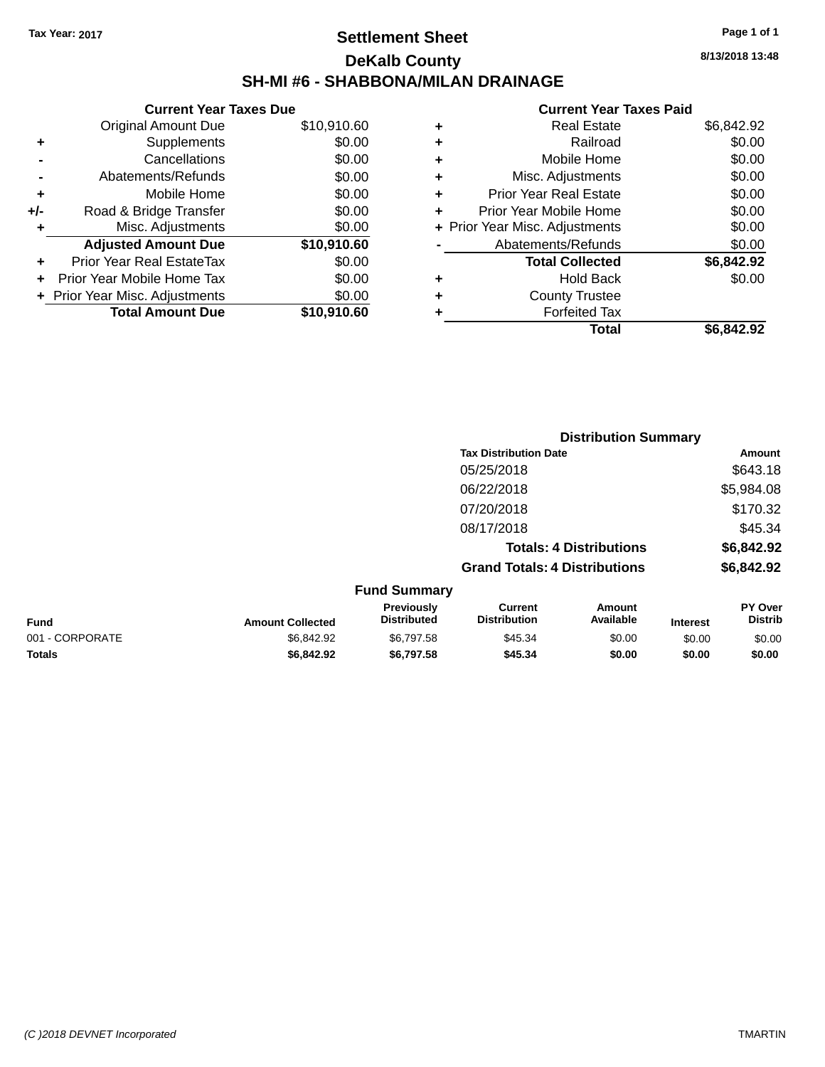### **Settlement Sheet Tax Year: 2017 Page 1 of 1 DeKalb County SH-MI #6 - SHABBONA/MILAN DRAINAGE**

| <b>Current Year Taxes Due</b>  |             |
|--------------------------------|-------------|
| <b>Original Amount Due</b>     | \$10,910.60 |
| Supplements                    | \$0.00      |
| Cancellations                  | \$0.00      |
| Abatements/Refunds             | \$0.00      |
| Mobile Home                    | \$0.00      |
| Road & Bridge Transfer         | \$0.00      |
| Misc. Adjustments              | \$0.00      |
| <b>Adjusted Amount Due</b>     | \$10,910.60 |
| Prior Year Real EstateTax      | \$0.00      |
| Prior Year Mobile Home Tax     | \$0.00      |
| + Prior Year Misc. Adjustments | \$0.00      |
| <b>Total Amount Due</b>        | \$10,910,60 |
|                                |             |

|   | Real Estate                    | \$6,842.92 |
|---|--------------------------------|------------|
| ٠ | Railroad                       | \$0.00     |
| ٠ | Mobile Home                    | \$0.00     |
| ٠ | Misc. Adjustments              | \$0.00     |
| ٠ | <b>Prior Year Real Estate</b>  | \$0.00     |
| ÷ | Prior Year Mobile Home         | \$0.00     |
|   | + Prior Year Misc. Adjustments | \$0.00     |
|   | Abatements/Refunds             | \$0.00     |
|   | <b>Total Collected</b>         | \$6,842.92 |
| ٠ | <b>Hold Back</b>               | \$0.00     |
| ٠ | <b>County Trustee</b>          |            |
| ٠ | <b>Forfeited Tax</b>           |            |
|   | Total                          | \$6,842.92 |
|   |                                |            |

|                 |                         |                                  |                                       | <b>Distribution Summary</b>    |                 |                                  |
|-----------------|-------------------------|----------------------------------|---------------------------------------|--------------------------------|-----------------|----------------------------------|
|                 |                         |                                  | <b>Tax Distribution Date</b>          |                                |                 | <b>Amount</b>                    |
|                 |                         |                                  | 05/25/2018                            |                                |                 | \$643.18                         |
|                 |                         |                                  | 06/22/2018                            |                                |                 | \$5,984.08                       |
|                 |                         |                                  | 07/20/2018                            |                                |                 | \$170.32                         |
|                 |                         |                                  | 08/17/2018                            |                                |                 | \$45.34                          |
|                 |                         |                                  |                                       | <b>Totals: 4 Distributions</b> |                 | \$6,842.92                       |
|                 |                         |                                  | <b>Grand Totals: 4 Distributions</b>  |                                |                 | \$6,842.92                       |
|                 |                         | <b>Fund Summary</b>              |                                       |                                |                 |                                  |
| <b>Fund</b>     | <b>Amount Collected</b> | Previously<br><b>Distributed</b> | <b>Current</b><br><b>Distribution</b> | <b>Amount</b><br>Available     | <b>Interest</b> | <b>PY Over</b><br><b>Distrib</b> |
| 001 - CORPORATE | \$6,842.92              | \$6,797.58                       | \$45.34                               | \$0.00                         | \$0.00          | \$0.00                           |
| <b>Totals</b>   | \$6,842.92              | \$6,797.58                       | \$45.34                               | \$0.00                         | \$0.00          | \$0.00                           |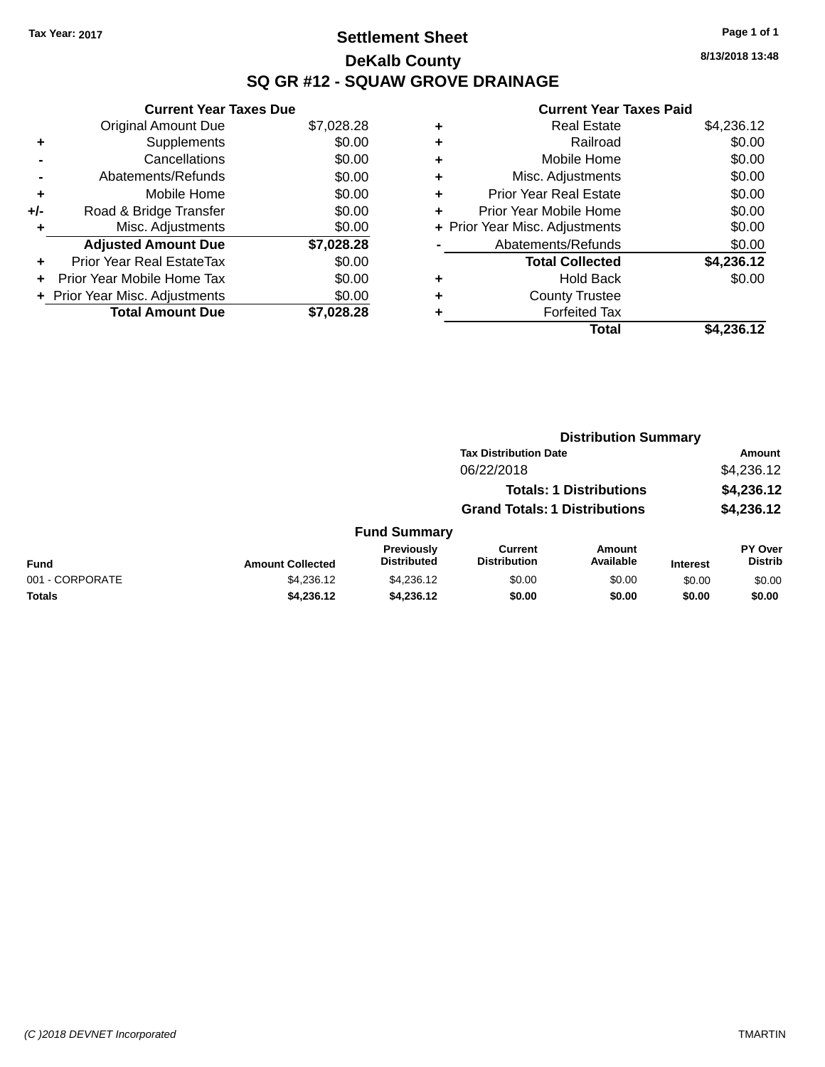## **Settlement Sheet Tax Year: 2017 Page 1 of 1 DeKalb County SQ GR #12 - SQUAW GROVE DRAINAGE**

**8/13/2018 13:48**

|     | <b>Current Year Taxes Due</b>  |            |
|-----|--------------------------------|------------|
|     | <b>Original Amount Due</b>     | \$7,028.28 |
| ٠   | Supplements                    | \$0.00     |
|     | Cancellations                  | \$0.00     |
|     | Abatements/Refunds             | \$0.00     |
| ٠   | Mobile Home                    | \$0.00     |
| +/- | Road & Bridge Transfer         | \$0.00     |
| ٠   | Misc. Adjustments              | \$0.00     |
|     | <b>Adjusted Amount Due</b>     | \$7,028.28 |
| ÷   | Prior Year Real EstateTax      | \$0.00     |
| ÷   | Prior Year Mobile Home Tax     | \$0.00     |
|     | + Prior Year Misc. Adjustments | \$0.00     |
|     | <b>Total Amount Due</b>        | \$7,028.28 |

|   | <b>Real Estate</b>             | \$4,236.12 |
|---|--------------------------------|------------|
| ٠ | Railroad                       | \$0.00     |
| ٠ | Mobile Home                    | \$0.00     |
| ٠ | Misc. Adjustments              | \$0.00     |
| ٠ | <b>Prior Year Real Estate</b>  | \$0.00     |
| ٠ | Prior Year Mobile Home         | \$0.00     |
|   | + Prior Year Misc. Adjustments | \$0.00     |
|   | Abatements/Refunds             | \$0.00     |
|   | <b>Total Collected</b>         | \$4,236.12 |
| ٠ | Hold Back                      | \$0.00     |
| ٠ | <b>County Trustee</b>          |            |
| ٠ | <b>Forfeited Tax</b>           |            |
|   | Total                          | \$4,236.12 |
|   |                                |            |

|                 |                         |                                  | <b>Distribution Summary</b>           |                                |                 |                                  |
|-----------------|-------------------------|----------------------------------|---------------------------------------|--------------------------------|-----------------|----------------------------------|
|                 |                         |                                  | <b>Tax Distribution Date</b>          |                                |                 | <b>Amount</b>                    |
|                 |                         |                                  | 06/22/2018                            |                                |                 | \$4,236.12                       |
|                 |                         |                                  |                                       | <b>Totals: 1 Distributions</b> |                 | \$4,236.12                       |
|                 |                         |                                  | <b>Grand Totals: 1 Distributions</b>  |                                |                 | \$4,236.12                       |
|                 |                         | <b>Fund Summary</b>              |                                       |                                |                 |                                  |
| Fund            | <b>Amount Collected</b> | Previously<br><b>Distributed</b> | <b>Current</b><br><b>Distribution</b> | Amount<br>Available            | <b>Interest</b> | <b>PY Over</b><br><b>Distrib</b> |
| 001 - CORPORATE | \$4,236.12              | \$4,236.12                       | \$0.00                                | \$0.00                         | \$0.00          | \$0.00                           |
| <b>Totals</b>   | \$4,236.12              | \$4,236.12                       | \$0.00                                | \$0.00                         | \$0.00          | \$0.00                           |
|                 |                         |                                  |                                       |                                |                 |                                  |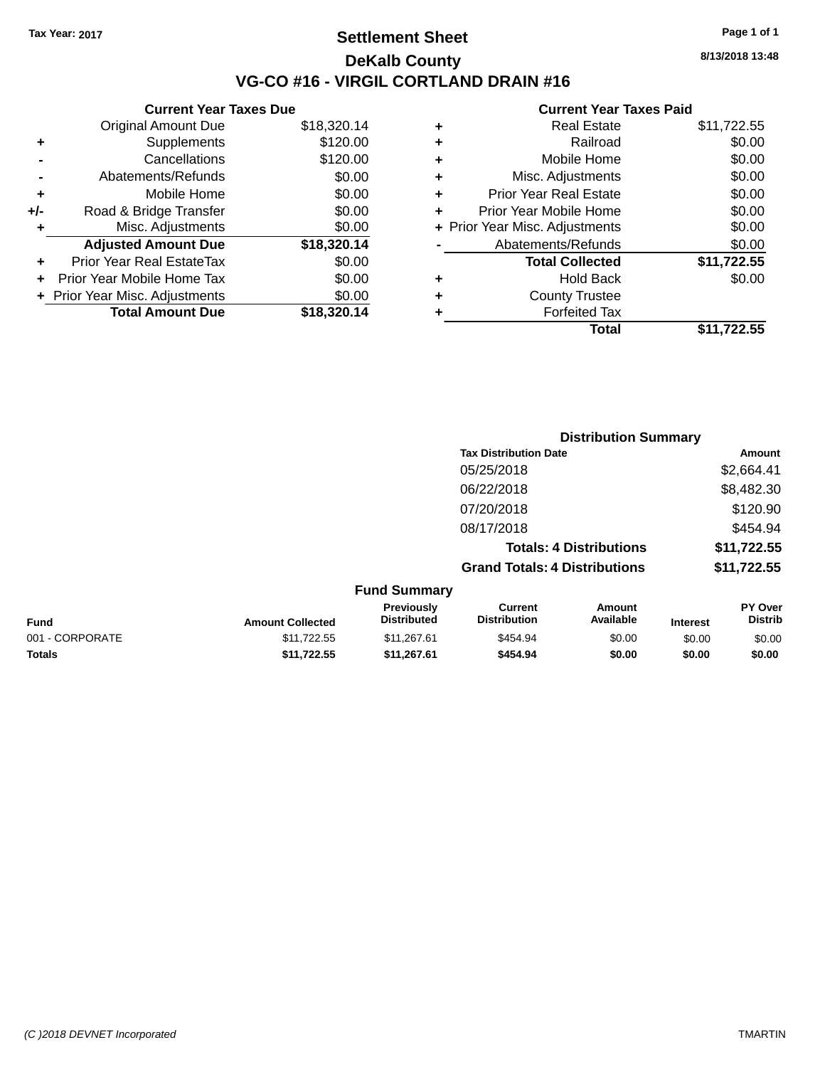### **Settlement Sheet Tax Year: 2017 Page 1 of 1 DeKalb County VG-CO #16 - VIRGIL CORTLAND DRAIN #16**

**8/13/2018 13:48**

|     | <b>Current Year Taxes Due</b>  |             |
|-----|--------------------------------|-------------|
|     | Original Amount Due            | \$18,320.14 |
| ٠   | Supplements                    | \$120.00    |
|     | Cancellations                  | \$120.00    |
|     | Abatements/Refunds             | \$0.00      |
| ٠   | Mobile Home                    | \$0.00      |
| +/- | Road & Bridge Transfer         | \$0.00      |
| ٠   | Misc. Adjustments              | \$0.00      |
|     | <b>Adjusted Amount Due</b>     | \$18,320.14 |
|     | Prior Year Real EstateTax      | \$0.00      |
|     | Prior Year Mobile Home Tax     | \$0.00      |
|     | + Prior Year Misc. Adjustments | \$0.00      |
|     | <b>Total Amount Due</b>        | \$18,320.14 |
|     |                                |             |

|   | Total                          | \$11,722.55 |
|---|--------------------------------|-------------|
| ٠ | <b>Forfeited Tax</b>           |             |
| ٠ | <b>County Trustee</b>          |             |
| ٠ | <b>Hold Back</b>               | \$0.00      |
|   | <b>Total Collected</b>         | \$11,722.55 |
|   | Abatements/Refunds             | \$0.00      |
|   | + Prior Year Misc. Adjustments | \$0.00      |
| ٠ | Prior Year Mobile Home         | \$0.00      |
| ÷ | <b>Prior Year Real Estate</b>  | \$0.00      |
| ٠ | Misc. Adjustments              | \$0.00      |
| ٠ | Mobile Home                    | \$0.00      |
| ٠ | Railroad                       | \$0.00      |
| ٠ | <b>Real Estate</b>             | \$11,722.55 |
|   |                                |             |

|                     | <b>Distribution Summary</b>          |             |
|---------------------|--------------------------------------|-------------|
|                     | <b>Tax Distribution Date</b>         | Amount      |
|                     | 05/25/2018                           | \$2,664.41  |
|                     | 06/22/2018                           | \$8,482.30  |
|                     | 07/20/2018                           | \$120.90    |
|                     | 08/17/2018                           | \$454.94    |
|                     | <b>Totals: 4 Distributions</b>       | \$11,722.55 |
|                     | <b>Grand Totals: 4 Distributions</b> | \$11,722.55 |
| <b>Fund Summary</b> |                                      |             |

| <b>Fund</b>     | <b>Amount Collected</b> | <b>Previously</b><br><b>Distributed</b> | Current<br><b>Distribution</b> | Amount<br>Available | <b>Interest</b> | PY Over<br><b>Distrib</b> |
|-----------------|-------------------------|-----------------------------------------|--------------------------------|---------------------|-----------------|---------------------------|
| 001 - CORPORATE | \$11.722.55             | \$11.267.61                             | \$454.94                       | \$0.00              | \$0.00          | \$0.00                    |
| <b>Totals</b>   | \$11.722.55             | \$11.267.61                             | \$454.94                       | \$0.00              | \$0.00          | \$0.00                    |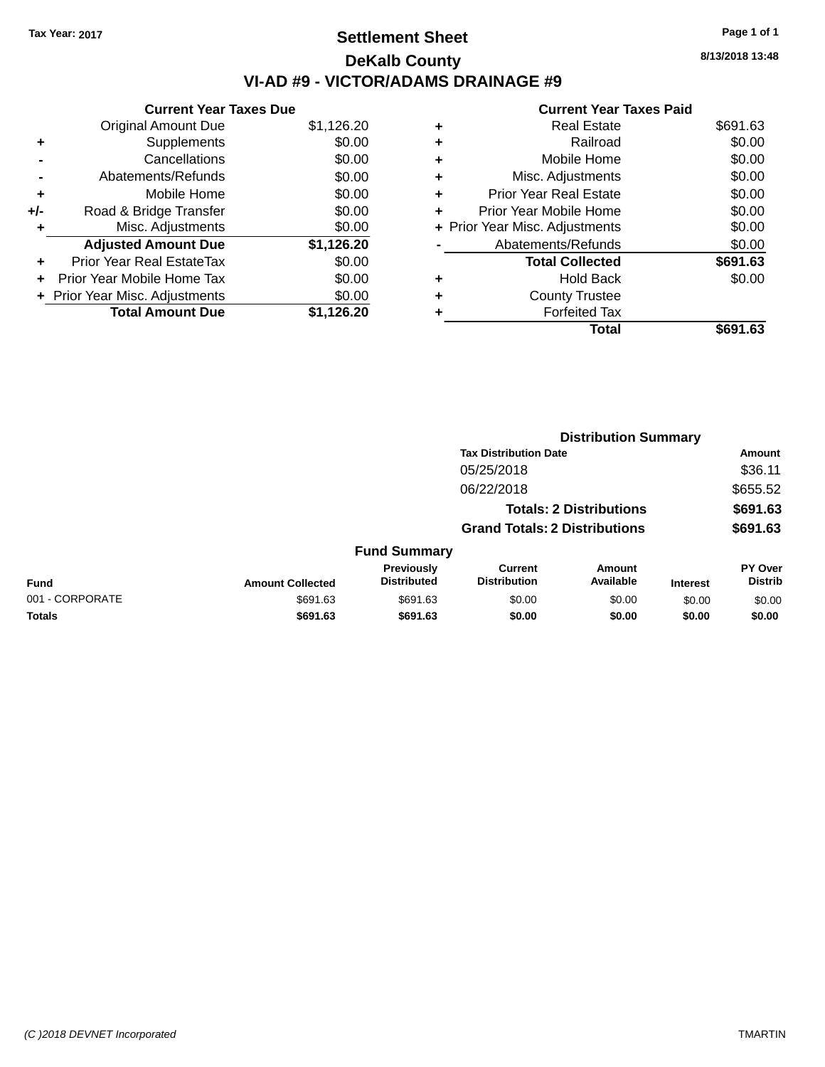### **Settlement Sheet Tax Year: 2017 Page 1 of 1 DeKalb County VI-AD #9 - VICTOR/ADAMS DRAINAGE #9**

|     | <b>Current Year Taxes Due</b>  |            |  |  |  |  |  |
|-----|--------------------------------|------------|--|--|--|--|--|
|     | <b>Original Amount Due</b>     | \$1,126.20 |  |  |  |  |  |
| ٠   | Supplements                    | \$0.00     |  |  |  |  |  |
|     | Cancellations                  | \$0.00     |  |  |  |  |  |
|     | Abatements/Refunds             | \$0.00     |  |  |  |  |  |
| ٠   | Mobile Home                    | \$0.00     |  |  |  |  |  |
| +/- | Road & Bridge Transfer         | \$0.00     |  |  |  |  |  |
| ٠   | Misc. Adjustments              | \$0.00     |  |  |  |  |  |
|     | <b>Adjusted Amount Due</b>     | \$1,126.20 |  |  |  |  |  |
| ÷   | Prior Year Real EstateTax      | \$0.00     |  |  |  |  |  |
|     | Prior Year Mobile Home Tax     | \$0.00     |  |  |  |  |  |
|     | + Prior Year Misc. Adjustments | \$0.00     |  |  |  |  |  |
|     | <b>Total Amount Due</b>        | \$1,126.20 |  |  |  |  |  |

|   | <b>Current Year Taxes Paid</b> |          |
|---|--------------------------------|----------|
|   | <b>Real Estate</b>             | \$691.63 |
|   | Railroad                       | \$0.00   |
| ٠ | Mobile Home                    | \$0.00   |
|   | Misc. Adjustments              | \$0.00   |
| ٠ | <b>Prior Year Real Estate</b>  | \$0.00   |
|   | Prior Year Mobile Home         | \$0.00   |
|   | + Prior Year Misc. Adjustments | \$0.00   |
|   | Abatements/Refunds             | \$0.00   |
|   | <b>Total Collected</b>         | \$691.63 |
|   | <b>Hold Back</b>               | \$0.00   |
|   | <b>County Trustee</b>          |          |
|   | <b>Forfeited Tax</b>           |          |
|   | Total                          | \$691.63 |
|   |                                |          |

|                 |                         |                                  |                                       | <b>Distribution Summary</b>    |                 |                                  |
|-----------------|-------------------------|----------------------------------|---------------------------------------|--------------------------------|-----------------|----------------------------------|
|                 |                         |                                  | <b>Tax Distribution Date</b>          |                                |                 | <b>Amount</b>                    |
|                 |                         |                                  | 05/25/2018                            |                                |                 | \$36.11                          |
|                 |                         |                                  | 06/22/2018                            |                                |                 | \$655.52                         |
|                 |                         |                                  |                                       | <b>Totals: 2 Distributions</b> |                 | \$691.63                         |
|                 |                         |                                  | <b>Grand Totals: 2 Distributions</b>  |                                |                 | \$691.63                         |
|                 |                         | <b>Fund Summary</b>              |                                       |                                |                 |                                  |
| <b>Fund</b>     | <b>Amount Collected</b> | Previously<br><b>Distributed</b> | <b>Current</b><br><b>Distribution</b> | Amount<br>Available            | <b>Interest</b> | <b>PY Over</b><br><b>Distrib</b> |
| 001 - CORPORATE | \$691.63                | \$691.63                         | \$0.00                                | \$0.00                         | \$0.00          | \$0.00                           |
| <b>Totals</b>   | \$691.63                | \$691.63                         | \$0.00                                | \$0.00                         | \$0.00          | \$0.00                           |
|                 |                         |                                  |                                       |                                |                 |                                  |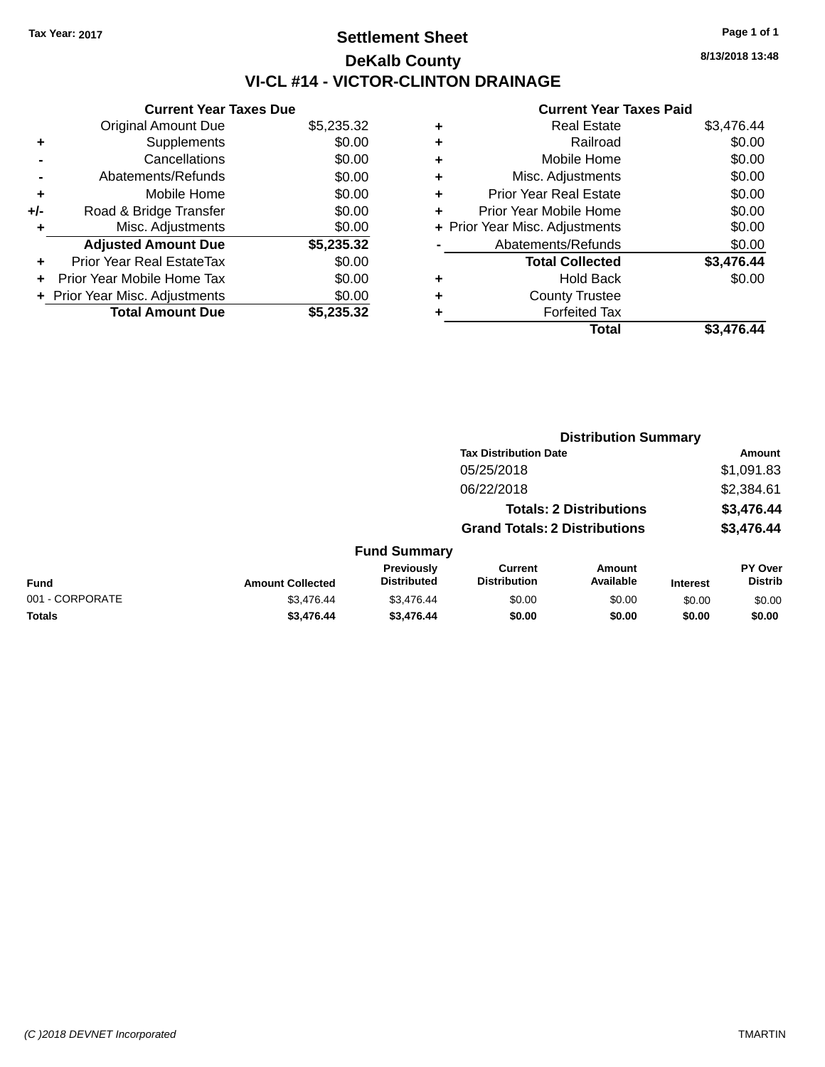## **Settlement Sheet Tax Year: 2017 Page 1 of 1 DeKalb County VI-CL #14 - VICTOR-CLINTON DRAINAGE**

**Current Year Taxes Due** Original Amount Due \$5,235.32 **+** Supplements \$0.00 **-** Cancellations \$0.00 **-** Abatements/Refunds \$0.00 **+** Mobile Home \$0.00 **+/-** Road & Bridge Transfer \$0.00 **+** Misc. Adjustments \$0.00 **Adjusted Amount Due \$5,235.32 +** Prior Year Real EstateTax \$0.00 **+** Prior Year Mobile Home Tax \$0.00 **+ Prior Year Misc. Adjustments**  $$0.00$ **Total Amount Due \$5,235.32**

#### **Current Year Taxes Paid**

| ٠ | <b>Real Estate</b>             | \$3,476.44 |
|---|--------------------------------|------------|
| ٠ | Railroad                       | \$0.00     |
| ٠ | Mobile Home                    | \$0.00     |
| ٠ | Misc. Adjustments              | \$0.00     |
| ٠ | <b>Prior Year Real Estate</b>  | \$0.00     |
| ٠ | Prior Year Mobile Home         | \$0.00     |
|   | + Prior Year Misc. Adjustments | \$0.00     |
|   | Abatements/Refunds             | \$0.00     |
|   | <b>Total Collected</b>         | \$3,476.44 |
| ٠ | <b>Hold Back</b>               | \$0.00     |
| ٠ | <b>County Trustee</b>          |            |
| ٠ | <b>Forfeited Tax</b>           |            |
|   | Total                          | \$3,476.44 |
|   |                                |            |

**Distribution Summary**

|                 |                         |                                  |                                       | <b>PISUINUUVII VUIIIIIIII</b>  |                 |                                  |
|-----------------|-------------------------|----------------------------------|---------------------------------------|--------------------------------|-----------------|----------------------------------|
|                 |                         |                                  | <b>Tax Distribution Date</b>          |                                |                 | Amount                           |
|                 |                         |                                  | 05/25/2018                            |                                |                 | \$1,091.83                       |
|                 |                         |                                  | 06/22/2018                            |                                |                 | \$2,384.61                       |
|                 |                         |                                  |                                       | <b>Totals: 2 Distributions</b> |                 | \$3,476.44                       |
|                 |                         |                                  | <b>Grand Totals: 2 Distributions</b>  |                                |                 | \$3,476.44                       |
|                 |                         | <b>Fund Summary</b>              |                                       |                                |                 |                                  |
| Fund            | <b>Amount Collected</b> | Previously<br><b>Distributed</b> | <b>Current</b><br><b>Distribution</b> | <b>Amount</b><br>Available     | <b>Interest</b> | <b>PY Over</b><br><b>Distrib</b> |
| 001 - CORPORATE | \$3,476.44              | \$3,476.44                       | \$0.00                                | \$0.00                         | \$0.00          | \$0.00                           |
| <b>Totals</b>   | \$3,476.44              | \$3,476.44                       | \$0.00                                | \$0.00                         | \$0.00          | \$0.00                           |

**8/13/2018 13:48**